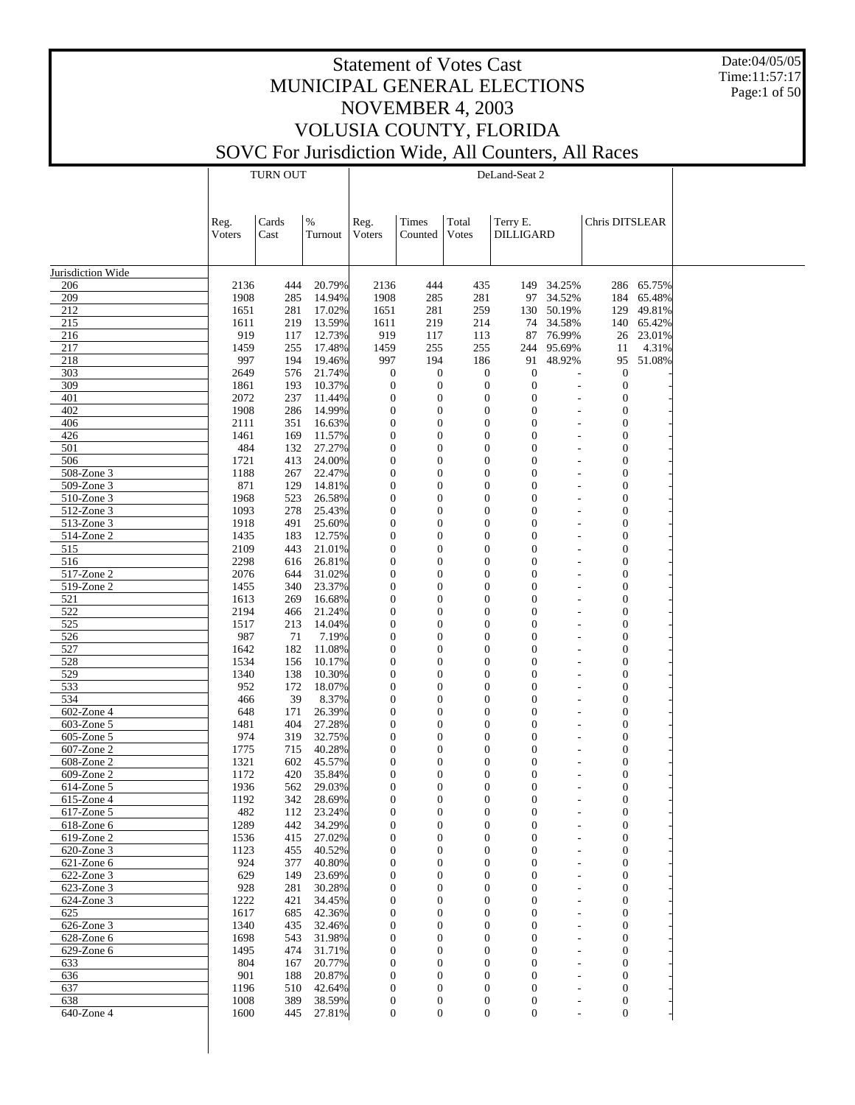Date:04/05/05 Time:11:57:17 Page:1 of 50

|                   |              | <b>TURN OUT</b> |                  |                                      |                                      |                                    | DeLand-Seat 2                        |                          |                                      |            |  |
|-------------------|--------------|-----------------|------------------|--------------------------------------|--------------------------------------|------------------------------------|--------------------------------------|--------------------------|--------------------------------------|------------|--|
|                   |              |                 |                  |                                      |                                      |                                    |                                      |                          |                                      |            |  |
|                   |              |                 |                  |                                      |                                      |                                    |                                      |                          |                                      |            |  |
|                   | Reg.         | Cards           | $\%$             | Reg.                                 | Times                                | Total                              | Terry E.                             |                          | Chris DITSLEAR                       |            |  |
|                   | Voters       | Cast            | Turnout          | Voters                               | Counted                              | Votes                              | <b>DILLIGARD</b>                     |                          |                                      |            |  |
|                   |              |                 |                  |                                      |                                      |                                    |                                      |                          |                                      |            |  |
|                   |              |                 |                  |                                      |                                      |                                    |                                      |                          |                                      |            |  |
| Jurisdiction Wide |              |                 |                  |                                      |                                      |                                    |                                      |                          |                                      |            |  |
| 206               | 2136         | 444             | 20.79%           | 2136                                 | 444                                  | 435                                | 149                                  | 34.25%                   |                                      | 286 65.75% |  |
| 209               | 1908         | 285             | 14.94%           | 1908                                 | 285                                  | 281                                |                                      | 97 34.52%                |                                      | 184 65.48% |  |
| 212               | 1651         | 281             | 17.02%           | 1651                                 | 281                                  | 259                                | 130                                  | 50.19%                   | 129                                  | 49.81%     |  |
| 215               | 1611         | 219             | 13.59%           | 1611                                 | 219                                  | 214                                | 74                                   | 34.58%                   |                                      | 140 65.42% |  |
| 216               | 919          | 117             | 12.73%           | 919                                  | 117                                  | 113                                | 87                                   | 76.99%                   | 26                                   | 23.01%     |  |
| 217               | 1459         | 255             | 17.48%           | 1459                                 | 255                                  | 255                                | 244                                  | 95.69%                   | 11                                   | 4.31%      |  |
| 218               | 997          | 194             | 19.46%           | 997                                  | 194                                  | 186                                | 91                                   | 48.92%                   | 95                                   | 51.08%     |  |
| 303               | 2649         | 576             | 21.74%           | $\boldsymbol{0}$                     | $\boldsymbol{0}$                     | $\mathbf{0}$                       | $\mathbf{0}$                         | $\overline{a}$           | $\mathbf{0}$                         |            |  |
| 309               | 1861         | 193             | 10.37%           | $\boldsymbol{0}$                     | $\boldsymbol{0}$                     | $\boldsymbol{0}$                   | $\mathbf{0}$                         |                          | $\mathbf{0}$                         |            |  |
| 401               | 2072         | 237             | 11.44%           | $\boldsymbol{0}$                     | $\boldsymbol{0}$                     | $\overline{0}$                     | $\overline{0}$<br>$\overline{0}$     |                          | $\boldsymbol{0}$                     |            |  |
| 402<br>406        | 1908<br>2111 | 286<br>351      | 14.99%<br>16.63% | $\boldsymbol{0}$<br>$\boldsymbol{0}$ | $\boldsymbol{0}$<br>$\overline{0}$   | $\boldsymbol{0}$<br>$\overline{0}$ | $\overline{0}$                       |                          | $\boldsymbol{0}$<br>$\boldsymbol{0}$ |            |  |
| 426               | 1461         | 169             | 11.57%           | $\boldsymbol{0}$                     | $\boldsymbol{0}$                     | $\boldsymbol{0}$                   | $\boldsymbol{0}$                     |                          | $\boldsymbol{0}$                     |            |  |
| 501               | 484          | 132             | 27.27%           | $\boldsymbol{0}$                     | $\overline{0}$                       | $\overline{0}$                     | $\overline{0}$                       |                          | $\boldsymbol{0}$                     |            |  |
| 506               | 1721         | 413             | 24.00%           | $\boldsymbol{0}$                     | $\boldsymbol{0}$                     | $\overline{0}$                     | $\overline{0}$                       |                          | $\boldsymbol{0}$                     |            |  |
| 508-Zone 3        | 1188         | 267             | 22.47%           | $\boldsymbol{0}$                     | $\overline{0}$                       | $\overline{0}$                     | $\boldsymbol{0}$                     |                          | $\boldsymbol{0}$                     |            |  |
| 509-Zone 3        | 871          | 129             | 14.81%           | $\boldsymbol{0}$                     | $\boldsymbol{0}$                     | $\boldsymbol{0}$                   | $\boldsymbol{0}$                     |                          | $\boldsymbol{0}$                     |            |  |
| 510-Zone 3        | 1968         | 523             | 26.58%           | $\boldsymbol{0}$                     | $\overline{0}$                       | $\overline{0}$                     | $\boldsymbol{0}$                     |                          | $\boldsymbol{0}$                     |            |  |
| 512-Zone 3        | 1093         | 278             | 25.43%           | $\boldsymbol{0}$                     | $\boldsymbol{0}$                     | $\overline{0}$                     | $\boldsymbol{0}$                     |                          | $\boldsymbol{0}$                     |            |  |
| 513-Zone 3        | 1918         | 491             | 25.60%           | $\boldsymbol{0}$                     | $\overline{0}$                       | $\overline{0}$                     | $\boldsymbol{0}$                     |                          | $\boldsymbol{0}$                     |            |  |
| 514-Zone 2        | 1435         | 183             | 12.75%           | $\boldsymbol{0}$                     | $\boldsymbol{0}$                     | $\boldsymbol{0}$                   | $\boldsymbol{0}$                     |                          | $\boldsymbol{0}$                     |            |  |
| 515               | 2109         | 443             | 21.01%           | $\boldsymbol{0}$                     | $\overline{0}$                       | $\overline{0}$                     | $\boldsymbol{0}$                     |                          | $\boldsymbol{0}$                     |            |  |
| 516               | 2298         | 616             | 26.81%           | $\boldsymbol{0}$                     | $\boldsymbol{0}$                     | $\overline{0}$                     | $\boldsymbol{0}$                     |                          | $\boldsymbol{0}$                     |            |  |
| 517-Zone 2        | 2076         | 644             | 31.02%           | $\boldsymbol{0}$                     | $\overline{0}$                       | $\overline{0}$                     | $\boldsymbol{0}$                     |                          | $\boldsymbol{0}$                     |            |  |
| 519-Zone 2        | 1455         | 340             | 23.37%           | $\boldsymbol{0}$                     | $\boldsymbol{0}$                     | $\boldsymbol{0}$                   | $\boldsymbol{0}$                     |                          | $\boldsymbol{0}$                     |            |  |
| 521               | 1613         | 269             | 16.68%           | $\boldsymbol{0}$                     | $\overline{0}$                       | $\overline{0}$                     | $\boldsymbol{0}$                     |                          | $\boldsymbol{0}$                     |            |  |
| 522               | 2194         | 466             | 21.24%           | $\boldsymbol{0}$                     | $\boldsymbol{0}$                     | $\overline{0}$                     | $\boldsymbol{0}$                     |                          | $\boldsymbol{0}$                     |            |  |
| 525               | 1517         | 213             | 14.04%           | $\boldsymbol{0}$                     | $\overline{0}$                       | $\overline{0}$                     | $\boldsymbol{0}$                     |                          | $\boldsymbol{0}$                     |            |  |
| 526               | 987          | 71              | 7.19%            | $\boldsymbol{0}$                     | $\boldsymbol{0}$                     | $\boldsymbol{0}$                   | $\boldsymbol{0}$                     |                          | $\boldsymbol{0}$                     |            |  |
| 527               | 1642         | 182             | 11.08%           | $\boldsymbol{0}$                     | $\overline{0}$                       | $\overline{0}$                     | $\boldsymbol{0}$                     |                          | $\boldsymbol{0}$                     |            |  |
| 528               | 1534         | 156             | 10.17%           | $\boldsymbol{0}$                     | $\boldsymbol{0}$                     | $\overline{0}$                     | $\boldsymbol{0}$                     |                          | $\boldsymbol{0}$                     |            |  |
| 529               | 1340         | 138             | 10.30%           | $\boldsymbol{0}$                     | $\overline{0}$                       | $\overline{0}$                     | $\boldsymbol{0}$                     |                          | $\boldsymbol{0}$                     |            |  |
| 533<br>534        | 952          | 172<br>39       | 18.07%<br>8.37%  | $\boldsymbol{0}$<br>$\boldsymbol{0}$ | $\boldsymbol{0}$<br>$\overline{0}$   | $\boldsymbol{0}$<br>$\overline{0}$ | $\boldsymbol{0}$<br>$\boldsymbol{0}$ |                          | $\boldsymbol{0}$<br>$\boldsymbol{0}$ |            |  |
| 602-Zone 4        | 466          | 171             | 26.39%           | $\boldsymbol{0}$                     | $\boldsymbol{0}$                     | $\boldsymbol{0}$                   | $\boldsymbol{0}$                     |                          | $\boldsymbol{0}$                     |            |  |
| 603-Zone 5        | 648<br>1481  | 404             | 27.28%           | $\boldsymbol{0}$                     | $\overline{0}$                       | $\overline{0}$                     | $\boldsymbol{0}$                     |                          | $\boldsymbol{0}$                     |            |  |
| 605-Zone 5        | 974          | 319             | 32.75%           | $\boldsymbol{0}$                     | $\boldsymbol{0}$                     | $\boldsymbol{0}$                   | $\boldsymbol{0}$                     |                          | $\boldsymbol{0}$                     |            |  |
| 607-Zone 2        | 1775         | 715             | 40.28%           | $\boldsymbol{0}$                     | $\overline{0}$                       | $\overline{0}$                     | $\overline{0}$                       |                          | $\boldsymbol{0}$                     |            |  |
| 608-Zone 2        | 1321         | 602             | 45.57%           | $\boldsymbol{0}$                     | $\boldsymbol{0}$                     | $\overline{0}$                     | $\boldsymbol{0}$                     |                          | $\boldsymbol{0}$                     |            |  |
| 609-Zone 2        | 1172         | 420             | 35.84%           | $\mathbf{0}$                         | $\mathbf{0}$                         | $\mathbf{0}$                       | $\overline{0}$                       |                          | $\overline{0}$                       |            |  |
| $614$ -Zone 5     | 1936         | 562             | 29.03%           | $\boldsymbol{0}$                     | 0                                    | $\overline{0}$                     | $\boldsymbol{0}$                     |                          | 0                                    |            |  |
| $615$ -Zone 4     | 1192         | 342             | 28.69%           | $\boldsymbol{0}$                     | $\boldsymbol{0}$                     | $\boldsymbol{0}$                   | $\mathbf{0}$                         |                          | $\boldsymbol{0}$                     |            |  |
| 617-Zone 5        | 482          | 112             | 23.24%           | $\boldsymbol{0}$                     | $\boldsymbol{0}$                     | $\boldsymbol{0}$                   | $\boldsymbol{0}$                     |                          | $\boldsymbol{0}$                     |            |  |
| 618-Zone 6        | 1289         | 442             | 34.29%           | $\boldsymbol{0}$                     | $\theta$                             | $\overline{0}$                     | $\boldsymbol{0}$                     | $\overline{\phantom{a}}$ | $\overline{0}$                       |            |  |
| 619-Zone 2        | 1536         | 415             | 27.02%           | $\boldsymbol{0}$                     | $\boldsymbol{0}$                     | $\boldsymbol{0}$                   | $\boldsymbol{0}$                     |                          | $\boldsymbol{0}$                     |            |  |
| 620-Zone 3        | 1123         | 455             | 40.52%           | $\boldsymbol{0}$                     | $\theta$                             | $\overline{0}$                     | $\boldsymbol{0}$                     | $\overline{\phantom{a}}$ | $\overline{0}$                       |            |  |
| $621$ -Zone 6     | 924          | 377             | 40.80%           | $\boldsymbol{0}$                     | $\boldsymbol{0}$                     | $\overline{0}$                     | $\boldsymbol{0}$                     |                          | $\boldsymbol{0}$                     |            |  |
| 622-Zone 3        | 629          | 149             | 23.69%           | $\boldsymbol{0}$                     | $\theta$                             | $\overline{0}$                     | $\boldsymbol{0}$                     | ٠                        | $\overline{0}$                       |            |  |
| $623$ -Zone 3     | 928          | 281             | 30.28%           | $\boldsymbol{0}$                     | $\boldsymbol{0}$                     | $\overline{0}$                     | $\boldsymbol{0}$                     |                          | $\boldsymbol{0}$                     |            |  |
| $624$ -Zone 3     | 1222         | 421             | 34.45%           | $\boldsymbol{0}$                     | $\mathbf{0}$                         | $\overline{0}$                     | $\boldsymbol{0}$                     | ٠                        | $\overline{0}$                       |            |  |
| 625               | 1617         | 685             | 42.36%           | $\boldsymbol{0}$                     | $\boldsymbol{0}$                     | $\overline{0}$                     | $\boldsymbol{0}$                     |                          | $\boldsymbol{0}$                     |            |  |
| 626-Zone 3        | 1340         | 435             | 32.46%           | $\boldsymbol{0}$                     | $\theta$                             | $\overline{0}$                     | $\boldsymbol{0}$                     | ٠                        | $\overline{0}$                       |            |  |
| $628$ -Zone $6$   | 1698         | 543             | 31.98%           | $\boldsymbol{0}$                     | $\boldsymbol{0}$                     | $\overline{0}$                     | $\boldsymbol{0}$                     |                          | $\boldsymbol{0}$                     |            |  |
| 629-Zone 6        | 1495         | 474             | 31.71%           | $\mathbf{0}$                         | $\theta$                             | $\overline{0}$                     | $\mathbf{0}$                         | ٠                        | $\overline{0}$                       |            |  |
| 633               | 804          | 167             | 20.77%           | $\boldsymbol{0}$                     | $\boldsymbol{0}$                     | $\overline{0}$                     | $\boldsymbol{0}$                     |                          | $\boldsymbol{0}$                     |            |  |
| 636               | 901          | 188             | 20.87%           | $\mathbf{0}$                         | $\theta$                             | $\overline{0}$                     | $\boldsymbol{0}$                     | ٠                        | $\overline{0}$                       |            |  |
| 637<br>638        | 1196         | 510<br>389      | 42.64%<br>38.59% | $\boldsymbol{0}$                     | $\boldsymbol{0}$                     | $\mathbf{0}$                       | $\boldsymbol{0}$                     |                          | $\boldsymbol{0}$                     |            |  |
| 640-Zone 4        | 1008<br>1600 | 445             | 27.81%           | $\boldsymbol{0}$<br>$\mathbf{0}$     | $\boldsymbol{0}$<br>$\boldsymbol{0}$ | $\boldsymbol{0}$<br>$\mathbf{0}$   | $\boldsymbol{0}$<br>$\boldsymbol{0}$ | $\qquad \qquad -$        | $\mathbf{0}$<br>$\boldsymbol{0}$     |            |  |
|                   |              |                 |                  |                                      |                                      |                                    |                                      |                          |                                      |            |  |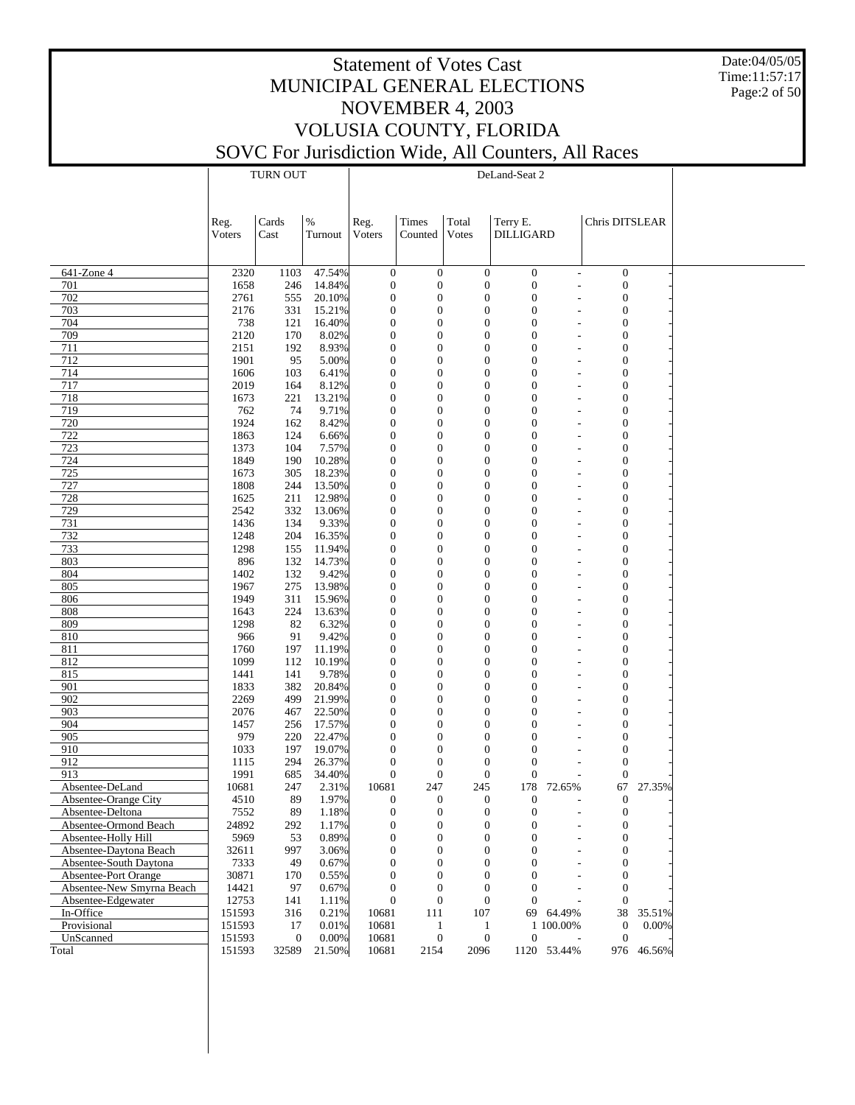Date:04/05/05 Time:11:57:17 Page:2 of 50

|                           |                | TURN OUT         |                  |                                  |                                  |                | DeLand-Seat 2                                                      |             |                                  |            |  |
|---------------------------|----------------|------------------|------------------|----------------------------------|----------------------------------|----------------|--------------------------------------------------------------------|-------------|----------------------------------|------------|--|
|                           |                |                  |                  |                                  |                                  |                |                                                                    |             |                                  |            |  |
|                           |                |                  |                  |                                  |                                  |                |                                                                    |             |                                  |            |  |
|                           |                |                  |                  |                                  |                                  |                |                                                                    |             |                                  |            |  |
|                           | Reg.<br>Voters | Cards<br>Cast    | $\%$<br>Turnout  | Reg.<br>Voters                   | Times<br>Counted                 | Total<br>Votes | Terry E.<br><b>DILLIGARD</b>                                       |             | Chris DITSLEAR                   |            |  |
|                           |                |                  |                  |                                  |                                  |                |                                                                    |             |                                  |            |  |
|                           |                |                  |                  |                                  |                                  |                |                                                                    |             |                                  |            |  |
| 641-Zone 4                | 2320           | 1103             | 47.54%           | $\boldsymbol{0}$                 | $\mathbf{0}$                     |                | $\mathbf{0}$<br>$\boldsymbol{0}$                                   |             | $\boldsymbol{0}$                 |            |  |
| 701                       | 1658           | 246              | 14.84%           | $\boldsymbol{0}$                 | $\overline{0}$                   |                | $\mathbf{0}$<br>$\boldsymbol{0}$                                   |             | $\mathbf{0}$                     |            |  |
| 702                       | 2761           | 555              | 20.10%           | $\overline{0}$                   | $\overline{0}$                   |                | $\overline{0}$<br>$\overline{0}$                                   |             | $\overline{0}$                   |            |  |
| 703                       | 2176           | 331              | 15.21%           | $\boldsymbol{0}$                 | $\overline{0}$                   |                | $\mathbf{0}$<br>$\overline{0}$                                     |             | $\mathbf{0}$                     |            |  |
| 704                       | 738            | 121              | 16.40%           | $\mathbf{0}$                     | $\overline{0}$                   |                | $\overline{0}$<br>$\overline{0}$                                   |             | $\overline{0}$<br>$\overline{a}$ |            |  |
| 709                       | 2120           | 170              | 8.02%            | $\boldsymbol{0}$                 | $\overline{0}$                   |                | $\mathbf{0}$<br>$\overline{0}$                                     |             | $\mathbf{0}$                     |            |  |
| 711                       | 2151           | 192              | 8.93%            | $\mathbf{0}$                     | $\overline{0}$                   |                | $\theta$<br>$\overline{0}$                                         |             | $\overline{0}$<br>L,             |            |  |
| 712                       | 1901           | 95               | 5.00%            | $\boldsymbol{0}$                 | $\overline{0}$                   |                | $\mathbf{0}$<br>$\mathbf{0}$                                       |             | $\mathbf{0}$                     |            |  |
| 714                       | 1606           | 103              | 6.41%            | $\mathbf{0}$                     | $\overline{0}$                   |                | $\overline{0}$<br>$\overline{0}$                                   |             | $\overline{0}$<br>L,             |            |  |
| 717                       | 2019           | 164              | 8.12%            | $\boldsymbol{0}$                 | $\overline{0}$                   |                | $\mathbf{0}$<br>$\overline{0}$                                     |             | $\mathbf{0}$                     |            |  |
| 718                       | 1673           | 221              | 13.21%           | $\mathbf{0}$                     | $\overline{0}$                   |                | $\overline{0}$<br>$\overline{0}$                                   |             | $\overline{0}$<br>L,             |            |  |
| 719                       | 762            | 74               | 9.71%            | $\boldsymbol{0}$                 | $\overline{0}$                   |                | $\mathbf{0}$<br>$\overline{0}$                                     |             | $\mathbf{0}$                     |            |  |
| 720                       | 1924           | 162              | 8.42%            | $\mathbf{0}$                     | $\overline{0}$                   |                | $\overline{0}$<br>$\overline{0}$                                   |             | $\overline{0}$<br>L,             |            |  |
| 722                       | 1863           | 124              | 6.66%            | $\boldsymbol{0}$                 | $\overline{0}$                   |                | $\mathbf{0}$<br>$\overline{0}$                                     |             | $\mathbf{0}$                     |            |  |
| 723                       | 1373           | 104              | 7.57%            | $\mathbf{0}$                     | $\overline{0}$                   |                | $\overline{0}$<br>$\overline{0}$                                   |             | $\overline{0}$<br>۰              |            |  |
| 724                       | 1849           | 190              | 10.28%           | $\boldsymbol{0}$                 | $\overline{0}$                   |                | $\overline{0}$<br>$\overline{0}$                                   |             | $\mathbf{0}$                     |            |  |
| 725                       | 1673           | 305              | 18.23%           | $\mathbf{0}$                     | $\overline{0}$<br>$\overline{0}$ |                | $\overline{0}$<br>$\overline{0}$<br>$\overline{0}$                 |             | $\overline{0}$<br>۰              |            |  |
| 727<br>728                | 1808<br>1625   | 244<br>211       | 13.50%<br>12.98% | $\boldsymbol{0}$<br>$\mathbf{0}$ | $\overline{0}$                   |                | $\mathbf{0}$<br>$\overline{0}$<br>$\overline{0}$                   |             | $\mathbf{0}$<br>$\overline{0}$   |            |  |
| 729                       | 2542           | 332              | 13.06%           | $\boldsymbol{0}$                 | $\overline{0}$                   |                | $\overline{0}$<br>$\overline{0}$                                   |             | $\mathbf{0}$                     |            |  |
| 731                       | 1436           | 134              | 9.33%            | $\overline{0}$                   | $\overline{0}$                   |                | $\overline{0}$<br>$\overline{0}$                                   |             | $\overline{0}$<br>۰              |            |  |
| 732                       | 1248           | 204              | 16.35%           | $\boldsymbol{0}$                 | $\overline{0}$                   |                | $\mathbf{0}$<br>$\overline{0}$                                     |             | $\mathbf{0}$                     |            |  |
| 733                       | 1298           | 155              | 11.94%           | $\mathbf{0}$                     | $\overline{0}$                   |                | $\theta$<br>$\overline{0}$                                         |             | $\overline{0}$                   |            |  |
| 803                       | 896            | 132              | 14.73%           | $\boldsymbol{0}$                 | $\overline{0}$                   |                | $\overline{0}$<br>$\overline{0}$                                   |             | $\mathbf{0}$                     |            |  |
| 804                       | 1402           | 132              | 9.42%            | $\overline{0}$                   | $\overline{0}$                   |                | $\overline{0}$<br>$\overline{0}$                                   |             | $\overline{0}$<br>L,             |            |  |
| 805                       | 1967           | 275              | 13.98%           | $\boldsymbol{0}$                 | $\overline{0}$                   |                | $\mathbf{0}$<br>$\overline{0}$                                     |             | $\mathbf{0}$                     |            |  |
| 806                       | 1949           | 311              | 15.96%           | $\overline{0}$                   | $\overline{0}$                   |                | $\theta$<br>$\overline{0}$                                         |             | $\overline{0}$                   |            |  |
| 808                       | 1643           | 224              | 13.63%           | $\boldsymbol{0}$                 | $\overline{0}$                   |                | $\mathbf{0}$<br>$\overline{0}$                                     |             | $\mathbf{0}$                     |            |  |
| 809                       | 1298           | 82               | 6.32%            | $\overline{0}$                   | $\overline{0}$                   |                | $\overline{0}$<br>$\overline{0}$                                   |             | $\overline{0}$<br>$\overline{a}$ |            |  |
| 810                       | 966            | 91               | 9.42%            | $\boldsymbol{0}$                 | $\overline{0}$                   |                | $\mathbf{0}$<br>$\overline{0}$                                     |             | $\mathbf{0}$                     |            |  |
| 811                       | 1760           | 197              | 11.19%           | $\overline{0}$                   | $\overline{0}$                   |                | $\overline{0}$<br>$\Omega$                                         |             | $\overline{0}$<br>L,             |            |  |
| 812                       | 1099           | 112              | 10.19%           | $\boldsymbol{0}$                 | $\overline{0}$                   |                | $\mathbf{0}$<br>$\overline{0}$                                     |             | $\mathbf{0}$                     |            |  |
| 815                       | 1441           | 141              | 9.78%            | $\overline{0}$                   | $\overline{0}$                   |                | $\overline{0}$<br>$\overline{0}$                                   |             | $\mathbf{0}$<br>$\overline{a}$   |            |  |
| 901                       | 1833           | 382              | 20.84%           | $\boldsymbol{0}$                 | $\overline{0}$                   |                | $\mathbf{0}$<br>0                                                  |             | $\mathbf{0}$                     |            |  |
| 902                       | 2269           | 499              | 21.99%           | $\overline{0}$                   | $\overline{0}$                   |                | $\overline{0}$<br>$\Omega$                                         |             | $\overline{0}$                   |            |  |
| 903                       | 2076           | 467              | 22.50%           | $\boldsymbol{0}$                 | $\overline{0}$                   |                | $\overline{0}$<br>$\overline{0}$                                   |             | $\mathbf{0}$                     |            |  |
| 904                       | 1457           | 256              | 17.57%           | $\overline{0}$                   | $\overline{0}$                   |                | $\overline{0}$<br>$\overline{0}$                                   |             | $\overline{0}$                   |            |  |
| 905<br>910                | 979<br>1033    | 220<br>197       | 22.47%<br>19.07% | $\overline{0}$<br>0              | $\overline{0}$<br>$\theta$       |                | $\overline{0}$<br>$\overline{0}$<br>$\overline{0}$<br>$\mathbf{0}$ |             | $\mathbf{0}$<br>$\overline{0}$   |            |  |
| 912                       | 1115           | 294              | 26.37%           | $\mathbf{0}$                     | $\overline{0}$                   |                | $\boldsymbol{0}$<br>$\theta$                                       |             | $\mathbf{0}$                     |            |  |
| 913                       | 1991           | 685              | 34.40%           | $\overline{0}$                   | $\overline{0}$                   |                | $\boldsymbol{0}$<br>$\overline{0}$                                 |             | $\overline{0}$                   |            |  |
| Absentee-DeLand           | 10681          | 247              | 2.31%            | 10681                            | 247                              | 245            | 178                                                                | 72.65%      | 67                               | 27.35%     |  |
| Absentee-Orange City      | 4510           | 89               | 1.97%            | $\boldsymbol{0}$                 | $\mathbf{0}$                     |                | $\mathbf{0}$<br>$\boldsymbol{0}$                                   |             | $\mathbf{0}$                     |            |  |
| Absentee-Deltona          | 7552           | 89               | 1.18%            | $\boldsymbol{0}$                 | $\overline{0}$                   |                | $\boldsymbol{0}$<br>$\overline{0}$                                 |             | $\overline{0}$                   |            |  |
| Absentee-Ormond Beach     | 24892          | 292              | 1.17%            | $\mathbf{0}$                     | 0                                |                | $\overline{0}$<br>$\mathbf{0}$                                     |             | $\Omega$                         |            |  |
| Absentee-Holly Hill       | 5969           | 53               | 0.89%            | $\mathbf{0}$                     | $\theta$                         |                | $\mathbf{0}$<br>$\mathbf{0}$                                       |             | 0                                |            |  |
| Absentee-Daytona Beach    | 32611          | 997              | 3.06%            | 0                                | $\theta$                         |                | $\Omega$<br>$\Omega$                                               |             | $\theta$                         |            |  |
| Absentee-South Daytona    | 7333           | 49               | 0.67%            | 0                                | $\theta$                         |                | $\overline{0}$<br>0                                                |             | 0                                |            |  |
| Absentee-Port Orange      | 30871          | 170              | 0.55%            | 0                                | 0                                |                | $\theta$<br>$\Omega$                                               |             | $\theta$                         |            |  |
| Absentee-New Smyrna Beach | 14421          | 97               | 0.67%            | 0                                | $\theta$                         |                | $\overline{0}$<br>$\Omega$                                         |             | $\mathbf{0}$                     |            |  |
| Absentee-Edgewater        | 12753          | 141              | 1.11%            | $\mathbf{0}$                     | $\overline{0}$                   |                | $\mathbf{0}$<br>$\overline{0}$                                     |             | $\overline{0}$                   |            |  |
| In-Office                 | 151593         | 316              | 0.21%            | 10681                            | 111                              | 107            | 69                                                                 | 64.49%      | 38                               | 35.51%     |  |
| Provisional               | 151593         | 17               | 0.01%            | 10681                            | 1                                |                | 1                                                                  | 1 100.00%   | $\mathbf{0}$                     | 0.00%      |  |
| UnScanned                 | 151593         | $\boldsymbol{0}$ | 0.00%            | 10681                            | $\boldsymbol{0}$                 |                | $\boldsymbol{0}$<br>$\boldsymbol{0}$                               |             | $\mathbf{0}$                     |            |  |
| Total                     | 151593         | 32589            | 21.50%           | 10681                            | 2154                             | 2096           |                                                                    | 1120 53.44% |                                  | 976 46.56% |  |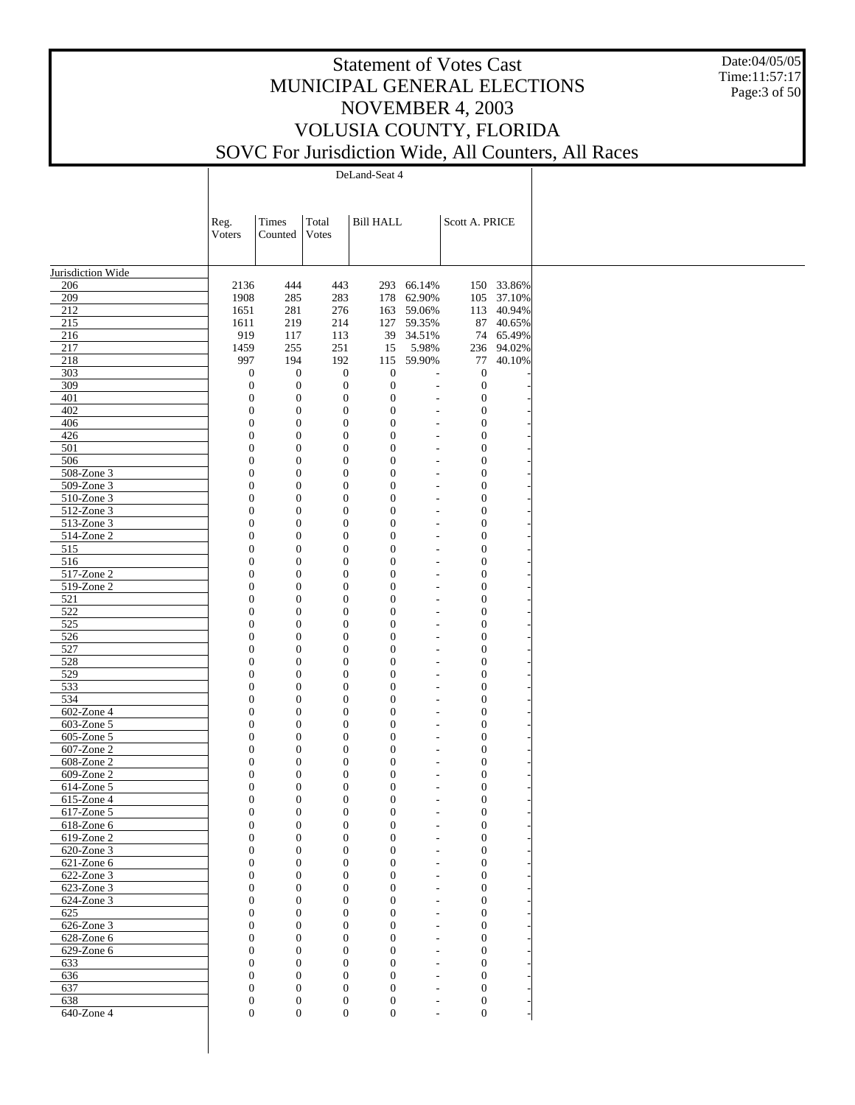Date:04/05/05 Time:11:57:17 Page:3 of 50

DeLand-Seat 4

|                          | Reg.<br>Voters                       | Times<br>Counted                     | Total<br>Votes                   | <b>Bill HALL</b>             |                                                      | Scott A. PRICE                       |            |  |
|--------------------------|--------------------------------------|--------------------------------------|----------------------------------|------------------------------|------------------------------------------------------|--------------------------------------|------------|--|
| Jurisdiction Wide        |                                      |                                      |                                  |                              |                                                      |                                      |            |  |
| 206                      | 2136                                 | 444                                  | 443                              |                              | 293 66.14%                                           |                                      | 150 33.86% |  |
| 209                      | 1908                                 | 285                                  | 283                              |                              | 178 62.90%                                           |                                      | 105 37.10% |  |
| 212                      | 1651                                 | 281                                  | 276                              |                              | 163 59.06%                                           |                                      | 113 40.94% |  |
| 215                      | 1611                                 | 219                                  | 214                              | 127                          | 59.35%                                               |                                      | 87 40.65%  |  |
| 216                      | 919                                  | 117                                  | 113                              |                              | 39 34.51%                                            |                                      | 74 65.49%  |  |
| 217                      | 1459                                 | 255                                  | 251                              | 15                           | 5.98%                                                |                                      | 236 94.02% |  |
| 218                      | 997                                  | 194                                  | 192                              |                              | 115 59.90%                                           |                                      | 77 40.10%  |  |
| 303                      | $\boldsymbol{0}$                     | $\boldsymbol{0}$                     | $\boldsymbol{0}$                 | $\mathbf{0}$                 | $\overline{a}$                                       | $\boldsymbol{0}$                     |            |  |
| 309<br>401               | $\boldsymbol{0}$<br>$\boldsymbol{0}$ | $\boldsymbol{0}$                     | $\boldsymbol{0}$                 | $\mathbf{0}$<br>$\mathbf{0}$ | $\overline{a}$                                       | $\boldsymbol{0}$                     |            |  |
| 402                      | $\boldsymbol{0}$                     | $\boldsymbol{0}$<br>$\boldsymbol{0}$ | $\boldsymbol{0}$<br>$\mathbf{0}$ | $\mathbf{0}$                 | $\overline{\phantom{a}}$<br>$\overline{a}$           | $\boldsymbol{0}$<br>$\boldsymbol{0}$ |            |  |
| 406                      | $\boldsymbol{0}$                     | $\boldsymbol{0}$                     | $\mathbf{0}$                     | $\mathbf{0}$                 | $\overline{a}$                                       | $\mathbf{0}$                         |            |  |
| 426                      | $\boldsymbol{0}$                     | $\boldsymbol{0}$                     | $\mathbf{0}$                     | $\mathbf{0}$                 | $\overline{a}$                                       | $\boldsymbol{0}$                     |            |  |
| 501                      | $\boldsymbol{0}$                     | $\boldsymbol{0}$                     | $\mathbf{0}$                     | $\mathbf{0}$                 | $\overline{a}$                                       | $\boldsymbol{0}$                     |            |  |
| 506                      | $\boldsymbol{0}$                     | $\boldsymbol{0}$                     | $\mathbf{0}$                     | $\mathbf{0}$                 | $\overline{a}$                                       | $\boldsymbol{0}$                     |            |  |
| 508-Zone 3               | $\boldsymbol{0}$                     | $\boldsymbol{0}$                     | $\boldsymbol{0}$                 | $\mathbf{0}$                 | $\overline{\phantom{a}}$                             | $\boldsymbol{0}$                     |            |  |
| 509-Zone 3               | $\boldsymbol{0}$                     | $\boldsymbol{0}$                     | $\mathbf{0}$                     | $\mathbf{0}$                 | $\overline{a}$                                       | $\boldsymbol{0}$                     |            |  |
| 510-Zone 3               | $\boldsymbol{0}$                     | $\boldsymbol{0}$                     | $\mathbf{0}$                     | $\mathbf{0}$                 | $\overline{\phantom{a}}$                             | $\boldsymbol{0}$                     |            |  |
| 512-Zone 3               | $\boldsymbol{0}$                     | $\boldsymbol{0}$                     | $\mathbf{0}$                     | $\mathbf{0}$                 | $\overline{a}$                                       | $\mathbf{0}$                         |            |  |
| 513-Zone 3               | $\boldsymbol{0}$                     | $\boldsymbol{0}$                     | $\mathbf{0}$                     | $\mathbf{0}$                 | $\overline{a}$                                       | $\mathbf{0}$                         |            |  |
| 514-Zone 2               | $\boldsymbol{0}$                     | $\boldsymbol{0}$                     | $\mathbf{0}$                     | $\mathbf{0}$                 | $\overline{a}$                                       | $\boldsymbol{0}$                     |            |  |
| 515                      | $\boldsymbol{0}$                     | $\boldsymbol{0}$                     | $\mathbf{0}$                     | $\mathbf{0}$                 | $\overline{a}$                                       | $\boldsymbol{0}$                     |            |  |
| 516                      | $\boldsymbol{0}$                     | $\boldsymbol{0}$                     | $\mathbf{0}$                     | $\mathbf{0}$                 | $\overline{a}$                                       | $\boldsymbol{0}$                     |            |  |
| 517-Zone 2               | $\boldsymbol{0}$                     | $\boldsymbol{0}$                     | $\boldsymbol{0}$                 | $\mathbf{0}$                 | $\overline{\phantom{a}}$                             | $\boldsymbol{0}$                     |            |  |
| 519-Zone 2               | $\boldsymbol{0}$                     | $\boldsymbol{0}$                     | $\mathbf{0}$                     | $\mathbf{0}$                 | $\overline{a}$                                       | $\boldsymbol{0}$                     |            |  |
| 521                      | $\boldsymbol{0}$                     | $\boldsymbol{0}$                     | $\mathbf{0}$                     | $\mathbf{0}$                 | $\overline{\phantom{a}}$                             | $\boldsymbol{0}$                     |            |  |
| 522                      | $\boldsymbol{0}$                     | $\boldsymbol{0}$                     | $\mathbf{0}$                     | $\mathbf{0}$                 | $\overline{a}$                                       | $\mathbf{0}$                         |            |  |
| 525                      | $\boldsymbol{0}$                     | $\boldsymbol{0}$                     | $\mathbf{0}$                     | $\mathbf{0}$                 | $\overline{a}$                                       | $\mathbf{0}$                         |            |  |
| 526                      | $\boldsymbol{0}$                     | $\boldsymbol{0}$                     | $\mathbf{0}$                     | $\mathbf{0}$                 | $\overline{a}$                                       | $\boldsymbol{0}$                     |            |  |
| 527                      | $\boldsymbol{0}$                     | $\boldsymbol{0}$                     | $\mathbf{0}$<br>$\mathbf{0}$     | $\mathbf{0}$                 | $\overline{a}$                                       | $\boldsymbol{0}$                     |            |  |
| 528<br>529               | $\boldsymbol{0}$<br>$\boldsymbol{0}$ | $\boldsymbol{0}$<br>$\boldsymbol{0}$ | $\boldsymbol{0}$                 | $\mathbf{0}$<br>$\mathbf{0}$ | $\overline{a}$<br>$\overline{\phantom{a}}$           | $\boldsymbol{0}$<br>$\boldsymbol{0}$ |            |  |
| 533                      | $\boldsymbol{0}$                     | $\boldsymbol{0}$                     | $\mathbf{0}$                     | $\mathbf{0}$                 | $\overline{a}$                                       | $\boldsymbol{0}$                     |            |  |
| 534                      | $\boldsymbol{0}$                     | $\boldsymbol{0}$                     | $\mathbf{0}$                     | $\mathbf{0}$                 | $\overline{\phantom{a}}$                             | $\boldsymbol{0}$                     |            |  |
| 602-Zone 4               | $\boldsymbol{0}$                     | $\boldsymbol{0}$                     | $\mathbf{0}$                     | $\mathbf{0}$                 | $\overline{a}$                                       | $\mathbf{0}$                         |            |  |
| 603-Zone 5               | $\boldsymbol{0}$                     | $\boldsymbol{0}$                     | $\mathbf{0}$                     | $\mathbf{0}$                 | $\overline{a}$                                       | $\mathbf{0}$                         |            |  |
| 605-Zone 5               | $\boldsymbol{0}$                     | $\boldsymbol{0}$                     | $\mathbf{0}$                     | $\mathbf{0}$                 | $\overline{a}$                                       | $\boldsymbol{0}$                     |            |  |
| 607-Zone 2               | $\boldsymbol{0}$                     | $\boldsymbol{0}$                     | $\mathbf{0}$                     | $\mathbf{0}$                 | $\overline{a}$                                       | $\mathbf{0}$                         |            |  |
| 608-Zone 2               | $\boldsymbol{0}$                     | $\boldsymbol{0}$                     | $\mathbf{0}$                     | $\mathbf{0}$                 | $\overline{a}$                                       | $\boldsymbol{0}$                     |            |  |
| 609-Zone 2               | $\boldsymbol{0}$                     | $\boldsymbol{0}$                     | $\mathbf{0}$                     | $\mathbf{0}$                 | L,                                                   | $\boldsymbol{0}$                     |            |  |
| 614-Zone 5               | $\boldsymbol{0}$                     | $\mathbf{0}$                         | $\mathbf{0}$                     | $\mathbf{0}$                 | $\overline{\phantom{a}}$                             | $\boldsymbol{0}$                     |            |  |
| 615-Zone 4               | $\boldsymbol{0}$                     | $\boldsymbol{0}$                     | $\mathbf{0}$                     | $\mathbf{0}$                 |                                                      | $\boldsymbol{0}$                     |            |  |
| $617$ -Zone 5            | $\boldsymbol{0}$                     | $\boldsymbol{0}$                     | $\boldsymbol{0}$                 | $\boldsymbol{0}$             | $\overline{\phantom{a}}$                             | $\boldsymbol{0}$                     |            |  |
| 618-Zone 6               | $\Omega$                             | $\mathbf{0}$                         | $\overline{0}$                   | $\Omega$                     |                                                      | $\theta$                             |            |  |
| 619-Zone 2               | $\boldsymbol{0}$                     | $\boldsymbol{0}$                     | $\mathbf{0}$                     | $\boldsymbol{0}$             |                                                      | $\boldsymbol{0}$                     |            |  |
| 620-Zone 3               | $\boldsymbol{0}$                     | $\boldsymbol{0}$                     | $\boldsymbol{0}$                 | $\boldsymbol{0}$             |                                                      | $\boldsymbol{0}$                     |            |  |
| 621-Zone 6               | $\theta$                             | $\mathbf{0}$                         | $\boldsymbol{0}$                 | $\theta$                     | $\overline{a}$                                       | $\boldsymbol{0}$                     |            |  |
| 622-Zone 3               | $\boldsymbol{0}$                     | $\mathbf{0}$                         | $\mathbf{0}$                     | $\theta$                     | $\overline{\phantom{a}}$                             | $\boldsymbol{0}$                     |            |  |
| 623-Zone 3<br>624-Zone 3 | $\mathbf{0}$<br>$\boldsymbol{0}$     | $\mathbf{0}$<br>$\mathbf{0}$         | $\boldsymbol{0}$<br>$\mathbf{0}$ | $\theta$<br>$\theta$         | $\overline{a}$                                       | $\boldsymbol{0}$<br>$\boldsymbol{0}$ |            |  |
| 625                      | $\mathbf{0}$                         | $\mathbf{0}$                         | $\boldsymbol{0}$                 | $\theta$                     | $\overline{\phantom{a}}$<br>$\overline{\phantom{a}}$ | $\boldsymbol{0}$                     |            |  |
| 626-Zone 3               | $\boldsymbol{0}$                     | $\mathbf{0}$                         | $\mathbf{0}$                     | $\theta$                     | $\overline{\phantom{a}}$                             | $\boldsymbol{0}$                     |            |  |
| $628$ -Zone $6$          | $\mathbf{0}$                         | $\mathbf{0}$                         | $\boldsymbol{0}$                 | $\theta$                     | $\overline{a}$                                       | $\boldsymbol{0}$                     |            |  |
| 629-Zone 6               | $\boldsymbol{0}$                     | $\mathbf{0}$                         | $\mathbf{0}$                     | $\theta$                     | $\overline{a}$                                       | $\boldsymbol{0}$                     |            |  |
| 633                      | $\theta$                             | $\mathbf{0}$                         | $\boldsymbol{0}$                 | $\theta$                     | $\overline{a}$                                       | $\boldsymbol{0}$                     |            |  |
| 636                      | $\boldsymbol{0}$                     | $\mathbf{0}$                         | $\mathbf{0}$                     | $\theta$                     | $\overline{\phantom{a}}$                             | $\boldsymbol{0}$                     |            |  |
| 637                      | $\mathbf{0}$                         | $\mathbf{0}$                         | $\boldsymbol{0}$                 | $\mathbf{0}$                 | $\overline{\phantom{a}}$                             | $\boldsymbol{0}$                     |            |  |
| 638                      | $\boldsymbol{0}$                     | $\boldsymbol{0}$                     | $\boldsymbol{0}$                 | $\boldsymbol{0}$             | $\overline{\phantom{a}}$                             | $\boldsymbol{0}$                     |            |  |
| $640$ -Zone 4            | $\boldsymbol{0}$                     | $\mathbf{0}$                         | $\boldsymbol{0}$                 | $\boldsymbol{0}$             | $\overline{\phantom{a}}$                             | $\boldsymbol{0}$                     |            |  |
|                          |                                      |                                      |                                  |                              |                                                      |                                      |            |  |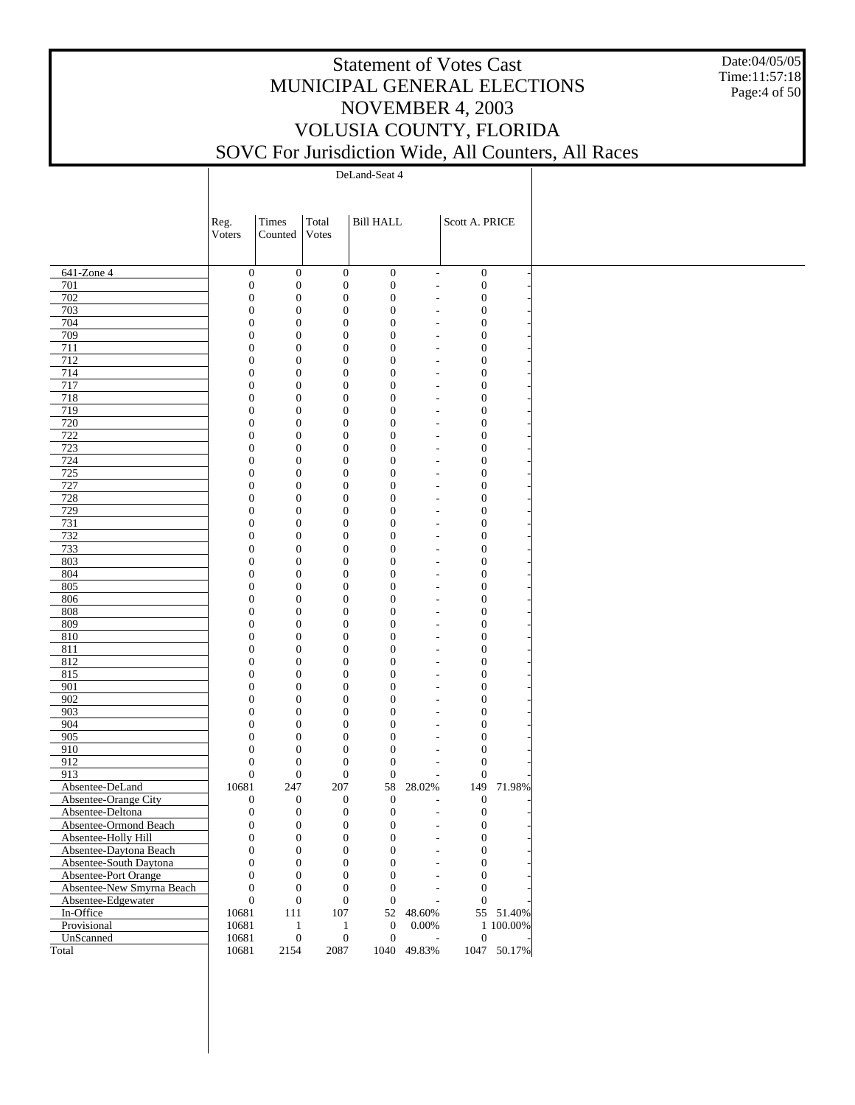Date:04/05/05 Time:11:57:18 Page:4 of 50

DeLand-Seat 4

|                                                   | Reg.                                 | Times                                | Total                        | <b>Bill HALL</b>                   |                          | Scott A. PRICE                       |             |
|---------------------------------------------------|--------------------------------------|--------------------------------------|------------------------------|------------------------------------|--------------------------|--------------------------------------|-------------|
|                                                   | Voters                               | Counted                              | Votes                        |                                    |                          |                                      |             |
|                                                   |                                      |                                      |                              |                                    |                          |                                      |             |
| 641-Zone 4                                        | $\boldsymbol{0}$                     | $\boldsymbol{0}$                     | $\boldsymbol{0}$             | $\boldsymbol{0}$                   | $\overline{\phantom{a}}$ | $\boldsymbol{0}$                     |             |
| 701                                               | $\boldsymbol{0}$                     | $\boldsymbol{0}$                     | $\boldsymbol{0}$             | $\boldsymbol{0}$                   | $\overline{\phantom{a}}$ | $\boldsymbol{0}$                     |             |
| 702                                               | $\boldsymbol{0}$                     | $\boldsymbol{0}$                     | $\mathbf{0}$                 | $\boldsymbol{0}$                   |                          | $\boldsymbol{0}$                     |             |
| 703<br>704                                        | $\boldsymbol{0}$<br>$\boldsymbol{0}$ | $\boldsymbol{0}$<br>$\boldsymbol{0}$ | $\mathbf{0}$<br>$\mathbf{0}$ | $\boldsymbol{0}$<br>$\mathbf{0}$   |                          | $\boldsymbol{0}$<br>$\boldsymbol{0}$ |             |
| 709                                               | $\boldsymbol{0}$                     | $\mathbf{0}$                         | $\mathbf{0}$                 | $\boldsymbol{0}$                   |                          | $\boldsymbol{0}$                     |             |
| 711                                               | $\boldsymbol{0}$                     | $\boldsymbol{0}$                     | $\mathbf{0}$                 | $\overline{0}$                     |                          | $\boldsymbol{0}$                     |             |
| 712                                               | $\boldsymbol{0}$                     | $\mathbf{0}$                         | $\mathbf{0}$                 | $\mathbf{0}$                       |                          | $\boldsymbol{0}$                     |             |
| 714                                               | $\boldsymbol{0}$                     | $\boldsymbol{0}$                     | $\mathbf{0}$                 | $\overline{0}$                     |                          | $\boldsymbol{0}$                     |             |
| 717                                               | $\boldsymbol{0}$                     | $\mathbf{0}$                         | $\mathbf{0}$                 | $\mathbf{0}$                       |                          | $\boldsymbol{0}$                     |             |
| 718                                               | $\boldsymbol{0}$                     | $\boldsymbol{0}$                     | $\mathbf{0}$                 | $\mathbf{0}$                       |                          | $\boldsymbol{0}$                     |             |
| 719                                               | $\boldsymbol{0}$                     | $\mathbf{0}$                         | $\mathbf{0}$                 | $\boldsymbol{0}$                   |                          | $\boldsymbol{0}$                     |             |
| 720                                               | $\boldsymbol{0}$                     | $\boldsymbol{0}$                     | $\mathbf{0}$                 | $\mathbf{0}$                       |                          | $\boldsymbol{0}$                     |             |
| 722                                               | $\boldsymbol{0}$                     | $\mathbf{0}$                         | $\mathbf{0}$                 | $\boldsymbol{0}$                   |                          | $\boldsymbol{0}$                     |             |
| 723                                               | $\boldsymbol{0}$                     | $\boldsymbol{0}$                     | $\mathbf{0}$                 | $\mathbf{0}$                       |                          | $\boldsymbol{0}$                     |             |
| 724                                               | $\boldsymbol{0}$                     | $\boldsymbol{0}$                     | $\mathbf{0}$                 | $\boldsymbol{0}$                   |                          | $\boldsymbol{0}$                     |             |
| 725<br>727                                        | $\boldsymbol{0}$<br>$\boldsymbol{0}$ | $\boldsymbol{0}$<br>$\mathbf{0}$     | $\mathbf{0}$<br>$\mathbf{0}$ | $\mathbf{0}$<br>$\boldsymbol{0}$   |                          | $\boldsymbol{0}$<br>$\boldsymbol{0}$ |             |
| 728                                               | $\boldsymbol{0}$                     | $\boldsymbol{0}$                     | $\mathbf{0}$                 | $\overline{0}$                     |                          | $\boldsymbol{0}$                     |             |
| 729                                               | $\boldsymbol{0}$                     | $\mathbf{0}$                         | $\mathbf{0}$                 | $\mathbf{0}$                       |                          | $\boldsymbol{0}$                     |             |
| 731                                               | $\boldsymbol{0}$                     | $\boldsymbol{0}$                     | $\mathbf{0}$                 | $\overline{0}$                     |                          | $\boldsymbol{0}$                     |             |
| 732                                               | $\boldsymbol{0}$                     | $\mathbf{0}$                         | $\mathbf{0}$                 | $\mathbf{0}$                       |                          | $\boldsymbol{0}$                     |             |
| 733                                               | $\boldsymbol{0}$                     | $\boldsymbol{0}$                     | $\mathbf{0}$                 | $\overline{0}$                     |                          | $\boldsymbol{0}$                     |             |
| 803                                               | $\boldsymbol{0}$                     | $\mathbf{0}$                         | $\mathbf{0}$                 | $\boldsymbol{0}$                   |                          | $\boldsymbol{0}$                     |             |
| 804                                               | $\boldsymbol{0}$                     | $\boldsymbol{0}$                     | $\mathbf{0}$                 | $\mathbf{0}$                       |                          | $\boldsymbol{0}$                     |             |
| 805                                               | $\boldsymbol{0}$                     | $\mathbf{0}$                         | $\mathbf{0}$                 | $\boldsymbol{0}$                   |                          | $\boldsymbol{0}$                     |             |
| 806                                               | $\boldsymbol{0}$                     | $\boldsymbol{0}$                     | $\mathbf{0}$                 | $\mathbf{0}$                       |                          | $\boldsymbol{0}$                     |             |
| 808                                               | $\boldsymbol{0}$                     | $\boldsymbol{0}$                     | $\mathbf{0}$                 | $\boldsymbol{0}$                   |                          | $\boldsymbol{0}$                     |             |
| 809                                               | $\boldsymbol{0}$                     | $\boldsymbol{0}$                     | $\mathbf{0}$                 | $\mathbf{0}$                       |                          | $\boldsymbol{0}$                     |             |
| 810                                               | $\boldsymbol{0}$                     | $\mathbf{0}$                         | $\mathbf{0}$                 | $\boldsymbol{0}$                   |                          | $\boldsymbol{0}$                     |             |
| 811                                               | $\boldsymbol{0}$                     | $\boldsymbol{0}$<br>$\mathbf{0}$     | $\mathbf{0}$<br>$\mathbf{0}$ | $\overline{0}$<br>$\mathbf{0}$     |                          | $\boldsymbol{0}$                     |             |
| 812<br>815                                        | $\boldsymbol{0}$<br>$\boldsymbol{0}$ | $\boldsymbol{0}$                     | $\mathbf{0}$                 | $\overline{0}$                     |                          | $\boldsymbol{0}$<br>$\boldsymbol{0}$ |             |
| 901                                               | $\boldsymbol{0}$                     | $\mathbf{0}$                         | $\mathbf{0}$                 | $\mathbf{0}$                       |                          | $\boldsymbol{0}$                     |             |
| 902                                               | $\boldsymbol{0}$                     | $\boldsymbol{0}$                     | $\mathbf{0}$                 | $\overline{0}$                     |                          | $\boldsymbol{0}$                     |             |
| 903                                               | $\boldsymbol{0}$                     | $\mathbf{0}$                         | $\mathbf{0}$                 | $\overline{0}$                     |                          | $\boldsymbol{0}$                     |             |
| 904                                               | $\boldsymbol{0}$                     | $\boldsymbol{0}$                     | $\mathbf{0}$                 | $\mathbf{0}$                       |                          | $\boldsymbol{0}$                     |             |
| 905                                               | $\mathbf{0}$                         | $\mathbf{0}$                         | $\mathbf{0}$                 | $\boldsymbol{0}$                   |                          | $\boldsymbol{0}$                     |             |
| 910                                               | $\boldsymbol{0}$                     | $\boldsymbol{0}$                     | $\mathbf{0}$                 | $\overline{0}$                     |                          | $\boldsymbol{0}$                     |             |
| 912                                               | $\boldsymbol{0}$                     | $\boldsymbol{0}$                     | $\boldsymbol{0}$             | $\boldsymbol{0}$                   |                          | $\boldsymbol{0}$                     |             |
| 913                                               | $\boldsymbol{0}$                     | $\boldsymbol{0}$                     | $\boldsymbol{0}$             | $\boldsymbol{0}$                   |                          | $\mathbf{0}$                         |             |
| Absentee-DeLand                                   | 10681                                | 247                                  | 207                          | 58                                 | 28.02%                   |                                      | 149 71.98%  |
| Absentee-Orange City                              | $\boldsymbol{0}$                     | $\boldsymbol{0}$                     | $\mathbf{0}$                 | $\mathbf{0}$                       |                          | $\boldsymbol{0}$                     |             |
| Absentee-Deltona                                  | $\boldsymbol{0}$                     | $\boldsymbol{0}$                     | $\boldsymbol{0}$             | $\mathbf{0}$                       | $\overline{\phantom{a}}$ | $\boldsymbol{0}$                     |             |
| Absentee-Ormond Beach                             | $\Omega$                             | $\mathbf{0}$                         | $\theta$                     | $\Omega$                           |                          | $\boldsymbol{0}$                     |             |
| Absentee-Holly Hill                               | $\boldsymbol{0}$                     | $\boldsymbol{0}$                     | $\boldsymbol{0}$             | $\boldsymbol{0}$                   |                          | $\boldsymbol{0}$                     |             |
| Absentee-Daytona Beach                            | $\boldsymbol{0}$                     | $\boldsymbol{0}$                     | $\boldsymbol{0}$             | 0                                  |                          | $\boldsymbol{0}$                     |             |
| Absentee-South Daytona                            | $\overline{0}$<br>$\overline{0}$     | $\boldsymbol{0}$                     | $\mathbf{0}$<br>$\mathbf{0}$ | $\overline{0}$                     |                          | $\boldsymbol{0}$                     |             |
| Absentee-Port Orange<br>Absentee-New Smyrna Beach | $\boldsymbol{0}$                     | $\boldsymbol{0}$<br>$\boldsymbol{0}$ | $\mathbf{0}$                 | $\overline{0}$<br>$\boldsymbol{0}$ |                          | $\boldsymbol{0}$<br>0                |             |
| Absentee-Edgewater                                | $\boldsymbol{0}$                     | $\boldsymbol{0}$                     | $\boldsymbol{0}$             | $\mathbf{0}$                       |                          | $\boldsymbol{0}$                     |             |
| In-Office                                         | 10681                                | 111                                  | 107                          |                                    | 52 48.60%                |                                      | 55 51.40%   |
| Provisional                                       | 10681                                | $\mathbf{1}$                         | $\mathbf{1}$                 | $\boldsymbol{0}$                   | $0.00\%$                 |                                      | 1 100.00%   |
| UnScanned                                         | 10681                                | $\boldsymbol{0}$                     | $\boldsymbol{0}$             | $\boldsymbol{0}$                   |                          | $\boldsymbol{0}$                     |             |
| Total                                             | 10681                                | 2154                                 | 2087                         |                                    | 1040 49.83%              |                                      | 1047 50.17% |
|                                                   |                                      |                                      |                              |                                    |                          |                                      |             |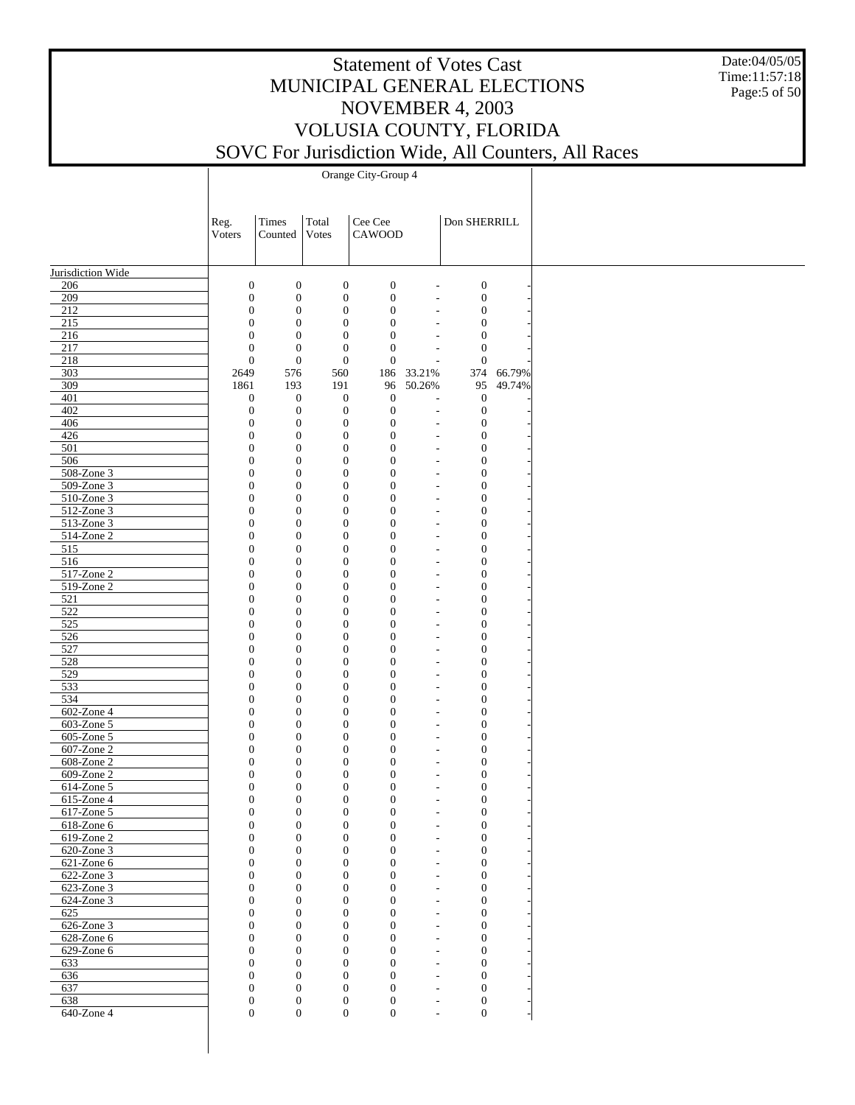Date:04/05/05 Time:11:57:18 Page:5 of 50

|                          | Reg.<br>Voters                       | Times<br>Counted                     | Total<br>Votes                       | Cee Cee<br>CAWOOD                    |                                                          | Don SHERRILL                     |        |
|--------------------------|--------------------------------------|--------------------------------------|--------------------------------------|--------------------------------------|----------------------------------------------------------|----------------------------------|--------|
|                          |                                      |                                      |                                      |                                      |                                                          |                                  |        |
| Jurisdiction Wide<br>206 | $\boldsymbol{0}$                     | $\boldsymbol{0}$                     | $\boldsymbol{0}$                     | $\boldsymbol{0}$                     | L,                                                       | $\boldsymbol{0}$                 |        |
| 209                      | $\boldsymbol{0}$                     | $\boldsymbol{0}$                     | $\boldsymbol{0}$                     | $\mathbf{0}$                         | L,                                                       | $\boldsymbol{0}$                 |        |
| 212                      | $\boldsymbol{0}$                     | $\boldsymbol{0}$                     | $\boldsymbol{0}$                     | $\boldsymbol{0}$                     | L,                                                       | $\boldsymbol{0}$                 |        |
| 215                      | $\boldsymbol{0}$                     | $\boldsymbol{0}$                     | $\boldsymbol{0}$                     | $\mathbf{0}$                         | L,                                                       | $\mathbf{0}$                     |        |
| 216                      | $\boldsymbol{0}$                     | $\boldsymbol{0}$                     | $\boldsymbol{0}$                     | $\mathbf{0}$                         |                                                          | $\mathbf{0}$                     |        |
| 217                      | $\boldsymbol{0}$                     | $\boldsymbol{0}$                     | $\mathbf{0}$                         | $\mathbf{0}$                         | L,                                                       | $\mathbf{0}$                     |        |
| 218                      | $\mathbf{0}$                         | $\boldsymbol{0}$                     | $\boldsymbol{0}$                     | $\boldsymbol{0}$                     | Ĭ.                                                       | $\mathbf{0}$                     |        |
| 303                      | 2649                                 | 576                                  | 560                                  | 186                                  | 33.21%                                                   | 374                              | 66.79% |
| 309                      | 1861                                 | 193                                  | 191                                  | 96                                   | 50.26%                                                   | 95                               | 49.74% |
| 401                      | $\mathbf{0}$                         | $\boldsymbol{0}$                     | $\boldsymbol{0}$                     | $\mathbf{0}$                         | ÷,                                                       | $\mathbf{0}$                     |        |
| 402                      | $\boldsymbol{0}$                     | $\boldsymbol{0}$                     | $\boldsymbol{0}$                     | $\boldsymbol{0}$                     | L,                                                       | $\boldsymbol{0}$                 |        |
| 406                      | $\boldsymbol{0}$                     | $\boldsymbol{0}$                     | $\boldsymbol{0}$                     | $\boldsymbol{0}$                     | $\overline{a}$                                           | $\mathbf{0}$                     |        |
| 426<br>501               | $\boldsymbol{0}$<br>$\boldsymbol{0}$ | $\boldsymbol{0}$                     | $\boldsymbol{0}$<br>$\boldsymbol{0}$ | $\boldsymbol{0}$<br>$\boldsymbol{0}$ | $\overline{\phantom{a}}$                                 | $\boldsymbol{0}$<br>$\mathbf{0}$ |        |
| 506                      | $\boldsymbol{0}$                     | $\boldsymbol{0}$<br>$\boldsymbol{0}$ | $\boldsymbol{0}$                     | $\boldsymbol{0}$                     | $\overline{\phantom{a}}$<br>$\qquad \qquad \blacksquare$ | $\mathbf{0}$                     |        |
| 508-Zone 3               | $\boldsymbol{0}$                     | $\boldsymbol{0}$                     | $\boldsymbol{0}$                     | $\boldsymbol{0}$                     | $\overline{\phantom{a}}$                                 | $\mathbf{0}$                     |        |
| 509-Zone 3               | $\boldsymbol{0}$                     | $\boldsymbol{0}$                     | $\boldsymbol{0}$                     | $\boldsymbol{0}$                     | $\overline{a}$                                           | $\boldsymbol{0}$                 |        |
| 510-Zone 3               | $\boldsymbol{0}$                     | $\boldsymbol{0}$                     | $\boldsymbol{0}$                     | $\boldsymbol{0}$                     | $\overline{\phantom{a}}$                                 | $\mathbf{0}$                     |        |
| 512-Zone 3               | $\boldsymbol{0}$                     | $\boldsymbol{0}$                     | $\boldsymbol{0}$                     | $\boldsymbol{0}$                     | $\overline{\phantom{a}}$                                 | $\mathbf{0}$                     |        |
| 513-Zone 3               | $\boldsymbol{0}$                     | $\boldsymbol{0}$                     | $\boldsymbol{0}$                     | $\boldsymbol{0}$                     | $\overline{\phantom{a}}$                                 | $\mathbf{0}$                     |        |
| 514-Zone 2               | $\boldsymbol{0}$                     | $\boldsymbol{0}$                     | $\boldsymbol{0}$                     | $\boldsymbol{0}$                     | $\overline{\phantom{a}}$                                 | $\boldsymbol{0}$                 |        |
| 515                      | $\boldsymbol{0}$                     | $\boldsymbol{0}$                     | $\boldsymbol{0}$                     | $\boldsymbol{0}$                     | $\overline{a}$                                           | $\mathbf{0}$                     |        |
| 516                      | $\boldsymbol{0}$                     | $\boldsymbol{0}$                     | $\boldsymbol{0}$                     | $\boldsymbol{0}$                     | $\qquad \qquad \blacksquare$                             | $\mathbf{0}$                     |        |
| 517-Zone 2               | $\boldsymbol{0}$                     | $\boldsymbol{0}$                     | $\boldsymbol{0}$                     | $\boldsymbol{0}$                     | $\overline{\phantom{a}}$                                 | $\mathbf{0}$                     |        |
| 519-Zone 2               | $\boldsymbol{0}$                     | $\boldsymbol{0}$                     | $\boldsymbol{0}$                     | $\boldsymbol{0}$                     | $\qquad \qquad \blacksquare$                             | $\boldsymbol{0}$                 |        |
| 521                      | $\boldsymbol{0}$                     | $\boldsymbol{0}$                     | $\boldsymbol{0}$                     | $\boldsymbol{0}$                     | $\overline{\phantom{a}}$                                 | $\mathbf{0}$                     |        |
| 522                      | $\boldsymbol{0}$                     | $\boldsymbol{0}$                     | $\boldsymbol{0}$                     | $\boldsymbol{0}$                     | $\overline{a}$                                           | $\boldsymbol{0}$                 |        |
| 525                      | $\boldsymbol{0}$                     | $\boldsymbol{0}$                     | $\boldsymbol{0}$                     | $\boldsymbol{0}$                     | $\overline{\phantom{a}}$                                 | $\mathbf{0}$                     |        |
| 526                      | $\boldsymbol{0}$                     | $\boldsymbol{0}$                     | $\boldsymbol{0}$                     | $\boldsymbol{0}$                     | $\overline{\phantom{a}}$                                 | $\boldsymbol{0}$                 |        |
| 527                      | $\boldsymbol{0}$                     | $\boldsymbol{0}$                     | $\boldsymbol{0}$                     | $\boldsymbol{0}$                     | $\overline{\phantom{a}}$                                 | $\mathbf{0}$                     |        |
| 528                      | $\boldsymbol{0}$                     | $\boldsymbol{0}$                     | $\boldsymbol{0}$                     | $\boldsymbol{0}$                     | L,                                                       | $\mathbf{0}$                     |        |
| 529                      | $\boldsymbol{0}$                     | $\boldsymbol{0}$                     | $\boldsymbol{0}$                     | $\boldsymbol{0}$                     | $\overline{a}$                                           | $\mathbf{0}$                     |        |
| 533                      | $\boldsymbol{0}$                     | $\boldsymbol{0}$                     | $\boldsymbol{0}$                     | $\boldsymbol{0}$                     | $\qquad \qquad \blacksquare$                             | $\boldsymbol{0}$                 |        |
| 534                      | $\boldsymbol{0}$                     | $\boldsymbol{0}$                     | $\boldsymbol{0}$                     | $\boldsymbol{0}$                     | $\overline{\phantom{a}}$                                 | $\mathbf{0}$                     |        |
| 602-Zone 4               | $\boldsymbol{0}$                     | $\boldsymbol{0}$                     | $\boldsymbol{0}$                     | $\boldsymbol{0}$                     | $\qquad \qquad \blacksquare$                             | $\boldsymbol{0}$                 |        |
| 603-Zone 5<br>605-Zone 5 | $\boldsymbol{0}$<br>$\boldsymbol{0}$ | $\boldsymbol{0}$<br>$\boldsymbol{0}$ | $\boldsymbol{0}$<br>$\boldsymbol{0}$ | $\boldsymbol{0}$<br>$\boldsymbol{0}$ | $\overline{\phantom{a}}$                                 | $\mathbf{0}$<br>$\boldsymbol{0}$ |        |
| 607-Zone 2               | $\boldsymbol{0}$                     | $\boldsymbol{0}$                     | $\boldsymbol{0}$                     | $\boldsymbol{0}$                     | $\overline{a}$<br>$\overline{\phantom{a}}$               | $\mathbf{0}$                     |        |
| 608-Zone 2               | $\boldsymbol{0}$                     | $\boldsymbol{0}$                     | $\boldsymbol{0}$                     | $\boldsymbol{0}$                     | L,                                                       | $\boldsymbol{0}$                 |        |
| 609-Zone 2               | $\boldsymbol{0}$                     | $\boldsymbol{0}$                     | $\boldsymbol{0}$                     | $\mathbf{0}$                         | $\overline{\phantom{a}}$                                 | $\boldsymbol{0}$                 |        |
| 614-Zone 5               | $\boldsymbol{0}$                     | $\boldsymbol{0}$                     | $\boldsymbol{0}$                     | $\boldsymbol{0}$                     | L,                                                       | $\boldsymbol{0}$                 |        |
| 615-Zone 4               | $\boldsymbol{0}$                     | $\boldsymbol{0}$                     | $\boldsymbol{0}$                     | $\boldsymbol{0}$                     | ÷,                                                       | $\mathbf{0}$                     |        |
| 617-Zone 5               | $\mathbf{0}$                         | $\mathbf{0}$                         | $\overline{0}$                       | $\theta$                             | $\overline{\phantom{a}}$                                 | $\theta$                         |        |
| 618-Zone 6               | $\mathbf{0}$                         | $\boldsymbol{0}$                     | $\boldsymbol{0}$                     | $\mathbf{0}$                         | $\overline{a}$                                           | $\overline{0}$                   |        |
| 619-Zone 2               | $\boldsymbol{0}$                     | $\boldsymbol{0}$                     | $\boldsymbol{0}$                     | $\mathbf{0}$                         |                                                          | $\boldsymbol{0}$                 |        |
| 620-Zone 3               | $\mathbf{0}$                         | $\mathbf{0}$                         | $\boldsymbol{0}$                     | $\mathbf{0}$                         |                                                          | $\mathbf{0}$                     |        |
| 621-Zone 6               | $\mathbf{0}$                         | $\boldsymbol{0}$                     | $\boldsymbol{0}$                     | $\mathbf{0}$                         | $\overline{a}$                                           | $\mathbf{0}$                     |        |
| 622-Zone 3               | $\mathbf{0}$                         | $\mathbf{0}$                         | $\boldsymbol{0}$                     | $\mathbf{0}$                         | $\overline{\phantom{a}}$                                 | $\mathbf{0}$                     |        |
| $623$ -Zone 3            | $\mathbf{0}$                         | $\mathbf{0}$                         | $\boldsymbol{0}$                     | $\mathbf{0}$                         | $\overline{a}$                                           | $\mathbf{0}$                     |        |
| 624-Zone 3               | $\mathbf{0}$                         | $\mathbf{0}$                         | $\boldsymbol{0}$                     | $\overline{0}$                       | $\overline{\phantom{a}}$                                 | $\mathbf{0}$                     |        |
| 625                      | $\mathbf{0}$                         | $\mathbf{0}$                         | $\boldsymbol{0}$                     | $\mathbf{0}$                         | $\overline{a}$                                           | $\mathbf{0}$                     |        |
| 626-Zone 3               | $\mathbf{0}$                         | $\mathbf{0}$                         | $\boldsymbol{0}$                     | $\overline{0}$                       | $\overline{\phantom{a}}$                                 | $\mathbf{0}$                     |        |
| 628-Zone 6               | $\mathbf{0}$                         | $\mathbf{0}$                         | $\boldsymbol{0}$                     | $\mathbf{0}$                         | $\overline{a}$                                           | $\mathbf{0}$                     |        |
| 629-Zone 6               | $\mathbf{0}$                         | $\mathbf{0}$                         | $\boldsymbol{0}$                     | $\overline{0}$                       | L,                                                       | $\mathbf{0}$                     |        |
| 633                      | $\mathbf{0}$                         | $\mathbf{0}$                         | $\boldsymbol{0}$                     | $\mathbf{0}$                         | $\overline{a}$                                           | $\mathbf{0}$                     |        |
| 636                      | $\mathbf{0}$                         | $\mathbf{0}$                         | $\boldsymbol{0}$                     | $\theta$                             | $\overline{\phantom{a}}$                                 | $\mathbf{0}$                     |        |
| 637                      | $\mathbf{0}$                         | $\mathbf{0}$                         | $\boldsymbol{0}$                     | $\mathbf{0}$                         | $\overline{a}$                                           | $\mathbf{0}$                     |        |
| 638                      | $\boldsymbol{0}$                     | $\boldsymbol{0}$                     | $\boldsymbol{0}$<br>$\overline{0}$   | $\mathbf{0}$                         | $\overline{\phantom{a}}$                                 | $\boldsymbol{0}$                 |        |
| 640-Zone 4               | $\boldsymbol{0}$                     | $\boldsymbol{0}$                     |                                      | $\mathbf{0}$                         | $\overline{a}$                                           | $\overline{0}$                   |        |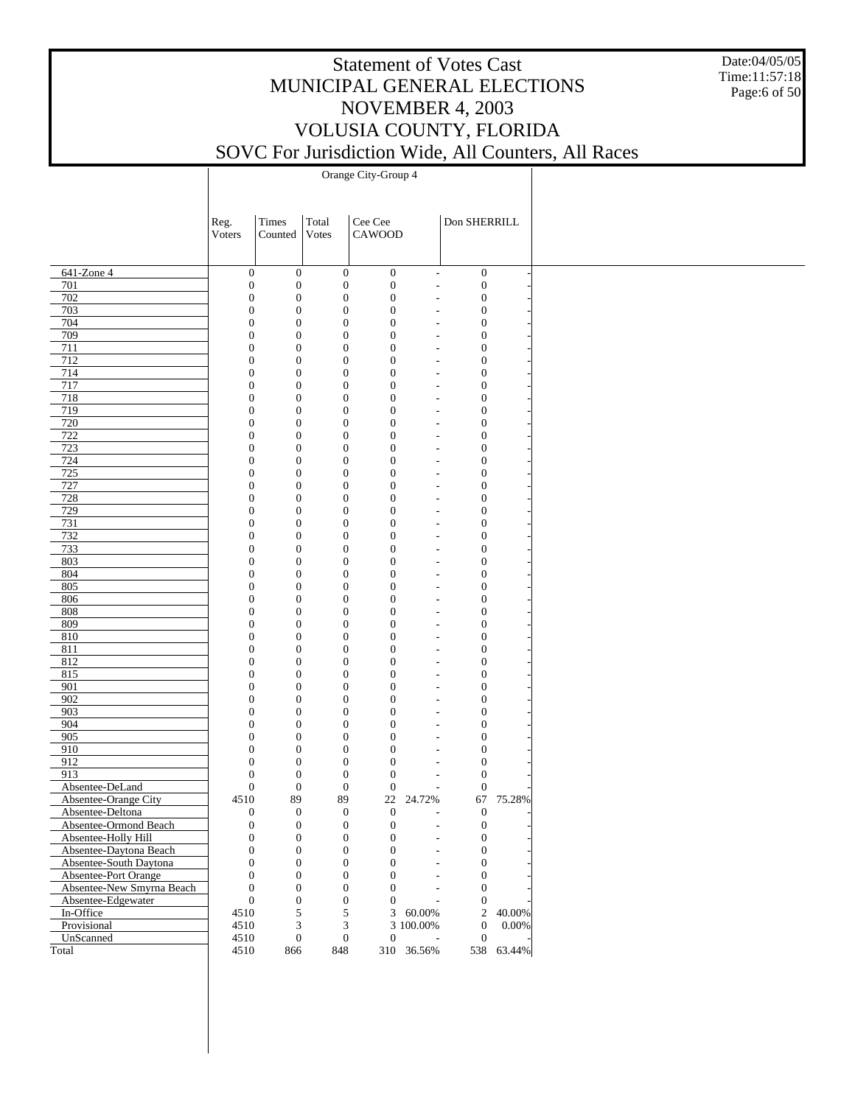#### Date:04/05/05 Time:11:57:18 Page:6 of 50

# Statement of Votes Cast MUNICIPAL GENERAL ELECTIONS NOVEMBER 4, 2003 VOLUSIA COUNTY, FLORIDA SOVC For Jurisdiction Wide, All Counters, All Races

|                           | Reg.                                 | Times                                | Total                        | Cee Cee                      |                          | Don SHERRILL                         |            |
|---------------------------|--------------------------------------|--------------------------------------|------------------------------|------------------------------|--------------------------|--------------------------------------|------------|
|                           | Voters                               | Counted                              | <b>Votes</b>                 | CAWOOD                       |                          |                                      |            |
|                           |                                      |                                      |                              |                              |                          |                                      |            |
| 641-Zone 4                | $\boldsymbol{0}$                     | $\boldsymbol{0}$                     | $\boldsymbol{0}$             | $\boldsymbol{0}$             | $\overline{\phantom{a}}$ | $\boldsymbol{0}$                     |            |
| 701                       | $\mathbf{0}$                         | $\boldsymbol{0}$                     | $\boldsymbol{0}$             | $\boldsymbol{0}$             | $\overline{\phantom{a}}$ | $\mathbf{0}$                         |            |
| 702                       | $\boldsymbol{0}$                     | $\boldsymbol{0}$                     | $\boldsymbol{0}$             | $\mathbf{0}$                 |                          | $\boldsymbol{0}$                     |            |
| 703                       | $\boldsymbol{0}$                     | $\boldsymbol{0}$                     | $\mathbf{0}$                 | $\mathbf{0}$                 | $\overline{\phantom{a}}$ | $\boldsymbol{0}$                     |            |
| 704                       | $\boldsymbol{0}$                     | $\boldsymbol{0}$                     | $\mathbf{0}$                 | $\mathbf{0}$                 |                          | $\boldsymbol{0}$                     |            |
| 709                       | $\boldsymbol{0}$                     | $\boldsymbol{0}$                     | $\boldsymbol{0}$             | $\mathbf{0}$                 | ٠                        | $\boldsymbol{0}$                     |            |
| 711                       | $\boldsymbol{0}$                     | $\boldsymbol{0}$                     | $\mathbf{0}$                 | $\mathbf{0}$                 |                          | $\boldsymbol{0}$                     |            |
| 712                       | $\boldsymbol{0}$                     | $\boldsymbol{0}$                     | $\mathbf{0}$                 | $\mathbf{0}$                 | $\overline{\phantom{0}}$ | $\boldsymbol{0}$                     |            |
| 714                       | $\boldsymbol{0}$                     | $\boldsymbol{0}$                     | $\mathbf{0}$                 | $\mathbf{0}$                 |                          | $\boldsymbol{0}$                     |            |
| 717                       | $\boldsymbol{0}$                     | $\boldsymbol{0}$                     | $\mathbf{0}$                 | $\mathbf{0}$                 | $\overline{\phantom{0}}$ | $\mathbf{0}$                         |            |
| 718                       | $\boldsymbol{0}$                     | $\boldsymbol{0}$                     | $\mathbf{0}$                 | $\mathbf{0}$                 |                          | $\boldsymbol{0}$                     |            |
| 719                       | $\boldsymbol{0}$                     | $\boldsymbol{0}$                     | $\mathbf{0}$                 | $\mathbf{0}$                 | $\overline{\phantom{0}}$ | $\boldsymbol{0}$                     |            |
| 720                       | $\boldsymbol{0}$                     | $\boldsymbol{0}$                     | $\mathbf{0}$                 | $\mathbf{0}$                 |                          | $\boldsymbol{0}$                     |            |
| 722                       | $\boldsymbol{0}$                     | $\boldsymbol{0}$                     | $\boldsymbol{0}$             | $\mathbf{0}$                 | $\overline{\phantom{a}}$ | $\boldsymbol{0}$                     |            |
| 723                       | $\boldsymbol{0}$                     | $\boldsymbol{0}$                     | $\mathbf{0}$                 | $\mathbf{0}$                 |                          | $\boldsymbol{0}$                     |            |
| 724                       | $\boldsymbol{0}$                     | $\boldsymbol{0}$                     | $\mathbf{0}$                 | $\mathbf{0}$                 | $\overline{\phantom{0}}$ | $\boldsymbol{0}$                     |            |
| 725                       | $\boldsymbol{0}$                     | $\boldsymbol{0}$                     | $\mathbf{0}$                 | $\mathbf{0}$                 |                          | $\boldsymbol{0}$                     |            |
| 727                       | $\boldsymbol{0}$                     | $\boldsymbol{0}$                     | $\boldsymbol{0}$             | $\mathbf{0}$                 | $\overline{\phantom{a}}$ | $\boldsymbol{0}$                     |            |
| 728<br>729                | $\boldsymbol{0}$<br>$\boldsymbol{0}$ | $\boldsymbol{0}$<br>$\boldsymbol{0}$ | $\mathbf{0}$<br>$\mathbf{0}$ | $\mathbf{0}$<br>$\mathbf{0}$ |                          | $\boldsymbol{0}$<br>$\boldsymbol{0}$ |            |
| 731                       | $\boldsymbol{0}$                     | $\boldsymbol{0}$                     | $\mathbf{0}$                 | $\mathbf{0}$                 | $\overline{\phantom{a}}$ | $\boldsymbol{0}$                     |            |
| 732                       | $\boldsymbol{0}$                     | $\boldsymbol{0}$                     | $\mathbf{0}$                 | $\mathbf{0}$                 | $\overline{\phantom{a}}$ | $\boldsymbol{0}$                     |            |
| 733                       | $\boldsymbol{0}$                     | $\boldsymbol{0}$                     | $\mathbf{0}$                 | $\mathbf{0}$                 |                          | $\boldsymbol{0}$                     |            |
| 803                       | $\boldsymbol{0}$                     | $\boldsymbol{0}$                     | $\mathbf{0}$                 | $\mathbf{0}$                 | $\overline{\phantom{0}}$ | $\boldsymbol{0}$                     |            |
| 804                       | $\boldsymbol{0}$                     | $\boldsymbol{0}$                     | $\mathbf{0}$                 | $\mathbf{0}$                 |                          | $\boldsymbol{0}$                     |            |
| 805                       | $\boldsymbol{0}$                     | $\boldsymbol{0}$                     | $\mathbf{0}$                 | $\mathbf{0}$                 | $\overline{\phantom{0}}$ | $\mathbf{0}$                         |            |
| 806                       | $\boldsymbol{0}$                     | $\boldsymbol{0}$                     | $\mathbf{0}$                 | $\mathbf{0}$                 |                          | $\boldsymbol{0}$                     |            |
| 808                       | $\boldsymbol{0}$                     | $\boldsymbol{0}$                     | $\mathbf{0}$                 | $\mathbf{0}$                 | $\overline{\phantom{0}}$ | $\boldsymbol{0}$                     |            |
| 809                       | $\boldsymbol{0}$                     | $\boldsymbol{0}$                     | $\mathbf{0}$                 | $\mathbf{0}$                 |                          | $\boldsymbol{0}$                     |            |
| 810                       | $\boldsymbol{0}$                     | $\boldsymbol{0}$                     | $\mathbf{0}$                 | $\mathbf{0}$                 | $\overline{\phantom{0}}$ | $\boldsymbol{0}$                     |            |
| 811                       | $\boldsymbol{0}$                     | $\boldsymbol{0}$                     | $\mathbf{0}$                 | $\mathbf{0}$                 |                          | $\boldsymbol{0}$                     |            |
| 812                       | $\boldsymbol{0}$                     | $\boldsymbol{0}$                     | $\mathbf{0}$                 | $\mathbf{0}$                 | $\overline{\phantom{0}}$ | $\boldsymbol{0}$                     |            |
| 815                       | $\boldsymbol{0}$                     | $\boldsymbol{0}$                     | $\mathbf{0}$                 | $\mathbf{0}$                 |                          | $\boldsymbol{0}$                     |            |
| 901                       | $\boldsymbol{0}$                     | $\boldsymbol{0}$                     | $\boldsymbol{0}$             | $\mathbf{0}$                 | $\overline{a}$           | $\boldsymbol{0}$                     |            |
| 902                       | $\boldsymbol{0}$                     | $\boldsymbol{0}$                     | $\mathbf{0}$                 | $\mathbf{0}$                 |                          | $\boldsymbol{0}$                     |            |
| 903                       | $\boldsymbol{0}$                     | $\boldsymbol{0}$                     | $\mathbf{0}$                 | $\mathbf{0}$                 | $\overline{\phantom{a}}$ | $\boldsymbol{0}$                     |            |
| 904                       | $\boldsymbol{0}$                     | $\boldsymbol{0}$                     | $\mathbf{0}$                 | $\mathbf{0}$                 |                          | $\boldsymbol{0}$                     |            |
| 905                       | $\overline{0}$                       | $\boldsymbol{0}$                     | $\boldsymbol{0}$             | $\mathbf{0}$                 | $\overline{\phantom{a}}$ | $\boldsymbol{0}$                     |            |
| 910                       | $\boldsymbol{0}$                     | $\boldsymbol{0}$                     | $\mathbf{0}$                 | $\mathbf{0}$                 |                          | $\boldsymbol{0}$                     |            |
| 912                       | $\overline{0}$                       | $\boldsymbol{0}$                     | $\boldsymbol{0}$             | $\mathbf{0}$                 | ٠                        | $\boldsymbol{0}$                     |            |
| 913                       | $\boldsymbol{0}$                     | $\boldsymbol{0}$                     | $\boldsymbol{0}$             | $\mathbf{0}$                 |                          | $\boldsymbol{0}$                     |            |
| Absentee-DeLand           | $\overline{0}$                       | $\boldsymbol{0}$                     | $\boldsymbol{0}$             | $\boldsymbol{0}$             | $\overline{\phantom{a}}$ | $\theta$                             |            |
| Absentee-Orange City      | 4510                                 | 89                                   | 89                           | 22                           | 24.72%                   | 67                                   | 75.28%     |
| Absentee-Deltona          | $\boldsymbol{0}$                     | $\boldsymbol{0}$                     | $\mathbf{0}$                 | $\mathbf{0}$                 | $\overline{\phantom{a}}$ | $\theta$                             |            |
| Absentee-Ormond Beach     | $\mathbf{0}$                         | $\boldsymbol{0}$                     | $\overline{0}$               | $\mathbf{0}$                 |                          | $\overline{0}$                       |            |
| Absentee-Holly Hill       | $\mathbf{0}$                         | $\boldsymbol{0}$                     | $\boldsymbol{0}$             | $\boldsymbol{0}$             |                          | $\boldsymbol{0}$                     |            |
| Absentee-Daytona Beach    | $\boldsymbol{0}$                     | $\boldsymbol{0}$                     | $\boldsymbol{0}$             | $\boldsymbol{0}$             |                          | $\boldsymbol{0}$                     |            |
| Absentee-South Daytona    | $\overline{0}$                       | $\boldsymbol{0}$                     | $\boldsymbol{0}$             | $\overline{0}$               |                          | $\overline{0}$                       |            |
| Absentee-Port Orange      | $\overline{0}$                       | $\boldsymbol{0}$                     | $\mathbf{0}$                 | $\overline{0}$               |                          | $\mathbf{0}$                         |            |
| Absentee-New Smyrna Beach | $\overline{0}$                       | $\boldsymbol{0}$                     | $\boldsymbol{0}$             | $\overline{0}$               | $\overline{\phantom{a}}$ | $\mathbf{0}$                         |            |
| Absentee-Edgewater        | $\boldsymbol{0}$                     | $\boldsymbol{0}$                     | $\boldsymbol{0}$             | $\overline{0}$               |                          | $\mathbf{0}$                         |            |
| In-Office                 | 4510                                 | 5                                    | 5                            |                              | $3\quad 60.00\%$         | $\overline{2}$                       | 40.00%     |
| Provisional               | 4510                                 | $\ensuremath{\mathfrak{Z}}$          | $\mathfrak{Z}$               |                              | 3 100.00%                | $\boldsymbol{0}$                     | $0.00\%$   |
| UnScanned                 | 4510                                 | $\boldsymbol{0}$                     | $\boldsymbol{0}$             | $\mathbf{0}$                 |                          | $\mathbf{0}$                         |            |
| Total                     | 4510                                 | 866                                  | 848                          |                              | 310 36.56%               |                                      | 538 63.44% |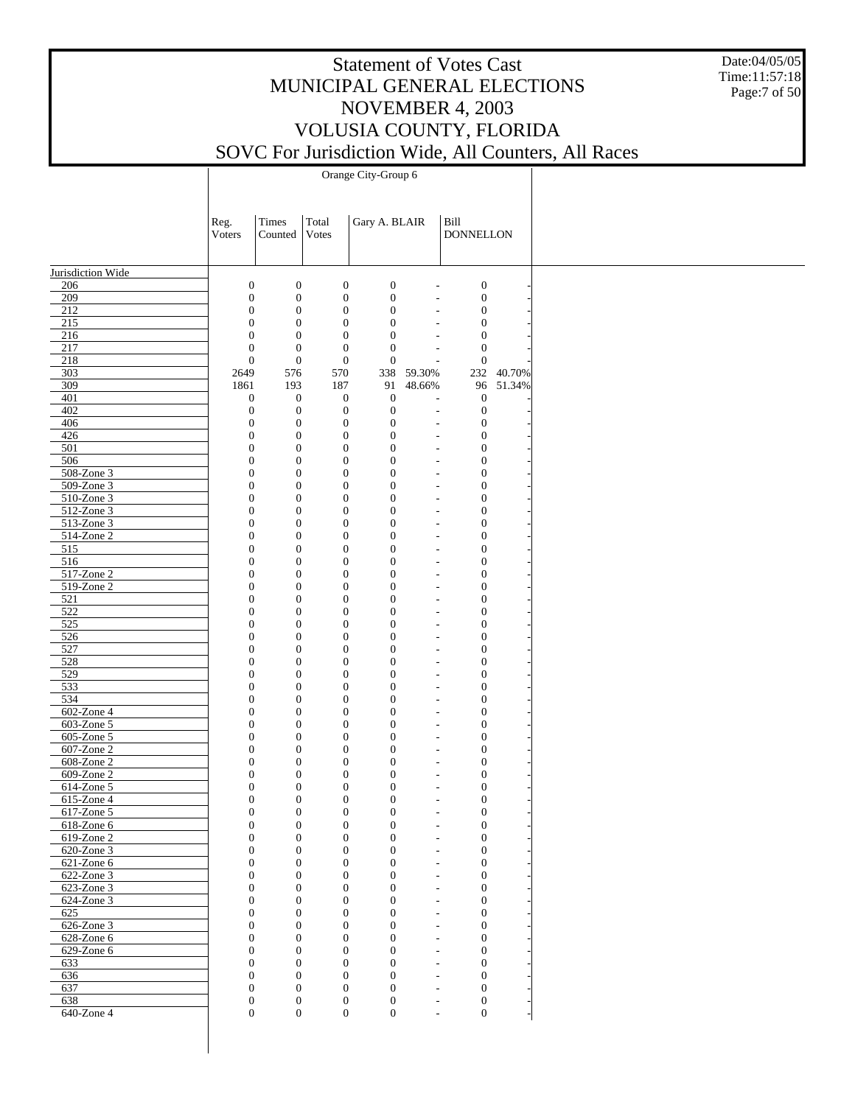Date:04/05/05 Time:11:57:18 Page:7 of 50

|                                | Reg.                                 | Times                                | Total                                | Gary A. BLAIR                        |                                                      | Bill                                 |           |
|--------------------------------|--------------------------------------|--------------------------------------|--------------------------------------|--------------------------------------|------------------------------------------------------|--------------------------------------|-----------|
|                                | Voters                               | Counted                              | Votes                                |                                      |                                                      | <b>DONNELLON</b>                     |           |
|                                |                                      |                                      |                                      |                                      |                                                      |                                      |           |
| Jurisdiction Wide              |                                      |                                      |                                      |                                      |                                                      |                                      |           |
| 206                            | $\boldsymbol{0}$                     | $\boldsymbol{0}$                     | $\boldsymbol{0}$                     | $\boldsymbol{0}$                     | $\overline{\phantom{a}}$                             | $\boldsymbol{0}$                     |           |
| 209<br>212                     | $\boldsymbol{0}$<br>$\boldsymbol{0}$ | $\boldsymbol{0}$<br>$\boldsymbol{0}$ | $\boldsymbol{0}$<br>$\boldsymbol{0}$ | $\boldsymbol{0}$<br>$\mathbf{0}$     |                                                      | $\boldsymbol{0}$<br>$\boldsymbol{0}$ |           |
| 215                            | $\boldsymbol{0}$                     | $\boldsymbol{0}$                     | $\boldsymbol{0}$                     | $\boldsymbol{0}$                     |                                                      | $\boldsymbol{0}$                     |           |
| 216                            | $\boldsymbol{0}$                     | $\boldsymbol{0}$                     | $\boldsymbol{0}$                     | $\boldsymbol{0}$                     |                                                      | $\boldsymbol{0}$                     |           |
| 217                            | $\boldsymbol{0}$                     | $\boldsymbol{0}$                     | $\boldsymbol{0}$                     | $\boldsymbol{0}$                     |                                                      | $\boldsymbol{0}$                     |           |
| 218                            | $\boldsymbol{0}$                     | $\boldsymbol{0}$                     | $\boldsymbol{0}$                     | $\boldsymbol{0}$                     |                                                      | $\boldsymbol{0}$                     |           |
| 303                            | 2649                                 | 576                                  | 570                                  | 338                                  | 59.30%                                               | 232                                  | 40.70%    |
| 309<br>401                     | 1861                                 | 193                                  | 187                                  | 91                                   | 48.66%                                               |                                      | 96 51.34% |
| 402                            | $\boldsymbol{0}$<br>$\boldsymbol{0}$ | $\boldsymbol{0}$<br>$\boldsymbol{0}$ | $\boldsymbol{0}$<br>$\boldsymbol{0}$ | $\mathbf{0}$<br>$\boldsymbol{0}$     | $\overline{\phantom{a}}$                             | $\boldsymbol{0}$<br>$\boldsymbol{0}$ |           |
| 406                            | $\boldsymbol{0}$                     | $\boldsymbol{0}$                     | $\boldsymbol{0}$                     | $\boldsymbol{0}$                     |                                                      | $\boldsymbol{0}$                     |           |
| 426                            | $\boldsymbol{0}$                     | $\boldsymbol{0}$                     | $\boldsymbol{0}$                     | $\boldsymbol{0}$                     | $\overline{\phantom{a}}$                             | $\boldsymbol{0}$                     |           |
| 501                            | $\boldsymbol{0}$                     | $\boldsymbol{0}$                     | $\boldsymbol{0}$                     | $\boldsymbol{0}$                     |                                                      | $\boldsymbol{0}$                     |           |
| 506                            | $\boldsymbol{0}$                     | $\boldsymbol{0}$                     | $\boldsymbol{0}$                     | $\boldsymbol{0}$                     | $\overline{\phantom{a}}$                             | $\boldsymbol{0}$                     |           |
| $508 - Z$ one 3                | $\boldsymbol{0}$                     | $\boldsymbol{0}$                     | $\boldsymbol{0}$                     | $\boldsymbol{0}$                     |                                                      | $\boldsymbol{0}$                     |           |
| 509-Zone 3                     | $\boldsymbol{0}$                     | $\boldsymbol{0}$                     | $\boldsymbol{0}$                     | $\boldsymbol{0}$                     | $\sim$                                               | $\boldsymbol{0}$                     |           |
| 510-Zone 3                     | $\boldsymbol{0}$                     | $\boldsymbol{0}$                     | $\boldsymbol{0}$                     | $\boldsymbol{0}$                     |                                                      | $\boldsymbol{0}$                     |           |
| $512$ -Zone 3                  | $\boldsymbol{0}$                     | $\boldsymbol{0}$                     | $\boldsymbol{0}$                     | $\boldsymbol{0}$                     |                                                      | $\boldsymbol{0}$                     |           |
| 513-Zone 3                     | $\boldsymbol{0}$                     | $\boldsymbol{0}$                     | $\boldsymbol{0}$                     | $\boldsymbol{0}$                     | $\overline{\phantom{a}}$                             | $\boldsymbol{0}$                     |           |
| 514-Zone 2<br>515              | $\boldsymbol{0}$<br>$\boldsymbol{0}$ | $\boldsymbol{0}$<br>$\boldsymbol{0}$ | $\boldsymbol{0}$<br>$\boldsymbol{0}$ | $\boldsymbol{0}$<br>$\boldsymbol{0}$ | $\overline{\phantom{a}}$<br>$\overline{\phantom{a}}$ | $\boldsymbol{0}$<br>$\boldsymbol{0}$ |           |
| 516                            | $\boldsymbol{0}$                     | $\boldsymbol{0}$                     | $\boldsymbol{0}$                     | $\boldsymbol{0}$                     |                                                      | $\boldsymbol{0}$                     |           |
| 517-Zone 2                     | $\boldsymbol{0}$                     | $\boldsymbol{0}$                     | $\boldsymbol{0}$                     | $\boldsymbol{0}$                     |                                                      | $\boldsymbol{0}$                     |           |
| 519-Zone 2                     | $\boldsymbol{0}$                     | $\boldsymbol{0}$                     | $\boldsymbol{0}$                     | $\boldsymbol{0}$                     | $\overline{\phantom{a}}$                             | $\boldsymbol{0}$                     |           |
| 521                            | $\boldsymbol{0}$                     | $\boldsymbol{0}$                     | $\boldsymbol{0}$                     | $\boldsymbol{0}$                     |                                                      | $\boldsymbol{0}$                     |           |
| 522                            | $\boldsymbol{0}$                     | $\boldsymbol{0}$                     | $\boldsymbol{0}$                     | $\boldsymbol{0}$                     |                                                      | $\boldsymbol{0}$                     |           |
| 525                            | $\boldsymbol{0}$                     | $\boldsymbol{0}$                     | $\boldsymbol{0}$                     | $\boldsymbol{0}$                     |                                                      | $\boldsymbol{0}$                     |           |
| 526                            | $\boldsymbol{0}$                     | $\boldsymbol{0}$                     | $\boldsymbol{0}$                     | $\boldsymbol{0}$                     | $\sim$                                               | $\boldsymbol{0}$                     |           |
| 527                            | $\boldsymbol{0}$                     | $\boldsymbol{0}$                     | $\boldsymbol{0}$                     | $\boldsymbol{0}$                     |                                                      | $\boldsymbol{0}$                     |           |
| 528                            | $\boldsymbol{0}$                     | $\boldsymbol{0}$                     | $\boldsymbol{0}$                     | $\boldsymbol{0}$                     |                                                      | $\boldsymbol{0}$                     |           |
| 529<br>533                     | $\boldsymbol{0}$<br>$\boldsymbol{0}$ | $\boldsymbol{0}$<br>$\boldsymbol{0}$ | $\boldsymbol{0}$<br>$\boldsymbol{0}$ | $\boldsymbol{0}$<br>$\boldsymbol{0}$ | $\overline{\phantom{a}}$<br>$\overline{\phantom{a}}$ | $\boldsymbol{0}$<br>$\boldsymbol{0}$ |           |
| 534                            | $\boldsymbol{0}$                     | $\boldsymbol{0}$                     | $\boldsymbol{0}$                     | $\boldsymbol{0}$                     | $\overline{\phantom{a}}$                             | $\boldsymbol{0}$                     |           |
| 602-Zone 4                     | $\boldsymbol{0}$                     | $\boldsymbol{0}$                     | $\boldsymbol{0}$                     | $\boldsymbol{0}$                     |                                                      | $\boldsymbol{0}$                     |           |
| 603-Zone 5                     | $\boldsymbol{0}$                     | $\boldsymbol{0}$                     | $\boldsymbol{0}$                     | $\boldsymbol{0}$                     | $\overline{\phantom{a}}$                             | $\boldsymbol{0}$                     |           |
| 605-Zone 5                     | $\boldsymbol{0}$                     | $\boldsymbol{0}$                     | $\boldsymbol{0}$                     | $\boldsymbol{0}$                     | $\overline{\phantom{a}}$                             | $\boldsymbol{0}$                     |           |
| 607-Zone 2                     | $\boldsymbol{0}$                     | $\boldsymbol{0}$                     | $\boldsymbol{0}$                     | $\boldsymbol{0}$                     |                                                      | $\boldsymbol{0}$                     |           |
| $608$ -Zone 2                  | $\boldsymbol{0}$                     | $\boldsymbol{0}$                     | $\boldsymbol{0}$                     | $\boldsymbol{0}$                     |                                                      | $\boldsymbol{0}$                     |           |
| 609-Zone 2                     | $\boldsymbol{0}$                     | $\boldsymbol{0}$                     | $\boldsymbol{0}$                     | $\boldsymbol{0}$                     |                                                      | $\boldsymbol{0}$                     |           |
| 614-Zone 5                     | $\boldsymbol{0}$                     | $\boldsymbol{0}$                     | $\boldsymbol{0}$                     | $\boldsymbol{0}$                     |                                                      | $\boldsymbol{0}$                     |           |
| 615-Zone 4                     | $\boldsymbol{0}$                     | $\boldsymbol{0}$                     | $\boldsymbol{0}$                     | $\boldsymbol{0}$                     |                                                      | $\boldsymbol{0}$                     |           |
| 617-Zone 5                     | $\overline{0}$                       | $\boldsymbol{0}$                     | $\mathbf{0}$                         | $\boldsymbol{0}$                     | $\overline{\phantom{a}}$                             | $\boldsymbol{0}$                     |           |
| $618$ -Zone 6<br>$619$ -Zone 2 | 0<br>$\boldsymbol{0}$                | $\boldsymbol{0}$<br>$\boldsymbol{0}$ | $\boldsymbol{0}$<br>$\boldsymbol{0}$ | $\mathbf{0}$<br>$\mathbf{0}$         |                                                      | $\boldsymbol{0}$<br>$\boldsymbol{0}$ |           |
| 620-Zone 3                     | $\overline{0}$                       | $\boldsymbol{0}$                     | $\boldsymbol{0}$                     | $\mathbf{0}$                         |                                                      | $\boldsymbol{0}$                     |           |
| 621-Zone 6                     | $\overline{0}$                       | $\boldsymbol{0}$                     | $\boldsymbol{0}$                     | $\overline{0}$                       |                                                      | $\boldsymbol{0}$                     |           |
| 622-Zone 3                     | $\overline{0}$                       | $\boldsymbol{0}$                     | $\boldsymbol{0}$                     | $\overline{0}$                       |                                                      | $\boldsymbol{0}$                     |           |
| 623-Zone 3                     | $\overline{0}$                       | $\boldsymbol{0}$                     | $\boldsymbol{0}$                     | $\overline{0}$                       |                                                      | $\boldsymbol{0}$                     |           |
| 624-Zone 3                     | $\overline{0}$                       | $\boldsymbol{0}$                     | $\mathbf{0}$                         | $\overline{0}$                       |                                                      | $\boldsymbol{0}$                     |           |
| 625                            | $\overline{0}$                       | $\boldsymbol{0}$                     | $\boldsymbol{0}$                     | $\overline{0}$                       |                                                      | $\boldsymbol{0}$                     |           |
| $626$ -Zone 3                  | $\overline{0}$                       | $\boldsymbol{0}$                     | $\boldsymbol{0}$                     | $\overline{0}$                       |                                                      | $\boldsymbol{0}$                     |           |
| $628$ -Zone 6                  | $\overline{0}$                       | $\boldsymbol{0}$                     | $\boldsymbol{0}$                     | $\overline{0}$                       |                                                      | $\boldsymbol{0}$                     |           |
| 629-Zone 6                     | $\overline{0}$<br>$\overline{0}$     | $\boldsymbol{0}$<br>$\boldsymbol{0}$ | $\mathbf{0}$                         | $\overline{0}$<br>$\overline{0}$     |                                                      | $\boldsymbol{0}$                     |           |
| 633<br>636                     | $\overline{0}$                       | $\boldsymbol{0}$                     | $\boldsymbol{0}$<br>$\mathbf{0}$     | $\overline{0}$                       | $\overline{\phantom{a}}$                             | $\boldsymbol{0}$<br>$\boldsymbol{0}$ |           |
| 637                            | $\mathbf{0}$                         | $\boldsymbol{0}$                     | $\mathbf{0}$                         | $\overline{0}$                       | $\overline{\phantom{a}}$                             | $\boldsymbol{0}$                     |           |
| 638                            | $\boldsymbol{0}$                     | $\boldsymbol{0}$                     | $\boldsymbol{0}$                     | $\mathbf{0}$                         | $\overline{\phantom{a}}$                             | $\boldsymbol{0}$                     |           |
| $640$ -Zone 4                  | $\overline{0}$                       | $\boldsymbol{0}$                     | $\mathbf{0}$                         | $\boldsymbol{0}$                     | $\overline{\phantom{a}}$                             | $\overline{0}$                       |           |
|                                |                                      |                                      |                                      |                                      |                                                      |                                      |           |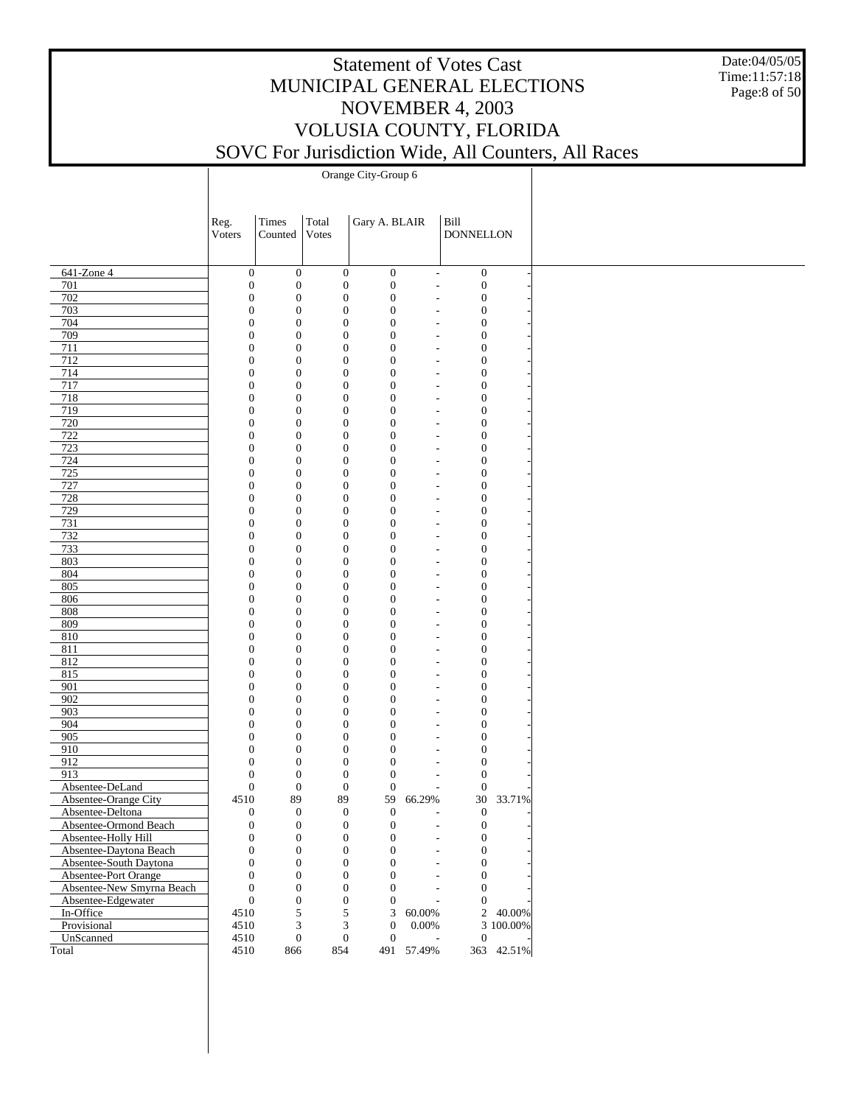Date:04/05/05 Time:11:57:18 Page:8 of 50

|                                               | Reg.<br>Voters | Times<br>Counted                                                             | Total<br>Votes                       | Gary A. BLAIR                        |                                            | Bill<br><b>DONNELLON</b>             |            |
|-----------------------------------------------|----------------|------------------------------------------------------------------------------|--------------------------------------|--------------------------------------|--------------------------------------------|--------------------------------------|------------|
|                                               |                |                                                                              |                                      |                                      |                                            |                                      |            |
| 641-Zone 4                                    |                | $\boldsymbol{0}$<br>$\boldsymbol{0}$                                         | $\boldsymbol{0}$                     | $\boldsymbol{0}$                     | $\overline{\phantom{a}}$                   | $\boldsymbol{0}$                     |            |
| 701                                           |                | $\boldsymbol{0}$<br>$\boldsymbol{0}$                                         | $\boldsymbol{0}$                     | $\boldsymbol{0}$                     | $\overline{a}$                             | $\boldsymbol{0}$                     |            |
| 702                                           |                | $\boldsymbol{0}$<br>$\boldsymbol{0}$                                         | $\boldsymbol{0}$                     | $\mathbf{0}$                         | $\overline{a}$                             | $\boldsymbol{0}$                     |            |
| 703                                           |                | $\mathbf{0}$<br>$\boldsymbol{0}$                                             | $\mathbf{0}$                         | $\mathbf{0}$                         | $\overline{a}$                             | $\boldsymbol{0}$                     |            |
| 704                                           |                | $\boldsymbol{0}$<br>$\boldsymbol{0}$                                         | $\mathbf{0}$                         | $\mathbf{0}$                         | L,                                         | $\boldsymbol{0}$                     |            |
| 709                                           |                | $\mathbf{0}$<br>$\boldsymbol{0}$                                             | $\mathbf{0}$                         | $\mathbf{0}$                         | $\overline{a}$                             | $\boldsymbol{0}$                     |            |
| 711<br>712                                    |                | $\boldsymbol{0}$<br>$\boldsymbol{0}$<br>$\mathbf{0}$<br>$\boldsymbol{0}$     | $\mathbf{0}$<br>$\mathbf{0}$         | $\mathbf{0}$<br>$\mathbf{0}$         | L,<br>$\overline{a}$                       | $\boldsymbol{0}$<br>$\boldsymbol{0}$ |            |
| 714                                           |                | $\boldsymbol{0}$<br>$\boldsymbol{0}$                                         | $\mathbf{0}$                         | $\mathbf{0}$                         | $\overline{\phantom{a}}$                   | $\boldsymbol{0}$                     |            |
| 717                                           |                | $\mathbf{0}$<br>$\boldsymbol{0}$                                             | $\mathbf{0}$                         | $\mathbf{0}$                         | $\overline{\phantom{a}}$                   | $\boldsymbol{0}$                     |            |
| 718                                           |                | $\boldsymbol{0}$<br>$\boldsymbol{0}$                                         | $\mathbf{0}$                         | $\mathbf{0}$                         | L,                                         | $\boldsymbol{0}$                     |            |
| 719                                           |                | $\mathbf{0}$<br>$\boldsymbol{0}$                                             | $\mathbf{0}$                         | $\mathbf{0}$                         | $\overline{a}$                             | $\mathbf{0}$                         |            |
| 720                                           |                | $\boldsymbol{0}$<br>$\boldsymbol{0}$                                         | $\mathbf{0}$                         | $\mathbf{0}$                         | $\overline{a}$                             | $\boldsymbol{0}$                     |            |
| 722                                           |                | $\mathbf{0}$<br>$\boldsymbol{0}$                                             | $\mathbf{0}$                         | $\mathbf{0}$                         | $\overline{a}$                             | $\boldsymbol{0}$                     |            |
| 723                                           |                | $\boldsymbol{0}$<br>$\boldsymbol{0}$                                         | $\mathbf{0}$                         | $\mathbf{0}$                         | L,                                         | $\boldsymbol{0}$                     |            |
| 724                                           |                | $\mathbf{0}$<br>$\boldsymbol{0}$                                             | $\mathbf{0}$                         | $\mathbf{0}$                         | $\overline{a}$                             | $\boldsymbol{0}$                     |            |
| 725                                           |                | $\boldsymbol{0}$<br>$\boldsymbol{0}$                                         | $\mathbf{0}$                         | $\mathbf{0}$                         | $\overline{\phantom{a}}$                   | $\boldsymbol{0}$                     |            |
| 727<br>728                                    |                | $\mathbf{0}$<br>$\boldsymbol{0}$<br>$\boldsymbol{0}$                         | $\mathbf{0}$<br>$\mathbf{0}$         | $\mathbf{0}$<br>$\mathbf{0}$         | $\overline{\phantom{a}}$<br>$\overline{a}$ | $\boldsymbol{0}$<br>$\boldsymbol{0}$ |            |
| 729                                           |                | $\boldsymbol{0}$<br>$\mathbf{0}$<br>$\boldsymbol{0}$                         | $\mathbf{0}$                         | $\mathbf{0}$                         | $\overline{a}$                             | $\mathbf{0}$                         |            |
| 731                                           |                | $\boldsymbol{0}$<br>$\boldsymbol{0}$                                         | $\mathbf{0}$                         | $\mathbf{0}$                         | L,                                         | $\boldsymbol{0}$                     |            |
| 732                                           |                | $\mathbf{0}$<br>$\boldsymbol{0}$                                             | $\mathbf{0}$                         | $\mathbf{0}$                         | $\overline{a}$                             | $\boldsymbol{0}$                     |            |
| 733                                           |                | $\boldsymbol{0}$<br>$\boldsymbol{0}$                                         | $\mathbf{0}$                         | $\mathbf{0}$                         | L,                                         | $\boldsymbol{0}$                     |            |
| 803                                           |                | $\mathbf{0}$<br>$\boldsymbol{0}$                                             | $\mathbf{0}$                         | $\mathbf{0}$                         | $\overline{a}$                             | $\boldsymbol{0}$                     |            |
| 804                                           |                | $\boldsymbol{0}$<br>$\boldsymbol{0}$                                         | $\mathbf{0}$                         | $\mathbf{0}$                         | L,                                         | $\boldsymbol{0}$                     |            |
| 805                                           |                | $\mathbf{0}$<br>$\boldsymbol{0}$                                             | $\mathbf{0}$                         | $\mathbf{0}$                         | $\overline{\phantom{a}}$                   | $\boldsymbol{0}$                     |            |
| 806                                           |                | $\boldsymbol{0}$<br>$\boldsymbol{0}$                                         | $\mathbf{0}$                         | $\mathbf{0}$                         | $\overline{a}$                             | $\boldsymbol{0}$                     |            |
| 808                                           |                | $\mathbf{0}$<br>$\boldsymbol{0}$                                             | $\mathbf{0}$                         | $\mathbf{0}$                         | $\overline{a}$                             | $\mathbf{0}$                         |            |
| 809                                           |                | $\boldsymbol{0}$<br>$\boldsymbol{0}$                                         | $\mathbf{0}$                         | $\mathbf{0}$                         | L,                                         | $\boldsymbol{0}$                     |            |
| 810                                           |                | $\mathbf{0}$<br>$\boldsymbol{0}$                                             | $\mathbf{0}$                         | $\mathbf{0}$                         | $\overline{a}$                             | $\boldsymbol{0}$                     |            |
| 811                                           |                | $\boldsymbol{0}$<br>$\boldsymbol{0}$                                         | $\mathbf{0}$                         | $\mathbf{0}$                         |                                            | $\boldsymbol{0}$                     |            |
| 812<br>815                                    |                | $\mathbf{0}$<br>$\boldsymbol{0}$<br>$\boldsymbol{0}$<br>$\boldsymbol{0}$     | $\mathbf{0}$<br>$\mathbf{0}$         | $\mathbf{0}$<br>$\mathbf{0}$         | $\overline{a}$<br>L,                       | $\boldsymbol{0}$<br>$\boldsymbol{0}$ |            |
| 901                                           |                | $\mathbf{0}$<br>$\boldsymbol{0}$                                             | $\mathbf{0}$                         | $\mathbf{0}$                         | $\overline{\phantom{a}}$                   | $\boldsymbol{0}$                     |            |
| 902                                           |                | $\boldsymbol{0}$<br>$\boldsymbol{0}$                                         | $\mathbf{0}$                         | $\mathbf{0}$                         | $\overline{a}$                             | $\boldsymbol{0}$                     |            |
| 903                                           |                | $\mathbf{0}$<br>$\boldsymbol{0}$                                             | $\mathbf{0}$                         | $\mathbf{0}$                         | $\overline{\phantom{a}}$                   | $\boldsymbol{0}$                     |            |
| 904                                           |                | $\boldsymbol{0}$<br>$\boldsymbol{0}$                                         | $\mathbf{0}$                         | $\mathbf{0}$                         | L,                                         | $\boldsymbol{0}$                     |            |
| 905                                           |                | $\mathbf{0}$<br>$\boldsymbol{0}$                                             | $\mathbf{0}$                         | $\mathbf{0}$                         | $\overline{a}$                             | $\boldsymbol{0}$                     |            |
| 910                                           |                | $\boldsymbol{0}$<br>$\boldsymbol{0}$                                         | $\mathbf{0}$                         | $\mathbf{0}$                         |                                            | $\boldsymbol{0}$                     |            |
| 912                                           |                | $\mathbf{0}$<br>$\boldsymbol{0}$                                             | $\mathbf{0}$                         | $\mathbf{0}$                         | $\overline{a}$                             | $\boldsymbol{0}$                     |            |
| 913                                           |                | $\boldsymbol{0}$<br>$\boldsymbol{0}$                                         | $\boldsymbol{0}$                     | $\mathbf{0}$                         | $\overline{\phantom{a}}$                   | $\boldsymbol{0}$                     |            |
| Absentee-DeLand                               |                | $\boldsymbol{0}$<br>$\boldsymbol{0}$                                         | $\boldsymbol{0}$                     | $\mathbf{0}$                         | $\overline{\phantom{a}}$                   | $\boldsymbol{0}$                     |            |
| Absentee-Orange City                          | 4510           | 89                                                                           | 89                                   | 59                                   | 66.29%                                     |                                      | 30 33.71%  |
| Absentee-Deltona                              |                | $\boldsymbol{0}$<br>$\boldsymbol{0}$                                         | $\boldsymbol{0}$                     | $\mathbf{0}$                         | $\overline{\phantom{a}}$                   | $\boldsymbol{0}$                     |            |
| Absentee-Ormond Beach                         |                | $\boldsymbol{0}$<br>$\boldsymbol{0}$                                         | $\mathbf{0}$                         | $\mathbf{0}$                         |                                            | $\boldsymbol{0}$                     |            |
| Absentee-Holly Hill<br>Absentee-Daytona Beach |                | $\boldsymbol{0}$<br>$\boldsymbol{0}$<br>$\boldsymbol{0}$<br>$\boldsymbol{0}$ | $\boldsymbol{0}$<br>$\boldsymbol{0}$ | $\boldsymbol{0}$<br>$\boldsymbol{0}$ |                                            | $\boldsymbol{0}$<br>$\boldsymbol{0}$ |            |
| Absentee-South Daytona                        |                | $\boldsymbol{0}$<br>$\boldsymbol{0}$                                         | $\boldsymbol{0}$                     | $\boldsymbol{0}$                     |                                            | $\mathbf{0}$                         |            |
| Absentee-Port Orange                          |                | $\boldsymbol{0}$<br>$\boldsymbol{0}$                                         | $\boldsymbol{0}$                     | $\mathbf{0}$                         |                                            | $\boldsymbol{0}$                     |            |
| Absentee-New Smyrna Beach                     |                | $\boldsymbol{0}$<br>$\boldsymbol{0}$                                         | $\boldsymbol{0}$                     | $\theta$                             |                                            | $\mathbf{0}$                         |            |
| Absentee-Edgewater                            |                | $\boldsymbol{0}$<br>$\boldsymbol{0}$                                         | $\boldsymbol{0}$                     | $\mathbf{0}$                         | $\overline{\phantom{a}}$                   | $\mathbf{0}$                         |            |
| In-Office                                     | 4510           | 5                                                                            | 5                                    | 3                                    | 60.00%                                     |                                      | 2 40.00%   |
| Provisional                                   | 4510           | 3                                                                            | 3                                    | $\boldsymbol{0}$                     | 0.00%                                      |                                      | 3 100.00%  |
| UnScanned                                     | 4510           | $\boldsymbol{0}$                                                             | $\boldsymbol{0}$                     | $\boldsymbol{0}$                     |                                            | $\boldsymbol{0}$                     |            |
| Total                                         | 4510           | 866                                                                          | 854                                  |                                      | 491 57.49%                                 |                                      | 363 42.51% |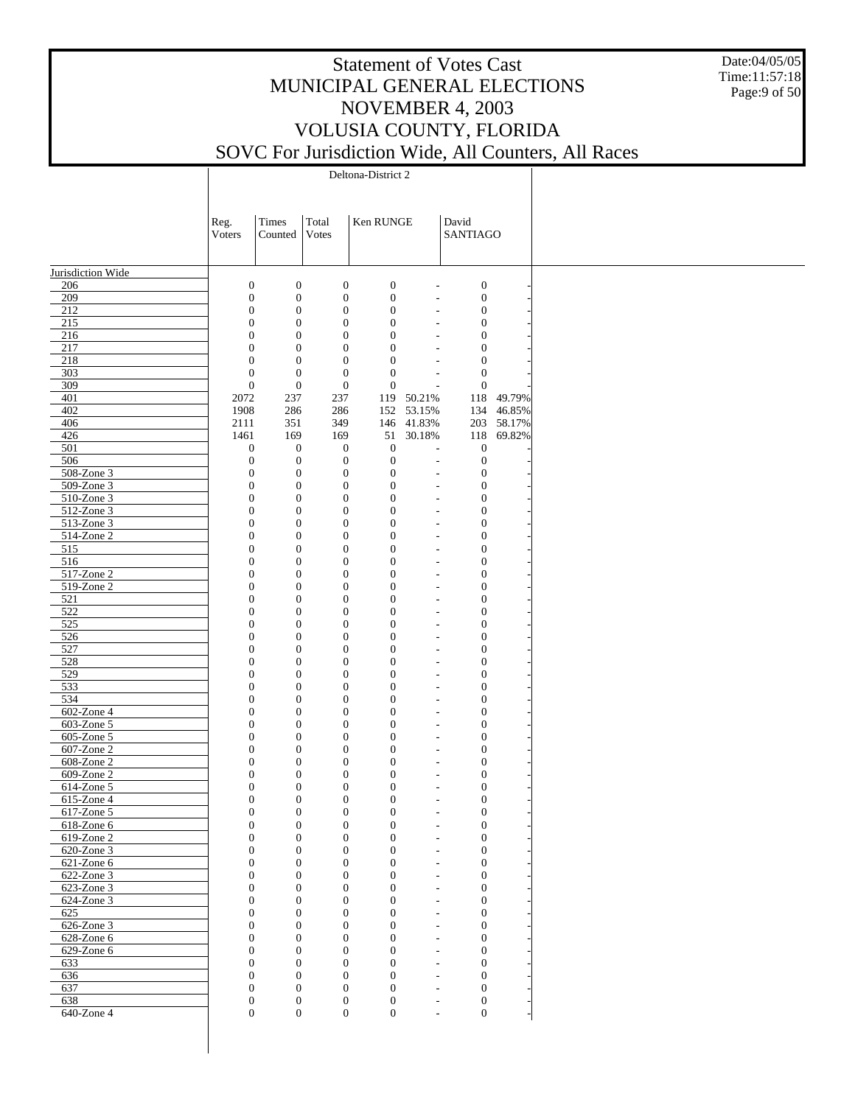Date:04/05/05 Time:11:57:18 Page:9 of 50

Deltona-District 2

|                          | Reg.                                 | Times                                | Total                                | Ken RUNGE                            |                                                      | David                                |            |
|--------------------------|--------------------------------------|--------------------------------------|--------------------------------------|--------------------------------------|------------------------------------------------------|--------------------------------------|------------|
|                          | Voters                               | Counted                              | Votes                                |                                      |                                                      | <b>SANTIAGO</b>                      |            |
|                          |                                      |                                      |                                      |                                      |                                                      |                                      |            |
| Jurisdiction Wide        |                                      |                                      |                                      |                                      |                                                      |                                      |            |
| 206                      | $\boldsymbol{0}$                     | $\boldsymbol{0}$                     | $\boldsymbol{0}$                     | $\boldsymbol{0}$                     | $\overline{a}$                                       | $\boldsymbol{0}$                     |            |
| 209                      | $\boldsymbol{0}$                     | $\boldsymbol{0}$                     | $\boldsymbol{0}$                     | $\boldsymbol{0}$                     | $\overline{\phantom{a}}$                             | $\boldsymbol{0}$                     |            |
| 212                      | $\boldsymbol{0}$                     | $\boldsymbol{0}$                     | $\boldsymbol{0}$                     | $\boldsymbol{0}$                     | $\overline{\phantom{a}}$                             | $\boldsymbol{0}$                     |            |
| 215                      | $\boldsymbol{0}$                     | $\boldsymbol{0}$                     | $\boldsymbol{0}$                     | $\boldsymbol{0}$                     | $\overline{\phantom{a}}$                             | $\boldsymbol{0}$                     |            |
| 216                      | $\boldsymbol{0}$                     | $\boldsymbol{0}$                     | $\boldsymbol{0}$                     | $\boldsymbol{0}$                     | $\overline{\phantom{a}}$                             | $\boldsymbol{0}$                     |            |
| 217<br>218               | $\boldsymbol{0}$<br>$\boldsymbol{0}$ | $\boldsymbol{0}$<br>$\mathbf{0}$     | $\boldsymbol{0}$<br>$\boldsymbol{0}$ | $\overline{0}$<br>$\overline{0}$     | $\overline{\phantom{a}}$<br>$\overline{\phantom{a}}$ | $\boldsymbol{0}$<br>$\boldsymbol{0}$ |            |
| 303                      | $\boldsymbol{0}$                     | $\boldsymbol{0}$                     | $\boldsymbol{0}$                     | $\mathbf{0}$                         | $\overline{\phantom{a}}$                             | $\boldsymbol{0}$                     |            |
| 309                      | $\boldsymbol{0}$                     | $\mathbf{0}$                         | $\boldsymbol{0}$                     | $\overline{0}$                       | $\overline{a}$                                       | $\boldsymbol{0}$                     |            |
| 401                      | 2072                                 | 237                                  | 237                                  | 119                                  | 50.21%                                               | 118                                  | 49.79%     |
| 402                      | 1908                                 | 286                                  | 286                                  | 152                                  | 53.15%                                               | 134                                  | 46.85%     |
| 406                      | 2111                                 | 351                                  | 349                                  | 146                                  | 41.83%                                               |                                      | 203 58.17% |
| 426                      | 1461                                 | 169                                  | 169                                  | 51                                   | 30.18%                                               | 118                                  | 69.82%     |
| 501                      | $\boldsymbol{0}$                     | $\boldsymbol{0}$                     | $\boldsymbol{0}$                     | $\mathbf{0}$                         | $\overline{\phantom{a}}$                             | $\boldsymbol{0}$                     |            |
| 506                      | $\boldsymbol{0}$                     | $\boldsymbol{0}$                     | $\boldsymbol{0}$                     | $\overline{0}$                       | $\overline{\phantom{a}}$                             | $\boldsymbol{0}$                     |            |
| $508 - Z$ one 3          | $\boldsymbol{0}$                     | $\boldsymbol{0}$                     | $\boldsymbol{0}$                     | $\boldsymbol{0}$                     | $\overline{\phantom{a}}$                             | $\boldsymbol{0}$                     |            |
| 509-Zone 3<br>510-Zone 3 | $\boldsymbol{0}$<br>$\boldsymbol{0}$ | $\boldsymbol{0}$<br>$\boldsymbol{0}$ | $\boldsymbol{0}$<br>$\boldsymbol{0}$ | $\boldsymbol{0}$<br>$\overline{0}$   | $\overline{a}$                                       | $\boldsymbol{0}$<br>$\boldsymbol{0}$ |            |
| 512-Zone 3               | $\boldsymbol{0}$                     | $\boldsymbol{0}$                     | $\boldsymbol{0}$                     | $\boldsymbol{0}$                     | $\overline{\phantom{a}}$<br>$\overline{\phantom{a}}$ | $\boldsymbol{0}$                     |            |
| 513-Zone 3               | $\boldsymbol{0}$                     | $\boldsymbol{0}$                     | $\boldsymbol{0}$                     | $\boldsymbol{0}$                     | $\overline{\phantom{a}}$                             | $\boldsymbol{0}$                     |            |
| 514-Zone 2               | $\boldsymbol{0}$                     | $\boldsymbol{0}$                     | $\boldsymbol{0}$                     | $\boldsymbol{0}$                     | $\overline{\phantom{a}}$                             | $\boldsymbol{0}$                     |            |
| 515                      | $\boldsymbol{0}$                     | $\boldsymbol{0}$                     | $\boldsymbol{0}$                     | $\boldsymbol{0}$                     | $\overline{\phantom{a}}$                             | $\boldsymbol{0}$                     |            |
| 516                      | $\boldsymbol{0}$                     | $\boldsymbol{0}$                     | $\boldsymbol{0}$                     | $\boldsymbol{0}$                     | $\overline{\phantom{a}}$                             | $\boldsymbol{0}$                     |            |
| $517$ -Zone 2            | $\boldsymbol{0}$                     | $\boldsymbol{0}$                     | $\boldsymbol{0}$                     | $\boldsymbol{0}$                     | $\overline{\phantom{a}}$                             | $\boldsymbol{0}$                     |            |
| 519-Zone 2               | $\boldsymbol{0}$                     | $\boldsymbol{0}$                     | $\boldsymbol{0}$                     | $\boldsymbol{0}$                     | $\overline{\phantom{a}}$                             | $\boldsymbol{0}$                     |            |
| 521                      | $\boldsymbol{0}$                     | $\boldsymbol{0}$                     | $\boldsymbol{0}$                     | $\boldsymbol{0}$                     | $\overline{\phantom{a}}$                             | $\boldsymbol{0}$                     |            |
| 522<br>525               | $\boldsymbol{0}$<br>$\boldsymbol{0}$ | $\boldsymbol{0}$                     | $\boldsymbol{0}$<br>$\boldsymbol{0}$ | $\boldsymbol{0}$<br>$\boldsymbol{0}$ | $\overline{\phantom{a}}$                             | $\boldsymbol{0}$                     |            |
| 526                      | $\boldsymbol{0}$                     | $\boldsymbol{0}$<br>$\boldsymbol{0}$ | $\boldsymbol{0}$                     | $\boldsymbol{0}$                     | $\overline{\phantom{a}}$<br>$\overline{\phantom{a}}$ | $\boldsymbol{0}$<br>$\boldsymbol{0}$ |            |
| 527                      | $\boldsymbol{0}$                     | $\boldsymbol{0}$                     | $\boldsymbol{0}$                     | $\boldsymbol{0}$                     | $\overline{\phantom{a}}$                             | $\boldsymbol{0}$                     |            |
| 528                      | $\boldsymbol{0}$                     | $\boldsymbol{0}$                     | $\boldsymbol{0}$                     | $\boldsymbol{0}$                     | $\overline{\phantom{a}}$                             | $\boldsymbol{0}$                     |            |
| 529                      | $\boldsymbol{0}$                     | $\boldsymbol{0}$                     | $\boldsymbol{0}$                     | $\boldsymbol{0}$                     | $\overline{\phantom{a}}$                             | $\boldsymbol{0}$                     |            |
| 533                      | $\boldsymbol{0}$                     | $\boldsymbol{0}$                     | $\boldsymbol{0}$                     | $\boldsymbol{0}$                     | $\overline{\phantom{a}}$                             | $\boldsymbol{0}$                     |            |
| 534                      | $\boldsymbol{0}$                     | $\boldsymbol{0}$                     | $\boldsymbol{0}$                     | $\boldsymbol{0}$                     | $\overline{\phantom{a}}$                             | $\boldsymbol{0}$                     |            |
| 602-Zone 4               | $\boldsymbol{0}$                     | $\boldsymbol{0}$                     | $\boldsymbol{0}$                     | $\boldsymbol{0}$                     | $\overline{\phantom{a}}$                             | $\boldsymbol{0}$                     |            |
| $\overline{603}$ -Zone 5 | $\boldsymbol{0}$                     | $\boldsymbol{0}$                     | $\boldsymbol{0}$                     | $\boldsymbol{0}$                     | $\overline{\phantom{a}}$                             | $\boldsymbol{0}$                     |            |
| 605-Zone 5               | $\boldsymbol{0}$                     | $\boldsymbol{0}$                     | $\boldsymbol{0}$                     | $\boldsymbol{0}$                     | $\overline{\phantom{a}}$                             | $\boldsymbol{0}$                     |            |
| 607-Zone 2<br>608-Zone 2 | $\boldsymbol{0}$<br>$\boldsymbol{0}$ | $\boldsymbol{0}$<br>$\boldsymbol{0}$ | $\boldsymbol{0}$<br>$\boldsymbol{0}$ | $\boldsymbol{0}$<br>$\boldsymbol{0}$ | $\overline{\phantom{a}}$<br>$\overline{\phantom{a}}$ | $\boldsymbol{0}$<br>$\boldsymbol{0}$ |            |
| 609-Zone 2               | $\boldsymbol{0}$                     | $\boldsymbol{0}$                     | $\boldsymbol{0}$                     | $\boldsymbol{0}$                     | $\overline{\phantom{a}}$                             | $\boldsymbol{0}$                     |            |
| 614-Zone 5               | $\boldsymbol{0}$                     | $\boldsymbol{0}$                     | $\boldsymbol{0}$                     | $\boldsymbol{0}$                     | $\overline{a}$                                       | $\boldsymbol{0}$                     |            |
| 615-Zone 4               | $\boldsymbol{0}$                     | $\mathbf{0}$                         | $\boldsymbol{0}$                     | $\boldsymbol{0}$                     | $\overline{\phantom{a}}$                             | $\boldsymbol{0}$                     |            |
| 617-Zone 5               | $\overline{0}$                       | $\mathbf{0}$                         | $\boldsymbol{0}$                     | $\mathbf{0}$                         | $\sim$                                               | $\boldsymbol{0}$                     |            |
| 618-Zone 6               | $\boldsymbol{0}$                     | $\boldsymbol{0}$                     | $\boldsymbol{0}$                     | $\boldsymbol{0}$                     | $\overline{\phantom{a}}$                             | $\boldsymbol{0}$                     |            |
| 619-Zone 2               | $\overline{0}$                       | $\boldsymbol{0}$                     | $\mathbf{0}$                         | $\boldsymbol{0}$                     | $\overline{a}$                                       | $\mathbf{0}$                         |            |
| 620-Zone 3               | $\overline{0}$                       | $\mathbf{0}$                         | $\mathbf{0}$                         | $\mathbf{0}$                         | $\overline{\phantom{a}}$                             | $\mathbf{0}$                         |            |
| $621$ -Zone $6$          | $\overline{0}$                       | $\boldsymbol{0}$                     | $\overline{0}$                       | $\overline{0}$                       | $\overline{\phantom{a}}$                             | $\mathbf{0}$                         |            |
| 622-Zone 3               | $\overline{0}$                       | $\mathbf{0}$                         | $\mathbf{0}$                         | $\overline{0}$                       | $\overline{\phantom{a}}$                             | $\mathbf{0}$                         |            |
| 623-Zone 3<br>624-Zone 3 | $\boldsymbol{0}$<br>$\overline{0}$   | $\boldsymbol{0}$<br>$\mathbf{0}$     | $\mathbf{0}$<br>$\mathbf{0}$         | $\overline{0}$<br>$\overline{0}$     | $\overline{\phantom{a}}$                             | $\mathbf{0}$<br>$\overline{0}$       |            |
| 625                      | $\boldsymbol{0}$                     | $\boldsymbol{0}$                     | $\mathbf{0}$                         | $\overline{0}$                       | $\overline{\phantom{a}}$<br>$\overline{\phantom{a}}$ | $\mathbf{0}$                         |            |
| $626$ -Zone 3            | $\overline{0}$                       | $\mathbf{0}$                         | $\mathbf{0}$                         | $\overline{0}$                       | $\overline{\phantom{a}}$                             | $\overline{0}$                       |            |
| $628 - Z$ one 6          | $\overline{0}$                       | $\boldsymbol{0}$                     | $\mathbf{0}$                         | $\overline{0}$                       | $\overline{\phantom{a}}$                             | $\mathbf{0}$                         |            |
| $629$ -Zone 6            | $\overline{0}$                       | $\mathbf{0}$                         | $\mathbf{0}$                         | $\overline{0}$                       | $\overline{\phantom{a}}$                             | $\overline{0}$                       |            |
| 633                      | $\overline{0}$                       | $\boldsymbol{0}$                     | $\mathbf{0}$                         | $\overline{0}$                       | $\overline{\phantom{a}}$                             | $\mathbf{0}$                         |            |
| 636                      | $\overline{0}$                       | $\mathbf{0}$                         | $\mathbf{0}$                         | $\overline{0}$                       | $\overline{\phantom{a}}$                             | $\overline{0}$                       |            |
| 637                      | $\boldsymbol{0}$                     | $\boldsymbol{0}$                     | $\mathbf{0}$                         | $\overline{0}$                       | $\overline{a}$                                       | $\mathbf{0}$                         |            |
| 638                      | $\mathbf{0}$                         | $\boldsymbol{0}$                     | $\mathbf{0}$                         | $\mathbf{0}$                         | $\overline{\phantom{a}}$                             | $\boldsymbol{0}$                     |            |
| 640-Zone 4               | $\boldsymbol{0}$                     | $\mathbf{0}$                         | $\overline{0}$                       | $\boldsymbol{0}$                     | $\sim$                                               | $\boldsymbol{0}$                     |            |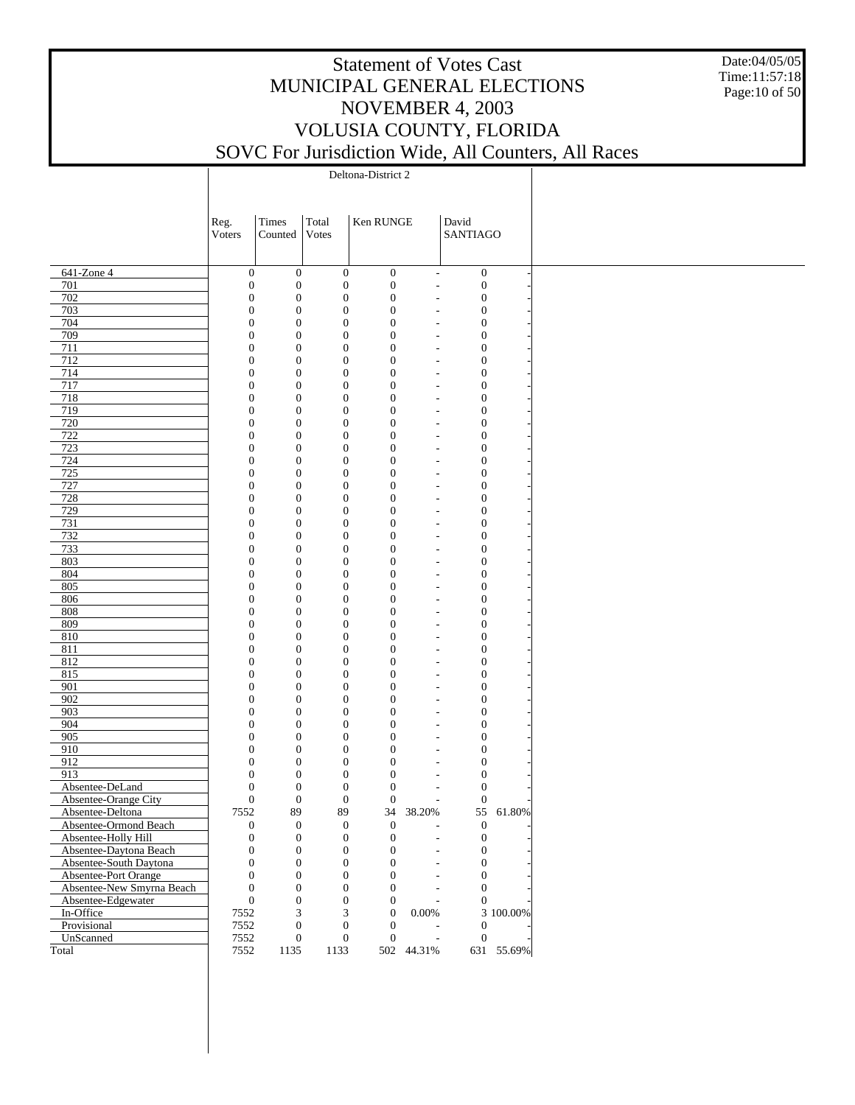Date:04/05/05 Time:11:57:18 Page:10 of 50

Deltona-District 2

|                           | Reg.                             | Times                                | Total                                | Ken RUNGE                            |                                                      | David                                |            |
|---------------------------|----------------------------------|--------------------------------------|--------------------------------------|--------------------------------------|------------------------------------------------------|--------------------------------------|------------|
|                           | Voters                           | Counted                              | Votes                                |                                      |                                                      | <b>SANTIAGO</b>                      |            |
|                           |                                  |                                      |                                      |                                      |                                                      |                                      |            |
|                           |                                  |                                      |                                      |                                      |                                                      |                                      |            |
| 641-Zone 4<br>701         | $\mathbf{0}$<br>$\boldsymbol{0}$ | $\mathbf{0}$<br>$\boldsymbol{0}$     | $\boldsymbol{0}$<br>$\boldsymbol{0}$ | $\boldsymbol{0}$<br>$\boldsymbol{0}$ | $\overline{\phantom{a}}$                             | $\boldsymbol{0}$<br>$\boldsymbol{0}$ |            |
| 702                       | $\boldsymbol{0}$                 | $\boldsymbol{0}$                     | $\boldsymbol{0}$                     | $\boldsymbol{0}$                     | $\overline{\phantom{a}}$                             | $\mathbf{0}$                         |            |
| 703                       | $\mathbf{0}$                     | $\boldsymbol{0}$                     | $\boldsymbol{0}$                     | $\boldsymbol{0}$                     |                                                      | $\boldsymbol{0}$                     |            |
| 704                       | $\mathbf{0}$                     | $\boldsymbol{0}$                     | $\boldsymbol{0}$                     | $\boldsymbol{0}$                     | $\overline{\phantom{a}}$                             | $\mathbf{0}$                         |            |
| 709                       | $\boldsymbol{0}$                 | $\boldsymbol{0}$                     | $\boldsymbol{0}$                     | $\boldsymbol{0}$                     | $\overline{\phantom{a}}$                             | $\boldsymbol{0}$                     |            |
| 711                       | $\mathbf{0}$                     | $\boldsymbol{0}$                     | $\boldsymbol{0}$                     | $\boldsymbol{0}$                     | $\overline{\phantom{a}}$                             | $\mathbf{0}$                         |            |
| 712                       | $\boldsymbol{0}$                 | $\boldsymbol{0}$                     | $\boldsymbol{0}$                     | $\boldsymbol{0}$                     |                                                      | $\boldsymbol{0}$                     |            |
| 714                       | $\mathbf{0}$                     | $\boldsymbol{0}$                     | $\boldsymbol{0}$                     | $\boldsymbol{0}$                     | $\overline{\phantom{a}}$                             | $\mathbf{0}$                         |            |
| 717                       | $\boldsymbol{0}$                 | $\boldsymbol{0}$                     | $\boldsymbol{0}$                     | $\boldsymbol{0}$                     | $\overline{\phantom{a}}$                             | $\boldsymbol{0}$                     |            |
| 718                       | $\mathbf{0}$                     | $\boldsymbol{0}$                     | $\boldsymbol{0}$                     | $\boldsymbol{0}$                     | $\overline{\phantom{a}}$                             | $\mathbf{0}$                         |            |
| 719                       | $\boldsymbol{0}$                 | $\boldsymbol{0}$                     | $\boldsymbol{0}$                     | $\boldsymbol{0}$                     |                                                      | $\boldsymbol{0}$                     |            |
| 720                       | $\mathbf{0}$                     | $\boldsymbol{0}$                     | $\boldsymbol{0}$                     | $\boldsymbol{0}$                     | $\overline{\phantom{a}}$                             | $\mathbf{0}$                         |            |
| 722                       | $\boldsymbol{0}$                 | $\boldsymbol{0}$                     | $\boldsymbol{0}$                     | $\boldsymbol{0}$                     |                                                      | $\boldsymbol{0}$                     |            |
| 723                       | $\mathbf{0}$                     | $\boldsymbol{0}$                     | $\boldsymbol{0}$                     | $\boldsymbol{0}$                     | $\overline{\phantom{a}}$                             | $\mathbf{0}$                         |            |
| 724                       | $\boldsymbol{0}$                 | $\boldsymbol{0}$                     | $\boldsymbol{0}$                     | $\boldsymbol{0}$                     |                                                      | $\boldsymbol{0}$                     |            |
| 725                       | $\mathbf{0}$                     | $\boldsymbol{0}$                     | $\boldsymbol{0}$                     | $\boldsymbol{0}$                     | $\overline{\phantom{a}}$                             | $\mathbf{0}$                         |            |
| 727                       | $\boldsymbol{0}$                 | $\boldsymbol{0}$                     | $\boldsymbol{0}$                     | $\boldsymbol{0}$                     |                                                      | $\boldsymbol{0}$                     |            |
| 728                       | $\mathbf{0}$                     | $\boldsymbol{0}$                     | $\boldsymbol{0}$                     | $\boldsymbol{0}$                     | $\overline{\phantom{a}}$                             | $\mathbf{0}$                         |            |
| 729<br>731                | $\boldsymbol{0}$<br>$\mathbf{0}$ | $\boldsymbol{0}$<br>$\boldsymbol{0}$ | $\boldsymbol{0}$<br>$\boldsymbol{0}$ | $\boldsymbol{0}$<br>$\boldsymbol{0}$ |                                                      | $\boldsymbol{0}$<br>$\mathbf{0}$     |            |
| 732                       | $\boldsymbol{0}$                 | $\boldsymbol{0}$                     |                                      | $\boldsymbol{0}$                     | $\overline{\phantom{a}}$                             | $\boldsymbol{0}$                     |            |
| 733                       | $\mathbf{0}$                     | $\boldsymbol{0}$                     | $\boldsymbol{0}$<br>$\boldsymbol{0}$ |                                      | $\overline{\phantom{a}}$                             |                                      |            |
| 803                       | $\boldsymbol{0}$                 | $\boldsymbol{0}$                     | $\boldsymbol{0}$                     | $\boldsymbol{0}$<br>$\boldsymbol{0}$ | $\overline{\phantom{a}}$                             | $\mathbf{0}$<br>$\boldsymbol{0}$     |            |
| 804                       | $\mathbf{0}$                     | $\boldsymbol{0}$                     | $\boldsymbol{0}$                     | $\boldsymbol{0}$                     |                                                      | $\mathbf{0}$                         |            |
| 805                       | $\boldsymbol{0}$                 | $\boldsymbol{0}$                     | $\boldsymbol{0}$                     | $\boldsymbol{0}$                     | $\overline{\phantom{a}}$<br>$\overline{\phantom{a}}$ | $\boldsymbol{0}$                     |            |
| 806                       | $\mathbf{0}$                     | $\boldsymbol{0}$                     | $\boldsymbol{0}$                     | $\boldsymbol{0}$                     | $\overline{\phantom{a}}$                             | $\mathbf{0}$                         |            |
| 808                       | $\boldsymbol{0}$                 | $\boldsymbol{0}$                     | $\boldsymbol{0}$                     | $\boldsymbol{0}$                     |                                                      | $\boldsymbol{0}$                     |            |
| 809                       | $\mathbf{0}$                     | $\boldsymbol{0}$                     | $\boldsymbol{0}$                     | $\boldsymbol{0}$                     | $\overline{\phantom{a}}$                             | $\mathbf{0}$                         |            |
| 810                       | $\boldsymbol{0}$                 | $\boldsymbol{0}$                     | $\boldsymbol{0}$                     | $\boldsymbol{0}$                     |                                                      | $\boldsymbol{0}$                     |            |
| 811                       | $\mathbf{0}$                     | $\boldsymbol{0}$                     | $\boldsymbol{0}$                     | $\boldsymbol{0}$                     | $\overline{\phantom{a}}$                             | $\mathbf{0}$                         |            |
| 812                       | $\boldsymbol{0}$                 | $\boldsymbol{0}$                     | $\boldsymbol{0}$                     | $\boldsymbol{0}$                     |                                                      | $\boldsymbol{0}$                     |            |
| 815                       | $\mathbf{0}$                     | $\boldsymbol{0}$                     | $\boldsymbol{0}$                     | $\boldsymbol{0}$                     | $\overline{\phantom{a}}$                             | $\mathbf{0}$                         |            |
| 901                       | $\boldsymbol{0}$                 | $\boldsymbol{0}$                     | $\boldsymbol{0}$                     | $\boldsymbol{0}$                     |                                                      | $\boldsymbol{0}$                     |            |
| 902                       | $\mathbf{0}$                     | $\boldsymbol{0}$                     | $\boldsymbol{0}$                     | $\boldsymbol{0}$                     | $\overline{\phantom{a}}$                             | $\mathbf{0}$                         |            |
| 903                       | $\boldsymbol{0}$                 | $\boldsymbol{0}$                     | $\boldsymbol{0}$                     | $\boldsymbol{0}$                     |                                                      | $\boldsymbol{0}$                     |            |
| 904                       | $\mathbf{0}$                     | $\boldsymbol{0}$                     | $\boldsymbol{0}$                     | $\boldsymbol{0}$                     | $\overline{\phantom{a}}$                             | $\mathbf{0}$                         |            |
| 905                       | $\boldsymbol{0}$                 | $\boldsymbol{0}$                     | $\boldsymbol{0}$                     | $\boldsymbol{0}$                     |                                                      | $\boldsymbol{0}$                     |            |
| 910                       | $\mathbf{0}$                     | $\boldsymbol{0}$                     | $\boldsymbol{0}$                     | $\boldsymbol{0}$                     | $\overline{\phantom{a}}$                             | $\mathbf{0}$                         |            |
| 912                       | $\boldsymbol{0}$                 | $\boldsymbol{0}$                     | $\boldsymbol{0}$                     | $\boldsymbol{0}$                     |                                                      | $\boldsymbol{0}$                     |            |
| 913                       | $\mathbf{0}$                     | $\boldsymbol{0}$                     | $\boldsymbol{0}$                     | $\boldsymbol{0}$                     | $\overline{\phantom{a}}$                             | $\mathbf{0}$                         |            |
| Absentee-DeLand           | $\mathbf{0}$                     | $\boldsymbol{0}$                     | $\mathbf{0}$                         | $\theta$                             |                                                      | $\mathbf{0}$                         |            |
| Absentee-Orange City      | $\mathbf{0}$                     | $\boldsymbol{0}$                     | $\boldsymbol{0}$                     | $\mathbf{0}$                         |                                                      | $\mathbf{0}$                         |            |
| Absentee-Deltona          | 7552                             | 89                                   | 89                                   | 34                                   | 38.20%                                               |                                      | 55 61.80%  |
| Absentee-Ormond Beach     | $\boldsymbol{0}$                 | $\boldsymbol{0}$                     | $\boldsymbol{0}$                     | $\boldsymbol{0}$                     | $\overline{\phantom{a}}$                             | $\boldsymbol{0}$                     |            |
| Absentee-Holly Hill       | $\boldsymbol{0}$                 | $\boldsymbol{0}$                     | $\boldsymbol{0}$                     | $\mathbf{0}$                         |                                                      | $\boldsymbol{0}$                     |            |
| Absentee-Daytona Beach    | $\boldsymbol{0}$                 | $\boldsymbol{0}$                     | $\boldsymbol{0}$                     | $\mathbf{0}$                         |                                                      | $\mathbf{0}$                         |            |
| Absentee-South Daytona    | $\mathbf{0}$                     | $\mathbf{0}$                         | $\boldsymbol{0}$                     | $\overline{0}$                       |                                                      | $\boldsymbol{0}$                     |            |
| Absentee-Port Orange      | $\boldsymbol{0}$                 | $\mathbf{0}$                         | $\boldsymbol{0}$                     | $\overline{0}$                       |                                                      | $\mathbf{0}$                         |            |
| Absentee-New Smyrna Beach | $\boldsymbol{0}$                 | $\boldsymbol{0}$                     | $\boldsymbol{0}$                     | $\overline{0}$                       | $\overline{\phantom{a}}$                             | $\mathbf{0}$                         |            |
| Absentee-Edgewater        | $\mathbf{0}$                     | $\mathbf{0}$                         | $\boldsymbol{0}$                     | $\overline{0}$                       | $\overline{\phantom{a}}$                             | $\mathbf{0}$                         |            |
| In-Office                 | 7552                             | 3                                    | $\mathfrak{Z}$                       | $\mathbf{0}$                         | 0.00%                                                |                                      | 3 100.00%  |
| Provisional               | 7552                             | $\mathbf{0}$                         | $\boldsymbol{0}$                     | $\overline{0}$                       |                                                      | $\overline{0}$                       |            |
| UnScanned                 | 7552                             | $\boldsymbol{0}$                     | $\boldsymbol{0}$                     | $\mathbf{0}$                         | $\blacksquare$                                       | $\overline{0}$                       |            |
| Total                     | 7552                             | 1135                                 | 1133                                 |                                      | 502 44.31%                                           |                                      | 631 55.69% |
|                           |                                  |                                      |                                      |                                      |                                                      |                                      |            |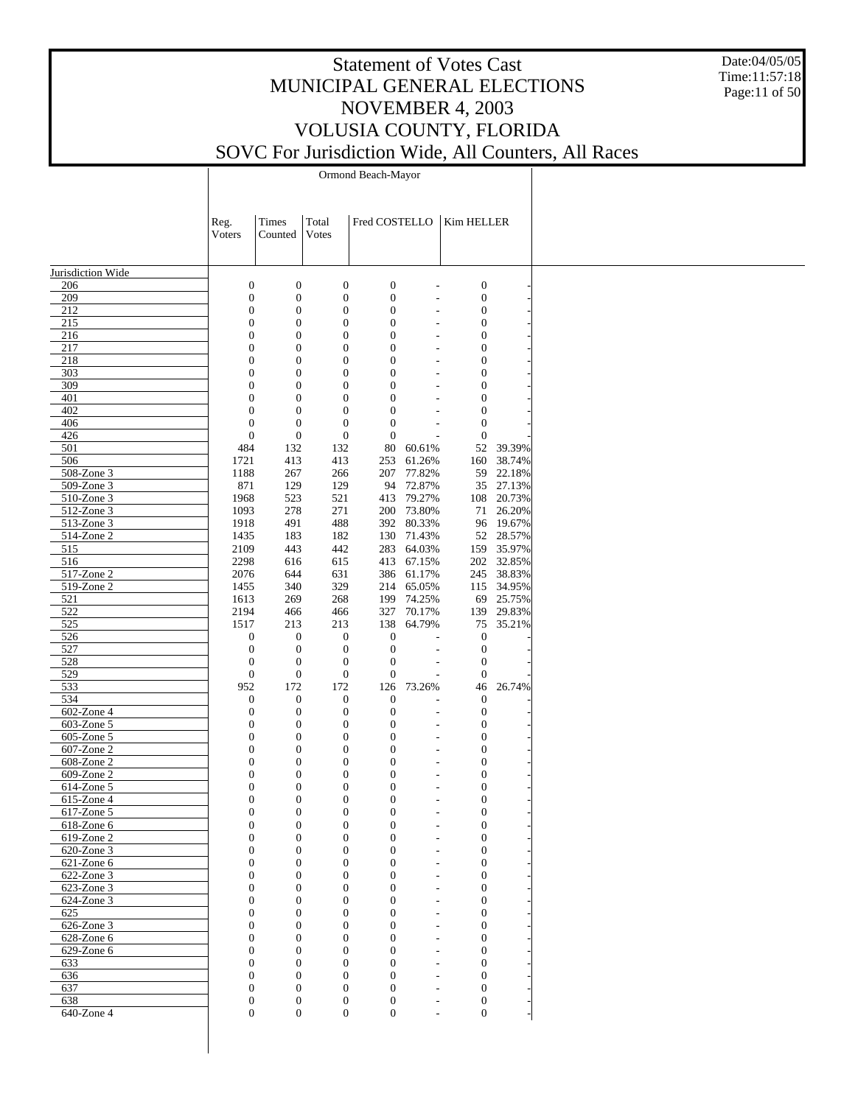Date:04/05/05 Time:11:57:18 Page:11 of 50

Ormond Beach-Mayor

|                          | Reg.<br>Voters                     | Times<br>Counted                     | Total<br><b>Votes</b>                | Fred COSTELLO                    |                          | Kim HELLER                           |                          |
|--------------------------|------------------------------------|--------------------------------------|--------------------------------------|----------------------------------|--------------------------|--------------------------------------|--------------------------|
|                          |                                    |                                      |                                      |                                  |                          |                                      |                          |
| Jurisdiction Wide        |                                    |                                      |                                      |                                  |                          |                                      |                          |
| 206                      | $\mathbf{0}$                       | $\boldsymbol{0}$                     | $\boldsymbol{0}$                     | $\boldsymbol{0}$                 | $\overline{a}$           | $\boldsymbol{0}$                     |                          |
| 209                      | $\boldsymbol{0}$                   | $\boldsymbol{0}$                     | $\boldsymbol{0}$                     | $\boldsymbol{0}$                 | ÷,                       | $\boldsymbol{0}$                     |                          |
| 212                      | $\boldsymbol{0}$                   | $\boldsymbol{0}$                     | $\boldsymbol{0}$                     | $\mathbf{0}$                     | L,                       | $\boldsymbol{0}$                     |                          |
| 215<br>216               | $\mathbf{0}$<br>$\mathbf{0}$       | $\overline{0}$<br>$\boldsymbol{0}$   | $\boldsymbol{0}$<br>$\boldsymbol{0}$ | $\overline{0}$<br>$\overline{0}$ | L,<br>$\overline{a}$     | $\boldsymbol{0}$<br>$\boldsymbol{0}$ |                          |
| 217                      | $\mathbf{0}$                       | $\boldsymbol{0}$                     | $\boldsymbol{0}$                     | $\overline{0}$                   | $\overline{a}$           | $\boldsymbol{0}$                     |                          |
| 218                      | $\mathbf{0}$                       | $\boldsymbol{0}$                     | $\boldsymbol{0}$                     | $\overline{0}$                   | $\overline{a}$           | $\boldsymbol{0}$                     |                          |
| 303                      | $\mathbf{0}$                       | $\boldsymbol{0}$                     | $\boldsymbol{0}$                     | $\overline{0}$                   | $\overline{a}$           | $\boldsymbol{0}$                     |                          |
| 309                      | $\mathbf{0}$                       | $\boldsymbol{0}$                     | $\boldsymbol{0}$                     | $\overline{0}$                   | L,                       | $\boldsymbol{0}$                     |                          |
| 401                      | $\mathbf{0}$                       | $\boldsymbol{0}$                     | $\boldsymbol{0}$                     | $\overline{0}$                   | L,                       | $\boldsymbol{0}$                     |                          |
| 402                      | $\boldsymbol{0}$                   | $\boldsymbol{0}$                     | $\boldsymbol{0}$                     | $\boldsymbol{0}$                 |                          | $\boldsymbol{0}$                     |                          |
| 406                      | $\boldsymbol{0}$                   | $\boldsymbol{0}$                     | $\mathbf{0}$                         | $\overline{0}$                   | L,                       | $\boldsymbol{0}$                     |                          |
| 426                      | $\overline{0}$                     | $\boldsymbol{0}$                     | $\boldsymbol{0}$                     | $\mathbf{0}$                     |                          | $\boldsymbol{0}$                     |                          |
| 501                      | 484                                | 132                                  | 132                                  | 80                               | 60.61%                   |                                      | 52 39.39%                |
| 506                      | 1721                               | 413                                  | 413                                  | 253                              | 61.26%                   |                                      | 160 38.74%               |
| 508-Zone 3               | 1188                               | 267                                  | 266                                  |                                  | 207 77.82%               |                                      | 59 22.18%                |
| 509-Zone 3               | 871                                | 129                                  | 129                                  |                                  | 94 72.87%                |                                      | 35 27.13%                |
| 510-Zone 3               | 1968                               | 523                                  | 521                                  |                                  | 413 79.27%               |                                      | 108 20.73%               |
| 512-Zone 3               | 1093                               | 278                                  | 271                                  |                                  | 200 73.80%               |                                      | 71 26.20%                |
| 513-Zone 3               | 1918                               | 491                                  | 488                                  |                                  | 392 80.33%               |                                      | 96 19.67%                |
| 514-Zone 2<br>515        | 1435<br>2109                       | 183<br>443                           | 182<br>442                           |                                  | 130 71.43%<br>283 64.03% |                                      | 52 28.57%                |
| 516                      | 2298                               | 616                                  | 615                                  |                                  | 413 67.15%               |                                      | 159 35.97%<br>202 32.85% |
| 517-Zone 2               | 2076                               | 644                                  | 631                                  |                                  | 386 61.17%               |                                      | 245 38.83%               |
| 519-Zone 2               | 1455                               | 340                                  | 329                                  |                                  | 214 65.05%               |                                      | 115 34.95%               |
| 521                      | 1613                               | 269                                  | 268                                  |                                  | 199 74.25%               |                                      | 69 25.75%                |
| 522                      | 2194                               | 466                                  | 466                                  |                                  | 327 70.17%               |                                      | 139 29.83%               |
| 525                      | 1517                               | 213                                  | 213                                  | 138                              | 64.79%                   |                                      | 75 35.21%                |
| 526                      | $\boldsymbol{0}$                   | $\mathbf{0}$                         | $\mathbf{0}$                         | $\boldsymbol{0}$                 | Ĭ.                       | $\boldsymbol{0}$                     |                          |
| 527                      | $\mathbf{0}$                       | $\mathbf{0}$                         | $\boldsymbol{0}$                     | $\boldsymbol{0}$                 | ÷,                       | $\boldsymbol{0}$                     |                          |
| 528                      | $\mathbf{0}$                       | $\boldsymbol{0}$                     | $\boldsymbol{0}$                     | $\boldsymbol{0}$                 |                          | $\boldsymbol{0}$                     |                          |
| 529                      | $\mathbf{0}$                       | $\boldsymbol{0}$                     | $\boldsymbol{0}$                     | $\boldsymbol{0}$                 | ÷,                       | $\mathbf{0}$                         |                          |
| 533                      | 952                                | 172                                  | 172                                  | 126                              | 73.26%                   | 46                                   | 26.74%                   |
| 534                      | $\boldsymbol{0}$                   | $\mathbf{0}$                         | $\mathbf{0}$                         | $\boldsymbol{0}$                 |                          | $\boldsymbol{0}$                     |                          |
| 602-Zone 4               | $\mathbf{0}$                       | $\boldsymbol{0}$                     | $\boldsymbol{0}$                     | $\boldsymbol{0}$                 | $\overline{a}$           | $\boldsymbol{0}$                     |                          |
| 603-Zone 5               | $\boldsymbol{0}$                   | $\boldsymbol{0}$                     | $\boldsymbol{0}$                     | $\overline{0}$                   | $\overline{a}$           | $\boldsymbol{0}$                     |                          |
| 605-Zone 5               | $\boldsymbol{0}$                   | $\boldsymbol{0}$                     | $\boldsymbol{0}$                     | $\overline{0}$                   | L,                       | $\boldsymbol{0}$                     |                          |
| 607-Zone 2               | $\boldsymbol{0}$                   | $\boldsymbol{0}$                     | $\boldsymbol{0}$                     | $\overline{0}$                   | $\overline{\phantom{a}}$ | $\boldsymbol{0}$                     |                          |
| 608-Zone 2               | $\boldsymbol{0}$                   | $\boldsymbol{0}$                     | $\boldsymbol{0}$                     | $\boldsymbol{0}$                 | $\overline{a}$           | $\boldsymbol{0}$                     |                          |
| 609-Zone 2               | $\mathbf{0}$                       | $\boldsymbol{0}$                     | $\boldsymbol{0}$                     | $\overline{0}$                   | $\overline{a}$           | $\boldsymbol{0}$                     |                          |
| 614-Zone 5               | $\overline{0}$                     | $\boldsymbol{0}$                     | $\mathbf{0}$                         | $\boldsymbol{0}$                 | $\overline{a}$           | $\boldsymbol{0}$                     |                          |
| 615-Zone 4               | $\boldsymbol{0}$                   | $\boldsymbol{0}$                     | $\mathbf{0}$                         | $\boldsymbol{0}$                 | $\overline{a}$           | $\boldsymbol{0}$                     |                          |
| 617-Zone 5               | $\overline{0}$<br>$\Omega$         | $\boldsymbol{0}$<br>$\Omega$         | $\boldsymbol{0}$<br>$\Omega$         | $\boldsymbol{0}$                 |                          | $\boldsymbol{0}$<br>$\Omega$         |                          |
| 618-Zone 6               |                                    |                                      |                                      | $\Omega$                         |                          |                                      |                          |
| 619-Zone 2<br>620-Zone 3 | $\boldsymbol{0}$<br>$\overline{0}$ | $\boldsymbol{0}$<br>$\boldsymbol{0}$ | $\mathbf{0}$<br>$\overline{0}$       | $\boldsymbol{0}$<br>$\mathbf{0}$ |                          | $\boldsymbol{0}$<br>$\boldsymbol{0}$ |                          |
| 621-Zone 6               | $\mathbf{0}$                       | $\mathbf{0}$                         | $\overline{0}$                       | $\mathbf{0}$                     |                          | $\boldsymbol{0}$                     |                          |
| 622-Zone 3               | $\overline{0}$                     | $\mathbf{0}$                         | $\overline{0}$                       | $\mathbf{0}$                     |                          | $\boldsymbol{0}$                     |                          |
| 623-Zone 3               | $\mathbf{0}$                       | $\mathbf{0}$                         | $\overline{0}$                       | $\mathbf{0}$                     |                          | $\boldsymbol{0}$                     |                          |
| 624-Zone 3               | $\overline{0}$                     | $\boldsymbol{0}$                     | $\overline{0}$                       | $\mathbf{0}$                     |                          | $\boldsymbol{0}$                     |                          |
| 625                      | $\mathbf{0}$                       | $\boldsymbol{0}$                     | $\Omega$                             | $\mathbf{0}$                     |                          | $\boldsymbol{0}$                     |                          |
| $626$ -Zone 3            | $\overline{0}$                     | $\mathbf{0}$                         | $\overline{0}$                       | $\mathbf{0}$                     |                          | $\boldsymbol{0}$                     |                          |
| 628-Zone 6               | $\mathbf{0}$                       | $\mathbf{0}$                         | $\overline{0}$                       | $\mathbf{0}$                     |                          | $\boldsymbol{0}$                     |                          |
| 629-Zone 6               | $\overline{0}$                     | $\mathbf{0}$                         | $\overline{0}$                       | $\overline{0}$                   |                          | $\boldsymbol{0}$                     |                          |
| 633                      | $\mathbf{0}$                       | $\boldsymbol{0}$                     | $\Omega$                             | $\mathbf{0}$                     |                          | $\boldsymbol{0}$                     |                          |
| 636                      | $\mathbf{0}$                       | $\mathbf{0}$                         | $\Omega$                             | $\mathbf{0}$                     |                          | $\boldsymbol{0}$                     |                          |
| 637                      | $\mathbf{0}$                       | $\boldsymbol{0}$                     | $\overline{0}$                       | $\boldsymbol{0}$                 |                          | $\boldsymbol{0}$                     |                          |
| 638                      | $\boldsymbol{0}$                   | $\boldsymbol{0}$                     | $\boldsymbol{0}$                     | $\boldsymbol{0}$                 |                          | $\boldsymbol{0}$                     |                          |
| $640$ -Zone 4            | $\overline{0}$                     | $\boldsymbol{0}$                     | $\overline{0}$                       | $\boldsymbol{0}$                 |                          | $\boldsymbol{0}$                     |                          |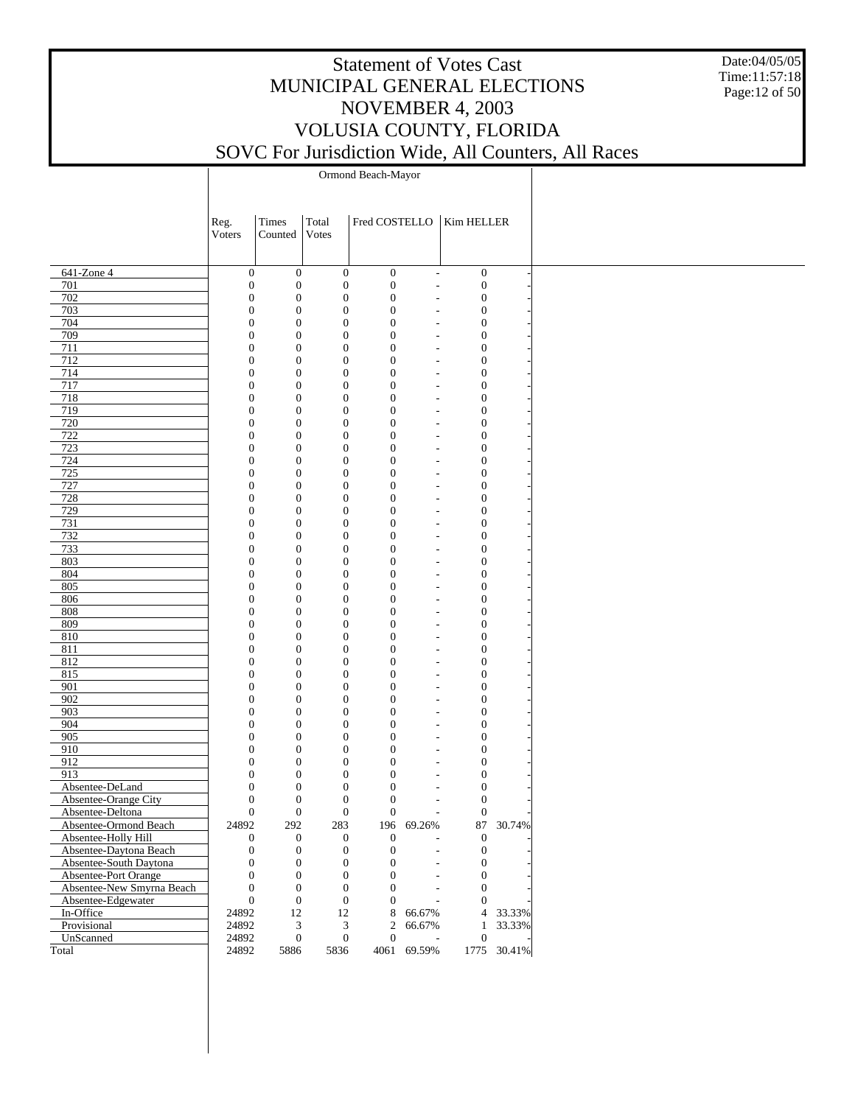Date:04/05/05 Time:11:57:18 Page:12 of 50

Ormond Beach-Mayor

|                           | Reg.<br>Voters                       | Times<br>Counted                     | Total<br>Votes                       |                                      |                          | Fred COSTELLO   Kim HELLER       |             |
|---------------------------|--------------------------------------|--------------------------------------|--------------------------------------|--------------------------------------|--------------------------|----------------------------------|-------------|
|                           |                                      |                                      |                                      |                                      |                          |                                  |             |
| 641-Zone 4                | $\boldsymbol{0}$                     | $\boldsymbol{0}$                     | $\boldsymbol{0}$                     | $\boldsymbol{0}$                     | $\overline{\phantom{a}}$ | $\boldsymbol{0}$                 |             |
| 701                       | $\mathbf{0}$                         | $\boldsymbol{0}$                     | $\boldsymbol{0}$                     | $\boldsymbol{0}$                     | $\overline{\phantom{a}}$ | $\boldsymbol{0}$                 |             |
| 702                       | $\boldsymbol{0}$                     | $\boldsymbol{0}$                     | $\boldsymbol{0}$                     | $\boldsymbol{0}$                     |                          | $\boldsymbol{0}$                 |             |
| 703                       | $\boldsymbol{0}$                     | $\boldsymbol{0}$                     | $\boldsymbol{0}$                     | $\boldsymbol{0}$                     |                          | $\boldsymbol{0}$                 |             |
| 704                       | $\boldsymbol{0}$                     | $\boldsymbol{0}$                     | $\boldsymbol{0}$                     | $\boldsymbol{0}$                     |                          | $\boldsymbol{0}$                 |             |
| 709                       | $\boldsymbol{0}$                     | $\boldsymbol{0}$                     | $\boldsymbol{0}$                     | $\boldsymbol{0}$                     |                          | $\mathbf{0}$                     |             |
| 711                       | $\boldsymbol{0}$                     | $\boldsymbol{0}$                     | $\boldsymbol{0}$                     | $\boldsymbol{0}$                     |                          | $\boldsymbol{0}$                 |             |
| 712                       | $\boldsymbol{0}$                     | $\boldsymbol{0}$                     | $\boldsymbol{0}$                     | $\boldsymbol{0}$                     | $\overline{\phantom{a}}$ | $\mathbf{0}$                     |             |
| 714                       | $\boldsymbol{0}$                     | $\boldsymbol{0}$                     | $\boldsymbol{0}$                     | $\boldsymbol{0}$                     |                          | $\boldsymbol{0}$                 |             |
| 717                       | $\boldsymbol{0}$                     | $\boldsymbol{0}$                     | $\boldsymbol{0}$                     | $\boldsymbol{0}$                     |                          | $\mathbf{0}$                     |             |
| 718                       | $\boldsymbol{0}$                     | $\boldsymbol{0}$                     | $\boldsymbol{0}$                     | $\boldsymbol{0}$                     |                          | $\boldsymbol{0}$                 |             |
| 719                       | $\boldsymbol{0}$                     | $\boldsymbol{0}$                     | $\boldsymbol{0}$                     | $\boldsymbol{0}$                     |                          | $\mathbf{0}$                     |             |
| 720                       | $\boldsymbol{0}$                     | $\boldsymbol{0}$                     | $\boldsymbol{0}$                     | $\boldsymbol{0}$                     |                          | $\boldsymbol{0}$                 |             |
| 722                       | $\boldsymbol{0}$                     | $\boldsymbol{0}$                     | $\boldsymbol{0}$                     | $\boldsymbol{0}$                     |                          | $\mathbf{0}$                     |             |
| 723                       | $\boldsymbol{0}$                     | $\boldsymbol{0}$                     | $\boldsymbol{0}$                     | $\boldsymbol{0}$                     |                          | $\boldsymbol{0}$                 |             |
| 724                       | $\boldsymbol{0}$                     | $\boldsymbol{0}$                     | $\boldsymbol{0}$                     | $\boldsymbol{0}$                     |                          | $\mathbf{0}$                     |             |
| 725                       | $\boldsymbol{0}$                     | $\boldsymbol{0}$                     | $\boldsymbol{0}$                     | $\boldsymbol{0}$                     |                          | $\boldsymbol{0}$                 |             |
| 727                       | $\boldsymbol{0}$                     | $\boldsymbol{0}$                     | $\boldsymbol{0}$                     | $\boldsymbol{0}$                     |                          | $\mathbf{0}$                     |             |
| 728                       | $\boldsymbol{0}$                     | $\boldsymbol{0}$                     | $\boldsymbol{0}$                     | $\boldsymbol{0}$                     |                          | $\boldsymbol{0}$                 |             |
| 729                       | $\boldsymbol{0}$                     | $\boldsymbol{0}$                     | $\boldsymbol{0}$                     | $\boldsymbol{0}$                     |                          | $\mathbf{0}$                     |             |
| 731                       | $\boldsymbol{0}$                     | $\boldsymbol{0}$                     | $\boldsymbol{0}$                     | $\boldsymbol{0}$                     |                          | $\boldsymbol{0}$                 |             |
| 732                       | $\boldsymbol{0}$                     | $\boldsymbol{0}$                     | $\boldsymbol{0}$                     | $\boldsymbol{0}$                     |                          | $\mathbf{0}$                     |             |
| 733                       | $\boldsymbol{0}$                     | $\boldsymbol{0}$                     | $\boldsymbol{0}$                     | $\boldsymbol{0}$                     |                          | $\boldsymbol{0}$                 |             |
| 803                       | $\boldsymbol{0}$                     | $\boldsymbol{0}$                     | $\boldsymbol{0}$                     | $\boldsymbol{0}$                     | $\overline{\phantom{a}}$ | $\mathbf{0}$                     |             |
| 804                       | $\boldsymbol{0}$                     | $\boldsymbol{0}$                     | $\boldsymbol{0}$                     | $\boldsymbol{0}$                     |                          | $\boldsymbol{0}$                 |             |
| 805                       | $\boldsymbol{0}$                     | $\boldsymbol{0}$                     | $\boldsymbol{0}$                     | $\boldsymbol{0}$                     | $\overline{\phantom{a}}$ | $\mathbf{0}$                     |             |
| 806                       | $\boldsymbol{0}$                     | $\boldsymbol{0}$                     | $\boldsymbol{0}$<br>$\boldsymbol{0}$ | $\boldsymbol{0}$                     |                          | $\boldsymbol{0}$                 |             |
| 808                       | $\boldsymbol{0}$                     | $\boldsymbol{0}$                     | $\boldsymbol{0}$                     | $\boldsymbol{0}$                     |                          | $\mathbf{0}$                     |             |
| 809                       | $\boldsymbol{0}$                     | $\boldsymbol{0}$                     | $\boldsymbol{0}$                     | $\boldsymbol{0}$                     |                          | $\boldsymbol{0}$                 |             |
| 810                       | $\boldsymbol{0}$                     | $\boldsymbol{0}$                     | $\boldsymbol{0}$                     | $\boldsymbol{0}$                     |                          | $\mathbf{0}$                     |             |
| 811                       | $\boldsymbol{0}$                     | $\boldsymbol{0}$                     | $\boldsymbol{0}$                     | $\boldsymbol{0}$                     |                          | $\boldsymbol{0}$                 |             |
| 812                       | $\boldsymbol{0}$                     | $\boldsymbol{0}$                     | $\boldsymbol{0}$                     | $\boldsymbol{0}$                     |                          | $\mathbf{0}$                     |             |
| 815                       | $\boldsymbol{0}$                     | $\boldsymbol{0}$                     | $\boldsymbol{0}$                     | $\boldsymbol{0}$                     |                          | $\boldsymbol{0}$                 |             |
| 901                       | $\boldsymbol{0}$                     | $\boldsymbol{0}$                     |                                      | $\boldsymbol{0}$                     |                          | $\mathbf{0}$                     |             |
| 902                       | $\boldsymbol{0}$                     | $\boldsymbol{0}$                     | $\boldsymbol{0}$<br>$\boldsymbol{0}$ | $\boldsymbol{0}$                     |                          | $\boldsymbol{0}$                 |             |
| 903<br>904                | $\boldsymbol{0}$                     | $\boldsymbol{0}$                     | $\boldsymbol{0}$                     | $\boldsymbol{0}$                     |                          | $\mathbf{0}$                     |             |
|                           | $\boldsymbol{0}$                     | $\boldsymbol{0}$                     |                                      | $\boldsymbol{0}$                     |                          | $\boldsymbol{0}$                 |             |
| 905                       | $\boldsymbol{0}$                     | $\boldsymbol{0}$                     | $\boldsymbol{0}$                     | $\boldsymbol{0}$                     |                          | $\mathbf{0}$                     |             |
| 910                       | $\boldsymbol{0}$                     | $\boldsymbol{0}$                     | $\boldsymbol{0}$<br>$\boldsymbol{0}$ | $\boldsymbol{0}$                     |                          | $\boldsymbol{0}$                 |             |
| 912<br>913                | $\boldsymbol{0}$<br>$\boldsymbol{0}$ | $\boldsymbol{0}$<br>$\boldsymbol{0}$ | $\boldsymbol{0}$                     | $\boldsymbol{0}$<br>$\boldsymbol{0}$ |                          | $\mathbf{0}$<br>$\boldsymbol{0}$ |             |
| Absentee-DeLand           | $\boldsymbol{0}$                     | $\boldsymbol{0}$                     | $\boldsymbol{0}$                     |                                      |                          | $\mathbf{0}$                     |             |
| Absentee-Orange City      | $\boldsymbol{0}$                     | $\boldsymbol{0}$                     | $\boldsymbol{0}$                     | $\boldsymbol{0}$<br>$\boldsymbol{0}$ |                          | $\mathbf{0}$                     |             |
| Absentee-Deltona          | $\boldsymbol{0}$                     | $\boldsymbol{0}$                     | $\mathbf{0}$                         | $\overline{0}$                       |                          | $\mathbf{0}$                     |             |
| Absentee-Ormond Beach     | 24892                                | 292                                  | 283                                  |                                      | 196 69.26%               |                                  | 87 30.74%   |
| Absentee-Holly Hill       | $\mathbf{0}$                         | $\boldsymbol{0}$                     | $\boldsymbol{0}$                     | $\overline{0}$                       |                          | 0                                |             |
| Absentee-Daytona Beach    | $\mathbf{0}$                         | $\boldsymbol{0}$                     | $\boldsymbol{0}$                     | $\boldsymbol{0}$                     |                          | $\boldsymbol{0}$                 |             |
| Absentee-South Daytona    | $\boldsymbol{0}$                     | $\boldsymbol{0}$                     | $\boldsymbol{0}$                     | $\overline{0}$                       |                          | $\boldsymbol{0}$                 |             |
| Absentee-Port Orange      | $\mathbf{0}$                         | $\boldsymbol{0}$                     | $\boldsymbol{0}$                     | $\boldsymbol{0}$                     |                          | $\boldsymbol{0}$                 |             |
| Absentee-New Smyrna Beach | $\boldsymbol{0}$                     | $\boldsymbol{0}$                     | $\boldsymbol{0}$                     | $\mathbf{0}$                         |                          | $\mathbf{0}$                     |             |
| Absentee-Edgewater        | $\overline{0}$                       | $\boldsymbol{0}$                     | $\boldsymbol{0}$                     | $\overline{0}$                       |                          | $\mathbf{0}$                     |             |
| In-Office                 | 24892                                | 12                                   | $12\,$                               | 8                                    | 66.67%                   |                                  | 4 33.33%    |
| Provisional               | 24892                                | 3                                    | $\mathfrak{Z}$                       | $\overline{c}$                       | 66.67%                   | $\mathbf{1}$                     | 33.33%      |
| UnScanned                 | 24892                                | $\boldsymbol{0}$                     | $\boldsymbol{0}$                     | $\mathbf{0}$                         | $\overline{\phantom{a}}$ | $\mathbf{0}$                     |             |
| Total                     | 24892                                | 5886                                 | 5836                                 |                                      | 4061 69.59%              |                                  | 1775 30.41% |
|                           |                                      |                                      |                                      |                                      |                          |                                  |             |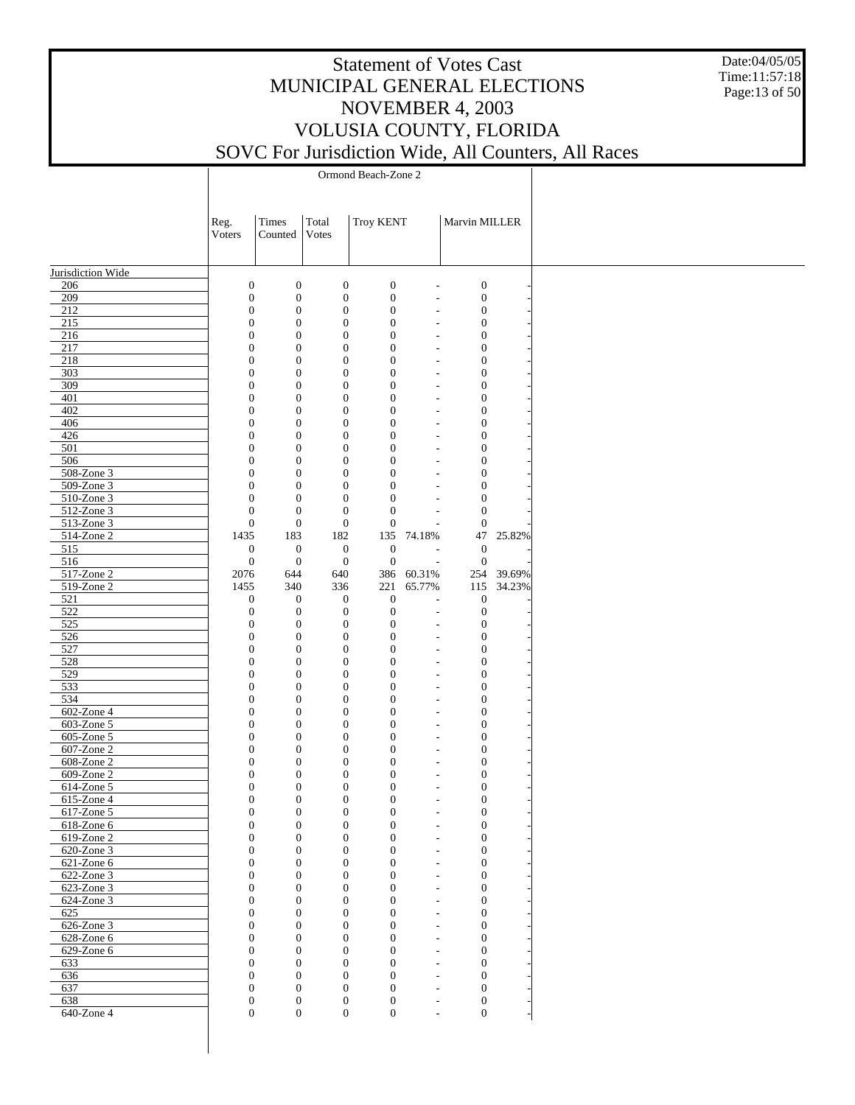Date:04/05/05 Time:11:57:18 Page:13 of 50

| Times<br>Total<br><b>Troy KENT</b><br>Marvin MILLER<br>Reg.<br>Votes<br>Voters<br>Counted<br>Jurisdiction Wide<br>$\boldsymbol{0}$<br>$\boldsymbol{0}$<br>$\boldsymbol{0}$<br>$\boldsymbol{0}$<br>$\boldsymbol{0}$<br>206<br>L,<br>209<br>$\boldsymbol{0}$<br>$\boldsymbol{0}$<br>$\mathbf{0}$<br>$\boldsymbol{0}$<br>$\boldsymbol{0}$<br>÷,<br>212<br>$\boldsymbol{0}$<br>$\boldsymbol{0}$<br>$\mathbf{0}$<br>$\boldsymbol{0}$<br>$\boldsymbol{0}$<br>$\overline{a}$<br>215<br>$\boldsymbol{0}$<br>$\mathbf{0}$<br>$\boldsymbol{0}$<br>$\boldsymbol{0}$<br>$\boldsymbol{0}$<br>$\overline{\phantom{a}}$<br>216<br>$\boldsymbol{0}$<br>$\boldsymbol{0}$<br>$\mathbf{0}$<br>$\boldsymbol{0}$<br>$\boldsymbol{0}$<br>$\overline{\phantom{a}}$<br>217<br>$\boldsymbol{0}$<br>$\mathbf{0}$<br>$\boldsymbol{0}$<br>$\boldsymbol{0}$<br>$\boldsymbol{0}$<br>$\overline{\phantom{a}}$<br>218<br>$\boldsymbol{0}$<br>$\boldsymbol{0}$<br>$\boldsymbol{0}$<br>$\boldsymbol{0}$<br>$\boldsymbol{0}$<br>$\overline{\phantom{a}}$<br>303<br>$\boldsymbol{0}$<br>$\mathbf{0}$<br>$\boldsymbol{0}$<br>$\boldsymbol{0}$<br>$\boldsymbol{0}$<br>$\overline{\phantom{a}}$<br>309<br>$\boldsymbol{0}$<br>$\boldsymbol{0}$<br>$\boldsymbol{0}$<br>$\boldsymbol{0}$<br>$\boldsymbol{0}$<br>$\overline{\phantom{a}}$<br>401<br>$\boldsymbol{0}$<br>$\mathbf{0}$<br>$\boldsymbol{0}$<br>$\boldsymbol{0}$<br>$\boldsymbol{0}$<br>$\overline{\phantom{a}}$<br>402<br>$\boldsymbol{0}$<br>$\boldsymbol{0}$<br>$\boldsymbol{0}$<br>$\boldsymbol{0}$<br>$\boldsymbol{0}$<br>$\overline{\phantom{a}}$<br>$\boldsymbol{0}$<br>$\mathbf{0}$<br>$\boldsymbol{0}$<br>$\boldsymbol{0}$<br>$\boldsymbol{0}$<br>406<br>$\overline{\phantom{a}}$<br>426<br>$\boldsymbol{0}$<br>$\boldsymbol{0}$<br>$\boldsymbol{0}$<br>$\boldsymbol{0}$<br>$\boldsymbol{0}$<br>$\overline{\phantom{a}}$<br>501<br>$\boldsymbol{0}$<br>$\mathbf{0}$<br>$\boldsymbol{0}$<br>$\boldsymbol{0}$<br>$\boldsymbol{0}$<br>$\overline{\phantom{a}}$<br>506<br>$\boldsymbol{0}$<br>$\boldsymbol{0}$<br>$\mathbf{0}$<br>$\boldsymbol{0}$<br>$\boldsymbol{0}$<br>$\overline{\phantom{a}}$<br>508-Zone 3<br>$\boldsymbol{0}$<br>$\mathbf{0}$<br>$\boldsymbol{0}$<br>$\boldsymbol{0}$<br>$\boldsymbol{0}$<br>$\overline{\phantom{a}}$<br>509-Zone 3<br>$\boldsymbol{0}$<br>$\boldsymbol{0}$<br>$\mathbf{0}$<br>$\boldsymbol{0}$<br>$\boldsymbol{0}$<br>$\overline{\phantom{a}}$<br>510-Zone 3<br>$\boldsymbol{0}$<br>$\mathbf{0}$<br>$\boldsymbol{0}$<br>$\boldsymbol{0}$<br>$\boldsymbol{0}$<br>$\overline{\phantom{a}}$<br>512-Zone 3<br>$\boldsymbol{0}$<br>$\boldsymbol{0}$<br>$\mathbf{0}$<br>$\boldsymbol{0}$<br>$\boldsymbol{0}$<br>$\boldsymbol{0}$<br>$\mathbf{0}$<br>$\mathbf{0}$<br>$\boldsymbol{0}$<br>513-Zone 3<br>$\boldsymbol{0}$<br>$\overline{\phantom{a}}$<br>514-Zone 2<br>47<br>1435<br>183<br>182<br>135<br>74.18%<br>25.82%<br>515<br>$\boldsymbol{0}$<br>$\boldsymbol{0}$<br>$\mathbf{0}$<br>$\boldsymbol{0}$<br>$\boldsymbol{0}$<br>٠<br>516<br>$\boldsymbol{0}$<br>$\boldsymbol{0}$<br>$\mathbf{0}$<br>$\mathbf{0}$<br>$\boldsymbol{0}$<br>$\overline{a}$<br>517-Zone 2<br>640<br>39.69%<br>2076<br>644<br>386<br>60.31%<br>254<br>519-Zone 2<br>340<br>65.77%<br>34.23%<br>1455<br>336<br>221<br>115<br>521<br>$\boldsymbol{0}$<br>$\boldsymbol{0}$<br>$\boldsymbol{0}$<br>$\boldsymbol{0}$<br>$\boldsymbol{0}$<br>$\overline{\phantom{a}}$<br>522<br>$\boldsymbol{0}$<br>$\boldsymbol{0}$<br>$\boldsymbol{0}$<br>$\boldsymbol{0}$<br>$\mathbf{0}$<br>÷,<br>525<br>$\boldsymbol{0}$<br>$\boldsymbol{0}$<br>$\boldsymbol{0}$<br>$\mathbf{0}$<br>$\boldsymbol{0}$<br>$\overline{\phantom{a}}$<br>526<br>$\boldsymbol{0}$<br>$\boldsymbol{0}$<br>$\mathbf{0}$<br>$\boldsymbol{0}$<br>$\boldsymbol{0}$<br>$\overline{\phantom{a}}$<br>527<br>$\boldsymbol{0}$<br>$\boldsymbol{0}$<br>$\boldsymbol{0}$<br>$\boldsymbol{0}$<br>$\boldsymbol{0}$<br>$\overline{\phantom{a}}$<br>528<br>$\boldsymbol{0}$<br>$\boldsymbol{0}$<br>$\mathbf{0}$<br>$\boldsymbol{0}$<br>$\boldsymbol{0}$<br>$\overline{\phantom{a}}$<br>529<br>$\boldsymbol{0}$<br>$\mathbf{0}$<br>$\boldsymbol{0}$<br>$\boldsymbol{0}$<br>$\boldsymbol{0}$<br>$\overline{\phantom{a}}$<br>533<br>$\boldsymbol{0}$<br>$\boldsymbol{0}$<br>$\mathbf{0}$<br>$\boldsymbol{0}$<br>$\boldsymbol{0}$<br>÷,<br>534<br>$\boldsymbol{0}$<br>$\boldsymbol{0}$<br>$\boldsymbol{0}$<br>$\boldsymbol{0}$<br>$\boldsymbol{0}$<br>$\overline{\phantom{a}}$<br>602-Zone 4<br>$\boldsymbol{0}$<br>$\boldsymbol{0}$<br>$\mathbf{0}$<br>$\boldsymbol{0}$<br>$\boldsymbol{0}$<br>÷,<br>$\boldsymbol{0}$<br>$\mathbf{0}$<br>$\boldsymbol{0}$<br>$\boldsymbol{0}$<br>$\boldsymbol{0}$<br>603-Zone 5<br>$\overline{\phantom{a}}$<br>$605$ -Zone 5<br>$\boldsymbol{0}$<br>$\boldsymbol{0}$<br>$\mathbf{0}$<br>$\boldsymbol{0}$<br>$\boldsymbol{0}$<br>÷,<br>607-Zone 2<br>$\boldsymbol{0}$<br>$\boldsymbol{0}$<br>$\boldsymbol{0}$<br>$\boldsymbol{0}$<br>$\boldsymbol{0}$<br>$\overline{\phantom{a}}$<br>608-Zone 2<br>$\boldsymbol{0}$<br>$\boldsymbol{0}$<br>$\mathbf{0}$<br>$\boldsymbol{0}$<br>$\boldsymbol{0}$<br>÷,<br>609-Zone 2<br>$\boldsymbol{0}$<br>$\mathbf{0}$<br>$\boldsymbol{0}$<br>$\boldsymbol{0}$<br>$\mathbf{0}$<br>$\overline{\phantom{a}}$<br>614-Zone 5<br>$\boldsymbol{0}$<br>$\boldsymbol{0}$<br>$\mathbf{0}$<br>$\boldsymbol{0}$<br>$\boldsymbol{0}$<br>$\overline{a}$<br>615-Zone 4<br>$\boldsymbol{0}$<br>$\mathbf{0}$<br>$\boldsymbol{0}$<br>$\boldsymbol{0}$<br>$\boldsymbol{0}$<br>÷,<br>$\overline{0}$<br>$\boldsymbol{0}$<br>$\theta$<br>$\boldsymbol{0}$<br>$\boldsymbol{0}$<br>617-Zone 5<br>L,<br>618-Zone 6<br>$\boldsymbol{0}$<br>$\boldsymbol{0}$<br>$\boldsymbol{0}$<br>$\boldsymbol{0}$<br>$\overline{0}$<br>٠<br>619-Zone 2<br>$\boldsymbol{0}$<br>$\boldsymbol{0}$<br>$\mathbf{0}$<br>$\boldsymbol{0}$<br>$\boldsymbol{0}$<br>620-Zone 3<br>$\overline{0}$<br>$\boldsymbol{0}$<br>$\boldsymbol{0}$<br>$\boldsymbol{0}$<br>$\overline{0}$<br>$\overline{\phantom{a}}$<br>621-Zone 6<br>$\boldsymbol{0}$<br>$\boldsymbol{0}$<br>$\overline{0}$<br>$\boldsymbol{0}$<br>$\boldsymbol{0}$<br>$\overline{\phantom{a}}$<br>622-Zone 3<br>$\overline{0}$<br>$\overline{0}$<br>$\boldsymbol{0}$<br>$\theta$<br>$\mathbf{0}$<br>$\overline{\phantom{a}}$<br>$623$ -Zone 3<br>$\boldsymbol{0}$<br>$\boldsymbol{0}$<br>$\overline{0}$<br>$\boldsymbol{0}$<br>$\boldsymbol{0}$<br>$\overline{\phantom{a}}$<br>624-Zone 3<br>$\overline{0}$<br>$\overline{0}$<br>$\boldsymbol{0}$<br>$\theta$<br>$\mathbf{0}$<br>$\overline{\phantom{a}}$<br>625<br>$\boldsymbol{0}$<br>$\boldsymbol{0}$<br>$\boldsymbol{0}$<br>$\boldsymbol{0}$<br>$\overline{0}$<br>$\overline{\phantom{a}}$<br>626-Zone 3<br>$\overline{0}$<br>$\overline{0}$<br>$\boldsymbol{0}$<br>$\theta$<br>$\mathbf{0}$<br>$\overline{\phantom{a}}$<br>628-Zone 6<br>$\boldsymbol{0}$<br>$\boldsymbol{0}$<br>$\boldsymbol{0}$<br>$\boldsymbol{0}$<br>$\overline{0}$<br>$\overline{\phantom{a}}$<br>629-Zone 6<br>$\overline{0}$<br>$\overline{0}$<br>$\boldsymbol{0}$<br>$\Omega$<br>$\overline{0}$<br>$\overline{\phantom{a}}$<br>633<br>$\boldsymbol{0}$<br>$\boldsymbol{0}$<br>$\boldsymbol{0}$<br>$\boldsymbol{0}$<br>$\overline{0}$<br>$\overline{\phantom{a}}$<br>636<br>$\overline{0}$<br>$\overline{0}$<br>$\boldsymbol{0}$<br>$\theta$<br>$\mathbf{0}$<br>$\overline{\phantom{a}}$<br>637<br>$\boldsymbol{0}$<br>$\boldsymbol{0}$<br>$\mathbf{0}$<br>$\boldsymbol{0}$<br>$\boldsymbol{0}$<br>$\overline{\phantom{a}}$<br>638<br>$\boldsymbol{0}$<br>$\boldsymbol{0}$<br>$\boldsymbol{0}$<br>$\boldsymbol{0}$<br>$\mathbf{0}$<br>$\overline{\phantom{a}}$<br>640-Zone 4<br>$\boldsymbol{0}$<br>$\boldsymbol{0}$<br>$\overline{0}$<br>$\boldsymbol{0}$<br>$\mathbf{0}$<br>$\overline{a}$ |  |  |  |  |
|----------------------------------------------------------------------------------------------------------------------------------------------------------------------------------------------------------------------------------------------------------------------------------------------------------------------------------------------------------------------------------------------------------------------------------------------------------------------------------------------------------------------------------------------------------------------------------------------------------------------------------------------------------------------------------------------------------------------------------------------------------------------------------------------------------------------------------------------------------------------------------------------------------------------------------------------------------------------------------------------------------------------------------------------------------------------------------------------------------------------------------------------------------------------------------------------------------------------------------------------------------------------------------------------------------------------------------------------------------------------------------------------------------------------------------------------------------------------------------------------------------------------------------------------------------------------------------------------------------------------------------------------------------------------------------------------------------------------------------------------------------------------------------------------------------------------------------------------------------------------------------------------------------------------------------------------------------------------------------------------------------------------------------------------------------------------------------------------------------------------------------------------------------------------------------------------------------------------------------------------------------------------------------------------------------------------------------------------------------------------------------------------------------------------------------------------------------------------------------------------------------------------------------------------------------------------------------------------------------------------------------------------------------------------------------------------------------------------------------------------------------------------------------------------------------------------------------------------------------------------------------------------------------------------------------------------------------------------------------------------------------------------------------------------------------------------------------------------------------------------------------------------------------------------------------------------------------------------------------------------------------------------------------------------------------------------------------------------------------------------------------------------------------------------------------------------------------------------------------------------------------------------------------------------------------------------------------------------------------------------------------------------------------------------------------------------------------------------------------------------------------------------------------------------------------------------------------------------------------------------------------------------------------------------------------------------------------------------------------------------------------------------------------------------------------------------------------------------------------------------------------------------------------------------------------------------------------------------------------------------------------------------------------------------------------------------------------------------------------------------------------------------------------------------------------------------------------------------------------------------------------------------------------------------------------------------------------------------------------------------------------------------------------------------------------------------------------------------------------------------------------------------------------------------------------------------------------------------------------------------------------------------------------------------------------------------------------------------------------------------------------------------------------------------------------------------------------------------------------------------------------------------------------------------------------------------------------------------------------------------------------------------------------------------------------------------------------------------------------------------------------------------------------------------------------------------------------------------------------------------------------------------------------------------------------------------------------------------------------------------------------------------------------------------------------------------------------------------------------------------------------------------------------------------------------------------------------------------------------------------------------------------------------------------------------------------------------------------------------------------------------------------------------------------------------------------------------------------------------------------------------------------------------------------------------------------------------------------------------------------------------------------------------------------------------------------------------------------------------------------------------------------------------------------------------------------------------------------------------------------------------------------------------------------------------------------------------------------------------------------------------------------------------------------------------------------------------------------------------------------------------------------------------------------------------------------------------------------------------------------------------------------------------------------------------------------------------------------------------------------------------------------------------------------------------------------------------------------------------------------------------------------------------------------------------------------------------------------------------------------------------------------------------------------------------------------------------------------------------------------------------------------------------------------------------------------------------------------------------------------------------------------------------------------------------------------------------------------------------------------------------------------------------------------------------------------------------------------------------------------------------------------------|--|--|--|--|
|                                                                                                                                                                                                                                                                                                                                                                                                                                                                                                                                                                                                                                                                                                                                                                                                                                                                                                                                                                                                                                                                                                                                                                                                                                                                                                                                                                                                                                                                                                                                                                                                                                                                                                                                                                                                                                                                                                                                                                                                                                                                                                                                                                                                                                                                                                                                                                                                                                                                                                                                                                                                                                                                                                                                                                                                                                                                                                                                                                                                                                                                                                                                                                                                                                                                                                                                                                                                                                                                                                                                                                                                                                                                                                                                                                                                                                                                                                                                                                                                                                                                                                                                                                                                                                                                                                                                                                                                                                                                                                                                                                                                                                                                                                                                                                                                                                                                                                                                                                                                                                                                                                                                                                                                                                                                                                                                                                                                                                                                                                                                                                                                                                                                                                                                                                                                                                                                                                                                                                                                                                                                                                                                                                                                                                                                                                                                                                                                                                                                                                                                                                                                                                                                                                                                                                                                                                                                                                                                                                                                                                                                                                                                                                                                                                                                                                                                                                                                                                                                                                                                                                                                                                                                                                                                                                            |  |  |  |  |
|                                                                                                                                                                                                                                                                                                                                                                                                                                                                                                                                                                                                                                                                                                                                                                                                                                                                                                                                                                                                                                                                                                                                                                                                                                                                                                                                                                                                                                                                                                                                                                                                                                                                                                                                                                                                                                                                                                                                                                                                                                                                                                                                                                                                                                                                                                                                                                                                                                                                                                                                                                                                                                                                                                                                                                                                                                                                                                                                                                                                                                                                                                                                                                                                                                                                                                                                                                                                                                                                                                                                                                                                                                                                                                                                                                                                                                                                                                                                                                                                                                                                                                                                                                                                                                                                                                                                                                                                                                                                                                                                                                                                                                                                                                                                                                                                                                                                                                                                                                                                                                                                                                                                                                                                                                                                                                                                                                                                                                                                                                                                                                                                                                                                                                                                                                                                                                                                                                                                                                                                                                                                                                                                                                                                                                                                                                                                                                                                                                                                                                                                                                                                                                                                                                                                                                                                                                                                                                                                                                                                                                                                                                                                                                                                                                                                                                                                                                                                                                                                                                                                                                                                                                                                                                                                                                            |  |  |  |  |
|                                                                                                                                                                                                                                                                                                                                                                                                                                                                                                                                                                                                                                                                                                                                                                                                                                                                                                                                                                                                                                                                                                                                                                                                                                                                                                                                                                                                                                                                                                                                                                                                                                                                                                                                                                                                                                                                                                                                                                                                                                                                                                                                                                                                                                                                                                                                                                                                                                                                                                                                                                                                                                                                                                                                                                                                                                                                                                                                                                                                                                                                                                                                                                                                                                                                                                                                                                                                                                                                                                                                                                                                                                                                                                                                                                                                                                                                                                                                                                                                                                                                                                                                                                                                                                                                                                                                                                                                                                                                                                                                                                                                                                                                                                                                                                                                                                                                                                                                                                                                                                                                                                                                                                                                                                                                                                                                                                                                                                                                                                                                                                                                                                                                                                                                                                                                                                                                                                                                                                                                                                                                                                                                                                                                                                                                                                                                                                                                                                                                                                                                                                                                                                                                                                                                                                                                                                                                                                                                                                                                                                                                                                                                                                                                                                                                                                                                                                                                                                                                                                                                                                                                                                                                                                                                                                            |  |  |  |  |
|                                                                                                                                                                                                                                                                                                                                                                                                                                                                                                                                                                                                                                                                                                                                                                                                                                                                                                                                                                                                                                                                                                                                                                                                                                                                                                                                                                                                                                                                                                                                                                                                                                                                                                                                                                                                                                                                                                                                                                                                                                                                                                                                                                                                                                                                                                                                                                                                                                                                                                                                                                                                                                                                                                                                                                                                                                                                                                                                                                                                                                                                                                                                                                                                                                                                                                                                                                                                                                                                                                                                                                                                                                                                                                                                                                                                                                                                                                                                                                                                                                                                                                                                                                                                                                                                                                                                                                                                                                                                                                                                                                                                                                                                                                                                                                                                                                                                                                                                                                                                                                                                                                                                                                                                                                                                                                                                                                                                                                                                                                                                                                                                                                                                                                                                                                                                                                                                                                                                                                                                                                                                                                                                                                                                                                                                                                                                                                                                                                                                                                                                                                                                                                                                                                                                                                                                                                                                                                                                                                                                                                                                                                                                                                                                                                                                                                                                                                                                                                                                                                                                                                                                                                                                                                                                                                            |  |  |  |  |
|                                                                                                                                                                                                                                                                                                                                                                                                                                                                                                                                                                                                                                                                                                                                                                                                                                                                                                                                                                                                                                                                                                                                                                                                                                                                                                                                                                                                                                                                                                                                                                                                                                                                                                                                                                                                                                                                                                                                                                                                                                                                                                                                                                                                                                                                                                                                                                                                                                                                                                                                                                                                                                                                                                                                                                                                                                                                                                                                                                                                                                                                                                                                                                                                                                                                                                                                                                                                                                                                                                                                                                                                                                                                                                                                                                                                                                                                                                                                                                                                                                                                                                                                                                                                                                                                                                                                                                                                                                                                                                                                                                                                                                                                                                                                                                                                                                                                                                                                                                                                                                                                                                                                                                                                                                                                                                                                                                                                                                                                                                                                                                                                                                                                                                                                                                                                                                                                                                                                                                                                                                                                                                                                                                                                                                                                                                                                                                                                                                                                                                                                                                                                                                                                                                                                                                                                                                                                                                                                                                                                                                                                                                                                                                                                                                                                                                                                                                                                                                                                                                                                                                                                                                                                                                                                                                            |  |  |  |  |
|                                                                                                                                                                                                                                                                                                                                                                                                                                                                                                                                                                                                                                                                                                                                                                                                                                                                                                                                                                                                                                                                                                                                                                                                                                                                                                                                                                                                                                                                                                                                                                                                                                                                                                                                                                                                                                                                                                                                                                                                                                                                                                                                                                                                                                                                                                                                                                                                                                                                                                                                                                                                                                                                                                                                                                                                                                                                                                                                                                                                                                                                                                                                                                                                                                                                                                                                                                                                                                                                                                                                                                                                                                                                                                                                                                                                                                                                                                                                                                                                                                                                                                                                                                                                                                                                                                                                                                                                                                                                                                                                                                                                                                                                                                                                                                                                                                                                                                                                                                                                                                                                                                                                                                                                                                                                                                                                                                                                                                                                                                                                                                                                                                                                                                                                                                                                                                                                                                                                                                                                                                                                                                                                                                                                                                                                                                                                                                                                                                                                                                                                                                                                                                                                                                                                                                                                                                                                                                                                                                                                                                                                                                                                                                                                                                                                                                                                                                                                                                                                                                                                                                                                                                                                                                                                                                            |  |  |  |  |
|                                                                                                                                                                                                                                                                                                                                                                                                                                                                                                                                                                                                                                                                                                                                                                                                                                                                                                                                                                                                                                                                                                                                                                                                                                                                                                                                                                                                                                                                                                                                                                                                                                                                                                                                                                                                                                                                                                                                                                                                                                                                                                                                                                                                                                                                                                                                                                                                                                                                                                                                                                                                                                                                                                                                                                                                                                                                                                                                                                                                                                                                                                                                                                                                                                                                                                                                                                                                                                                                                                                                                                                                                                                                                                                                                                                                                                                                                                                                                                                                                                                                                                                                                                                                                                                                                                                                                                                                                                                                                                                                                                                                                                                                                                                                                                                                                                                                                                                                                                                                                                                                                                                                                                                                                                                                                                                                                                                                                                                                                                                                                                                                                                                                                                                                                                                                                                                                                                                                                                                                                                                                                                                                                                                                                                                                                                                                                                                                                                                                                                                                                                                                                                                                                                                                                                                                                                                                                                                                                                                                                                                                                                                                                                                                                                                                                                                                                                                                                                                                                                                                                                                                                                                                                                                                                                            |  |  |  |  |
|                                                                                                                                                                                                                                                                                                                                                                                                                                                                                                                                                                                                                                                                                                                                                                                                                                                                                                                                                                                                                                                                                                                                                                                                                                                                                                                                                                                                                                                                                                                                                                                                                                                                                                                                                                                                                                                                                                                                                                                                                                                                                                                                                                                                                                                                                                                                                                                                                                                                                                                                                                                                                                                                                                                                                                                                                                                                                                                                                                                                                                                                                                                                                                                                                                                                                                                                                                                                                                                                                                                                                                                                                                                                                                                                                                                                                                                                                                                                                                                                                                                                                                                                                                                                                                                                                                                                                                                                                                                                                                                                                                                                                                                                                                                                                                                                                                                                                                                                                                                                                                                                                                                                                                                                                                                                                                                                                                                                                                                                                                                                                                                                                                                                                                                                                                                                                                                                                                                                                                                                                                                                                                                                                                                                                                                                                                                                                                                                                                                                                                                                                                                                                                                                                                                                                                                                                                                                                                                                                                                                                                                                                                                                                                                                                                                                                                                                                                                                                                                                                                                                                                                                                                                                                                                                                                            |  |  |  |  |
|                                                                                                                                                                                                                                                                                                                                                                                                                                                                                                                                                                                                                                                                                                                                                                                                                                                                                                                                                                                                                                                                                                                                                                                                                                                                                                                                                                                                                                                                                                                                                                                                                                                                                                                                                                                                                                                                                                                                                                                                                                                                                                                                                                                                                                                                                                                                                                                                                                                                                                                                                                                                                                                                                                                                                                                                                                                                                                                                                                                                                                                                                                                                                                                                                                                                                                                                                                                                                                                                                                                                                                                                                                                                                                                                                                                                                                                                                                                                                                                                                                                                                                                                                                                                                                                                                                                                                                                                                                                                                                                                                                                                                                                                                                                                                                                                                                                                                                                                                                                                                                                                                                                                                                                                                                                                                                                                                                                                                                                                                                                                                                                                                                                                                                                                                                                                                                                                                                                                                                                                                                                                                                                                                                                                                                                                                                                                                                                                                                                                                                                                                                                                                                                                                                                                                                                                                                                                                                                                                                                                                                                                                                                                                                                                                                                                                                                                                                                                                                                                                                                                                                                                                                                                                                                                                                            |  |  |  |  |
|                                                                                                                                                                                                                                                                                                                                                                                                                                                                                                                                                                                                                                                                                                                                                                                                                                                                                                                                                                                                                                                                                                                                                                                                                                                                                                                                                                                                                                                                                                                                                                                                                                                                                                                                                                                                                                                                                                                                                                                                                                                                                                                                                                                                                                                                                                                                                                                                                                                                                                                                                                                                                                                                                                                                                                                                                                                                                                                                                                                                                                                                                                                                                                                                                                                                                                                                                                                                                                                                                                                                                                                                                                                                                                                                                                                                                                                                                                                                                                                                                                                                                                                                                                                                                                                                                                                                                                                                                                                                                                                                                                                                                                                                                                                                                                                                                                                                                                                                                                                                                                                                                                                                                                                                                                                                                                                                                                                                                                                                                                                                                                                                                                                                                                                                                                                                                                                                                                                                                                                                                                                                                                                                                                                                                                                                                                                                                                                                                                                                                                                                                                                                                                                                                                                                                                                                                                                                                                                                                                                                                                                                                                                                                                                                                                                                                                                                                                                                                                                                                                                                                                                                                                                                                                                                                                            |  |  |  |  |
|                                                                                                                                                                                                                                                                                                                                                                                                                                                                                                                                                                                                                                                                                                                                                                                                                                                                                                                                                                                                                                                                                                                                                                                                                                                                                                                                                                                                                                                                                                                                                                                                                                                                                                                                                                                                                                                                                                                                                                                                                                                                                                                                                                                                                                                                                                                                                                                                                                                                                                                                                                                                                                                                                                                                                                                                                                                                                                                                                                                                                                                                                                                                                                                                                                                                                                                                                                                                                                                                                                                                                                                                                                                                                                                                                                                                                                                                                                                                                                                                                                                                                                                                                                                                                                                                                                                                                                                                                                                                                                                                                                                                                                                                                                                                                                                                                                                                                                                                                                                                                                                                                                                                                                                                                                                                                                                                                                                                                                                                                                                                                                                                                                                                                                                                                                                                                                                                                                                                                                                                                                                                                                                                                                                                                                                                                                                                                                                                                                                                                                                                                                                                                                                                                                                                                                                                                                                                                                                                                                                                                                                                                                                                                                                                                                                                                                                                                                                                                                                                                                                                                                                                                                                                                                                                                                            |  |  |  |  |
|                                                                                                                                                                                                                                                                                                                                                                                                                                                                                                                                                                                                                                                                                                                                                                                                                                                                                                                                                                                                                                                                                                                                                                                                                                                                                                                                                                                                                                                                                                                                                                                                                                                                                                                                                                                                                                                                                                                                                                                                                                                                                                                                                                                                                                                                                                                                                                                                                                                                                                                                                                                                                                                                                                                                                                                                                                                                                                                                                                                                                                                                                                                                                                                                                                                                                                                                                                                                                                                                                                                                                                                                                                                                                                                                                                                                                                                                                                                                                                                                                                                                                                                                                                                                                                                                                                                                                                                                                                                                                                                                                                                                                                                                                                                                                                                                                                                                                                                                                                                                                                                                                                                                                                                                                                                                                                                                                                                                                                                                                                                                                                                                                                                                                                                                                                                                                                                                                                                                                                                                                                                                                                                                                                                                                                                                                                                                                                                                                                                                                                                                                                                                                                                                                                                                                                                                                                                                                                                                                                                                                                                                                                                                                                                                                                                                                                                                                                                                                                                                                                                                                                                                                                                                                                                                                                            |  |  |  |  |
|                                                                                                                                                                                                                                                                                                                                                                                                                                                                                                                                                                                                                                                                                                                                                                                                                                                                                                                                                                                                                                                                                                                                                                                                                                                                                                                                                                                                                                                                                                                                                                                                                                                                                                                                                                                                                                                                                                                                                                                                                                                                                                                                                                                                                                                                                                                                                                                                                                                                                                                                                                                                                                                                                                                                                                                                                                                                                                                                                                                                                                                                                                                                                                                                                                                                                                                                                                                                                                                                                                                                                                                                                                                                                                                                                                                                                                                                                                                                                                                                                                                                                                                                                                                                                                                                                                                                                                                                                                                                                                                                                                                                                                                                                                                                                                                                                                                                                                                                                                                                                                                                                                                                                                                                                                                                                                                                                                                                                                                                                                                                                                                                                                                                                                                                                                                                                                                                                                                                                                                                                                                                                                                                                                                                                                                                                                                                                                                                                                                                                                                                                                                                                                                                                                                                                                                                                                                                                                                                                                                                                                                                                                                                                                                                                                                                                                                                                                                                                                                                                                                                                                                                                                                                                                                                                                            |  |  |  |  |
|                                                                                                                                                                                                                                                                                                                                                                                                                                                                                                                                                                                                                                                                                                                                                                                                                                                                                                                                                                                                                                                                                                                                                                                                                                                                                                                                                                                                                                                                                                                                                                                                                                                                                                                                                                                                                                                                                                                                                                                                                                                                                                                                                                                                                                                                                                                                                                                                                                                                                                                                                                                                                                                                                                                                                                                                                                                                                                                                                                                                                                                                                                                                                                                                                                                                                                                                                                                                                                                                                                                                                                                                                                                                                                                                                                                                                                                                                                                                                                                                                                                                                                                                                                                                                                                                                                                                                                                                                                                                                                                                                                                                                                                                                                                                                                                                                                                                                                                                                                                                                                                                                                                                                                                                                                                                                                                                                                                                                                                                                                                                                                                                                                                                                                                                                                                                                                                                                                                                                                                                                                                                                                                                                                                                                                                                                                                                                                                                                                                                                                                                                                                                                                                                                                                                                                                                                                                                                                                                                                                                                                                                                                                                                                                                                                                                                                                                                                                                                                                                                                                                                                                                                                                                                                                                                                            |  |  |  |  |
|                                                                                                                                                                                                                                                                                                                                                                                                                                                                                                                                                                                                                                                                                                                                                                                                                                                                                                                                                                                                                                                                                                                                                                                                                                                                                                                                                                                                                                                                                                                                                                                                                                                                                                                                                                                                                                                                                                                                                                                                                                                                                                                                                                                                                                                                                                                                                                                                                                                                                                                                                                                                                                                                                                                                                                                                                                                                                                                                                                                                                                                                                                                                                                                                                                                                                                                                                                                                                                                                                                                                                                                                                                                                                                                                                                                                                                                                                                                                                                                                                                                                                                                                                                                                                                                                                                                                                                                                                                                                                                                                                                                                                                                                                                                                                                                                                                                                                                                                                                                                                                                                                                                                                                                                                                                                                                                                                                                                                                                                                                                                                                                                                                                                                                                                                                                                                                                                                                                                                                                                                                                                                                                                                                                                                                                                                                                                                                                                                                                                                                                                                                                                                                                                                                                                                                                                                                                                                                                                                                                                                                                                                                                                                                                                                                                                                                                                                                                                                                                                                                                                                                                                                                                                                                                                                                            |  |  |  |  |
|                                                                                                                                                                                                                                                                                                                                                                                                                                                                                                                                                                                                                                                                                                                                                                                                                                                                                                                                                                                                                                                                                                                                                                                                                                                                                                                                                                                                                                                                                                                                                                                                                                                                                                                                                                                                                                                                                                                                                                                                                                                                                                                                                                                                                                                                                                                                                                                                                                                                                                                                                                                                                                                                                                                                                                                                                                                                                                                                                                                                                                                                                                                                                                                                                                                                                                                                                                                                                                                                                                                                                                                                                                                                                                                                                                                                                                                                                                                                                                                                                                                                                                                                                                                                                                                                                                                                                                                                                                                                                                                                                                                                                                                                                                                                                                                                                                                                                                                                                                                                                                                                                                                                                                                                                                                                                                                                                                                                                                                                                                                                                                                                                                                                                                                                                                                                                                                                                                                                                                                                                                                                                                                                                                                                                                                                                                                                                                                                                                                                                                                                                                                                                                                                                                                                                                                                                                                                                                                                                                                                                                                                                                                                                                                                                                                                                                                                                                                                                                                                                                                                                                                                                                                                                                                                                                            |  |  |  |  |
|                                                                                                                                                                                                                                                                                                                                                                                                                                                                                                                                                                                                                                                                                                                                                                                                                                                                                                                                                                                                                                                                                                                                                                                                                                                                                                                                                                                                                                                                                                                                                                                                                                                                                                                                                                                                                                                                                                                                                                                                                                                                                                                                                                                                                                                                                                                                                                                                                                                                                                                                                                                                                                                                                                                                                                                                                                                                                                                                                                                                                                                                                                                                                                                                                                                                                                                                                                                                                                                                                                                                                                                                                                                                                                                                                                                                                                                                                                                                                                                                                                                                                                                                                                                                                                                                                                                                                                                                                                                                                                                                                                                                                                                                                                                                                                                                                                                                                                                                                                                                                                                                                                                                                                                                                                                                                                                                                                                                                                                                                                                                                                                                                                                                                                                                                                                                                                                                                                                                                                                                                                                                                                                                                                                                                                                                                                                                                                                                                                                                                                                                                                                                                                                                                                                                                                                                                                                                                                                                                                                                                                                                                                                                                                                                                                                                                                                                                                                                                                                                                                                                                                                                                                                                                                                                                                            |  |  |  |  |
|                                                                                                                                                                                                                                                                                                                                                                                                                                                                                                                                                                                                                                                                                                                                                                                                                                                                                                                                                                                                                                                                                                                                                                                                                                                                                                                                                                                                                                                                                                                                                                                                                                                                                                                                                                                                                                                                                                                                                                                                                                                                                                                                                                                                                                                                                                                                                                                                                                                                                                                                                                                                                                                                                                                                                                                                                                                                                                                                                                                                                                                                                                                                                                                                                                                                                                                                                                                                                                                                                                                                                                                                                                                                                                                                                                                                                                                                                                                                                                                                                                                                                                                                                                                                                                                                                                                                                                                                                                                                                                                                                                                                                                                                                                                                                                                                                                                                                                                                                                                                                                                                                                                                                                                                                                                                                                                                                                                                                                                                                                                                                                                                                                                                                                                                                                                                                                                                                                                                                                                                                                                                                                                                                                                                                                                                                                                                                                                                                                                                                                                                                                                                                                                                                                                                                                                                                                                                                                                                                                                                                                                                                                                                                                                                                                                                                                                                                                                                                                                                                                                                                                                                                                                                                                                                                                            |  |  |  |  |
|                                                                                                                                                                                                                                                                                                                                                                                                                                                                                                                                                                                                                                                                                                                                                                                                                                                                                                                                                                                                                                                                                                                                                                                                                                                                                                                                                                                                                                                                                                                                                                                                                                                                                                                                                                                                                                                                                                                                                                                                                                                                                                                                                                                                                                                                                                                                                                                                                                                                                                                                                                                                                                                                                                                                                                                                                                                                                                                                                                                                                                                                                                                                                                                                                                                                                                                                                                                                                                                                                                                                                                                                                                                                                                                                                                                                                                                                                                                                                                                                                                                                                                                                                                                                                                                                                                                                                                                                                                                                                                                                                                                                                                                                                                                                                                                                                                                                                                                                                                                                                                                                                                                                                                                                                                                                                                                                                                                                                                                                                                                                                                                                                                                                                                                                                                                                                                                                                                                                                                                                                                                                                                                                                                                                                                                                                                                                                                                                                                                                                                                                                                                                                                                                                                                                                                                                                                                                                                                                                                                                                                                                                                                                                                                                                                                                                                                                                                                                                                                                                                                                                                                                                                                                                                                                                                            |  |  |  |  |
|                                                                                                                                                                                                                                                                                                                                                                                                                                                                                                                                                                                                                                                                                                                                                                                                                                                                                                                                                                                                                                                                                                                                                                                                                                                                                                                                                                                                                                                                                                                                                                                                                                                                                                                                                                                                                                                                                                                                                                                                                                                                                                                                                                                                                                                                                                                                                                                                                                                                                                                                                                                                                                                                                                                                                                                                                                                                                                                                                                                                                                                                                                                                                                                                                                                                                                                                                                                                                                                                                                                                                                                                                                                                                                                                                                                                                                                                                                                                                                                                                                                                                                                                                                                                                                                                                                                                                                                                                                                                                                                                                                                                                                                                                                                                                                                                                                                                                                                                                                                                                                                                                                                                                                                                                                                                                                                                                                                                                                                                                                                                                                                                                                                                                                                                                                                                                                                                                                                                                                                                                                                                                                                                                                                                                                                                                                                                                                                                                                                                                                                                                                                                                                                                                                                                                                                                                                                                                                                                                                                                                                                                                                                                                                                                                                                                                                                                                                                                                                                                                                                                                                                                                                                                                                                                                                            |  |  |  |  |
|                                                                                                                                                                                                                                                                                                                                                                                                                                                                                                                                                                                                                                                                                                                                                                                                                                                                                                                                                                                                                                                                                                                                                                                                                                                                                                                                                                                                                                                                                                                                                                                                                                                                                                                                                                                                                                                                                                                                                                                                                                                                                                                                                                                                                                                                                                                                                                                                                                                                                                                                                                                                                                                                                                                                                                                                                                                                                                                                                                                                                                                                                                                                                                                                                                                                                                                                                                                                                                                                                                                                                                                                                                                                                                                                                                                                                                                                                                                                                                                                                                                                                                                                                                                                                                                                                                                                                                                                                                                                                                                                                                                                                                                                                                                                                                                                                                                                                                                                                                                                                                                                                                                                                                                                                                                                                                                                                                                                                                                                                                                                                                                                                                                                                                                                                                                                                                                                                                                                                                                                                                                                                                                                                                                                                                                                                                                                                                                                                                                                                                                                                                                                                                                                                                                                                                                                                                                                                                                                                                                                                                                                                                                                                                                                                                                                                                                                                                                                                                                                                                                                                                                                                                                                                                                                                                            |  |  |  |  |
|                                                                                                                                                                                                                                                                                                                                                                                                                                                                                                                                                                                                                                                                                                                                                                                                                                                                                                                                                                                                                                                                                                                                                                                                                                                                                                                                                                                                                                                                                                                                                                                                                                                                                                                                                                                                                                                                                                                                                                                                                                                                                                                                                                                                                                                                                                                                                                                                                                                                                                                                                                                                                                                                                                                                                                                                                                                                                                                                                                                                                                                                                                                                                                                                                                                                                                                                                                                                                                                                                                                                                                                                                                                                                                                                                                                                                                                                                                                                                                                                                                                                                                                                                                                                                                                                                                                                                                                                                                                                                                                                                                                                                                                                                                                                                                                                                                                                                                                                                                                                                                                                                                                                                                                                                                                                                                                                                                                                                                                                                                                                                                                                                                                                                                                                                                                                                                                                                                                                                                                                                                                                                                                                                                                                                                                                                                                                                                                                                                                                                                                                                                                                                                                                                                                                                                                                                                                                                                                                                                                                                                                                                                                                                                                                                                                                                                                                                                                                                                                                                                                                                                                                                                                                                                                                                                            |  |  |  |  |
|                                                                                                                                                                                                                                                                                                                                                                                                                                                                                                                                                                                                                                                                                                                                                                                                                                                                                                                                                                                                                                                                                                                                                                                                                                                                                                                                                                                                                                                                                                                                                                                                                                                                                                                                                                                                                                                                                                                                                                                                                                                                                                                                                                                                                                                                                                                                                                                                                                                                                                                                                                                                                                                                                                                                                                                                                                                                                                                                                                                                                                                                                                                                                                                                                                                                                                                                                                                                                                                                                                                                                                                                                                                                                                                                                                                                                                                                                                                                                                                                                                                                                                                                                                                                                                                                                                                                                                                                                                                                                                                                                                                                                                                                                                                                                                                                                                                                                                                                                                                                                                                                                                                                                                                                                                                                                                                                                                                                                                                                                                                                                                                                                                                                                                                                                                                                                                                                                                                                                                                                                                                                                                                                                                                                                                                                                                                                                                                                                                                                                                                                                                                                                                                                                                                                                                                                                                                                                                                                                                                                                                                                                                                                                                                                                                                                                                                                                                                                                                                                                                                                                                                                                                                                                                                                                                            |  |  |  |  |
|                                                                                                                                                                                                                                                                                                                                                                                                                                                                                                                                                                                                                                                                                                                                                                                                                                                                                                                                                                                                                                                                                                                                                                                                                                                                                                                                                                                                                                                                                                                                                                                                                                                                                                                                                                                                                                                                                                                                                                                                                                                                                                                                                                                                                                                                                                                                                                                                                                                                                                                                                                                                                                                                                                                                                                                                                                                                                                                                                                                                                                                                                                                                                                                                                                                                                                                                                                                                                                                                                                                                                                                                                                                                                                                                                                                                                                                                                                                                                                                                                                                                                                                                                                                                                                                                                                                                                                                                                                                                                                                                                                                                                                                                                                                                                                                                                                                                                                                                                                                                                                                                                                                                                                                                                                                                                                                                                                                                                                                                                                                                                                                                                                                                                                                                                                                                                                                                                                                                                                                                                                                                                                                                                                                                                                                                                                                                                                                                                                                                                                                                                                                                                                                                                                                                                                                                                                                                                                                                                                                                                                                                                                                                                                                                                                                                                                                                                                                                                                                                                                                                                                                                                                                                                                                                                                            |  |  |  |  |
|                                                                                                                                                                                                                                                                                                                                                                                                                                                                                                                                                                                                                                                                                                                                                                                                                                                                                                                                                                                                                                                                                                                                                                                                                                                                                                                                                                                                                                                                                                                                                                                                                                                                                                                                                                                                                                                                                                                                                                                                                                                                                                                                                                                                                                                                                                                                                                                                                                                                                                                                                                                                                                                                                                                                                                                                                                                                                                                                                                                                                                                                                                                                                                                                                                                                                                                                                                                                                                                                                                                                                                                                                                                                                                                                                                                                                                                                                                                                                                                                                                                                                                                                                                                                                                                                                                                                                                                                                                                                                                                                                                                                                                                                                                                                                                                                                                                                                                                                                                                                                                                                                                                                                                                                                                                                                                                                                                                                                                                                                                                                                                                                                                                                                                                                                                                                                                                                                                                                                                                                                                                                                                                                                                                                                                                                                                                                                                                                                                                                                                                                                                                                                                                                                                                                                                                                                                                                                                                                                                                                                                                                                                                                                                                                                                                                                                                                                                                                                                                                                                                                                                                                                                                                                                                                                                            |  |  |  |  |
|                                                                                                                                                                                                                                                                                                                                                                                                                                                                                                                                                                                                                                                                                                                                                                                                                                                                                                                                                                                                                                                                                                                                                                                                                                                                                                                                                                                                                                                                                                                                                                                                                                                                                                                                                                                                                                                                                                                                                                                                                                                                                                                                                                                                                                                                                                                                                                                                                                                                                                                                                                                                                                                                                                                                                                                                                                                                                                                                                                                                                                                                                                                                                                                                                                                                                                                                                                                                                                                                                                                                                                                                                                                                                                                                                                                                                                                                                                                                                                                                                                                                                                                                                                                                                                                                                                                                                                                                                                                                                                                                                                                                                                                                                                                                                                                                                                                                                                                                                                                                                                                                                                                                                                                                                                                                                                                                                                                                                                                                                                                                                                                                                                                                                                                                                                                                                                                                                                                                                                                                                                                                                                                                                                                                                                                                                                                                                                                                                                                                                                                                                                                                                                                                                                                                                                                                                                                                                                                                                                                                                                                                                                                                                                                                                                                                                                                                                                                                                                                                                                                                                                                                                                                                                                                                                                            |  |  |  |  |
|                                                                                                                                                                                                                                                                                                                                                                                                                                                                                                                                                                                                                                                                                                                                                                                                                                                                                                                                                                                                                                                                                                                                                                                                                                                                                                                                                                                                                                                                                                                                                                                                                                                                                                                                                                                                                                                                                                                                                                                                                                                                                                                                                                                                                                                                                                                                                                                                                                                                                                                                                                                                                                                                                                                                                                                                                                                                                                                                                                                                                                                                                                                                                                                                                                                                                                                                                                                                                                                                                                                                                                                                                                                                                                                                                                                                                                                                                                                                                                                                                                                                                                                                                                                                                                                                                                                                                                                                                                                                                                                                                                                                                                                                                                                                                                                                                                                                                                                                                                                                                                                                                                                                                                                                                                                                                                                                                                                                                                                                                                                                                                                                                                                                                                                                                                                                                                                                                                                                                                                                                                                                                                                                                                                                                                                                                                                                                                                                                                                                                                                                                                                                                                                                                                                                                                                                                                                                                                                                                                                                                                                                                                                                                                                                                                                                                                                                                                                                                                                                                                                                                                                                                                                                                                                                                                            |  |  |  |  |
|                                                                                                                                                                                                                                                                                                                                                                                                                                                                                                                                                                                                                                                                                                                                                                                                                                                                                                                                                                                                                                                                                                                                                                                                                                                                                                                                                                                                                                                                                                                                                                                                                                                                                                                                                                                                                                                                                                                                                                                                                                                                                                                                                                                                                                                                                                                                                                                                                                                                                                                                                                                                                                                                                                                                                                                                                                                                                                                                                                                                                                                                                                                                                                                                                                                                                                                                                                                                                                                                                                                                                                                                                                                                                                                                                                                                                                                                                                                                                                                                                                                                                                                                                                                                                                                                                                                                                                                                                                                                                                                                                                                                                                                                                                                                                                                                                                                                                                                                                                                                                                                                                                                                                                                                                                                                                                                                                                                                                                                                                                                                                                                                                                                                                                                                                                                                                                                                                                                                                                                                                                                                                                                                                                                                                                                                                                                                                                                                                                                                                                                                                                                                                                                                                                                                                                                                                                                                                                                                                                                                                                                                                                                                                                                                                                                                                                                                                                                                                                                                                                                                                                                                                                                                                                                                                                            |  |  |  |  |
|                                                                                                                                                                                                                                                                                                                                                                                                                                                                                                                                                                                                                                                                                                                                                                                                                                                                                                                                                                                                                                                                                                                                                                                                                                                                                                                                                                                                                                                                                                                                                                                                                                                                                                                                                                                                                                                                                                                                                                                                                                                                                                                                                                                                                                                                                                                                                                                                                                                                                                                                                                                                                                                                                                                                                                                                                                                                                                                                                                                                                                                                                                                                                                                                                                                                                                                                                                                                                                                                                                                                                                                                                                                                                                                                                                                                                                                                                                                                                                                                                                                                                                                                                                                                                                                                                                                                                                                                                                                                                                                                                                                                                                                                                                                                                                                                                                                                                                                                                                                                                                                                                                                                                                                                                                                                                                                                                                                                                                                                                                                                                                                                                                                                                                                                                                                                                                                                                                                                                                                                                                                                                                                                                                                                                                                                                                                                                                                                                                                                                                                                                                                                                                                                                                                                                                                                                                                                                                                                                                                                                                                                                                                                                                                                                                                                                                                                                                                                                                                                                                                                                                                                                                                                                                                                                                            |  |  |  |  |
|                                                                                                                                                                                                                                                                                                                                                                                                                                                                                                                                                                                                                                                                                                                                                                                                                                                                                                                                                                                                                                                                                                                                                                                                                                                                                                                                                                                                                                                                                                                                                                                                                                                                                                                                                                                                                                                                                                                                                                                                                                                                                                                                                                                                                                                                                                                                                                                                                                                                                                                                                                                                                                                                                                                                                                                                                                                                                                                                                                                                                                                                                                                                                                                                                                                                                                                                                                                                                                                                                                                                                                                                                                                                                                                                                                                                                                                                                                                                                                                                                                                                                                                                                                                                                                                                                                                                                                                                                                                                                                                                                                                                                                                                                                                                                                                                                                                                                                                                                                                                                                                                                                                                                                                                                                                                                                                                                                                                                                                                                                                                                                                                                                                                                                                                                                                                                                                                                                                                                                                                                                                                                                                                                                                                                                                                                                                                                                                                                                                                                                                                                                                                                                                                                                                                                                                                                                                                                                                                                                                                                                                                                                                                                                                                                                                                                                                                                                                                                                                                                                                                                                                                                                                                                                                                                                            |  |  |  |  |
|                                                                                                                                                                                                                                                                                                                                                                                                                                                                                                                                                                                                                                                                                                                                                                                                                                                                                                                                                                                                                                                                                                                                                                                                                                                                                                                                                                                                                                                                                                                                                                                                                                                                                                                                                                                                                                                                                                                                                                                                                                                                                                                                                                                                                                                                                                                                                                                                                                                                                                                                                                                                                                                                                                                                                                                                                                                                                                                                                                                                                                                                                                                                                                                                                                                                                                                                                                                                                                                                                                                                                                                                                                                                                                                                                                                                                                                                                                                                                                                                                                                                                                                                                                                                                                                                                                                                                                                                                                                                                                                                                                                                                                                                                                                                                                                                                                                                                                                                                                                                                                                                                                                                                                                                                                                                                                                                                                                                                                                                                                                                                                                                                                                                                                                                                                                                                                                                                                                                                                                                                                                                                                                                                                                                                                                                                                                                                                                                                                                                                                                                                                                                                                                                                                                                                                                                                                                                                                                                                                                                                                                                                                                                                                                                                                                                                                                                                                                                                                                                                                                                                                                                                                                                                                                                                                            |  |  |  |  |
|                                                                                                                                                                                                                                                                                                                                                                                                                                                                                                                                                                                                                                                                                                                                                                                                                                                                                                                                                                                                                                                                                                                                                                                                                                                                                                                                                                                                                                                                                                                                                                                                                                                                                                                                                                                                                                                                                                                                                                                                                                                                                                                                                                                                                                                                                                                                                                                                                                                                                                                                                                                                                                                                                                                                                                                                                                                                                                                                                                                                                                                                                                                                                                                                                                                                                                                                                                                                                                                                                                                                                                                                                                                                                                                                                                                                                                                                                                                                                                                                                                                                                                                                                                                                                                                                                                                                                                                                                                                                                                                                                                                                                                                                                                                                                                                                                                                                                                                                                                                                                                                                                                                                                                                                                                                                                                                                                                                                                                                                                                                                                                                                                                                                                                                                                                                                                                                                                                                                                                                                                                                                                                                                                                                                                                                                                                                                                                                                                                                                                                                                                                                                                                                                                                                                                                                                                                                                                                                                                                                                                                                                                                                                                                                                                                                                                                                                                                                                                                                                                                                                                                                                                                                                                                                                                                            |  |  |  |  |
|                                                                                                                                                                                                                                                                                                                                                                                                                                                                                                                                                                                                                                                                                                                                                                                                                                                                                                                                                                                                                                                                                                                                                                                                                                                                                                                                                                                                                                                                                                                                                                                                                                                                                                                                                                                                                                                                                                                                                                                                                                                                                                                                                                                                                                                                                                                                                                                                                                                                                                                                                                                                                                                                                                                                                                                                                                                                                                                                                                                                                                                                                                                                                                                                                                                                                                                                                                                                                                                                                                                                                                                                                                                                                                                                                                                                                                                                                                                                                                                                                                                                                                                                                                                                                                                                                                                                                                                                                                                                                                                                                                                                                                                                                                                                                                                                                                                                                                                                                                                                                                                                                                                                                                                                                                                                                                                                                                                                                                                                                                                                                                                                                                                                                                                                                                                                                                                                                                                                                                                                                                                                                                                                                                                                                                                                                                                                                                                                                                                                                                                                                                                                                                                                                                                                                                                                                                                                                                                                                                                                                                                                                                                                                                                                                                                                                                                                                                                                                                                                                                                                                                                                                                                                                                                                                                            |  |  |  |  |
|                                                                                                                                                                                                                                                                                                                                                                                                                                                                                                                                                                                                                                                                                                                                                                                                                                                                                                                                                                                                                                                                                                                                                                                                                                                                                                                                                                                                                                                                                                                                                                                                                                                                                                                                                                                                                                                                                                                                                                                                                                                                                                                                                                                                                                                                                                                                                                                                                                                                                                                                                                                                                                                                                                                                                                                                                                                                                                                                                                                                                                                                                                                                                                                                                                                                                                                                                                                                                                                                                                                                                                                                                                                                                                                                                                                                                                                                                                                                                                                                                                                                                                                                                                                                                                                                                                                                                                                                                                                                                                                                                                                                                                                                                                                                                                                                                                                                                                                                                                                                                                                                                                                                                                                                                                                                                                                                                                                                                                                                                                                                                                                                                                                                                                                                                                                                                                                                                                                                                                                                                                                                                                                                                                                                                                                                                                                                                                                                                                                                                                                                                                                                                                                                                                                                                                                                                                                                                                                                                                                                                                                                                                                                                                                                                                                                                                                                                                                                                                                                                                                                                                                                                                                                                                                                                                            |  |  |  |  |
|                                                                                                                                                                                                                                                                                                                                                                                                                                                                                                                                                                                                                                                                                                                                                                                                                                                                                                                                                                                                                                                                                                                                                                                                                                                                                                                                                                                                                                                                                                                                                                                                                                                                                                                                                                                                                                                                                                                                                                                                                                                                                                                                                                                                                                                                                                                                                                                                                                                                                                                                                                                                                                                                                                                                                                                                                                                                                                                                                                                                                                                                                                                                                                                                                                                                                                                                                                                                                                                                                                                                                                                                                                                                                                                                                                                                                                                                                                                                                                                                                                                                                                                                                                                                                                                                                                                                                                                                                                                                                                                                                                                                                                                                                                                                                                                                                                                                                                                                                                                                                                                                                                                                                                                                                                                                                                                                                                                                                                                                                                                                                                                                                                                                                                                                                                                                                                                                                                                                                                                                                                                                                                                                                                                                                                                                                                                                                                                                                                                                                                                                                                                                                                                                                                                                                                                                                                                                                                                                                                                                                                                                                                                                                                                                                                                                                                                                                                                                                                                                                                                                                                                                                                                                                                                                                                            |  |  |  |  |
|                                                                                                                                                                                                                                                                                                                                                                                                                                                                                                                                                                                                                                                                                                                                                                                                                                                                                                                                                                                                                                                                                                                                                                                                                                                                                                                                                                                                                                                                                                                                                                                                                                                                                                                                                                                                                                                                                                                                                                                                                                                                                                                                                                                                                                                                                                                                                                                                                                                                                                                                                                                                                                                                                                                                                                                                                                                                                                                                                                                                                                                                                                                                                                                                                                                                                                                                                                                                                                                                                                                                                                                                                                                                                                                                                                                                                                                                                                                                                                                                                                                                                                                                                                                                                                                                                                                                                                                                                                                                                                                                                                                                                                                                                                                                                                                                                                                                                                                                                                                                                                                                                                                                                                                                                                                                                                                                                                                                                                                                                                                                                                                                                                                                                                                                                                                                                                                                                                                                                                                                                                                                                                                                                                                                                                                                                                                                                                                                                                                                                                                                                                                                                                                                                                                                                                                                                                                                                                                                                                                                                                                                                                                                                                                                                                                                                                                                                                                                                                                                                                                                                                                                                                                                                                                                                                            |  |  |  |  |
|                                                                                                                                                                                                                                                                                                                                                                                                                                                                                                                                                                                                                                                                                                                                                                                                                                                                                                                                                                                                                                                                                                                                                                                                                                                                                                                                                                                                                                                                                                                                                                                                                                                                                                                                                                                                                                                                                                                                                                                                                                                                                                                                                                                                                                                                                                                                                                                                                                                                                                                                                                                                                                                                                                                                                                                                                                                                                                                                                                                                                                                                                                                                                                                                                                                                                                                                                                                                                                                                                                                                                                                                                                                                                                                                                                                                                                                                                                                                                                                                                                                                                                                                                                                                                                                                                                                                                                                                                                                                                                                                                                                                                                                                                                                                                                                                                                                                                                                                                                                                                                                                                                                                                                                                                                                                                                                                                                                                                                                                                                                                                                                                                                                                                                                                                                                                                                                                                                                                                                                                                                                                                                                                                                                                                                                                                                                                                                                                                                                                                                                                                                                                                                                                                                                                                                                                                                                                                                                                                                                                                                                                                                                                                                                                                                                                                                                                                                                                                                                                                                                                                                                                                                                                                                                                                                            |  |  |  |  |
|                                                                                                                                                                                                                                                                                                                                                                                                                                                                                                                                                                                                                                                                                                                                                                                                                                                                                                                                                                                                                                                                                                                                                                                                                                                                                                                                                                                                                                                                                                                                                                                                                                                                                                                                                                                                                                                                                                                                                                                                                                                                                                                                                                                                                                                                                                                                                                                                                                                                                                                                                                                                                                                                                                                                                                                                                                                                                                                                                                                                                                                                                                                                                                                                                                                                                                                                                                                                                                                                                                                                                                                                                                                                                                                                                                                                                                                                                                                                                                                                                                                                                                                                                                                                                                                                                                                                                                                                                                                                                                                                                                                                                                                                                                                                                                                                                                                                                                                                                                                                                                                                                                                                                                                                                                                                                                                                                                                                                                                                                                                                                                                                                                                                                                                                                                                                                                                                                                                                                                                                                                                                                                                                                                                                                                                                                                                                                                                                                                                                                                                                                                                                                                                                                                                                                                                                                                                                                                                                                                                                                                                                                                                                                                                                                                                                                                                                                                                                                                                                                                                                                                                                                                                                                                                                                                            |  |  |  |  |
|                                                                                                                                                                                                                                                                                                                                                                                                                                                                                                                                                                                                                                                                                                                                                                                                                                                                                                                                                                                                                                                                                                                                                                                                                                                                                                                                                                                                                                                                                                                                                                                                                                                                                                                                                                                                                                                                                                                                                                                                                                                                                                                                                                                                                                                                                                                                                                                                                                                                                                                                                                                                                                                                                                                                                                                                                                                                                                                                                                                                                                                                                                                                                                                                                                                                                                                                                                                                                                                                                                                                                                                                                                                                                                                                                                                                                                                                                                                                                                                                                                                                                                                                                                                                                                                                                                                                                                                                                                                                                                                                                                                                                                                                                                                                                                                                                                                                                                                                                                                                                                                                                                                                                                                                                                                                                                                                                                                                                                                                                                                                                                                                                                                                                                                                                                                                                                                                                                                                                                                                                                                                                                                                                                                                                                                                                                                                                                                                                                                                                                                                                                                                                                                                                                                                                                                                                                                                                                                                                                                                                                                                                                                                                                                                                                                                                                                                                                                                                                                                                                                                                                                                                                                                                                                                                                            |  |  |  |  |
|                                                                                                                                                                                                                                                                                                                                                                                                                                                                                                                                                                                                                                                                                                                                                                                                                                                                                                                                                                                                                                                                                                                                                                                                                                                                                                                                                                                                                                                                                                                                                                                                                                                                                                                                                                                                                                                                                                                                                                                                                                                                                                                                                                                                                                                                                                                                                                                                                                                                                                                                                                                                                                                                                                                                                                                                                                                                                                                                                                                                                                                                                                                                                                                                                                                                                                                                                                                                                                                                                                                                                                                                                                                                                                                                                                                                                                                                                                                                                                                                                                                                                                                                                                                                                                                                                                                                                                                                                                                                                                                                                                                                                                                                                                                                                                                                                                                                                                                                                                                                                                                                                                                                                                                                                                                                                                                                                                                                                                                                                                                                                                                                                                                                                                                                                                                                                                                                                                                                                                                                                                                                                                                                                                                                                                                                                                                                                                                                                                                                                                                                                                                                                                                                                                                                                                                                                                                                                                                                                                                                                                                                                                                                                                                                                                                                                                                                                                                                                                                                                                                                                                                                                                                                                                                                                                            |  |  |  |  |
|                                                                                                                                                                                                                                                                                                                                                                                                                                                                                                                                                                                                                                                                                                                                                                                                                                                                                                                                                                                                                                                                                                                                                                                                                                                                                                                                                                                                                                                                                                                                                                                                                                                                                                                                                                                                                                                                                                                                                                                                                                                                                                                                                                                                                                                                                                                                                                                                                                                                                                                                                                                                                                                                                                                                                                                                                                                                                                                                                                                                                                                                                                                                                                                                                                                                                                                                                                                                                                                                                                                                                                                                                                                                                                                                                                                                                                                                                                                                                                                                                                                                                                                                                                                                                                                                                                                                                                                                                                                                                                                                                                                                                                                                                                                                                                                                                                                                                                                                                                                                                                                                                                                                                                                                                                                                                                                                                                                                                                                                                                                                                                                                                                                                                                                                                                                                                                                                                                                                                                                                                                                                                                                                                                                                                                                                                                                                                                                                                                                                                                                                                                                                                                                                                                                                                                                                                                                                                                                                                                                                                                                                                                                                                                                                                                                                                                                                                                                                                                                                                                                                                                                                                                                                                                                                                                            |  |  |  |  |
|                                                                                                                                                                                                                                                                                                                                                                                                                                                                                                                                                                                                                                                                                                                                                                                                                                                                                                                                                                                                                                                                                                                                                                                                                                                                                                                                                                                                                                                                                                                                                                                                                                                                                                                                                                                                                                                                                                                                                                                                                                                                                                                                                                                                                                                                                                                                                                                                                                                                                                                                                                                                                                                                                                                                                                                                                                                                                                                                                                                                                                                                                                                                                                                                                                                                                                                                                                                                                                                                                                                                                                                                                                                                                                                                                                                                                                                                                                                                                                                                                                                                                                                                                                                                                                                                                                                                                                                                                                                                                                                                                                                                                                                                                                                                                                                                                                                                                                                                                                                                                                                                                                                                                                                                                                                                                                                                                                                                                                                                                                                                                                                                                                                                                                                                                                                                                                                                                                                                                                                                                                                                                                                                                                                                                                                                                                                                                                                                                                                                                                                                                                                                                                                                                                                                                                                                                                                                                                                                                                                                                                                                                                                                                                                                                                                                                                                                                                                                                                                                                                                                                                                                                                                                                                                                                                            |  |  |  |  |
|                                                                                                                                                                                                                                                                                                                                                                                                                                                                                                                                                                                                                                                                                                                                                                                                                                                                                                                                                                                                                                                                                                                                                                                                                                                                                                                                                                                                                                                                                                                                                                                                                                                                                                                                                                                                                                                                                                                                                                                                                                                                                                                                                                                                                                                                                                                                                                                                                                                                                                                                                                                                                                                                                                                                                                                                                                                                                                                                                                                                                                                                                                                                                                                                                                                                                                                                                                                                                                                                                                                                                                                                                                                                                                                                                                                                                                                                                                                                                                                                                                                                                                                                                                                                                                                                                                                                                                                                                                                                                                                                                                                                                                                                                                                                                                                                                                                                                                                                                                                                                                                                                                                                                                                                                                                                                                                                                                                                                                                                                                                                                                                                                                                                                                                                                                                                                                                                                                                                                                                                                                                                                                                                                                                                                                                                                                                                                                                                                                                                                                                                                                                                                                                                                                                                                                                                                                                                                                                                                                                                                                                                                                                                                                                                                                                                                                                                                                                                                                                                                                                                                                                                                                                                                                                                                                            |  |  |  |  |
|                                                                                                                                                                                                                                                                                                                                                                                                                                                                                                                                                                                                                                                                                                                                                                                                                                                                                                                                                                                                                                                                                                                                                                                                                                                                                                                                                                                                                                                                                                                                                                                                                                                                                                                                                                                                                                                                                                                                                                                                                                                                                                                                                                                                                                                                                                                                                                                                                                                                                                                                                                                                                                                                                                                                                                                                                                                                                                                                                                                                                                                                                                                                                                                                                                                                                                                                                                                                                                                                                                                                                                                                                                                                                                                                                                                                                                                                                                                                                                                                                                                                                                                                                                                                                                                                                                                                                                                                                                                                                                                                                                                                                                                                                                                                                                                                                                                                                                                                                                                                                                                                                                                                                                                                                                                                                                                                                                                                                                                                                                                                                                                                                                                                                                                                                                                                                                                                                                                                                                                                                                                                                                                                                                                                                                                                                                                                                                                                                                                                                                                                                                                                                                                                                                                                                                                                                                                                                                                                                                                                                                                                                                                                                                                                                                                                                                                                                                                                                                                                                                                                                                                                                                                                                                                                                                            |  |  |  |  |
|                                                                                                                                                                                                                                                                                                                                                                                                                                                                                                                                                                                                                                                                                                                                                                                                                                                                                                                                                                                                                                                                                                                                                                                                                                                                                                                                                                                                                                                                                                                                                                                                                                                                                                                                                                                                                                                                                                                                                                                                                                                                                                                                                                                                                                                                                                                                                                                                                                                                                                                                                                                                                                                                                                                                                                                                                                                                                                                                                                                                                                                                                                                                                                                                                                                                                                                                                                                                                                                                                                                                                                                                                                                                                                                                                                                                                                                                                                                                                                                                                                                                                                                                                                                                                                                                                                                                                                                                                                                                                                                                                                                                                                                                                                                                                                                                                                                                                                                                                                                                                                                                                                                                                                                                                                                                                                                                                                                                                                                                                                                                                                                                                                                                                                                                                                                                                                                                                                                                                                                                                                                                                                                                                                                                                                                                                                                                                                                                                                                                                                                                                                                                                                                                                                                                                                                                                                                                                                                                                                                                                                                                                                                                                                                                                                                                                                                                                                                                                                                                                                                                                                                                                                                                                                                                                                            |  |  |  |  |
|                                                                                                                                                                                                                                                                                                                                                                                                                                                                                                                                                                                                                                                                                                                                                                                                                                                                                                                                                                                                                                                                                                                                                                                                                                                                                                                                                                                                                                                                                                                                                                                                                                                                                                                                                                                                                                                                                                                                                                                                                                                                                                                                                                                                                                                                                                                                                                                                                                                                                                                                                                                                                                                                                                                                                                                                                                                                                                                                                                                                                                                                                                                                                                                                                                                                                                                                                                                                                                                                                                                                                                                                                                                                                                                                                                                                                                                                                                                                                                                                                                                                                                                                                                                                                                                                                                                                                                                                                                                                                                                                                                                                                                                                                                                                                                                                                                                                                                                                                                                                                                                                                                                                                                                                                                                                                                                                                                                                                                                                                                                                                                                                                                                                                                                                                                                                                                                                                                                                                                                                                                                                                                                                                                                                                                                                                                                                                                                                                                                                                                                                                                                                                                                                                                                                                                                                                                                                                                                                                                                                                                                                                                                                                                                                                                                                                                                                                                                                                                                                                                                                                                                                                                                                                                                                                                            |  |  |  |  |
|                                                                                                                                                                                                                                                                                                                                                                                                                                                                                                                                                                                                                                                                                                                                                                                                                                                                                                                                                                                                                                                                                                                                                                                                                                                                                                                                                                                                                                                                                                                                                                                                                                                                                                                                                                                                                                                                                                                                                                                                                                                                                                                                                                                                                                                                                                                                                                                                                                                                                                                                                                                                                                                                                                                                                                                                                                                                                                                                                                                                                                                                                                                                                                                                                                                                                                                                                                                                                                                                                                                                                                                                                                                                                                                                                                                                                                                                                                                                                                                                                                                                                                                                                                                                                                                                                                                                                                                                                                                                                                                                                                                                                                                                                                                                                                                                                                                                                                                                                                                                                                                                                                                                                                                                                                                                                                                                                                                                                                                                                                                                                                                                                                                                                                                                                                                                                                                                                                                                                                                                                                                                                                                                                                                                                                                                                                                                                                                                                                                                                                                                                                                                                                                                                                                                                                                                                                                                                                                                                                                                                                                                                                                                                                                                                                                                                                                                                                                                                                                                                                                                                                                                                                                                                                                                                                            |  |  |  |  |
|                                                                                                                                                                                                                                                                                                                                                                                                                                                                                                                                                                                                                                                                                                                                                                                                                                                                                                                                                                                                                                                                                                                                                                                                                                                                                                                                                                                                                                                                                                                                                                                                                                                                                                                                                                                                                                                                                                                                                                                                                                                                                                                                                                                                                                                                                                                                                                                                                                                                                                                                                                                                                                                                                                                                                                                                                                                                                                                                                                                                                                                                                                                                                                                                                                                                                                                                                                                                                                                                                                                                                                                                                                                                                                                                                                                                                                                                                                                                                                                                                                                                                                                                                                                                                                                                                                                                                                                                                                                                                                                                                                                                                                                                                                                                                                                                                                                                                                                                                                                                                                                                                                                                                                                                                                                                                                                                                                                                                                                                                                                                                                                                                                                                                                                                                                                                                                                                                                                                                                                                                                                                                                                                                                                                                                                                                                                                                                                                                                                                                                                                                                                                                                                                                                                                                                                                                                                                                                                                                                                                                                                                                                                                                                                                                                                                                                                                                                                                                                                                                                                                                                                                                                                                                                                                                                            |  |  |  |  |
|                                                                                                                                                                                                                                                                                                                                                                                                                                                                                                                                                                                                                                                                                                                                                                                                                                                                                                                                                                                                                                                                                                                                                                                                                                                                                                                                                                                                                                                                                                                                                                                                                                                                                                                                                                                                                                                                                                                                                                                                                                                                                                                                                                                                                                                                                                                                                                                                                                                                                                                                                                                                                                                                                                                                                                                                                                                                                                                                                                                                                                                                                                                                                                                                                                                                                                                                                                                                                                                                                                                                                                                                                                                                                                                                                                                                                                                                                                                                                                                                                                                                                                                                                                                                                                                                                                                                                                                                                                                                                                                                                                                                                                                                                                                                                                                                                                                                                                                                                                                                                                                                                                                                                                                                                                                                                                                                                                                                                                                                                                                                                                                                                                                                                                                                                                                                                                                                                                                                                                                                                                                                                                                                                                                                                                                                                                                                                                                                                                                                                                                                                                                                                                                                                                                                                                                                                                                                                                                                                                                                                                                                                                                                                                                                                                                                                                                                                                                                                                                                                                                                                                                                                                                                                                                                                                            |  |  |  |  |
|                                                                                                                                                                                                                                                                                                                                                                                                                                                                                                                                                                                                                                                                                                                                                                                                                                                                                                                                                                                                                                                                                                                                                                                                                                                                                                                                                                                                                                                                                                                                                                                                                                                                                                                                                                                                                                                                                                                                                                                                                                                                                                                                                                                                                                                                                                                                                                                                                                                                                                                                                                                                                                                                                                                                                                                                                                                                                                                                                                                                                                                                                                                                                                                                                                                                                                                                                                                                                                                                                                                                                                                                                                                                                                                                                                                                                                                                                                                                                                                                                                                                                                                                                                                                                                                                                                                                                                                                                                                                                                                                                                                                                                                                                                                                                                                                                                                                                                                                                                                                                                                                                                                                                                                                                                                                                                                                                                                                                                                                                                                                                                                                                                                                                                                                                                                                                                                                                                                                                                                                                                                                                                                                                                                                                                                                                                                                                                                                                                                                                                                                                                                                                                                                                                                                                                                                                                                                                                                                                                                                                                                                                                                                                                                                                                                                                                                                                                                                                                                                                                                                                                                                                                                                                                                                                                            |  |  |  |  |
|                                                                                                                                                                                                                                                                                                                                                                                                                                                                                                                                                                                                                                                                                                                                                                                                                                                                                                                                                                                                                                                                                                                                                                                                                                                                                                                                                                                                                                                                                                                                                                                                                                                                                                                                                                                                                                                                                                                                                                                                                                                                                                                                                                                                                                                                                                                                                                                                                                                                                                                                                                                                                                                                                                                                                                                                                                                                                                                                                                                                                                                                                                                                                                                                                                                                                                                                                                                                                                                                                                                                                                                                                                                                                                                                                                                                                                                                                                                                                                                                                                                                                                                                                                                                                                                                                                                                                                                                                                                                                                                                                                                                                                                                                                                                                                                                                                                                                                                                                                                                                                                                                                                                                                                                                                                                                                                                                                                                                                                                                                                                                                                                                                                                                                                                                                                                                                                                                                                                                                                                                                                                                                                                                                                                                                                                                                                                                                                                                                                                                                                                                                                                                                                                                                                                                                                                                                                                                                                                                                                                                                                                                                                                                                                                                                                                                                                                                                                                                                                                                                                                                                                                                                                                                                                                                                            |  |  |  |  |
|                                                                                                                                                                                                                                                                                                                                                                                                                                                                                                                                                                                                                                                                                                                                                                                                                                                                                                                                                                                                                                                                                                                                                                                                                                                                                                                                                                                                                                                                                                                                                                                                                                                                                                                                                                                                                                                                                                                                                                                                                                                                                                                                                                                                                                                                                                                                                                                                                                                                                                                                                                                                                                                                                                                                                                                                                                                                                                                                                                                                                                                                                                                                                                                                                                                                                                                                                                                                                                                                                                                                                                                                                                                                                                                                                                                                                                                                                                                                                                                                                                                                                                                                                                                                                                                                                                                                                                                                                                                                                                                                                                                                                                                                                                                                                                                                                                                                                                                                                                                                                                                                                                                                                                                                                                                                                                                                                                                                                                                                                                                                                                                                                                                                                                                                                                                                                                                                                                                                                                                                                                                                                                                                                                                                                                                                                                                                                                                                                                                                                                                                                                                                                                                                                                                                                                                                                                                                                                                                                                                                                                                                                                                                                                                                                                                                                                                                                                                                                                                                                                                                                                                                                                                                                                                                                                            |  |  |  |  |
|                                                                                                                                                                                                                                                                                                                                                                                                                                                                                                                                                                                                                                                                                                                                                                                                                                                                                                                                                                                                                                                                                                                                                                                                                                                                                                                                                                                                                                                                                                                                                                                                                                                                                                                                                                                                                                                                                                                                                                                                                                                                                                                                                                                                                                                                                                                                                                                                                                                                                                                                                                                                                                                                                                                                                                                                                                                                                                                                                                                                                                                                                                                                                                                                                                                                                                                                                                                                                                                                                                                                                                                                                                                                                                                                                                                                                                                                                                                                                                                                                                                                                                                                                                                                                                                                                                                                                                                                                                                                                                                                                                                                                                                                                                                                                                                                                                                                                                                                                                                                                                                                                                                                                                                                                                                                                                                                                                                                                                                                                                                                                                                                                                                                                                                                                                                                                                                                                                                                                                                                                                                                                                                                                                                                                                                                                                                                                                                                                                                                                                                                                                                                                                                                                                                                                                                                                                                                                                                                                                                                                                                                                                                                                                                                                                                                                                                                                                                                                                                                                                                                                                                                                                                                                                                                                                            |  |  |  |  |
|                                                                                                                                                                                                                                                                                                                                                                                                                                                                                                                                                                                                                                                                                                                                                                                                                                                                                                                                                                                                                                                                                                                                                                                                                                                                                                                                                                                                                                                                                                                                                                                                                                                                                                                                                                                                                                                                                                                                                                                                                                                                                                                                                                                                                                                                                                                                                                                                                                                                                                                                                                                                                                                                                                                                                                                                                                                                                                                                                                                                                                                                                                                                                                                                                                                                                                                                                                                                                                                                                                                                                                                                                                                                                                                                                                                                                                                                                                                                                                                                                                                                                                                                                                                                                                                                                                                                                                                                                                                                                                                                                                                                                                                                                                                                                                                                                                                                                                                                                                                                                                                                                                                                                                                                                                                                                                                                                                                                                                                                                                                                                                                                                                                                                                                                                                                                                                                                                                                                                                                                                                                                                                                                                                                                                                                                                                                                                                                                                                                                                                                                                                                                                                                                                                                                                                                                                                                                                                                                                                                                                                                                                                                                                                                                                                                                                                                                                                                                                                                                                                                                                                                                                                                                                                                                                                            |  |  |  |  |
|                                                                                                                                                                                                                                                                                                                                                                                                                                                                                                                                                                                                                                                                                                                                                                                                                                                                                                                                                                                                                                                                                                                                                                                                                                                                                                                                                                                                                                                                                                                                                                                                                                                                                                                                                                                                                                                                                                                                                                                                                                                                                                                                                                                                                                                                                                                                                                                                                                                                                                                                                                                                                                                                                                                                                                                                                                                                                                                                                                                                                                                                                                                                                                                                                                                                                                                                                                                                                                                                                                                                                                                                                                                                                                                                                                                                                                                                                                                                                                                                                                                                                                                                                                                                                                                                                                                                                                                                                                                                                                                                                                                                                                                                                                                                                                                                                                                                                                                                                                                                                                                                                                                                                                                                                                                                                                                                                                                                                                                                                                                                                                                                                                                                                                                                                                                                                                                                                                                                                                                                                                                                                                                                                                                                                                                                                                                                                                                                                                                                                                                                                                                                                                                                                                                                                                                                                                                                                                                                                                                                                                                                                                                                                                                                                                                                                                                                                                                                                                                                                                                                                                                                                                                                                                                                                                            |  |  |  |  |
|                                                                                                                                                                                                                                                                                                                                                                                                                                                                                                                                                                                                                                                                                                                                                                                                                                                                                                                                                                                                                                                                                                                                                                                                                                                                                                                                                                                                                                                                                                                                                                                                                                                                                                                                                                                                                                                                                                                                                                                                                                                                                                                                                                                                                                                                                                                                                                                                                                                                                                                                                                                                                                                                                                                                                                                                                                                                                                                                                                                                                                                                                                                                                                                                                                                                                                                                                                                                                                                                                                                                                                                                                                                                                                                                                                                                                                                                                                                                                                                                                                                                                                                                                                                                                                                                                                                                                                                                                                                                                                                                                                                                                                                                                                                                                                                                                                                                                                                                                                                                                                                                                                                                                                                                                                                                                                                                                                                                                                                                                                                                                                                                                                                                                                                                                                                                                                                                                                                                                                                                                                                                                                                                                                                                                                                                                                                                                                                                                                                                                                                                                                                                                                                                                                                                                                                                                                                                                                                                                                                                                                                                                                                                                                                                                                                                                                                                                                                                                                                                                                                                                                                                                                                                                                                                                                            |  |  |  |  |
|                                                                                                                                                                                                                                                                                                                                                                                                                                                                                                                                                                                                                                                                                                                                                                                                                                                                                                                                                                                                                                                                                                                                                                                                                                                                                                                                                                                                                                                                                                                                                                                                                                                                                                                                                                                                                                                                                                                                                                                                                                                                                                                                                                                                                                                                                                                                                                                                                                                                                                                                                                                                                                                                                                                                                                                                                                                                                                                                                                                                                                                                                                                                                                                                                                                                                                                                                                                                                                                                                                                                                                                                                                                                                                                                                                                                                                                                                                                                                                                                                                                                                                                                                                                                                                                                                                                                                                                                                                                                                                                                                                                                                                                                                                                                                                                                                                                                                                                                                                                                                                                                                                                                                                                                                                                                                                                                                                                                                                                                                                                                                                                                                                                                                                                                                                                                                                                                                                                                                                                                                                                                                                                                                                                                                                                                                                                                                                                                                                                                                                                                                                                                                                                                                                                                                                                                                                                                                                                                                                                                                                                                                                                                                                                                                                                                                                                                                                                                                                                                                                                                                                                                                                                                                                                                                                            |  |  |  |  |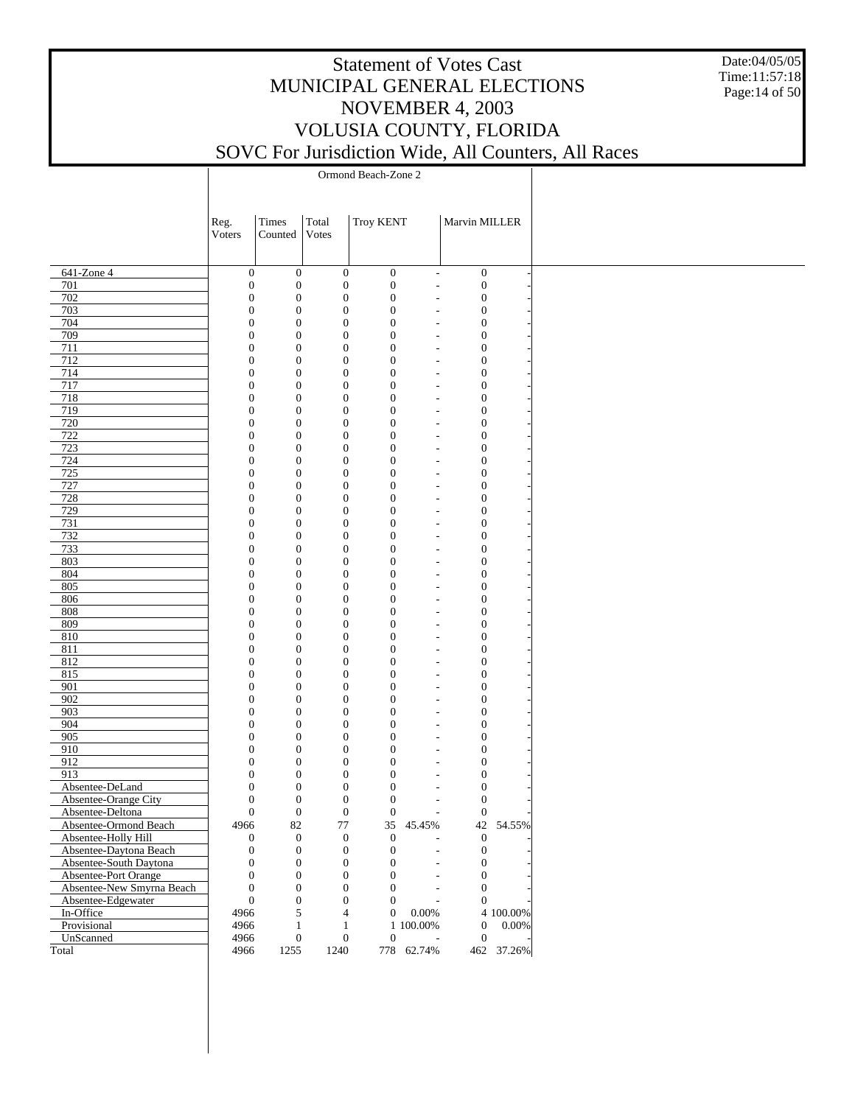Date:04/05/05 Time:11:57:18 Page:14 of 50

|                                           | Reg.                                 | Times                                | Total                                | <b>Troy KENT</b>                     |                                                      | Marvin MILLER                        |            |
|-------------------------------------------|--------------------------------------|--------------------------------------|--------------------------------------|--------------------------------------|------------------------------------------------------|--------------------------------------|------------|
|                                           | Voters                               | Counted                              | Votes                                |                                      |                                                      |                                      |            |
|                                           |                                      |                                      |                                      |                                      |                                                      |                                      |            |
|                                           |                                      |                                      |                                      |                                      |                                                      |                                      |            |
| 641-Zone 4<br>701                         | $\boldsymbol{0}$<br>$\boldsymbol{0}$ | $\boldsymbol{0}$<br>$\boldsymbol{0}$ | $\boldsymbol{0}$<br>$\boldsymbol{0}$ | $\boldsymbol{0}$<br>$\boldsymbol{0}$ | $\overline{\phantom{a}}$<br>$\overline{\phantom{a}}$ | $\boldsymbol{0}$<br>$\boldsymbol{0}$ |            |
| 702                                       | $\boldsymbol{0}$                     | $\boldsymbol{0}$                     | $\boldsymbol{0}$                     | $\mathbf{0}$                         |                                                      | $\boldsymbol{0}$                     |            |
| 703                                       | $\overline{0}$                       | $\boldsymbol{0}$                     | $\mathbf{0}$                         | $\mathbf{0}$                         | $\overline{a}$                                       | $\boldsymbol{0}$                     |            |
| 704                                       | $\boldsymbol{0}$                     | $\boldsymbol{0}$                     | $\boldsymbol{0}$                     | $\boldsymbol{0}$                     |                                                      | $\boldsymbol{0}$                     |            |
| 709                                       | $\boldsymbol{0}$                     | $\boldsymbol{0}$                     | $\boldsymbol{0}$                     | $\mathbf{0}$                         | $\overline{a}$                                       | $\boldsymbol{0}$                     |            |
| 711                                       | $\boldsymbol{0}$                     | $\boldsymbol{0}$                     | $\mathbf{0}$                         | $\boldsymbol{0}$                     |                                                      | $\boldsymbol{0}$                     |            |
| 712                                       | $\boldsymbol{0}$                     | $\boldsymbol{0}$                     | $\boldsymbol{0}$                     | $\mathbf{0}$                         | $\overline{a}$                                       | $\boldsymbol{0}$                     |            |
| 714                                       | $\boldsymbol{0}$                     | $\boldsymbol{0}$                     | $\boldsymbol{0}$                     | $\boldsymbol{0}$                     |                                                      | $\boldsymbol{0}$                     |            |
| 717                                       | $\boldsymbol{0}$                     | $\boldsymbol{0}$                     | $\boldsymbol{0}$                     | $\mathbf{0}$                         | $\overline{a}$                                       | $\boldsymbol{0}$                     |            |
| 718                                       | $\boldsymbol{0}$                     | $\boldsymbol{0}$                     | $\mathbf{0}$                         | $\boldsymbol{0}$                     |                                                      | $\boldsymbol{0}$                     |            |
| 719                                       | $\boldsymbol{0}$                     | $\boldsymbol{0}$                     | $\boldsymbol{0}$                     | $\mathbf{0}$                         | $\overline{a}$                                       | $\boldsymbol{0}$                     |            |
| 720                                       | $\boldsymbol{0}$                     | $\boldsymbol{0}$                     | $\mathbf{0}$                         | $\boldsymbol{0}$                     |                                                      | $\boldsymbol{0}$                     |            |
| 722<br>723                                | $\boldsymbol{0}$<br>$\boldsymbol{0}$ | $\boldsymbol{0}$<br>$\boldsymbol{0}$ | $\boldsymbol{0}$<br>$\mathbf{0}$     | $\mathbf{0}$<br>$\boldsymbol{0}$     | $\overline{a}$                                       | $\boldsymbol{0}$<br>$\boldsymbol{0}$ |            |
| 724                                       | $\boldsymbol{0}$                     | $\boldsymbol{0}$                     | $\boldsymbol{0}$                     | $\mathbf{0}$                         | $\overline{\phantom{a}}$                             | $\boldsymbol{0}$                     |            |
| 725                                       | $\boldsymbol{0}$                     | $\boldsymbol{0}$                     | $\boldsymbol{0}$                     | $\boldsymbol{0}$                     |                                                      | $\boldsymbol{0}$                     |            |
| 727                                       | $\boldsymbol{0}$                     | $\boldsymbol{0}$                     | $\boldsymbol{0}$                     | $\mathbf{0}$                         | $\overline{a}$                                       | $\boldsymbol{0}$                     |            |
| 728                                       | $\boldsymbol{0}$                     | $\boldsymbol{0}$                     | $\mathbf{0}$                         | $\boldsymbol{0}$                     |                                                      | $\boldsymbol{0}$                     |            |
| 729                                       | $\boldsymbol{0}$                     | $\boldsymbol{0}$                     | $\boldsymbol{0}$                     | $\mathbf{0}$                         | $\overline{\phantom{a}}$                             | $\boldsymbol{0}$                     |            |
| 731                                       | $\boldsymbol{0}$                     | $\boldsymbol{0}$                     | $\boldsymbol{0}$                     | $\boldsymbol{0}$                     |                                                      | $\boldsymbol{0}$                     |            |
| 732                                       | $\boldsymbol{0}$                     | $\boldsymbol{0}$                     | $\boldsymbol{0}$                     | $\mathbf{0}$                         | $\overline{\phantom{a}}$                             | $\boldsymbol{0}$                     |            |
| 733                                       | $\boldsymbol{0}$                     | $\boldsymbol{0}$                     | $\boldsymbol{0}$                     | $\boldsymbol{0}$                     |                                                      | $\boldsymbol{0}$                     |            |
| 803                                       | $\boldsymbol{0}$                     | $\boldsymbol{0}$                     | $\boldsymbol{0}$                     | $\mathbf{0}$                         | $\overline{\phantom{a}}$                             | $\boldsymbol{0}$                     |            |
| 804                                       | $\boldsymbol{0}$                     | $\boldsymbol{0}$                     | $\boldsymbol{0}$                     | $\boldsymbol{0}$                     | $\overline{a}$                                       | $\boldsymbol{0}$                     |            |
| 805                                       | $\boldsymbol{0}$                     | $\boldsymbol{0}$                     | $\boldsymbol{0}$                     | $\mathbf{0}$                         | $\overline{a}$                                       | $\boldsymbol{0}$                     |            |
| 806                                       | $\boldsymbol{0}$                     | $\boldsymbol{0}$                     | $\boldsymbol{0}$                     | $\boldsymbol{0}$                     |                                                      | $\boldsymbol{0}$                     |            |
| 808                                       | $\boldsymbol{0}$                     | $\boldsymbol{0}$                     | $\boldsymbol{0}$                     | $\mathbf{0}$                         | $\overline{\phantom{a}}$                             | $\boldsymbol{0}$                     |            |
| 809<br>810                                | $\boldsymbol{0}$<br>$\boldsymbol{0}$ | $\boldsymbol{0}$<br>$\boldsymbol{0}$ | $\boldsymbol{0}$<br>$\boldsymbol{0}$ | $\boldsymbol{0}$<br>$\mathbf{0}$     | $\overline{a}$<br>$\overline{a}$                     | $\boldsymbol{0}$<br>$\boldsymbol{0}$ |            |
| 811                                       | $\boldsymbol{0}$                     | $\boldsymbol{0}$                     | $\mathbf{0}$                         | $\boldsymbol{0}$                     |                                                      | $\boldsymbol{0}$                     |            |
| 812                                       | $\boldsymbol{0}$                     | $\boldsymbol{0}$                     | $\boldsymbol{0}$                     | $\mathbf{0}$                         | $\overline{a}$                                       | $\boldsymbol{0}$                     |            |
| 815                                       | $\boldsymbol{0}$                     | $\boldsymbol{0}$                     | $\boldsymbol{0}$                     | $\boldsymbol{0}$                     |                                                      | $\boldsymbol{0}$                     |            |
| 901                                       | $\boldsymbol{0}$                     | $\boldsymbol{0}$                     | $\boldsymbol{0}$                     | $\mathbf{0}$                         | $\overline{a}$                                       | $\boldsymbol{0}$                     |            |
| 902                                       | $\boldsymbol{0}$                     | $\boldsymbol{0}$                     | $\mathbf{0}$                         | $\boldsymbol{0}$                     |                                                      | $\boldsymbol{0}$                     |            |
| 903                                       | $\boldsymbol{0}$                     | $\boldsymbol{0}$                     | $\boldsymbol{0}$                     | $\mathbf{0}$                         | $\overline{a}$                                       | $\boldsymbol{0}$                     |            |
| 904                                       | $\boldsymbol{0}$                     | $\boldsymbol{0}$                     | $\mathbf{0}$                         | $\boldsymbol{0}$                     |                                                      | $\boldsymbol{0}$                     |            |
| $\overline{905}$                          | $\boldsymbol{0}$                     | $\boldsymbol{0}$                     | $\boldsymbol{0}$                     | $\mathbf{0}$                         | $\overline{a}$                                       | $\boldsymbol{0}$                     |            |
| 910                                       | $\boldsymbol{0}$                     | $\boldsymbol{0}$                     | $\mathbf{0}$                         | $\boldsymbol{0}$                     |                                                      | $\boldsymbol{0}$                     |            |
| 912                                       | $\boldsymbol{0}$                     | $\boldsymbol{0}$                     | $\boldsymbol{0}$                     | $\mathbf{0}$                         |                                                      | $\boldsymbol{0}$                     |            |
| 913                                       | $\boldsymbol{0}$                     | $\boldsymbol{0}$                     | $\boldsymbol{0}$                     | $\boldsymbol{0}$                     |                                                      | $\boldsymbol{0}$                     |            |
| Absentee-DeLand                           | $\overline{0}$                       | $\boldsymbol{0}$                     | $\mathbf{0}$                         | $\mathbf{0}$                         |                                                      | $\boldsymbol{0}$                     |            |
| Absentee-Orange City                      | $\boldsymbol{0}$<br>$\mathbf{0}$     | $\boldsymbol{0}$<br>$\boldsymbol{0}$ | $\boldsymbol{0}$<br>$\boldsymbol{0}$ | $\mathbf{0}$<br>$\boldsymbol{0}$     |                                                      | $\boldsymbol{0}$<br>$\boldsymbol{0}$ |            |
| Absentee-Deltona<br>Absentee-Ormond Beach | 4966                                 | 82                                   | $77\,$                               | 35                                   | $\overline{\phantom{a}}$<br>45.45%                   |                                      | 42 54.55%  |
| Absentee-Holly Hill                       | $\boldsymbol{0}$                     | $\boldsymbol{0}$                     | $\boldsymbol{0}$                     | $\boldsymbol{0}$                     |                                                      | $\boldsymbol{0}$                     |            |
| Absentee-Daytona Beach                    | $\boldsymbol{0}$                     | $\boldsymbol{0}$                     | $\boldsymbol{0}$                     | $\mathbf{0}$                         |                                                      | $\boldsymbol{0}$                     |            |
| Absentee-South Daytona                    | $\boldsymbol{0}$                     | $\boldsymbol{0}$                     | $\boldsymbol{0}$                     | 0                                    |                                                      | $\boldsymbol{0}$                     |            |
| Absentee-Port Orange                      | $\boldsymbol{0}$                     | $\boldsymbol{0}$                     | $\boldsymbol{0}$                     | $\boldsymbol{0}$                     |                                                      | $\boldsymbol{0}$                     |            |
| Absentee-New Smyrna Beach                 | $\mathbf{0}$                         | $\boldsymbol{0}$                     | $\boldsymbol{0}$                     | $\overline{0}$                       |                                                      | $\boldsymbol{0}$                     |            |
| Absentee-Edgewater                        | $\boldsymbol{0}$                     | $\boldsymbol{0}$                     | $\boldsymbol{0}$                     | $\overline{0}$                       |                                                      | $\boldsymbol{0}$                     |            |
| In-Office                                 | 4966                                 | 5                                    | $\overline{4}$                       | $\overline{0}$                       | 0.00%                                                |                                      | 4 100.00%  |
| Provisional                               | 4966                                 | $\mathbf{1}$                         | $\mathbf{1}$                         |                                      | 1 100.00%                                            | $\boldsymbol{0}$                     | 0.00%      |
| UnScanned                                 | 4966                                 | $\boldsymbol{0}$                     | $\boldsymbol{0}$                     | $\boldsymbol{0}$                     | ÷,                                                   | $\boldsymbol{0}$                     |            |
| Total                                     | 4966                                 | 1255                                 | 1240                                 |                                      | 778 62.74%                                           |                                      | 462 37.26% |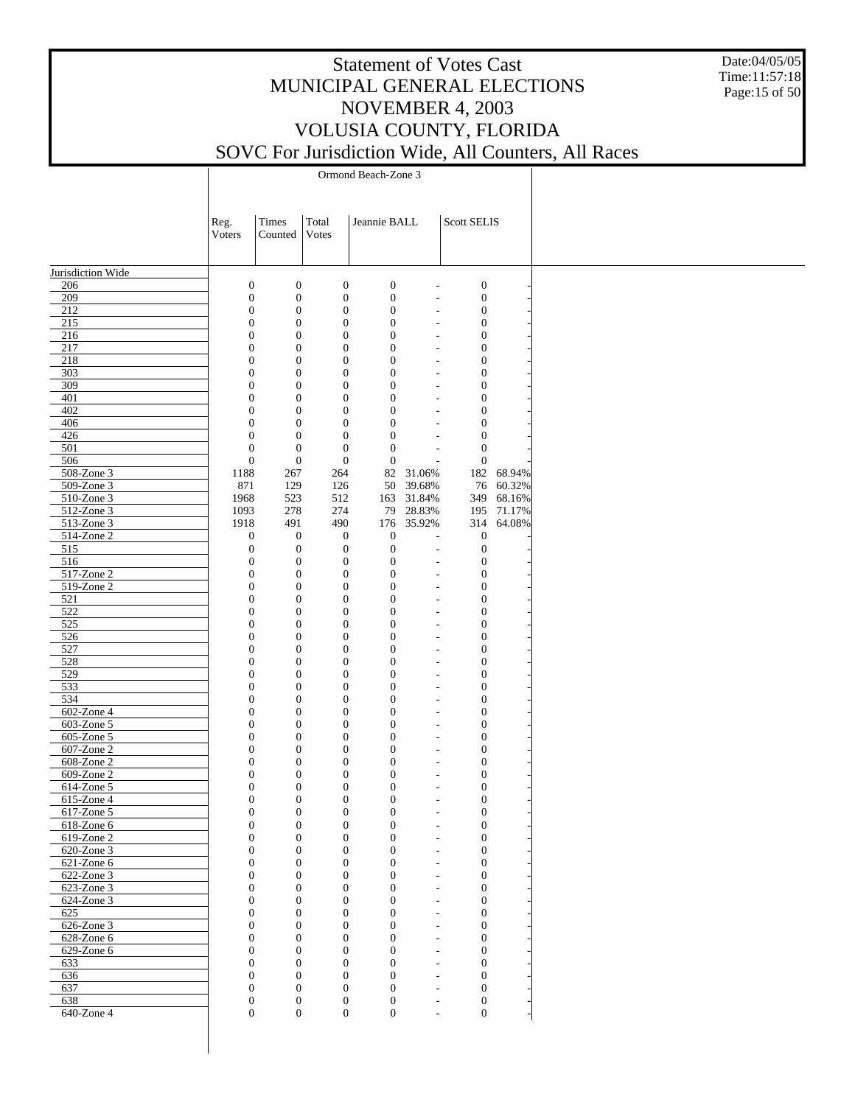Date:04/05/05 Time:11:57:18 Page:15 of 50

|                                        | Reg.                             | Times                                | Total                            | Jeannie BALL                         |                                            | Scott SELIS                          |           |
|----------------------------------------|----------------------------------|--------------------------------------|----------------------------------|--------------------------------------|--------------------------------------------|--------------------------------------|-----------|
|                                        | Voters                           | Counted                              | Votes                            |                                      |                                            |                                      |           |
|                                        |                                  |                                      |                                  |                                      |                                            |                                      |           |
| Jurisdiction Wide                      |                                  |                                      |                                  |                                      |                                            |                                      |           |
| 206                                    | $\boldsymbol{0}$                 | $\boldsymbol{0}$                     | $\boldsymbol{0}$                 | $\boldsymbol{0}$                     | $\overline{a}$                             | $\boldsymbol{0}$                     |           |
| 209                                    | $\mathbf{0}$                     | $\boldsymbol{0}$                     | $\mathbf{0}$                     | $\boldsymbol{0}$                     | $\overline{a}$                             | $\boldsymbol{0}$                     |           |
| 212                                    | $\boldsymbol{0}$                 | $\boldsymbol{0}$                     | $\boldsymbol{0}$                 | $\boldsymbol{0}$                     | $\overline{a}$                             | $\boldsymbol{0}$                     |           |
| 215                                    | $\mathbf{0}$                     | $\boldsymbol{0}$                     | $\mathbf{0}$                     | $\boldsymbol{0}$                     | $\overline{a}$                             | $\boldsymbol{0}$                     |           |
| 216<br>217                             | $\boldsymbol{0}$<br>$\mathbf{0}$ | $\boldsymbol{0}$<br>$\boldsymbol{0}$ | $\boldsymbol{0}$<br>$\mathbf{0}$ | $\boldsymbol{0}$<br>$\boldsymbol{0}$ | $\overline{a}$                             | $\boldsymbol{0}$<br>$\boldsymbol{0}$ |           |
| 218                                    | $\boldsymbol{0}$                 | $\boldsymbol{0}$                     | $\boldsymbol{0}$                 | $\boldsymbol{0}$                     | $\overline{a}$<br>$\overline{a}$           | $\boldsymbol{0}$                     |           |
| 303                                    | $\mathbf{0}$                     | $\boldsymbol{0}$                     | $\mathbf{0}$                     | $\boldsymbol{0}$                     | $\overline{a}$                             | $\boldsymbol{0}$                     |           |
| 309                                    | $\boldsymbol{0}$                 | $\boldsymbol{0}$                     | $\boldsymbol{0}$                 | $\boldsymbol{0}$                     | $\overline{\phantom{a}}$                   | $\boldsymbol{0}$                     |           |
| 401                                    | $\mathbf{0}$                     | $\boldsymbol{0}$                     | $\mathbf{0}$                     | $\boldsymbol{0}$                     | $\overline{a}$                             | $\boldsymbol{0}$                     |           |
| 402                                    | $\boldsymbol{0}$                 | $\boldsymbol{0}$                     | $\boldsymbol{0}$                 | $\boldsymbol{0}$                     | $\overline{\phantom{a}}$                   | $\boldsymbol{0}$                     |           |
| 406                                    | $\mathbf{0}$                     | $\boldsymbol{0}$                     | $\mathbf{0}$                     | $\boldsymbol{0}$                     | $\overline{a}$                             | $\boldsymbol{0}$                     |           |
| 426                                    | $\boldsymbol{0}$                 | $\boldsymbol{0}$                     | $\mathbf{0}$                     | $\boldsymbol{0}$                     | $\overline{\phantom{a}}$                   | $\boldsymbol{0}$                     |           |
| 501<br>506                             | $\mathbf{0}$<br>$\mathbf{0}$     | $\boldsymbol{0}$<br>$\boldsymbol{0}$ | $\mathbf{0}$<br>$\mathbf{0}$     | $\boldsymbol{0}$<br>$\boldsymbol{0}$ | $\overline{a}$<br>$\overline{a}$           | $\boldsymbol{0}$<br>$\boldsymbol{0}$ |           |
| 508-Zone 3                             | 1188                             | 267                                  | 264                              |                                      | 82 31.06%                                  | 182                                  | 68.94%    |
| 509-Zone 3                             | 871                              | 129                                  | 126                              | 50                                   | 39.68%                                     |                                      | 76 60.32% |
| 510-Zone 3                             | 1968                             | 523                                  | 512                              | 163                                  | 31.84%                                     | 349                                  | 68.16%    |
| 512-Zone 3                             | 1093                             | 278                                  | 274                              | 79                                   | 28.83%                                     | 195                                  | 71.17%    |
| 513-Zone 3                             | 1918                             | 491                                  | 490                              | 176                                  | 35.92%                                     | 314                                  | 64.08%    |
| 514-Zone 2                             | $\boldsymbol{0}$                 | $\boldsymbol{0}$                     | $\mathbf{0}$                     | $\boldsymbol{0}$                     | $\overline{\phantom{a}}$                   | $\boldsymbol{0}$                     |           |
| 515                                    | $\mathbf{0}$                     | $\boldsymbol{0}$                     | $\mathbf{0}$                     | $\boldsymbol{0}$                     | $\overline{a}$                             | $\boldsymbol{0}$                     |           |
| 516                                    | $\boldsymbol{0}$                 | $\boldsymbol{0}$                     | $\mathbf{0}$                     | $\boldsymbol{0}$                     | $\overline{a}$                             | $\boldsymbol{0}$                     |           |
| $517$ -Zone 2                          | $\mathbf{0}$                     | $\boldsymbol{0}$                     | $\mathbf{0}$                     | $\boldsymbol{0}$                     | $\overline{a}$                             | $\boldsymbol{0}$                     |           |
| 519-Zone 2<br>521                      | $\boldsymbol{0}$<br>$\mathbf{0}$ | $\boldsymbol{0}$<br>$\boldsymbol{0}$ | $\boldsymbol{0}$<br>$\mathbf{0}$ | $\boldsymbol{0}$<br>$\boldsymbol{0}$ | $\overline{a}$                             | $\boldsymbol{0}$<br>$\boldsymbol{0}$ |           |
| 522                                    | $\boldsymbol{0}$                 | $\boldsymbol{0}$                     | $\boldsymbol{0}$                 | $\boldsymbol{0}$                     | $\overline{a}$<br>$\overline{a}$           | $\boldsymbol{0}$                     |           |
| 525                                    | $\mathbf{0}$                     | $\boldsymbol{0}$                     | $\mathbf{0}$                     | $\boldsymbol{0}$                     | $\overline{a}$                             | $\boldsymbol{0}$                     |           |
| 526                                    | $\boldsymbol{0}$                 | $\boldsymbol{0}$                     | $\boldsymbol{0}$                 | $\boldsymbol{0}$                     | $\overline{a}$                             | $\boldsymbol{0}$                     |           |
| 527                                    | $\mathbf{0}$                     | $\boldsymbol{0}$                     | $\mathbf{0}$                     | $\boldsymbol{0}$                     | $\overline{a}$                             | $\boldsymbol{0}$                     |           |
| 528                                    | $\boldsymbol{0}$                 | $\boldsymbol{0}$                     | $\boldsymbol{0}$                 | $\boldsymbol{0}$                     | $\overline{a}$                             | $\boldsymbol{0}$                     |           |
| 529                                    | $\mathbf{0}$                     | $\boldsymbol{0}$                     | $\mathbf{0}$                     | $\boldsymbol{0}$                     | $\overline{a}$                             | $\boldsymbol{0}$                     |           |
| 533                                    | $\boldsymbol{0}$                 | $\boldsymbol{0}$                     | $\boldsymbol{0}$                 | $\boldsymbol{0}$                     | $\overline{a}$                             | $\boldsymbol{0}$                     |           |
| 534                                    | $\mathbf{0}$                     | $\boldsymbol{0}$                     | $\mathbf{0}$                     | $\boldsymbol{0}$                     | $\overline{a}$                             | $\boldsymbol{0}$                     |           |
| 602-Zone 4<br>$\overline{603}$ -Zone 5 | $\boldsymbol{0}$                 | $\boldsymbol{0}$                     | $\boldsymbol{0}$                 | $\boldsymbol{0}$                     | $\overline{a}$                             | $\boldsymbol{0}$                     |           |
| 605-Zone 5                             | $\mathbf{0}$<br>$\boldsymbol{0}$ | $\boldsymbol{0}$<br>$\boldsymbol{0}$ | $\mathbf{0}$<br>$\boldsymbol{0}$ | $\boldsymbol{0}$<br>$\boldsymbol{0}$ | $\overline{a}$<br>$\overline{a}$           | $\boldsymbol{0}$<br>$\boldsymbol{0}$ |           |
| 607-Zone 2                             | $\mathbf{0}$                     | $\boldsymbol{0}$                     | $\mathbf{0}$                     | $\boldsymbol{0}$                     | $\overline{a}$                             | $\boldsymbol{0}$                     |           |
| 608-Zone 2                             | $\boldsymbol{0}$                 | $\boldsymbol{0}$                     | $\boldsymbol{0}$                 | $\boldsymbol{0}$                     | $\overline{a}$                             | $\boldsymbol{0}$                     |           |
| 609-Zone 2                             | $\mathbf{0}$                     | $\boldsymbol{0}$                     | $\mathbf{0}$                     | $\boldsymbol{0}$                     | $\overline{a}$                             | $\boldsymbol{0}$                     |           |
| 614-Zone 5                             | $\boldsymbol{0}$                 | $\boldsymbol{0}$                     | $\boldsymbol{0}$                 | $\boldsymbol{0}$                     | $\overline{a}$                             | $\boldsymbol{0}$                     |           |
| 615-Zone 4                             | $\mathbf{0}$                     | $\boldsymbol{0}$                     | $\mathbf{0}$                     | $\boldsymbol{0}$                     | $\overline{a}$                             | $\boldsymbol{0}$                     |           |
| 617-Zone 5                             | $\boldsymbol{0}$                 | $\boldsymbol{0}$                     | $\boldsymbol{0}$                 | $\boldsymbol{0}$                     | $\overline{a}$                             | $\boldsymbol{0}$                     |           |
| $618$ -Zone $6$                        | 0                                | $\boldsymbol{0}$                     | $\bf{0}$                         | 0                                    | $\overline{a}$                             | $\boldsymbol{0}$                     |           |
| $619$ -Zone 2                          | $\mathbf{0}$                     | $\boldsymbol{0}$                     | $\mathbf{0}$                     | $\mathbf{0}$                         | ÷,                                         | $\boldsymbol{0}$                     |           |
| 620-Zone 3                             | $\overline{0}$                   | $\boldsymbol{0}$                     | $\mathbf{0}$                     | $\mathbf{0}$                         | $\overline{a}$                             | $\boldsymbol{0}$                     |           |
| 621-Zone 6<br>622-Zone 3               | $\mathbf{0}$<br>$\boldsymbol{0}$ | $\boldsymbol{0}$<br>$\boldsymbol{0}$ | $\mathbf{0}$<br>$\mathbf{0}$     | $\boldsymbol{0}$<br>$\boldsymbol{0}$ | $\overline{\phantom{a}}$                   | $\mathbf{0}$<br>$\boldsymbol{0}$     |           |
| $623$ -Zone 3                          | $\mathbf{0}$                     | $\boldsymbol{0}$                     | $\overline{0}$                   | $\boldsymbol{0}$                     | $\overline{\phantom{a}}$<br>$\overline{a}$ | $\boldsymbol{0}$                     |           |
| 624-Zone 3                             | $\boldsymbol{0}$                 | $\boldsymbol{0}$                     | $\theta$                         | $\mathbf{0}$                         | $\overline{\phantom{a}}$                   | $\boldsymbol{0}$                     |           |
| 625                                    | $\boldsymbol{0}$                 | $\boldsymbol{0}$                     | $\mathbf{0}$                     | $\boldsymbol{0}$                     | $\overline{\phantom{a}}$                   | $\mathbf{0}$                         |           |
| 626-Zone 3                             | $\boldsymbol{0}$                 | $\boldsymbol{0}$                     | $\theta$                         | $\boldsymbol{0}$                     | $\overline{\phantom{a}}$                   | $\boldsymbol{0}$                     |           |
| $628$ -Zone $6$                        | $\mathbf{0}$                     | $\boldsymbol{0}$                     | $\overline{0}$                   | $\boldsymbol{0}$                     | $\overline{\phantom{a}}$                   | $\boldsymbol{0}$                     |           |
| 629-Zone 6                             | $\boldsymbol{0}$                 | $\boldsymbol{0}$                     | $\theta$                         | $\mathbf{0}$                         | $\overline{\phantom{a}}$                   | $\boldsymbol{0}$                     |           |
| 633                                    | $\mathbf{0}$                     | $\boldsymbol{0}$                     | $\theta$                         | $\boldsymbol{0}$                     | $\overline{\phantom{a}}$                   | $\mathbf{0}$                         |           |
| 636                                    | $\boldsymbol{0}$                 | $\boldsymbol{0}$                     | $\theta$                         | $\mathbf{0}$                         | $\overline{\phantom{a}}$                   | $\boldsymbol{0}$                     |           |
| 637                                    | $\mathbf{0}$                     | $\boldsymbol{0}$                     | $\theta$                         | $\boldsymbol{0}$                     | $\overline{\phantom{a}}$                   | $\mathbf{0}$                         |           |
| 638<br>640-Zone 4                      | $\mathbf{0}$<br>$\overline{0}$   | $\boldsymbol{0}$<br>$\overline{0}$   | $\mathbf{0}$<br>$\overline{0}$   | $\boldsymbol{0}$<br>$\boldsymbol{0}$ | $\overline{\phantom{a}}$<br>$\sim$         | $\mathbf{0}$<br>$\mathbf{0}$         |           |
|                                        |                                  |                                      |                                  |                                      |                                            |                                      |           |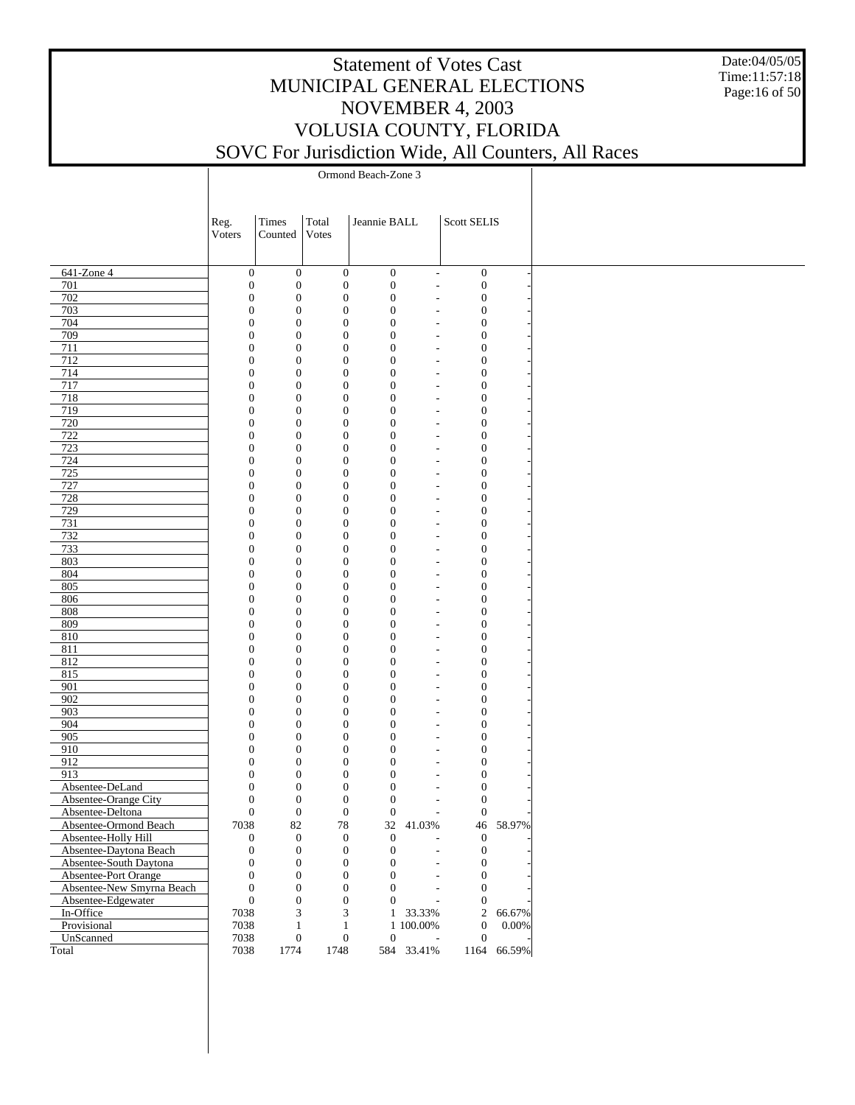Date:04/05/05 Time:11:57:18 Page:16 of 50

|                  |                           | Reg.<br>Voters | Times<br>Counted                                         | Total<br>Votes   | Jeannie BALL                                                             |                              | Scott SELIS                      |             |
|------------------|---------------------------|----------------|----------------------------------------------------------|------------------|--------------------------------------------------------------------------|------------------------------|----------------------------------|-------------|
| 641-Zone 4       |                           |                | $\mathbf{0}$<br>$\boldsymbol{0}$                         |                  | $\boldsymbol{0}$<br>$\mathbf{0}$                                         | $\overline{\phantom{a}}$     | $\mathbf{0}$                     |             |
| 701              |                           |                | $\boldsymbol{0}$<br>$\boldsymbol{0}$                     |                  | $\boldsymbol{0}$<br>$\boldsymbol{0}$                                     | $\qquad \qquad \blacksquare$ | $\boldsymbol{0}$                 |             |
| 702              |                           |                | $\boldsymbol{0}$<br>$\boldsymbol{0}$                     |                  | $\boldsymbol{0}$<br>$\boldsymbol{0}$                                     |                              | $\boldsymbol{0}$                 |             |
| 703              |                           |                | $\boldsymbol{0}$<br>$\boldsymbol{0}$                     |                  | $\boldsymbol{0}$<br>$\boldsymbol{0}$                                     | $\qquad \qquad \blacksquare$ | $\mathbf{0}$                     |             |
| 704              |                           |                | $\boldsymbol{0}$<br>$\boldsymbol{0}$                     |                  | $\boldsymbol{0}$<br>$\boldsymbol{0}$                                     | L,                           | $\boldsymbol{0}$                 |             |
| 709              |                           |                | $\boldsymbol{0}$<br>$\boldsymbol{0}$                     |                  | $\boldsymbol{0}$<br>$\boldsymbol{0}$                                     | $\qquad \qquad \blacksquare$ | $\mathbf{0}$                     |             |
| 711              |                           |                | $\boldsymbol{0}$<br>$\boldsymbol{0}$                     |                  | $\boldsymbol{0}$<br>$\boldsymbol{0}$                                     | ÷,                           | $\boldsymbol{0}$                 |             |
| 712              |                           |                | $\boldsymbol{0}$<br>$\boldsymbol{0}$                     |                  | $\boldsymbol{0}$<br>$\boldsymbol{0}$                                     | $\qquad \qquad \blacksquare$ | $\mathbf{0}$                     |             |
| 714              |                           |                | $\boldsymbol{0}$<br>$\boldsymbol{0}$                     |                  | $\boldsymbol{0}$<br>$\boldsymbol{0}$                                     | L,                           | $\boldsymbol{0}$                 |             |
| 717<br>718       |                           |                | $\boldsymbol{0}$<br>$\boldsymbol{0}$<br>$\boldsymbol{0}$ |                  | $\boldsymbol{0}$<br>$\mathbf{0}$<br>$\boldsymbol{0}$<br>$\boldsymbol{0}$ | $\qquad \qquad \blacksquare$ | $\mathbf{0}$<br>$\boldsymbol{0}$ |             |
| 719              |                           |                | $\boldsymbol{0}$<br>$\boldsymbol{0}$<br>$\boldsymbol{0}$ |                  | $\boldsymbol{0}$<br>$\boldsymbol{0}$                                     | L,<br>$\overline{a}$         | $\mathbf{0}$                     |             |
| 720              |                           |                | $\boldsymbol{0}$<br>$\boldsymbol{0}$                     |                  | $\boldsymbol{0}$<br>$\boldsymbol{0}$                                     | $\overline{a}$               | $\boldsymbol{0}$                 |             |
| 722              |                           |                | $\boldsymbol{0}$<br>$\boldsymbol{0}$                     |                  | $\boldsymbol{0}$<br>$\boldsymbol{0}$                                     | $\qquad \qquad \blacksquare$ | $\mathbf{0}$                     |             |
| 723              |                           |                | $\boldsymbol{0}$<br>$\boldsymbol{0}$                     |                  | $\boldsymbol{0}$<br>$\boldsymbol{0}$                                     | L,                           | $\boldsymbol{0}$                 |             |
| 724              |                           |                | $\boldsymbol{0}$<br>$\boldsymbol{0}$                     |                  | $\boldsymbol{0}$<br>$\boldsymbol{0}$                                     | $\qquad \qquad \blacksquare$ | $\mathbf{0}$                     |             |
| 725              |                           |                | $\boldsymbol{0}$<br>$\boldsymbol{0}$                     |                  | $\boldsymbol{0}$<br>$\boldsymbol{0}$                                     | L,                           | $\boldsymbol{0}$                 |             |
| 727              |                           |                | $\boldsymbol{0}$<br>$\boldsymbol{0}$                     |                  | $\boldsymbol{0}$<br>$\boldsymbol{0}$                                     | $\qquad \qquad \blacksquare$ | $\mathbf{0}$                     |             |
| 728              |                           |                | $\boldsymbol{0}$<br>$\boldsymbol{0}$                     |                  | $\boldsymbol{0}$<br>$\boldsymbol{0}$                                     | L,                           | $\boldsymbol{0}$                 |             |
| 729              |                           |                | $\boldsymbol{0}$<br>$\boldsymbol{0}$                     |                  | $\boldsymbol{0}$<br>$\boldsymbol{0}$                                     | $\overline{a}$               | $\mathbf{0}$                     |             |
| 731              |                           |                | $\boldsymbol{0}$<br>$\boldsymbol{0}$                     |                  | $\boldsymbol{0}$<br>$\boldsymbol{0}$                                     | L,                           | $\boldsymbol{0}$                 |             |
| 732              |                           |                | $\boldsymbol{0}$<br>$\boldsymbol{0}$                     |                  | $\boldsymbol{0}$<br>$\boldsymbol{0}$                                     | $\overline{a}$               | $\mathbf{0}$                     |             |
| 733              |                           |                | $\boldsymbol{0}$<br>$\boldsymbol{0}$                     |                  | $\boldsymbol{0}$<br>$\boldsymbol{0}$                                     | L,                           | $\boldsymbol{0}$                 |             |
| 803              |                           |                | $\boldsymbol{0}$<br>$\boldsymbol{0}$                     |                  | $\boldsymbol{0}$<br>$\boldsymbol{0}$                                     | $\qquad \qquad \blacksquare$ | $\mathbf{0}$                     |             |
| 804              |                           |                | $\boldsymbol{0}$<br>$\boldsymbol{0}$                     |                  | $\boldsymbol{0}$<br>$\boldsymbol{0}$                                     | L,                           | $\boldsymbol{0}$                 |             |
| 805              |                           |                | $\boldsymbol{0}$<br>$\boldsymbol{0}$                     |                  | $\boldsymbol{0}$<br>$\boldsymbol{0}$                                     | $\qquad \qquad \blacksquare$ | $\mathbf{0}$                     |             |
| 806              |                           |                | $\boldsymbol{0}$<br>$\boldsymbol{0}$                     |                  | $\boldsymbol{0}$<br>$\boldsymbol{0}$                                     | ÷,                           | $\boldsymbol{0}$                 |             |
| 808              |                           |                | $\boldsymbol{0}$<br>$\boldsymbol{0}$                     |                  | $\boldsymbol{0}$<br>$\boldsymbol{0}$                                     | $\qquad \qquad \blacksquare$ | $\mathbf{0}$                     |             |
| 809              |                           |                | $\boldsymbol{0}$<br>$\boldsymbol{0}$                     |                  | $\boldsymbol{0}$<br>$\boldsymbol{0}$                                     | L,                           | $\boldsymbol{0}$                 |             |
| 810              |                           |                | $\boldsymbol{0}$<br>$\boldsymbol{0}$                     |                  | $\boldsymbol{0}$<br>$\boldsymbol{0}$                                     | $\overline{a}$               | $\mathbf{0}$                     |             |
| 811              |                           |                | $\boldsymbol{0}$<br>$\boldsymbol{0}$                     |                  | $\boldsymbol{0}$<br>$\boldsymbol{0}$                                     |                              | $\boldsymbol{0}$                 |             |
| 812              |                           |                | $\boldsymbol{0}$<br>$\boldsymbol{0}$                     |                  | $\boldsymbol{0}$<br>$\boldsymbol{0}$                                     | $\overline{a}$               | $\mathbf{0}$                     |             |
| 815              |                           |                | $\boldsymbol{0}$<br>$\boldsymbol{0}$                     |                  | $\boldsymbol{0}$<br>$\boldsymbol{0}$                                     | $\overline{a}$               | $\boldsymbol{0}$                 |             |
| 901              |                           |                | $\boldsymbol{0}$<br>$\boldsymbol{0}$                     |                  | $\boldsymbol{0}$<br>$\boldsymbol{0}$                                     | $\qquad \qquad \blacksquare$ | $\mathbf{0}$                     |             |
| 902              |                           |                | $\boldsymbol{0}$<br>$\boldsymbol{0}$                     |                  | $\boldsymbol{0}$<br>$\boldsymbol{0}$                                     | L,                           | $\boldsymbol{0}$                 |             |
| 903              |                           |                | $\boldsymbol{0}$<br>$\boldsymbol{0}$                     |                  | $\boldsymbol{0}$<br>$\boldsymbol{0}$                                     | $\qquad \qquad \blacksquare$ | $\mathbf{0}$                     |             |
| 904              |                           |                | $\boldsymbol{0}$<br>$\boldsymbol{0}$                     |                  | $\boldsymbol{0}$<br>$\boldsymbol{0}$                                     | L,                           | $\boldsymbol{0}$                 |             |
| 905              |                           |                | $\boldsymbol{0}$<br>$\boldsymbol{0}$                     |                  | $\boldsymbol{0}$<br>$\boldsymbol{0}$                                     | $\qquad \qquad \blacksquare$ | $\mathbf{0}$                     |             |
| 910              |                           |                | $\boldsymbol{0}$<br>$\boldsymbol{0}$                     |                  | $\boldsymbol{0}$<br>$\boldsymbol{0}$                                     |                              | $\boldsymbol{0}$                 |             |
| 912              |                           |                | $\boldsymbol{0}$<br>$\boldsymbol{0}$                     |                  | $\boldsymbol{0}$<br>$\boldsymbol{0}$                                     | $\overline{a}$               | $\mathbf{0}$                     |             |
| 913              |                           |                | $\boldsymbol{0}$<br>$\boldsymbol{0}$                     |                  | $\boldsymbol{0}$<br>$\boldsymbol{0}$                                     |                              | $\boldsymbol{0}$                 |             |
| Absentee-DeLand  |                           |                | $\boldsymbol{0}$<br>$\boldsymbol{0}$                     |                  | $\boldsymbol{0}$<br>$\theta$                                             |                              | $\mathbf{0}$                     |             |
|                  | Absentee-Orange City      |                | $\boldsymbol{0}$<br>$\boldsymbol{0}$                     |                  | $\boldsymbol{0}$<br>$\boldsymbol{0}$                                     |                              | $\mathbf{0}$                     |             |
| Absentee-Deltona |                           |                | $\mathbf{0}$<br>$\boldsymbol{0}$                         |                  | $\boldsymbol{0}$<br>$\mathbf{0}$                                         | $\overline{a}$               | $\mathbf{0}$                     |             |
|                  | Absentee-Ormond Beach     | 7038           | 82                                                       | 78               | $32\,$                                                                   | 41.03%                       |                                  | 46 58.97%   |
|                  | Absentee-Holly Hill       |                | $\boldsymbol{0}$<br>$\boldsymbol{0}$                     | $\boldsymbol{0}$ | $\mathbf{0}$                                                             |                              | $\boldsymbol{0}$                 |             |
|                  | Absentee-Daytona Beach    |                | $\boldsymbol{0}$<br>$\boldsymbol{0}$                     |                  | $\boldsymbol{0}$<br>$\mathbf{0}$                                         |                              | $\mathbf{0}$                     |             |
|                  | Absentee-South Daytona    |                | $\boldsymbol{0}$<br>$\boldsymbol{0}$                     | $\boldsymbol{0}$ | $\theta$                                                                 |                              | $\mathbf{0}$                     |             |
|                  | Absentee-Port Orange      |                | $\boldsymbol{0}$<br>$\boldsymbol{0}$                     | $\boldsymbol{0}$ | $\theta$                                                                 |                              | $\boldsymbol{0}$                 |             |
|                  | Absentee-New Smyrna Beach |                | $\boldsymbol{0}$<br>$\boldsymbol{0}$                     |                  | $\boldsymbol{0}$<br>$\overline{0}$                                       |                              | $\mathbf{0}$                     |             |
|                  | Absentee-Edgewater        |                | $\boldsymbol{0}$<br>$\boldsymbol{0}$                     |                  | $\boldsymbol{0}$<br>$\mathbf{0}$                                         | $\overline{\phantom{a}}$     | $\mathbf{0}$                     |             |
| In-Office        |                           | 7038           | 3                                                        | 3                |                                                                          | 1 33.33%                     | $\overline{2}$                   | 66.67%      |
| Provisional      |                           | 7038           | $\mathbf{1}$                                             | 1                |                                                                          | 1 100.00%                    | $\mathbf{0}$                     | 0.00%       |
| UnScanned        |                           | 7038           | $\boldsymbol{0}$                                         |                  | $\boldsymbol{0}$<br>$\boldsymbol{0}$                                     | $\overline{\phantom{a}}$     | $\mathbf{0}$                     |             |
| Total            |                           | 7038           | 1774                                                     | 1748             |                                                                          | 584 33.41%                   |                                  | 1164 66.59% |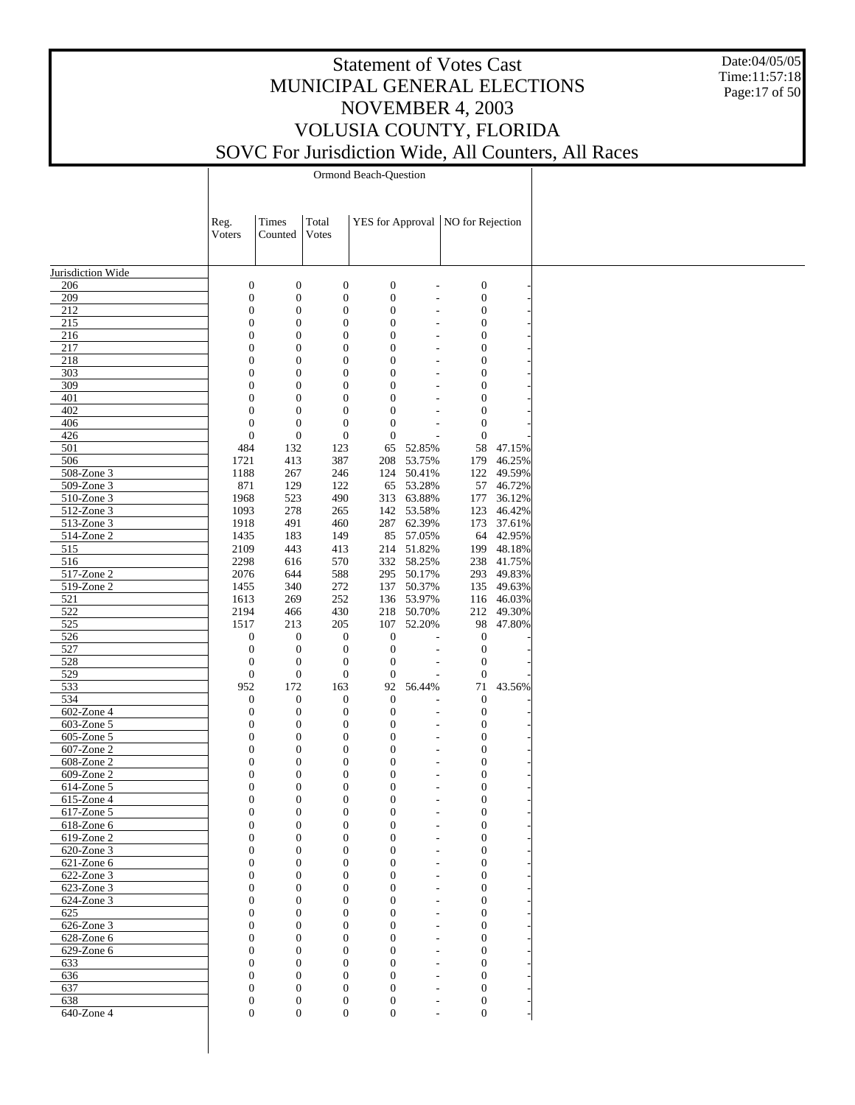Date:04/05/05 Time:11:57:18 Page:17 of 50

Ormond Beach-Question

|                   | Reg.<br>Voters   | Times<br>Counted | Total<br>Votes   |                  |            | YES for Approval   NO for Rejection |            |  |
|-------------------|------------------|------------------|------------------|------------------|------------|-------------------------------------|------------|--|
| Jurisdiction Wide |                  |                  |                  |                  |            |                                     |            |  |
| 206               | $\boldsymbol{0}$ | $\boldsymbol{0}$ | $\boldsymbol{0}$ | $\boldsymbol{0}$ |            | $\boldsymbol{0}$                    |            |  |
| 209               | $\boldsymbol{0}$ | $\boldsymbol{0}$ | $\boldsymbol{0}$ | $\boldsymbol{0}$ |            | $\boldsymbol{0}$                    |            |  |
| 212               | $\mathbf{0}$     | $\boldsymbol{0}$ | $\boldsymbol{0}$ | $\boldsymbol{0}$ |            | $\boldsymbol{0}$                    |            |  |
| 215               | $\overline{0}$   | $\boldsymbol{0}$ | $\boldsymbol{0}$ | $\boldsymbol{0}$ |            | $\boldsymbol{0}$                    |            |  |
| 216               | $\overline{0}$   | $\boldsymbol{0}$ | $\boldsymbol{0}$ | $\boldsymbol{0}$ |            | $\boldsymbol{0}$                    |            |  |
| 217               | $\overline{0}$   | $\boldsymbol{0}$ | $\boldsymbol{0}$ | $\boldsymbol{0}$ |            | $\boldsymbol{0}$                    |            |  |
| 218               | $\mathbf{0}$     | $\boldsymbol{0}$ | $\boldsymbol{0}$ | $\boldsymbol{0}$ |            | $\boldsymbol{0}$                    |            |  |
| 303               | $\overline{0}$   | $\boldsymbol{0}$ | $\boldsymbol{0}$ | $\boldsymbol{0}$ |            | $\boldsymbol{0}$                    |            |  |
| 309               | $\overline{0}$   | $\boldsymbol{0}$ | $\boldsymbol{0}$ | $\boldsymbol{0}$ |            | $\boldsymbol{0}$                    |            |  |
| 401               | $\overline{0}$   | $\boldsymbol{0}$ | $\boldsymbol{0}$ | $\boldsymbol{0}$ |            | $\boldsymbol{0}$                    |            |  |
| 402               | $\mathbf{0}$     | $\boldsymbol{0}$ | $\boldsymbol{0}$ | $\boldsymbol{0}$ |            | $\boldsymbol{0}$                    |            |  |
| 406               | $\overline{0}$   | $\boldsymbol{0}$ | $\boldsymbol{0}$ | $\boldsymbol{0}$ |            | $\boldsymbol{0}$                    |            |  |
| 426               | $\boldsymbol{0}$ | $\boldsymbol{0}$ | $\boldsymbol{0}$ | $\boldsymbol{0}$ |            | $\boldsymbol{0}$                    |            |  |
| 501               | 484              | 132              | 123              | 65               | 52.85%     | 58                                  | 47.15%     |  |
| 506               | 1721             | 413              | 387              | 208              | 53.75%     | 179                                 | 46.25%     |  |
| 508-Zone 3        |                  |                  |                  |                  |            |                                     |            |  |
|                   | 1188             | 267              | 246              |                  | 124 50.41% | 122                                 | 49.59%     |  |
| 509-Zone 3        | 871              | 129              | 122              |                  | 65 53.28%  | 57                                  | 46.72%     |  |
| 510-Zone 3        | 1968             | 523              | 490              |                  | 313 63.88% | 177                                 | 36.12%     |  |
| 512-Zone 3        | 1093             | 278              | 265              |                  | 142 53.58% | 123                                 | 46.42%     |  |
| 513-Zone 3        | 1918             | 491              | 460              |                  | 287 62.39% | 173                                 | 37.61%     |  |
| 514-Zone 2        | 1435             | 183              | 149              | 85               | 57.05%     | 64                                  | 42.95%     |  |
| 515               | 2109             | 443              | 413              |                  | 214 51.82% | 199                                 | 48.18%     |  |
| $\overline{516}$  | 2298             | 616              | 570              |                  | 332 58.25% |                                     | 238 41.75% |  |
| 517-Zone 2        | 2076             | 644              | 588              |                  | 295 50.17% | 293                                 | 49.83%     |  |
| 519-Zone 2        | 1455             | 340              | 272              | 137              | 50.37%     |                                     | 135 49.63% |  |
| 521               | 1613             | 269              | 252              |                  | 136 53.97% |                                     | 116 46.03% |  |
| 522               | 2194             | 466              | 430              |                  | 218 50.70% | 212                                 | 49.30%     |  |
| 525               | 1517             | 213              | 205              | 107              | 52.20%     | 98                                  | 47.80%     |  |
| 526               | $\boldsymbol{0}$ | $\boldsymbol{0}$ | $\boldsymbol{0}$ | $\boldsymbol{0}$ |            | $\boldsymbol{0}$                    |            |  |
| 527               | $\boldsymbol{0}$ | $\boldsymbol{0}$ | $\boldsymbol{0}$ | $\boldsymbol{0}$ |            | $\boldsymbol{0}$                    |            |  |
| 528               | $\boldsymbol{0}$ | $\boldsymbol{0}$ | $\boldsymbol{0}$ | $\boldsymbol{0}$ |            | $\mathbf{0}$                        |            |  |
| 529               | $\boldsymbol{0}$ | $\boldsymbol{0}$ | $\boldsymbol{0}$ | $\boldsymbol{0}$ |            | $\mathbf{0}$                        |            |  |
| 533               | 952              | 172              | 163              | 92               | 56.44%     | 71                                  | 43.56%     |  |
| 534               | $\boldsymbol{0}$ | 0                | $\boldsymbol{0}$ | $\boldsymbol{0}$ |            | $\boldsymbol{0}$                    |            |  |
| 602-Zone 4        | $\boldsymbol{0}$ | $\boldsymbol{0}$ | $\boldsymbol{0}$ | $\boldsymbol{0}$ | L,         | $\boldsymbol{0}$                    |            |  |
| 603-Zone 5        | $\mathbf{0}$     | $\boldsymbol{0}$ | $\boldsymbol{0}$ | $\boldsymbol{0}$ |            | $\boldsymbol{0}$                    |            |  |
|                   | $\mathbf{0}$     | $\boldsymbol{0}$ | $\boldsymbol{0}$ | $\boldsymbol{0}$ |            | $\boldsymbol{0}$                    |            |  |
| 605-Zone 5        | $\overline{0}$   |                  |                  |                  |            |                                     |            |  |
| 607-Zone 2        |                  | $\boldsymbol{0}$ | $\boldsymbol{0}$ | $\boldsymbol{0}$ |            | $\boldsymbol{0}$                    |            |  |
| 608-Zone 2        | $\mathbf{0}$     | $\boldsymbol{0}$ | $\boldsymbol{0}$ | $\boldsymbol{0}$ |            | $\boldsymbol{0}$                    |            |  |
| 609-Zone 2        | $\overline{0}$   | $\boldsymbol{0}$ | $\boldsymbol{0}$ | $\boldsymbol{0}$ |            | $\boldsymbol{0}$                    |            |  |
| 614-Zone 5        | $\mathbf{0}$     | $\boldsymbol{0}$ | $\boldsymbol{0}$ | $\boldsymbol{0}$ |            | $\boldsymbol{0}$                    |            |  |
| 615-Zone 4        | $\overline{0}$   | $\boldsymbol{0}$ | $\boldsymbol{0}$ | $\boldsymbol{0}$ |            | $\boldsymbol{0}$                    |            |  |
| 617-Zone 5        | $\mathbf{0}$     | $\boldsymbol{0}$ | $\boldsymbol{0}$ | $\boldsymbol{0}$ |            | $\boldsymbol{0}$                    |            |  |
| 618-Zone 6        | $\overline{0}$   | $\overline{0}$   | $\overline{0}$   | $\mathbf{0}$     |            | $\overline{0}$                      |            |  |
| 619-Zone 2        | $\boldsymbol{0}$ | $\boldsymbol{0}$ | $\boldsymbol{0}$ | $\boldsymbol{0}$ |            | $\boldsymbol{0}$                    |            |  |
| 620-Zone 3        | $\mathbf{0}$     | $\boldsymbol{0}$ | $\boldsymbol{0}$ | $\boldsymbol{0}$ |            | $\boldsymbol{0}$                    |            |  |
| 621-Zone 6        | $\boldsymbol{0}$ | $\boldsymbol{0}$ | $\boldsymbol{0}$ | $\boldsymbol{0}$ |            | $\boldsymbol{0}$                    |            |  |
| 622-Zone 3        | $\overline{0}$   | $\boldsymbol{0}$ | $\boldsymbol{0}$ | $\mathbf{0}$     |            | $\boldsymbol{0}$                    |            |  |
| 623-Zone 3        | $\boldsymbol{0}$ | 0                | $\boldsymbol{0}$ | $\boldsymbol{0}$ |            | $\boldsymbol{0}$                    |            |  |
| 624-Zone 3        | $\overline{0}$   | $\boldsymbol{0}$ | $\boldsymbol{0}$ | $\boldsymbol{0}$ |            | $\boldsymbol{0}$                    |            |  |
| 625               | $\boldsymbol{0}$ | 0                | $\boldsymbol{0}$ | $\boldsymbol{0}$ |            | $\boldsymbol{0}$                    |            |  |
| 626-Zone 3        | $\overline{0}$   | $\boldsymbol{0}$ | $\boldsymbol{0}$ | $\mathbf{0}$     |            | $\boldsymbol{0}$                    |            |  |
| 628-Zone 6        | $\overline{0}$   | 0                | $\boldsymbol{0}$ | $\boldsymbol{0}$ |            | $\boldsymbol{0}$                    |            |  |
| 629-Zone 6        | $\overline{0}$   | $\boldsymbol{0}$ | $\boldsymbol{0}$ | $\boldsymbol{0}$ |            | $\mathbf{0}$                        |            |  |
|                   | $\overline{0}$   | $\boldsymbol{0}$ | $\boldsymbol{0}$ | $\boldsymbol{0}$ |            | $\boldsymbol{0}$                    |            |  |
| 633               |                  |                  |                  |                  |            |                                     |            |  |
| 636               | $\overline{0}$   | $\boldsymbol{0}$ | $\boldsymbol{0}$ | $\boldsymbol{0}$ |            | $\boldsymbol{0}$                    |            |  |
| 637               | $\boldsymbol{0}$ | $\boldsymbol{0}$ | $\boldsymbol{0}$ | $\boldsymbol{0}$ |            | $\boldsymbol{0}$                    |            |  |
| 638               | $\boldsymbol{0}$ | $\boldsymbol{0}$ | $\boldsymbol{0}$ | $\mathbf{0}$     |            | $\boldsymbol{0}$                    |            |  |
| 640-Zone 4        | $\overline{0}$   | $\boldsymbol{0}$ | $\boldsymbol{0}$ | $\boldsymbol{0}$ |            | $\mathbf{0}$                        |            |  |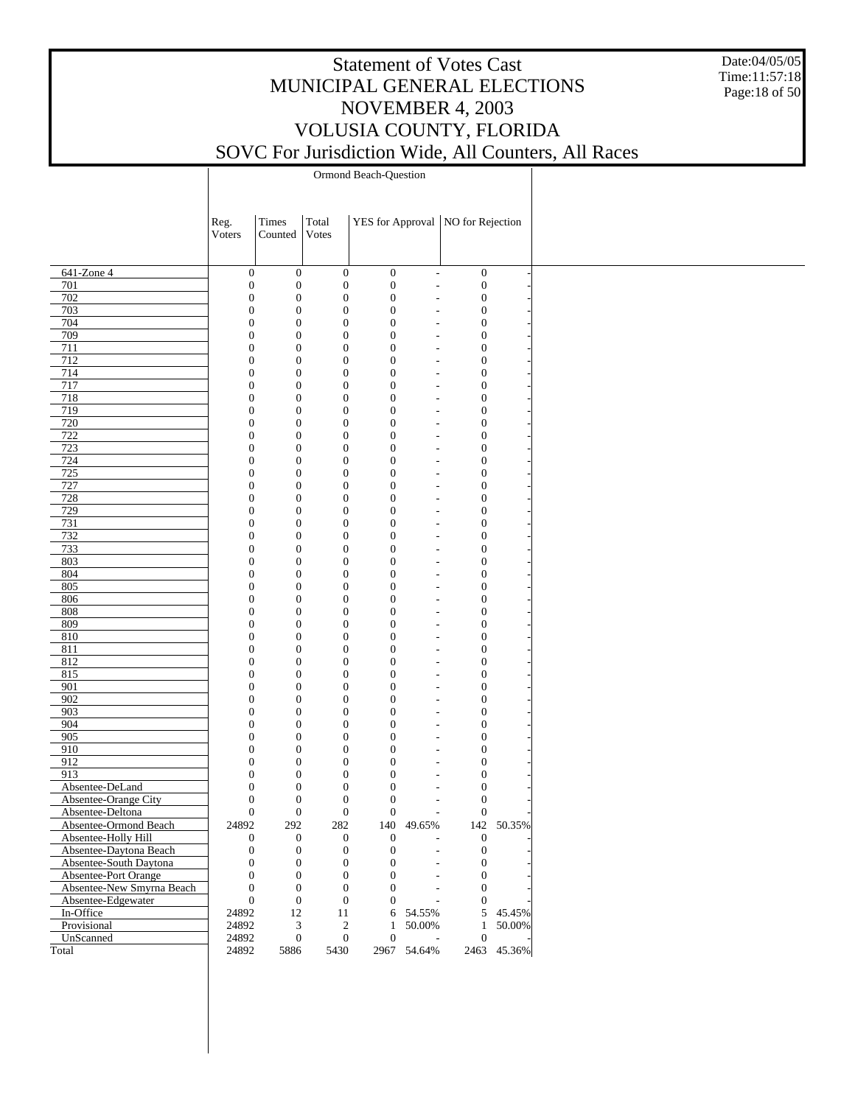Date:04/05/05 Time:11:57:18 Page:18 of 50

Ormond Beach-Question

|                           | Reg.<br>Voters                       | Times<br>Counted                     | Total<br>Votes               |                              |                                            | YES for Approval   NO for Rejection  |             |
|---------------------------|--------------------------------------|--------------------------------------|------------------------------|------------------------------|--------------------------------------------|--------------------------------------|-------------|
|                           |                                      |                                      |                              |                              |                                            |                                      |             |
| $641$ -Zone 4             | $\boldsymbol{0}$                     | $\boldsymbol{0}$                     | $\boldsymbol{0}$             | $\boldsymbol{0}$             | $\overline{\phantom{a}}$                   | $\boldsymbol{0}$                     |             |
| 701                       | $\boldsymbol{0}$                     | $\boldsymbol{0}$                     | $\boldsymbol{0}$             | $\boldsymbol{0}$             | $\overline{\phantom{a}}$                   | $\boldsymbol{0}$                     |             |
| 702                       | $\mathbf{0}$                         | $\boldsymbol{0}$                     | $\boldsymbol{0}$             | $\mathbf{0}$                 | $\overline{a}$                             | $\boldsymbol{0}$                     |             |
| 703                       | $\boldsymbol{0}$                     | $\boldsymbol{0}$                     | $\mathbf{0}$                 | $\mathbf{0}$                 | $\overline{a}$                             | $\boldsymbol{0}$                     |             |
| 704                       | $\mathbf{0}$                         | $\boldsymbol{0}$                     | $\mathbf{0}$                 | $\mathbf{0}$                 | $\overline{a}$                             | $\boldsymbol{0}$                     |             |
| 709                       | $\boldsymbol{0}$                     | $\boldsymbol{0}$                     | $\mathbf{0}$                 | $\mathbf{0}$                 | $\overline{a}$                             | $\boldsymbol{0}$                     |             |
| 711                       | $\boldsymbol{0}$                     | $\boldsymbol{0}$                     | $\mathbf{0}$                 | $\mathbf{0}$                 | $\overline{a}$                             | $\boldsymbol{0}$                     |             |
| 712                       | $\boldsymbol{0}$                     | $\boldsymbol{0}$                     | $\mathbf{0}$                 | $\mathbf{0}$                 | $\overline{a}$                             | $\boldsymbol{0}$                     |             |
| 714                       | $\boldsymbol{0}$                     | $\boldsymbol{0}$                     | $\mathbf{0}$                 | $\mathbf{0}$                 | $\overline{a}$                             | $\boldsymbol{0}$                     |             |
| 717                       | $\boldsymbol{0}$                     | $\boldsymbol{0}$                     | $\mathbf{0}$                 | $\mathbf{0}$                 | $\overline{\phantom{0}}$                   | $\boldsymbol{0}$                     |             |
| 718                       | $\mathbf{0}$                         | $\boldsymbol{0}$                     | $\mathbf{0}$                 | $\mathbf{0}$                 | $\overline{a}$                             | $\boldsymbol{0}$                     |             |
| 719                       | $\boldsymbol{0}$                     | $\boldsymbol{0}$                     | $\mathbf{0}$                 | $\mathbf{0}$                 | $\overline{a}$                             | $\boldsymbol{0}$                     |             |
| 720                       | $\boldsymbol{0}$                     | $\boldsymbol{0}$                     | $\mathbf{0}$                 | $\mathbf{0}$                 | $\overline{a}$                             | $\boldsymbol{0}$                     |             |
| 722                       | $\boldsymbol{0}$                     | $\boldsymbol{0}$                     | $\mathbf{0}$                 | $\mathbf{0}$                 | $\overline{a}$                             | $\boldsymbol{0}$                     |             |
| 723                       | $\boldsymbol{0}$                     | $\boldsymbol{0}$                     | $\mathbf{0}$                 | $\mathbf{0}$                 | $\overline{a}$                             | $\boldsymbol{0}$                     |             |
| 724                       | $\boldsymbol{0}$                     | $\boldsymbol{0}$                     | $\mathbf{0}$                 | $\mathbf{0}$                 | $\overline{a}$                             | $\boldsymbol{0}$                     |             |
| 725                       | $\boldsymbol{0}$                     | $\boldsymbol{0}$                     | $\mathbf{0}$                 | $\mathbf{0}$                 | $\overline{a}$                             | $\boldsymbol{0}$                     |             |
| 727                       | $\boldsymbol{0}$                     | $\boldsymbol{0}$                     | $\mathbf{0}$                 | $\mathbf{0}$                 | $\overline{\phantom{0}}$                   | $\boldsymbol{0}$                     |             |
| 728                       | $\boldsymbol{0}$                     | $\boldsymbol{0}$                     | $\mathbf{0}$<br>$\mathbf{0}$ | $\mathbf{0}$                 | $\overline{a}$                             | $\boldsymbol{0}$                     |             |
| 729<br>731                | $\boldsymbol{0}$<br>$\boldsymbol{0}$ | $\boldsymbol{0}$                     | $\mathbf{0}$                 | $\mathbf{0}$<br>$\mathbf{0}$ | $\overline{a}$                             | $\boldsymbol{0}$                     |             |
| 732                       | $\boldsymbol{0}$                     | $\boldsymbol{0}$<br>$\boldsymbol{0}$ | $\mathbf{0}$                 | $\mathbf{0}$                 | $\overline{a}$<br>$\overline{a}$           | $\boldsymbol{0}$<br>$\boldsymbol{0}$ |             |
| 733                       | $\boldsymbol{0}$                     | $\boldsymbol{0}$                     | $\mathbf{0}$                 | $\mathbf{0}$                 | $\overline{a}$                             | $\boldsymbol{0}$                     |             |
| 803                       | $\boldsymbol{0}$                     | $\boldsymbol{0}$                     | $\mathbf{0}$                 | $\mathbf{0}$                 | $\overline{a}$                             | $\boldsymbol{0}$                     |             |
| 804                       | $\boldsymbol{0}$                     | $\boldsymbol{0}$                     | $\mathbf{0}$                 | $\mathbf{0}$                 | $\overline{a}$                             | $\boldsymbol{0}$                     |             |
| 805                       | $\boldsymbol{0}$                     | $\boldsymbol{0}$                     | $\mathbf{0}$                 | $\mathbf{0}$                 |                                            | $\boldsymbol{0}$                     |             |
| 806                       | $\mathbf{0}$                         | $\boldsymbol{0}$                     | $\mathbf{0}$                 | $\mathbf{0}$                 | $\overline{a}$<br>$\overline{\phantom{0}}$ | $\boldsymbol{0}$                     |             |
| 808                       | $\boldsymbol{0}$                     | $\boldsymbol{0}$                     | $\mathbf{0}$                 | $\mathbf{0}$                 | $\overline{a}$                             | $\boldsymbol{0}$                     |             |
| 809                       | $\mathbf{0}$                         | $\boldsymbol{0}$                     | $\mathbf{0}$                 | $\mathbf{0}$                 | $\overline{a}$                             | $\boldsymbol{0}$                     |             |
| 810                       | $\boldsymbol{0}$                     | $\boldsymbol{0}$                     | $\mathbf{0}$                 | $\mathbf{0}$                 | $\overline{a}$                             | $\boldsymbol{0}$                     |             |
| 811                       | $\mathbf{0}$                         | $\boldsymbol{0}$                     | $\mathbf{0}$                 | $\mathbf{0}$                 | $\overline{a}$                             | $\boldsymbol{0}$                     |             |
| 812                       | $\boldsymbol{0}$                     | $\boldsymbol{0}$                     | $\mathbf{0}$                 | $\mathbf{0}$                 | $\overline{a}$                             | $\boldsymbol{0}$                     |             |
| 815                       | $\boldsymbol{0}$                     | $\boldsymbol{0}$                     | $\mathbf{0}$                 | $\mathbf{0}$                 | $\overline{a}$                             | $\boldsymbol{0}$                     |             |
| 901                       | $\boldsymbol{0}$                     | $\boldsymbol{0}$                     | $\mathbf{0}$                 | $\mathbf{0}$                 | $\overline{a}$                             | $\boldsymbol{0}$                     |             |
| 902                       | $\boldsymbol{0}$                     | $\boldsymbol{0}$                     | $\mathbf{0}$                 | $\mathbf{0}$                 | $\overline{\phantom{0}}$                   | $\boldsymbol{0}$                     |             |
| 903                       | $\boldsymbol{0}$                     | $\boldsymbol{0}$                     | $\mathbf{0}$                 | $\mathbf{0}$                 | $\overline{a}$                             | $\boldsymbol{0}$                     |             |
| 904                       | $\boldsymbol{0}$                     | $\boldsymbol{0}$                     | $\mathbf{0}$                 | $\mathbf{0}$                 | $\overline{a}$                             | $\boldsymbol{0}$                     |             |
| 905                       | $\boldsymbol{0}$                     | $\boldsymbol{0}$                     | $\mathbf{0}$                 | $\mathbf{0}$                 | $\overline{a}$                             | $\boldsymbol{0}$                     |             |
| 910                       | $\boldsymbol{0}$                     | $\boldsymbol{0}$                     | $\mathbf{0}$                 | $\mathbf{0}$                 | $\overline{a}$                             | $\boldsymbol{0}$                     |             |
| 912                       | $\boldsymbol{0}$                     | $\boldsymbol{0}$                     | $\mathbf{0}$                 | $\mathbf{0}$                 | $\overline{a}$                             | $\boldsymbol{0}$                     |             |
| 913                       | $\mathbf{0}$                         | $\boldsymbol{0}$                     | $\mathbf{0}$                 | $\overline{0}$               | $\overline{a}$                             | $\boldsymbol{0}$                     |             |
| Absentee-DeLand           | $\boldsymbol{0}$                     | $\boldsymbol{0}$                     | $\mathbf{0}$                 | $\mathbf{0}$                 | $\overline{\phantom{0}}$                   | $\boldsymbol{0}$                     |             |
| Absentee-Orange City      | $\overline{0}$                       | $\boldsymbol{0}$                     | $\mathbf{0}$                 | $\overline{0}$               | $\overline{a}$                             | $\boldsymbol{0}$                     |             |
| Absentee-Deltona          | $\overline{0}$                       | $\boldsymbol{0}$                     | $\mathbf{0}$                 | $\theta$                     | $\overline{\phantom{a}}$                   | $\boldsymbol{0}$                     |             |
| Absentee-Ormond Beach     | 24892                                | 292                                  | 282                          | 140                          | 49.65%                                     |                                      | 142 50.35%  |
| Absentee-Holly Hill       | $\boldsymbol{0}$                     | $\boldsymbol{0}$                     | $\boldsymbol{0}$             | $\boldsymbol{0}$             | $\overline{a}$                             | $\boldsymbol{0}$                     |             |
| Absentee-Daytona Beach    | $\boldsymbol{0}$                     | $\boldsymbol{0}$                     | $\mathbf{0}$                 | $\mathbf{0}$                 |                                            | $\mathbf{0}$                         |             |
| Absentee-South Daytona    | $\theta$                             | $\boldsymbol{0}$                     | $\mathbf{0}$                 | $\Omega$                     | $\overline{a}$                             | $\mathbf{0}$                         |             |
| Absentee-Port Orange      | $\mathbf{0}$                         | $\mathbf{0}$                         | $\mathbf{0}$                 | $\Omega$                     | $\overline{a}$                             | $\mathbf{0}$                         |             |
| Absentee-New Smyrna Beach | $\theta$                             | $\boldsymbol{0}$                     | $\mathbf{0}$                 | $\Omega$                     | $\overline{a}$                             | $\mathbf{0}$                         |             |
| Absentee-Edgewater        | $\theta$                             | $\boldsymbol{0}$                     | $\boldsymbol{0}$             | $\theta$                     |                                            | $\mathbf{0}$                         |             |
| In-Office                 | 24892                                | 12                                   | 11                           |                              | 6 54.55%                                   |                                      | 5 45.45%    |
| Provisional               | 24892                                | 3                                    | $\boldsymbol{2}$             | $\mathbf{1}$                 | 50.00%                                     | $\mathbf{1}$                         | 50.00%      |
| UnScanned                 | 24892                                | $\boldsymbol{0}$                     | $\boldsymbol{0}$             | $\theta$                     | $\overline{\phantom{a}}$                   | $\theta$                             |             |
| Total                     | 24892                                | 5886                                 | 5430                         |                              | 2967 54.64%                                |                                      | 2463 45.36% |
|                           |                                      |                                      |                              |                              |                                            |                                      |             |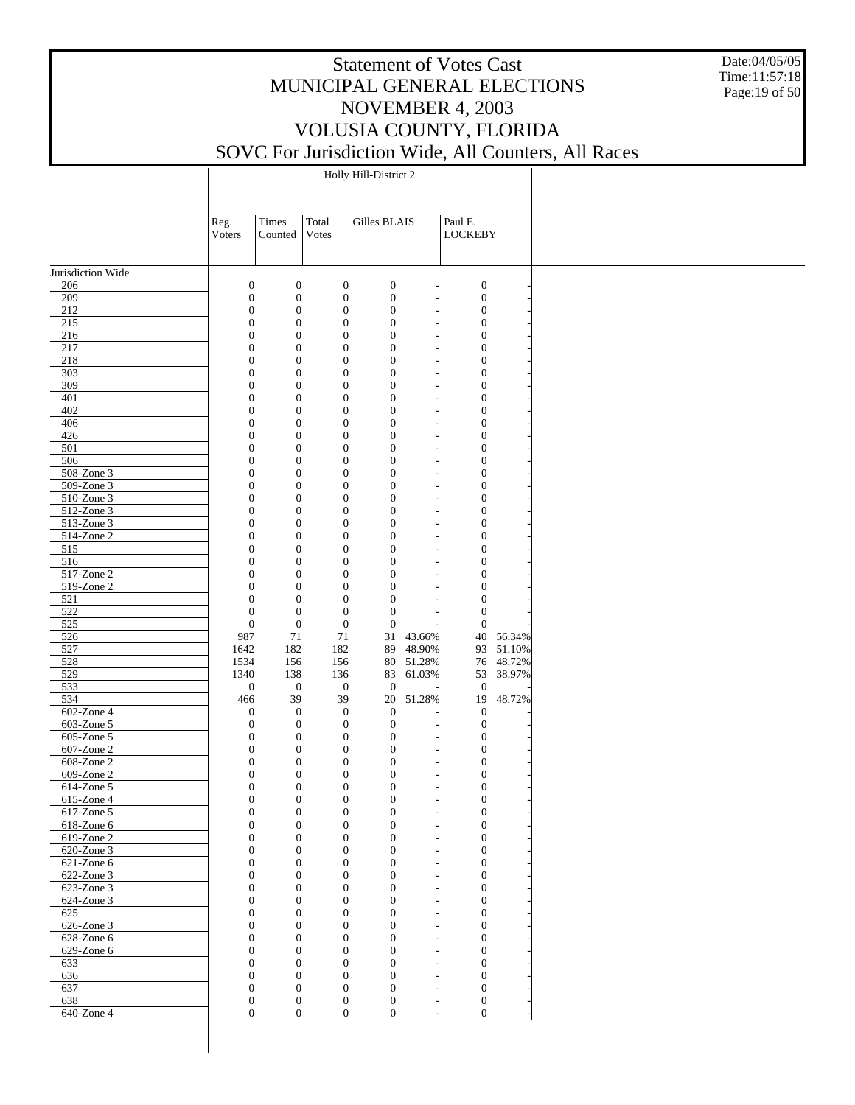Date:04/05/05 Time:11:57:18 Page:19 of 50

Holly Hill-District 2

|                          | Reg.                                 | Times                                | Total                                | Gilles BLAIS                         |                                                      | Paul E.                              |                        |
|--------------------------|--------------------------------------|--------------------------------------|--------------------------------------|--------------------------------------|------------------------------------------------------|--------------------------------------|------------------------|
|                          | Voters                               | Counted                              | Votes                                |                                      |                                                      | <b>LOCKEBY</b>                       |                        |
|                          |                                      |                                      |                                      |                                      |                                                      |                                      |                        |
| Jurisdiction Wide        |                                      |                                      |                                      |                                      |                                                      |                                      |                        |
| 206                      | $\boldsymbol{0}$                     | $\boldsymbol{0}$                     | $\boldsymbol{0}$                     | $\boldsymbol{0}$                     | $\overline{\phantom{a}}$                             | $\boldsymbol{0}$                     |                        |
| 209<br>212               | $\boldsymbol{0}$<br>$\boldsymbol{0}$ | $\boldsymbol{0}$<br>$\boldsymbol{0}$ | $\boldsymbol{0}$<br>$\boldsymbol{0}$ | $\boldsymbol{0}$<br>$\boldsymbol{0}$ | $\overline{\phantom{a}}$<br>$\overline{\phantom{a}}$ | $\boldsymbol{0}$<br>$\boldsymbol{0}$ |                        |
| 215                      | $\boldsymbol{0}$                     | $\boldsymbol{0}$                     | $\boldsymbol{0}$                     | $\boldsymbol{0}$                     | $\overline{\phantom{a}}$                             | $\boldsymbol{0}$                     |                        |
| 216                      | $\boldsymbol{0}$                     | $\boldsymbol{0}$                     | $\boldsymbol{0}$                     | $\boldsymbol{0}$                     | $\overline{\phantom{a}}$                             | $\boldsymbol{0}$                     |                        |
| 217                      | $\boldsymbol{0}$                     | $\boldsymbol{0}$                     | $\boldsymbol{0}$                     | $\boldsymbol{0}$                     | $\overline{\phantom{a}}$                             | $\boldsymbol{0}$                     |                        |
| 218<br>303               | $\boldsymbol{0}$<br>$\boldsymbol{0}$ | $\boldsymbol{0}$<br>$\boldsymbol{0}$ | $\boldsymbol{0}$<br>$\boldsymbol{0}$ | $\boldsymbol{0}$<br>$\boldsymbol{0}$ | $\overline{\phantom{a}}$<br>$\overline{\phantom{a}}$ | $\boldsymbol{0}$<br>$\boldsymbol{0}$ |                        |
| 309                      | $\boldsymbol{0}$                     | $\boldsymbol{0}$                     | $\boldsymbol{0}$                     | $\boldsymbol{0}$                     | $\overline{\phantom{a}}$                             | $\boldsymbol{0}$                     |                        |
| 401                      | $\boldsymbol{0}$                     | $\boldsymbol{0}$                     | $\boldsymbol{0}$                     | $\boldsymbol{0}$                     | $\sim$                                               | $\boldsymbol{0}$                     |                        |
| 402                      | $\boldsymbol{0}$                     | $\boldsymbol{0}$                     | $\boldsymbol{0}$                     | $\boldsymbol{0}$                     | $\overline{\phantom{a}}$                             | $\boldsymbol{0}$                     |                        |
| 406<br>426               | $\boldsymbol{0}$<br>$\boldsymbol{0}$ | $\boldsymbol{0}$<br>$\boldsymbol{0}$ | $\boldsymbol{0}$<br>$\boldsymbol{0}$ | $\boldsymbol{0}$<br>$\boldsymbol{0}$ | $\overline{\phantom{a}}$<br>$\overline{\phantom{a}}$ | $\boldsymbol{0}$<br>$\boldsymbol{0}$ |                        |
| 501                      | $\boldsymbol{0}$                     | $\boldsymbol{0}$                     | $\boldsymbol{0}$                     | $\boldsymbol{0}$                     | $\overline{\phantom{a}}$                             | $\boldsymbol{0}$                     |                        |
| 506                      | $\boldsymbol{0}$                     | $\boldsymbol{0}$                     | $\boldsymbol{0}$                     | $\boldsymbol{0}$                     | $\sim$                                               | $\boldsymbol{0}$                     |                        |
| 508-Zone 3               | $\boldsymbol{0}$                     | $\boldsymbol{0}$                     | $\boldsymbol{0}$                     | $\boldsymbol{0}$                     | $\overline{\phantom{a}}$                             | $\boldsymbol{0}$                     |                        |
| 509-Zone 3               | $\boldsymbol{0}$                     | $\boldsymbol{0}$                     | $\boldsymbol{0}$                     | $\boldsymbol{0}$                     | $\overline{\phantom{a}}$                             | $\boldsymbol{0}$                     |                        |
| 510-Zone 3<br>512-Zone 3 | $\boldsymbol{0}$<br>$\boldsymbol{0}$ | $\boldsymbol{0}$<br>$\boldsymbol{0}$ | $\boldsymbol{0}$<br>$\boldsymbol{0}$ | $\boldsymbol{0}$<br>$\boldsymbol{0}$ | $\overline{\phantom{a}}$<br>$\overline{\phantom{a}}$ | $\boldsymbol{0}$<br>$\boldsymbol{0}$ |                        |
| 513-Zone 3               | $\boldsymbol{0}$                     | $\boldsymbol{0}$                     | $\boldsymbol{0}$                     | $\boldsymbol{0}$                     | $\overline{\phantom{a}}$                             | $\boldsymbol{0}$                     |                        |
| 514-Zone 2               | $\boldsymbol{0}$                     | $\boldsymbol{0}$                     | $\boldsymbol{0}$                     | $\boldsymbol{0}$                     | $\overline{\phantom{a}}$                             | $\boldsymbol{0}$                     |                        |
| 515                      | $\boldsymbol{0}$                     | $\boldsymbol{0}$                     | $\boldsymbol{0}$                     | $\boldsymbol{0}$                     | $\overline{\phantom{a}}$                             | $\boldsymbol{0}$                     |                        |
| 516                      | $\boldsymbol{0}$                     | $\boldsymbol{0}$                     | $\boldsymbol{0}$                     | $\boldsymbol{0}$                     | $\overline{\phantom{a}}$                             | $\boldsymbol{0}$                     |                        |
| 517-Zone 2<br>519-Zone 2 | $\boldsymbol{0}$<br>$\boldsymbol{0}$ | $\boldsymbol{0}$<br>$\boldsymbol{0}$ | $\boldsymbol{0}$<br>$\boldsymbol{0}$ | $\boldsymbol{0}$<br>$\boldsymbol{0}$ | $\overline{\phantom{a}}$<br>$\sim$                   | $\boldsymbol{0}$<br>$\boldsymbol{0}$ |                        |
| 521                      | $\boldsymbol{0}$                     | $\boldsymbol{0}$                     | $\mathbf{0}$                         | $\boldsymbol{0}$                     | $\overline{\phantom{a}}$                             | $\boldsymbol{0}$                     |                        |
| 522                      | $\boldsymbol{0}$                     | $\boldsymbol{0}$                     | $\mathbf{0}$                         | $\boldsymbol{0}$                     | $\overline{\phantom{a}}$                             | $\boldsymbol{0}$                     |                        |
| 525                      | $\boldsymbol{0}$                     | $\boldsymbol{0}$                     | $\boldsymbol{0}$                     | $\boldsymbol{0}$                     | $\overline{a}$                                       | $\boldsymbol{0}$                     |                        |
| 526                      | 987                                  | 71                                   | $71\,$                               | 31                                   | 43.66%                                               |                                      | 40 56.34%              |
| 527                      | 1642<br>1534                         | 182<br>156                           | 182<br>156                           | 89                                   | 48.90%<br>80 51.28%                                  |                                      | 93 51.10%<br>76 48.72% |
| 528<br>529               | 1340                                 | 138                                  | 136                                  | 83                                   | 61.03%                                               |                                      | 53 38.97%              |
| 533                      | $\mathbf{0}$                         | $\boldsymbol{0}$                     | $\boldsymbol{0}$                     | $\mathbf{0}$                         | ÷,                                                   | $\boldsymbol{0}$                     |                        |
| 534                      | 466                                  | 39                                   | 39                                   | 20                                   | 51.28%                                               | 19                                   | 48.72%                 |
| 602-Zone 4               | $\mathbf{0}$                         | $\boldsymbol{0}$                     | $\boldsymbol{0}$                     | $\mathbf{0}$                         | $\overline{a}$                                       | $\boldsymbol{0}$                     |                        |
| 603-Zone 5               | $\mathbf{0}$                         | $\boldsymbol{0}$                     | $\boldsymbol{0}$                     | $\boldsymbol{0}$                     | $\overline{\phantom{a}}$                             | $\boldsymbol{0}$                     |                        |
| 605-Zone 5<br>607-Zone 2 | $\boldsymbol{0}$<br>$\boldsymbol{0}$ | $\boldsymbol{0}$<br>$\boldsymbol{0}$ | $\boldsymbol{0}$<br>$\boldsymbol{0}$ | $\boldsymbol{0}$<br>$\boldsymbol{0}$ | $\overline{\phantom{a}}$<br>$\overline{\phantom{a}}$ | $\boldsymbol{0}$<br>$\boldsymbol{0}$ |                        |
| 608-Zone 2               | $\boldsymbol{0}$                     | $\boldsymbol{0}$                     | $\boldsymbol{0}$                     | $\boldsymbol{0}$                     | $\overline{\phantom{a}}$                             | $\boldsymbol{0}$                     |                        |
| 609-Zone 2               | $\boldsymbol{0}$                     | $\boldsymbol{0}$                     | $\boldsymbol{0}$                     | $\boldsymbol{0}$                     | $\overline{\phantom{a}}$                             | $\boldsymbol{0}$                     |                        |
| 614-Zone 5               | $\boldsymbol{0}$                     | $\boldsymbol{0}$                     | $\boldsymbol{0}$                     | $\boldsymbol{0}$                     |                                                      | $\boldsymbol{0}$                     |                        |
| 615-Zone 4               | $\boldsymbol{0}$                     | $\boldsymbol{0}$                     | $\boldsymbol{0}$                     | $\boldsymbol{0}$                     |                                                      | $\boldsymbol{0}$                     |                        |
| 617-Zone 5               | $\Omega$                             | $\overline{0}$                       | $\overline{0}$                       | $\overline{0}$                       | $\overline{\phantom{a}}$                             | $\mathbf{0}$                         |                        |
| 618-Zone 6<br>619-Zone 2 | $\mathbf{0}$<br>$\boldsymbol{0}$     | $\boldsymbol{0}$<br>$\boldsymbol{0}$ | $\boldsymbol{0}$<br>$\boldsymbol{0}$ | $\boldsymbol{0}$<br>$\boldsymbol{0}$ |                                                      | $\boldsymbol{0}$<br>$\boldsymbol{0}$ |                        |
| 620-Zone 3               | $\boldsymbol{0}$                     | $\boldsymbol{0}$                     | $\mathbf{0}$                         | $\boldsymbol{0}$                     |                                                      | $\boldsymbol{0}$                     |                        |
| 621-Zone 6               | $\mathbf{0}$                         | $\boldsymbol{0}$                     | $\boldsymbol{0}$                     | $\boldsymbol{0}$                     | $\overline{a}$                                       | $\boldsymbol{0}$                     |                        |
| 622-Zone 3               | $\boldsymbol{0}$                     | $\boldsymbol{0}$                     | $\mathbf{0}$                         | $\boldsymbol{0}$                     | $\overline{\phantom{a}}$                             | $\boldsymbol{0}$                     |                        |
| 623-Zone 3               | $\boldsymbol{0}$                     | $\boldsymbol{0}$                     | $\boldsymbol{0}$                     | $\boldsymbol{0}$                     | $\overline{\phantom{a}}$                             | $\boldsymbol{0}$                     |                        |
| 624-Zone 3               | $\boldsymbol{0}$                     | $\boldsymbol{0}$                     | $\mathbf{0}$                         | $\boldsymbol{0}$                     | $\overline{\phantom{a}}$                             | $\boldsymbol{0}$                     |                        |
| 625<br>$626$ -Zone 3     | $\boldsymbol{0}$<br>$\boldsymbol{0}$ | $\boldsymbol{0}$<br>$\boldsymbol{0}$ | $\boldsymbol{0}$<br>$\mathbf{0}$     | $\boldsymbol{0}$<br>$\boldsymbol{0}$ | $\overline{\phantom{a}}$<br>$\overline{\phantom{a}}$ | $\boldsymbol{0}$<br>$\boldsymbol{0}$ |                        |
| 628-Zone 6               | $\mathbf{0}$                         | $\boldsymbol{0}$                     | $\boldsymbol{0}$                     | $\boldsymbol{0}$                     | $\overline{\phantom{a}}$                             | $\boldsymbol{0}$                     |                        |
| 629-Zone 6               | $\boldsymbol{0}$                     | $\boldsymbol{0}$                     | $\boldsymbol{0}$                     | $\boldsymbol{0}$                     | $\overline{\phantom{a}}$                             | $\boldsymbol{0}$                     |                        |
| 633                      | $\mathbf{0}$                         | $\boldsymbol{0}$                     | $\boldsymbol{0}$                     | $\boldsymbol{0}$                     | $\overline{\phantom{a}}$                             | $\boldsymbol{0}$                     |                        |
| 636                      | $\boldsymbol{0}$                     | $\boldsymbol{0}$                     | $\mathbf{0}$                         | $\boldsymbol{0}$                     | $\overline{\phantom{a}}$                             | $\boldsymbol{0}$                     |                        |
| 637<br>638               | $\mathbf{0}$<br>$\boldsymbol{0}$     | $\mathbf{0}$<br>$\boldsymbol{0}$     | $\boldsymbol{0}$<br>$\mathbf{0}$     | $\boldsymbol{0}$<br>$\boldsymbol{0}$ | $\overline{\phantom{a}}$<br>$\overline{\phantom{a}}$ | $\boldsymbol{0}$<br>$\boldsymbol{0}$ |                        |
| 640-Zone 4               | $\boldsymbol{0}$                     | $\mathbf{0}$                         | $\overline{0}$                       | $\overline{0}$                       | $\sim$                                               | $\boldsymbol{0}$                     |                        |
|                          |                                      |                                      |                                      |                                      |                                                      |                                      |                        |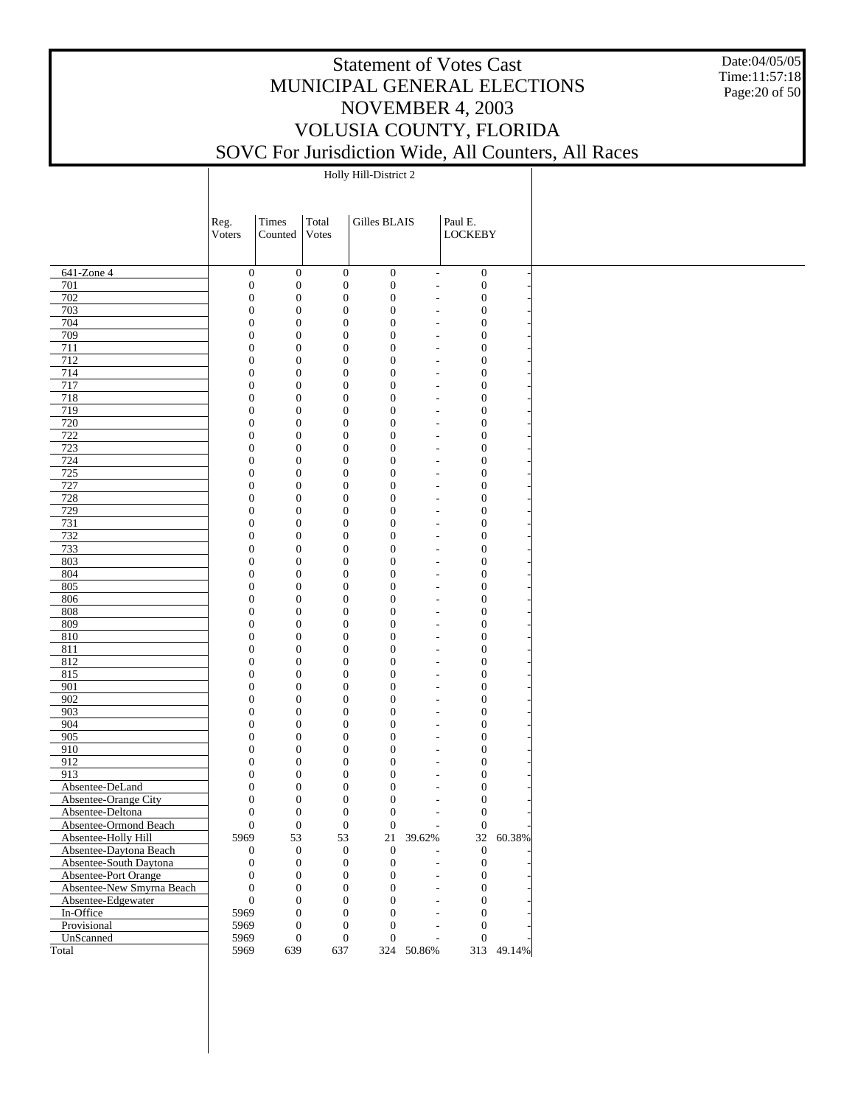Date:04/05/05 Time:11:57:18 Page:20 of 50

Holly Hill-District 2

|                                         | Reg.                                 | Times                                | Total                                | Gilles BLAIS                         |                                                      | Paul E.                              |            |
|-----------------------------------------|--------------------------------------|--------------------------------------|--------------------------------------|--------------------------------------|------------------------------------------------------|--------------------------------------|------------|
|                                         | Voters                               | Counted                              | Votes                                |                                      |                                                      | <b>LOCKEBY</b>                       |            |
|                                         |                                      |                                      |                                      |                                      |                                                      |                                      |            |
|                                         |                                      |                                      |                                      |                                      |                                                      |                                      |            |
| 641-Zone 4                              | $\mathbf{0}$                         | $\boldsymbol{0}$                     | $\boldsymbol{0}$                     | $\boldsymbol{0}$                     | $\blacksquare$                                       | $\boldsymbol{0}$                     |            |
| 701<br>702                              | $\boldsymbol{0}$<br>$\boldsymbol{0}$ | $\boldsymbol{0}$<br>$\boldsymbol{0}$ | $\boldsymbol{0}$<br>$\boldsymbol{0}$ | $\boldsymbol{0}$<br>$\boldsymbol{0}$ | $\overline{a}$<br>$\overline{\phantom{a}}$           | $\boldsymbol{0}$<br>$\boldsymbol{0}$ |            |
| 703                                     | $\boldsymbol{0}$                     | $\boldsymbol{0}$                     | $\boldsymbol{0}$                     | $\boldsymbol{0}$                     | L,                                                   | $\boldsymbol{0}$                     |            |
| 704                                     | $\boldsymbol{0}$                     | $\mathbf{0}$                         | $\boldsymbol{0}$                     | $\boldsymbol{0}$                     | L,                                                   | $\boldsymbol{0}$                     |            |
| 709                                     | $\boldsymbol{0}$                     | $\boldsymbol{0}$                     | $\boldsymbol{0}$                     | $\boldsymbol{0}$                     | L,                                                   | $\boldsymbol{0}$                     |            |
| 711                                     | $\boldsymbol{0}$                     | $\mathbf{0}$                         | $\boldsymbol{0}$                     | $\boldsymbol{0}$                     | $\overline{\phantom{a}}$                             | $\boldsymbol{0}$                     |            |
| 712                                     | $\boldsymbol{0}$                     | $\boldsymbol{0}$                     | $\boldsymbol{0}$                     | $\boldsymbol{0}$                     | $\overline{\phantom{a}}$                             | $\boldsymbol{0}$                     |            |
| 714                                     | $\boldsymbol{0}$                     | $\mathbf{0}$                         | $\boldsymbol{0}$                     | $\boldsymbol{0}$                     | $\overline{\phantom{a}}$                             | $\boldsymbol{0}$                     |            |
| 717                                     | $\boldsymbol{0}$                     | $\boldsymbol{0}$                     | $\boldsymbol{0}$                     | $\boldsymbol{0}$                     | $\overline{\phantom{a}}$                             | $\boldsymbol{0}$                     |            |
| 718                                     | $\boldsymbol{0}$                     | $\mathbf{0}$                         | $\boldsymbol{0}$                     | $\boldsymbol{0}$                     | $\overline{\phantom{a}}$                             | $\boldsymbol{0}$                     |            |
| 719                                     | $\boldsymbol{0}$                     | $\boldsymbol{0}$                     | $\boldsymbol{0}$                     | $\boldsymbol{0}$                     | $\overline{\phantom{a}}$                             | $\boldsymbol{0}$                     |            |
| 720                                     | $\boldsymbol{0}$                     | $\mathbf{0}$                         | $\boldsymbol{0}$<br>$\boldsymbol{0}$ | $\boldsymbol{0}$                     | ÷,                                                   | $\boldsymbol{0}$                     |            |
| 722<br>723                              | $\boldsymbol{0}$<br>$\boldsymbol{0}$ | $\boldsymbol{0}$<br>$\mathbf{0}$     | $\boldsymbol{0}$                     | $\boldsymbol{0}$<br>$\boldsymbol{0}$ | $\overline{\phantom{a}}$<br>$\overline{\phantom{a}}$ | $\boldsymbol{0}$<br>$\boldsymbol{0}$ |            |
| 724                                     | $\boldsymbol{0}$                     | $\boldsymbol{0}$                     | $\boldsymbol{0}$                     | $\boldsymbol{0}$                     | $\overline{\phantom{a}}$                             | $\boldsymbol{0}$                     |            |
| 725                                     | $\boldsymbol{0}$                     | $\mathbf{0}$                         | $\boldsymbol{0}$                     | $\boldsymbol{0}$                     | $\overline{\phantom{a}}$                             | $\boldsymbol{0}$                     |            |
| 727                                     | $\boldsymbol{0}$                     | $\boldsymbol{0}$                     | $\boldsymbol{0}$                     | $\boldsymbol{0}$                     | $\overline{\phantom{a}}$                             | $\boldsymbol{0}$                     |            |
| 728                                     | $\boldsymbol{0}$                     | $\mathbf{0}$                         | $\boldsymbol{0}$                     | $\boldsymbol{0}$                     | $\overline{\phantom{a}}$                             | $\boldsymbol{0}$                     |            |
| 729                                     | $\boldsymbol{0}$                     | $\boldsymbol{0}$                     | $\boldsymbol{0}$                     | $\boldsymbol{0}$                     | $\overline{\phantom{a}}$                             | $\boldsymbol{0}$                     |            |
| 731                                     | $\boldsymbol{0}$                     | $\mathbf{0}$                         | $\boldsymbol{0}$                     | $\boldsymbol{0}$                     | ÷,                                                   | $\boldsymbol{0}$                     |            |
| 732                                     | $\boldsymbol{0}$                     | $\boldsymbol{0}$                     | $\boldsymbol{0}$                     | $\boldsymbol{0}$                     | $\overline{\phantom{a}}$                             | $\boldsymbol{0}$                     |            |
| 733                                     | $\boldsymbol{0}$                     | $\mathbf{0}$                         | $\boldsymbol{0}$                     | $\boldsymbol{0}$                     | $\overline{\phantom{a}}$                             | $\boldsymbol{0}$                     |            |
| 803                                     | $\boldsymbol{0}$                     | $\boldsymbol{0}$                     | $\boldsymbol{0}$                     | $\boldsymbol{0}$                     | $\overline{\phantom{a}}$                             | $\boldsymbol{0}$                     |            |
| 804                                     | $\boldsymbol{0}$                     | $\mathbf{0}$                         | $\boldsymbol{0}$                     | $\boldsymbol{0}$                     | $\overline{\phantom{a}}$                             | $\boldsymbol{0}$                     |            |
| 805                                     | $\boldsymbol{0}$                     | $\boldsymbol{0}$                     | $\boldsymbol{0}$                     | $\boldsymbol{0}$                     | $\overline{\phantom{a}}$                             | $\boldsymbol{0}$                     |            |
| 806<br>808                              | $\boldsymbol{0}$                     | $\mathbf{0}$                         | $\boldsymbol{0}$                     | $\boldsymbol{0}$                     | $\overline{\phantom{a}}$                             | $\boldsymbol{0}$                     |            |
| 809                                     | $\boldsymbol{0}$<br>$\boldsymbol{0}$ | $\boldsymbol{0}$<br>$\mathbf{0}$     | $\boldsymbol{0}$<br>$\boldsymbol{0}$ | $\boldsymbol{0}$<br>$\boldsymbol{0}$ | $\overline{\phantom{a}}$<br>÷,                       | $\boldsymbol{0}$<br>$\boldsymbol{0}$ |            |
| 810                                     | $\boldsymbol{0}$                     | $\boldsymbol{0}$                     | $\boldsymbol{0}$                     | $\boldsymbol{0}$                     | $\overline{\phantom{a}}$                             | $\boldsymbol{0}$                     |            |
| 811                                     | $\boldsymbol{0}$                     | $\mathbf{0}$                         | $\boldsymbol{0}$                     | $\boldsymbol{0}$                     | $\overline{\phantom{a}}$                             | $\boldsymbol{0}$                     |            |
| 812                                     | $\boldsymbol{0}$                     | $\boldsymbol{0}$                     | $\boldsymbol{0}$                     | $\boldsymbol{0}$                     | $\overline{\phantom{a}}$                             | $\boldsymbol{0}$                     |            |
| 815                                     | $\boldsymbol{0}$                     | $\mathbf{0}$                         | $\boldsymbol{0}$                     | $\boldsymbol{0}$                     | $\overline{\phantom{a}}$                             | $\boldsymbol{0}$                     |            |
| 901                                     | $\boldsymbol{0}$                     | $\boldsymbol{0}$                     | $\boldsymbol{0}$                     | $\boldsymbol{0}$                     | $\overline{\phantom{a}}$                             | $\boldsymbol{0}$                     |            |
| 902                                     | $\boldsymbol{0}$                     | $\mathbf{0}$                         | $\boldsymbol{0}$                     | $\boldsymbol{0}$                     | $\overline{\phantom{a}}$                             | $\boldsymbol{0}$                     |            |
| 903                                     | $\boldsymbol{0}$                     | $\boldsymbol{0}$                     | $\boldsymbol{0}$                     | $\boldsymbol{0}$                     | $\overline{\phantom{a}}$                             | $\boldsymbol{0}$                     |            |
| 904                                     | $\boldsymbol{0}$                     | $\mathbf{0}$                         | $\boldsymbol{0}$                     | $\boldsymbol{0}$                     | ÷,                                                   | $\boldsymbol{0}$                     |            |
| 905                                     | $\boldsymbol{0}$                     | $\boldsymbol{0}$                     | $\boldsymbol{0}$                     | $\boldsymbol{0}$                     | $\overline{\phantom{a}}$                             | $\boldsymbol{0}$                     |            |
| 910                                     | $\boldsymbol{0}$                     | $\mathbf{0}$                         | $\boldsymbol{0}$                     | $\boldsymbol{0}$                     | $\overline{\phantom{a}}$                             | $\boldsymbol{0}$                     |            |
| $\overline{912}$                        | $\boldsymbol{0}$                     | $\boldsymbol{0}$                     | $\boldsymbol{0}$                     | $\boldsymbol{0}$                     | $\overline{a}$                                       | $\boldsymbol{0}$                     |            |
| 913                                     | $\boldsymbol{0}$                     | $\mathbf{0}$                         | $\boldsymbol{0}$                     | $\boldsymbol{0}$                     | $\overline{\phantom{a}}$                             | $\boldsymbol{0}$                     |            |
| Absentee-DeLand<br>Absentee-Orange City | $\boldsymbol{0}$<br>$\boldsymbol{0}$ | $\boldsymbol{0}$<br>$\mathbf{0}$     | $\boldsymbol{0}$<br>$\boldsymbol{0}$ | $\boldsymbol{0}$                     | L,                                                   | $\boldsymbol{0}$                     |            |
| Absentee-Deltona                        | $\mathbf{0}$                         | $\overline{0}$                       | $\overline{0}$                       | $\boldsymbol{0}$<br>$\overline{0}$   | L,<br>L,                                             | $\boldsymbol{0}$<br>$\mathbf{0}$     |            |
| Absentee-Ormond Beach                   | $\mathbf{0}$                         | $\mathbf{0}$                         | $\boldsymbol{0}$                     | $\boldsymbol{0}$                     |                                                      | $\boldsymbol{0}$                     |            |
| Absentee-Holly Hill                     | 5969                                 | 53                                   | 53                                   | 21                                   | 39.62%                                               |                                      | 32 60.38%  |
| Absentee-Daytona Beach                  | $\boldsymbol{0}$                     | $\boldsymbol{0}$                     | $\boldsymbol{0}$                     | $\mathbf{0}$                         |                                                      | $\boldsymbol{0}$                     |            |
| Absentee-South Daytona                  | $\boldsymbol{0}$                     | $\boldsymbol{0}$                     | $\boldsymbol{0}$                     | $\boldsymbol{0}$                     |                                                      | $\boldsymbol{0}$                     |            |
| Absentee-Port Orange                    | $\boldsymbol{0}$                     | $\boldsymbol{0}$                     | $\boldsymbol{0}$                     | $\mathbf{0}$                         |                                                      | $\boldsymbol{0}$                     |            |
| Absentee-New Smyrna Beach               | $\boldsymbol{0}$                     | $\boldsymbol{0}$                     | $\boldsymbol{0}$                     | $\mathbf{0}$                         |                                                      | $\boldsymbol{0}$                     |            |
| Absentee-Edgewater                      | $\boldsymbol{0}$                     | $\mathbf{0}$                         | $\boldsymbol{0}$                     | $\overline{0}$                       |                                                      | $\mathbf{0}$                         |            |
| In-Office                               | 5969                                 | $\mathbf{0}$                         | $\boldsymbol{0}$                     | $\overline{0}$                       |                                                      | $\mathbf{0}$                         |            |
| Provisional                             | 5969                                 | $\mathbf{0}$                         | $\boldsymbol{0}$                     | $\overline{0}$                       |                                                      | $\mathbf{0}$                         |            |
| UnScanned                               | 5969                                 | $\boldsymbol{0}$                     | $\boldsymbol{0}$                     | $\mathbf{0}$                         | ÷,                                                   | $\boldsymbol{0}$                     |            |
| Total                                   | 5969                                 | 639                                  | 637                                  |                                      | 324 50.86%                                           |                                      | 313 49.14% |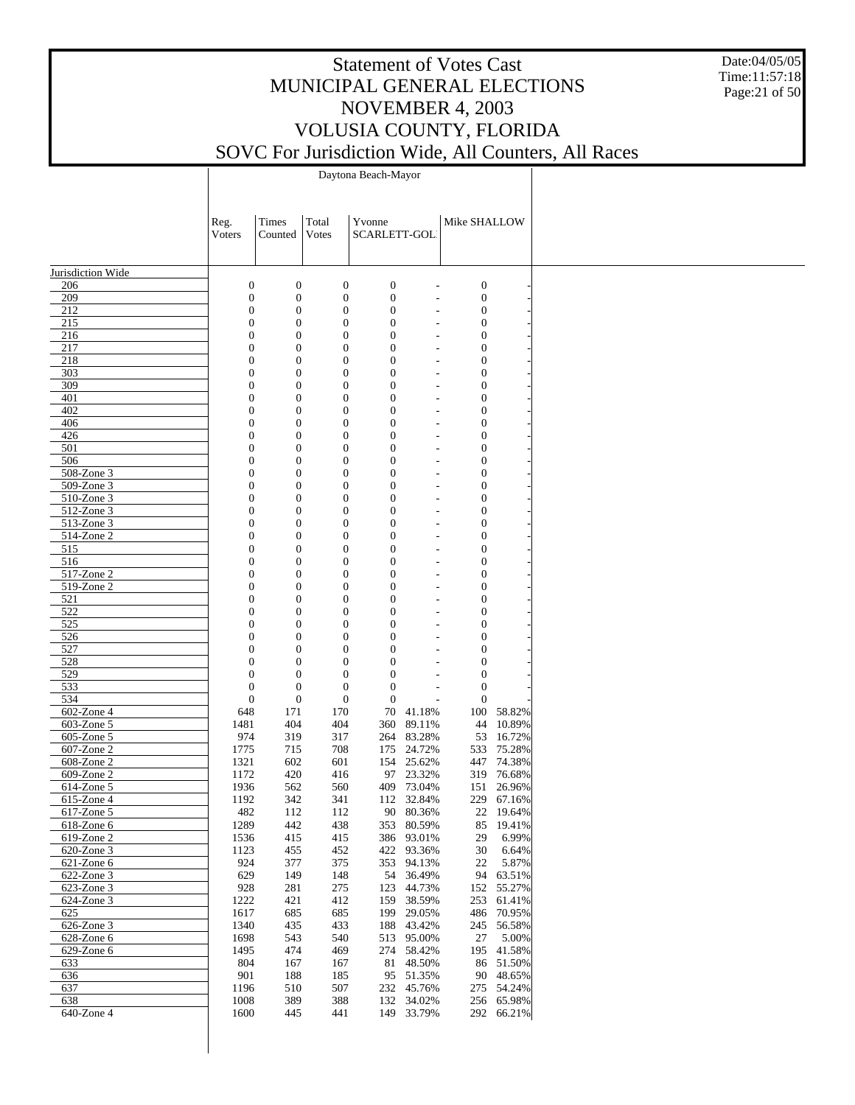Date:04/05/05 Time:11:57:18 Page:21 of 50

Daytona Beach-Mayor

|                                | Reg.<br>Voters                       | Times<br>Counted                   | Total<br>Votes                       | Yvonne<br>SCARLETT-GOL               |                          | Mike SHALLOW                         |                         |
|--------------------------------|--------------------------------------|------------------------------------|--------------------------------------|--------------------------------------|--------------------------|--------------------------------------|-------------------------|
|                                |                                      |                                    |                                      |                                      |                          |                                      |                         |
| Jurisdiction Wide              |                                      |                                    |                                      |                                      |                          |                                      |                         |
| 206                            | $\mathbf{0}$                         | $\boldsymbol{0}$                   | $\boldsymbol{0}$                     | $\boldsymbol{0}$                     |                          | $\boldsymbol{0}$                     |                         |
| 209                            | $\boldsymbol{0}$                     | $\boldsymbol{0}$                   | $\boldsymbol{0}$                     | $\boldsymbol{0}$                     |                          | $\boldsymbol{0}$                     |                         |
| 212<br>215                     | $\boldsymbol{0}$<br>$\boldsymbol{0}$ | $\boldsymbol{0}$                   | $\boldsymbol{0}$                     | $\boldsymbol{0}$                     | $\overline{\phantom{a}}$ | $\boldsymbol{0}$                     |                         |
| 216                            | $\boldsymbol{0}$                     | $\boldsymbol{0}$<br>$\overline{0}$ | $\boldsymbol{0}$<br>$\boldsymbol{0}$ | $\boldsymbol{0}$<br>$\boldsymbol{0}$ |                          | $\boldsymbol{0}$<br>$\boldsymbol{0}$ |                         |
| 217                            | $\mathbf{0}$                         | $\overline{0}$                     | $\boldsymbol{0}$                     | $\boldsymbol{0}$                     |                          | $\boldsymbol{0}$                     |                         |
| 218                            | $\boldsymbol{0}$                     | $\boldsymbol{0}$                   | $\boldsymbol{0}$                     | $\boldsymbol{0}$                     | $\overline{\phantom{a}}$ | $\boldsymbol{0}$                     |                         |
| 303                            | $\mathbf{0}$                         | $\boldsymbol{0}$                   | $\boldsymbol{0}$                     | $\boldsymbol{0}$                     | $\overline{a}$           | 0                                    |                         |
| 309                            | $\boldsymbol{0}$                     | $\overline{0}$                     | $\boldsymbol{0}$                     | $\boldsymbol{0}$                     | $\overline{a}$           | $\boldsymbol{0}$                     |                         |
| 401                            | $\mathbf{0}$                         | $\overline{0}$                     | $\boldsymbol{0}$                     | $\boldsymbol{0}$                     |                          | 0                                    |                         |
| 402                            | $\boldsymbol{0}$                     | $\boldsymbol{0}$                   | $\boldsymbol{0}$                     | $\boldsymbol{0}$                     |                          | $\boldsymbol{0}$                     |                         |
| 406                            | $\mathbf{0}$                         | $\boldsymbol{0}$                   | $\boldsymbol{0}$                     | $\boldsymbol{0}$                     |                          | 0                                    |                         |
| 426<br>501                     | $\boldsymbol{0}$<br>$\mathbf{0}$     | $\overline{0}$<br>$\overline{0}$   | $\boldsymbol{0}$<br>$\boldsymbol{0}$ | $\boldsymbol{0}$<br>$\boldsymbol{0}$ | $\overline{\phantom{a}}$ | $\boldsymbol{0}$<br>0                |                         |
| 506                            | $\boldsymbol{0}$                     | $\boldsymbol{0}$                   | $\boldsymbol{0}$                     | $\boldsymbol{0}$                     | $\overline{a}$           | $\boldsymbol{0}$                     |                         |
| 508-Zone 3                     | $\mathbf{0}$                         | $\boldsymbol{0}$                   | $\boldsymbol{0}$                     | $\boldsymbol{0}$                     |                          | 0                                    |                         |
| 509-Zone 3                     | $\boldsymbol{0}$                     | $\boldsymbol{0}$                   | $\boldsymbol{0}$                     | $\boldsymbol{0}$                     | $\overline{\phantom{a}}$ | $\boldsymbol{0}$                     |                         |
| 510-Zone 3                     | $\mathbf{0}$                         | $\boldsymbol{0}$                   | $\mathbf{0}$                         | $\boldsymbol{0}$                     |                          | 0                                    |                         |
| 512-Zone 3                     | $\boldsymbol{0}$                     | $\boldsymbol{0}$                   | $\mathbf{0}$                         | $\boldsymbol{0}$                     | $\overline{a}$           | $\boldsymbol{0}$                     |                         |
| 513-Zone 3                     | $\mathbf{0}$                         | $\boldsymbol{0}$                   | $\mathbf{0}$                         | $\boldsymbol{0}$                     |                          | 0                                    |                         |
| 514-Zone 2                     | $\boldsymbol{0}$                     | $\overline{0}$                     | $\mathbf{0}$                         | $\boldsymbol{0}$                     | $\qquad \qquad -$        | $\boldsymbol{0}$                     |                         |
| 515                            | $\mathbf{0}$                         | $\boldsymbol{0}$                   | $\mathbf{0}$                         | $\boldsymbol{0}$                     |                          | 0                                    |                         |
| 516                            | $\boldsymbol{0}$                     | $\boldsymbol{0}$                   | $\mathbf{0}$                         | $\boldsymbol{0}$                     | $\overline{\phantom{a}}$ | $\boldsymbol{0}$                     |                         |
| 517-Zone 2<br>519-Zone 2       | $\mathbf{0}$<br>$\boldsymbol{0}$     | $\boldsymbol{0}$<br>$\overline{0}$ | $\mathbf{0}$<br>$\mathbf{0}$         | $\boldsymbol{0}$<br>$\boldsymbol{0}$ |                          | 0<br>$\boldsymbol{0}$                |                         |
| 521                            | $\mathbf{0}$                         | $\overline{0}$                     | $\mathbf{0}$                         | $\boldsymbol{0}$                     | $\qquad \qquad -$        | 0                                    |                         |
| 522                            | $\boldsymbol{0}$                     | $\boldsymbol{0}$                   | $\mathbf{0}$                         | $\boldsymbol{0}$                     |                          | $\boldsymbol{0}$                     |                         |
| 525                            | $\mathbf{0}$                         | $\boldsymbol{0}$                   | $\mathbf{0}$                         | $\boldsymbol{0}$                     |                          | 0                                    |                         |
| 526                            | $\overline{0}$                       | $\overline{0}$                     | $\mathbf{0}$                         | $\boldsymbol{0}$                     | $\overline{\phantom{a}}$ | $\boldsymbol{0}$                     |                         |
| 527                            | $\overline{0}$                       | $\overline{0}$                     | $\mathbf{0}$                         | $\boldsymbol{0}$                     |                          | 0                                    |                         |
| 528                            | $\boldsymbol{0}$                     | $\overline{0}$                     | $\mathbf{0}$                         | $\boldsymbol{0}$                     |                          | $\boldsymbol{0}$                     |                         |
| 529                            | $\mathbf{0}$                         | $\overline{0}$                     | $\mathbf{0}$                         | $\boldsymbol{0}$                     |                          | $\boldsymbol{0}$                     |                         |
| 533                            | $\mathbf{0}$                         | $\mathbf{0}$                       | $\mathbf{0}$                         | $\boldsymbol{0}$                     |                          | $\boldsymbol{0}$                     |                         |
| 534                            | $\mathbf{0}$                         | $\mathbf{0}$                       | $\mathbf{0}$                         | $\boldsymbol{0}$                     |                          | $\mathbf{0}$                         |                         |
| 602-Zone 4                     | 648                                  | 171                                | 170                                  | 70                                   | 41.18%                   |                                      | 100 58.82%              |
| 603-Zone 5<br>605-Zone 5       | 1481<br>974                          | 404<br>319                         | 404<br>317                           | 360                                  | 89.11%<br>264 83.28%     | 44                                   | 10.89%<br>53 16.72%     |
| 607-Zone 2                     | 1775                                 | 715                                | 708                                  | 175                                  | 24.72%                   |                                      | 533 75.28%              |
| 608-Zone 2                     | 1321                                 | 602                                | 601                                  |                                      | 154 25.62%               |                                      | 447 74.38%              |
| 609-Zone 2                     | 1172                                 | 420                                | 416                                  |                                      | 97 23.32%                |                                      | 319 76.68%              |
| 614-Zone 5                     | 1936                                 | 562                                | 560                                  |                                      | 409 73.04%               |                                      | 151 26.96%              |
| 615-Zone 4                     | 1192                                 | 342                                | 341                                  |                                      | 112 32.84%               |                                      | 229 67.16%              |
| 617-Zone 5                     | 482                                  | 112                                | 112                                  |                                      | 90 80.36%                |                                      | 22 19.64%               |
| 618-Zone 6                     | 1289                                 | 442                                | 438                                  |                                      | 353 80.59%               |                                      | 85 19.41%               |
| 619-Zone 2                     | 1536                                 | 415                                | 415                                  |                                      | 386 93.01%               | 29                                   | 6.99%                   |
| $\overline{620}$ -Zone 3       | 1123                                 | 455                                | 452                                  |                                      | 422 93.36%               |                                      | 30 6.64%                |
| $621$ -Zone $6$                | 924                                  | 377                                | 375                                  |                                      | 353 94.13%               | 22                                   | 5.87%                   |
| $622$ -Zone 3<br>$623$ -Zone 3 | 629<br>928                           | 149<br>281                         | 148<br>275                           |                                      | 54 36.49%<br>123 44.73%  |                                      | 94 63.51%<br>152 55.27% |
| $624$ -Zone 3                  | 1222                                 | 421                                | 412                                  |                                      | 159 38.59%               |                                      | 253 61.41%              |
| 625                            | 1617                                 | 685                                | 685                                  |                                      | 199 29.05%               |                                      | 486 70.95%              |
| $626$ -Zone 3                  | 1340                                 | 435                                | 433                                  |                                      | 188 43.42%               |                                      | 245 56.58%              |
| 628-Zone 6                     | 1698                                 | 543                                | 540                                  |                                      | 513 95.00%               | 27                                   | 5.00%                   |
| 629-Zone 6                     | 1495                                 | 474                                | 469                                  |                                      | 274 58.42%               |                                      | 195 41.58%              |
| 633                            | 804                                  | 167                                | 167                                  |                                      | 81 48.50%                |                                      | 86 51.50%               |
| 636                            | 901                                  | 188                                | 185                                  |                                      | 95 51.35%                |                                      | 90 48.65%               |
| 637                            | 1196                                 | 510                                | 507                                  |                                      | 232 45.76%               |                                      | 275 54.24%              |
| 638                            | 1008                                 | 389                                | 388                                  |                                      | 132 34.02%               |                                      | 256 65.98%              |
| 640-Zone 4                     | 1600                                 | 445                                | 441                                  |                                      | 149 33.79%               |                                      | 292 66.21%              |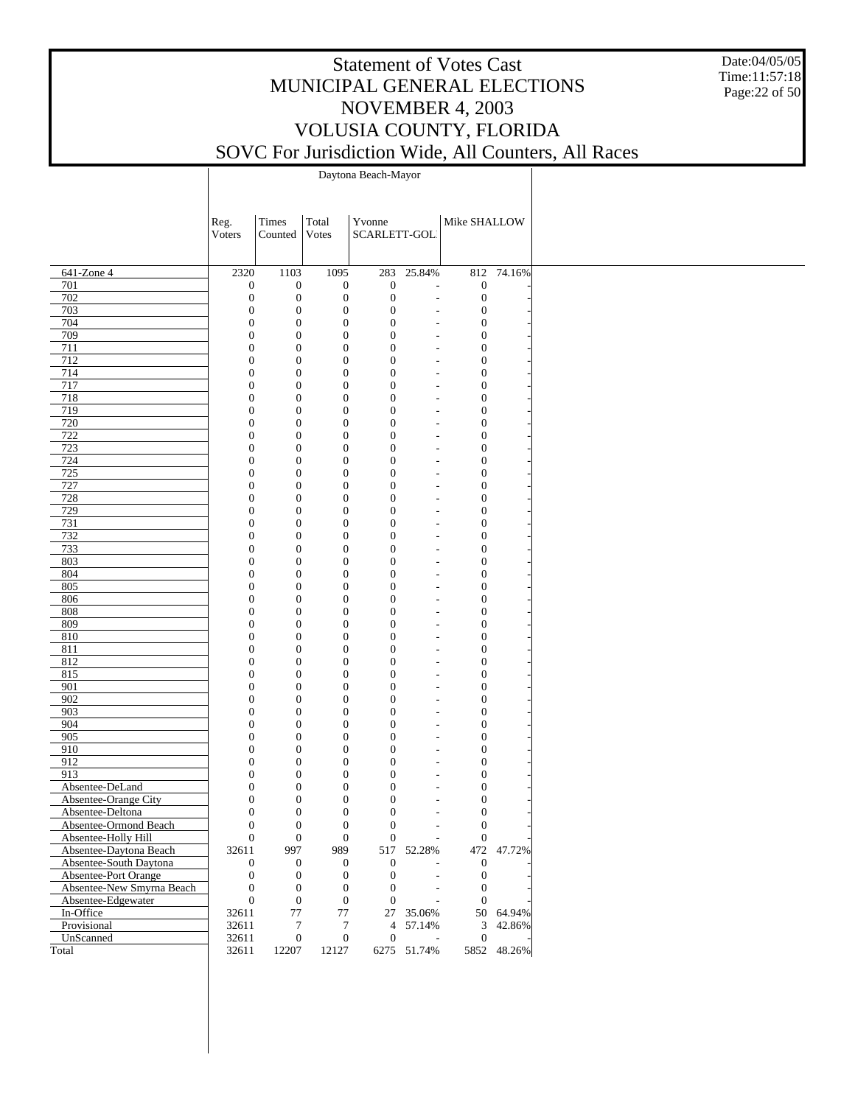Date:04/05/05 Time:11:57:18 Page:22 of 50

Daytona Beach-Mayor

|                           | Reg.                           | Times                            | Total                                | Yvonne                     |             | Mike SHALLOW                         |             |
|---------------------------|--------------------------------|----------------------------------|--------------------------------------|----------------------------|-------------|--------------------------------------|-------------|
|                           | Voters                         | Counted                          | <b>Votes</b>                         | SCARLETT-GOL               |             |                                      |             |
|                           |                                |                                  |                                      |                            |             |                                      |             |
| 641-Zone 4                | 2320                           | 1103                             | 1095                                 | 283                        | 25.84%      |                                      | 812 74.16%  |
| 701                       | $\boldsymbol{0}$               | $\boldsymbol{0}$                 | $\boldsymbol{0}$                     | $\boldsymbol{0}$           |             | $\boldsymbol{0}$                     |             |
| 702                       | $\boldsymbol{0}$               | $\boldsymbol{0}$                 | $\boldsymbol{0}$                     | $\boldsymbol{0}$           |             | $\boldsymbol{0}$                     |             |
| 703                       | $\mathbf{0}$                   | $\boldsymbol{0}$                 | $\boldsymbol{0}$                     | $\theta$                   |             | $\boldsymbol{0}$                     |             |
| 704                       | $\mathbf{0}$                   | $\boldsymbol{0}$                 | $\boldsymbol{0}$                     | $\mathbf{0}$               |             | $\boldsymbol{0}$                     |             |
| 709                       | $\overline{0}$                 | $\boldsymbol{0}$                 | $\boldsymbol{0}$                     | $\theta$                   |             | $\boldsymbol{0}$                     |             |
| 711                       | $\mathbf{0}$                   | $\boldsymbol{0}$                 | $\boldsymbol{0}$                     | $\overline{0}$             |             | $\boldsymbol{0}$                     |             |
| 712                       | $\mathbf{0}$                   | $\boldsymbol{0}$                 | $\boldsymbol{0}$                     | $\theta$                   |             | $\boldsymbol{0}$                     |             |
| 714                       | $\mathbf{0}$                   | $\boldsymbol{0}$                 | $\boldsymbol{0}$                     | $\overline{0}$             |             | $\boldsymbol{0}$                     |             |
| 717                       | $\mathbf{0}$                   | $\boldsymbol{0}$                 | $\boldsymbol{0}$                     | $\theta$                   |             | $\boldsymbol{0}$                     |             |
| 718                       | $\mathbf{0}$                   | $\boldsymbol{0}$                 | $\boldsymbol{0}$                     | $\overline{0}$             |             | $\boldsymbol{0}$                     |             |
| 719                       | $\mathbf{0}$                   | $\boldsymbol{0}$                 | $\boldsymbol{0}$                     | $\theta$                   |             | $\boldsymbol{0}$                     |             |
| 720                       | $\mathbf{0}$                   | $\boldsymbol{0}$                 | $\boldsymbol{0}$                     | $\overline{0}$             |             | $\boldsymbol{0}$                     |             |
| 722                       | $\mathbf{0}$                   | $\boldsymbol{0}$                 | $\boldsymbol{0}$                     | $\theta$                   |             | $\boldsymbol{0}$                     |             |
| 723                       | $\mathbf{0}$                   | $\boldsymbol{0}$                 | $\boldsymbol{0}$                     | $\overline{0}$             |             | $\boldsymbol{0}$                     |             |
| 724                       | $\mathbf{0}$                   | $\boldsymbol{0}$                 | $\boldsymbol{0}$                     | $\theta$                   |             | $\boldsymbol{0}$                     |             |
| 725                       | $\mathbf{0}$                   | $\boldsymbol{0}$                 | $\boldsymbol{0}$                     | $\overline{0}$             |             | $\boldsymbol{0}$                     |             |
| 727                       | $\mathbf{0}$                   | $\boldsymbol{0}$                 | $\boldsymbol{0}$                     | $\theta$                   |             | $\boldsymbol{0}$                     |             |
| 728                       | $\mathbf{0}$                   | $\boldsymbol{0}$                 | $\boldsymbol{0}$                     | $\overline{0}$             |             | $\boldsymbol{0}$                     |             |
| 729                       | $\mathbf{0}$                   | $\boldsymbol{0}$                 | $\boldsymbol{0}$                     | $\theta$                   |             | $\boldsymbol{0}$                     |             |
| 731                       | $\mathbf{0}$                   | $\boldsymbol{0}$                 | $\boldsymbol{0}$                     | $\overline{0}$             |             | $\boldsymbol{0}$                     |             |
| 732                       | $\boldsymbol{0}$               | $\boldsymbol{0}$                 | $\boldsymbol{0}$                     | $\theta$                   |             | $\boldsymbol{0}$                     |             |
| 733                       | $\boldsymbol{0}$               | $\boldsymbol{0}$                 | $\boldsymbol{0}$                     | $\overline{0}$             |             | $\boldsymbol{0}$                     |             |
| 803                       | $\boldsymbol{0}$               | $\boldsymbol{0}$                 | $\boldsymbol{0}$                     | $\theta$                   |             | $\boldsymbol{0}$                     |             |
| 804                       | $\mathbf{0}$                   | $\boldsymbol{0}$                 | $\boldsymbol{0}$                     | $\overline{0}$             |             | $\boldsymbol{0}$                     |             |
| 805                       | $\boldsymbol{0}$               | $\boldsymbol{0}$                 | $\boldsymbol{0}$                     | $\theta$                   |             | $\boldsymbol{0}$                     |             |
| 806                       | $\boldsymbol{0}$               | $\boldsymbol{0}$                 | $\boldsymbol{0}$                     | $\overline{0}$             |             | $\boldsymbol{0}$                     |             |
| 808                       | $\boldsymbol{0}$               | $\boldsymbol{0}$                 | $\boldsymbol{0}$                     | $\theta$                   |             | $\boldsymbol{0}$                     |             |
| 809<br>810                | $\mathbf{0}$<br>$\overline{0}$ | $\boldsymbol{0}$<br>$\mathbf{0}$ | $\boldsymbol{0}$<br>$\boldsymbol{0}$ | $\overline{0}$<br>$\theta$ |             | $\boldsymbol{0}$<br>$\boldsymbol{0}$ |             |
| 811                       | $\boldsymbol{0}$               | $\boldsymbol{0}$                 | $\boldsymbol{0}$                     | $\overline{0}$             |             | $\boldsymbol{0}$                     |             |
| 812                       | $\boldsymbol{0}$               | $\boldsymbol{0}$                 | $\boldsymbol{0}$                     | $\theta$                   |             | $\boldsymbol{0}$                     |             |
| 815                       | $\mathbf{0}$                   | $\boldsymbol{0}$                 | $\boldsymbol{0}$                     | $\overline{0}$             |             | $\boldsymbol{0}$                     |             |
| 901                       | $\overline{0}$                 | $\mathbf{0}$                     | $\boldsymbol{0}$                     | $\theta$                   |             | $\boldsymbol{0}$                     |             |
| 902                       | $\boldsymbol{0}$               | $\boldsymbol{0}$                 | $\boldsymbol{0}$                     | $\overline{0}$             |             | $\boldsymbol{0}$                     |             |
| 903                       | $\boldsymbol{0}$               | $\boldsymbol{0}$                 | $\boldsymbol{0}$                     | $\theta$                   |             | $\boldsymbol{0}$                     |             |
| 904                       | $\mathbf{0}$                   | $\boldsymbol{0}$                 | $\boldsymbol{0}$                     | $\overline{0}$             |             | $\boldsymbol{0}$                     |             |
| 905                       | $\overline{0}$                 | $\mathbf{0}$                     | $\boldsymbol{0}$                     | $\theta$                   |             | $\boldsymbol{0}$                     |             |
| 910                       | $\boldsymbol{0}$               | $\boldsymbol{0}$                 | $\boldsymbol{0}$                     | $\overline{0}$             |             | $\boldsymbol{0}$                     |             |
| 912                       | $\boldsymbol{0}$               | $\boldsymbol{0}$                 | $\boldsymbol{0}$                     | $\theta$                   |             | $\boldsymbol{0}$                     |             |
| 913                       | $\mathbf{0}$                   | $\boldsymbol{0}$                 | $\boldsymbol{0}$                     | $\overline{0}$             |             | $\boldsymbol{0}$                     |             |
| Absentee-DeLand           | $\overline{0}$                 | $\boldsymbol{0}$                 | $\boldsymbol{0}$                     | $\overline{0}$             |             | $\boldsymbol{0}$                     |             |
| Absentee-Orange City      | $\boldsymbol{0}$               | $\boldsymbol{0}$                 | $\boldsymbol{0}$                     | $\boldsymbol{0}$           |             | $\boldsymbol{0}$                     |             |
| Absentee-Deltona          | $\overline{0}$                 | $\boldsymbol{0}$                 | $\mathbf{0}$                         | $\theta$                   |             | $\boldsymbol{0}$                     |             |
| Absentee-Ormond Beach     | $\boldsymbol{0}$               | $\boldsymbol{0}$                 | $\boldsymbol{0}$                     | 0                          |             | $\boldsymbol{0}$                     |             |
| Absentee-Holly Hill       | $\mathbf{0}$                   | $\boldsymbol{0}$                 | $\boldsymbol{0}$                     | $\mathbf{0}$               |             | $\boldsymbol{0}$                     |             |
| Absentee-Daytona Beach    | 32611                          | 997                              | 989                                  |                            | 517 52.28%  |                                      | 472 47.72%  |
| Absentee-South Daytona    | 0                              | $\boldsymbol{0}$                 | $\boldsymbol{0}$                     | $\boldsymbol{0}$           |             | $\boldsymbol{0}$                     |             |
| Absentee-Port Orange      | $\mathbf{0}$                   | $\boldsymbol{0}$                 | $\boldsymbol{0}$                     | $\theta$                   |             | $\boldsymbol{0}$                     |             |
| Absentee-New Smyrna Beach | $\boldsymbol{0}$               | $\boldsymbol{0}$                 | $\boldsymbol{0}$                     | 0                          |             | $\boldsymbol{0}$                     |             |
| Absentee-Edgewater        | $\boldsymbol{0}$               | $\boldsymbol{0}$                 | $\boldsymbol{0}$                     | $\theta$                   |             | $\boldsymbol{0}$                     |             |
| In-Office                 | 32611                          | 77                               | $77\,$                               |                            | 27 35.06%   |                                      | 50 64.94%   |
| Provisional               | 32611                          | $\tau$                           | 7                                    | 4                          | 57.14%      | 3                                    | 42.86%      |
| UnScanned                 | 32611                          | $\boldsymbol{0}$                 | $\boldsymbol{0}$                     | $\boldsymbol{0}$           |             | $\mathbf{0}$                         |             |
| Total                     | 32611                          | 12207                            | 12127                                |                            | 6275 51.74% |                                      | 5852 48.26% |
|                           |                                |                                  |                                      |                            |             |                                      |             |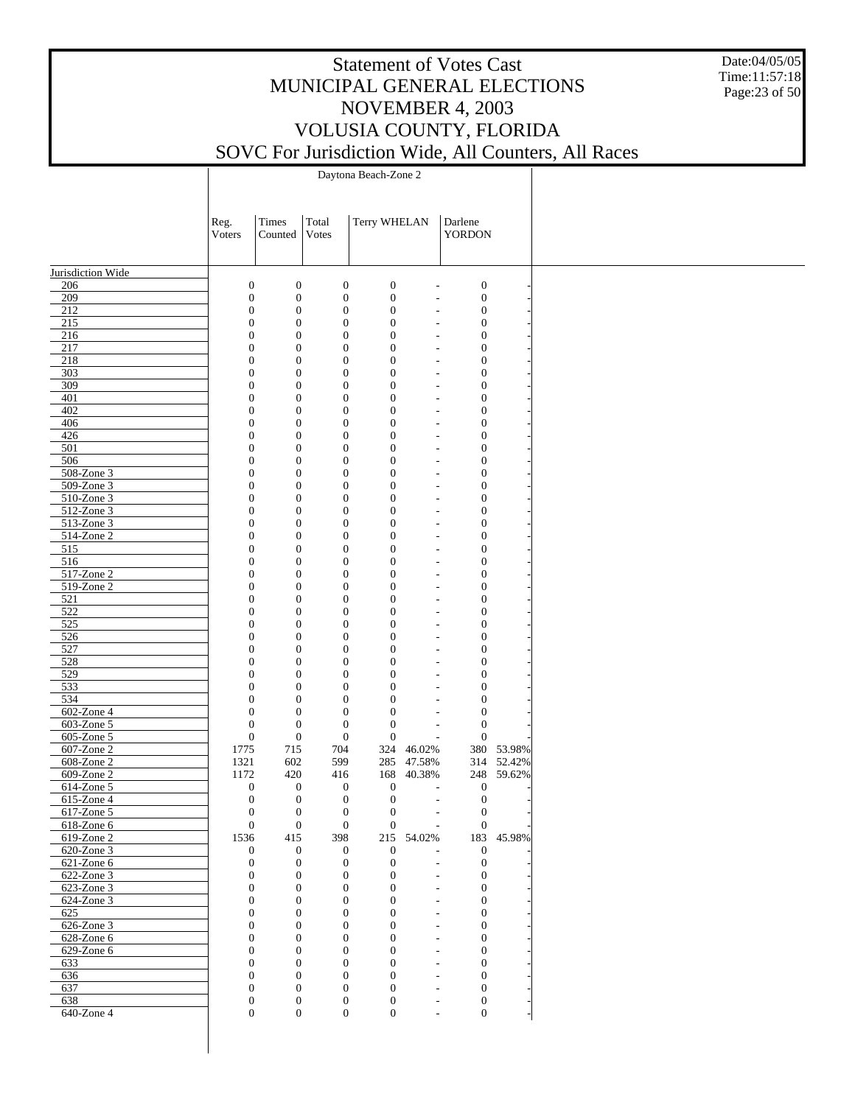Date:04/05/05 Time:11:57:18 Page:23 of 50

|                             | Reg.<br>Voters | Times<br>Counted                                                             | Total<br>Votes                       | Terry WHELAN                     |            | Darlene<br><b>YORDON</b>                                                                     |                      |
|-----------------------------|----------------|------------------------------------------------------------------------------|--------------------------------------|----------------------------------|------------|----------------------------------------------------------------------------------------------|----------------------|
|                             |                |                                                                              |                                      |                                  |            |                                                                                              |                      |
| Jurisdiction Wide           |                |                                                                              |                                      |                                  |            |                                                                                              |                      |
| 206                         |                | $\boldsymbol{0}$<br>$\boldsymbol{0}$                                         | $\boldsymbol{0}$                     | $\boldsymbol{0}$                 |            | $\boldsymbol{0}$<br>$\overline{a}$                                                           |                      |
| 209                         |                | $\boldsymbol{0}$<br>$\boldsymbol{0}$                                         | $\boldsymbol{0}$                     | $\boldsymbol{0}$                 |            | $\boldsymbol{0}$<br>L,                                                                       |                      |
| 212                         |                | $\boldsymbol{0}$<br>$\boldsymbol{0}$                                         | $\boldsymbol{0}$                     | $\mathbf{0}$                     |            | $\boldsymbol{0}$<br>$\overline{a}$                                                           |                      |
| 215<br>216                  |                | $\boldsymbol{0}$<br>$\boldsymbol{0}$<br>$\boldsymbol{0}$<br>$\boldsymbol{0}$ | $\boldsymbol{0}$<br>$\boldsymbol{0}$ | $\mathbf{0}$<br>$\boldsymbol{0}$ |            | $\boldsymbol{0}$<br>$\overline{a}$<br>$\boldsymbol{0}$<br>$\overline{a}$                     |                      |
| 217                         |                | $\boldsymbol{0}$<br>$\boldsymbol{0}$                                         | $\mathbf{0}$                         | $\mathbf{0}$                     |            | $\boldsymbol{0}$<br>L,                                                                       |                      |
| 218                         |                | $\boldsymbol{0}$<br>$\boldsymbol{0}$                                         | $\boldsymbol{0}$                     | $\boldsymbol{0}$                 |            | $\boldsymbol{0}$<br>$\overline{a}$                                                           |                      |
| 303                         |                | $\boldsymbol{0}$<br>$\boldsymbol{0}$                                         | $\mathbf{0}$                         | $\mathbf{0}$                     |            | $\boldsymbol{0}$<br>$\overline{a}$                                                           |                      |
| 309                         |                | $\boldsymbol{0}$<br>$\boldsymbol{0}$                                         | $\boldsymbol{0}$                     | $\boldsymbol{0}$                 |            | $\boldsymbol{0}$<br>$\overline{a}$                                                           |                      |
| 401                         |                | $\boldsymbol{0}$<br>$\boldsymbol{0}$                                         | $\mathbf{0}$                         | $\mathbf{0}$                     |            | $\boldsymbol{0}$<br>L,                                                                       |                      |
| 402<br>406                  |                | $\boldsymbol{0}$<br>$\boldsymbol{0}$<br>$\boldsymbol{0}$<br>$\boldsymbol{0}$ | $\boldsymbol{0}$<br>$\mathbf{0}$     | $\boldsymbol{0}$<br>$\mathbf{0}$ |            | $\boldsymbol{0}$<br>$\overline{a}$<br>$\boldsymbol{0}$<br>$\overline{a}$                     |                      |
| 426                         |                | $\boldsymbol{0}$<br>$\boldsymbol{0}$                                         | $\boldsymbol{0}$                     | $\boldsymbol{0}$                 |            | $\boldsymbol{0}$<br>$\overline{a}$                                                           |                      |
| 501                         |                | $\boldsymbol{0}$<br>$\boldsymbol{0}$                                         | $\mathbf{0}$                         | $\mathbf{0}$                     |            | $\boldsymbol{0}$<br>L,                                                                       |                      |
| 506                         |                | $\boldsymbol{0}$<br>$\boldsymbol{0}$                                         | $\boldsymbol{0}$                     | $\boldsymbol{0}$                 |            | $\boldsymbol{0}$<br>$\overline{a}$                                                           |                      |
| 508-Zone 3                  |                | $\boldsymbol{0}$<br>$\boldsymbol{0}$                                         | $\mathbf{0}$                         | $\mathbf{0}$                     |            | $\boldsymbol{0}$<br>$\overline{a}$                                                           |                      |
| 509-Zone 3                  |                | $\boldsymbol{0}$<br>$\boldsymbol{0}$                                         | $\boldsymbol{0}$                     | $\boldsymbol{0}$                 |            | $\boldsymbol{0}$<br>$\overline{a}$                                                           |                      |
| $510$ -Zone 3<br>512-Zone 3 |                | $\boldsymbol{0}$<br>$\boldsymbol{0}$<br>$\boldsymbol{0}$<br>$\boldsymbol{0}$ | $\mathbf{0}$<br>$\boldsymbol{0}$     | $\mathbf{0}$<br>$\boldsymbol{0}$ |            | $\boldsymbol{0}$<br>L,<br>$\boldsymbol{0}$<br>$\overline{a}$                                 |                      |
| 513-Zone 3                  |                | $\boldsymbol{0}$<br>$\boldsymbol{0}$                                         | $\mathbf{0}$                         | $\mathbf{0}$                     |            | $\boldsymbol{0}$<br>$\overline{a}$                                                           |                      |
| 514-Zone 2                  |                | $\boldsymbol{0}$<br>$\boldsymbol{0}$                                         | $\boldsymbol{0}$                     | $\boldsymbol{0}$                 |            | $\boldsymbol{0}$<br>$\overline{a}$                                                           |                      |
| 515                         |                | $\boldsymbol{0}$<br>$\boldsymbol{0}$                                         | $\mathbf{0}$                         | $\mathbf{0}$                     |            | $\boldsymbol{0}$<br>$\overline{a}$                                                           |                      |
| 516                         |                | $\boldsymbol{0}$<br>$\boldsymbol{0}$                                         | $\boldsymbol{0}$                     | $\boldsymbol{0}$                 |            | $\boldsymbol{0}$<br>$\overline{a}$                                                           |                      |
| 517-Zone 2                  |                | $\boldsymbol{0}$<br>$\boldsymbol{0}$                                         | $\boldsymbol{0}$                     | $\mathbf{0}$                     |            | $\boldsymbol{0}$<br>$\overline{a}$                                                           |                      |
| $519$ -Zone 2<br>521        |                | $\boldsymbol{0}$<br>$\boldsymbol{0}$<br>$\boldsymbol{0}$<br>$\boldsymbol{0}$ | $\boldsymbol{0}$<br>$\mathbf{0}$     | $\boldsymbol{0}$<br>$\mathbf{0}$ |            | $\boldsymbol{0}$<br>$\overline{a}$<br>$\boldsymbol{0}$<br>$\overline{a}$                     |                      |
| $\overline{522}$            |                | $\boldsymbol{0}$<br>$\boldsymbol{0}$                                         | $\boldsymbol{0}$                     | $\boldsymbol{0}$                 |            | $\boldsymbol{0}$<br>$\overline{a}$                                                           |                      |
| 525                         |                | $\boldsymbol{0}$<br>$\boldsymbol{0}$                                         | $\mathbf{0}$                         | $\mathbf{0}$                     |            | $\boldsymbol{0}$<br>$\overline{a}$                                                           |                      |
| 526                         |                | $\boldsymbol{0}$<br>$\boldsymbol{0}$                                         | $\boldsymbol{0}$                     | $\boldsymbol{0}$                 |            | $\boldsymbol{0}$<br>$\overline{a}$                                                           |                      |
| 527                         |                | $\boldsymbol{0}$<br>$\boldsymbol{0}$                                         | $\mathbf{0}$                         | $\mathbf{0}$                     |            | $\boldsymbol{0}$<br>$\overline{a}$                                                           |                      |
| 528                         |                | $\boldsymbol{0}$<br>$\boldsymbol{0}$                                         | $\boldsymbol{0}$                     | $\boldsymbol{0}$                 |            | $\boldsymbol{0}$<br>$\overline{a}$                                                           |                      |
| 529<br>533                  |                | $\boldsymbol{0}$<br>$\boldsymbol{0}$<br>$\boldsymbol{0}$<br>$\boldsymbol{0}$ | $\mathbf{0}$<br>$\boldsymbol{0}$     | $\mathbf{0}$<br>$\boldsymbol{0}$ |            | $\boldsymbol{0}$<br>$\overline{a}$<br>$\boldsymbol{0}$<br>$\overline{a}$                     |                      |
| 534                         |                | $\boldsymbol{0}$<br>$\boldsymbol{0}$                                         | $\mathbf{0}$                         | $\mathbf{0}$                     |            | $\boldsymbol{0}$<br>$\overline{a}$                                                           |                      |
| 602-Zone 4                  |                | $\boldsymbol{0}$<br>$\boldsymbol{0}$                                         | $\mathbf{0}$                         | $\mathbf{0}$                     |            | $\boldsymbol{0}$<br>$\overline{a}$                                                           |                      |
| 603-Zone 5                  |                | $\boldsymbol{0}$<br>$\boldsymbol{0}$                                         | $\mathbf{0}$                         | $\boldsymbol{0}$                 |            | $\boldsymbol{0}$<br>$\overline{\phantom{a}}$                                                 |                      |
| 605-Zone 5                  |                | $\boldsymbol{0}$<br>$\boldsymbol{0}$                                         | $\mathbf{0}$                         | $\mathbf{0}$                     |            | $\boldsymbol{0}$<br>$\overline{a}$                                                           |                      |
| 607-Zone 2                  | 1775           | 715                                                                          | 704                                  | 324                              | 46.02%     |                                                                                              | 380 53.98%           |
| 608-Zone 2<br>609-Zone 2    | 1321<br>1172   | 602<br>420                                                                   | 599<br>416                           | 285<br>168                       | 47.58%     | 314                                                                                          | 52.42%<br>248 59.62% |
| 614-Zone 5                  |                | $\boldsymbol{0}$<br>$\boldsymbol{0}$                                         | $\boldsymbol{0}$                     | $\boldsymbol{0}$                 | 40.38%     | $\boldsymbol{0}$<br>$\overline{a}$                                                           |                      |
| 615-Zone 4                  |                | $\boldsymbol{0}$<br>$\boldsymbol{0}$                                         | $\boldsymbol{0}$                     | $\boldsymbol{0}$                 |            | $\boldsymbol{0}$<br>$\overline{\phantom{a}}$                                                 |                      |
| 617-Zone 5                  |                | $\boldsymbol{0}$<br>$\boldsymbol{0}$                                         | $\mathbf{0}$                         | $\mathbf{0}$                     |            | $\boldsymbol{0}$<br>$\overline{\phantom{a}}$                                                 |                      |
| $618$ -Zone $6$             | $\mathbf{0}$   | $\overline{0}$                                                               | $\mathbf{0}$                         | $\overline{0}$                   |            | $\mathbf{0}$                                                                                 |                      |
| 619-Zone 2                  | 1536           | 415                                                                          | 398                                  |                                  | 215 54.02% |                                                                                              | 183 45.98%           |
| 620-Zone 3                  |                | $\mathbf{0}$<br>$\mathbf{0}$                                                 | $\boldsymbol{0}$                     | $\boldsymbol{0}$                 |            | $\boldsymbol{0}$<br>$\overline{a}$                                                           |                      |
| 621-Zone 6<br>622-Zone 3    |                | $\mathbf{0}$<br>$\mathbf{0}$<br>$\mathbf{0}$<br>$\mathbf{0}$                 | $\boldsymbol{0}$<br>$\mathbf{0}$     | $\mathbf{0}$<br>$\mathbf{0}$     |            | $\boldsymbol{0}$<br>$\overline{\phantom{a}}$<br>$\boldsymbol{0}$<br>$\overline{\phantom{a}}$ |                      |
| $623$ -Zone 3               |                | $\boldsymbol{0}$<br>$\mathbf{0}$                                             | $\mathbf{0}$                         | $\overline{0}$                   |            | $\boldsymbol{0}$<br>$\overline{\phantom{a}}$                                                 |                      |
| 624-Zone 3                  |                | $\boldsymbol{0}$<br>$\boldsymbol{0}$                                         | $\mathbf{0}$                         | $\overline{0}$                   |            | $\boldsymbol{0}$<br>L,                                                                       |                      |
| 625                         |                | $\boldsymbol{0}$<br>$\boldsymbol{0}$                                         | $\mathbf{0}$                         | $\overline{0}$                   |            | $\boldsymbol{0}$<br>$\overline{\phantom{a}}$                                                 |                      |
| 626-Zone 3                  |                | $\overline{0}$<br>$\boldsymbol{0}$                                           | $\mathbf{0}$                         | $\overline{0}$                   |            | $\boldsymbol{0}$<br>L,                                                                       |                      |
| 628-Zone 6                  |                | $\overline{0}$<br>$\boldsymbol{0}$                                           | $\mathbf{0}$                         | $\overline{0}$                   |            | $\boldsymbol{0}$<br>$\overline{a}$                                                           |                      |
| 629-Zone 6<br>633           |                | $\boldsymbol{0}$<br>$\boldsymbol{0}$<br>$\boldsymbol{0}$<br>$\mathbf{0}$     | $\mathbf{0}$<br>$\mathbf{0}$         | $\mathbf{0}$<br>$\overline{0}$   |            | $\boldsymbol{0}$<br>$\overline{a}$<br>$\boldsymbol{0}$<br>$\sim$                             |                      |
| 636                         |                | $\overline{0}$<br>$\boldsymbol{0}$                                           | $\mathbf{0}$                         | $\overline{0}$                   |            | $\boldsymbol{0}$<br>$\overline{\phantom{a}}$                                                 |                      |
| 637                         |                | $\overline{0}$<br>$\boldsymbol{0}$                                           | $\mathbf{0}$                         | $\overline{0}$                   |            | $\boldsymbol{0}$<br>$\overline{\phantom{a}}$                                                 |                      |
| 638                         |                | $\boldsymbol{0}$<br>$\boldsymbol{0}$                                         | $\boldsymbol{0}$                     | $\boldsymbol{0}$                 |            | $\boldsymbol{0}$<br>$\overline{\phantom{a}}$                                                 |                      |
| 640-Zone 4                  |                | $\overline{0}$<br>$\mathbf{0}$                                               | $\boldsymbol{0}$                     | $\overline{0}$                   |            | $\boldsymbol{0}$<br>$\overline{\phantom{a}}$                                                 |                      |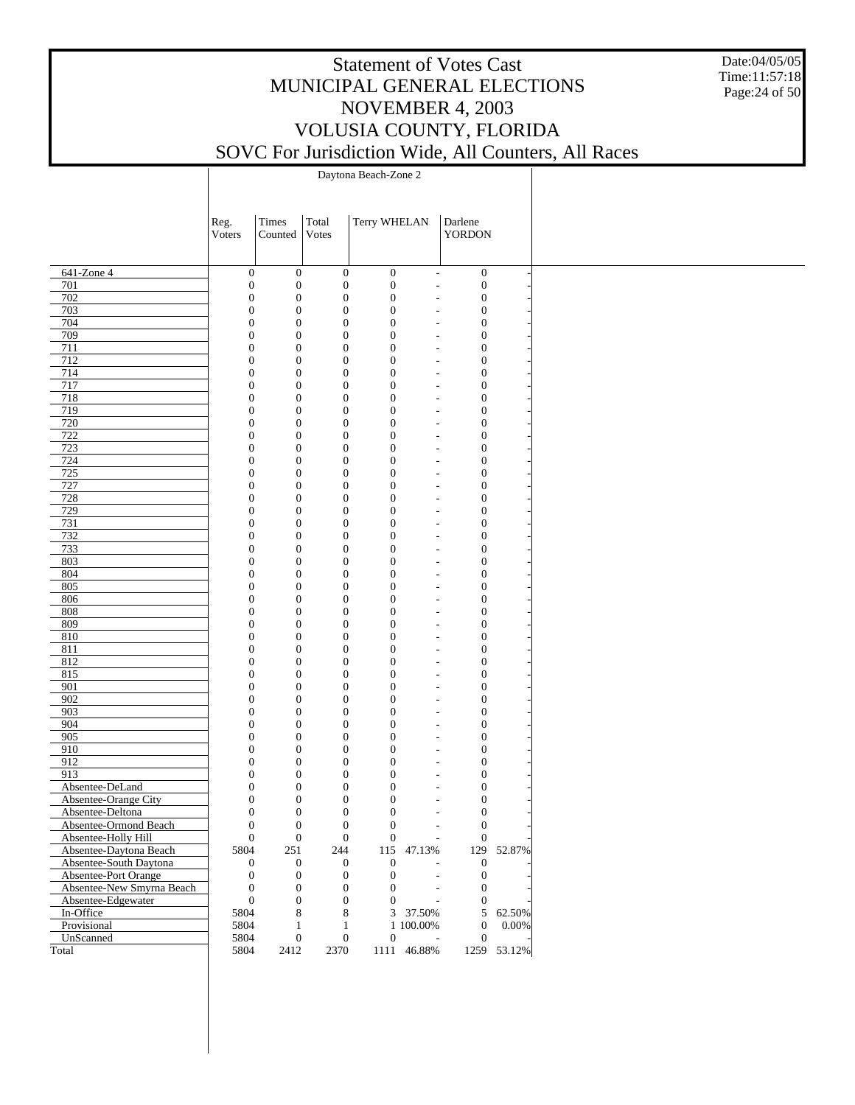Date:04/05/05 Time:11:57:18 Page:24 of 50

|                                               | Reg.                                 | Times                                | Total                                | Terry WHELAN                         | Darlene                                                                            |             |
|-----------------------------------------------|--------------------------------------|--------------------------------------|--------------------------------------|--------------------------------------|------------------------------------------------------------------------------------|-------------|
|                                               | Voters                               | Counted                              | Votes                                |                                      | <b>YORDON</b>                                                                      |             |
|                                               |                                      |                                      |                                      |                                      |                                                                                    |             |
| $641$ -Zone 4                                 | $\boldsymbol{0}$                     | $\boldsymbol{0}$                     | $\boldsymbol{0}$                     | $\boldsymbol{0}$                     | $\boldsymbol{0}$<br>$\overline{\phantom{a}}$                                       |             |
| 701<br>702                                    | $\boldsymbol{0}$<br>$\boldsymbol{0}$ | $\boldsymbol{0}$<br>$\boldsymbol{0}$ | $\boldsymbol{0}$<br>$\boldsymbol{0}$ | $\boldsymbol{0}$<br>$\boldsymbol{0}$ | $\boldsymbol{0}$<br>÷,<br>$\boldsymbol{0}$<br>$\overline{\phantom{a}}$             |             |
| 703                                           | $\boldsymbol{0}$                     | $\mathbf{0}$                         | $\boldsymbol{0}$                     | $\boldsymbol{0}$                     | $\boldsymbol{0}$<br>$\overline{a}$                                                 |             |
| 704                                           | $\boldsymbol{0}$                     | $\boldsymbol{0}$                     | $\boldsymbol{0}$                     | $\boldsymbol{0}$                     | $\boldsymbol{0}$<br>$\overline{\phantom{a}}$                                       |             |
| 709                                           | $\boldsymbol{0}$                     | $\mathbf{0}$                         | $\boldsymbol{0}$                     | $\boldsymbol{0}$                     | $\boldsymbol{0}$<br>$\overline{a}$                                                 |             |
| 711                                           | $\boldsymbol{0}$                     | $\boldsymbol{0}$                     | $\boldsymbol{0}$                     | $\boldsymbol{0}$                     | $\boldsymbol{0}$<br>$\overline{\phantom{a}}$                                       |             |
| 712                                           | $\boldsymbol{0}$                     | $\mathbf{0}$                         | $\boldsymbol{0}$                     | $\boldsymbol{0}$                     | $\boldsymbol{0}$<br>$\overline{\phantom{a}}$                                       |             |
| 714                                           | $\boldsymbol{0}$                     | $\boldsymbol{0}$                     | $\boldsymbol{0}$                     | $\boldsymbol{0}$                     | $\boldsymbol{0}$<br>$\overline{\phantom{a}}$                                       |             |
| 717                                           | $\boldsymbol{0}$                     | $\mathbf{0}$                         | $\boldsymbol{0}$                     | $\boldsymbol{0}$                     | $\boldsymbol{0}$<br>$\overline{\phantom{0}}$                                       |             |
| 718                                           | $\boldsymbol{0}$                     | $\boldsymbol{0}$                     | $\boldsymbol{0}$                     | $\boldsymbol{0}$                     | $\boldsymbol{0}$<br>$\overline{\phantom{a}}$                                       |             |
| 719                                           | $\boldsymbol{0}$                     | $\mathbf{0}$                         | $\boldsymbol{0}$                     | $\boldsymbol{0}$                     | $\boldsymbol{0}$<br>$\overline{a}$                                                 |             |
| 720                                           | $\boldsymbol{0}$                     | $\boldsymbol{0}$                     | $\boldsymbol{0}$                     | $\boldsymbol{0}$                     | $\boldsymbol{0}$<br>$\overline{\phantom{a}}$                                       |             |
| 722                                           | $\boldsymbol{0}$                     | $\mathbf{0}$                         | $\boldsymbol{0}$                     | $\boldsymbol{0}$                     | $\boldsymbol{0}$<br>$\overline{\phantom{a}}$                                       |             |
| 723<br>724                                    | $\boldsymbol{0}$<br>$\boldsymbol{0}$ | $\mathbf{0}$<br>$\mathbf{0}$         | $\boldsymbol{0}$<br>$\boldsymbol{0}$ | $\boldsymbol{0}$<br>$\boldsymbol{0}$ | $\boldsymbol{0}$<br>$\overline{\phantom{a}}$<br>$\boldsymbol{0}$<br>$\overline{a}$ |             |
| 725                                           | $\boldsymbol{0}$                     | $\boldsymbol{0}$                     | $\boldsymbol{0}$                     | $\boldsymbol{0}$                     | $\boldsymbol{0}$<br>$\overline{\phantom{a}}$                                       |             |
| 727                                           | $\boldsymbol{0}$                     | $\mathbf{0}$                         | $\boldsymbol{0}$                     | $\boldsymbol{0}$                     | $\boldsymbol{0}$<br>$\overline{\phantom{a}}$                                       |             |
| 728                                           | $\boldsymbol{0}$                     | $\mathbf{0}$                         | $\boldsymbol{0}$                     | $\boldsymbol{0}$                     | $\boldsymbol{0}$<br>$\overline{\phantom{a}}$                                       |             |
| 729                                           | $\boldsymbol{0}$                     | $\mathbf{0}$                         | $\boldsymbol{0}$                     | $\boldsymbol{0}$                     | $\boldsymbol{0}$<br>$\overline{a}$                                                 |             |
| 731                                           | $\boldsymbol{0}$                     | $\boldsymbol{0}$                     | $\boldsymbol{0}$                     | $\boldsymbol{0}$                     | $\boldsymbol{0}$<br>$\overline{\phantom{a}}$                                       |             |
| 732                                           | $\boldsymbol{0}$                     | $\mathbf{0}$                         | $\boldsymbol{0}$                     | $\boldsymbol{0}$                     | $\boldsymbol{0}$<br>$\overline{\phantom{a}}$                                       |             |
| 733                                           | $\boldsymbol{0}$                     | $\mathbf{0}$                         | $\boldsymbol{0}$                     | $\boldsymbol{0}$                     | $\boldsymbol{0}$<br>$\overline{\phantom{a}}$                                       |             |
| 803                                           | $\boldsymbol{0}$                     | $\mathbf{0}$                         | $\boldsymbol{0}$                     | $\boldsymbol{0}$                     | $\boldsymbol{0}$<br>$\overline{a}$                                                 |             |
| 804                                           | $\boldsymbol{0}$                     | $\boldsymbol{0}$                     | $\boldsymbol{0}$                     | $\boldsymbol{0}$                     | $\boldsymbol{0}$<br>$\overline{\phantom{a}}$                                       |             |
| 805                                           | $\boldsymbol{0}$                     | $\mathbf{0}$                         | $\boldsymbol{0}$                     | $\boldsymbol{0}$                     | $\boldsymbol{0}$<br>$\overline{\phantom{0}}$                                       |             |
| 806                                           | $\boldsymbol{0}$                     | $\boldsymbol{0}$                     | $\boldsymbol{0}$                     | $\boldsymbol{0}$                     | $\boldsymbol{0}$<br>$\overline{\phantom{a}}$                                       |             |
| 808                                           | $\boldsymbol{0}$                     | $\mathbf{0}$                         | $\boldsymbol{0}$                     | $\boldsymbol{0}$                     | $\boldsymbol{0}$<br>$\overline{\phantom{a}}$                                       |             |
| 809                                           | $\boldsymbol{0}$                     | $\boldsymbol{0}$                     | $\boldsymbol{0}$                     | $\boldsymbol{0}$                     | $\boldsymbol{0}$<br>$\overline{\phantom{a}}$                                       |             |
| 810<br>811                                    | $\boldsymbol{0}$<br>$\boldsymbol{0}$ | $\mathbf{0}$<br>$\boldsymbol{0}$     | $\boldsymbol{0}$<br>$\boldsymbol{0}$ | $\boldsymbol{0}$<br>$\boldsymbol{0}$ | $\boldsymbol{0}$<br>$\overline{\phantom{0}}$<br>$\boldsymbol{0}$                   |             |
| 812                                           | $\boldsymbol{0}$                     | $\mathbf{0}$                         | $\boldsymbol{0}$                     | $\boldsymbol{0}$                     | $\overline{\phantom{a}}$<br>$\boldsymbol{0}$<br>$\overline{a}$                     |             |
| 815                                           | $\boldsymbol{0}$                     | $\boldsymbol{0}$                     | $\boldsymbol{0}$                     | $\boldsymbol{0}$                     | $\boldsymbol{0}$<br>$\overline{\phantom{a}}$                                       |             |
| 901                                           | $\boldsymbol{0}$                     | $\mathbf{0}$                         | $\boldsymbol{0}$                     | $\boldsymbol{0}$                     | $\boldsymbol{0}$<br>$\overline{\phantom{a}}$                                       |             |
| 902                                           | $\boldsymbol{0}$                     | $\mathbf{0}$                         | $\boldsymbol{0}$                     | $\boldsymbol{0}$                     | $\boldsymbol{0}$<br>$\overline{\phantom{a}}$                                       |             |
| 903                                           | $\boldsymbol{0}$                     | $\mathbf{0}$                         | $\boldsymbol{0}$                     | $\boldsymbol{0}$                     | $\boldsymbol{0}$<br>$\overline{a}$                                                 |             |
| 904                                           | $\boldsymbol{0}$                     | $\boldsymbol{0}$                     | $\boldsymbol{0}$                     | $\boldsymbol{0}$                     | $\boldsymbol{0}$<br>$\overline{\phantom{a}}$                                       |             |
| 905                                           | $\boldsymbol{0}$                     | $\mathbf{0}$                         | $\boldsymbol{0}$                     | $\boldsymbol{0}$                     | $\boldsymbol{0}$<br>$\overline{\phantom{a}}$                                       |             |
| 910                                           | $\boldsymbol{0}$                     | $\boldsymbol{0}$                     | $\boldsymbol{0}$                     | $\boldsymbol{0}$                     | $\boldsymbol{0}$<br>$\overline{\phantom{a}}$                                       |             |
| 912                                           | $\boldsymbol{0}$                     | $\mathbf{0}$                         | $\boldsymbol{0}$                     | $\boldsymbol{0}$                     | $\boldsymbol{0}$<br>$\overline{a}$                                                 |             |
| 913                                           | $\boldsymbol{0}$                     | $\boldsymbol{0}$                     | $\boldsymbol{0}$                     | $\boldsymbol{0}$                     | $\boldsymbol{0}$<br>$\overline{\phantom{a}}$                                       |             |
| Absentee-DeLand                               | $\boldsymbol{0}$                     | $\mathbf{0}$                         | $\boldsymbol{0}$                     | $\boldsymbol{0}$                     | $\boldsymbol{0}$<br>$\overline{a}$                                                 |             |
| Absentee-Orange City                          | $\mathbf{0}$                         | $\boldsymbol{0}$                     | $\boldsymbol{0}$                     | $\boldsymbol{0}$                     | $\boldsymbol{0}$<br>$\overline{\phantom{a}}$                                       |             |
| Absentee-Deltona                              |                                      | $\boldsymbol{0}$<br>$\boldsymbol{0}$ | $\boldsymbol{0}$                     | $\boldsymbol{0}$                     | $\boldsymbol{0}$<br>$\overline{\phantom{a}}$                                       |             |
| Absentee-Ormond Beach                         | $\boldsymbol{0}$<br>$\boldsymbol{0}$ | $\boldsymbol{0}$<br>$\boldsymbol{0}$ | $\boldsymbol{0}$                     | $\boldsymbol{0}$<br>$\boldsymbol{0}$ | $\boldsymbol{0}$<br>$\boldsymbol{0}$<br>÷,                                         |             |
| Absentee-Holly Hill<br>Absentee-Daytona Beach | 5804                                 | 251                                  | $\boldsymbol{0}$<br>244              | 115 47.13%                           | 129                                                                                | 52.87%      |
| Absentee-South Daytona                        | $\boldsymbol{0}$                     | $\mathbf{0}$                         | $\boldsymbol{0}$                     | $\boldsymbol{0}$                     | $\boldsymbol{0}$                                                                   |             |
| Absentee-Port Orange                          | $\mathbf{0}$                         | $\boldsymbol{0}$                     | $\boldsymbol{0}$                     | $\boldsymbol{0}$                     | $\boldsymbol{0}$<br>$\overline{\phantom{a}}$                                       |             |
| Absentee-New Smyrna Beach                     | $\boldsymbol{0}$                     | $\mathbf{0}$                         | $\boldsymbol{0}$                     | $\boldsymbol{0}$                     | $\boldsymbol{0}$<br>$\overline{\phantom{a}}$                                       |             |
| Absentee-Edgewater                            | $\mathbf{0}$                         | $\boldsymbol{0}$                     | $\boldsymbol{0}$                     | $\boldsymbol{0}$                     | $\boldsymbol{0}$                                                                   |             |
| In-Office                                     | 5804                                 | 8                                    | $\,$ 8 $\,$                          | 3 37.50%                             | 5                                                                                  | 62.50%      |
| Provisional                                   | 5804                                 | 1                                    | $\mathbf{1}$                         | 1 100.00%                            | $\boldsymbol{0}$                                                                   | $0.00\%$    |
| UnScanned                                     | 5804                                 | $\boldsymbol{0}$                     | $\boldsymbol{0}$                     | $\boldsymbol{0}$                     | $\boldsymbol{0}$<br>$\overline{\phantom{a}}$                                       |             |
| Total                                         | 5804                                 | 2412                                 | 2370                                 | 1111 46.88%                          |                                                                                    | 1259 53.12% |
|                                               |                                      |                                      |                                      |                                      |                                                                                    |             |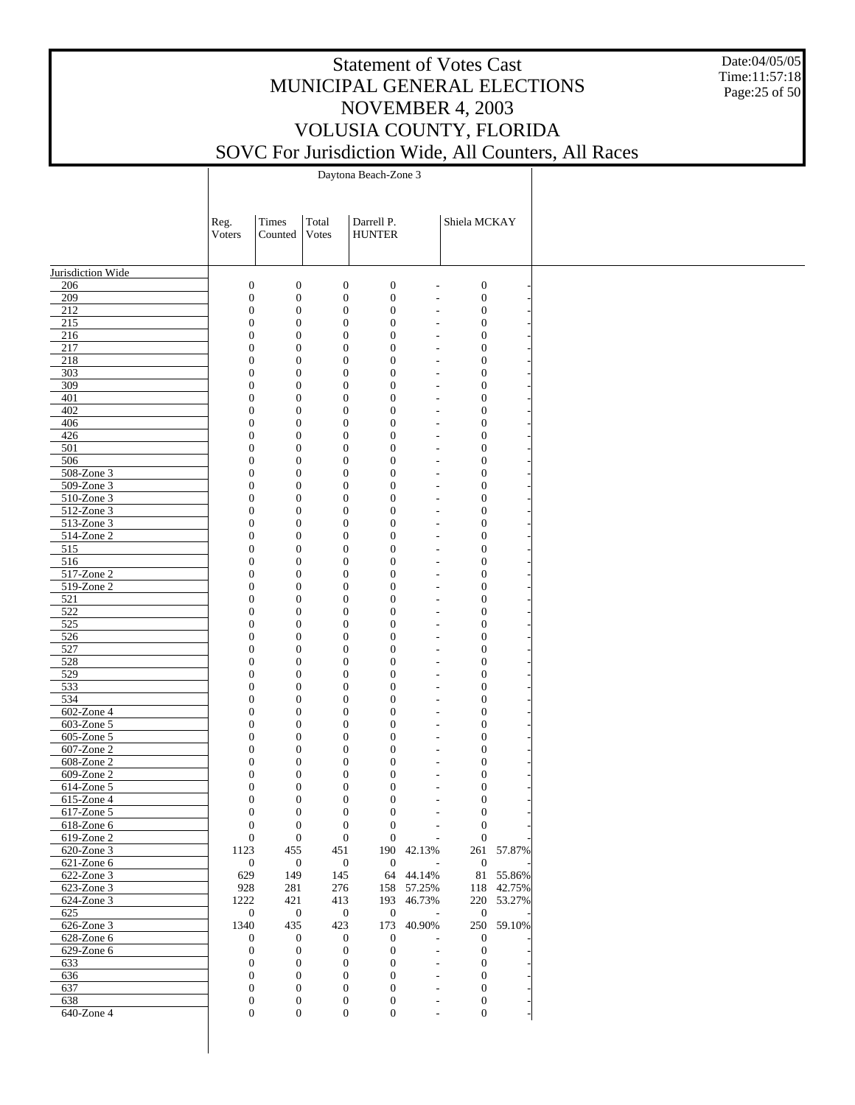Date:04/05/05 Time:11:57:18 Page:25 of 50

|                          | Reg.                                 | Times                                | Total                                | Darrell P.                       |                                                      | Shiela MCKAY                         |            |
|--------------------------|--------------------------------------|--------------------------------------|--------------------------------------|----------------------------------|------------------------------------------------------|--------------------------------------|------------|
|                          | Voters                               | Counted                              | Votes                                | <b>HUNTER</b>                    |                                                      |                                      |            |
|                          |                                      |                                      |                                      |                                  |                                                      |                                      |            |
| Jurisdiction Wide        |                                      |                                      |                                      |                                  |                                                      |                                      |            |
| 206                      | $\boldsymbol{0}$                     | $\boldsymbol{0}$                     | $\boldsymbol{0}$                     | $\boldsymbol{0}$                 |                                                      | $\boldsymbol{0}$                     |            |
| 209                      | $\boldsymbol{0}$                     | $\boldsymbol{0}$                     | $\boldsymbol{0}$                     | $\boldsymbol{0}$                 | $\overline{\phantom{a}}$                             | $\boldsymbol{0}$                     |            |
| 212<br>215               | $\boldsymbol{0}$                     | $\boldsymbol{0}$<br>$\boldsymbol{0}$ | $\boldsymbol{0}$<br>$\boldsymbol{0}$ | $\boldsymbol{0}$<br>$\mathbf{0}$ | $\overline{\phantom{a}}$                             | $\boldsymbol{0}$<br>$\boldsymbol{0}$ |            |
| 216                      | $\boldsymbol{0}$<br>$\boldsymbol{0}$ | $\boldsymbol{0}$                     | $\boldsymbol{0}$                     | $\mathbf{0}$                     | $\overline{\phantom{a}}$<br>$\overline{\phantom{a}}$ | $\boldsymbol{0}$                     |            |
| 217                      | $\boldsymbol{0}$                     | $\boldsymbol{0}$                     | $\boldsymbol{0}$                     | $\mathbf{0}$                     | $\overline{\phantom{a}}$                             | $\boldsymbol{0}$                     |            |
| 218                      | $\boldsymbol{0}$                     | $\boldsymbol{0}$                     | $\boldsymbol{0}$                     | $\mathbf{0}$                     | $\overline{\phantom{a}}$                             | $\boldsymbol{0}$                     |            |
| 303                      | $\boldsymbol{0}$                     | $\boldsymbol{0}$                     | $\boldsymbol{0}$                     | $\mathbf{0}$                     | $\overline{\phantom{a}}$                             | $\boldsymbol{0}$                     |            |
| 309                      | $\boldsymbol{0}$                     | $\boldsymbol{0}$                     | $\boldsymbol{0}$                     | $\mathbf{0}$                     | $\overline{\phantom{a}}$                             | $\boldsymbol{0}$                     |            |
| 401<br>$\overline{402}$  | $\boldsymbol{0}$<br>$\boldsymbol{0}$ | $\boldsymbol{0}$<br>$\boldsymbol{0}$ | $\boldsymbol{0}$<br>$\boldsymbol{0}$ | $\mathbf{0}$<br>$\mathbf{0}$     | $\overline{\phantom{a}}$                             | $\boldsymbol{0}$<br>$\boldsymbol{0}$ |            |
| 406                      | $\boldsymbol{0}$                     | $\boldsymbol{0}$                     | $\boldsymbol{0}$                     | $\mathbf{0}$                     | $\overline{\phantom{a}}$<br>$\overline{\phantom{a}}$ | $\boldsymbol{0}$                     |            |
| 426                      | $\boldsymbol{0}$                     | $\boldsymbol{0}$                     | $\boldsymbol{0}$                     | $\mathbf{0}$                     | $\overline{\phantom{a}}$                             | $\boldsymbol{0}$                     |            |
| 501                      | $\boldsymbol{0}$                     | $\boldsymbol{0}$                     | $\boldsymbol{0}$                     | $\mathbf{0}$                     | $\overline{\phantom{a}}$                             | $\boldsymbol{0}$                     |            |
| 506                      | $\boldsymbol{0}$                     | $\boldsymbol{0}$                     | $\boldsymbol{0}$                     | $\mathbf{0}$                     | $\overline{\phantom{a}}$                             | $\boldsymbol{0}$                     |            |
| 508-Zone 3               | $\boldsymbol{0}$                     | $\boldsymbol{0}$                     | $\boldsymbol{0}$                     | $\mathbf{0}$                     | $\overline{\phantom{a}}$                             | $\boldsymbol{0}$                     |            |
| 509-Zone 3<br>510-Zone 3 | $\boldsymbol{0}$<br>$\boldsymbol{0}$ | $\boldsymbol{0}$<br>$\boldsymbol{0}$ | $\boldsymbol{0}$<br>$\boldsymbol{0}$ | $\mathbf{0}$<br>$\mathbf{0}$     | $\overline{\phantom{a}}$<br>$\overline{\phantom{a}}$ | $\boldsymbol{0}$<br>$\boldsymbol{0}$ |            |
| 512-Zone 3               | $\boldsymbol{0}$                     | $\boldsymbol{0}$                     | $\boldsymbol{0}$                     | $\mathbf{0}$                     | $\overline{\phantom{a}}$                             | $\boldsymbol{0}$                     |            |
| 513-Zone 3               | $\boldsymbol{0}$                     | $\boldsymbol{0}$                     | $\boldsymbol{0}$                     | $\mathbf{0}$                     | $\overline{\phantom{a}}$                             | $\boldsymbol{0}$                     |            |
| 514-Zone 2               | $\boldsymbol{0}$                     | $\boldsymbol{0}$                     | $\boldsymbol{0}$                     | $\mathbf{0}$                     | $\overline{\phantom{a}}$                             | $\boldsymbol{0}$                     |            |
| 515                      | $\boldsymbol{0}$                     | $\boldsymbol{0}$                     | $\boldsymbol{0}$                     | $\mathbf{0}$                     | $\overline{\phantom{a}}$                             | $\boldsymbol{0}$                     |            |
| 516                      | $\boldsymbol{0}$                     | $\boldsymbol{0}$                     | $\boldsymbol{0}$                     | $\mathbf{0}$                     | $\overline{\phantom{a}}$                             | $\boldsymbol{0}$                     |            |
| 517-Zone 2<br>519-Zone 2 | $\boldsymbol{0}$<br>$\boldsymbol{0}$ | $\boldsymbol{0}$<br>$\boldsymbol{0}$ | $\boldsymbol{0}$<br>$\boldsymbol{0}$ | $\mathbf{0}$<br>$\mathbf{0}$     | $\overline{\phantom{a}}$<br>$\overline{\phantom{a}}$ | $\boldsymbol{0}$<br>$\boldsymbol{0}$ |            |
| 521                      | $\boldsymbol{0}$                     | $\boldsymbol{0}$                     | $\boldsymbol{0}$                     | $\mathbf{0}$                     | $\overline{\phantom{a}}$                             | $\boldsymbol{0}$                     |            |
| 522                      | $\boldsymbol{0}$                     | $\boldsymbol{0}$                     | $\boldsymbol{0}$                     | $\mathbf{0}$                     | $\overline{\phantom{a}}$                             | $\boldsymbol{0}$                     |            |
| 525                      | $\boldsymbol{0}$                     | $\boldsymbol{0}$                     | $\boldsymbol{0}$                     | $\mathbf{0}$                     | $\overline{\phantom{a}}$                             | $\boldsymbol{0}$                     |            |
| 526                      | $\boldsymbol{0}$                     | $\boldsymbol{0}$                     | $\boldsymbol{0}$                     | $\mathbf{0}$                     | $\overline{\phantom{a}}$                             | $\boldsymbol{0}$                     |            |
| 527                      | $\boldsymbol{0}$                     | $\boldsymbol{0}$                     | $\boldsymbol{0}$                     | $\mathbf{0}$                     | $\overline{\phantom{a}}$                             | $\boldsymbol{0}$                     |            |
| 528<br>529               | $\boldsymbol{0}$<br>$\boldsymbol{0}$ | $\boldsymbol{0}$<br>$\boldsymbol{0}$ | $\boldsymbol{0}$<br>$\boldsymbol{0}$ | $\mathbf{0}$<br>$\mathbf{0}$     | $\overline{\phantom{a}}$                             | $\boldsymbol{0}$<br>$\boldsymbol{0}$ |            |
| 533                      | $\boldsymbol{0}$                     | $\boldsymbol{0}$                     | $\boldsymbol{0}$                     | $\mathbf{0}$                     | $\overline{\phantom{a}}$<br>$\overline{\phantom{a}}$ | $\boldsymbol{0}$                     |            |
| 534                      | $\boldsymbol{0}$                     | $\boldsymbol{0}$                     | $\boldsymbol{0}$                     | $\mathbf{0}$                     | $\overline{\phantom{a}}$                             | $\boldsymbol{0}$                     |            |
| 602-Zone 4               | $\boldsymbol{0}$                     | $\boldsymbol{0}$                     | $\boldsymbol{0}$                     | $\mathbf{0}$                     | $\overline{\phantom{a}}$                             | $\boldsymbol{0}$                     |            |
| 603-Zone 5               | $\boldsymbol{0}$                     | $\boldsymbol{0}$                     | $\boldsymbol{0}$                     | $\mathbf{0}$                     | $\overline{\phantom{a}}$                             | $\boldsymbol{0}$                     |            |
| 605-Zone 5               | $\boldsymbol{0}$                     | $\boldsymbol{0}$                     | $\boldsymbol{0}$                     | $\mathbf{0}$                     | $\overline{\phantom{a}}$                             | $\boldsymbol{0}$                     |            |
| 607-Zone 2               | $\boldsymbol{0}$                     | $\boldsymbol{0}$                     | $\boldsymbol{0}$                     | $\mathbf{0}$                     | $\overline{\phantom{a}}$                             | $\boldsymbol{0}$                     |            |
| 608-Zone 2<br>609-Zone 2 | $\boldsymbol{0}$<br>$\boldsymbol{0}$ | $\boldsymbol{0}$<br>$\boldsymbol{0}$ | $\boldsymbol{0}$<br>$\boldsymbol{0}$ | $\mathbf{0}$<br>$\mathbf{0}$     | $\overline{\phantom{a}}$<br>$\overline{a}$           | $\boldsymbol{0}$<br>$\boldsymbol{0}$ |            |
| 614-Zone 5               | $\boldsymbol{0}$                     | $\boldsymbol{0}$                     | $\boldsymbol{0}$                     | $\boldsymbol{0}$                 | $\overline{\phantom{a}}$                             | $\boldsymbol{0}$                     |            |
| 615-Zone 4               | $\boldsymbol{0}$                     | $\mathbf{0}$                         | $\boldsymbol{0}$                     | $\boldsymbol{0}$                 | $\overline{\phantom{a}}$                             | $\boldsymbol{0}$                     |            |
| 617-Zone 5               | $\overline{0}$                       | $\overline{0}$                       | $\mathbf{0}$                         | $\overline{0}$                   | $\overline{\phantom{a}}$                             | $\overline{0}$                       |            |
| 618-Zone 6               | $\boldsymbol{0}$                     | $\overline{0}$                       | $\mathbf{0}$                         | $\boldsymbol{0}$                 |                                                      | $\mathbf{0}$                         |            |
| 619-Zone 2               | $\boldsymbol{0}$                     | $\mathbf{0}$                         | $\mathbf{0}$                         | $\mathbf{0}$                     |                                                      | $\mathbf{0}$                         |            |
| 620-Zone 3<br>621-Zone 6 | 1123<br>$\mathbf{0}$                 | 455<br>$\mathbf{0}$                  | 451<br>$\boldsymbol{0}$              | $\mathbf{0}$                     | 190 42.13%<br>÷                                      | $\mathbf{0}$                         | 261 57.87% |
| 622-Zone 3               | 629                                  | 149                                  | 145                                  | 64                               | 44.14%                                               |                                      | 81 55.86%  |
| 623-Zone 3               | 928                                  | 281                                  | 276                                  |                                  | 158 57.25%                                           |                                      | 118 42.75% |
| 624-Zone 3               | 1222                                 | 421                                  | 413                                  |                                  | 193 46.73%                                           |                                      | 220 53.27% |
| 625                      | $\mathbf{0}$                         | $\mathbf{0}$                         | $\mathbf{0}$                         | $\boldsymbol{0}$                 | $\sim$                                               | $\mathbf{0}$                         |            |
| 626-Zone 3               | 1340                                 | 435                                  | 423                                  | 173                              | 40.90%                                               |                                      | 250 59.10% |
| 628-Zone 6<br>629-Zone 6 | $\boldsymbol{0}$<br>$\boldsymbol{0}$ | $\mathbf{0}$<br>$\mathbf{0}$         | $\mathbf{0}$<br>$\boldsymbol{0}$     | $\mathbf{0}$<br>$\mathbf{0}$     | $\sim$<br>$\overline{\phantom{a}}$                   | $\mathbf{0}$<br>$\mathbf{0}$         |            |
| 633                      | $\boldsymbol{0}$                     | $\mathbf{0}$                         | $\boldsymbol{0}$                     | $\mathbf{0}$                     | $\overline{\phantom{a}}$                             | $\mathbf{0}$                         |            |
| 636                      | $\boldsymbol{0}$                     | $\mathbf{0}$                         | $\boldsymbol{0}$                     | $\overline{0}$                   | $\overline{\phantom{a}}$                             | $\mathbf{0}$                         |            |
| 637                      | $\boldsymbol{0}$                     | $\mathbf{0}$                         | $\boldsymbol{0}$                     | $\mathbf{0}$                     | $\overline{\phantom{a}}$                             | $\mathbf{0}$                         |            |
| 638                      | $\boldsymbol{0}$                     | $\mathbf{0}$                         | $\boldsymbol{0}$                     | $\mathbf{0}$                     | $\overline{\phantom{a}}$                             | $\boldsymbol{0}$                     |            |
| 640-Zone 4               | $\mathbf{0}$                         | $\mathbf{0}$                         | $\overline{0}$                       | $\overline{0}$                   | $\sim$                                               | $\mathbf{0}$                         |            |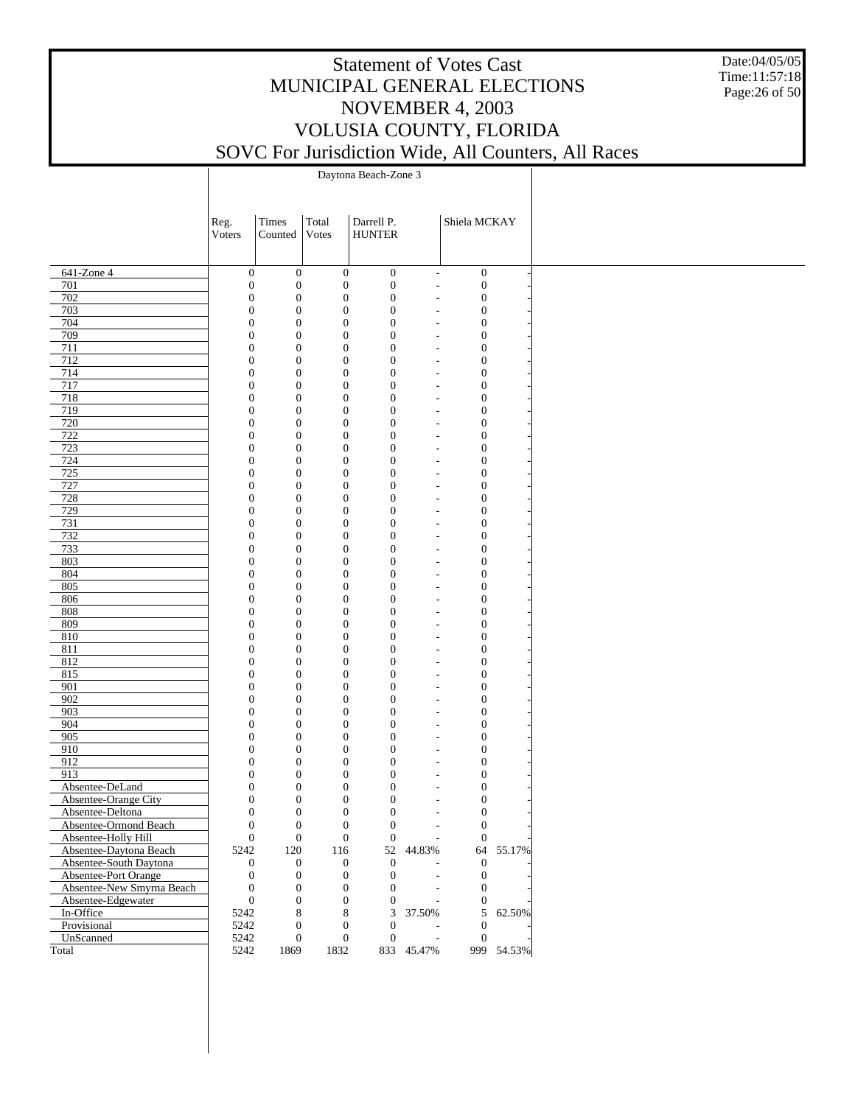Date:04/05/05 Time:11:57:18 Page:26 of 50

|                           | Reg.                                 | Times                                | Total                        | Darrell P.                           |                                  | Shiela MCKAY                         |            |
|---------------------------|--------------------------------------|--------------------------------------|------------------------------|--------------------------------------|----------------------------------|--------------------------------------|------------|
|                           | Voters                               | Counted                              | Votes                        | <b>HUNTER</b>                        |                                  |                                      |            |
|                           |                                      |                                      |                              |                                      |                                  |                                      |            |
| 641-Zone 4                |                                      | $\boldsymbol{0}$<br>$\boldsymbol{0}$ | $\boldsymbol{0}$             | $\boldsymbol{0}$                     | $\mathcal{L}_{\mathcal{A}}$      | $\boldsymbol{0}$                     |            |
| 701                       | $\boldsymbol{0}$                     | $\boldsymbol{0}$                     | $\boldsymbol{0}$             | $\boldsymbol{0}$                     | $\overline{a}$                   | $\boldsymbol{0}$                     |            |
| 702                       | $\boldsymbol{0}$                     | $\boldsymbol{0}$                     | $\boldsymbol{0}$             | $\boldsymbol{0}$                     | $\overline{a}$                   | $\boldsymbol{0}$                     |            |
| 703                       | $\boldsymbol{0}$                     | $\boldsymbol{0}$                     | $\mathbf{0}$                 | $\boldsymbol{0}$                     | $\overline{a}$                   | $\boldsymbol{0}$                     |            |
| 704                       | $\boldsymbol{0}$                     | $\boldsymbol{0}$                     | $\mathbf{0}$                 | $\boldsymbol{0}$                     | $\overline{a}$                   | $\boldsymbol{0}$                     |            |
| 709                       | $\boldsymbol{0}$                     | $\boldsymbol{0}$                     | $\mathbf{0}$                 | $\boldsymbol{0}$                     | $\overline{a}$                   | $\boldsymbol{0}$                     |            |
| 711                       | $\boldsymbol{0}$                     | $\boldsymbol{0}$                     | $\mathbf{0}$                 | $\boldsymbol{0}$                     | $\overline{a}$                   | $\boldsymbol{0}$                     |            |
| $\overline{712}$<br>714   | $\boldsymbol{0}$<br>$\boldsymbol{0}$ | $\boldsymbol{0}$<br>$\boldsymbol{0}$ | $\mathbf{0}$<br>$\mathbf{0}$ | $\boldsymbol{0}$<br>$\boldsymbol{0}$ | $\overline{a}$<br>$\overline{a}$ | $\boldsymbol{0}$<br>$\boldsymbol{0}$ |            |
| 717                       | $\boldsymbol{0}$                     | $\boldsymbol{0}$                     | $\mathbf{0}$                 | $\boldsymbol{0}$                     | $\overline{a}$                   | $\boldsymbol{0}$                     |            |
| 718                       | $\boldsymbol{0}$                     | $\boldsymbol{0}$                     | $\mathbf{0}$                 | $\boldsymbol{0}$                     | $\overline{a}$                   | $\boldsymbol{0}$                     |            |
| 719                       | $\boldsymbol{0}$                     | $\boldsymbol{0}$                     | $\mathbf{0}$                 | $\boldsymbol{0}$                     | $\overline{a}$                   | $\boldsymbol{0}$                     |            |
| 720                       | $\boldsymbol{0}$                     | $\boldsymbol{0}$                     | $\mathbf{0}$                 | $\boldsymbol{0}$                     | $\overline{a}$                   | $\boldsymbol{0}$                     |            |
| 722                       | $\boldsymbol{0}$                     | $\boldsymbol{0}$                     | $\mathbf{0}$                 | $\boldsymbol{0}$                     | $\overline{a}$                   | $\boldsymbol{0}$                     |            |
| 723                       | $\boldsymbol{0}$                     | $\boldsymbol{0}$                     | $\mathbf{0}$                 | $\boldsymbol{0}$                     | $\overline{a}$                   | $\boldsymbol{0}$                     |            |
| 724                       | $\boldsymbol{0}$                     | $\boldsymbol{0}$                     | $\mathbf{0}$                 | $\boldsymbol{0}$                     | $\overline{a}$                   | $\boldsymbol{0}$                     |            |
| 725                       | $\boldsymbol{0}$                     | $\boldsymbol{0}$                     | $\mathbf{0}$                 | $\boldsymbol{0}$                     | $\overline{a}$                   | $\boldsymbol{0}$                     |            |
| 727                       | $\boldsymbol{0}$                     | $\boldsymbol{0}$                     | $\mathbf{0}$                 | $\boldsymbol{0}$                     | $\overline{a}$                   | $\boldsymbol{0}$                     |            |
| 728                       | $\boldsymbol{0}$                     | $\boldsymbol{0}$                     | $\mathbf{0}$                 | $\boldsymbol{0}$                     | $\overline{a}$                   | $\boldsymbol{0}$                     |            |
| 729                       | $\boldsymbol{0}$                     | $\boldsymbol{0}$                     | $\mathbf{0}$                 | $\boldsymbol{0}$                     | $\overline{a}$                   | $\boldsymbol{0}$                     |            |
| 731                       | $\boldsymbol{0}$                     | $\boldsymbol{0}$                     | $\mathbf{0}$                 | $\boldsymbol{0}$                     | $\overline{a}$                   | $\boldsymbol{0}$                     |            |
| 732<br>733                | $\boldsymbol{0}$<br>$\boldsymbol{0}$ | $\boldsymbol{0}$<br>$\boldsymbol{0}$ | $\mathbf{0}$<br>$\mathbf{0}$ | $\boldsymbol{0}$<br>$\boldsymbol{0}$ | $\overline{a}$                   | $\boldsymbol{0}$                     |            |
| 803                       | $\boldsymbol{0}$                     | $\boldsymbol{0}$                     | $\mathbf{0}$                 | $\boldsymbol{0}$                     | $\overline{a}$<br>$\overline{a}$ | $\boldsymbol{0}$<br>$\boldsymbol{0}$ |            |
| 804                       | $\boldsymbol{0}$                     | $\boldsymbol{0}$                     | $\mathbf{0}$                 | $\boldsymbol{0}$                     | $\overline{a}$                   | $\boldsymbol{0}$                     |            |
| 805                       | $\boldsymbol{0}$                     | $\boldsymbol{0}$                     | $\mathbf{0}$                 | $\boldsymbol{0}$                     | $\overline{a}$                   | $\boldsymbol{0}$                     |            |
| 806                       | $\boldsymbol{0}$                     | $\boldsymbol{0}$                     | $\mathbf{0}$                 | $\boldsymbol{0}$                     | $\overline{a}$                   | $\boldsymbol{0}$                     |            |
| 808                       | $\boldsymbol{0}$                     | $\boldsymbol{0}$                     | $\mathbf{0}$                 | $\boldsymbol{0}$                     | $\overline{a}$                   | $\boldsymbol{0}$                     |            |
| 809                       | $\boldsymbol{0}$                     | $\boldsymbol{0}$                     | $\mathbf{0}$                 | $\boldsymbol{0}$                     | $\overline{a}$                   | $\boldsymbol{0}$                     |            |
| 810                       | $\boldsymbol{0}$                     | $\boldsymbol{0}$                     | $\mathbf{0}$                 | $\boldsymbol{0}$                     | $\overline{a}$                   | $\boldsymbol{0}$                     |            |
| 811                       | $\boldsymbol{0}$                     | $\boldsymbol{0}$                     | $\mathbf{0}$                 | $\boldsymbol{0}$                     | $\overline{a}$                   | $\boldsymbol{0}$                     |            |
| 812                       | $\boldsymbol{0}$                     | $\boldsymbol{0}$                     | $\mathbf{0}$                 | $\boldsymbol{0}$                     | $\overline{a}$                   | $\boldsymbol{0}$                     |            |
| 815                       | $\boldsymbol{0}$                     | $\boldsymbol{0}$                     | $\mathbf{0}$                 | $\boldsymbol{0}$                     | $\overline{a}$                   | $\boldsymbol{0}$                     |            |
| 901                       | $\boldsymbol{0}$                     | $\boldsymbol{0}$                     | $\mathbf{0}$                 | $\boldsymbol{0}$                     | $\overline{a}$                   | $\boldsymbol{0}$                     |            |
| $\overline{902}$          | $\boldsymbol{0}$                     | $\boldsymbol{0}$                     | $\mathbf{0}$                 | $\boldsymbol{0}$                     | $\overline{a}$                   | $\boldsymbol{0}$                     |            |
| 903                       | $\boldsymbol{0}$                     | $\boldsymbol{0}$                     | $\mathbf{0}$                 | $\boldsymbol{0}$                     | $\overline{a}$                   | $\boldsymbol{0}$                     |            |
| 904                       | $\boldsymbol{0}$                     | $\boldsymbol{0}$                     | $\mathbf{0}$                 | $\boldsymbol{0}$                     | $\overline{a}$                   | $\boldsymbol{0}$                     |            |
| 905<br>910                | $\boldsymbol{0}$<br>$\boldsymbol{0}$ | $\boldsymbol{0}$<br>$\boldsymbol{0}$ | $\mathbf{0}$<br>$\mathbf{0}$ | $\boldsymbol{0}$<br>$\boldsymbol{0}$ | $\overline{a}$                   | $\boldsymbol{0}$<br>$\boldsymbol{0}$ |            |
| 912                       | $\boldsymbol{0}$                     | $\boldsymbol{0}$                     | $\mathbf{0}$                 | $\boldsymbol{0}$                     | $\overline{a}$<br>$\overline{a}$ | $\boldsymbol{0}$                     |            |
| 913                       | $\boldsymbol{0}$                     | $\boldsymbol{0}$                     | $\boldsymbol{0}$             | $\boldsymbol{0}$                     | $\overline{a}$                   | $\boldsymbol{0}$                     |            |
| Absentee-DeLand           | $\boldsymbol{0}$                     | $\boldsymbol{0}$                     | $\mathbf{0}$                 | $\boldsymbol{0}$                     | $\overline{a}$                   | $\boldsymbol{0}$                     |            |
| Absentee-Orange City      | $\boldsymbol{0}$                     | $\boldsymbol{0}$                     | $\mathbf{0}$                 | $\boldsymbol{0}$                     |                                  | $\boldsymbol{0}$                     |            |
| Absentee-Deltona          |                                      | $\mathbf{0}$<br>$\boldsymbol{0}$     | $\overline{0}$               | $\boldsymbol{0}$                     | $\overline{a}$                   | $\boldsymbol{0}$                     |            |
| Absentee-Ormond Beach     | $\boldsymbol{0}$                     | $\boldsymbol{0}$                     | $\boldsymbol{0}$             | $\boldsymbol{0}$                     |                                  | $\boldsymbol{0}$                     |            |
| Absentee-Holly Hill       |                                      | $\boldsymbol{0}$<br>$\boldsymbol{0}$ | $\boldsymbol{0}$             | $\mathbf{0}$                         | $\overline{\phantom{a}}$         | $\mathbf{0}$                         |            |
| Absentee-Daytona Beach    | 5242                                 | $120\,$                              | 116                          |                                      | 52 44.83%                        |                                      | 64 55.17%  |
| Absentee-South Daytona    |                                      | $\boldsymbol{0}$<br>$\boldsymbol{0}$ | $\boldsymbol{0}$             | $\mathbf{0}$                         |                                  | $\mathbf{0}$                         |            |
| Absentee-Port Orange      | $\boldsymbol{0}$                     | $\boldsymbol{0}$                     | $\boldsymbol{0}$             | $\boldsymbol{0}$                     |                                  | $\boldsymbol{0}$                     |            |
| Absentee-New Smyrna Beach | $\boldsymbol{0}$                     | $\boldsymbol{0}$                     | $\mathbf{0}$                 | $\theta$                             |                                  | $\mathbf{0}$                         |            |
| Absentee-Edgewater        | $\boldsymbol{0}$                     | $\boldsymbol{0}$                     | $\boldsymbol{0}$             | $\mathbf{0}$                         | $\overline{a}$                   | $\mathbf{0}$                         |            |
| In-Office                 | 5242                                 | 8                                    | 8                            | 3                                    | 37.50%                           |                                      | 5 62.50%   |
| Provisional               | 5242                                 | $\boldsymbol{0}$                     | $\boldsymbol{0}$             | $\theta$                             | $\overline{a}$                   | $\theta$                             |            |
| UnScanned                 | 5242                                 | $\overline{0}$                       | $\boldsymbol{0}$             | $\mathbf{0}$                         | $\overline{\phantom{a}}$         | $\mathbf{0}$                         |            |
| Total                     | 5242                                 | 1869                                 | 1832                         |                                      | 833 45.47%                       |                                      | 999 54.53% |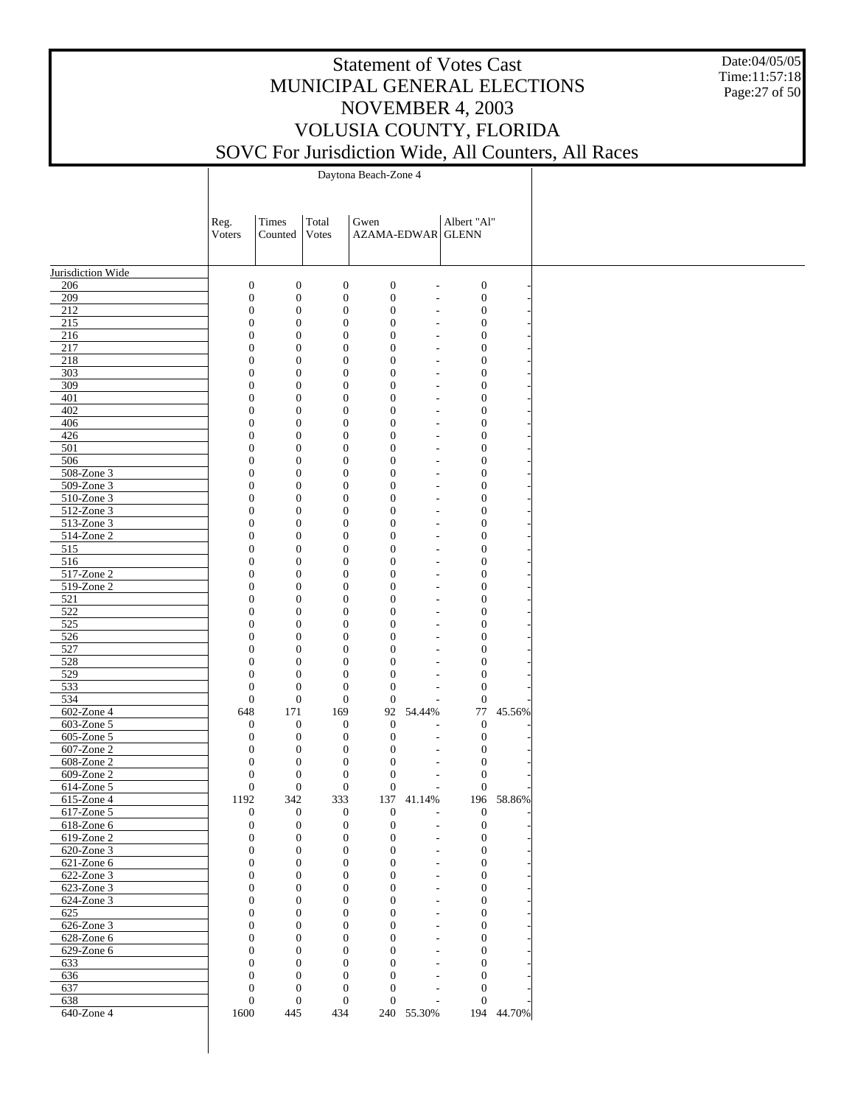Date:04/05/05 Time:11:57:18 Page:27 of 50

|                          | Reg.<br>Voters                   | Times<br>Counted                     | Total<br><b>V</b> otes               | Gwen<br>AZAMA-EDWAR GLENN            |                                                      | Albert "Al"                          |            |
|--------------------------|----------------------------------|--------------------------------------|--------------------------------------|--------------------------------------|------------------------------------------------------|--------------------------------------|------------|
|                          |                                  |                                      |                                      |                                      |                                                      |                                      |            |
| Jurisdiction Wide        |                                  |                                      |                                      |                                      |                                                      |                                      |            |
| 206                      | $\boldsymbol{0}$                 | $\boldsymbol{0}$                     | $\boldsymbol{0}$                     | $\boldsymbol{0}$                     | $\overline{a}$                                       | $\boldsymbol{0}$                     |            |
| 209                      | $\boldsymbol{0}$                 | $\boldsymbol{0}$                     | $\boldsymbol{0}$                     | $\boldsymbol{0}$                     | $\overline{\phantom{a}}$                             | $\boldsymbol{0}$                     |            |
| 212                      | $\boldsymbol{0}$                 | $\boldsymbol{0}$                     | $\boldsymbol{0}$                     | $\boldsymbol{0}$                     | $\overline{a}$                                       | $\boldsymbol{0}$                     |            |
| 215<br>216               | $\mathbf{0}$<br>$\mathbf{0}$     | $\boldsymbol{0}$<br>$\boldsymbol{0}$ | $\boldsymbol{0}$<br>$\boldsymbol{0}$ | $\boldsymbol{0}$<br>$\boldsymbol{0}$ | $\overline{\phantom{a}}$<br>$\overline{a}$           | $\boldsymbol{0}$<br>$\boldsymbol{0}$ |            |
| 217                      | $\mathbf{0}$                     | $\boldsymbol{0}$                     | $\boldsymbol{0}$                     | $\boldsymbol{0}$                     | $\overline{\phantom{a}}$                             | $\boldsymbol{0}$                     |            |
| 218                      | $\mathbf{0}$                     | $\boldsymbol{0}$                     | $\boldsymbol{0}$                     | $\boldsymbol{0}$                     | $\overline{a}$                                       | $\boldsymbol{0}$                     |            |
| 303                      | $\mathbf{0}$                     | $\boldsymbol{0}$                     | $\boldsymbol{0}$                     | $\boldsymbol{0}$                     | $\overline{\phantom{a}}$                             | $\boldsymbol{0}$                     |            |
| 309                      | $\mathbf{0}$                     | $\boldsymbol{0}$                     | $\boldsymbol{0}$                     | $\boldsymbol{0}$                     | L,                                                   | $\boldsymbol{0}$                     |            |
| 401                      | $\boldsymbol{0}$                 | $\boldsymbol{0}$                     | $\boldsymbol{0}$                     | $\boldsymbol{0}$                     | $\overline{\phantom{a}}$                             | $\boldsymbol{0}$                     |            |
| 402                      | $\mathbf{0}$                     | $\boldsymbol{0}$                     | $\boldsymbol{0}$                     | $\boldsymbol{0}$                     | $\overline{\phantom{a}}$                             | $\boldsymbol{0}$                     |            |
| 406<br>426               | $\mathbf{0}$<br>$\boldsymbol{0}$ | $\boldsymbol{0}$<br>$\boldsymbol{0}$ | $\boldsymbol{0}$<br>$\boldsymbol{0}$ | $\boldsymbol{0}$<br>$\boldsymbol{0}$ | $\overline{\phantom{a}}$<br>$\overline{\phantom{a}}$ | $\boldsymbol{0}$<br>$\boldsymbol{0}$ |            |
| 501                      | $\mathbf{0}$                     | $\boldsymbol{0}$                     | $\boldsymbol{0}$                     | $\boldsymbol{0}$                     | $\overline{\phantom{a}}$                             | $\boldsymbol{0}$                     |            |
| 506                      | $\mathbf{0}$                     | $\boldsymbol{0}$                     | $\boldsymbol{0}$                     | $\boldsymbol{0}$                     | L,                                                   | $\boldsymbol{0}$                     |            |
| 508-Zone 3               | $\boldsymbol{0}$                 | $\boldsymbol{0}$                     | $\boldsymbol{0}$                     | $\boldsymbol{0}$                     | $\overline{\phantom{a}}$                             | $\boldsymbol{0}$                     |            |
| 509-Zone 3               | $\boldsymbol{0}$                 | $\boldsymbol{0}$                     | $\boldsymbol{0}$                     | $\boldsymbol{0}$                     | $\overline{a}$                                       | $\boldsymbol{0}$                     |            |
| 510-Zone 3               | $\mathbf{0}$                     | $\boldsymbol{0}$                     | $\boldsymbol{0}$                     | $\boldsymbol{0}$                     | $\overline{\phantom{a}}$                             | $\boldsymbol{0}$                     |            |
| 512-Zone 3               | $\mathbf{0}$                     | $\boldsymbol{0}$                     | $\boldsymbol{0}$                     | $\boldsymbol{0}$                     | $\overline{a}$                                       | $\boldsymbol{0}$                     |            |
| 513-Zone 3               | $\boldsymbol{0}$                 | $\boldsymbol{0}$                     | $\boldsymbol{0}$                     | $\boldsymbol{0}$                     | $\overline{\phantom{a}}$                             | $\boldsymbol{0}$                     |            |
| 514-Zone 2               | $\mathbf{0}$                     | $\boldsymbol{0}$                     | $\boldsymbol{0}$                     | $\boldsymbol{0}$                     | $\overline{\phantom{a}}$                             | $\boldsymbol{0}$                     |            |
| 515<br>516               | $\mathbf{0}$<br>$\mathbf{0}$     | $\boldsymbol{0}$                     | $\boldsymbol{0}$<br>$\boldsymbol{0}$ | $\boldsymbol{0}$                     | $\overline{\phantom{a}}$                             | $\boldsymbol{0}$                     |            |
| 517-Zone 2               | $\boldsymbol{0}$                 | $\boldsymbol{0}$<br>$\boldsymbol{0}$ | $\boldsymbol{0}$                     | $\boldsymbol{0}$<br>$\boldsymbol{0}$ | $\overline{a}$<br>$\overline{\phantom{a}}$           | $\boldsymbol{0}$<br>$\boldsymbol{0}$ |            |
| 519-Zone 2               | $\mathbf{0}$                     | $\boldsymbol{0}$                     | $\boldsymbol{0}$                     | $\boldsymbol{0}$                     | L,                                                   | $\boldsymbol{0}$                     |            |
| 521                      | $\mathbf{0}$                     | $\boldsymbol{0}$                     | $\boldsymbol{0}$                     | $\boldsymbol{0}$                     | $\overline{a}$                                       | $\boldsymbol{0}$                     |            |
| 522                      | $\mathbf{0}$                     | $\boldsymbol{0}$                     | $\boldsymbol{0}$                     | $\boldsymbol{0}$                     | $\overline{a}$                                       | $\boldsymbol{0}$                     |            |
| 525                      | $\boldsymbol{0}$                 | $\boldsymbol{0}$                     | $\boldsymbol{0}$                     | $\boldsymbol{0}$                     | $\overline{\phantom{a}}$                             | $\boldsymbol{0}$                     |            |
| 526                      | $\mathbf{0}$                     | $\boldsymbol{0}$                     | $\boldsymbol{0}$                     | $\boldsymbol{0}$                     | L,                                                   | $\boldsymbol{0}$                     |            |
| 527                      | $\mathbf{0}$                     | $\boldsymbol{0}$                     | $\boldsymbol{0}$                     | $\boldsymbol{0}$                     | $\overline{\phantom{a}}$                             | $\boldsymbol{0}$                     |            |
| 528                      | $\mathbf{0}$                     | $\boldsymbol{0}$                     | $\boldsymbol{0}$                     | $\boldsymbol{0}$                     | $\overline{a}$                                       | $\boldsymbol{0}$                     |            |
| 529                      | $\boldsymbol{0}$                 | $\boldsymbol{0}$                     | $\boldsymbol{0}$                     | $\boldsymbol{0}$                     | $\overline{a}$                                       | $\boldsymbol{0}$                     |            |
| 533                      | $\boldsymbol{0}$                 | $\boldsymbol{0}$                     | $\boldsymbol{0}$                     | $\boldsymbol{0}$                     |                                                      | $\boldsymbol{0}$                     |            |
| 534<br>602-Zone 4        | $\mathbf{0}$<br>648              | $\mathbf{0}$<br>171                  | $\boldsymbol{0}$<br>169              | $\mathbf{0}$<br>92                   | ÷,<br>54.44%                                         | $\mathbf{0}$<br>77                   | 45.56%     |
| 603-Zone 5               | $\mathbf{0}$                     | $\boldsymbol{0}$                     | $\boldsymbol{0}$                     | $\boldsymbol{0}$                     | $\overline{a}$                                       | $\boldsymbol{0}$                     |            |
| 605-Zone 5               | $\mathbf{0}$                     | $\boldsymbol{0}$                     | $\boldsymbol{0}$                     | $\boldsymbol{0}$                     | $\overline{a}$                                       | $\boldsymbol{0}$                     |            |
| 607-Zone 2               | $\mathbf{0}$                     | $\boldsymbol{0}$                     | $\boldsymbol{0}$                     | $\boldsymbol{0}$                     | $\overline{\phantom{a}}$                             | $\boldsymbol{0}$                     |            |
| 608-Zone 2               | $\boldsymbol{0}$                 | $\boldsymbol{0}$                     | $\boldsymbol{0}$                     | $\boldsymbol{0}$                     | L,                                                   | $\boldsymbol{0}$                     |            |
| 609-Zone 2               | $\mathbf{0}$                     | $\boldsymbol{0}$                     | $\boldsymbol{0}$                     | $\boldsymbol{0}$                     | $\overline{\phantom{a}}$                             | $\boldsymbol{0}$                     |            |
| 614-Zone 5               | $\boldsymbol{0}$                 | $\boldsymbol{0}$                     | $\boldsymbol{0}$                     | $\boldsymbol{0}$                     | $\sim$                                               | $\boldsymbol{0}$                     |            |
| 615-Zone 4               | 1192                             | 342                                  | 333                                  | 137                                  | 41.14%                                               | 196                                  | 58.86%     |
| 617-Zone 5               | $\theta$                         | $\mathbf{0}$                         | $\mathbf{0}$                         | $\boldsymbol{0}$                     | ÷,                                                   | $\mathbf{0}$                         |            |
| 618-Zone 6<br>619-Zone 2 | $\boldsymbol{0}$<br>$\mathbf{0}$ | $\mathbf{0}$<br>$\mathbf{0}$         | $\boldsymbol{0}$<br>$\boldsymbol{0}$ | $\boldsymbol{0}$<br>$\boldsymbol{0}$ | $\overline{\phantom{a}}$<br>$\overline{a}$           | $\boldsymbol{0}$<br>$\mathbf{0}$     |            |
| 620-Zone 3               | $\theta$                         | $\mathbf{0}$                         | $\boldsymbol{0}$                     | $\overline{0}$                       | $\overline{\phantom{a}}$                             | $\mathbf{0}$                         |            |
| 621-Zone 6               | $\theta$                         | $\mathbf{0}$                         | $\boldsymbol{0}$                     | $\overline{0}$                       | $\overline{\phantom{a}}$                             | $\boldsymbol{0}$                     |            |
| 622-Zone 3               | $\theta$                         | $\theta$                             | $\mathbf{0}$                         | $\overline{0}$                       | $\overline{\phantom{a}}$                             | $\mathbf{0}$                         |            |
| 623-Zone 3               | $\theta$                         | $\mathbf{0}$                         | $\boldsymbol{0}$                     | $\overline{0}$                       | $\overline{a}$                                       | $\boldsymbol{0}$                     |            |
| 624-Zone 3               | $\theta$                         | $\theta$                             | $\mathbf{0}$                         | $\overline{0}$                       | $\overline{\phantom{a}}$                             | $\mathbf{0}$                         |            |
| 625                      | $\theta$                         | $\mathbf{0}$                         | $\boldsymbol{0}$                     | $\overline{0}$                       | ÷,                                                   | $\boldsymbol{0}$                     |            |
| 626-Zone 3               | $\theta$                         | $\theta$                             | $\mathbf{0}$                         | $\overline{0}$                       | $\overline{\phantom{a}}$                             | $\mathbf{0}$                         |            |
| 628-Zone 6               | $\theta$                         | $\mathbf{0}$                         | $\overline{0}$                       | $\overline{0}$                       | ÷,                                                   | $\boldsymbol{0}$                     |            |
| 629-Zone 6               | $\theta$<br>$\theta$             | $\theta$                             | $\mathbf{0}$<br>$\mathbf{0}$         | $\overline{0}$<br>$\overline{0}$     | $\overline{\phantom{a}}$                             | $\mathbf{0}$                         |            |
| 633<br>636               | $\theta$                         | $\mathbf{0}$<br>$\theta$             | $\mathbf{0}$                         | $\mathbf{0}$                         | $\overline{a}$<br>$\overline{\phantom{a}}$           | $\boldsymbol{0}$<br>$\mathbf{0}$     |            |
| 637                      | $\theta$                         | $\mathbf{0}$                         | $\mathbf{0}$                         | $\mathbf{0}$                         | $\overline{\phantom{a}}$                             | $\boldsymbol{0}$                     |            |
| 638                      | $\theta$                         | $\overline{0}$                       | $\mathbf{0}$                         | $\mathbf{0}$                         | $\overline{\phantom{a}}$                             | $\boldsymbol{0}$                     |            |
| 640-Zone 4               | 1600                             | 445                                  | 434                                  |                                      | 240 55.30%                                           |                                      | 194 44.70% |
|                          |                                  |                                      |                                      |                                      |                                                      |                                      |            |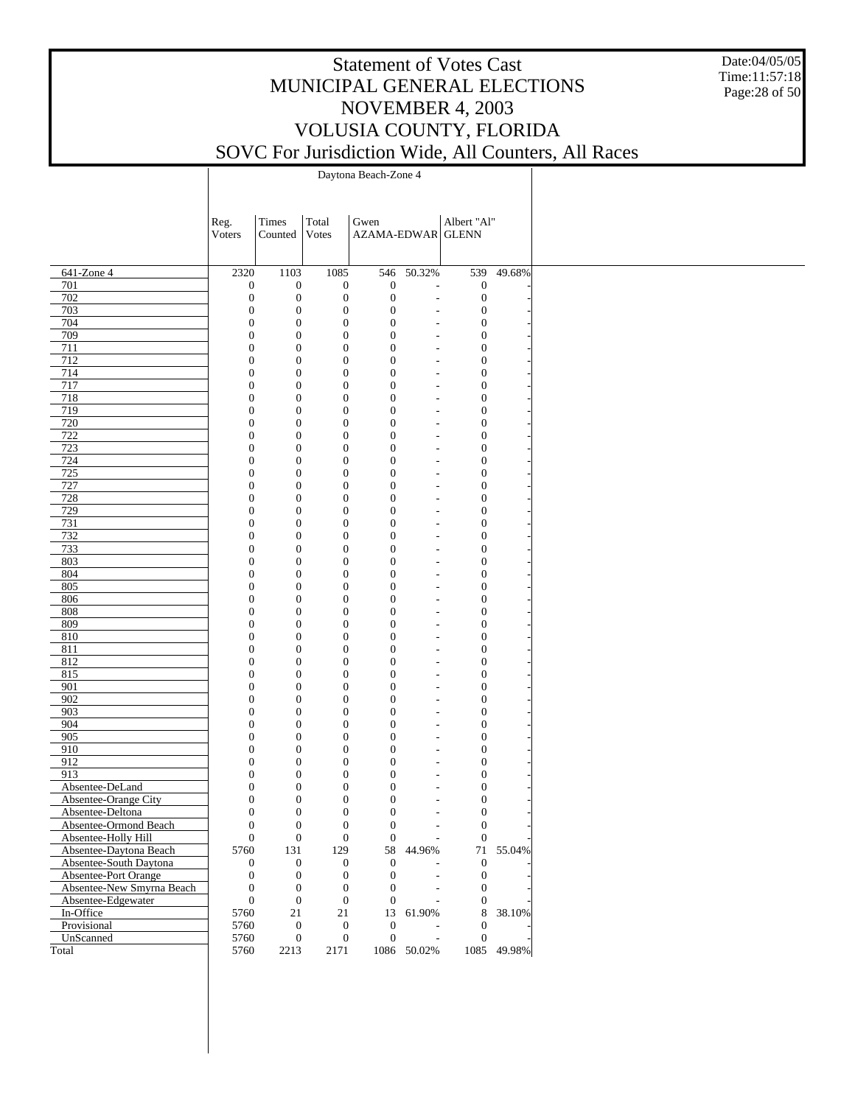Date:04/05/05 Time:11:57:18 Page:28 of 50

|                           | Reg.                         | Times                            | Total                                | Gwen                                 |                          | Albert "Al"                          |             |
|---------------------------|------------------------------|----------------------------------|--------------------------------------|--------------------------------------|--------------------------|--------------------------------------|-------------|
|                           | Voters                       | Counted                          | <b>V</b> otes                        | AZAMA-EDWAR GLENN                    |                          |                                      |             |
|                           |                              |                                  |                                      |                                      |                          |                                      |             |
|                           |                              |                                  |                                      |                                      |                          |                                      |             |
| 641-Zone 4                | 2320                         | 1103                             | 1085                                 | 546                                  | 50.32%                   | 539                                  | 49.68%      |
| 701                       | $\boldsymbol{0}$             | $\boldsymbol{0}$                 | $\boldsymbol{0}$                     | $\boldsymbol{0}$                     | $\overline{\phantom{a}}$ | $\boldsymbol{0}$                     |             |
| 702                       | $\mathbf{0}$                 | $\boldsymbol{0}$                 | $\boldsymbol{0}$                     | $\boldsymbol{0}$                     | $\overline{\phantom{a}}$ | $\mathbf{0}$                         |             |
| 703                       | $\mathbf{0}$                 | $\boldsymbol{0}$<br>$\mathbf{0}$ | $\boldsymbol{0}$                     | $\boldsymbol{0}$                     |                          | $\boldsymbol{0}$                     |             |
| 704<br>709                | $\mathbf{0}$<br>$\mathbf{0}$ | $\boldsymbol{0}$                 | $\boldsymbol{0}$<br>$\boldsymbol{0}$ | $\boldsymbol{0}$<br>$\boldsymbol{0}$ | $\overline{a}$           | $\boldsymbol{0}$<br>$\boldsymbol{0}$ |             |
| 711                       | $\mathbf{0}$                 | $\mathbf{0}$                     | $\boldsymbol{0}$                     | $\overline{0}$                       | $\overline{a}$           | $\boldsymbol{0}$                     |             |
| 712                       | $\mathbf{0}$                 | $\boldsymbol{0}$                 | $\boldsymbol{0}$                     | $\boldsymbol{0}$                     | $\overline{a}$           | $\boldsymbol{0}$                     |             |
| 714                       | $\boldsymbol{0}$             | $\overline{0}$                   | $\boldsymbol{0}$                     | $\boldsymbol{0}$                     | L,                       | $\boldsymbol{0}$                     |             |
| 717                       | $\mathbf{0}$                 | $\boldsymbol{0}$                 | $\boldsymbol{0}$                     | $\boldsymbol{0}$                     |                          | $\boldsymbol{0}$                     |             |
| 718                       | $\mathbf{0}$                 | $\mathbf{0}$                     | $\boldsymbol{0}$                     | $\overline{0}$                       | $\overline{a}$           | $\boldsymbol{0}$                     |             |
| 719                       | $\mathbf{0}$                 | $\boldsymbol{0}$                 | $\boldsymbol{0}$                     | $\boldsymbol{0}$                     | $\overline{a}$           | $\boldsymbol{0}$                     |             |
| 720                       | $\boldsymbol{0}$             | $\theta$                         | $\boldsymbol{0}$                     | $\boldsymbol{0}$                     | L,                       | $\boldsymbol{0}$                     |             |
| 722                       | $\mathbf{0}$                 | $\boldsymbol{0}$                 | $\boldsymbol{0}$                     | $\boldsymbol{0}$                     | $\overline{a}$           | $\boldsymbol{0}$                     |             |
| 723                       | $\boldsymbol{0}$             | $\overline{0}$                   | $\boldsymbol{0}$                     | $\boldsymbol{0}$                     | L,                       | $\boldsymbol{0}$                     |             |
| 724                       | $\mathbf{0}$                 | $\boldsymbol{0}$                 | $\boldsymbol{0}$                     | $\boldsymbol{0}$                     | $\overline{a}$           | $\boldsymbol{0}$                     |             |
| 725                       | $\boldsymbol{0}$             | $\theta$                         | $\boldsymbol{0}$                     | $\overline{0}$                       | $\overline{a}$           | $\boldsymbol{0}$                     |             |
| 727                       | $\mathbf{0}$                 | $\boldsymbol{0}$                 | $\boldsymbol{0}$                     | $\boldsymbol{0}$                     | $\overline{a}$           | $\boldsymbol{0}$                     |             |
| 728                       | $\mathbf{0}$                 | $\overline{0}$                   | $\boldsymbol{0}$                     | $\boldsymbol{0}$                     | L,                       | $\boldsymbol{0}$                     |             |
| 729                       | $\mathbf{0}$                 | $\boldsymbol{0}$                 | $\boldsymbol{0}$                     | $\boldsymbol{0}$                     |                          | $\boldsymbol{0}$                     |             |
| 731                       | $\boldsymbol{0}$             | $\theta$                         | $\boldsymbol{0}$                     | $\boldsymbol{0}$                     | $\overline{a}$           | $\boldsymbol{0}$                     |             |
| 732                       | $\mathbf{0}$                 | $\boldsymbol{0}$                 | $\boldsymbol{0}$                     | $\boldsymbol{0}$                     | $\overline{a}$           | $\boldsymbol{0}$                     |             |
| 733                       | $\mathbf{0}$                 | $\overline{0}$                   | $\boldsymbol{0}$                     | $\overline{0}$                       | L,                       | $\boldsymbol{0}$                     |             |
| 803                       | $\mathbf{0}$                 | $\boldsymbol{0}$                 | $\boldsymbol{0}$                     | $\boldsymbol{0}$                     | $\overline{a}$           | $\boldsymbol{0}$                     |             |
| 804                       | $\boldsymbol{0}$             | $\mathbf{0}$                     | $\boldsymbol{0}$                     | $\boldsymbol{0}$                     | L,                       | $\boldsymbol{0}$                     |             |
| 805                       | $\mathbf{0}$                 | $\boldsymbol{0}$                 | $\boldsymbol{0}$                     | $\boldsymbol{0}$                     | $\overline{a}$           | $\boldsymbol{0}$                     |             |
| 806                       | $\mathbf{0}$                 | $\mathbf{0}$                     | $\boldsymbol{0}$                     | $\overline{0}$                       | $\overline{a}$           | $\boldsymbol{0}$                     |             |
| 808                       | $\mathbf{0}$                 | $\boldsymbol{0}$                 | $\boldsymbol{0}$                     | $\boldsymbol{0}$                     | $\overline{a}$           | $\boldsymbol{0}$                     |             |
| 809                       | $\boldsymbol{0}$             | $\mathbf{0}$                     | $\boldsymbol{0}$                     | $\boldsymbol{0}$                     | L,                       | $\boldsymbol{0}$                     |             |
| 810                       | $\mathbf{0}$                 | $\boldsymbol{0}$                 | $\boldsymbol{0}$                     | $\boldsymbol{0}$                     | $\overline{a}$           | $\boldsymbol{0}$                     |             |
| 811                       | $\mathbf{0}$                 | $\overline{0}$                   | $\boldsymbol{0}$                     | $\boldsymbol{0}$                     | $\overline{a}$           | $\boldsymbol{0}$                     |             |
| 812                       | $\mathbf{0}$                 | $\boldsymbol{0}$                 | $\boldsymbol{0}$                     | $\boldsymbol{0}$                     | $\overline{a}$           | $\boldsymbol{0}$                     |             |
| 815                       | $\boldsymbol{0}$             | $\mathbf{0}$                     | $\boldsymbol{0}$                     | $\overline{0}$                       | L,                       | $\boldsymbol{0}$                     |             |
| 901                       | $\mathbf{0}$                 | $\boldsymbol{0}$                 | $\boldsymbol{0}$                     | $\boldsymbol{0}$                     | $\overline{a}$           | $\boldsymbol{0}$                     |             |
| 902                       | $\boldsymbol{0}$             | $\overline{0}$                   | $\boldsymbol{0}$                     | $\boldsymbol{0}$                     | L,                       | $\boldsymbol{0}$                     |             |
| 903                       | $\mathbf{0}$                 | $\boldsymbol{0}$                 | $\boldsymbol{0}$                     | $\boldsymbol{0}$                     | $\overline{a}$           | $\boldsymbol{0}$                     |             |
| 904                       | $\boldsymbol{0}$             | $\mathbf{0}$                     | $\boldsymbol{0}$                     | $\overline{0}$                       | $\overline{a}$           | $\boldsymbol{0}$                     |             |
| 905                       | $\mathbf{0}$                 | $\boldsymbol{0}$                 | $\boldsymbol{0}$                     | $\boldsymbol{0}$                     | $\overline{a}$           | $\boldsymbol{0}$                     |             |
| 910                       | $\boldsymbol{0}$             | $\mathbf{0}$                     | $\boldsymbol{0}$                     | $\boldsymbol{0}$                     | L,                       | $\boldsymbol{0}$                     |             |
| 912                       | $\mathbf{0}$                 | $\boldsymbol{0}$                 | $\boldsymbol{0}$                     | $\boldsymbol{0}$                     |                          | $\boldsymbol{0}$                     |             |
| 913                       | $\mathbf{0}$                 | $\mathbf{0}$                     | $\boldsymbol{0}$                     | $\overline{0}$                       | $\overline{a}$           | $\boldsymbol{0}$                     |             |
| Absentee-DeLand           | $\mathbf{0}$                 | $\boldsymbol{0}$                 | $\boldsymbol{0}$                     | $\boldsymbol{0}$                     |                          | $\boldsymbol{0}$                     |             |
| Absentee-Orange City      | $\mathbf{0}$                 | $\overline{0}$                   | $\boldsymbol{0}$                     | $\boldsymbol{0}$                     |                          | $\boldsymbol{0}$                     |             |
| Absentee-Deltona          | $\boldsymbol{0}$             | $\boldsymbol{0}$                 | $\boldsymbol{0}$                     | $\boldsymbol{0}$                     |                          | $\boldsymbol{0}$                     |             |
| Absentee-Ormond Beach     | $\boldsymbol{0}$             | $\Omega$                         | $\boldsymbol{0}$                     | $\boldsymbol{0}$                     |                          | 0                                    |             |
| Absentee-Holly Hill       | $\boldsymbol{0}$             | $\boldsymbol{0}$                 | $\boldsymbol{0}$                     | $\boldsymbol{0}$                     | $\overline{\phantom{a}}$ | $\boldsymbol{0}$                     |             |
| Absentee-Daytona Beach    | 5760                         | 131                              | 129                                  | 58                                   | 44.96%                   |                                      | 71 55.04%   |
| Absentee-South Daytona    | $\boldsymbol{0}$             | $\boldsymbol{0}$                 | $\boldsymbol{0}$                     | $\boldsymbol{0}$                     |                          | $\boldsymbol{0}$                     |             |
| Absentee-Port Orange      | $\mathbf{0}$                 | $\mathbf{0}$                     | $\boldsymbol{0}$                     | $\boldsymbol{0}$                     |                          | $\boldsymbol{0}$                     |             |
| Absentee-New Smyrna Beach | $\boldsymbol{0}$             | $\boldsymbol{0}$                 | $\boldsymbol{0}$                     | $\boldsymbol{0}$                     |                          | $\boldsymbol{0}$                     |             |
| Absentee-Edgewater        | $\boldsymbol{0}$             | $\boldsymbol{0}$                 | $\boldsymbol{0}$                     | $\boldsymbol{0}$                     |                          | $\boldsymbol{0}$                     |             |
| In-Office                 | 5760                         | 21                               | 21                                   | 13                                   | 61.90%                   | 8                                    | 38.10%      |
| Provisional               | 5760                         | $\mathbf{0}$                     | $\boldsymbol{0}$                     | $\boldsymbol{0}$                     |                          | $\boldsymbol{0}$                     |             |
| UnScanned                 | 5760                         | $\boldsymbol{0}$                 | $\boldsymbol{0}$                     | $\boldsymbol{0}$                     | $\overline{\phantom{a}}$ | $\boldsymbol{0}$                     |             |
| Total                     | 5760                         | 2213                             | 2171                                 |                                      | 1086 50.02%              |                                      | 1085 49.98% |
|                           |                              |                                  |                                      |                                      |                          |                                      |             |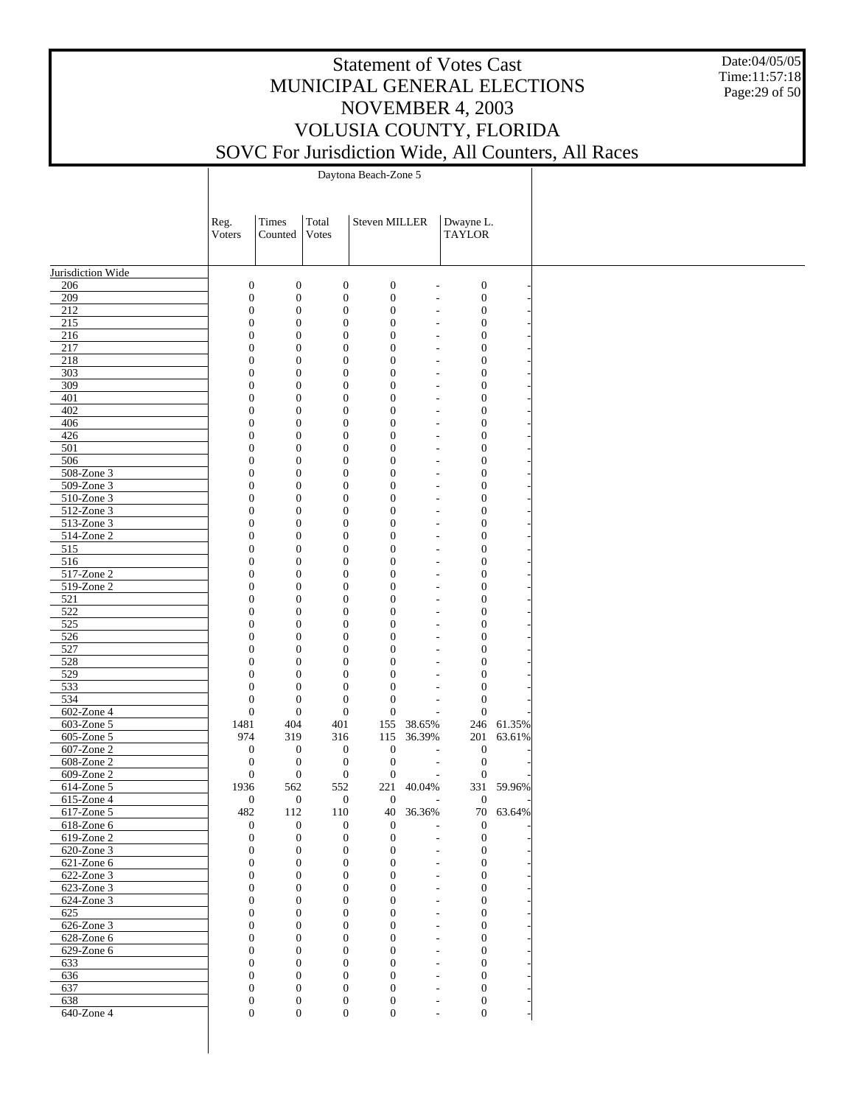Date:04/05/05 Time:11:57:18 Page:29 of 50

|                               | Reg.                                 | Times                            | Total                                | <b>Steven MILLER</b>                 |           | Dwayne L.                                                                |            |
|-------------------------------|--------------------------------------|----------------------------------|--------------------------------------|--------------------------------------|-----------|--------------------------------------------------------------------------|------------|
|                               | Voters                               | Counted                          | Votes                                |                                      |           | <b>TAYLOR</b>                                                            |            |
|                               |                                      |                                  |                                      |                                      |           |                                                                          |            |
| Jurisdiction Wide             |                                      |                                  |                                      |                                      |           |                                                                          |            |
| 206                           | $\boldsymbol{0}$                     | $\mathbf{0}$                     | $\boldsymbol{0}$                     | $\boldsymbol{0}$                     |           | $\boldsymbol{0}$<br>÷,                                                   |            |
| 209                           | $\boldsymbol{0}$                     | $\mathbf{0}$                     | $\boldsymbol{0}$                     | $\boldsymbol{0}$                     |           | $\boldsymbol{0}$<br>÷,                                                   |            |
| 212                           | $\boldsymbol{0}$                     | $\mathbf{0}$                     | $\boldsymbol{0}$                     | $\boldsymbol{0}$                     |           | $\boldsymbol{0}$<br>$\overline{a}$                                       |            |
| 215<br>216                    | $\boldsymbol{0}$<br>$\boldsymbol{0}$ | $\mathbf{0}$<br>$\mathbf{0}$     | $\boldsymbol{0}$<br>$\boldsymbol{0}$ | $\boldsymbol{0}$<br>$\boldsymbol{0}$ |           | $\boldsymbol{0}$<br>$\overline{a}$<br>$\boldsymbol{0}$<br>÷,             |            |
| 217                           | $\boldsymbol{0}$                     | $\mathbf{0}$                     | $\boldsymbol{0}$                     | $\boldsymbol{0}$                     |           | $\boldsymbol{0}$<br>÷,                                                   |            |
| 218                           | $\boldsymbol{0}$                     | $\mathbf{0}$                     | $\boldsymbol{0}$                     | $\boldsymbol{0}$                     |           | $\boldsymbol{0}$<br>÷,                                                   |            |
| 303                           | $\boldsymbol{0}$                     | $\mathbf{0}$                     | $\boldsymbol{0}$                     | $\boldsymbol{0}$                     |           | $\boldsymbol{0}$<br>$\overline{a}$                                       |            |
| 309                           | $\boldsymbol{0}$                     | $\mathbf{0}$                     | $\boldsymbol{0}$                     | $\boldsymbol{0}$                     |           | $\boldsymbol{0}$<br>$\overline{a}$                                       |            |
| 401                           | $\boldsymbol{0}$                     | $\mathbf{0}$                     | $\boldsymbol{0}$                     | $\boldsymbol{0}$                     |           | $\boldsymbol{0}$<br>$\overline{a}$                                       |            |
| 402<br>406                    | $\boldsymbol{0}$<br>$\boldsymbol{0}$ | $\mathbf{0}$<br>$\mathbf{0}$     | $\boldsymbol{0}$<br>$\boldsymbol{0}$ | $\boldsymbol{0}$<br>$\boldsymbol{0}$ |           | $\boldsymbol{0}$<br>÷,<br>$\boldsymbol{0}$                               |            |
| 426                           | $\boldsymbol{0}$                     | $\mathbf{0}$                     | $\boldsymbol{0}$                     | $\boldsymbol{0}$                     |           | $\overline{a}$<br>$\boldsymbol{0}$<br>$\overline{a}$                     |            |
| 501                           | $\boldsymbol{0}$                     | $\mathbf{0}$                     | $\boldsymbol{0}$                     | $\boldsymbol{0}$                     |           | $\boldsymbol{0}$<br>$\overline{a}$                                       |            |
| 506                           | $\boldsymbol{0}$                     | $\mathbf{0}$                     | $\boldsymbol{0}$                     | $\boldsymbol{0}$                     |           | $\boldsymbol{0}$<br>÷,                                                   |            |
| 508-Zone 3                    | $\boldsymbol{0}$                     | $\mathbf{0}$                     | $\boldsymbol{0}$                     | $\boldsymbol{0}$                     |           | $\boldsymbol{0}$<br>$\overline{a}$                                       |            |
| 509-Zone 3                    | $\boldsymbol{0}$                     | $\mathbf{0}$                     | $\boldsymbol{0}$                     | $\boldsymbol{0}$                     |           | $\boldsymbol{0}$<br>$\overline{a}$                                       |            |
| 510-Zone 3                    | $\boldsymbol{0}$                     | $\mathbf{0}$                     | $\boldsymbol{0}$                     | $\boldsymbol{0}$                     |           | $\boldsymbol{0}$<br>$\overline{a}$                                       |            |
| 512-Zone 3<br>513-Zone 3      | $\boldsymbol{0}$<br>$\boldsymbol{0}$ | $\mathbf{0}$<br>$\mathbf{0}$     | $\boldsymbol{0}$<br>$\boldsymbol{0}$ | $\boldsymbol{0}$<br>$\boldsymbol{0}$ |           | $\boldsymbol{0}$<br>÷,<br>$\boldsymbol{0}$<br>÷,                         |            |
| 514-Zone 2                    | $\boldsymbol{0}$                     | $\mathbf{0}$                     | $\boldsymbol{0}$                     | $\boldsymbol{0}$                     |           | $\boldsymbol{0}$<br>$\overline{a}$                                       |            |
| 515                           | $\boldsymbol{0}$                     | $\mathbf{0}$                     | $\boldsymbol{0}$                     | $\boldsymbol{0}$                     |           | $\boldsymbol{0}$<br>$\overline{a}$                                       |            |
| 516                           | $\boldsymbol{0}$                     | $\mathbf{0}$                     | $\boldsymbol{0}$                     | $\boldsymbol{0}$                     |           | $\boldsymbol{0}$<br>$\overline{a}$                                       |            |
| 517-Zone 2                    | $\boldsymbol{0}$                     | $\mathbf{0}$                     | $\boldsymbol{0}$                     | $\boldsymbol{0}$                     |           | $\boldsymbol{0}$<br>÷,                                                   |            |
| 519-Zone 2                    | $\boldsymbol{0}$                     | $\mathbf{0}$                     | $\boldsymbol{0}$                     | $\boldsymbol{0}$                     |           | $\boldsymbol{0}$<br>÷,                                                   |            |
| 521                           | $\boldsymbol{0}$                     | $\mathbf{0}$                     | $\boldsymbol{0}$                     | $\boldsymbol{0}$                     |           | $\boldsymbol{0}$<br>$\overline{a}$                                       |            |
| 522<br>525                    | $\boldsymbol{0}$<br>$\boldsymbol{0}$ | $\mathbf{0}$<br>$\mathbf{0}$     | $\boldsymbol{0}$<br>$\boldsymbol{0}$ | $\boldsymbol{0}$<br>$\boldsymbol{0}$ |           | $\boldsymbol{0}$<br>$\overline{a}$<br>$\boldsymbol{0}$<br>$\overline{a}$ |            |
| 526                           | $\boldsymbol{0}$                     | $\mathbf{0}$                     | $\boldsymbol{0}$                     | $\boldsymbol{0}$                     |           | $\boldsymbol{0}$<br>÷,                                                   |            |
| 527                           | $\boldsymbol{0}$                     | $\mathbf{0}$                     | $\boldsymbol{0}$                     | $\boldsymbol{0}$                     |           | $\boldsymbol{0}$<br>$\overline{a}$                                       |            |
| 528                           | $\boldsymbol{0}$                     | $\mathbf{0}$                     | $\boldsymbol{0}$                     | $\boldsymbol{0}$                     |           | $\boldsymbol{0}$<br>۰                                                    |            |
| 529                           | $\boldsymbol{0}$                     | $\mathbf{0}$                     | $\boldsymbol{0}$                     | $\boldsymbol{0}$                     |           | $\boldsymbol{0}$<br>$\overline{a}$                                       |            |
| 533                           | $\boldsymbol{0}$                     | $\mathbf{0}$                     | $\boldsymbol{0}$                     | $\boldsymbol{0}$                     |           | $\boldsymbol{0}$<br>÷,                                                   |            |
| 534                           | $\boldsymbol{0}$<br>$\boldsymbol{0}$ | $\mathbf{0}$<br>$\boldsymbol{0}$ | $\boldsymbol{0}$<br>$\boldsymbol{0}$ | $\boldsymbol{0}$<br>$\mathbf{0}$     |           | $\boldsymbol{0}$<br>$\overline{a}$<br>$\boldsymbol{0}$                   |            |
| 602-Zone 4<br>603-Zone 5      | 1481                                 | 404                              | 401                                  | 155                                  | 38.65%    | L,                                                                       | 246 61.35% |
| 605-Zone 5                    | 974                                  | 319                              | 316                                  | 115                                  | 36.39%    | 201                                                                      | 63.61%     |
| 607-Zone 2                    | $\mathbf{0}$                         | $\mathbf{0}$                     | $\boldsymbol{0}$                     | $\boldsymbol{0}$                     |           | $\boldsymbol{0}$<br>$\overline{\phantom{a}}$                             |            |
| 608-Zone 2                    | $\boldsymbol{0}$                     | $\mathbf{0}$                     | $\boldsymbol{0}$                     | $\mathbf{0}$                         |           | $\boldsymbol{0}$<br>$\overline{\phantom{a}}$                             |            |
| 609-Zone 2                    | $\mathbf{0}$                         | $\mathbf{0}$                     | $\boldsymbol{0}$                     | $\mathbf{0}$                         |           | $\boldsymbol{0}$<br>$\overline{a}$                                       |            |
| 614-Zone 5                    | 1936                                 | 562                              | 552                                  | 221                                  | 40.04%    |                                                                          | 331 59.96% |
| 615-Zone 4                    | $\mathbf{0}$                         | $\boldsymbol{0}$                 | $\boldsymbol{0}$                     | $\mathbf{0}$                         |           | $\mathbf{0}$<br>$\overline{a}$                                           |            |
| 617-Zone 5<br>$618$ -Zone $6$ | 482<br>0                             | 112<br>$\overline{0}$            | 110<br>$\overline{0}$                | $\mathbf{0}$                         | 40 36.36% | $\overline{0}$<br>$\overline{\phantom{a}}$                               | 70 63.64%  |
| $619$ -Zone 2                 | $\boldsymbol{0}$                     | $\mathbf{0}$                     | $\boldsymbol{0}$                     | $\boldsymbol{0}$                     |           | $\boldsymbol{0}$<br>$\overline{\phantom{a}}$                             |            |
| 620-Zone 3                    | $\mathbf{0}$                         | $\mathbf{0}$                     | $\boldsymbol{0}$                     | $\overline{0}$                       |           | $\mathbf{0}$<br>٠                                                        |            |
| 621-Zone 6                    | $\boldsymbol{0}$                     | $\mathbf{0}$                     | $\boldsymbol{0}$                     | $\mathbf{0}$                         |           | $\mathbf{0}$<br>٠                                                        |            |
| 622-Zone 3                    | $\overline{0}$                       | $\overline{0}$                   | $\boldsymbol{0}$                     | $\overline{0}$                       |           | $\mathbf{0}$<br>$\overline{\phantom{a}}$                                 |            |
| 623-Zone 3                    | $\boldsymbol{0}$                     | $\mathbf{0}$                     | $\boldsymbol{0}$                     | $\mathbf{0}$                         |           | $\mathbf{0}$<br>$\overline{\phantom{a}}$                                 |            |
| $624$ -Zone 3<br>625          | $\overline{0}$                       | $\overline{0}$                   | $\boldsymbol{0}$                     | $\overline{0}$                       |           | $\mathbf{0}$<br>$\overline{\phantom{a}}$                                 |            |
| $626$ -Zone 3                 | $\boldsymbol{0}$<br>$\overline{0}$   | $\mathbf{0}$<br>$\overline{0}$   | $\boldsymbol{0}$<br>$\boldsymbol{0}$ | $\mathbf{0}$<br>$\mathbf{0}$         |           | $\mathbf{0}$<br>٠<br>$\mathbf{0}$<br>٠                                   |            |
| 628-Zone 6                    | $\boldsymbol{0}$                     | $\mathbf{0}$                     | $\boldsymbol{0}$                     | $\mathbf{0}$                         |           | $\mathbf{0}$<br>٠                                                        |            |
| 629-Zone 6                    | $\overline{0}$                       | $\overline{0}$                   | $\boldsymbol{0}$                     | $\mathbf{0}$                         |           | $\mathbf{0}$<br>$\overline{\phantom{a}}$                                 |            |
| 633                           | $\boldsymbol{0}$                     | $\mathbf{0}$                     | $\boldsymbol{0}$                     | $\mathbf{0}$                         |           | $\mathbf{0}$<br>٠                                                        |            |
| 636                           | $\boldsymbol{0}$                     | $\overline{0}$                   | $\mathbf{0}$                         | $\mathbf{0}$                         |           | $\mathbf{0}$<br>$\overline{\phantom{a}}$                                 |            |
| 637                           | $\boldsymbol{0}$                     | $\mathbf{0}$                     | $\boldsymbol{0}$                     | $\mathbf{0}$                         |           | $\mathbf{0}$<br>٠                                                        |            |
| 638                           | $\boldsymbol{0}$                     | $\mathbf{0}$                     | $\mathbf{0}$                         | $\mathbf{0}$                         |           | $\mathbf{0}$<br>$\overline{\phantom{a}}$                                 |            |
| $640$ -Zone 4                 | $\overline{0}$                       | $\mathbf{0}$                     | $\overline{0}$                       | $\overline{0}$                       |           | $\boldsymbol{0}$<br>٠                                                    |            |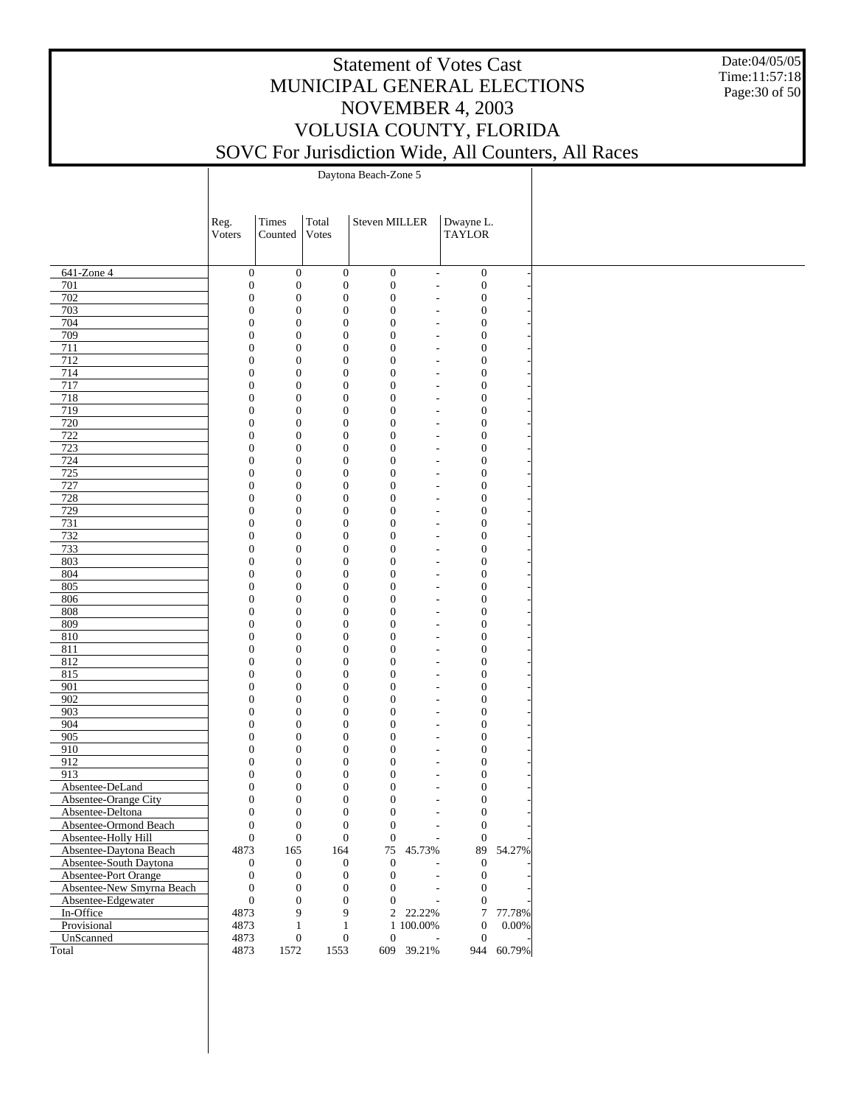Date:04/05/05 Time:11:57:18 Page:30 of 50

|                           | Reg.         | Times                                                                        | Total                                | Steven MILLER                        | Dwayne L.                                                                |            |
|---------------------------|--------------|------------------------------------------------------------------------------|--------------------------------------|--------------------------------------|--------------------------------------------------------------------------|------------|
|                           | Voters       | Counted                                                                      | Votes                                |                                      | <b>TAYLOR</b>                                                            |            |
|                           |              |                                                                              |                                      |                                      |                                                                          |            |
|                           |              |                                                                              |                                      |                                      |                                                                          |            |
| 641-Zone 4                |              | $\boldsymbol{0}$<br>$\boldsymbol{0}$                                         | $\boldsymbol{0}$                     | $\boldsymbol{0}$                     | $\boldsymbol{0}$<br>$\overline{\phantom{a}}$                             |            |
| 701                       |              | $\boldsymbol{0}$<br>$\boldsymbol{0}$                                         | $\boldsymbol{0}$                     | $\boldsymbol{0}$                     | $\boldsymbol{0}$<br>$\overline{a}$                                       |            |
| 702                       |              | $\boldsymbol{0}$<br>$\boldsymbol{0}$                                         | $\boldsymbol{0}$                     | $\boldsymbol{0}$                     | $\boldsymbol{0}$<br>$\overline{\phantom{a}}$                             |            |
| 703<br>704                |              | $\boldsymbol{0}$<br>$\boldsymbol{0}$<br>$\boldsymbol{0}$<br>$\boldsymbol{0}$ | $\boldsymbol{0}$<br>$\boldsymbol{0}$ | $\boldsymbol{0}$<br>$\boldsymbol{0}$ | $\boldsymbol{0}$<br>$\overline{a}$<br>$\boldsymbol{0}$                   |            |
| 709                       |              | $\boldsymbol{0}$<br>$\boldsymbol{0}$                                         | $\boldsymbol{0}$                     | $\boldsymbol{0}$                     | $\overline{\phantom{a}}$<br>$\boldsymbol{0}$<br>L,                       |            |
| 711                       |              | $\boldsymbol{0}$<br>$\boldsymbol{0}$                                         | $\boldsymbol{0}$                     | $\boldsymbol{0}$                     | $\boldsymbol{0}$<br>$\overline{\phantom{a}}$                             |            |
| 712                       |              | $\boldsymbol{0}$<br>$\boldsymbol{0}$                                         | $\boldsymbol{0}$                     | $\boldsymbol{0}$                     | $\boldsymbol{0}$<br>$\qquad \qquad -$                                    |            |
| 714                       |              | $\boldsymbol{0}$<br>$\boldsymbol{0}$                                         | $\boldsymbol{0}$                     | $\boldsymbol{0}$                     | $\boldsymbol{0}$<br>$\overline{\phantom{a}}$                             |            |
| 717                       |              | $\boldsymbol{0}$<br>$\boldsymbol{0}$                                         | $\boldsymbol{0}$                     | $\boldsymbol{0}$                     | $\boldsymbol{0}$<br>L,                                                   |            |
| 718                       |              | $\boldsymbol{0}$<br>$\boldsymbol{0}$                                         | $\boldsymbol{0}$                     | $\boldsymbol{0}$                     | $\boldsymbol{0}$<br>$\overline{\phantom{a}}$                             |            |
| 719                       |              | $\boldsymbol{0}$<br>$\boldsymbol{0}$                                         | $\boldsymbol{0}$                     | $\boldsymbol{0}$                     | $\boldsymbol{0}$<br>$\overline{a}$                                       |            |
| 720                       |              | $\boldsymbol{0}$<br>$\boldsymbol{0}$                                         | $\boldsymbol{0}$                     | $\boldsymbol{0}$                     | $\boldsymbol{0}$<br>$\overline{\phantom{a}}$                             |            |
| 722                       |              | $\boldsymbol{0}$<br>$\boldsymbol{0}$                                         | $\boldsymbol{0}$                     | $\boldsymbol{0}$                     | $\boldsymbol{0}$<br>$\overline{a}$                                       |            |
| 723                       |              | $\boldsymbol{0}$<br>$\boldsymbol{0}$                                         | $\boldsymbol{0}$                     | $\boldsymbol{0}$                     | $\boldsymbol{0}$<br>$\overline{\phantom{a}}$                             |            |
| 724                       |              | $\boldsymbol{0}$<br>$\boldsymbol{0}$                                         | $\boldsymbol{0}$                     | $\boldsymbol{0}$                     | $\boldsymbol{0}$<br>$\overline{a}$                                       |            |
| 725                       |              | $\boldsymbol{0}$<br>$\boldsymbol{0}$                                         | $\boldsymbol{0}$                     | $\boldsymbol{0}$                     | $\boldsymbol{0}$<br>$\overline{\phantom{a}}$                             |            |
| 727                       |              | $\boldsymbol{0}$<br>$\boldsymbol{0}$                                         | $\boldsymbol{0}$                     | $\boldsymbol{0}$                     | $\boldsymbol{0}$<br>$\qquad \qquad -$                                    |            |
| 728                       |              | $\boldsymbol{0}$<br>$\boldsymbol{0}$                                         | $\boldsymbol{0}$                     | $\boldsymbol{0}$                     | $\boldsymbol{0}$<br>$\overline{\phantom{a}}$                             |            |
| 729                       |              | $\boldsymbol{0}$<br>$\boldsymbol{0}$                                         | $\boldsymbol{0}$                     | $\boldsymbol{0}$                     | $\boldsymbol{0}$<br>$\overline{a}$                                       |            |
| 731                       |              | $\boldsymbol{0}$<br>$\boldsymbol{0}$                                         | $\boldsymbol{0}$                     | $\boldsymbol{0}$                     | $\boldsymbol{0}$<br>$\overline{\phantom{a}}$                             |            |
| 732                       |              | $\boldsymbol{0}$<br>$\boldsymbol{0}$                                         | $\boldsymbol{0}$                     | $\boldsymbol{0}$                     | $\boldsymbol{0}$<br>$\overline{a}$                                       |            |
| 733                       |              | $\boldsymbol{0}$<br>$\boldsymbol{0}$                                         | $\boldsymbol{0}$                     | $\boldsymbol{0}$                     | $\boldsymbol{0}$<br>$\overline{\phantom{a}}$                             |            |
| 803                       |              | $\boldsymbol{0}$<br>$\boldsymbol{0}$                                         | $\boldsymbol{0}$                     | $\boldsymbol{0}$                     | $\boldsymbol{0}$<br>$\overline{a}$                                       |            |
| 804                       |              | $\boldsymbol{0}$<br>$\boldsymbol{0}$                                         | $\boldsymbol{0}$                     | $\boldsymbol{0}$                     | $\boldsymbol{0}$<br>$\overline{\phantom{a}}$                             |            |
| 805                       |              | $\boldsymbol{0}$<br>$\boldsymbol{0}$                                         | $\boldsymbol{0}$                     | $\boldsymbol{0}$                     | $\boldsymbol{0}$<br>L,                                                   |            |
| 806                       |              | $\boldsymbol{0}$<br>$\boldsymbol{0}$                                         | $\boldsymbol{0}$                     | $\boldsymbol{0}$                     | $\boldsymbol{0}$<br>$\overline{\phantom{a}}$                             |            |
| 808                       |              | $\boldsymbol{0}$<br>$\boldsymbol{0}$                                         | $\boldsymbol{0}$                     | $\boldsymbol{0}$                     | $\boldsymbol{0}$<br>$\qquad \qquad -$                                    |            |
| 809                       |              | $\boldsymbol{0}$<br>$\boldsymbol{0}$                                         | $\boldsymbol{0}$                     | $\boldsymbol{0}$                     | $\boldsymbol{0}$<br>$\overline{\phantom{a}}$                             |            |
| 810                       |              | $\boldsymbol{0}$<br>$\boldsymbol{0}$                                         | $\boldsymbol{0}$                     | $\boldsymbol{0}$                     | $\boldsymbol{0}$<br>L,                                                   |            |
| 811                       |              | $\boldsymbol{0}$<br>$\boldsymbol{0}$                                         | $\boldsymbol{0}$                     | $\boldsymbol{0}$                     | $\boldsymbol{0}$<br>$\overline{\phantom{a}}$                             |            |
| 812                       |              | $\boldsymbol{0}$<br>$\boldsymbol{0}$                                         | $\boldsymbol{0}$                     | $\boldsymbol{0}$                     | $\boldsymbol{0}$<br>$\overline{a}$                                       |            |
| 815                       |              | $\boldsymbol{0}$<br>$\boldsymbol{0}$                                         | $\boldsymbol{0}$                     | $\boldsymbol{0}$                     | $\boldsymbol{0}$<br>$\overline{\phantom{a}}$                             |            |
| 901                       |              | $\boldsymbol{0}$<br>$\boldsymbol{0}$                                         | $\boldsymbol{0}$                     | $\boldsymbol{0}$                     | $\boldsymbol{0}$<br>$\overline{a}$                                       |            |
| 902                       |              | $\boldsymbol{0}$<br>$\boldsymbol{0}$                                         | $\boldsymbol{0}$                     | $\boldsymbol{0}$                     | $\boldsymbol{0}$<br>$\overline{a}$                                       |            |
| 903                       |              | $\boldsymbol{0}$<br>$\boldsymbol{0}$                                         | $\boldsymbol{0}$                     | $\boldsymbol{0}$                     | $\boldsymbol{0}$<br>$\overline{a}$                                       |            |
| 904                       |              | $\boldsymbol{0}$<br>$\boldsymbol{0}$                                         | $\boldsymbol{0}$                     | $\boldsymbol{0}$                     | $\boldsymbol{0}$<br>$\overline{\phantom{a}}$                             |            |
| 905                       |              | $\boldsymbol{0}$<br>$\boldsymbol{0}$                                         | $\boldsymbol{0}$                     | $\boldsymbol{0}$                     | $\boldsymbol{0}$<br>$\overline{a}$                                       |            |
| 910<br>912                |              | $\boldsymbol{0}$<br>$\boldsymbol{0}$<br>$\boldsymbol{0}$                     | $\boldsymbol{0}$<br>$\boldsymbol{0}$ | $\boldsymbol{0}$<br>$\boldsymbol{0}$ | $\boldsymbol{0}$<br>$\overline{\phantom{a}}$<br>$\boldsymbol{0}$         |            |
| 913                       |              | $\boldsymbol{0}$<br>$\boldsymbol{0}$<br>$\boldsymbol{0}$                     | $\boldsymbol{0}$                     | $\boldsymbol{0}$                     | $\overline{\phantom{a}}$<br>$\boldsymbol{0}$<br>$\overline{\phantom{a}}$ |            |
| Absentee-DeLand           |              | $\boldsymbol{0}$<br>$\boldsymbol{0}$                                         | $\boldsymbol{0}$                     | $\boldsymbol{0}$                     | $\boldsymbol{0}$<br>$\overline{a}$                                       |            |
| Absentee-Orange City      | $\mathbf{0}$ | $\boldsymbol{0}$                                                             | $\boldsymbol{0}$                     | $\boldsymbol{0}$                     | $\boldsymbol{0}$                                                         |            |
| Absentee-Deltona          |              | $\mathbf{0}$<br>$\boldsymbol{0}$                                             | $\overline{0}$                       | $\boldsymbol{0}$                     | $\overline{\phantom{a}}$<br>$\boldsymbol{0}$<br>$\overline{a}$           |            |
| Absentee-Ormond Beach     |              | $\boldsymbol{0}$<br>$\boldsymbol{0}$                                         | $\boldsymbol{0}$                     | $\boldsymbol{0}$                     | $\boldsymbol{0}$<br>$\overline{\phantom{a}}$                             |            |
| Absentee-Holly Hill       |              | $\boldsymbol{0}$<br>$\mathbf{0}$                                             | $\boldsymbol{0}$                     | $\mathbf{0}$                         | $\boldsymbol{0}$                                                         |            |
| Absentee-Daytona Beach    | 4873         | 165                                                                          | 164                                  | 75 45.73%                            | 89                                                                       | 54.27%     |
| Absentee-South Daytona    |              | $\mathbf{0}$<br>$\mathbf{0}$                                                 | $\boldsymbol{0}$                     | $\overline{0}$                       | $\boldsymbol{0}$                                                         |            |
| Absentee-Port Orange      |              | $\boldsymbol{0}$<br>$\boldsymbol{0}$                                         | $\boldsymbol{0}$                     | $\overline{0}$                       | $\boldsymbol{0}$<br>$\overline{a}$                                       |            |
| Absentee-New Smyrna Beach |              | $\boldsymbol{0}$<br>$\boldsymbol{0}$                                         | $\boldsymbol{0}$                     | $\overline{0}$                       | $\boldsymbol{0}$<br>$\overline{a}$                                       |            |
| Absentee-Edgewater        |              | $\boldsymbol{0}$<br>$\mathbf{0}$                                             | $\mathbf{0}$                         | $\overline{0}$                       | $\boldsymbol{0}$<br>$\overline{\phantom{a}}$                             |            |
| In-Office                 | 4873         | 9                                                                            | 9                                    | 2 22.22%                             | $\tau$                                                                   | 77.78%     |
| Provisional               | 4873         | $\mathbf{1}$                                                                 | $\mathbf{1}$                         | 1 100.00%                            | $\boldsymbol{0}$                                                         | 0.00%      |
| UnScanned                 | 4873         | $\mathbf{0}$                                                                 | $\boldsymbol{0}$                     | $\boldsymbol{0}$                     | $\boldsymbol{0}$                                                         |            |
| Total                     | 4873         | 1572                                                                         | 1553                                 | 609 39.21%                           |                                                                          | 944 60.79% |
|                           |              |                                                                              |                                      |                                      |                                                                          |            |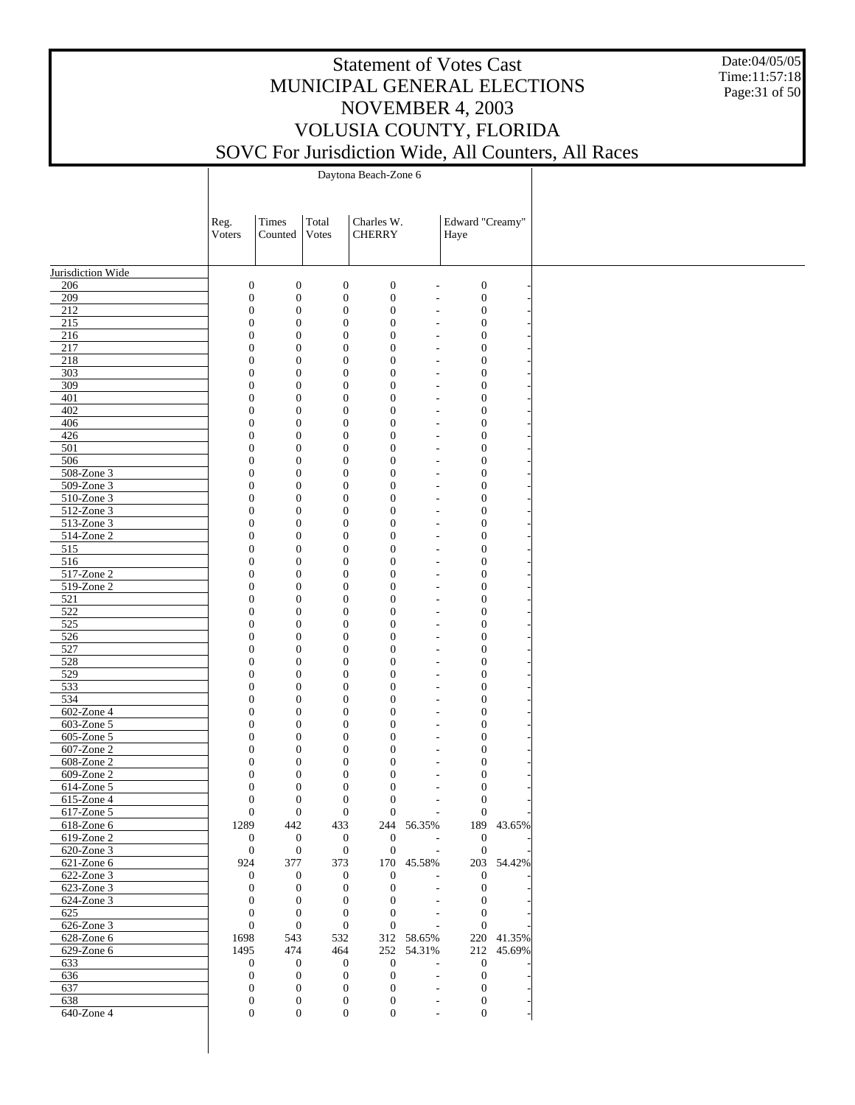Date:04/05/05 Time:11:57:18 Page:31 of 50

|                             | Reg.<br>Voters | Times<br>Counted                                                             | Total<br>Votes               | Charles W.<br><b>CHERRY</b>                                                  |                                                      | Edward "Creamy"<br>Haye              |            |
|-----------------------------|----------------|------------------------------------------------------------------------------|------------------------------|------------------------------------------------------------------------------|------------------------------------------------------|--------------------------------------|------------|
|                             |                |                                                                              |                              |                                                                              |                                                      |                                      |            |
| Jurisdiction Wide           |                |                                                                              |                              |                                                                              |                                                      |                                      |            |
| 206                         |                | $\boldsymbol{0}$<br>$\boldsymbol{0}$                                         | $\boldsymbol{0}$             | $\boldsymbol{0}$                                                             | $\overline{\phantom{a}}$                             | $\boldsymbol{0}$                     |            |
| 209                         |                | $\boldsymbol{0}$<br>$\boldsymbol{0}$                                         |                              | $\boldsymbol{0}$<br>$\boldsymbol{0}$                                         | $\overline{a}$                                       | $\boldsymbol{0}$                     |            |
| 212                         |                | $\boldsymbol{0}$<br>$\boldsymbol{0}$                                         | $\mathbf{0}$                 | $\boldsymbol{0}$                                                             | $\overline{a}$                                       | $\boldsymbol{0}$                     |            |
| 215<br>216                  |                | $\boldsymbol{0}$<br>$\boldsymbol{0}$<br>$\boldsymbol{0}$<br>$\boldsymbol{0}$ | $\mathbf{0}$                 | $\boldsymbol{0}$<br>$\boldsymbol{0}$<br>$\boldsymbol{0}$                     | $\overline{\phantom{a}}$<br>$\overline{\phantom{a}}$ | $\boldsymbol{0}$<br>$\boldsymbol{0}$ |            |
| 217                         |                | $\boldsymbol{0}$<br>$\boldsymbol{0}$                                         | $\mathbf{0}$                 | $\boldsymbol{0}$                                                             | $\overline{\phantom{a}}$                             | $\boldsymbol{0}$                     |            |
| 218                         |                | $\boldsymbol{0}$<br>$\boldsymbol{0}$                                         | $\mathbf{0}$                 | $\boldsymbol{0}$                                                             | $\overline{\phantom{a}}$                             | $\boldsymbol{0}$                     |            |
| 303                         |                | $\boldsymbol{0}$<br>$\boldsymbol{0}$                                         |                              | $\boldsymbol{0}$<br>$\boldsymbol{0}$                                         | $\overline{\phantom{a}}$                             | $\boldsymbol{0}$                     |            |
| 309                         |                | $\boldsymbol{0}$<br>$\boldsymbol{0}$                                         |                              | $\boldsymbol{0}$<br>$\boldsymbol{0}$                                         | $\overline{\phantom{a}}$                             | $\boldsymbol{0}$                     |            |
| 401                         |                | $\boldsymbol{0}$<br>$\boldsymbol{0}$                                         | $\mathbf{0}$                 | $\boldsymbol{0}$                                                             | $\overline{\phantom{a}}$                             | $\boldsymbol{0}$                     |            |
| 402                         |                | $\boldsymbol{0}$<br>$\boldsymbol{0}$                                         | $\mathbf{0}$                 | $\boldsymbol{0}$                                                             | $\overline{\phantom{a}}$                             | $\boldsymbol{0}$                     |            |
| 406<br>426                  |                | $\boldsymbol{0}$<br>$\boldsymbol{0}$<br>$\boldsymbol{0}$<br>$\boldsymbol{0}$ |                              | $\boldsymbol{0}$<br>$\boldsymbol{0}$<br>$\boldsymbol{0}$<br>$\boldsymbol{0}$ | $\overline{\phantom{a}}$<br>$\overline{\phantom{a}}$ | $\boldsymbol{0}$<br>$\boldsymbol{0}$ |            |
| 501                         |                | $\boldsymbol{0}$<br>$\boldsymbol{0}$                                         |                              | $\boldsymbol{0}$<br>$\boldsymbol{0}$                                         | $\overline{\phantom{a}}$                             | $\boldsymbol{0}$                     |            |
| 506                         |                | $\boldsymbol{0}$<br>$\boldsymbol{0}$                                         |                              | $\boldsymbol{0}$<br>$\boldsymbol{0}$                                         | $\overline{\phantom{a}}$                             | $\boldsymbol{0}$                     |            |
| 508-Zone 3                  |                | $\boldsymbol{0}$<br>$\boldsymbol{0}$                                         |                              | $\boldsymbol{0}$<br>$\boldsymbol{0}$                                         | $\overline{\phantom{a}}$                             | $\boldsymbol{0}$                     |            |
| 509-Zone 3                  |                | $\boldsymbol{0}$<br>$\boldsymbol{0}$                                         |                              | $\boldsymbol{0}$<br>$\boldsymbol{0}$                                         | $\overline{\phantom{a}}$                             | $\boldsymbol{0}$                     |            |
| 510-Zone 3                  |                | $\boldsymbol{0}$<br>$\boldsymbol{0}$                                         |                              | $\boldsymbol{0}$<br>$\boldsymbol{0}$                                         | $\overline{\phantom{a}}$                             | $\boldsymbol{0}$                     |            |
| 512-Zone 3                  |                | $\boldsymbol{0}$<br>$\boldsymbol{0}$                                         |                              | $\boldsymbol{0}$<br>$\boldsymbol{0}$                                         | $\overline{\phantom{a}}$                             | $\boldsymbol{0}$                     |            |
| 513-Zone 3<br>514-Zone 2    |                | $\boldsymbol{0}$<br>$\boldsymbol{0}$<br>$\boldsymbol{0}$<br>$\boldsymbol{0}$ | $\mathbf{0}$                 | $\boldsymbol{0}$<br>$\boldsymbol{0}$<br>$\boldsymbol{0}$                     | $\overline{\phantom{a}}$<br>$\overline{\phantom{a}}$ | $\boldsymbol{0}$<br>$\boldsymbol{0}$ |            |
| 515                         |                | $\boldsymbol{0}$<br>$\boldsymbol{0}$                                         | $\mathbf{0}$                 | $\boldsymbol{0}$                                                             | $\overline{\phantom{a}}$                             | $\boldsymbol{0}$                     |            |
| 516                         |                | $\boldsymbol{0}$<br>$\boldsymbol{0}$                                         |                              | $\boldsymbol{0}$<br>$\boldsymbol{0}$                                         | $\overline{a}$                                       | $\boldsymbol{0}$                     |            |
| 517-Zone 2                  |                | $\boldsymbol{0}$<br>$\boldsymbol{0}$                                         |                              | $\boldsymbol{0}$<br>$\boldsymbol{0}$                                         | $\overline{\phantom{a}}$                             | $\boldsymbol{0}$                     |            |
| 519-Zone 2                  |                | $\boldsymbol{0}$<br>$\boldsymbol{0}$                                         |                              | $\boldsymbol{0}$<br>$\boldsymbol{0}$                                         | $\overline{\phantom{a}}$                             | $\boldsymbol{0}$                     |            |
| 521                         |                | $\boldsymbol{0}$<br>$\boldsymbol{0}$                                         | $\mathbf{0}$                 | $\boldsymbol{0}$                                                             | $\overline{\phantom{a}}$                             | $\boldsymbol{0}$                     |            |
| 522                         |                | $\boldsymbol{0}$<br>$\boldsymbol{0}$                                         |                              | $\boldsymbol{0}$<br>$\boldsymbol{0}$                                         | $\overline{\phantom{a}}$                             | $\boldsymbol{0}$                     |            |
| 525                         |                | $\boldsymbol{0}$<br>$\boldsymbol{0}$                                         |                              | $\boldsymbol{0}$<br>$\boldsymbol{0}$                                         | $\overline{\phantom{a}}$                             | $\boldsymbol{0}$                     |            |
| 526                         |                | $\boldsymbol{0}$<br>$\boldsymbol{0}$<br>$\boldsymbol{0}$                     | $\mathbf{0}$                 | $\boldsymbol{0}$<br>$\boldsymbol{0}$                                         | $\overline{\phantom{a}}$                             | $\boldsymbol{0}$                     |            |
| 527<br>528                  |                | $\boldsymbol{0}$<br>$\boldsymbol{0}$<br>$\boldsymbol{0}$                     |                              | $\boldsymbol{0}$<br>$\boldsymbol{0}$<br>$\boldsymbol{0}$                     | $\overline{\phantom{a}}$<br>$\overline{\phantom{a}}$ | $\boldsymbol{0}$<br>$\boldsymbol{0}$ |            |
| 529                         |                | $\boldsymbol{0}$<br>$\boldsymbol{0}$                                         |                              | $\boldsymbol{0}$<br>$\boldsymbol{0}$                                         | $\overline{\phantom{a}}$                             | $\boldsymbol{0}$                     |            |
| 533                         |                | $\boldsymbol{0}$<br>$\boldsymbol{0}$                                         |                              | $\boldsymbol{0}$<br>$\boldsymbol{0}$                                         | $\overline{\phantom{a}}$                             | $\boldsymbol{0}$                     |            |
| 534                         |                | $\boldsymbol{0}$<br>$\boldsymbol{0}$                                         | $\mathbf{0}$                 | $\boldsymbol{0}$                                                             | $\overline{\phantom{a}}$                             | $\boldsymbol{0}$                     |            |
| 602-Zone 4                  |                | $\boldsymbol{0}$<br>$\boldsymbol{0}$                                         |                              | $\boldsymbol{0}$<br>$\boldsymbol{0}$                                         | $\overline{\phantom{a}}$                             | $\boldsymbol{0}$                     |            |
| 603-Zone 5                  |                | $\boldsymbol{0}$<br>$\boldsymbol{0}$                                         |                              | $\boldsymbol{0}$<br>$\boldsymbol{0}$                                         | $\overline{\phantom{a}}$                             | $\boldsymbol{0}$                     |            |
| 605-Zone 5                  |                | $\boldsymbol{0}$<br>$\boldsymbol{0}$                                         |                              | $\boldsymbol{0}$<br>$\boldsymbol{0}$                                         | $\overline{\phantom{a}}$                             | $\boldsymbol{0}$                     |            |
| 607-Zone 2                  |                | $\boldsymbol{0}$<br>$\boldsymbol{0}$                                         | $\mathbf{0}$                 | $\boldsymbol{0}$                                                             | $\overline{\phantom{a}}$                             | $\boldsymbol{0}$                     |            |
| 608-Zone 2                  |                | $\boldsymbol{0}$<br>$\boldsymbol{0}$                                         |                              | $\boldsymbol{0}$<br>$\boldsymbol{0}$                                         | $\overline{\phantom{a}}$                             | $\boldsymbol{0}$                     |            |
| $609$ -Zone 2<br>614-Zone 5 |                | $\boldsymbol{0}$<br>$\boldsymbol{0}$<br>$\boldsymbol{0}$<br>$\boldsymbol{0}$ | $\mathbf{0}$<br>$\mathbf{0}$ | $\boldsymbol{0}$<br>$\boldsymbol{0}$                                         | $\overline{\phantom{a}}$                             | $\boldsymbol{0}$                     |            |
| 615-Zone 4                  |                | $\boldsymbol{0}$<br>$\boldsymbol{0}$                                         | $\mathbf{0}$                 | $\boldsymbol{0}$                                                             | $\overline{\phantom{a}}$<br>$\overline{\phantom{a}}$ | $\boldsymbol{0}$<br>$\boldsymbol{0}$ |            |
| 617-Zone 5                  |                | $\mathbf{0}$<br>$\boldsymbol{0}$                                             |                              | $\boldsymbol{0}$<br>$\mathbf{0}$                                             | $\overline{a}$                                       | $\boldsymbol{0}$                     |            |
| $618$ -Zone 6               | 1289           | 442                                                                          | 433                          | 244                                                                          | 56.35%                                               |                                      | 189 43.65% |
| 619-Zone 2                  |                | $\mathbf{0}$<br>$\mathbf{0}$                                                 | $\mathbf{0}$                 | $\boldsymbol{0}$                                                             |                                                      | $\mathbf{0}$                         |            |
| 620-Zone 3                  |                | $\mathbf{0}$<br>$\mathbf{0}$                                                 |                              | $\mathbf{0}$<br>$\mathbf{0}$                                                 | $\sim$                                               | $\mathbf{0}$                         |            |
| $621$ -Zone $6$             | 924            | 377                                                                          | 373                          |                                                                              | 170 45.58%                                           |                                      | 203 54.42% |
| $622$ -Zone 3               |                | $\mathbf{0}$<br>$\boldsymbol{0}$                                             |                              | $\boldsymbol{0}$<br>$\mathbf{0}$                                             |                                                      | $\boldsymbol{0}$                     |            |
| $623$ -Zone 3               |                | $\mathbf{0}$<br>$\mathbf{0}$                                                 |                              | $\boldsymbol{0}$<br>$\mathbf{0}$                                             |                                                      | $\mathbf{0}$                         |            |
| 624-Zone 3<br>625           |                | $\mathbf{0}$<br>$\mathbf{0}$<br>$\boldsymbol{0}$<br>$\mathbf{0}$             | $\mathbf{0}$                 | $\boldsymbol{0}$<br>$\overline{0}$<br>$\theta$                               |                                                      | $\overline{0}$<br>$\mathbf{0}$       |            |
| 626-Zone 3                  |                | $\mathbf{0}$<br>$\boldsymbol{0}$                                             |                              | $\mathbf{0}$<br>$\mathbf{0}$                                                 |                                                      | $\mathbf{0}$                         |            |
| 628-Zone 6                  | 1698           | 543                                                                          | 532                          |                                                                              | 312 58.65%                                           |                                      | 220 41.35% |
| 629-Zone 6                  | 1495           | 474                                                                          | 464                          | 252                                                                          | 54.31%                                               |                                      | 212 45.69% |
| 633                         |                | $\mathbf{0}$<br>$\mathbf{0}$                                                 | $\mathbf{0}$                 | $\mathbf{0}$                                                                 | $\overline{a}$                                       | $\mathbf{0}$                         |            |
| 636                         |                | $\mathbf{0}$<br>$\boldsymbol{0}$                                             |                              | $\boldsymbol{0}$<br>$\boldsymbol{0}$                                         |                                                      | $\boldsymbol{0}$                     |            |
| 637                         |                | $\mathbf{0}$<br>$\mathbf{0}$                                                 |                              | $\mathbf{0}$<br>$\mathbf{0}$                                                 |                                                      | $\mathbf{0}$                         |            |
| 638                         |                | $\mathbf{0}$<br>$\boldsymbol{0}$                                             |                              | $\boldsymbol{0}$<br>$\boldsymbol{0}$                                         | $\overline{a}$                                       | $\boldsymbol{0}$                     |            |
| 640-Zone 4                  |                | $\boldsymbol{0}$<br>$\overline{0}$                                           |                              | $\Omega$<br>$\overline{0}$                                                   | $\overline{a}$                                       | $\overline{0}$                       |            |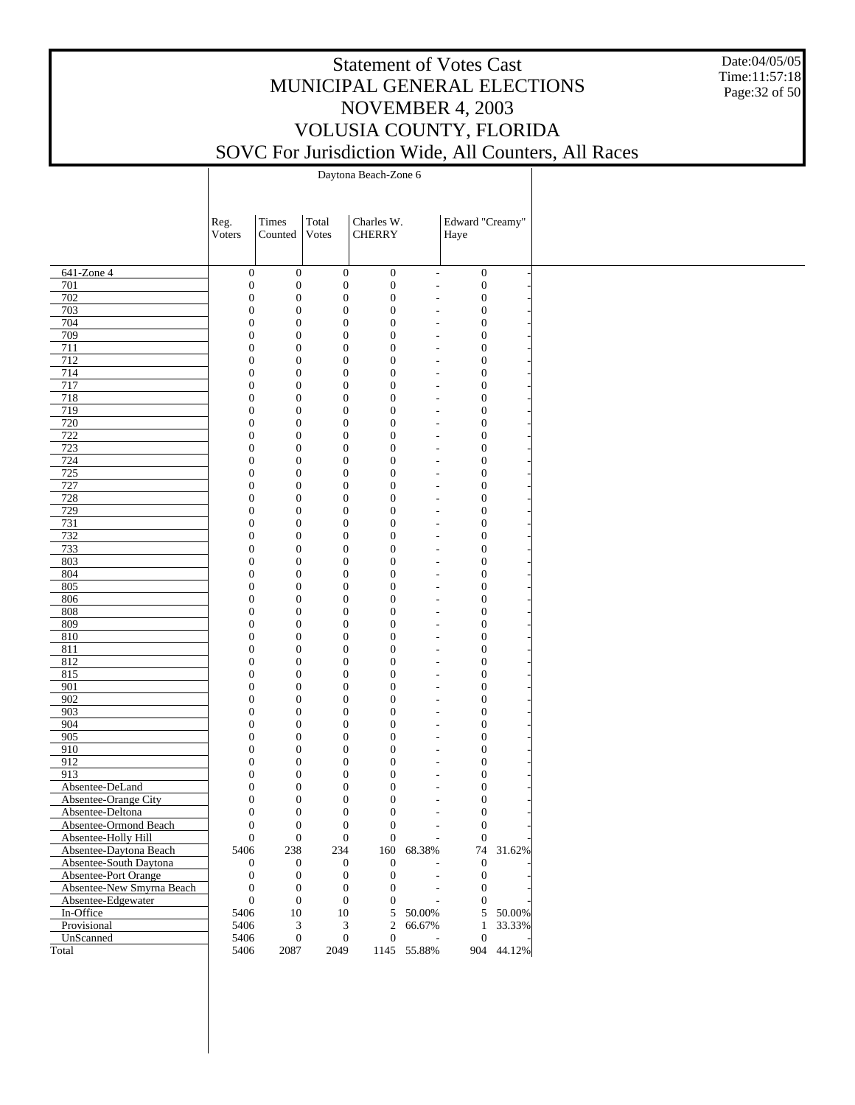Date:04/05/05 Time:11:57:18 Page:32 of 50

|                           | Reg.                                 | Times                                | Total                            | Charles W.                       |                          | Edward "Creamy"                      |            |
|---------------------------|--------------------------------------|--------------------------------------|----------------------------------|----------------------------------|--------------------------|--------------------------------------|------------|
|                           | Voters                               | Counted                              | Votes                            | <b>CHERRY</b>                    |                          | Haye                                 |            |
|                           |                                      |                                      |                                  |                                  |                          |                                      |            |
|                           |                                      |                                      |                                  |                                  |                          |                                      |            |
| 641-Zone 4                | $\boldsymbol{0}$                     | $\boldsymbol{0}$                     | $\boldsymbol{0}$                 | $\boldsymbol{0}$                 | $\overline{\phantom{a}}$ | $\boldsymbol{0}$                     |            |
| 701                       | $\boldsymbol{0}$                     | $\boldsymbol{0}$                     | $\boldsymbol{0}$                 | $\boldsymbol{0}$                 | $\overline{\phantom{a}}$ | $\boldsymbol{0}$                     |            |
| 702                       | $\boldsymbol{0}$                     | $\boldsymbol{0}$                     | $\mathbf{0}$<br>$\boldsymbol{0}$ | $\boldsymbol{0}$                 |                          | $\boldsymbol{0}$                     |            |
| 703<br>704                | $\boldsymbol{0}$<br>$\boldsymbol{0}$ | $\boldsymbol{0}$<br>$\boldsymbol{0}$ | $\mathbf{0}$                     | $\mathbf{0}$<br>$\boldsymbol{0}$ |                          | $\boldsymbol{0}$<br>$\boldsymbol{0}$ |            |
| 709                       | $\boldsymbol{0}$                     | $\mathbf{0}$                         | $\boldsymbol{0}$                 | $\boldsymbol{0}$                 |                          | $\boldsymbol{0}$                     |            |
| 711                       | $\boldsymbol{0}$                     | $\boldsymbol{0}$                     | $\mathbf{0}$                     | $\boldsymbol{0}$                 |                          | $\boldsymbol{0}$                     |            |
| 712                       | $\boldsymbol{0}$                     | $\mathbf{0}$                         | $\boldsymbol{0}$                 | $\boldsymbol{0}$                 |                          | $\boldsymbol{0}$                     |            |
| 714                       | $\boldsymbol{0}$                     | $\boldsymbol{0}$                     | $\mathbf{0}$                     | $\boldsymbol{0}$                 |                          | $\boldsymbol{0}$                     |            |
| 717                       | $\boldsymbol{0}$                     | $\mathbf{0}$                         | $\boldsymbol{0}$                 | $\boldsymbol{0}$                 |                          | $\boldsymbol{0}$                     |            |
| 718                       | $\boldsymbol{0}$                     | $\boldsymbol{0}$                     | $\mathbf{0}$                     | $\boldsymbol{0}$                 |                          | $\boldsymbol{0}$                     |            |
| 719                       | $\boldsymbol{0}$                     | $\boldsymbol{0}$                     | $\boldsymbol{0}$                 | $\boldsymbol{0}$                 |                          | $\boldsymbol{0}$                     |            |
| 720                       | $\boldsymbol{0}$                     | $\boldsymbol{0}$                     | $\mathbf{0}$                     | $\boldsymbol{0}$                 |                          | $\boldsymbol{0}$                     |            |
| 722                       | $\boldsymbol{0}$                     | $\mathbf{0}$                         | $\boldsymbol{0}$                 | $\boldsymbol{0}$                 |                          | $\boldsymbol{0}$                     |            |
| 723                       | $\boldsymbol{0}$                     | $\boldsymbol{0}$                     | $\mathbf{0}$                     | $\boldsymbol{0}$                 |                          | $\boldsymbol{0}$                     |            |
| 724                       | $\boldsymbol{0}$                     | $\boldsymbol{0}$                     | $\boldsymbol{0}$                 | $\boldsymbol{0}$                 |                          | $\boldsymbol{0}$                     |            |
| 725                       | $\boldsymbol{0}$                     | $\boldsymbol{0}$                     | $\mathbf{0}$                     | $\boldsymbol{0}$                 |                          | $\boldsymbol{0}$                     |            |
| 727                       | $\boldsymbol{0}$                     | $\mathbf{0}$                         | $\boldsymbol{0}$                 | $\boldsymbol{0}$                 |                          | $\boldsymbol{0}$                     |            |
| 728                       | $\boldsymbol{0}$                     | $\boldsymbol{0}$                     | $\mathbf{0}$                     | $\boldsymbol{0}$                 |                          | $\boldsymbol{0}$                     |            |
| 729                       | $\boldsymbol{0}$                     | $\mathbf{0}$                         | $\boldsymbol{0}$                 | $\boldsymbol{0}$                 |                          | $\boldsymbol{0}$                     |            |
| 731                       | $\boldsymbol{0}$                     | $\boldsymbol{0}$                     | $\mathbf{0}$                     | $\boldsymbol{0}$                 |                          | $\boldsymbol{0}$                     |            |
| 732                       | $\boldsymbol{0}$                     | $\mathbf{0}$                         | $\boldsymbol{0}$                 | $\boldsymbol{0}$                 |                          | $\boldsymbol{0}$                     |            |
| 733                       | $\boldsymbol{0}$                     | $\boldsymbol{0}$                     | $\mathbf{0}$                     | $\boldsymbol{0}$                 |                          | $\boldsymbol{0}$                     |            |
| 803                       | $\boldsymbol{0}$                     | $\mathbf{0}$                         | $\boldsymbol{0}$                 | $\boldsymbol{0}$                 |                          | $\boldsymbol{0}$                     |            |
| 804                       | $\boldsymbol{0}$                     | $\boldsymbol{0}$                     | $\mathbf{0}$                     | $\boldsymbol{0}$                 |                          | $\boldsymbol{0}$                     |            |
| 805                       | $\boldsymbol{0}$                     | $\mathbf{0}$                         | $\boldsymbol{0}$                 | $\boldsymbol{0}$                 |                          | $\boldsymbol{0}$                     |            |
| 806                       | $\boldsymbol{0}$                     | $\boldsymbol{0}$                     | $\mathbf{0}$                     | $\boldsymbol{0}$                 |                          | $\boldsymbol{0}$                     |            |
| 808                       | $\boldsymbol{0}$                     | $\mathbf{0}$                         | $\boldsymbol{0}$                 | $\boldsymbol{0}$                 |                          | $\boldsymbol{0}$                     |            |
| 809                       | $\boldsymbol{0}$                     | $\boldsymbol{0}$                     | $\mathbf{0}$                     | $\boldsymbol{0}$                 |                          | $\boldsymbol{0}$                     |            |
| 810                       | $\boldsymbol{0}$                     | $\mathbf{0}$                         | $\boldsymbol{0}$                 | $\boldsymbol{0}$                 |                          | $\boldsymbol{0}$                     |            |
| 811                       | $\boldsymbol{0}$                     | $\boldsymbol{0}$                     | $\mathbf{0}$                     | $\boldsymbol{0}$                 |                          | $\boldsymbol{0}$                     |            |
| 812                       | $\boldsymbol{0}$                     | $\mathbf{0}$                         | $\boldsymbol{0}$                 | $\boldsymbol{0}$                 |                          | $\boldsymbol{0}$                     |            |
| 815                       | $\boldsymbol{0}$                     | $\boldsymbol{0}$                     | $\mathbf{0}$                     | $\boldsymbol{0}$                 |                          | $\boldsymbol{0}$                     |            |
| 901                       | $\boldsymbol{0}$                     | $\mathbf{0}$                         | $\boldsymbol{0}$                 | $\boldsymbol{0}$                 |                          | $\boldsymbol{0}$                     |            |
| 902                       | $\boldsymbol{0}$                     | $\boldsymbol{0}$                     | $\mathbf{0}$                     | $\boldsymbol{0}$                 |                          | $\boldsymbol{0}$                     |            |
| 903                       | $\boldsymbol{0}$                     | $\boldsymbol{0}$                     | $\boldsymbol{0}$                 | $\boldsymbol{0}$                 |                          | $\boldsymbol{0}$                     |            |
| 904                       | $\boldsymbol{0}$                     | $\boldsymbol{0}$                     | $\mathbf{0}$                     | $\boldsymbol{0}$                 |                          | $\boldsymbol{0}$                     |            |
| 905                       | $\boldsymbol{0}$                     | $\mathbf{0}$                         | $\boldsymbol{0}$                 | $\boldsymbol{0}$                 |                          | $\boldsymbol{0}$                     |            |
| 910                       | $\boldsymbol{0}$                     | $\boldsymbol{0}$                     | $\mathbf{0}$                     | $\boldsymbol{0}$                 |                          | $\boldsymbol{0}$                     |            |
| 912                       | $\boldsymbol{0}$                     | $\boldsymbol{0}$                     | $\boldsymbol{0}$                 | $\boldsymbol{0}$                 |                          | $\boldsymbol{0}$                     |            |
| 913                       | $\boldsymbol{0}$                     | $\boldsymbol{0}$                     | $\mathbf{0}$                     | $\boldsymbol{0}$                 |                          | $\boldsymbol{0}$                     |            |
| Absentee-DeLand           | $\boldsymbol{0}$                     | $\boldsymbol{0}$                     | $\boldsymbol{0}$                 | $\boldsymbol{0}$                 |                          | $\boldsymbol{0}$                     |            |
| Absentee-Orange City      | $\boldsymbol{0}$                     | $\boldsymbol{0}$                     | $\mathbf{0}$                     | $\boldsymbol{0}$                 |                          | $\boldsymbol{0}$                     |            |
| Absentee-Deltona          | $\mathbf{0}$                         | $\boldsymbol{0}$                     | $\boldsymbol{0}$                 | $\boldsymbol{0}$                 |                          | $\boldsymbol{0}$                     |            |
| Absentee-Ormond Beach     | $\boldsymbol{0}$                     | $\boldsymbol{0}$                     | $\boldsymbol{0}$                 | $\boldsymbol{0}$                 |                          | $\boldsymbol{0}$                     |            |
| Absentee-Holly Hill       | $\boldsymbol{0}$                     | $\boldsymbol{0}$                     | $\boldsymbol{0}$                 | $\mathbf{0}$                     | $\overline{\phantom{a}}$ | $\boldsymbol{0}$                     |            |
| Absentee-Daytona Beach    | 5406                                 | 238                                  | 234                              |                                  | 160 68.38%               |                                      | 74 31.62%  |
| Absentee-South Daytona    | 0                                    | $\boldsymbol{0}$                     | $\boldsymbol{0}$                 | $\boldsymbol{0}$                 |                          | $\boldsymbol{0}$                     |            |
| Absentee-Port Orange      | $\boldsymbol{0}$                     | $\boldsymbol{0}$                     | $\mathbf{0}$                     | $\boldsymbol{0}$                 |                          | $\boldsymbol{0}$                     |            |
| Absentee-New Smyrna Beach | $\boldsymbol{0}$                     | $\boldsymbol{0}$                     | $\boldsymbol{0}$                 | 0                                |                          | $\boldsymbol{0}$                     |            |
| Absentee-Edgewater        | $\boldsymbol{0}$                     | $\boldsymbol{0}$                     | $\boldsymbol{0}$                 | $\overline{0}$                   |                          | $\boldsymbol{0}$                     |            |
| In-Office                 | 5406                                 | $10\,$                               | 10                               | 5                                | 50.00%                   |                                      | 5 50.00%   |
| Provisional               | 5406                                 | 3                                    | $\mathfrak{Z}$                   | $\overline{c}$                   | 66.67%                   | $\mathbf{1}$                         | 33.33%     |
| UnScanned                 | 5406                                 | $\mathbf{0}$                         | $\boldsymbol{0}$                 | $\boldsymbol{0}$                 |                          | $\boldsymbol{0}$                     |            |
| Total                     | 5406                                 | $2087\,$                             | 2049                             |                                  | 1145 55.88%              |                                      | 904 44.12% |
|                           |                                      |                                      |                                  |                                  |                          |                                      |            |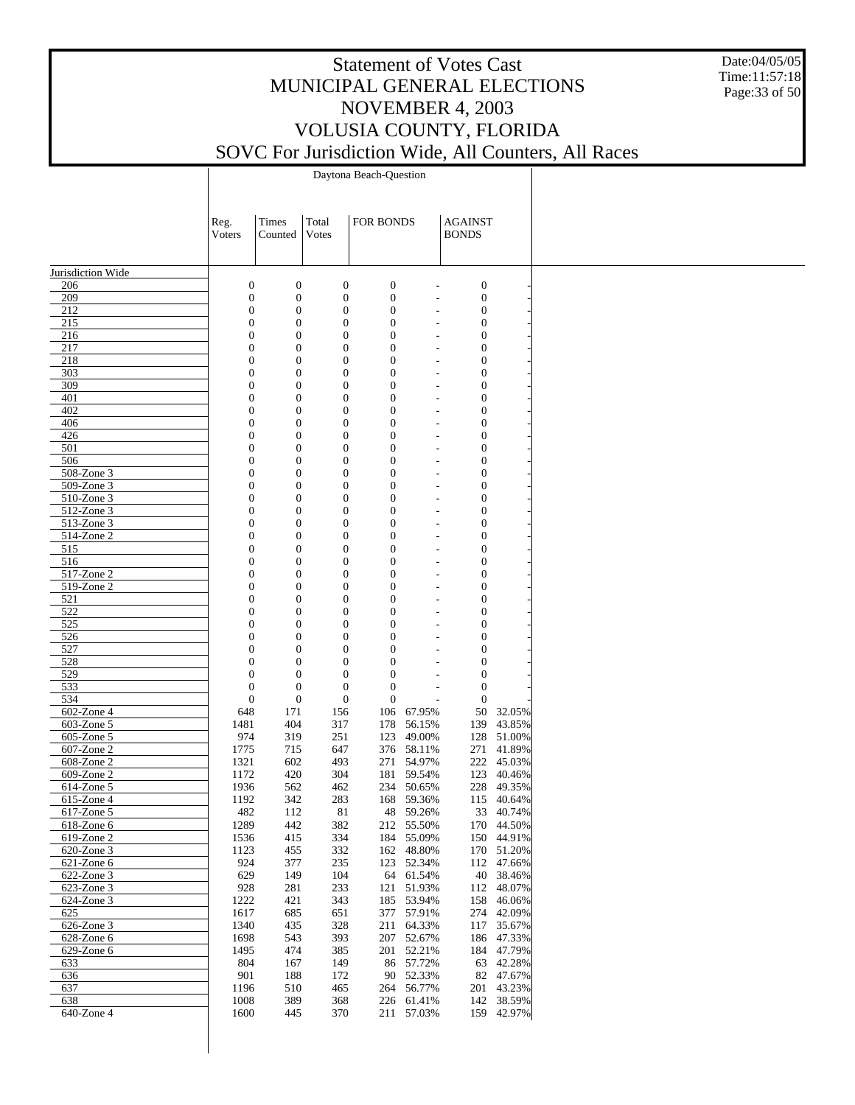Date:04/05/05 Time:11:57:18 Page:33 of 50

Daytona Beach-Question

|                             | Reg.                         | Times                                | Total                                | FOR BONDS                            |                          | <b>AGAINST</b>               |                          |
|-----------------------------|------------------------------|--------------------------------------|--------------------------------------|--------------------------------------|--------------------------|------------------------------|--------------------------|
|                             | Voters                       | Counted                              | Votes                                |                                      |                          | <b>BONDS</b>                 |                          |
|                             |                              |                                      |                                      |                                      |                          |                              |                          |
| Jurisdiction Wide           |                              |                                      |                                      |                                      |                          |                              |                          |
| 206                         | $\boldsymbol{0}$             | $\boldsymbol{0}$                     | $\boldsymbol{0}$                     | $\boldsymbol{0}$                     |                          | $\boldsymbol{0}$             |                          |
| 209                         | $\mathbf{0}$                 | $\boldsymbol{0}$                     | $\boldsymbol{0}$                     | $\boldsymbol{0}$                     |                          | $\boldsymbol{0}$             |                          |
| 212                         | $\mathbf{0}$                 | $\mathbf{0}$                         | $\mathbf{0}$                         | $\boldsymbol{0}$                     | $\overline{\phantom{a}}$ | $\mathbf{0}$                 |                          |
| 215                         | $\mathbf{0}$                 | $\mathbf{0}$                         | $\boldsymbol{0}$                     | $\boldsymbol{0}$                     |                          | $\boldsymbol{0}$             |                          |
| 216                         | $\mathbf{0}$                 | $\mathbf{0}$                         | $\mathbf{0}$                         | $\boldsymbol{0}$                     | $\overline{\phantom{a}}$ | $\mathbf{0}$                 |                          |
| 217<br>218                  | $\mathbf{0}$<br>$\mathbf{0}$ | $\mathbf{0}$<br>$\boldsymbol{0}$     | $\boldsymbol{0}$<br>$\boldsymbol{0}$ | $\boldsymbol{0}$<br>$\boldsymbol{0}$ | $\overline{\phantom{a}}$ | $\mathbf{0}$<br>$\mathbf{0}$ |                          |
| 303                         | $\mathbf{0}$                 | $\boldsymbol{0}$                     | $\boldsymbol{0}$                     | $\boldsymbol{0}$                     |                          | $\mathbf{0}$                 |                          |
| 309                         | $\mathbf{0}$                 | $\boldsymbol{0}$                     | $\boldsymbol{0}$                     | $\boldsymbol{0}$                     | $\overline{\phantom{a}}$ | $\mathbf{0}$                 |                          |
| 401                         | $\mathbf{0}$                 | $\boldsymbol{0}$                     | $\boldsymbol{0}$                     | $\boldsymbol{0}$                     |                          | $\boldsymbol{0}$             |                          |
| 402                         | $\mathbf{0}$                 | $\boldsymbol{0}$                     | $\boldsymbol{0}$                     | $\boldsymbol{0}$                     | $\overline{\phantom{a}}$ | $\mathbf{0}$                 |                          |
| 406<br>426                  | $\mathbf{0}$<br>$\mathbf{0}$ | $\boldsymbol{0}$                     | $\boldsymbol{0}$                     | $\boldsymbol{0}$<br>$\boldsymbol{0}$ |                          | $\mathbf{0}$<br>$\mathbf{0}$ |                          |
| 501                         | $\mathbf{0}$                 | $\boldsymbol{0}$<br>$\boldsymbol{0}$ | $\boldsymbol{0}$<br>$\boldsymbol{0}$ | $\boldsymbol{0}$                     | $\overline{\phantom{a}}$ | $\boldsymbol{0}$             |                          |
| 506                         | $\mathbf{0}$                 | $\boldsymbol{0}$                     | $\boldsymbol{0}$                     | $\boldsymbol{0}$                     | $\overline{\phantom{a}}$ | $\mathbf{0}$                 |                          |
| 508-Zone 3                  | $\mathbf{0}$                 | $\boldsymbol{0}$                     | $\boldsymbol{0}$                     | $\boldsymbol{0}$                     |                          | $\mathbf{0}$                 |                          |
| 509-Zone 3                  | $\mathbf{0}$                 | $\boldsymbol{0}$                     | $\boldsymbol{0}$                     | $\boldsymbol{0}$                     | $\overline{\phantom{a}}$ | $\mathbf{0}$                 |                          |
| 510-Zone 3                  | $\mathbf{0}$                 | $\mathbf{0}$                         | $\boldsymbol{0}$                     | $\boldsymbol{0}$                     |                          | $\boldsymbol{0}$             |                          |
| 512-Zone 3<br>513-Zone 3    | $\mathbf{0}$<br>$\mathbf{0}$ | $\mathbf{0}$                         | $\mathbf{0}$<br>$\boldsymbol{0}$     | $\boldsymbol{0}$<br>$\boldsymbol{0}$ | $\overline{\phantom{a}}$ | $\mathbf{0}$<br>$\mathbf{0}$ |                          |
| 514-Zone 2                  | $\mathbf{0}$                 | $\mathbf{0}$<br>$\mathbf{0}$         | $\mathbf{0}$                         | $\boldsymbol{0}$                     | $\overline{\phantom{a}}$ | $\mathbf{0}$                 |                          |
| 515                         | $\mathbf{0}$                 | $\mathbf{0}$                         | $\boldsymbol{0}$                     | $\boldsymbol{0}$                     |                          | $\boldsymbol{0}$             |                          |
| 516                         | $\mathbf{0}$                 | $\boldsymbol{0}$                     | $\boldsymbol{0}$                     | $\boldsymbol{0}$                     | $\overline{\phantom{a}}$ | $\mathbf{0}$                 |                          |
| 517-Zone 2                  | $\mathbf{0}$                 | $\boldsymbol{0}$                     | $\boldsymbol{0}$                     | $\boldsymbol{0}$                     |                          | $\mathbf{0}$                 |                          |
| 519-Zone 2                  | $\mathbf{0}$                 | $\boldsymbol{0}$                     | $\boldsymbol{0}$                     | $\boldsymbol{0}$                     | $\overline{\phantom{a}}$ | $\mathbf{0}$                 |                          |
| 521                         | $\mathbf{0}$                 | $\boldsymbol{0}$                     | $\boldsymbol{0}$                     | $\boldsymbol{0}$                     |                          | $\boldsymbol{0}$             |                          |
| 522<br>525                  | $\mathbf{0}$<br>$\mathbf{0}$ | $\boldsymbol{0}$<br>$\boldsymbol{0}$ | $\boldsymbol{0}$<br>$\boldsymbol{0}$ | $\boldsymbol{0}$<br>$\boldsymbol{0}$ | $\overline{\phantom{a}}$ | $\mathbf{0}$<br>$\mathbf{0}$ |                          |
| 526                         | $\mathbf{0}$                 | $\boldsymbol{0}$                     | $\boldsymbol{0}$                     | $\boldsymbol{0}$                     |                          | $\mathbf{0}$                 |                          |
| 527                         | $\mathbf{0}$                 | $\boldsymbol{0}$                     | $\boldsymbol{0}$                     | $\boldsymbol{0}$                     |                          | $\mathbf{0}$                 |                          |
| 528                         | $\overline{0}$               | $\boldsymbol{0}$                     | $\theta$                             | $\mathbf{0}$                         |                          | $\mathbf{0}$                 |                          |
| 529                         | $\overline{0}$               | $\boldsymbol{0}$                     | $\boldsymbol{0}$                     | $\mathbf{0}$                         |                          | $\mathbf{0}$                 |                          |
| 533                         | $\mathbf{0}$                 | $\boldsymbol{0}$                     | $\boldsymbol{0}$                     | $\boldsymbol{0}$                     |                          | $\mathbf{0}$                 |                          |
| 534<br>602-Zone 4           | $\mathbf{0}$<br>648          | $\boldsymbol{0}$<br>171              | $\boldsymbol{0}$<br>156              | $\mathbf{0}$<br>106                  | 67.95%                   | $\boldsymbol{0}$<br>50       | 32.05%                   |
| $603$ -Zone 5               | 1481                         | 404                                  | 317                                  | 178                                  | 56.15%                   | 139                          | 43.85%                   |
| $605$ -Zone 5               | 974                          | 319                                  | 251                                  | 123                                  | 49.00%                   |                              | 128 51.00%               |
| 607-Zone 2                  | 1775                         | 715                                  | 647                                  | 376                                  | 58.11%                   | 271                          | 41.89%                   |
| 608-Zone 2                  | 1321                         | 602                                  | 493                                  | 271                                  | 54.97%                   |                              | 222 45.03%               |
| $609$ -Zone 2               | 1172                         | 420                                  | 304                                  | 181                                  | 59.54%                   | 123                          | 40.46%                   |
| 614-Zone 5                  | 1936                         | 562                                  | 462                                  |                                      | 234 50.65%               |                              | 228 49.35%               |
| $615$ -Zone 4<br>617-Zone 5 | 1192<br>482                  | 342<br>112                           | 283<br>81                            |                                      | 168 59.36%<br>48 59.26%  |                              | 115 40.64%<br>33 40.74%  |
| $618$ -Zone 6               | 1289                         | 442                                  | 382                                  |                                      | 212 55.50%               |                              | 170 44.50%               |
| 619-Zone 2                  | 1536                         | 415                                  | 334                                  |                                      | 184 55.09%               |                              | 150 44.91%               |
| 620-Zone 3                  | 1123                         | 455                                  | 332                                  | 162                                  | 48.80%                   | 170                          | 51.20%                   |
| $\overline{62}$ 1-Zone 6    | 924                          | 377                                  | 235                                  | 123                                  | 52.34%                   |                              | 112 47.66%               |
| 622-Zone 3                  | 629                          | 149                                  | 104                                  | 64                                   | 61.54%                   |                              | 40 38.46%                |
| 623-Zone 3                  | 928                          | 281                                  | 233                                  | 121                                  | 51.93%                   |                              | 112 48.07%               |
| 624-Zone 3                  | 1222                         | 421                                  | 343                                  | 185                                  | 53.94%                   | 158                          | 46.06%                   |
| 625<br>626-Zone 3           | 1617<br>1340                 | 685<br>435                           | 651<br>328                           | 377<br>211                           | 57.91%<br>64.33%         |                              | 274 42.09%<br>117 35.67% |
| $628$ -Zone $6$             | 1698                         | 543                                  | 393                                  |                                      | 207 52.67%               |                              | 186 47.33%               |
| 629-Zone 6                  | 1495                         | 474                                  | 385                                  | 201                                  | 52.21%                   |                              | 184 47.79%               |
| 633                         | 804                          | 167                                  | 149                                  |                                      | 86 57.72%                |                              | 63 42.28%                |
| 636                         | 901                          | 188                                  | 172                                  | 90                                   | 52.33%                   |                              | 82 47.67%                |
| 637                         | 1196                         | 510                                  | 465                                  | 264                                  | 56.77%                   |                              | 201 43.23%               |
| 638                         | 1008                         | 389                                  | 368                                  | 226                                  | 61.41%                   |                              | 142 38.59%               |
| 640-Zone 4                  | 1600                         | 445                                  | 370                                  |                                      | 211 57.03%               |                              | 159 42.97%               |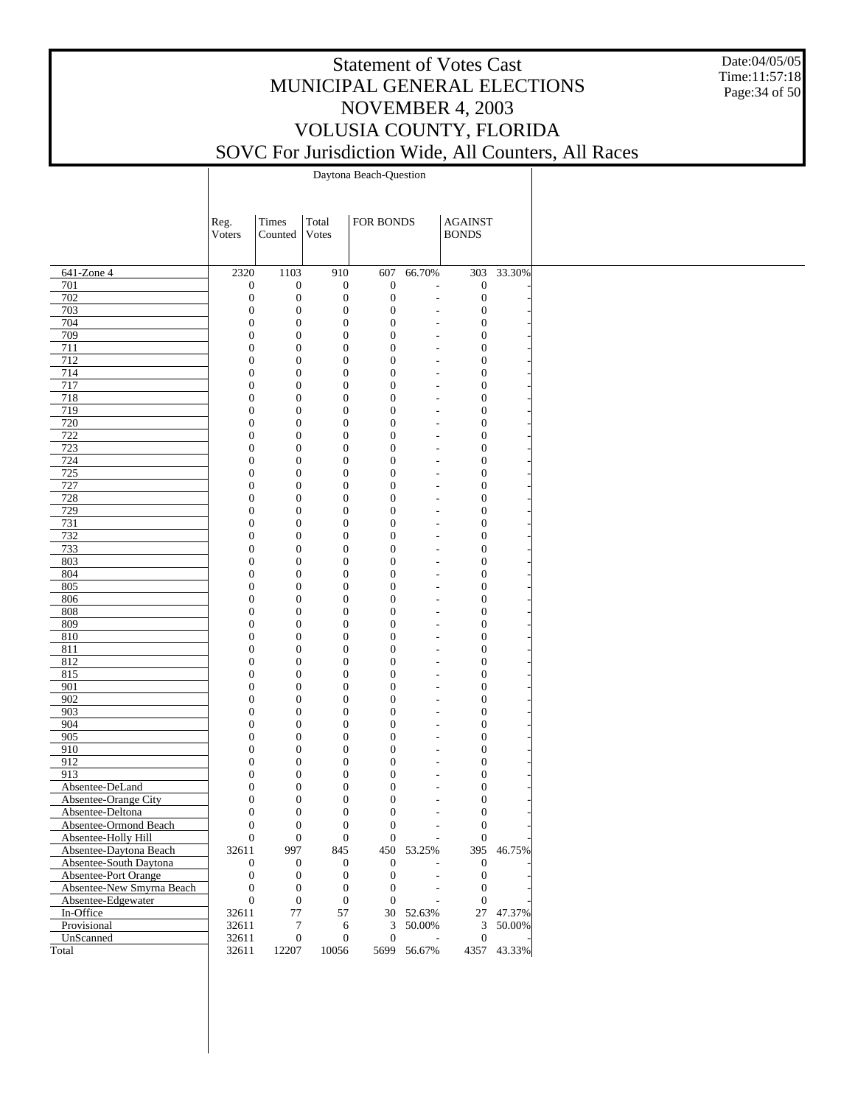Date:04/05/05 Time:11:57:18 Page:34 of 50

Daytona Beach-Question

|                           | Reg.<br>Voters                       | Times<br>Counted                     | Total<br>Votes                       | FOR BONDS                        |             | <b>AGAINST</b><br><b>BONDS</b>       |             |
|---------------------------|--------------------------------------|--------------------------------------|--------------------------------------|----------------------------------|-------------|--------------------------------------|-------------|
|                           |                                      |                                      |                                      |                                  |             |                                      |             |
|                           |                                      |                                      |                                      |                                  |             |                                      |             |
| $641$ -Zone 4             | 2320                                 | 1103                                 | 910                                  | 607                              | 66.70%      | 303                                  | 33.30%      |
| 701<br>702                | $\boldsymbol{0}$<br>$\mathbf{0}$     | $\boldsymbol{0}$<br>$\boldsymbol{0}$ | $\boldsymbol{0}$<br>$\boldsymbol{0}$ | $\mathbf{0}$<br>$\mathbf{0}$     |             | $\boldsymbol{0}$<br>$\boldsymbol{0}$ |             |
| 703                       | $\mathbf{0}$                         | $\boldsymbol{0}$                     | $\boldsymbol{0}$                     | $\mathbf{0}$                     |             | $\boldsymbol{0}$                     |             |
| 704                       | $\boldsymbol{0}$                     | $\boldsymbol{0}$                     | $\boldsymbol{0}$                     | $\mathbf{0}$                     |             | $\boldsymbol{0}$                     |             |
| 709                       | $\mathbf{0}$                         | $\boldsymbol{0}$                     | $\boldsymbol{0}$                     | $\mathbf{0}$                     |             | $\boldsymbol{0}$                     |             |
| 711                       | $\boldsymbol{0}$                     | $\boldsymbol{0}$                     | $\boldsymbol{0}$                     | $\mathbf{0}$                     |             | $\boldsymbol{0}$                     |             |
| 712                       | $\boldsymbol{0}$                     | $\boldsymbol{0}$                     | $\boldsymbol{0}$                     | $\mathbf{0}$                     |             | $\boldsymbol{0}$                     |             |
| 714                       | $\boldsymbol{0}$                     | $\boldsymbol{0}$                     | $\boldsymbol{0}$                     | $\mathbf{0}$                     |             | $\mathbf{0}$                         |             |
| 717                       | $\boldsymbol{0}$                     | $\boldsymbol{0}$                     | $\boldsymbol{0}$                     | $\mathbf{0}$                     |             | $\boldsymbol{0}$                     |             |
| 718                       | $\boldsymbol{0}$                     | $\boldsymbol{0}$                     | $\boldsymbol{0}$                     | $\mathbf{0}$                     |             | $\boldsymbol{0}$                     |             |
| 719<br>720                | $\boldsymbol{0}$<br>$\boldsymbol{0}$ | $\boldsymbol{0}$<br>$\boldsymbol{0}$ | $\boldsymbol{0}$<br>$\boldsymbol{0}$ | $\mathbf{0}$<br>$\mathbf{0}$     |             | $\boldsymbol{0}$<br>$\mathbf{0}$     |             |
| 722                       | $\boldsymbol{0}$                     | $\boldsymbol{0}$                     | $\boldsymbol{0}$                     | $\mathbf{0}$                     |             | $\boldsymbol{0}$                     |             |
| 723                       | $\boldsymbol{0}$                     | $\boldsymbol{0}$                     | $\boldsymbol{0}$                     | $\mathbf{0}$                     |             | $\boldsymbol{0}$                     |             |
| 724                       | $\boldsymbol{0}$                     | $\boldsymbol{0}$                     | $\boldsymbol{0}$                     | $\mathbf{0}$                     |             | $\boldsymbol{0}$                     |             |
| 725                       | $\boldsymbol{0}$                     | $\boldsymbol{0}$                     | $\boldsymbol{0}$                     | $\mathbf{0}$                     |             | $\mathbf{0}$                         |             |
| 727                       | $\boldsymbol{0}$                     | $\boldsymbol{0}$                     | $\boldsymbol{0}$                     | $\mathbf{0}$                     |             | $\boldsymbol{0}$                     |             |
| 728                       | $\boldsymbol{0}$                     | $\boldsymbol{0}$                     | $\boldsymbol{0}$                     | $\mathbf{0}$                     |             | $\boldsymbol{0}$                     |             |
| 729                       | $\boldsymbol{0}$                     | $\boldsymbol{0}$                     | $\boldsymbol{0}$                     | $\mathbf{0}$                     |             | $\boldsymbol{0}$                     |             |
| 731                       | $\boldsymbol{0}$                     | $\boldsymbol{0}$                     | $\boldsymbol{0}$                     | $\mathbf{0}$                     |             | $\mathbf{0}$                         |             |
| 732                       | $\boldsymbol{0}$                     | $\boldsymbol{0}$                     | $\boldsymbol{0}$                     | $\mathbf{0}$                     |             | $\boldsymbol{0}$                     |             |
| 733                       | $\boldsymbol{0}$                     | $\boldsymbol{0}$                     | $\boldsymbol{0}$                     | $\mathbf{0}$                     |             | $\boldsymbol{0}$                     |             |
| 803                       | $\boldsymbol{0}$                     | $\boldsymbol{0}$                     | $\boldsymbol{0}$                     | $\mathbf{0}$                     |             | $\boldsymbol{0}$                     |             |
| 804                       | $\boldsymbol{0}$                     | $\boldsymbol{0}$                     | $\boldsymbol{0}$                     | $\mathbf{0}$                     |             | $\mathbf{0}$                         |             |
| 805<br>806                | $\boldsymbol{0}$<br>$\boldsymbol{0}$ | $\boldsymbol{0}$<br>$\boldsymbol{0}$ | $\boldsymbol{0}$<br>$\boldsymbol{0}$ | $\mathbf{0}$<br>$\mathbf{0}$     |             | $\boldsymbol{0}$<br>$\boldsymbol{0}$ |             |
| 808                       | $\boldsymbol{0}$                     | $\boldsymbol{0}$                     | $\boldsymbol{0}$                     | $\mathbf{0}$                     |             | $\boldsymbol{0}$                     |             |
| 809                       | $\boldsymbol{0}$                     | $\boldsymbol{0}$                     | $\boldsymbol{0}$                     | $\mathbf{0}$                     |             | $\mathbf{0}$                         |             |
| 810                       | $\boldsymbol{0}$                     | $\boldsymbol{0}$                     | $\boldsymbol{0}$                     | $\mathbf{0}$                     |             | $\boldsymbol{0}$                     |             |
| 811                       | $\boldsymbol{0}$                     | $\boldsymbol{0}$                     | $\boldsymbol{0}$                     | $\mathbf{0}$                     |             | $\boldsymbol{0}$                     |             |
| 812                       | $\boldsymbol{0}$                     | $\boldsymbol{0}$                     | $\boldsymbol{0}$                     | $\mathbf{0}$                     |             | $\boldsymbol{0}$                     |             |
| 815                       | $\boldsymbol{0}$                     | $\boldsymbol{0}$                     | $\boldsymbol{0}$                     | $\mathbf{0}$                     |             | $\mathbf{0}$                         |             |
| 901                       | $\boldsymbol{0}$                     | $\boldsymbol{0}$                     | $\boldsymbol{0}$                     | $\mathbf{0}$                     |             | $\boldsymbol{0}$                     |             |
| 902                       | $\boldsymbol{0}$                     | $\boldsymbol{0}$                     | $\boldsymbol{0}$                     | $\mathbf{0}$                     |             | $\boldsymbol{0}$                     |             |
| 903                       | $\boldsymbol{0}$                     | $\boldsymbol{0}$                     | $\boldsymbol{0}$                     | $\mathbf{0}$                     |             | $\boldsymbol{0}$                     |             |
| 904                       | $\boldsymbol{0}$                     | $\boldsymbol{0}$                     | $\boldsymbol{0}$                     | $\mathbf{0}$                     |             | $\mathbf{0}$                         |             |
| 905                       | $\boldsymbol{0}$                     | $\boldsymbol{0}$                     | $\boldsymbol{0}$                     | $\mathbf{0}$                     |             | $\boldsymbol{0}$                     |             |
| 910                       | $\boldsymbol{0}$                     | $\boldsymbol{0}$                     | $\boldsymbol{0}$                     | $\mathbf{0}$                     |             | $\mathbf{0}$                         |             |
| 912<br>913                | $\boldsymbol{0}$                     | $\boldsymbol{0}$                     | $\boldsymbol{0}$                     | $\mathbf{0}$                     |             | $\boldsymbol{0}$                     |             |
| Absentee-DeLand           | $\boldsymbol{0}$<br>$\boldsymbol{0}$ | $\boldsymbol{0}$<br>$\boldsymbol{0}$ | $\boldsymbol{0}$<br>$\boldsymbol{0}$ | $\mathbf{0}$<br>$\boldsymbol{0}$ |             | $\boldsymbol{0}$<br>$\boldsymbol{0}$ |             |
| Absentee-Orange City      | $\boldsymbol{0}$                     | $\boldsymbol{0}$                     | $\boldsymbol{0}$                     | $\mathbf{0}$                     |             | $\boldsymbol{0}$                     |             |
| Absentee-Deltona          | $\boldsymbol{0}$                     | $\boldsymbol{0}$                     | $\boldsymbol{0}$                     | $\boldsymbol{0}$                 |             | $\mathbf{0}$                         |             |
| Absentee-Ormond Beach     | $\boldsymbol{0}$                     | $\boldsymbol{0}$                     | $\boldsymbol{0}$                     | $\Omega$                         |             | $\Omega$                             |             |
| Absentee-Holly Hill       | $\boldsymbol{0}$                     | $\boldsymbol{0}$                     | $\boldsymbol{0}$                     | $\mathbf{0}$                     |             | $\boldsymbol{0}$                     |             |
| Absentee-Daytona Beach    | 32611                                | 997                                  | 845                                  |                                  | 450 53.25%  |                                      | 395 46.75%  |
| Absentee-South Daytona    | $\mathbf{0}$                         | $\mathbf{0}$                         | $\boldsymbol{0}$                     | $\overline{0}$                   |             | $\boldsymbol{0}$                     |             |
| Absentee-Port Orange      | $\mathbf{0}$                         | $\boldsymbol{0}$                     | $\boldsymbol{0}$                     | $\mathbf{0}$                     |             | $\boldsymbol{0}$                     |             |
| Absentee-New Smyrna Beach | $\boldsymbol{0}$                     | $\boldsymbol{0}$                     | $\boldsymbol{0}$                     | $\boldsymbol{0}$                 |             | $\mathbf{0}$                         |             |
| Absentee-Edgewater        | $\boldsymbol{0}$                     | $\boldsymbol{0}$                     | $\boldsymbol{0}$                     | $\mathbf{0}$                     |             | $\mathbf{0}$                         |             |
| In-Office                 | 32611                                | $77\,$                               | 57                                   |                                  | 30 52.63%   |                                      | 27 47.37%   |
| Provisional               | 32611                                | 7                                    | 6                                    | 3                                | 50.00%      | 3                                    | 50.00%      |
| UnScanned                 | 32611                                | $\boldsymbol{0}$                     | $\boldsymbol{0}$                     | $\boldsymbol{0}$                 |             | $\boldsymbol{0}$                     |             |
| Total                     | 32611                                | 12207                                | 10056                                |                                  | 5699 56.67% |                                      | 4357 43.33% |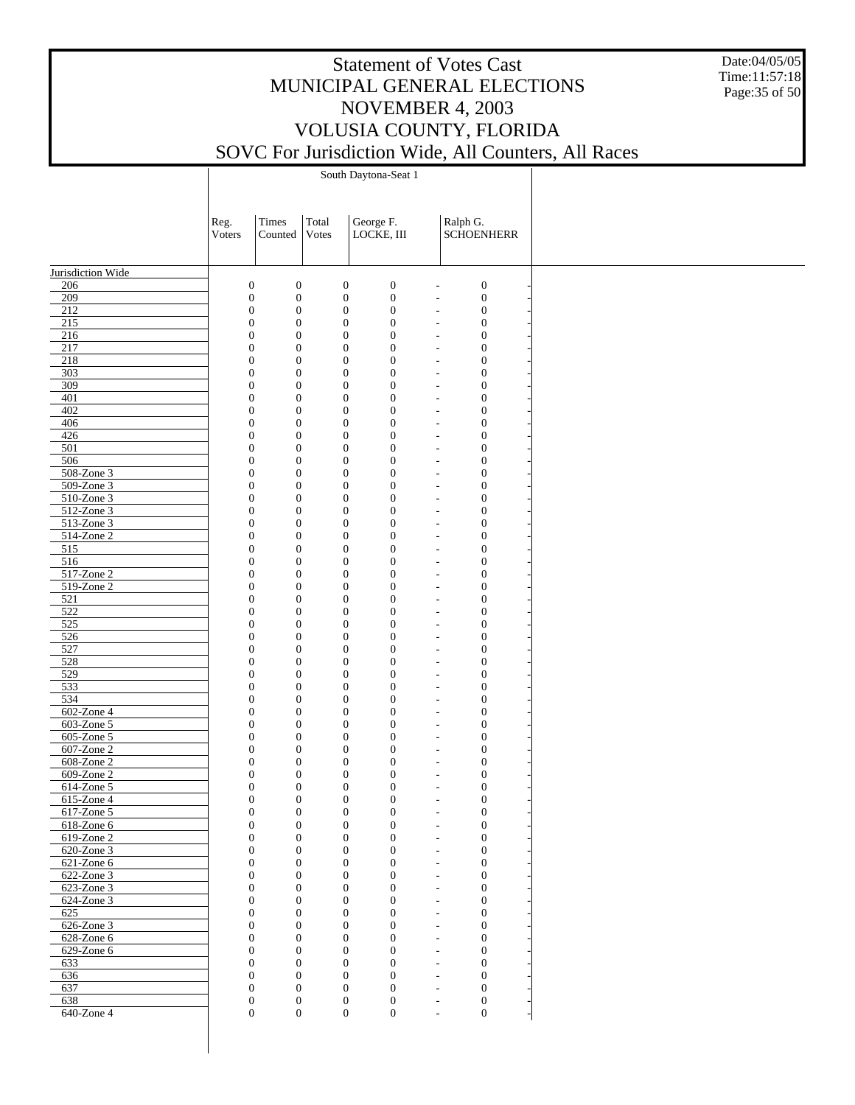Date:04/05/05 Time:11:57:18 Page:35 of 50

|                             | Reg.   | Times                                                                        | Total<br>Votes                       | George F.                            | Ralph G.                                                                                     |
|-----------------------------|--------|------------------------------------------------------------------------------|--------------------------------------|--------------------------------------|----------------------------------------------------------------------------------------------|
|                             | Voters | Counted                                                                      |                                      | LOCKE, III                           | <b>SCHOENHERR</b>                                                                            |
|                             |        |                                                                              |                                      |                                      |                                                                                              |
| Jurisdiction Wide<br>206    |        | $\boldsymbol{0}$<br>$\boldsymbol{0}$                                         | $\boldsymbol{0}$                     | $\boldsymbol{0}$                     | $\boldsymbol{0}$<br>$\overline{a}$                                                           |
| 209                         |        | $\boldsymbol{0}$<br>$\boldsymbol{0}$                                         | $\boldsymbol{0}$                     | $\boldsymbol{0}$                     | $\boldsymbol{0}$<br>$\overline{a}$                                                           |
| 212                         |        | $\boldsymbol{0}$<br>$\boldsymbol{0}$                                         | $\boldsymbol{0}$                     | $\boldsymbol{0}$                     | $\boldsymbol{0}$<br>$\overline{\phantom{a}}$                                                 |
| 215                         |        | $\boldsymbol{0}$<br>$\boldsymbol{0}$                                         | $\boldsymbol{0}$                     | $\boldsymbol{0}$                     | $\boldsymbol{0}$<br>$\overline{\phantom{a}}$                                                 |
| 216                         |        | $\boldsymbol{0}$<br>$\boldsymbol{0}$                                         | $\boldsymbol{0}$                     | $\boldsymbol{0}$                     | $\boldsymbol{0}$<br>$\overline{\phantom{a}}$                                                 |
| 217<br>218                  |        | $\boldsymbol{0}$<br>$\boldsymbol{0}$<br>$\boldsymbol{0}$<br>$\boldsymbol{0}$ | $\boldsymbol{0}$<br>$\boldsymbol{0}$ | $\boldsymbol{0}$<br>$\boldsymbol{0}$ | $\boldsymbol{0}$<br>$\overline{\phantom{a}}$<br>$\boldsymbol{0}$<br>$\overline{\phantom{a}}$ |
| 303                         |        | $\boldsymbol{0}$<br>$\boldsymbol{0}$                                         | $\boldsymbol{0}$                     | $\boldsymbol{0}$                     | $\boldsymbol{0}$<br>$\overline{\phantom{a}}$                                                 |
| 309                         |        | $\boldsymbol{0}$<br>$\boldsymbol{0}$                                         | $\boldsymbol{0}$                     | $\boldsymbol{0}$                     | $\boldsymbol{0}$<br>÷,                                                                       |
| 401                         |        | $\boldsymbol{0}$<br>$\boldsymbol{0}$                                         | $\boldsymbol{0}$                     | $\boldsymbol{0}$                     | $\boldsymbol{0}$<br>$\overline{\phantom{a}}$                                                 |
| 402                         |        | $\boldsymbol{0}$<br>$\boldsymbol{0}$                                         | $\boldsymbol{0}$                     | $\boldsymbol{0}$                     | $\boldsymbol{0}$<br>$\overline{\phantom{a}}$                                                 |
| 406<br>426                  |        | $\boldsymbol{0}$<br>$\boldsymbol{0}$<br>$\boldsymbol{0}$<br>$\boldsymbol{0}$ | $\boldsymbol{0}$<br>$\boldsymbol{0}$ | $\boldsymbol{0}$<br>$\boldsymbol{0}$ | $\boldsymbol{0}$<br>$\overline{\phantom{a}}$<br>$\boldsymbol{0}$<br>$\overline{\phantom{a}}$ |
| 501                         |        | $\boldsymbol{0}$<br>$\boldsymbol{0}$                                         | $\boldsymbol{0}$                     | $\boldsymbol{0}$                     | $\boldsymbol{0}$<br>$\overline{\phantom{a}}$                                                 |
| 506                         |        | $\boldsymbol{0}$<br>$\boldsymbol{0}$                                         | $\boldsymbol{0}$                     | $\boldsymbol{0}$                     | $\boldsymbol{0}$<br>$\overline{\phantom{a}}$                                                 |
| 508-Zone 3                  |        | $\boldsymbol{0}$<br>$\boldsymbol{0}$                                         | $\boldsymbol{0}$                     | $\boldsymbol{0}$                     | $\boldsymbol{0}$<br>$\overline{\phantom{a}}$                                                 |
| 509-Zone 3                  |        | $\boldsymbol{0}$<br>$\boldsymbol{0}$                                         | $\boldsymbol{0}$                     | $\boldsymbol{0}$                     | $\boldsymbol{0}$<br>$\overline{\phantom{a}}$                                                 |
| 510-Zone 3<br>$512$ -Zone 3 |        | $\boldsymbol{0}$<br>$\boldsymbol{0}$                                         | $\boldsymbol{0}$                     | $\boldsymbol{0}$                     | $\boldsymbol{0}$<br>$\overline{\phantom{a}}$                                                 |
| 513-Zone 3                  |        | $\boldsymbol{0}$<br>$\boldsymbol{0}$<br>$\boldsymbol{0}$<br>$\boldsymbol{0}$ | $\boldsymbol{0}$<br>$\boldsymbol{0}$ | $\boldsymbol{0}$<br>$\boldsymbol{0}$ | $\boldsymbol{0}$<br>$\overline{\phantom{a}}$<br>$\boldsymbol{0}$<br>$\overline{\phantom{a}}$ |
| 514-Zone 2                  |        | $\boldsymbol{0}$<br>$\boldsymbol{0}$                                         | $\boldsymbol{0}$                     | $\boldsymbol{0}$                     | $\boldsymbol{0}$<br>$\overline{\phantom{a}}$                                                 |
| 515                         |        | $\boldsymbol{0}$<br>$\boldsymbol{0}$                                         | $\boldsymbol{0}$                     | $\boldsymbol{0}$                     | $\boldsymbol{0}$<br>$\overline{\phantom{a}}$                                                 |
| 516                         |        | $\boldsymbol{0}$<br>$\boldsymbol{0}$                                         | $\boldsymbol{0}$                     | $\boldsymbol{0}$                     | $\boldsymbol{0}$<br>$\overline{\phantom{a}}$                                                 |
| 517-Zone 2                  |        | $\boldsymbol{0}$<br>$\boldsymbol{0}$                                         | $\boldsymbol{0}$                     | $\boldsymbol{0}$                     | $\boldsymbol{0}$<br>$\overline{\phantom{a}}$                                                 |
| 519-Zone 2                  |        | $\boldsymbol{0}$<br>$\boldsymbol{0}$                                         | $\boldsymbol{0}$                     | $\boldsymbol{0}$                     | $\boldsymbol{0}$<br>$\overline{\phantom{a}}$                                                 |
| 521<br>$\overline{522}$     |        | $\boldsymbol{0}$<br>$\boldsymbol{0}$<br>$\boldsymbol{0}$<br>$\boldsymbol{0}$ | $\boldsymbol{0}$<br>$\boldsymbol{0}$ | $\boldsymbol{0}$<br>$\boldsymbol{0}$ | $\boldsymbol{0}$<br>$\overline{\phantom{a}}$<br>$\boldsymbol{0}$<br>$\overline{\phantom{a}}$ |
| 525                         |        | $\boldsymbol{0}$<br>$\boldsymbol{0}$                                         | $\boldsymbol{0}$                     | $\boldsymbol{0}$                     | $\boldsymbol{0}$<br>$\overline{\phantom{a}}$                                                 |
| 526                         |        | $\boldsymbol{0}$<br>$\boldsymbol{0}$                                         | $\boldsymbol{0}$                     | $\boldsymbol{0}$                     | $\boldsymbol{0}$<br>÷,                                                                       |
| 527                         |        | $\boldsymbol{0}$<br>$\boldsymbol{0}$                                         | $\boldsymbol{0}$                     | $\boldsymbol{0}$                     | $\boldsymbol{0}$<br>$\overline{\phantom{a}}$                                                 |
| 528                         |        | $\boldsymbol{0}$<br>$\boldsymbol{0}$                                         | $\boldsymbol{0}$                     | $\boldsymbol{0}$                     | $\boldsymbol{0}$<br>$\overline{\phantom{a}}$                                                 |
| 529                         |        | $\boldsymbol{0}$<br>$\boldsymbol{0}$                                         | $\boldsymbol{0}$                     | $\boldsymbol{0}$                     | $\boldsymbol{0}$<br>$\overline{\phantom{a}}$                                                 |
| 533<br>534                  |        | $\boldsymbol{0}$<br>$\boldsymbol{0}$<br>$\boldsymbol{0}$<br>$\boldsymbol{0}$ | $\boldsymbol{0}$<br>$\boldsymbol{0}$ | $\boldsymbol{0}$<br>$\boldsymbol{0}$ | $\boldsymbol{0}$<br>$\overline{\phantom{a}}$<br>$\boldsymbol{0}$<br>$\overline{\phantom{a}}$ |
| 602-Zone 4                  |        | $\boldsymbol{0}$<br>$\boldsymbol{0}$                                         | $\boldsymbol{0}$                     | $\boldsymbol{0}$                     | $\boldsymbol{0}$<br>$\overline{\phantom{a}}$                                                 |
| 603-Zone 5                  |        | $\boldsymbol{0}$<br>$\boldsymbol{0}$                                         | $\boldsymbol{0}$                     | $\boldsymbol{0}$                     | $\boldsymbol{0}$<br>$\overline{\phantom{a}}$                                                 |
| 605-Zone 5                  |        | $\boldsymbol{0}$<br>$\boldsymbol{0}$                                         | $\boldsymbol{0}$                     | $\boldsymbol{0}$                     | $\boldsymbol{0}$<br>$\overline{\phantom{a}}$                                                 |
| 607-Zone 2                  |        | $\boldsymbol{0}$<br>$\boldsymbol{0}$                                         | $\boldsymbol{0}$                     | $\boldsymbol{0}$                     | $\boldsymbol{0}$<br>$\overline{\phantom{a}}$                                                 |
| 608-Zone 2                  |        | $\boldsymbol{0}$<br>$\boldsymbol{0}$                                         | $\boldsymbol{0}$                     | $\boldsymbol{0}$                     | $\boldsymbol{0}$<br>$\overline{\phantom{a}}$                                                 |
| 609-Zone 2<br>614-Zone 5    |        | $\boldsymbol{0}$<br>$\boldsymbol{0}$<br>$\boldsymbol{0}$<br>$\boldsymbol{0}$ | $\boldsymbol{0}$<br>$\boldsymbol{0}$ | $\boldsymbol{0}$<br>$\boldsymbol{0}$ | $\boldsymbol{0}$<br>$\overline{\phantom{a}}$<br>$\boldsymbol{0}$<br>$\overline{\phantom{a}}$ |
| 615-Zone 4                  |        | $\boldsymbol{0}$<br>$\boldsymbol{0}$                                         | $\boldsymbol{0}$                     | $\boldsymbol{0}$                     | $\boldsymbol{0}$<br>$\overline{\phantom{a}}$                                                 |
| 617-Zone 5                  |        | $\mathbf{0}$<br>$\boldsymbol{0}$                                             | $\boldsymbol{0}$                     | $\boldsymbol{0}$                     | $\boldsymbol{0}$<br>$\overline{\phantom{a}}$                                                 |
| 618-Zone 6                  |        | $\boldsymbol{0}$<br>$\mathbf{0}$                                             | $\boldsymbol{0}$                     | $\boldsymbol{0}$                     | $\boldsymbol{0}$<br>$\overline{\phantom{a}}$                                                 |
| 619-Zone 2                  |        | $\boldsymbol{0}$<br>$\boldsymbol{0}$                                         | $\boldsymbol{0}$                     | $\boldsymbol{0}$                     | $\boldsymbol{0}$<br>$\overline{a}$                                                           |
| 620-Zone 3                  |        | $\mathbf{0}$<br>$\theta$                                                     | $\boldsymbol{0}$                     | $\mathbf{0}$                         | $\mathbf{0}$<br>$\overline{\phantom{a}}$                                                     |
| 621-Zone 6<br>622-Zone 3    |        | $\mathbf{0}$<br>$\boldsymbol{0}$<br>$\mathbf{0}$<br>$\theta$                 | $\boldsymbol{0}$<br>$\mathbf{0}$     | $\boldsymbol{0}$<br>$\mathbf{0}$     | $\boldsymbol{0}$<br>$\overline{\phantom{a}}$<br>$\mathbf{0}$<br>$\overline{\phantom{a}}$     |
| $623$ -Zone 3               |        | $\theta$<br>$\mathbf{0}$                                                     | $\boldsymbol{0}$                     | $\overline{0}$                       | $\boldsymbol{0}$<br>$\sim$                                                                   |
| 624-Zone 3                  |        | $\mathbf{0}$<br>$\theta$                                                     | $\mathbf{0}$                         | $\mathbf{0}$                         | $\mathbf{0}$<br>$\overline{\phantom{a}}$                                                     |
| 625                         |        | $\boldsymbol{0}$<br>$\mathbf{0}$                                             | $\boldsymbol{0}$                     | $\overline{0}$                       | $\boldsymbol{0}$<br>$\overline{a}$                                                           |
| 626-Zone 3                  |        | $\mathbf{0}$<br>$\mathbf{0}$                                                 | $\mathbf{0}$                         | $\mathbf{0}$                         | $\mathbf{0}$<br>$\overline{\phantom{a}}$                                                     |
| 628-Zone 6                  |        | $\theta$<br>$\mathbf{0}$                                                     | $\boldsymbol{0}$                     | $\overline{0}$                       | $\boldsymbol{0}$<br>$\overline{a}$                                                           |
| 629-Zone 6<br>633           |        | $\mathbf{0}$<br>$\theta$<br>$\mathbf{0}$<br>$\mathbf{0}$                     | $\mathbf{0}$<br>$\boldsymbol{0}$     | $\mathbf{0}$<br>$\overline{0}$       | $\overline{0}$<br>$\overline{\phantom{a}}$<br>$\boldsymbol{0}$<br>$\overline{a}$             |
| 636                         |        | $\mathbf{0}$<br>$\mathbf{0}$                                                 | $\mathbf{0}$                         | $\mathbf{0}$                         | $\overline{0}$<br>$\overline{\phantom{a}}$                                                   |
| 637                         |        | $\mathbf{0}$<br>$\mathbf{0}$                                                 | $\mathbf{0}$                         | $\overline{0}$                       | $\mathbf{0}$<br>$\overline{\phantom{a}}$                                                     |
| 638                         |        | $\boldsymbol{0}$<br>$\mathbf{0}$                                             | $\mathbf{0}$                         | $\boldsymbol{0}$                     | $\boldsymbol{0}$<br>$\overline{\phantom{a}}$                                                 |
| 640-Zone 4                  |        | $\overline{0}$<br>$\overline{0}$                                             | $\overline{0}$                       | $\overline{0}$                       | $\overline{0}$<br>$\overline{a}$                                                             |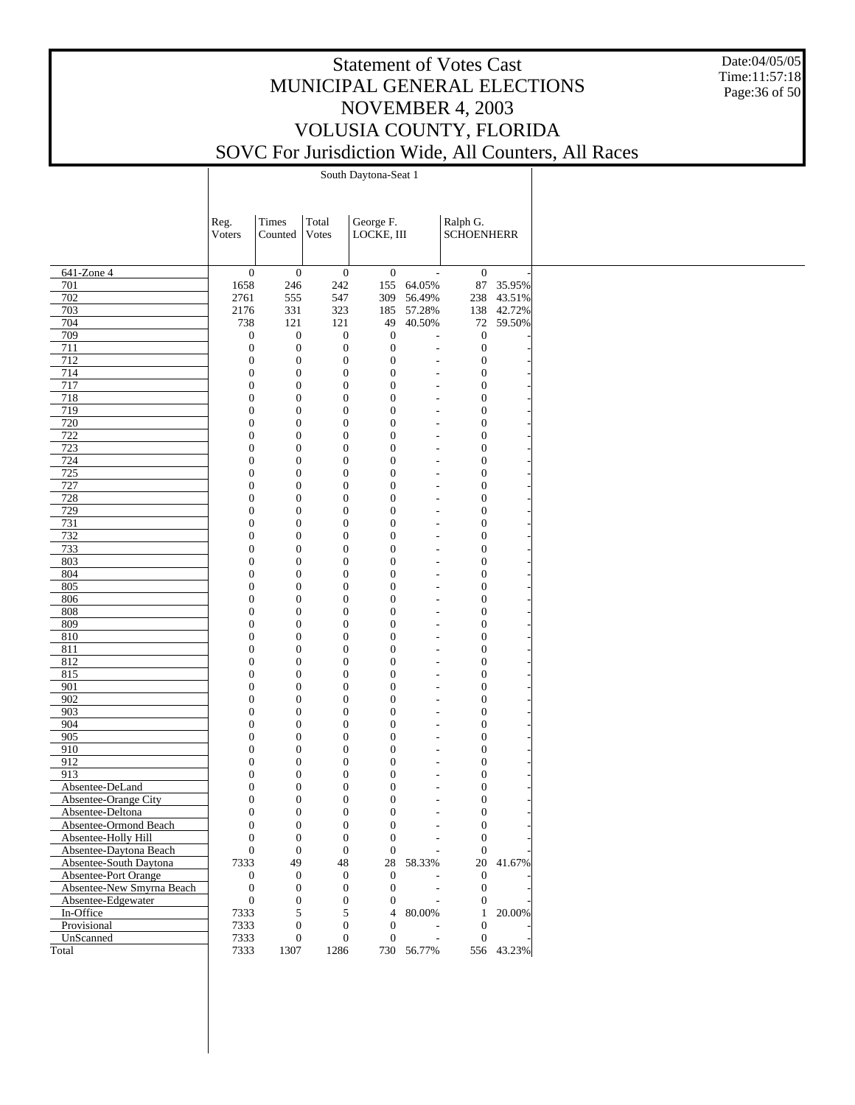Date:04/05/05 Time:11:57:18 Page:36 of 50

|                                              | Reg.                             | Times                                | Total                                | George F.                        |                                        | Ralph G.                             |            |
|----------------------------------------------|----------------------------------|--------------------------------------|--------------------------------------|----------------------------------|----------------------------------------|--------------------------------------|------------|
|                                              | Voters                           | Counted                              | Votes                                | LOCKE, III                       |                                        | <b>SCHOENHERR</b>                    |            |
|                                              |                                  |                                      |                                      |                                  |                                        |                                      |            |
|                                              |                                  |                                      |                                      |                                  |                                        |                                      |            |
| 641-Zone 4                                   | $\boldsymbol{0}$                 | $\boldsymbol{0}$                     | $\boldsymbol{0}$                     | $\mathbf{0}$                     | $\overline{\phantom{a}}$               | $\mathbf{0}$                         |            |
| 701                                          | 1658                             | 246                                  | 242                                  | 155                              | 64.05%                                 |                                      | 87 35.95%  |
| 702                                          | 2761                             | 555                                  | 547                                  | 309                              | 56.49%                                 |                                      | 238 43.51% |
| 703                                          | 2176                             | 331                                  | 323                                  | 185                              | 57.28%                                 |                                      | 138 42.72% |
| 704                                          | 738                              | 121                                  | 121                                  | 49                               | 40.50%                                 |                                      | 72 59.50%  |
| 709                                          | $\boldsymbol{0}$                 | $\boldsymbol{0}$                     | $\boldsymbol{0}$<br>$\boldsymbol{0}$ | $\boldsymbol{0}$<br>$\mathbf{0}$ | Ĭ.                                     | $\mathbf{0}$                         |            |
| 711<br>712                                   | $\boldsymbol{0}$<br>$\mathbf{0}$ | $\boldsymbol{0}$                     | $\boldsymbol{0}$                     | $\mathbf{0}$                     | $\overline{a}$                         | $\boldsymbol{0}$                     |            |
|                                              | $\mathbf{0}$                     | $\boldsymbol{0}$<br>$\boldsymbol{0}$ | $\boldsymbol{0}$                     | $\mathbf{0}$                     |                                        | $\boldsymbol{0}$<br>$\boldsymbol{0}$ |            |
| 714<br>717                                   | $\mathbf{0}$                     | $\boldsymbol{0}$                     | $\boldsymbol{0}$                     | $\boldsymbol{0}$                 |                                        | $\boldsymbol{0}$                     |            |
|                                              | $\mathbf{0}$                     | $\boldsymbol{0}$                     | $\boldsymbol{0}$                     | $\mathbf{0}$                     | $\overline{a}$                         | $\boldsymbol{0}$                     |            |
| 718<br>719                                   | $\mathbf{0}$                     | $\boldsymbol{0}$                     | $\boldsymbol{0}$                     | $\boldsymbol{0}$                 |                                        | $\boldsymbol{0}$                     |            |
| 720                                          | $\mathbf{0}$                     |                                      | $\boldsymbol{0}$                     | $\boldsymbol{0}$                 | $\overline{a}$                         |                                      |            |
| 722                                          | $\mathbf{0}$                     | $\boldsymbol{0}$<br>$\boldsymbol{0}$ | $\boldsymbol{0}$                     | $\boldsymbol{0}$                 | $\overline{a}$                         | $\boldsymbol{0}$<br>$\boldsymbol{0}$ |            |
| 723                                          | $\mathbf{0}$                     | $\boldsymbol{0}$                     | $\boldsymbol{0}$                     | $\boldsymbol{0}$                 |                                        | $\boldsymbol{0}$                     |            |
| 724                                          | $\mathbf{0}$                     | $\boldsymbol{0}$                     | $\boldsymbol{0}$                     | $\boldsymbol{0}$                 |                                        | $\boldsymbol{0}$                     |            |
| 725                                          | $\mathbf{0}$                     | $\boldsymbol{0}$                     | $\boldsymbol{0}$                     | $\boldsymbol{0}$                 |                                        | $\boldsymbol{0}$                     |            |
| 727                                          | $\mathbf{0}$                     | $\boldsymbol{0}$                     | $\boldsymbol{0}$                     | $\boldsymbol{0}$                 | ÷,                                     | $\boldsymbol{0}$                     |            |
| 728                                          | $\mathbf{0}$                     | $\boldsymbol{0}$                     | $\boldsymbol{0}$                     | $\boldsymbol{0}$                 | ÷,                                     | $\boldsymbol{0}$                     |            |
| 729                                          | $\mathbf{0}$                     | $\boldsymbol{0}$                     | $\boldsymbol{0}$                     | $\boldsymbol{0}$                 |                                        | $\boldsymbol{0}$                     |            |
| 731                                          | $\mathbf{0}$                     | $\boldsymbol{0}$                     | $\mathbf{0}$                         | $\boldsymbol{0}$                 |                                        | $\boldsymbol{0}$                     |            |
| 732                                          | $\mathbf{0}$                     | $\boldsymbol{0}$                     | $\boldsymbol{0}$                     | $\boldsymbol{0}$                 |                                        | $\boldsymbol{0}$                     |            |
| 733                                          | $\mathbf{0}$                     | $\boldsymbol{0}$                     | $\boldsymbol{0}$                     | $\boldsymbol{0}$                 |                                        | $\boldsymbol{0}$                     |            |
| 803                                          | $\mathbf{0}$                     | $\boldsymbol{0}$                     | $\boldsymbol{0}$                     | $\boldsymbol{0}$                 |                                        | $\boldsymbol{0}$                     |            |
| 804                                          | $\mathbf{0}$                     | $\boldsymbol{0}$                     | $\mathbf{0}$                         | $\boldsymbol{0}$                 |                                        | $\boldsymbol{0}$                     |            |
| 805                                          | $\mathbf{0}$                     | $\boldsymbol{0}$                     | $\boldsymbol{0}$                     | $\boldsymbol{0}$                 |                                        | $\boldsymbol{0}$                     |            |
| 806                                          | $\mathbf{0}$                     |                                      | $\boldsymbol{0}$                     | $\mathbf{0}$                     |                                        |                                      |            |
| 808                                          | $\mathbf{0}$                     | $\boldsymbol{0}$<br>$\boldsymbol{0}$ | $\boldsymbol{0}$                     | $\boldsymbol{0}$                 |                                        | $\boldsymbol{0}$<br>$\boldsymbol{0}$ |            |
| 809                                          | $\mathbf{0}$                     | $\boldsymbol{0}$                     | $\boldsymbol{0}$                     | $\boldsymbol{0}$                 |                                        | $\boldsymbol{0}$                     |            |
| 810                                          | $\mathbf{0}$                     | $\boldsymbol{0}$                     | $\boldsymbol{0}$                     | $\boldsymbol{0}$                 |                                        | $\boldsymbol{0}$                     |            |
| 811                                          | $\mathbf{0}$                     | $\boldsymbol{0}$                     | $\boldsymbol{0}$                     | $\boldsymbol{0}$                 |                                        | $\boldsymbol{0}$                     |            |
| 812                                          | $\mathbf{0}$                     | $\boldsymbol{0}$                     | $\boldsymbol{0}$                     | $\boldsymbol{0}$                 |                                        | $\boldsymbol{0}$                     |            |
| 815                                          | $\mathbf{0}$                     | $\boldsymbol{0}$                     | $\boldsymbol{0}$                     | $\boldsymbol{0}$                 |                                        | $\boldsymbol{0}$                     |            |
| 901                                          | $\mathbf{0}$                     | $\boldsymbol{0}$                     | $\boldsymbol{0}$                     | $\boldsymbol{0}$                 | $\overline{a}$                         | $\boldsymbol{0}$                     |            |
| 902                                          | $\mathbf{0}$                     | $\boldsymbol{0}$                     | $\boldsymbol{0}$                     | $\boldsymbol{0}$                 | ÷,                                     | $\boldsymbol{0}$                     |            |
| 903                                          | $\mathbf{0}$                     | $\boldsymbol{0}$                     | $\boldsymbol{0}$                     | $\boldsymbol{0}$                 |                                        | $\boldsymbol{0}$                     |            |
| 904                                          | $\mathbf{0}$                     | $\boldsymbol{0}$                     | $\boldsymbol{0}$                     | $\boldsymbol{0}$                 |                                        | $\boldsymbol{0}$                     |            |
| 905                                          | $\mathbf{0}$                     | $\boldsymbol{0}$                     | $\boldsymbol{0}$                     | $\boldsymbol{0}$                 |                                        | $\boldsymbol{0}$                     |            |
| 910                                          | $\mathbf{0}$                     | $\boldsymbol{0}$                     | $\mathbf{0}$                         | $\mathbf{0}$                     |                                        | $\boldsymbol{0}$                     |            |
| 912                                          | $\mathbf{0}$                     | $\boldsymbol{0}$                     | $\boldsymbol{0}$                     | $\boldsymbol{0}$                 |                                        | $\boldsymbol{0}$                     |            |
| 913                                          | $\mathbf{0}$                     | $\boldsymbol{0}$                     | $\mathbf{0}$                         | $\boldsymbol{0}$                 |                                        | $\boldsymbol{0}$                     |            |
| Absentee-DeLand                              | $\mathbf{0}$                     | $\boldsymbol{0}$                     | $\boldsymbol{0}$                     | $\boldsymbol{0}$                 |                                        | $\boldsymbol{0}$                     |            |
| Absentee-Orange City                         | $\mathbf{0}$                     | $\boldsymbol{0}$                     | $\boldsymbol{0}$                     | $\mathbf{0}$                     |                                        | $\boldsymbol{0}$                     |            |
| Absentee-Deltona                             | $\overline{0}$                   | $\boldsymbol{0}$                     | $\mathbf{0}$                         | $\boldsymbol{0}$                 | $\overline{a}$                         | $\boldsymbol{0}$                     |            |
|                                              | $\mathbf{0}$                     | $\boldsymbol{0}$                     | $\boldsymbol{0}$                     | $\boldsymbol{0}$                 |                                        | $\boldsymbol{0}$                     |            |
| Absentee-Ormond Beach<br>Absentee-Holly Hill | $\mathbf{0}$                     | $\boldsymbol{0}$                     | $\boldsymbol{0}$                     | $\boldsymbol{0}$                 |                                        | $\mathbf{0}$                         |            |
| Absentee-Daytona Beach                       | $\boldsymbol{0}$                 | $\boldsymbol{0}$                     | $\mathbf{0}$                         | $\boldsymbol{0}$                 |                                        | $\boldsymbol{0}$                     |            |
| Absentee-South Daytona                       | 7333                             | 49                                   | 48                                   |                                  | 28 58.33%                              |                                      | 20 41.67%  |
| Absentee-Port Orange                         | $\boldsymbol{0}$                 | $\boldsymbol{0}$                     | $\mathbf{0}$                         | $\mathbf{0}$                     |                                        | $\overline{0}$                       |            |
| Absentee-New Smyrna Beach                    | $\boldsymbol{0}$                 | $\mathbf{0}$                         | $\boldsymbol{0}$                     | $\theta$                         |                                        | $\mathbf{0}$                         |            |
| Absentee-Edgewater                           | $\boldsymbol{0}$                 | $\boldsymbol{0}$                     | $\mathbf{0}$                         | $\boldsymbol{0}$                 |                                        | $\mathbf{0}$                         |            |
|                                              |                                  | 5                                    | 5                                    | 4                                | 80.00%                                 | $\mathbf{1}$                         | 20.00%     |
| In-Office                                    | 7333<br>7333                     | $\boldsymbol{0}$                     | $\mathbf{0}$                         | $\theta$                         |                                        | $\boldsymbol{0}$                     |            |
| Provisional<br>UnScanned                     |                                  |                                      | $\mathbf{0}$                         |                                  |                                        |                                      |            |
|                                              | 7333                             | $\boldsymbol{0}$                     |                                      | $\mathbf{0}$                     | $\overline{\phantom{a}}$<br>730 56.77% | $\overline{0}$                       |            |
| Total                                        | 7333                             | 1307                                 | 1286                                 |                                  |                                        |                                      | 556 43.23% |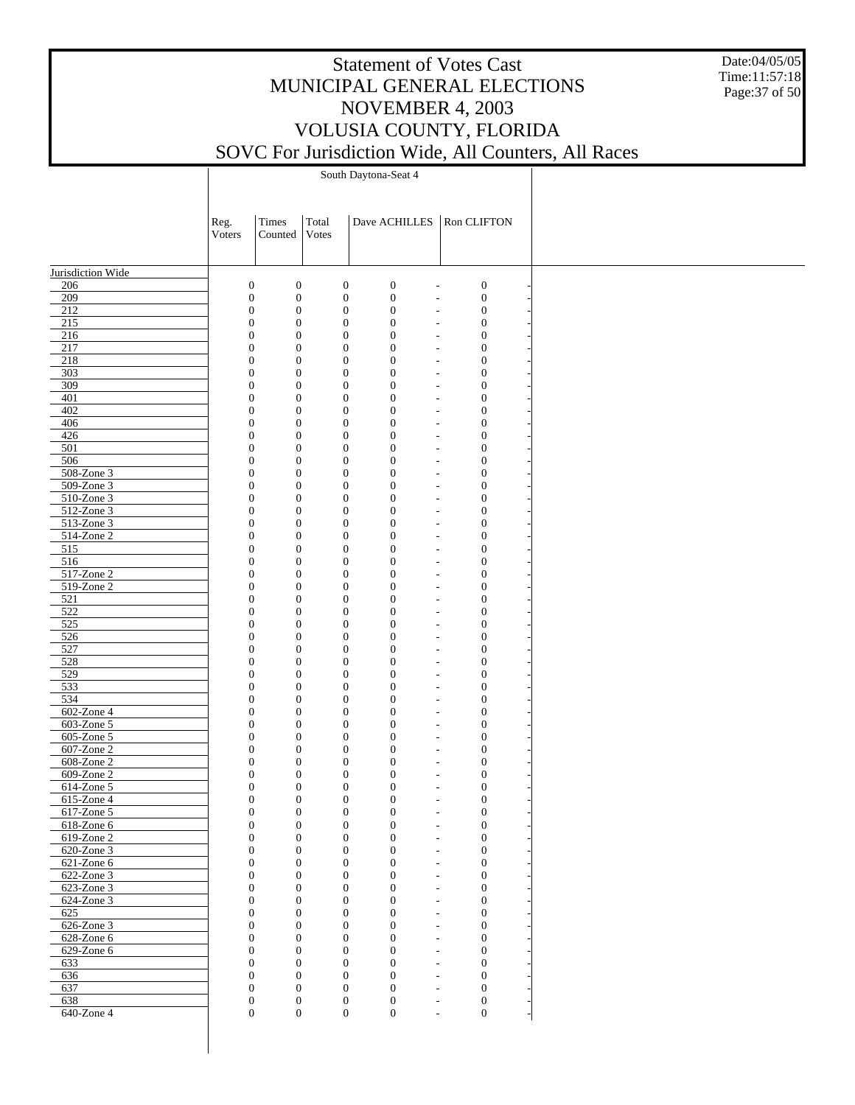Date:04/05/05 Time:11:57:18 Page:37 of 50

|                          | Reg.<br>Voters                       | Times<br>Counted                     | Total<br>Votes                       | Dave ACHILLES   Ron CLIFTON                                              |                                      |  |
|--------------------------|--------------------------------------|--------------------------------------|--------------------------------------|--------------------------------------------------------------------------|--------------------------------------|--|
| Jurisdiction Wide        |                                      |                                      |                                      |                                                                          |                                      |  |
| 206                      | $\boldsymbol{0}$                     | $\boldsymbol{0}$                     | $\boldsymbol{0}$                     | $\boldsymbol{0}$<br>$\overline{a}$                                       | $\boldsymbol{0}$                     |  |
| 209                      | $\boldsymbol{0}$                     | $\boldsymbol{0}$                     | $\boldsymbol{0}$                     | $\boldsymbol{0}$<br>$\overline{a}$                                       | $\boldsymbol{0}$                     |  |
| 212                      | $\boldsymbol{0}$                     | $\boldsymbol{0}$                     | $\boldsymbol{0}$                     | $\boldsymbol{0}$<br>L,                                                   | $\boldsymbol{0}$                     |  |
| 215<br>216               | $\boldsymbol{0}$<br>$\boldsymbol{0}$ | $\boldsymbol{0}$<br>$\boldsymbol{0}$ | $\boldsymbol{0}$<br>$\mathbf{0}$     | $\boldsymbol{0}$<br>$\overline{a}$<br>$\boldsymbol{0}$<br>$\overline{a}$ | $\boldsymbol{0}$<br>$\boldsymbol{0}$ |  |
| 217                      | $\boldsymbol{0}$                     | $\boldsymbol{0}$                     | $\boldsymbol{0}$                     | $\boldsymbol{0}$<br>$\overline{a}$                                       | $\boldsymbol{0}$                     |  |
| $\frac{218}{ }$          | $\boldsymbol{0}$                     | $\boldsymbol{0}$                     | $\mathbf{0}$                         | $\boldsymbol{0}$<br>$\overline{a}$                                       | $\boldsymbol{0}$                     |  |
| 303                      | $\boldsymbol{0}$                     | $\boldsymbol{0}$                     | $\boldsymbol{0}$                     | $\boldsymbol{0}$<br>$\overline{a}$                                       | $\boldsymbol{0}$                     |  |
| 309                      | $\boldsymbol{0}$                     | $\boldsymbol{0}$                     | $\mathbf{0}$                         | $\boldsymbol{0}$<br>$\overline{a}$                                       | $\boldsymbol{0}$                     |  |
| 401                      | $\boldsymbol{0}$                     | $\boldsymbol{0}$                     | $\boldsymbol{0}$                     | $\boldsymbol{0}$<br>$\overline{a}$                                       | $\boldsymbol{0}$                     |  |
| 402                      | $\boldsymbol{0}$                     | $\boldsymbol{0}$                     | $\mathbf{0}$                         | $\boldsymbol{0}$<br>$\overline{a}$                                       | $\boldsymbol{0}$                     |  |
| 406<br>426               | $\boldsymbol{0}$<br>$\boldsymbol{0}$ | $\boldsymbol{0}$<br>$\boldsymbol{0}$ | $\boldsymbol{0}$<br>$\mathbf{0}$     | $\boldsymbol{0}$<br>$\overline{a}$<br>$\boldsymbol{0}$<br>$\overline{a}$ | $\boldsymbol{0}$<br>$\boldsymbol{0}$ |  |
| 501                      | $\boldsymbol{0}$                     | $\boldsymbol{0}$                     | $\boldsymbol{0}$                     | $\boldsymbol{0}$<br>$\overline{a}$                                       | $\boldsymbol{0}$                     |  |
| 506                      | $\boldsymbol{0}$                     | $\boldsymbol{0}$                     | $\mathbf{0}$                         | $\boldsymbol{0}$<br>$\overline{a}$                                       | $\boldsymbol{0}$                     |  |
| 508-Zone 3               | $\boldsymbol{0}$                     | $\boldsymbol{0}$                     | $\boldsymbol{0}$                     | $\boldsymbol{0}$<br>$\overline{a}$                                       | $\boldsymbol{0}$                     |  |
| 509-Zone 3               | $\boldsymbol{0}$                     | $\boldsymbol{0}$                     | $\mathbf{0}$                         | $\boldsymbol{0}$<br>$\overline{a}$                                       | $\boldsymbol{0}$                     |  |
| 510-Zone 3               | $\boldsymbol{0}$                     | $\boldsymbol{0}$                     | $\boldsymbol{0}$                     | $\boldsymbol{0}$<br>$\overline{a}$                                       | $\boldsymbol{0}$                     |  |
| 512-Zone 3<br>513-Zone 3 | $\boldsymbol{0}$<br>$\boldsymbol{0}$ | $\boldsymbol{0}$<br>$\boldsymbol{0}$ | $\mathbf{0}$<br>$\boldsymbol{0}$     | $\boldsymbol{0}$<br>$\overline{a}$<br>$\boldsymbol{0}$                   | $\boldsymbol{0}$<br>$\boldsymbol{0}$ |  |
| 514-Zone 2               | $\boldsymbol{0}$                     | $\boldsymbol{0}$                     | $\mathbf{0}$                         | $\overline{a}$<br>$\boldsymbol{0}$<br>$\overline{a}$                     | $\boldsymbol{0}$                     |  |
| 515                      | $\boldsymbol{0}$                     | $\boldsymbol{0}$                     | $\boldsymbol{0}$                     | $\boldsymbol{0}$<br>$\overline{a}$                                       | $\boldsymbol{0}$                     |  |
| 516                      | $\boldsymbol{0}$                     | $\boldsymbol{0}$                     | $\mathbf{0}$                         | $\boldsymbol{0}$<br>$\overline{a}$                                       | $\boldsymbol{0}$                     |  |
| 517-Zone 2               | $\boldsymbol{0}$                     | $\boldsymbol{0}$                     | $\boldsymbol{0}$                     | $\boldsymbol{0}$<br>$\overline{a}$                                       | $\boldsymbol{0}$                     |  |
| 519-Zone 2               | $\boldsymbol{0}$                     | $\boldsymbol{0}$                     | $\mathbf{0}$                         | $\boldsymbol{0}$<br>$\overline{a}$                                       | $\boldsymbol{0}$                     |  |
| 521                      | $\boldsymbol{0}$                     | $\boldsymbol{0}$                     | $\boldsymbol{0}$                     | $\boldsymbol{0}$<br>$\overline{a}$                                       | $\boldsymbol{0}$                     |  |
| 522<br>525               | $\boldsymbol{0}$<br>$\boldsymbol{0}$ | $\boldsymbol{0}$<br>$\boldsymbol{0}$ | $\mathbf{0}$<br>$\boldsymbol{0}$     | $\boldsymbol{0}$<br>$\overline{a}$<br>$\boldsymbol{0}$<br>$\overline{a}$ | $\boldsymbol{0}$<br>$\boldsymbol{0}$ |  |
| 526                      | $\boldsymbol{0}$                     | $\boldsymbol{0}$                     | $\mathbf{0}$                         | $\boldsymbol{0}$<br>$\overline{a}$                                       | $\boldsymbol{0}$                     |  |
| 527                      | $\boldsymbol{0}$                     | $\boldsymbol{0}$                     | $\boldsymbol{0}$                     | $\boldsymbol{0}$<br>$\overline{a}$                                       | $\boldsymbol{0}$                     |  |
| 528                      | $\boldsymbol{0}$                     | $\boldsymbol{0}$                     | $\mathbf{0}$                         | $\boldsymbol{0}$<br>$\overline{a}$                                       | $\boldsymbol{0}$                     |  |
| 529                      | $\boldsymbol{0}$                     | $\boldsymbol{0}$                     | $\boldsymbol{0}$                     | $\boldsymbol{0}$<br>$\overline{a}$                                       | $\boldsymbol{0}$                     |  |
| 533                      | $\boldsymbol{0}$                     | $\boldsymbol{0}$                     | $\mathbf{0}$                         | $\boldsymbol{0}$<br>$\overline{a}$                                       | $\boldsymbol{0}$                     |  |
| 534                      | $\boldsymbol{0}$                     | $\boldsymbol{0}$                     | $\boldsymbol{0}$                     | $\boldsymbol{0}$<br>$\overline{a}$                                       | $\boldsymbol{0}$                     |  |
| 602-Zone 4<br>603-Zone 5 | $\boldsymbol{0}$<br>$\boldsymbol{0}$ | $\boldsymbol{0}$<br>$\boldsymbol{0}$ | $\mathbf{0}$<br>$\boldsymbol{0}$     | $\boldsymbol{0}$<br>$\overline{a}$<br>$\boldsymbol{0}$<br>L,             | $\boldsymbol{0}$<br>$\boldsymbol{0}$ |  |
| 605-Zone 5               | $\boldsymbol{0}$                     | $\boldsymbol{0}$                     | $\mathbf{0}$                         | $\boldsymbol{0}$<br>$\overline{a}$                                       | $\boldsymbol{0}$                     |  |
| 607-Zone 2               | $\boldsymbol{0}$                     | $\boldsymbol{0}$                     | $\boldsymbol{0}$                     | $\boldsymbol{0}$<br>L,                                                   | $\boldsymbol{0}$                     |  |
| 608-Zone 2               | $\boldsymbol{0}$                     | $\boldsymbol{0}$                     | $\boldsymbol{0}$                     | $\boldsymbol{0}$<br>$\overline{a}$                                       | $\boldsymbol{0}$                     |  |
| 609-Zone 2               | $\boldsymbol{0}$                     | $\mathbf{0}$                         | $\boldsymbol{0}$                     | $\boldsymbol{0}$<br>$\overline{a}$                                       | $\boldsymbol{0}$                     |  |
| 614-Zone 5               | $\boldsymbol{0}$                     | $\boldsymbol{0}$                     | $\boldsymbol{0}$                     | $\boldsymbol{0}$                                                         | $\boldsymbol{0}$                     |  |
| 615-Zone 4<br>617-Zone 5 | $\boldsymbol{0}$<br>$\boldsymbol{0}$ | $\boldsymbol{0}$<br>$\boldsymbol{0}$ | $\boldsymbol{0}$<br>$\boldsymbol{0}$ | $\boldsymbol{0}$<br>$\overline{a}$<br>$\boldsymbol{0}$<br>L              | $\boldsymbol{0}$<br>$\boldsymbol{0}$ |  |
| 618-Zone 6               | $\Omega$                             | $\overline{0}$                       | $\theta$                             | $\theta$                                                                 | $\overline{0}$                       |  |
| $619$ -Zone 2            | $\boldsymbol{0}$                     | $\boldsymbol{0}$                     | $\mathbf{0}$                         | $\boldsymbol{0}$                                                         | $\boldsymbol{0}$                     |  |
| 620-Zone 3               | $\boldsymbol{0}$                     | $\boldsymbol{0}$                     | $\mathbf{0}$                         | $\boldsymbol{0}$<br>$\overline{a}$                                       | $\boldsymbol{0}$                     |  |
| $621$ -Zone $6$          | $\boldsymbol{0}$                     | $\mathbf{0}$                         | $\mathbf{0}$                         | $\boldsymbol{0}$<br>$\overline{a}$                                       | $\boldsymbol{0}$                     |  |
| 622-Zone 3               | $\boldsymbol{0}$                     | $\mathbf{0}$                         | $\mathbf{0}$                         | $\boldsymbol{0}$<br>L,                                                   | $\boldsymbol{0}$                     |  |
| 623-Zone 3               | $\boldsymbol{0}$                     | $\mathbf{0}$                         | $\boldsymbol{0}$                     | $\boldsymbol{0}$<br>$\overline{a}$                                       | $\boldsymbol{0}$                     |  |
| 624-Zone 3<br>625        | $\boldsymbol{0}$<br>$\boldsymbol{0}$ | $\mathbf{0}$<br>$\mathbf{0}$         | $\mathbf{0}$<br>$\mathbf{0}$         | $\boldsymbol{0}$<br>$\overline{a}$<br>$\boldsymbol{0}$<br>$\overline{a}$ | $\boldsymbol{0}$<br>$\boldsymbol{0}$ |  |
| 626-Zone 3               | $\mathbf{0}$                         | $\mathbf{0}$                         | $\mathbf{0}$                         | $\boldsymbol{0}$<br>L,                                                   | $\boldsymbol{0}$                     |  |
| 628-Zone 6               | $\boldsymbol{0}$                     | $\mathbf{0}$                         | $\mathbf{0}$                         | $\boldsymbol{0}$<br>$\overline{a}$                                       | $\boldsymbol{0}$                     |  |
| 629-Zone 6               | $\boldsymbol{0}$                     | $\mathbf{0}$                         | $\mathbf{0}$                         | $\boldsymbol{0}$<br>$\overline{a}$                                       | $\boldsymbol{0}$                     |  |
| 633                      | $\boldsymbol{0}$                     | $\mathbf{0}$                         | $\theta$                             | $\boldsymbol{0}$<br>$\overline{a}$                                       | $\boldsymbol{0}$                     |  |
| 636                      | $\mathbf{0}$                         | $\mathbf{0}$                         | $\theta$                             | $\boldsymbol{0}$<br>$\overline{a}$                                       | $\boldsymbol{0}$                     |  |
| 637                      | $\mathbf{0}$                         | $\mathbf{0}$                         | $\boldsymbol{0}$                     | $\boldsymbol{0}$<br>L,                                                   | $\boldsymbol{0}$                     |  |
| 638                      | $\boldsymbol{0}$                     | $\boldsymbol{0}$                     | $\mathbf{0}$                         | $\boldsymbol{0}$<br>$\overline{\phantom{a}}$                             | $\boldsymbol{0}$                     |  |
| 640-Zone 4               | $\boldsymbol{0}$                     | $\boldsymbol{0}$                     | $\mathbf{0}$                         | $\boldsymbol{0}$<br>L,                                                   | $\mathbf{0}$                         |  |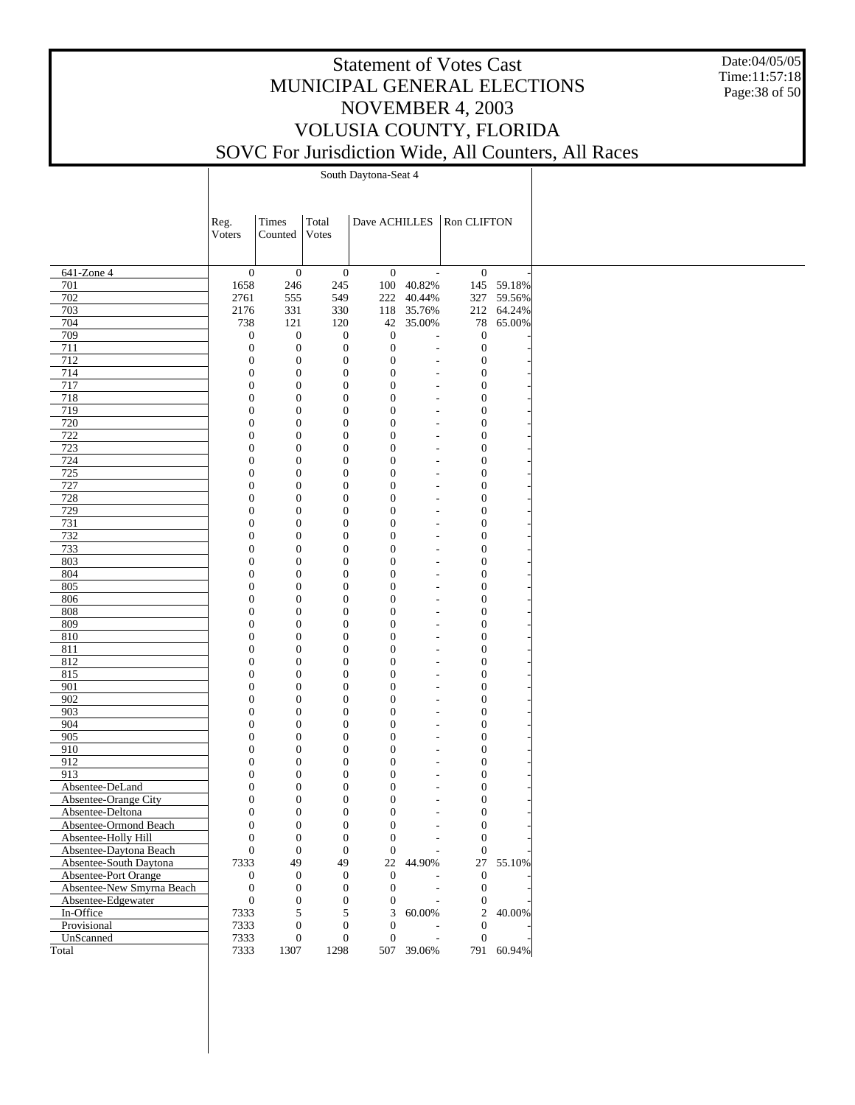Date:04/05/05 Time:11:57:18 Page:38 of 50

|                                               | Reg.                                 | Times                                | Total                                |                                      |                                                      | Dave ACHILLES   Ron CLIFTON          |            |
|-----------------------------------------------|--------------------------------------|--------------------------------------|--------------------------------------|--------------------------------------|------------------------------------------------------|--------------------------------------|------------|
|                                               | Voters                               | Counted                              | Votes                                |                                      |                                                      |                                      |            |
|                                               |                                      |                                      |                                      |                                      |                                                      |                                      |            |
|                                               |                                      |                                      |                                      |                                      |                                                      |                                      |            |
| 641-Zone 4                                    | $\mathbf{0}$                         | $\mathbf{0}$                         | $\boldsymbol{0}$                     | $\boldsymbol{0}$                     | $\overline{\phantom{a}}$                             | $\boldsymbol{0}$                     |            |
| 701                                           | 1658                                 | 246                                  | 245                                  |                                      | 100 40.82%                                           |                                      | 145 59.18% |
| 702                                           | 2761                                 | 555                                  | 549                                  | 222                                  | 40.44%                                               |                                      | 327 59.56% |
| 703                                           | 2176                                 | 331                                  | 330                                  |                                      | 118 35.76%                                           |                                      | 212 64.24% |
| 704                                           | 738                                  | 121                                  | 120                                  |                                      | 42 35.00%                                            | 78                                   | 65.00%     |
| 709<br>711                                    | $\mathbf{0}$                         | $\boldsymbol{0}$                     | $\boldsymbol{0}$                     | $\boldsymbol{0}$<br>$\boldsymbol{0}$ | L,                                                   | $\mathbf{0}$                         |            |
| 712                                           | $\boldsymbol{0}$<br>$\boldsymbol{0}$ | $\boldsymbol{0}$<br>$\boldsymbol{0}$ | $\boldsymbol{0}$<br>$\boldsymbol{0}$ | $\mathbf{0}$                         | $\overline{a}$<br>$\overline{a}$                     | $\boldsymbol{0}$<br>$\boldsymbol{0}$ |            |
| 714                                           | $\boldsymbol{0}$                     | $\boldsymbol{0}$                     | $\boldsymbol{0}$                     | $\mathbf{0}$                         | $\overline{\phantom{a}}$                             | $\boldsymbol{0}$                     |            |
| 717                                           | $\boldsymbol{0}$                     | $\boldsymbol{0}$                     | $\mathbf{0}$                         | $\boldsymbol{0}$                     | $\overline{a}$                                       | $\boldsymbol{0}$                     |            |
| 718                                           | $\boldsymbol{0}$                     | $\boldsymbol{0}$                     | $\boldsymbol{0}$                     | $\mathbf{0}$                         | $\overline{\phantom{a}}$                             | $\boldsymbol{0}$                     |            |
| 719                                           | $\boldsymbol{0}$                     | $\boldsymbol{0}$                     | $\boldsymbol{0}$                     | $\mathbf{0}$                         | ÷,                                                   | $\boldsymbol{0}$                     |            |
| 720                                           | $\boldsymbol{0}$                     | $\boldsymbol{0}$                     | $\mathbf{0}$                         | $\mathbf{0}$                         | ٠                                                    | $\boldsymbol{0}$                     |            |
| 722                                           | $\boldsymbol{0}$                     | $\boldsymbol{0}$                     | $\mathbf{0}$                         | $\mathbf{0}$                         | ٠                                                    | $\boldsymbol{0}$                     |            |
| 723                                           | $\boldsymbol{0}$                     | $\mathbf{0}$                         | $\boldsymbol{0}$                     | $\boldsymbol{0}$                     | $\overline{\phantom{0}}$                             | $\boldsymbol{0}$                     |            |
| 724                                           | $\boldsymbol{0}$                     | $\boldsymbol{0}$                     | $\mathbf{0}$                         | $\mathbf{0}$                         | $\overline{\phantom{a}}$                             | $\boldsymbol{0}$                     |            |
| 725                                           | $\boldsymbol{0}$                     | $\boldsymbol{0}$                     | $\mathbf{0}$                         | $\mathbf{0}$                         | $\overline{\phantom{a}}$                             | $\boldsymbol{0}$                     |            |
| 727                                           | $\boldsymbol{0}$                     | $\boldsymbol{0}$                     | $\mathbf{0}$                         | $\mathbf{0}$                         | $\overline{\phantom{a}}$                             | $\boldsymbol{0}$                     |            |
| 728                                           | $\boldsymbol{0}$                     | $\boldsymbol{0}$                     | $\boldsymbol{0}$                     | $\boldsymbol{0}$                     | $\overline{\phantom{a}}$                             | $\boldsymbol{0}$                     |            |
| 729                                           | $\boldsymbol{0}$                     | $\boldsymbol{0}$                     | $\boldsymbol{0}$                     | $\mathbf{0}$                         | ÷,                                                   | $\boldsymbol{0}$                     |            |
| 731                                           | $\boldsymbol{0}$                     | $\boldsymbol{0}$                     | $\mathbf{0}$                         | $\boldsymbol{0}$                     | ٠                                                    | $\boldsymbol{0}$                     |            |
| 732                                           | $\boldsymbol{0}$                     | $\mathbf{0}$                         | $\mathbf{0}$                         | $\mathbf{0}$                         | ٠                                                    | $\boldsymbol{0}$                     |            |
| 733                                           | $\boldsymbol{0}$                     | $\mathbf{0}$                         | $\mathbf{0}$                         | $\boldsymbol{0}$                     | $\overline{\phantom{0}}$                             | $\boldsymbol{0}$                     |            |
| 803                                           | $\boldsymbol{0}$                     | $\boldsymbol{0}$                     | $\mathbf{0}$                         | $\mathbf{0}$                         | $\overline{\phantom{a}}$                             | $\boldsymbol{0}$                     |            |
| 804<br>805                                    | $\boldsymbol{0}$                     | $\boldsymbol{0}$                     | $\mathbf{0}$                         | $\mathbf{0}$                         | $\overline{\phantom{a}}$                             | $\boldsymbol{0}$                     |            |
| 806                                           | $\boldsymbol{0}$<br>$\boldsymbol{0}$ | $\boldsymbol{0}$<br>$\boldsymbol{0}$ | $\mathbf{0}$<br>$\boldsymbol{0}$     | $\mathbf{0}$<br>$\boldsymbol{0}$     | $\overline{\phantom{a}}$<br>$\overline{\phantom{a}}$ | $\boldsymbol{0}$<br>$\boldsymbol{0}$ |            |
| 808                                           | $\boldsymbol{0}$                     | $\boldsymbol{0}$                     | $\boldsymbol{0}$                     | $\mathbf{0}$                         | ÷,                                                   | $\boldsymbol{0}$                     |            |
| 809                                           | $\boldsymbol{0}$                     | $\boldsymbol{0}$                     | $\mathbf{0}$                         | $\boldsymbol{0}$                     | ٠                                                    | $\boldsymbol{0}$                     |            |
| 810                                           | $\boldsymbol{0}$                     | $\mathbf{0}$                         | $\mathbf{0}$                         | $\mathbf{0}$                         | ٠                                                    | $\boldsymbol{0}$                     |            |
| 811                                           | $\boldsymbol{0}$                     | $\mathbf{0}$                         | $\boldsymbol{0}$                     | $\boldsymbol{0}$                     | $\overline{\phantom{0}}$                             | $\boldsymbol{0}$                     |            |
| 812                                           | $\boldsymbol{0}$                     | $\boldsymbol{0}$                     | $\mathbf{0}$                         | $\mathbf{0}$                         | ÷,                                                   | $\boldsymbol{0}$                     |            |
| 815                                           | $\boldsymbol{0}$                     | $\boldsymbol{0}$                     | $\mathbf{0}$                         | $\mathbf{0}$                         | $\overline{\phantom{a}}$                             | $\boldsymbol{0}$                     |            |
| 901                                           | $\boldsymbol{0}$                     | $\boldsymbol{0}$                     | $\mathbf{0}$                         | $\mathbf{0}$                         | $\overline{\phantom{a}}$                             | $\boldsymbol{0}$                     |            |
| 902                                           | $\boldsymbol{0}$                     | $\boldsymbol{0}$                     | $\boldsymbol{0}$                     | $\boldsymbol{0}$                     | $\overline{\phantom{a}}$                             | $\boldsymbol{0}$                     |            |
| 903                                           | $\boldsymbol{0}$                     | $\boldsymbol{0}$                     | $\boldsymbol{0}$                     | $\mathbf{0}$                         | ÷,                                                   | $\boldsymbol{0}$                     |            |
| 904                                           | $\boldsymbol{0}$                     | $\boldsymbol{0}$                     | $\mathbf{0}$                         | $\boldsymbol{0}$                     | $\overline{\phantom{a}}$                             | $\boldsymbol{0}$                     |            |
| 905                                           | $\boldsymbol{0}$                     | $\mathbf{0}$                         | $\mathbf{0}$                         | $\mathbf{0}$                         | ٠                                                    | $\boldsymbol{0}$                     |            |
| 910                                           | $\boldsymbol{0}$                     | $\boldsymbol{0}$                     | $\boldsymbol{0}$                     | $\boldsymbol{0}$                     | $\overline{\phantom{0}}$                             | $\boldsymbol{0}$                     |            |
| 912                                           | $\boldsymbol{0}$                     | $\boldsymbol{0}$                     | $\mathbf{0}$                         | $\mathbf{0}$                         | ÷,                                                   | $\boldsymbol{0}$                     |            |
| 913                                           | $\boldsymbol{0}$                     | $\boldsymbol{0}$                     | $\mathbf{0}$                         | $\mathbf{0}$                         | $\overline{a}$                                       | $\boldsymbol{0}$                     |            |
| Absentee-DeLand                               | $\boldsymbol{0}$                     | $\boldsymbol{0}$                     | $\boldsymbol{0}$                     | $\mathbf{0}$                         | ÷                                                    | $\boldsymbol{0}$                     |            |
| Absentee-Orange City                          | $\boldsymbol{0}$                     | $\mathbf{0}$                         | $\boldsymbol{0}$                     | $\mathbf{0}$                         |                                                      | $\boldsymbol{0}$                     |            |
| Absentee-Deltona                              | $\boldsymbol{0}$                     | $\boldsymbol{0}$                     | $\boldsymbol{0}$                     | $\boldsymbol{0}$                     | L,                                                   | $\boldsymbol{0}$                     |            |
| Absentee-Ormond Beach                         | $\theta$                             | $\mathbf{0}$                         | $\overline{0}$                       | $\mathbf{0}$                         | $\overline{a}$                                       | $\mathbf{0}$                         |            |
| Absentee-Holly Hill<br>Absentee-Daytona Beach | $\boldsymbol{0}$<br>$\boldsymbol{0}$ | $\boldsymbol{0}$<br>$\boldsymbol{0}$ | $\boldsymbol{0}$<br>$\mathbf{0}$     | $\boldsymbol{0}$<br>$\boldsymbol{0}$ |                                                      | $\mathbf{0}$<br>$\boldsymbol{0}$     |            |
| Absentee-South Daytona                        | 7333                                 | 49                                   | 49                                   | 22                                   | 44.90%                                               | 27                                   | 55.10%     |
| Absentee-Port Orange                          | $\boldsymbol{0}$                     | $\boldsymbol{0}$                     | $\boldsymbol{0}$                     | $\boldsymbol{0}$                     |                                                      | $\mathbf{0}$                         |            |
| Absentee-New Smyrna Beach                     | $\boldsymbol{0}$                     | $\boldsymbol{0}$                     | $\boldsymbol{0}$                     | $\boldsymbol{0}$                     |                                                      | $\mathbf{0}$                         |            |
| Absentee-Edgewater                            | $\boldsymbol{0}$                     | $\boldsymbol{0}$                     | $\boldsymbol{0}$                     | $\boldsymbol{0}$                     |                                                      | $\boldsymbol{0}$                     |            |
| In-Office                                     | 7333                                 | 5                                    | 5                                    | 3                                    | 60.00%                                               | $\overline{2}$                       | 40.00%     |
| Provisional                                   | 7333                                 | $\boldsymbol{0}$                     | $\boldsymbol{0}$                     | $\boldsymbol{0}$                     |                                                      | $\boldsymbol{0}$                     |            |
| UnScanned                                     | 7333                                 | $\boldsymbol{0}$                     | $\boldsymbol{0}$                     | $\boldsymbol{0}$                     | L,                                                   | $\mathbf{0}$                         |            |
| Total                                         | 7333                                 | 1307                                 | 1298                                 |                                      | 507 39.06%                                           | 791                                  | 60.94%     |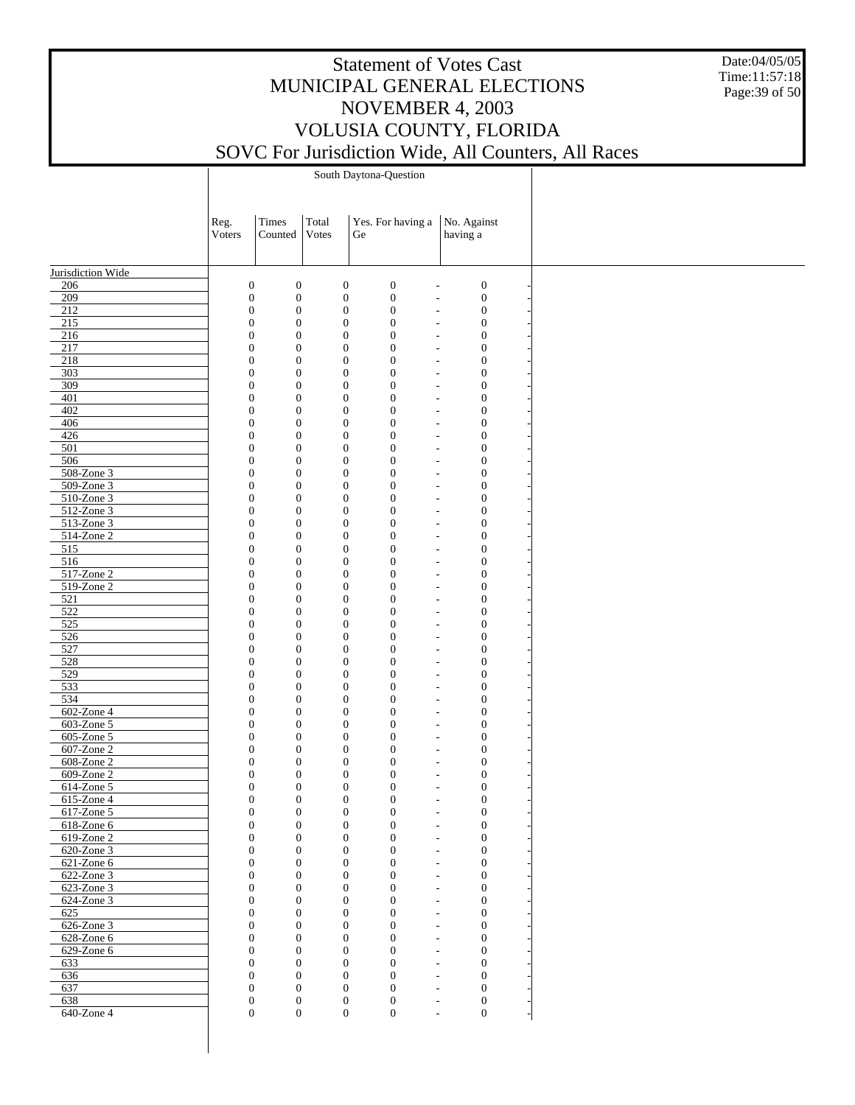Date:04/05/05 Time:11:57:18 Page:39 of 50

South Daytona-Question

|                             | Reg.<br>Voters | Times<br>Counted                                                             | Total<br>Votes                       | Yes. For having a<br>Ge                                                            | No. Against<br>having a                      |  |
|-----------------------------|----------------|------------------------------------------------------------------------------|--------------------------------------|------------------------------------------------------------------------------------|----------------------------------------------|--|
| Jurisdiction Wide           |                |                                                                              |                                      |                                                                                    |                                              |  |
| 206                         |                | $\boldsymbol{0}$<br>$\boldsymbol{0}$                                         | $\boldsymbol{0}$                     | $\boldsymbol{0}$<br>$\overline{\phantom{a}}$                                       | $\boldsymbol{0}$                             |  |
| 209                         |                | $\boldsymbol{0}$<br>$\boldsymbol{0}$                                         | $\boldsymbol{0}$                     | $\boldsymbol{0}$<br>$\overline{a}$                                                 | $\boldsymbol{0}$                             |  |
| 212                         |                | $\boldsymbol{0}$<br>$\boldsymbol{0}$                                         | $\boldsymbol{0}$                     | $\boldsymbol{0}$<br>$\overline{\phantom{a}}$                                       | $\boldsymbol{0}$                             |  |
| 215                         |                | $\boldsymbol{0}$<br>$\boldsymbol{0}$                                         | $\boldsymbol{0}$                     | $\boldsymbol{0}$<br>$\overline{a}$                                                 | $\boldsymbol{0}$                             |  |
| 216                         |                | $\boldsymbol{0}$<br>$\boldsymbol{0}$                                         | $\boldsymbol{0}$                     | $\mathbf{0}$<br>$\overline{\phantom{a}}$                                           | $\boldsymbol{0}$                             |  |
| 217<br>$\overline{218}$     |                | $\boldsymbol{0}$<br>$\mathbf{0}$<br>$\boldsymbol{0}$<br>$\boldsymbol{0}$     | $\boldsymbol{0}$<br>$\boldsymbol{0}$ | $\boldsymbol{0}$<br>÷,<br>$\mathbf{0}$<br>٠                                        | $\boldsymbol{0}$<br>$\boldsymbol{0}$         |  |
| 303                         |                | $\boldsymbol{0}$<br>$\boldsymbol{0}$                                         | $\boldsymbol{0}$                     | $\boldsymbol{0}$<br>$\overline{a}$                                                 | $\boldsymbol{0}$                             |  |
| 309                         |                | $\boldsymbol{0}$<br>$\boldsymbol{0}$                                         | $\boldsymbol{0}$                     | $\boldsymbol{0}$<br>$\overline{\phantom{a}}$                                       | $\boldsymbol{0}$                             |  |
| 401                         |                | $\boldsymbol{0}$<br>$\mathbf{0}$                                             | $\boldsymbol{0}$                     | $\boldsymbol{0}$<br>$\overline{a}$                                                 | $\boldsymbol{0}$                             |  |
| 402                         |                | $\boldsymbol{0}$<br>$\boldsymbol{0}$                                         | $\boldsymbol{0}$                     | $\boldsymbol{0}$<br>$\overline{\phantom{a}}$                                       | $\boldsymbol{0}$                             |  |
| 406                         |                | $\boldsymbol{0}$<br>$\boldsymbol{0}$                                         | $\boldsymbol{0}$                     | $\boldsymbol{0}$<br>$\overline{a}$                                                 | $\boldsymbol{0}$                             |  |
| 426                         |                | $\boldsymbol{0}$<br>$\boldsymbol{0}$                                         | $\boldsymbol{0}$                     | $\boldsymbol{0}$                                                                   | $\boldsymbol{0}$<br>$\overline{\phantom{a}}$ |  |
| 501                         |                | $\boldsymbol{0}$<br>$\mathbf{0}$                                             | $\boldsymbol{0}$                     | $\boldsymbol{0}$<br>$\overline{a}$                                                 | $\boldsymbol{0}$                             |  |
| 506                         |                | $\boldsymbol{0}$<br>$\boldsymbol{0}$                                         | $\boldsymbol{0}$                     | $\boldsymbol{0}$<br>$\overline{\phantom{a}}$                                       | $\boldsymbol{0}$                             |  |
| 508-Zone 3                  |                | $\boldsymbol{0}$<br>$\boldsymbol{0}$                                         | $\boldsymbol{0}$                     | $\boldsymbol{0}$<br>$\overline{a}$                                                 | $\boldsymbol{0}$                             |  |
| 509-Zone 3<br>510-Zone 3    |                | $\boldsymbol{0}$<br>$\boldsymbol{0}$<br>$\boldsymbol{0}$<br>$\mathbf{0}$     | $\boldsymbol{0}$<br>$\boldsymbol{0}$ | $\boldsymbol{0}$<br>$\overline{\phantom{a}}$<br>$\boldsymbol{0}$<br>$\overline{a}$ | $\boldsymbol{0}$<br>$\boldsymbol{0}$         |  |
| $512$ -Zone 3               |                | $\boldsymbol{0}$<br>$\boldsymbol{0}$                                         | $\boldsymbol{0}$                     | $\boldsymbol{0}$<br>$\overline{\phantom{a}}$                                       | $\boldsymbol{0}$                             |  |
| $513$ -Zone 3               |                | $\boldsymbol{0}$<br>$\boldsymbol{0}$                                         | $\boldsymbol{0}$                     | $\boldsymbol{0}$<br>٠                                                              | $\boldsymbol{0}$                             |  |
| 514-Zone 2                  |                | $\boldsymbol{0}$<br>$\boldsymbol{0}$                                         | $\boldsymbol{0}$                     | $\boldsymbol{0}$<br>$\overline{\phantom{a}}$                                       | $\boldsymbol{0}$                             |  |
| 515                         |                | $\boldsymbol{0}$<br>$\mathbf{0}$                                             | $\boldsymbol{0}$                     | $\boldsymbol{0}$<br>÷,                                                             | $\boldsymbol{0}$                             |  |
| 516                         |                | $\boldsymbol{0}$<br>$\boldsymbol{0}$                                         | $\boldsymbol{0}$                     | $\boldsymbol{0}$<br>$\overline{\phantom{a}}$                                       | $\boldsymbol{0}$                             |  |
| 517-Zone 2                  |                | $\boldsymbol{0}$<br>$\boldsymbol{0}$                                         | $\boldsymbol{0}$                     | $\boldsymbol{0}$<br>$\overline{a}$                                                 | $\boldsymbol{0}$                             |  |
| 519-Zone 2                  |                | $\boldsymbol{0}$<br>$\boldsymbol{0}$                                         | $\boldsymbol{0}$                     | $\boldsymbol{0}$<br>$\overline{a}$                                                 | $\boldsymbol{0}$                             |  |
| 521                         |                | $\boldsymbol{0}$<br>$\mathbf{0}$                                             | $\boldsymbol{0}$                     | $\boldsymbol{0}$<br>L,                                                             | $\boldsymbol{0}$                             |  |
| 522                         |                | $\boldsymbol{0}$<br>$\mathbf{0}$                                             | $\boldsymbol{0}$                     | $\boldsymbol{0}$<br>$\overline{\phantom{a}}$                                       | $\boldsymbol{0}$                             |  |
| 525                         |                | $\boldsymbol{0}$<br>$\boldsymbol{0}$<br>$\boldsymbol{0}$                     | $\boldsymbol{0}$                     | $\boldsymbol{0}$<br>$\overline{a}$                                                 | $\boldsymbol{0}$                             |  |
| 526<br>527                  |                | $\boldsymbol{0}$<br>$\boldsymbol{0}$<br>$\mathbf{0}$                         | $\boldsymbol{0}$<br>$\boldsymbol{0}$ | $\boldsymbol{0}$<br>$\overline{\phantom{a}}$<br>$\boldsymbol{0}$<br>L,             | $\boldsymbol{0}$<br>$\boldsymbol{0}$         |  |
| 528                         |                | $\boldsymbol{0}$<br>$\mathbf{0}$                                             | $\boldsymbol{0}$                     | $\boldsymbol{0}$                                                                   | $\boldsymbol{0}$<br>$\overline{\phantom{a}}$ |  |
| 529                         |                | $\boldsymbol{0}$<br>$\boldsymbol{0}$                                         | $\boldsymbol{0}$                     | $\boldsymbol{0}$<br>$\overline{a}$                                                 | $\boldsymbol{0}$                             |  |
| 533                         |                | $\boldsymbol{0}$<br>$\boldsymbol{0}$                                         | $\boldsymbol{0}$                     | $\boldsymbol{0}$<br>$\overline{\phantom{a}}$                                       | $\boldsymbol{0}$                             |  |
| 534                         |                | $\boldsymbol{0}$<br>$\mathbf{0}$                                             | $\boldsymbol{0}$                     | $\boldsymbol{0}$<br>÷,                                                             | $\boldsymbol{0}$                             |  |
| 602-Zone 4                  |                | $\boldsymbol{0}$<br>$\mathbf{0}$                                             | $\boldsymbol{0}$                     | $\boldsymbol{0}$<br>$\overline{\phantom{a}}$                                       | $\boldsymbol{0}$                             |  |
| 603-Zone 5                  |                | $\boldsymbol{0}$<br>$\boldsymbol{0}$                                         | $\boldsymbol{0}$                     | $\boldsymbol{0}$<br>$\overline{\phantom{a}}$                                       | $\boldsymbol{0}$                             |  |
| 605-Zone 5                  |                | $\boldsymbol{0}$<br>$\boldsymbol{0}$                                         | $\boldsymbol{0}$                     | $\boldsymbol{0}$<br>$\overline{\phantom{a}}$                                       | $\boldsymbol{0}$                             |  |
| 607-Zone 2                  |                | $\boldsymbol{0}$<br>$\boldsymbol{0}$                                         | $\boldsymbol{0}$                     | $\boldsymbol{0}$<br>÷,                                                             | $\boldsymbol{0}$                             |  |
| 608-Zone 2                  |                | $\boldsymbol{0}$<br>$\boldsymbol{0}$                                         | $\boldsymbol{0}$                     | $\boldsymbol{0}$<br>٠                                                              | $\boldsymbol{0}$                             |  |
| $609$ -Zone 2<br>614-Zone 5 |                | $\boldsymbol{0}$<br>$\boldsymbol{0}$<br>$\boldsymbol{0}$<br>$\boldsymbol{0}$ | $\boldsymbol{0}$                     | $\boldsymbol{0}$<br>÷,<br>$\boldsymbol{0}$                                         | $\boldsymbol{0}$<br>$\boldsymbol{0}$         |  |
| 615-Zone 4                  |                | $\boldsymbol{0}$<br>$\mathbf{0}$                                             | $\boldsymbol{0}$<br>$\boldsymbol{0}$ | ٠<br>$\boldsymbol{0}$                                                              | $\boldsymbol{0}$                             |  |
| 617-Zone 5                  |                | $\boldsymbol{0}$<br>$\boldsymbol{0}$                                         | $\boldsymbol{0}$                     | $\boldsymbol{0}$<br>$\overline{a}$                                                 | $\boldsymbol{0}$                             |  |
| 618-Zone 6                  |                | $\boldsymbol{0}$<br>$\Omega$                                                 | $\mathbf{0}$                         | $\boldsymbol{0}$                                                                   | $\overline{0}$                               |  |
| 619-Zone 2                  |                | $\boldsymbol{0}$<br>$\mathbf{0}$                                             | $\boldsymbol{0}$                     | $\boldsymbol{0}$                                                                   | $\boldsymbol{0}$                             |  |
| 620-Zone 3                  |                | $\boldsymbol{0}$<br>$\mathbf{0}$                                             | $\boldsymbol{0}$                     | $\boldsymbol{0}$<br>$\overline{a}$                                                 | $\boldsymbol{0}$                             |  |
| 621-Zone 6                  |                | $\boldsymbol{0}$<br>$\mathbf{0}$                                             | $\boldsymbol{0}$                     | $\boldsymbol{0}$<br>٠                                                              | $\boldsymbol{0}$                             |  |
| 622-Zone 3                  |                | $\boldsymbol{0}$<br>$\boldsymbol{0}$                                         | $\boldsymbol{0}$                     | $\boldsymbol{0}$<br>÷,                                                             | $\boldsymbol{0}$                             |  |
| 623-Zone 3                  |                | $\boldsymbol{0}$<br>$\mathbf{0}$                                             | $\boldsymbol{0}$                     | $\boldsymbol{0}$<br>٠                                                              | $\boldsymbol{0}$                             |  |
| 624-Zone 3                  |                | $\boldsymbol{0}$<br>$\boldsymbol{0}$                                         | $\boldsymbol{0}$                     | $\boldsymbol{0}$<br>$\overline{a}$                                                 | $\boldsymbol{0}$                             |  |
| 625                         |                | $\boldsymbol{0}$<br>$\mathbf{0}$                                             | $\boldsymbol{0}$                     | $\boldsymbol{0}$<br>$\overline{\phantom{a}}$                                       | $\boldsymbol{0}$                             |  |
| 626-Zone 3<br>628-Zone 6    |                | $\boldsymbol{0}$<br>$\boldsymbol{0}$<br>$\boldsymbol{0}$<br>$\mathbf{0}$     | $\boldsymbol{0}$<br>$\boldsymbol{0}$ | $\boldsymbol{0}$<br>÷,<br>$\boldsymbol{0}$<br>٠                                    | $\boldsymbol{0}$<br>$\boldsymbol{0}$         |  |
| 629-Zone 6                  |                | $\boldsymbol{0}$<br>$\mathbf{0}$                                             | $\boldsymbol{0}$                     | $\boldsymbol{0}$<br>٠                                                              | $\boldsymbol{0}$                             |  |
| 633                         |                | $\boldsymbol{0}$<br>$\mathbf{0}$                                             | $\boldsymbol{0}$                     | $\boldsymbol{0}$<br>$\overline{\phantom{a}}$                                       | $\boldsymbol{0}$                             |  |
| 636                         |                | $\boldsymbol{0}$<br>$\boldsymbol{0}$                                         | $\boldsymbol{0}$                     | $\boldsymbol{0}$<br>÷,                                                             | $\boldsymbol{0}$                             |  |
| 637                         |                | $\boldsymbol{0}$<br>$\mathbf{0}$                                             | $\boldsymbol{0}$                     | $\boldsymbol{0}$<br>٠                                                              | $\boldsymbol{0}$                             |  |
| 638                         |                |                                                                              |                                      |                                                                                    |                                              |  |
|                             |                | $\boldsymbol{0}$<br>$\mathbf{0}$                                             | $\boldsymbol{0}$                     | $\boldsymbol{0}$<br>$\overline{\phantom{a}}$                                       | $\boldsymbol{0}$                             |  |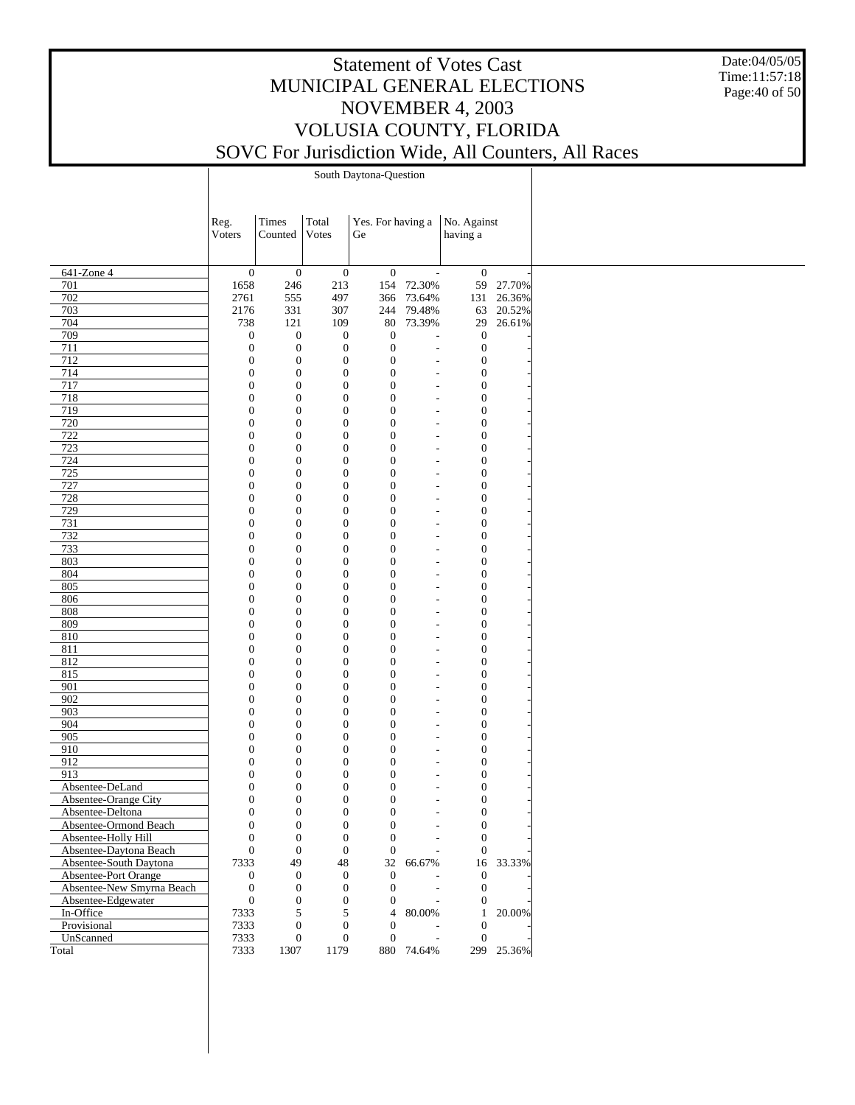Date:04/05/05 Time:11:57:18 Page:40 of 50

South Daytona-Question

|                           | Reg.             | Times            | Total            | Yes. For having a |                          | No. Against      |            |
|---------------------------|------------------|------------------|------------------|-------------------|--------------------------|------------------|------------|
|                           | Voters           | Counted          | Votes            | Ge                |                          | having a         |            |
|                           |                  |                  |                  |                   |                          |                  |            |
|                           |                  |                  |                  |                   |                          |                  |            |
| 641-Zone 4                | $\mathbf{0}$     | $\mathbf{0}$     | $\boldsymbol{0}$ | $\mathbf{0}$      | $\overline{\phantom{a}}$ | $\mathbf{0}$     |            |
| 701                       | 1658             | 246              | 213              | 154               | 72.30%                   |                  | 59 27.70%  |
| 702                       | 2761             | 555              | 497              | 366               | 73.64%                   |                  | 131 26.36% |
| 703                       | 2176             | 331              | 307              |                   | 244 79.48%               |                  | 63 20.52%  |
| 704                       | 738              | 121              | 109              | 80                | 73.39%                   | 29               | 26.61%     |
| 709                       | $\boldsymbol{0}$ | $\boldsymbol{0}$ | $\boldsymbol{0}$ | $\boldsymbol{0}$  |                          | $\boldsymbol{0}$ |            |
| 711                       | $\boldsymbol{0}$ | $\boldsymbol{0}$ | $\boldsymbol{0}$ | $\mathbf{0}$      | $\overline{\phantom{a}}$ | $\boldsymbol{0}$ |            |
| 712                       | $\boldsymbol{0}$ | $\boldsymbol{0}$ | $\boldsymbol{0}$ | $\mathbf{0}$      |                          | $\boldsymbol{0}$ |            |
| 714                       | $\boldsymbol{0}$ | $\boldsymbol{0}$ | $\mathbf{0}$     | $\mathbf{0}$      |                          | $\boldsymbol{0}$ |            |
| 717                       | $\boldsymbol{0}$ | $\boldsymbol{0}$ | $\mathbf{0}$     | $\mathbf{0}$      |                          | $\boldsymbol{0}$ |            |
| 718                       | $\boldsymbol{0}$ | $\boldsymbol{0}$ | $\mathbf{0}$     | $\boldsymbol{0}$  |                          | $\boldsymbol{0}$ |            |
| 719                       | $\boldsymbol{0}$ | $\boldsymbol{0}$ | $\mathbf{0}$     | $\boldsymbol{0}$  |                          | $\boldsymbol{0}$ |            |
| 720                       | $\boldsymbol{0}$ | $\boldsymbol{0}$ | $\mathbf{0}$     | $\boldsymbol{0}$  |                          | $\boldsymbol{0}$ |            |
| 722                       | $\boldsymbol{0}$ | $\boldsymbol{0}$ | $\mathbf{0}$     | $\boldsymbol{0}$  |                          | $\boldsymbol{0}$ |            |
| 723                       | $\boldsymbol{0}$ | $\boldsymbol{0}$ | $\mathbf{0}$     | $\mathbf{0}$      |                          | $\boldsymbol{0}$ |            |
| 724                       | $\boldsymbol{0}$ | $\mathbf{0}$     | $\mathbf{0}$     | $\mathbf{0}$      |                          | $\boldsymbol{0}$ |            |
| 725                       | $\boldsymbol{0}$ | $\boldsymbol{0}$ | $\mathbf{0}$     | $\boldsymbol{0}$  |                          | $\boldsymbol{0}$ |            |
| 727                       | $\boldsymbol{0}$ | $\boldsymbol{0}$ | $\mathbf{0}$     | $\boldsymbol{0}$  |                          | $\boldsymbol{0}$ |            |
| 728                       | $\boldsymbol{0}$ | $\boldsymbol{0}$ | $\mathbf{0}$     | $\mathbf{0}$      |                          | $\boldsymbol{0}$ |            |
| 729                       | $\boldsymbol{0}$ | $\mathbf{0}$     | $\mathbf{0}$     | $\boldsymbol{0}$  |                          | $\boldsymbol{0}$ |            |
| 731                       | $\boldsymbol{0}$ | $\boldsymbol{0}$ | $\mathbf{0}$     | $\boldsymbol{0}$  |                          | $\boldsymbol{0}$ |            |
| 732                       | $\boldsymbol{0}$ | $\boldsymbol{0}$ | $\mathbf{0}$     | $\boldsymbol{0}$  |                          | $\boldsymbol{0}$ |            |
| 733                       | $\boldsymbol{0}$ | $\boldsymbol{0}$ | $\mathbf{0}$     | $\mathbf{0}$      |                          | $\boldsymbol{0}$ |            |
| 803                       | $\boldsymbol{0}$ | $\mathbf{0}$     | $\mathbf{0}$     | $\boldsymbol{0}$  |                          | $\boldsymbol{0}$ |            |
| 804                       | $\boldsymbol{0}$ | $\boldsymbol{0}$ | $\mathbf{0}$     | $\boldsymbol{0}$  |                          | $\boldsymbol{0}$ |            |
| 805                       | $\boldsymbol{0}$ | $\boldsymbol{0}$ | $\mathbf{0}$     | $\boldsymbol{0}$  |                          | $\boldsymbol{0}$ |            |
| 806                       | $\boldsymbol{0}$ | $\boldsymbol{0}$ | $\mathbf{0}$     | $\mathbf{0}$      |                          | $\boldsymbol{0}$ |            |
| 808                       | $\boldsymbol{0}$ | $\mathbf{0}$     | $\mathbf{0}$     | $\boldsymbol{0}$  |                          | $\boldsymbol{0}$ |            |
| 809                       | $\boldsymbol{0}$ | $\boldsymbol{0}$ | $\mathbf{0}$     | $\boldsymbol{0}$  |                          | $\boldsymbol{0}$ |            |
| 810                       | $\boldsymbol{0}$ | $\boldsymbol{0}$ | $\mathbf{0}$     | $\boldsymbol{0}$  |                          | $\boldsymbol{0}$ |            |
| 811                       | $\boldsymbol{0}$ | $\boldsymbol{0}$ | $\mathbf{0}$     | $\mathbf{0}$      |                          | $\boldsymbol{0}$ |            |
| 812                       | $\boldsymbol{0}$ | $\mathbf{0}$     | $\mathbf{0}$     | $\boldsymbol{0}$  |                          | $\boldsymbol{0}$ |            |
| 815                       | $\boldsymbol{0}$ | $\boldsymbol{0}$ | $\mathbf{0}$     | $\boldsymbol{0}$  |                          | $\boldsymbol{0}$ |            |
| 901                       | $\boldsymbol{0}$ | $\boldsymbol{0}$ | $\mathbf{0}$     | $\boldsymbol{0}$  |                          | $\boldsymbol{0}$ |            |
| 902                       | $\boldsymbol{0}$ | $\boldsymbol{0}$ | $\mathbf{0}$     | $\mathbf{0}$      |                          | $\boldsymbol{0}$ |            |
| 903                       | $\boldsymbol{0}$ | $\mathbf{0}$     | $\mathbf{0}$     | $\boldsymbol{0}$  |                          | $\boldsymbol{0}$ |            |
| 904                       | $\boldsymbol{0}$ | $\boldsymbol{0}$ | $\mathbf{0}$     | $\boldsymbol{0}$  |                          | $\boldsymbol{0}$ |            |
| 905                       | $\boldsymbol{0}$ | $\boldsymbol{0}$ | $\mathbf{0}$     | $\boldsymbol{0}$  |                          | $\boldsymbol{0}$ |            |
| 910                       | $\boldsymbol{0}$ | $\boldsymbol{0}$ | $\mathbf{0}$     | $\mathbf{0}$      |                          | $\boldsymbol{0}$ |            |
| $\overline{912}$          | $\boldsymbol{0}$ | $\boldsymbol{0}$ | $\mathbf{0}$     | $\boldsymbol{0}$  |                          | $\boldsymbol{0}$ |            |
| 913                       | $\boldsymbol{0}$ | $\boldsymbol{0}$ | $\mathbf{0}$     | $\boldsymbol{0}$  |                          | $\boldsymbol{0}$ |            |
| Absentee-DeLand           | $\boldsymbol{0}$ | $\boldsymbol{0}$ | $\mathbf{0}$     | $\boldsymbol{0}$  |                          | $\boldsymbol{0}$ |            |
| Absentee-Orange City      | $\boldsymbol{0}$ | $\boldsymbol{0}$ | $\mathbf{0}$     | $\boldsymbol{0}$  |                          | $\boldsymbol{0}$ |            |
| Absentee-Deltona          | $\boldsymbol{0}$ | $\boldsymbol{0}$ | $\boldsymbol{0}$ | $\boldsymbol{0}$  |                          | $\boldsymbol{0}$ |            |
| Absentee-Ormond Beach     | $\Omega$         | $\theta$         | $\Omega$         | $\Omega$          |                          | $\theta$         |            |
| Absentee-Holly Hill       | $\boldsymbol{0}$ | $\boldsymbol{0}$ | $\boldsymbol{0}$ | $\boldsymbol{0}$  |                          | $\boldsymbol{0}$ |            |
| Absentee-Daytona Beach    | $\mathbf{0}$     | $\boldsymbol{0}$ | $\boldsymbol{0}$ | $\mathbf{0}$      |                          | $\boldsymbol{0}$ |            |
| Absentee-South Daytona    | 7333             | 49               | 48               |                   | 32 66.67%                |                  | 16 33.33%  |
| Absentee-Port Orange      | $\boldsymbol{0}$ | $\mathbf{0}$     | $\boldsymbol{0}$ | $\mathbf{0}$      |                          | $\boldsymbol{0}$ |            |
| Absentee-New Smyrna Beach | $\mathbf{0}$     | $\boldsymbol{0}$ | $\mathbf{0}$     | $\mathbf{0}$      |                          | $\boldsymbol{0}$ |            |
| Absentee-Edgewater        | $\mathbf{0}$     | $\boldsymbol{0}$ | $\boldsymbol{0}$ | $\mathbf{0}$      |                          | $\boldsymbol{0}$ |            |
| In-Office                 | 7333             | 5                | 5                | 4                 | 80.00%                   | $\mathbf{1}$     | 20.00%     |
| Provisional               | 7333             | 0                | $\mathbf{0}$     | $\overline{0}$    |                          | $\boldsymbol{0}$ |            |
| UnScanned                 | 7333             | $\boldsymbol{0}$ | $\boldsymbol{0}$ | $\mathbf{0}$      | $\overline{\phantom{a}}$ | $\mathbf{0}$     |            |
| Total                     | 7333             | 1307             | 1179             |                   | 880 74.64%               |                  | 299 25.36% |
|                           |                  |                  |                  |                   |                          |                  |            |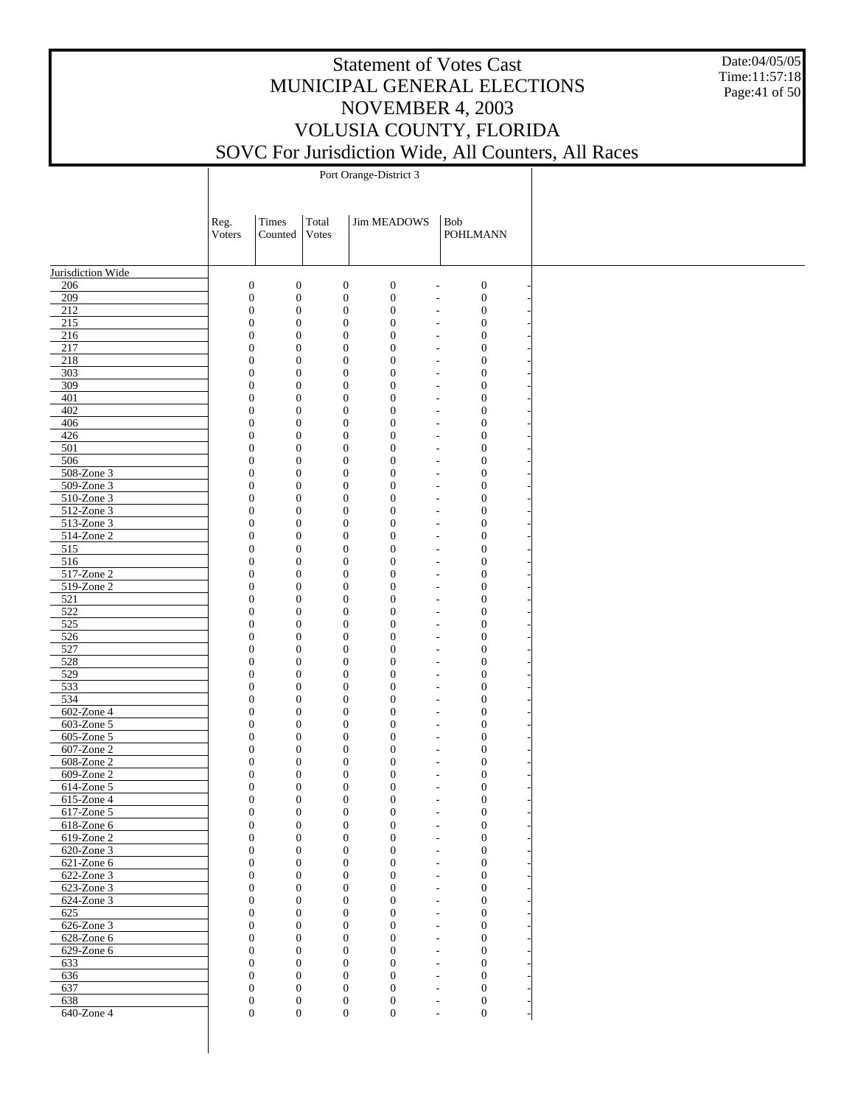Date:04/05/05 Time:11:57:18 Page:41 of 50

Port Orange-District 3

|                               | Reg.<br>Voters | Times<br>Counted                                                     | Total<br>Votes                       | <b>Jim MEADOWS</b>                   | Bob<br><b>POHLMANN</b>                                                             |
|-------------------------------|----------------|----------------------------------------------------------------------|--------------------------------------|--------------------------------------|------------------------------------------------------------------------------------|
|                               |                |                                                                      |                                      |                                      |                                                                                    |
| Jurisdiction Wide             |                |                                                                      |                                      |                                      |                                                                                    |
| 206                           |                | $\boldsymbol{0}$<br>$\mathbf{0}$                                     | $\boldsymbol{0}$                     | $\boldsymbol{0}$                     | $\boldsymbol{0}$<br>$\overline{\phantom{a}}$                                       |
| 209                           |                | $\boldsymbol{0}$<br>$\mathbf{0}$                                     | $\boldsymbol{0}$                     | $\boldsymbol{0}$                     | $\boldsymbol{0}$<br>$\overline{a}$                                                 |
| 212<br>215                    |                | $\boldsymbol{0}$<br>$\mathbf{0}$<br>$\boldsymbol{0}$<br>$\mathbf{0}$ | $\boldsymbol{0}$<br>$\boldsymbol{0}$ | $\boldsymbol{0}$<br>$\boldsymbol{0}$ | $\boldsymbol{0}$<br>$\overline{\phantom{a}}$<br>$\boldsymbol{0}$<br>$\overline{a}$ |
| 216                           |                | $\boldsymbol{0}$<br>$\theta$                                         | $\boldsymbol{0}$                     | $\boldsymbol{0}$                     | $\boldsymbol{0}$<br>$\overline{\phantom{a}}$                                       |
| 217                           |                | $\boldsymbol{0}$<br>$\mathbf{0}$                                     | $\boldsymbol{0}$                     | $\boldsymbol{0}$                     | $\boldsymbol{0}$<br>L,                                                             |
| 218                           |                | $\boldsymbol{0}$<br>$\mathbf{0}$                                     | $\boldsymbol{0}$                     | $\boldsymbol{0}$                     | $\boldsymbol{0}$<br>$\overline{a}$                                                 |
| 303                           |                | $\boldsymbol{0}$<br>$\mathbf{0}$                                     | $\boldsymbol{0}$                     | $\boldsymbol{0}$                     | $\boldsymbol{0}$<br>$\overline{a}$                                                 |
| 309                           |                | $\boldsymbol{0}$<br>$\mathbf{0}$                                     | $\boldsymbol{0}$                     | $\boldsymbol{0}$                     | $\boldsymbol{0}$<br>$\overline{\phantom{a}}$                                       |
| 401<br>402                    |                | $\boldsymbol{0}$<br>$\mathbf{0}$<br>$\boldsymbol{0}$<br>$\mathbf{0}$ | $\boldsymbol{0}$<br>$\boldsymbol{0}$ | $\boldsymbol{0}$<br>$\boldsymbol{0}$ | $\boldsymbol{0}$<br>L,<br>$\boldsymbol{0}$<br>$\overline{a}$                       |
| 406                           |                | $\boldsymbol{0}$<br>$\mathbf{0}$                                     | $\boldsymbol{0}$                     | $\boldsymbol{0}$                     | $\boldsymbol{0}$<br>$\overline{a}$                                                 |
| 426                           |                | $\boldsymbol{0}$<br>$\mathbf{0}$                                     | $\boldsymbol{0}$                     | $\boldsymbol{0}$                     | $\boldsymbol{0}$<br>$\overline{\phantom{a}}$                                       |
| 501                           |                | $\boldsymbol{0}$<br>$\mathbf{0}$                                     | $\boldsymbol{0}$                     | $\boldsymbol{0}$                     | $\boldsymbol{0}$<br>L,                                                             |
| 506                           |                | $\boldsymbol{0}$<br>$\mathbf{0}$                                     | $\boldsymbol{0}$                     | $\boldsymbol{0}$                     | $\boldsymbol{0}$<br>$\overline{a}$                                                 |
| 508-Zone 3                    |                | $\boldsymbol{0}$<br>$\mathbf{0}$                                     | $\boldsymbol{0}$                     | $\boldsymbol{0}$                     | $\boldsymbol{0}$<br>$\overline{a}$                                                 |
| $509-Zone3$<br>510-Zone 3     |                | $\boldsymbol{0}$<br>$\mathbf{0}$<br>$\boldsymbol{0}$<br>$\mathbf{0}$ | $\boldsymbol{0}$<br>$\boldsymbol{0}$ | $\boldsymbol{0}$<br>$\boldsymbol{0}$ | $\boldsymbol{0}$<br>$\overline{\phantom{a}}$<br>$\boldsymbol{0}$<br>÷,             |
| 512-Zone 3                    |                | $\boldsymbol{0}$<br>$\mathbf{0}$                                     | $\boldsymbol{0}$                     | $\boldsymbol{0}$                     | $\boldsymbol{0}$<br>$\overline{a}$                                                 |
| 513-Zone 3                    |                | $\boldsymbol{0}$<br>$\mathbf{0}$                                     | $\boldsymbol{0}$                     | $\boldsymbol{0}$                     | $\boldsymbol{0}$<br>$\overline{a}$                                                 |
| 514-Zone 2                    |                | $\boldsymbol{0}$<br>$\mathbf{0}$                                     | $\boldsymbol{0}$                     | $\boldsymbol{0}$                     | $\boldsymbol{0}$<br>$\overline{\phantom{a}}$                                       |
| 515                           |                | $\boldsymbol{0}$<br>$\mathbf{0}$                                     | $\boldsymbol{0}$                     | $\boldsymbol{0}$                     | $\boldsymbol{0}$<br>$\overline{a}$                                                 |
| 516                           |                | $\boldsymbol{0}$<br>$\mathbf{0}$                                     | $\boldsymbol{0}$                     | $\boldsymbol{0}$                     | $\boldsymbol{0}$<br>$\overline{a}$                                                 |
| 517-Zone 2<br>519-Zone 2      |                | $\boldsymbol{0}$<br>$\mathbf{0}$<br>$\boldsymbol{0}$<br>$\mathbf{0}$ | $\boldsymbol{0}$<br>$\boldsymbol{0}$ | $\boldsymbol{0}$<br>$\boldsymbol{0}$ | $\boldsymbol{0}$<br>$\overline{a}$<br>$\boldsymbol{0}$<br>$\overline{\phantom{a}}$ |
| 521                           |                | $\boldsymbol{0}$<br>$\mathbf{0}$                                     | $\boldsymbol{0}$                     | $\boldsymbol{0}$                     | $\boldsymbol{0}$<br>$\overline{a}$                                                 |
| 522                           |                | $\boldsymbol{0}$<br>$\mathbf{0}$                                     | $\boldsymbol{0}$                     | $\boldsymbol{0}$                     | $\boldsymbol{0}$<br>$\overline{a}$                                                 |
| 525                           |                | $\boldsymbol{0}$<br>$\mathbf{0}$                                     | $\boldsymbol{0}$                     | $\boldsymbol{0}$                     | $\boldsymbol{0}$<br>L,                                                             |
| 526                           |                | $\boldsymbol{0}$<br>$\mathbf{0}$                                     | $\boldsymbol{0}$                     | $\boldsymbol{0}$                     | $\boldsymbol{0}$<br>$\overline{\phantom{a}}$                                       |
| 527                           |                | $\boldsymbol{0}$<br>$\mathbf{0}$                                     | $\boldsymbol{0}$                     | $\boldsymbol{0}$                     | $\boldsymbol{0}$<br>$\overline{a}$                                                 |
| 528                           |                | $\boldsymbol{0}$<br>$\mathbf{0}$                                     | $\boldsymbol{0}$                     | $\boldsymbol{0}$                     | $\boldsymbol{0}$<br>$\overline{a}$                                                 |
| 529<br>533                    |                | $\boldsymbol{0}$<br>$\mathbf{0}$<br>$\boldsymbol{0}$<br>$\theta$     | $\boldsymbol{0}$<br>$\boldsymbol{0}$ | $\boldsymbol{0}$<br>$\boldsymbol{0}$ | $\boldsymbol{0}$<br>L,<br>$\boldsymbol{0}$<br>$\overline{\phantom{a}}$             |
| 534                           |                | $\boldsymbol{0}$<br>$\mathbf{0}$                                     | $\boldsymbol{0}$                     | $\boldsymbol{0}$                     | $\boldsymbol{0}$<br>$\overline{a}$                                                 |
| 602-Zone 4                    |                | $\boldsymbol{0}$<br>$\mathbf{0}$                                     | $\boldsymbol{0}$                     | $\boldsymbol{0}$                     | $\boldsymbol{0}$<br>$\overline{\phantom{a}}$                                       |
| 603-Zone 5                    |                | $\boldsymbol{0}$<br>$\mathbf{0}$                                     | $\boldsymbol{0}$                     | $\boldsymbol{0}$                     | $\boldsymbol{0}$<br>$\overline{a}$                                                 |
| 605-Zone 5                    |                | $\boldsymbol{0}$<br>$\mathbf{0}$                                     | $\boldsymbol{0}$                     | $\boldsymbol{0}$                     | $\boldsymbol{0}$<br>$\overline{\phantom{a}}$                                       |
| 607-Zone 2                    |                | $\boldsymbol{0}$<br>$\mathbf{0}$                                     | $\boldsymbol{0}$                     | $\boldsymbol{0}$                     | $\boldsymbol{0}$<br>$\overline{a}$                                                 |
| 608-Zone 2                    |                | $\boldsymbol{0}$<br>$\mathbf{0}$<br>$\boldsymbol{0}$                 | $\boldsymbol{0}$                     | $\boldsymbol{0}$                     | $\boldsymbol{0}$<br>$\overline{a}$                                                 |
| 609-Zone 2<br>614-Zone 5      |                | $\mathbf{0}$<br>$\boldsymbol{0}$<br>$\mathbf{0}$                     | $\boldsymbol{0}$<br>$\boldsymbol{0}$ | $\boldsymbol{0}$<br>$\boldsymbol{0}$ | $\boldsymbol{0}$<br>$\overline{a}$<br>$\boldsymbol{0}$<br>$\overline{a}$           |
| 615-Zone 4                    |                | $\boldsymbol{0}$<br>$\mathbf{0}$                                     | $\boldsymbol{0}$                     | $\boldsymbol{0}$                     | $\boldsymbol{0}$<br>L,                                                             |
| 617-Zone 5                    |                | $\overline{0}$<br>$\mathbf{0}$                                       | $\mathbf{0}$                         | $\boldsymbol{0}$                     | $\boldsymbol{0}$<br>$\overline{\phantom{a}}$                                       |
| $618$ -Zone $6$               |                | $\boldsymbol{0}$<br>$\mathbf{0}$                                     | $\boldsymbol{0}$                     | $\boldsymbol{0}$                     | $\boldsymbol{0}$                                                                   |
| $619$ -Zone 2                 |                | $\mathbf{0}$<br>$\mathbf{0}$                                         | $\boldsymbol{0}$                     | $\boldsymbol{0}$                     | $\boldsymbol{0}$<br>$\overline{\phantom{a}}$                                       |
| 620-Zone 3<br>$621$ -Zone $6$ |                | $\boldsymbol{0}$<br>$\mathbf{0}$<br>$\overline{0}$                   | $\boldsymbol{0}$                     | $\boldsymbol{0}$                     | $\boldsymbol{0}$<br>$\overline{a}$                                                 |
| $622$ -Zone 3                 |                | $\overline{0}$<br>$\boldsymbol{0}$<br>$\mathbf{0}$                   | $\boldsymbol{0}$<br>$\boldsymbol{0}$ | $\boldsymbol{0}$<br>$\mathbf{0}$     | $\boldsymbol{0}$<br>$\overline{\phantom{a}}$<br>$\boldsymbol{0}$<br>$\overline{a}$ |
| $623$ -Zone 3                 |                | $\overline{0}$<br>$\overline{0}$                                     | $\boldsymbol{0}$                     | $\overline{0}$                       | $\overline{0}$<br>$\overline{\phantom{a}}$                                         |
| 624-Zone 3                    |                | $\boldsymbol{0}$<br>$\mathbf{0}$                                     | $\boldsymbol{0}$                     | $\mathbf{0}$                         | $\boldsymbol{0}$<br>L,                                                             |
| 625                           |                | $\overline{0}$<br>$\overline{0}$                                     | $\boldsymbol{0}$                     | $\mathbf{0}$                         | $\overline{0}$<br>$\overline{\phantom{a}}$                                         |
| 626-Zone 3                    |                | $\boldsymbol{0}$<br>$\mathbf{0}$                                     | $\boldsymbol{0}$                     | $\boldsymbol{0}$                     | $\boldsymbol{0}$<br>$\overline{a}$                                                 |
| 628-Zone 6                    |                | $\overline{0}$<br>$\overline{0}$                                     | $\theta$                             | $\mathbf{0}$                         | $\overline{0}$<br>$\overline{\phantom{a}}$                                         |
| 629-Zone 6<br>633             |                | $\boldsymbol{0}$<br>$\mathbf{0}$<br>$\overline{0}$<br>$\overline{0}$ | $\boldsymbol{0}$<br>$\boldsymbol{0}$ | $\boldsymbol{0}$<br>$\mathbf{0}$     | $\boldsymbol{0}$<br>L,<br>$\theta$<br>$\overline{\phantom{a}}$                     |
| 636                           |                | $\overline{0}$<br>$\mathbf{0}$                                       | $\boldsymbol{0}$                     | $\mathbf{0}$                         | $\mathbf{0}$<br>$\overline{a}$                                                     |
| 637                           |                | $\overline{0}$<br>$\mathbf{0}$                                       | $\theta$                             | $\mathbf{0}$                         | $\boldsymbol{0}$<br>$\overline{\phantom{a}}$                                       |
| 638                           |                | $\boldsymbol{0}$<br>$\mathbf{0}$                                     | $\boldsymbol{0}$                     | $\boldsymbol{0}$                     | $\boldsymbol{0}$<br>$\overline{\phantom{a}}$                                       |
| $640$ -Zone 4                 |                | $\boldsymbol{0}$<br>$\mathbf{0}$                                     | $\overline{0}$                       | $\boldsymbol{0}$                     | $\boldsymbol{0}$<br>$\overline{\phantom{0}}$                                       |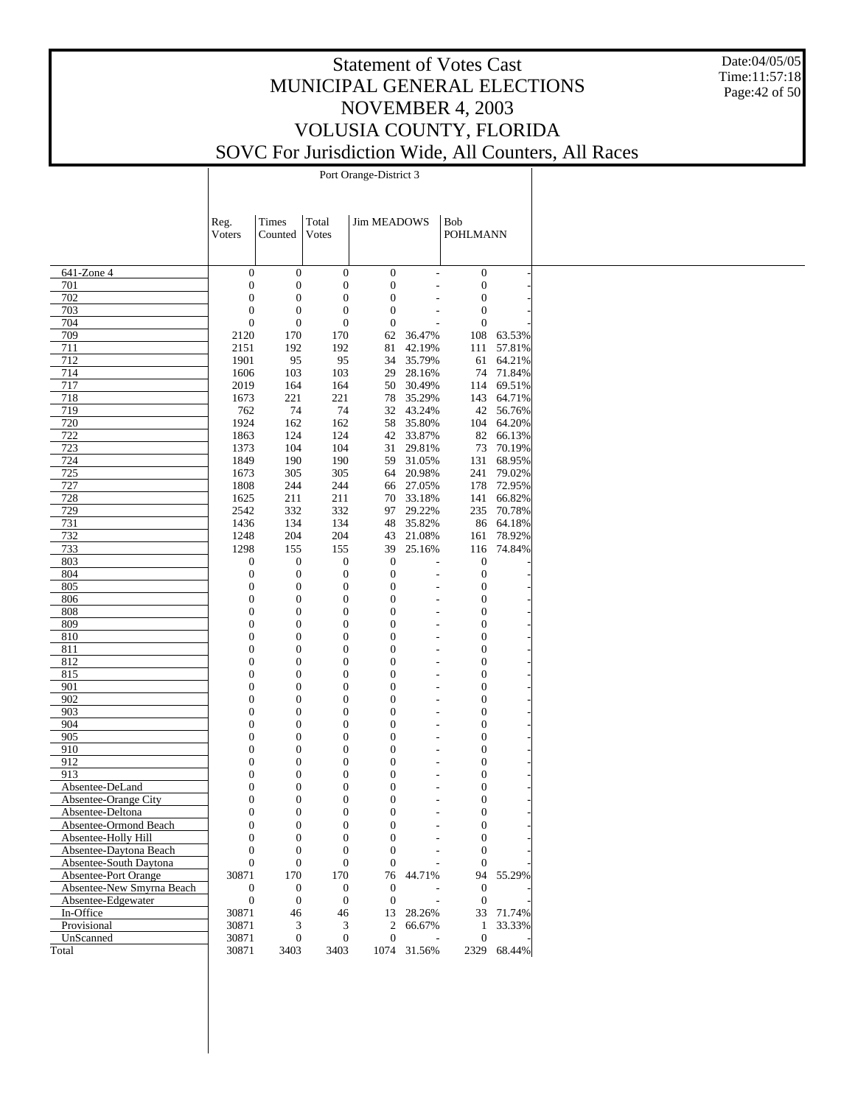Date:04/05/05 Time:11:57:18 Page:42 of 50

Port Orange-District 3

|                           | Reg.             | Times            | Total            | <b>Jim MEADOWS</b> |                              | <b>Bob</b>       |                          |
|---------------------------|------------------|------------------|------------------|--------------------|------------------------------|------------------|--------------------------|
|                           | Voters           | Counted          | <b>Votes</b>     |                    |                              | <b>POHLMANN</b>  |                          |
|                           |                  |                  |                  |                    |                              |                  |                          |
| 641-Zone 4                | $\boldsymbol{0}$ | $\mathbf{0}$     | $\mathbf{0}$     | $\boldsymbol{0}$   | $\overline{\phantom{a}}$     | $\boldsymbol{0}$ |                          |
| 701                       | $\mathbf{0}$     | $\boldsymbol{0}$ | $\boldsymbol{0}$ | $\mathbf{0}$       | $\overline{a}$               | $\boldsymbol{0}$ |                          |
| 702                       | $\boldsymbol{0}$ | $\boldsymbol{0}$ | $\boldsymbol{0}$ | $\boldsymbol{0}$   |                              | $\boldsymbol{0}$ |                          |
| 703                       | $\theta$         | $\boldsymbol{0}$ | $\boldsymbol{0}$ | $\overline{0}$     |                              | $\boldsymbol{0}$ |                          |
| 704                       | $\mathbf{0}$     | $\boldsymbol{0}$ | $\boldsymbol{0}$ | $\mathbf{0}$       |                              | $\boldsymbol{0}$ |                          |
| 709                       | 2120             | 170              | 170              | 62                 | 36.47%                       |                  | 108 63.53%               |
| 711                       | 2151             | 192              | 192              | 81                 | 42.19%                       |                  | 111 57.81%               |
| 712                       | 1901             | 95               | 95               | 34                 | 35.79%                       |                  | 61 64.21%                |
| 714                       | 1606             | 103              | 103              | 29                 | 28.16%                       |                  | 74 71.84%                |
| 717                       | 2019             | 164              | 164              |                    | 50 30.49%                    |                  | 114 69.51%               |
| 718                       | 1673             | 221              | 221              | 78                 | 35.29%                       |                  | 143 64.71%               |
| 719                       | 762              | 74               | 74               |                    | 32 43.24%                    |                  | 42 56.76%                |
| 720                       | 1924             | 162              | 162              |                    | 58 35.80%                    |                  | 104 64.20%               |
| 722                       | 1863             | 124              | 124              |                    | 42 33.87%                    |                  | 82 66.13%                |
| 723                       | 1373             | 104              | 104              | 31                 | 29.81%                       |                  | 73 70.19%                |
| 724                       | 1849             | 190              | 190              |                    | 59 31.05%                    |                  | 131 68.95%               |
| 725                       | 1673             | 305              | 305              | 64                 | 20.98%                       |                  | 241 79.02%               |
| 727<br>728                | 1808             | 244              | 244              |                    | 66 27.05%                    |                  | 178 72.95%<br>141 66.82% |
| 729                       | 1625             | 211              | 211              | 70                 | 33.18%                       |                  |                          |
| 731                       | 2542<br>1436     | 332<br>134       | 332<br>134       | 48                 | 97 29.22%<br>35.82%          |                  | 235 70.78%<br>86 64.18%  |
| 732                       | 1248             | 204              | 204              | 43                 | 21.08%                       |                  | 161 78.92%               |
| 733                       | 1298             | 155              | 155              | 39                 | 25.16%                       |                  | 116 74.84%               |
| 803                       | $\boldsymbol{0}$ | $\boldsymbol{0}$ | $\boldsymbol{0}$ | $\mathbf{0}$       |                              | $\mathbf{0}$     |                          |
| 804                       | $\mathbf{0}$     | $\boldsymbol{0}$ | $\boldsymbol{0}$ | $\mathbf{0}$       | $\overline{a}$               | $\mathbf{0}$     |                          |
| 805                       | $\mathbf{0}$     | $\boldsymbol{0}$ | $\boldsymbol{0}$ | $\overline{0}$     |                              | $\boldsymbol{0}$ |                          |
| 806                       | $\boldsymbol{0}$ | $\boldsymbol{0}$ | $\boldsymbol{0}$ | $\overline{0}$     |                              | $\mathbf{0}$     |                          |
| 808                       | $\boldsymbol{0}$ | $\boldsymbol{0}$ | $\boldsymbol{0}$ | $\overline{0}$     | $\overline{\phantom{a}}$     | $\boldsymbol{0}$ |                          |
| 809                       | $\boldsymbol{0}$ | $\boldsymbol{0}$ | $\mathbf{0}$     | $\overline{0}$     |                              | $\boldsymbol{0}$ |                          |
| 810                       | $\boldsymbol{0}$ | $\boldsymbol{0}$ | $\boldsymbol{0}$ | $\overline{0}$     | $\qquad \qquad -$            | $\boldsymbol{0}$ |                          |
| 811                       | $\boldsymbol{0}$ | $\boldsymbol{0}$ | $\mathbf{0}$     | $\overline{0}$     |                              | $\boldsymbol{0}$ |                          |
| 812                       | $\boldsymbol{0}$ | $\boldsymbol{0}$ | $\boldsymbol{0}$ | $\boldsymbol{0}$   | $\qquad \qquad \blacksquare$ | $\boldsymbol{0}$ |                          |
| 815                       | $\boldsymbol{0}$ | $\boldsymbol{0}$ | $\mathbf{0}$     | $\boldsymbol{0}$   |                              | $\boldsymbol{0}$ |                          |
| 901                       | $\boldsymbol{0}$ | $\boldsymbol{0}$ | $\boldsymbol{0}$ | $\boldsymbol{0}$   |                              | $\boldsymbol{0}$ |                          |
| 902                       | $\boldsymbol{0}$ | $\boldsymbol{0}$ | $\mathbf{0}$     | $\boldsymbol{0}$   |                              | $\boldsymbol{0}$ |                          |
| 903                       | $\boldsymbol{0}$ | $\boldsymbol{0}$ | $\boldsymbol{0}$ | $\boldsymbol{0}$   | $\qquad \qquad -$            | $\boldsymbol{0}$ |                          |
| 904                       | $\boldsymbol{0}$ | $\boldsymbol{0}$ | $\mathbf{0}$     | $\boldsymbol{0}$   |                              | $\boldsymbol{0}$ |                          |
| 905                       | $\boldsymbol{0}$ | $\boldsymbol{0}$ | $\boldsymbol{0}$ | $\boldsymbol{0}$   | $\qquad \qquad -$            | $\boldsymbol{0}$ |                          |
| 910                       | $\boldsymbol{0}$ | $\boldsymbol{0}$ | $\boldsymbol{0}$ | $\boldsymbol{0}$   |                              | $\boldsymbol{0}$ |                          |
| 912                       | $\boldsymbol{0}$ | $\boldsymbol{0}$ | $\boldsymbol{0}$ | $\boldsymbol{0}$   | $\overline{\phantom{a}}$     | $\boldsymbol{0}$ |                          |
| 913                       | $\boldsymbol{0}$ | $\boldsymbol{0}$ | $\boldsymbol{0}$ | $\overline{0}$     |                              | $\boldsymbol{0}$ |                          |
| Absentee-DeLand           | $\boldsymbol{0}$ | $\boldsymbol{0}$ | 0                | $\theta$           |                              | $\boldsymbol{0}$ |                          |
| Absentee-Orange City      | 0                | 0                | $\mathbf{0}$     | $\boldsymbol{0}$   |                              | $\boldsymbol{0}$ |                          |
| Absentee-Deltona          | $\overline{0}$   | $\mathbf{0}$     | $\mathbf{0}$     | $\overline{0}$     | $\overline{\phantom{a}}$     | $\boldsymbol{0}$ |                          |
| Absentee-Ormond Beach     | 0                | $\boldsymbol{0}$ | $\overline{0}$   | $\mathbf{0}$       |                              | $\boldsymbol{0}$ |                          |
| Absentee-Holly Hill       | $\mathbf{0}$     | $\boldsymbol{0}$ | $\boldsymbol{0}$ | $\boldsymbol{0}$   |                              | $\boldsymbol{0}$ |                          |
| Absentee-Daytona Beach    | $\overline{0}$   | $\boldsymbol{0}$ | $\boldsymbol{0}$ | $\overline{0}$     |                              | $\boldsymbol{0}$ |                          |
| Absentee-South Daytona    | $\overline{0}$   | $\mathbf{0}$     | $\mathbf{0}$     | $\theta$           |                              | $\boldsymbol{0}$ |                          |
| Absentee-Port Orange      | 30871            | 170              | 170              | 76                 | 44.71%                       |                  | 94 55.29%                |
| Absentee-New Smyrna Beach | $\boldsymbol{0}$ | $\boldsymbol{0}$ | $\boldsymbol{0}$ | $\mathbf{0}$       |                              | $\mathbf{0}$     |                          |
| Absentee-Edgewater        | $\boldsymbol{0}$ | $\boldsymbol{0}$ | $\boldsymbol{0}$ | $\overline{0}$     | L.                           | $\boldsymbol{0}$ |                          |
| In-Office                 | 30871            | 46               | 46               |                    | 13 28.26%                    |                  | 33 71.74%                |
| Provisional               | 30871            | 3                | 3                | 2                  | 66.67%                       | 1                | 33.33%                   |
| UnScanned                 | 30871            | $\boldsymbol{0}$ | $\boldsymbol{0}$ | $\boldsymbol{0}$   |                              | $\boldsymbol{0}$ |                          |
| Total                     | 30871            | 3403             | 3403             |                    | 1074 31.56%                  |                  | 2329 68.44%              |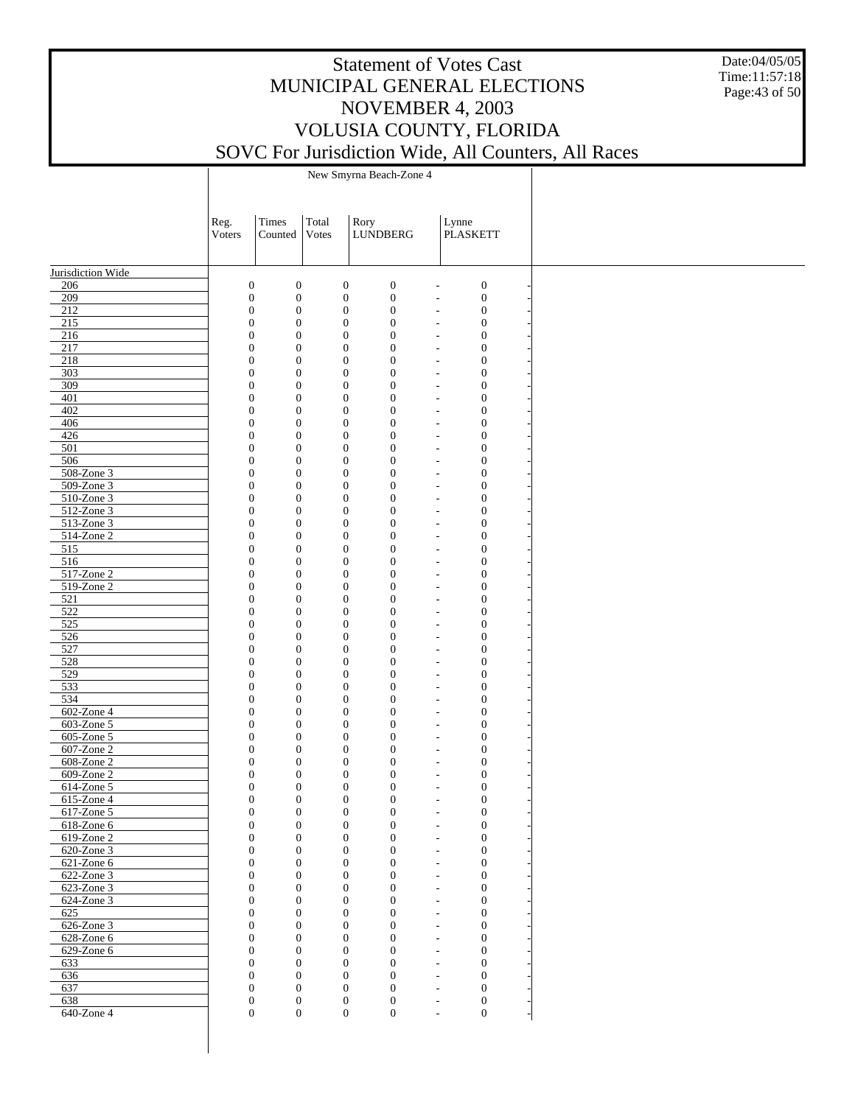Date:04/05/05 Time:11:57:18 Page:43 of 50

New Smyrna Beach-Zone 4

|                             | Reg.<br>Voters                       | Times<br>Counted                     | Total<br>Votes                       | Rory<br>LUNDBERG                     | Lynne                                                | <b>PLASKETT</b>                      |
|-----------------------------|--------------------------------------|--------------------------------------|--------------------------------------|--------------------------------------|------------------------------------------------------|--------------------------------------|
|                             |                                      |                                      |                                      |                                      |                                                      |                                      |
| Jurisdiction Wide           |                                      |                                      |                                      |                                      |                                                      |                                      |
| 206                         | $\boldsymbol{0}$                     | $\boldsymbol{0}$                     | $\boldsymbol{0}$                     | $\boldsymbol{0}$                     | $\overline{\phantom{a}}$                             | $\boldsymbol{0}$                     |
| 209                         | $\boldsymbol{0}$                     | $\boldsymbol{0}$                     | $\boldsymbol{0}$                     | $\boldsymbol{0}$                     | $\overline{\phantom{a}}$                             | $\boldsymbol{0}$                     |
| 212<br>215                  | $\boldsymbol{0}$<br>$\boldsymbol{0}$ | $\boldsymbol{0}$<br>$\boldsymbol{0}$ | $\boldsymbol{0}$<br>$\boldsymbol{0}$ | $\boldsymbol{0}$<br>$\boldsymbol{0}$ | $\overline{\phantom{a}}$                             | $\boldsymbol{0}$<br>$\boldsymbol{0}$ |
| 216                         | $\boldsymbol{0}$                     | $\boldsymbol{0}$                     | $\boldsymbol{0}$                     | $\boldsymbol{0}$                     | $\overline{\phantom{a}}$<br>$\overline{\phantom{a}}$ | $\boldsymbol{0}$                     |
| 217                         | $\boldsymbol{0}$                     | $\boldsymbol{0}$                     | $\boldsymbol{0}$                     | $\boldsymbol{0}$                     | $\overline{\phantom{a}}$                             | $\boldsymbol{0}$                     |
| 218                         | $\boldsymbol{0}$                     | $\boldsymbol{0}$                     | $\boldsymbol{0}$                     | $\boldsymbol{0}$                     | $\overline{\phantom{a}}$                             | $\boldsymbol{0}$                     |
| 303                         | $\boldsymbol{0}$                     | $\boldsymbol{0}$                     | $\boldsymbol{0}$                     | $\boldsymbol{0}$                     | $\overline{\phantom{a}}$                             | $\boldsymbol{0}$                     |
| 309<br>401                  | $\boldsymbol{0}$                     | $\boldsymbol{0}$                     | $\boldsymbol{0}$                     | $\boldsymbol{0}$                     | $\overline{\phantom{a}}$                             | $\boldsymbol{0}$                     |
| 402                         | $\boldsymbol{0}$<br>$\boldsymbol{0}$ | $\boldsymbol{0}$<br>$\boldsymbol{0}$ | $\boldsymbol{0}$<br>$\boldsymbol{0}$ | $\boldsymbol{0}$<br>$\boldsymbol{0}$ | $\overline{\phantom{a}}$<br>$\overline{\phantom{a}}$ | $\boldsymbol{0}$<br>$\boldsymbol{0}$ |
| 406                         | $\boldsymbol{0}$                     | $\boldsymbol{0}$                     | $\boldsymbol{0}$                     | $\boldsymbol{0}$                     | $\overline{\phantom{a}}$                             | $\boldsymbol{0}$                     |
| 426                         | $\boldsymbol{0}$                     | $\boldsymbol{0}$                     | $\boldsymbol{0}$                     | $\boldsymbol{0}$                     | $\overline{\phantom{a}}$                             | $\boldsymbol{0}$                     |
| 501                         | $\boldsymbol{0}$                     | $\boldsymbol{0}$                     | $\boldsymbol{0}$                     | $\boldsymbol{0}$                     | $\overline{\phantom{a}}$                             | $\boldsymbol{0}$                     |
| 506                         | $\boldsymbol{0}$                     | $\boldsymbol{0}$                     | $\boldsymbol{0}$                     | $\boldsymbol{0}$                     | $\overline{\phantom{a}}$                             | $\boldsymbol{0}$                     |
| 508-Zone 3                  | $\boldsymbol{0}$                     | $\boldsymbol{0}$                     | $\boldsymbol{0}$                     | $\boldsymbol{0}$                     | $\overline{\phantom{a}}$                             | $\boldsymbol{0}$                     |
| 509-Zone 3<br>510-Zone 3    | $\boldsymbol{0}$<br>$\boldsymbol{0}$ | $\boldsymbol{0}$<br>$\boldsymbol{0}$ | $\boldsymbol{0}$<br>$\boldsymbol{0}$ | $\boldsymbol{0}$<br>$\boldsymbol{0}$ | $\overline{\phantom{a}}$<br>$\overline{\phantom{a}}$ | $\boldsymbol{0}$<br>$\boldsymbol{0}$ |
| $512$ -Zone 3               | $\boldsymbol{0}$                     | $\boldsymbol{0}$                     | $\boldsymbol{0}$                     | $\boldsymbol{0}$                     | $\overline{\phantom{a}}$                             | $\boldsymbol{0}$                     |
| 513-Zone 3                  | $\boldsymbol{0}$                     | $\boldsymbol{0}$                     | $\boldsymbol{0}$                     | $\boldsymbol{0}$                     | $\overline{\phantom{a}}$                             | $\boldsymbol{0}$                     |
| 514-Zone 2                  | $\boldsymbol{0}$                     | $\boldsymbol{0}$                     | $\boldsymbol{0}$                     | $\boldsymbol{0}$                     | $\overline{\phantom{a}}$                             | $\boldsymbol{0}$                     |
| 515                         | $\boldsymbol{0}$                     | $\boldsymbol{0}$                     | $\boldsymbol{0}$                     | $\boldsymbol{0}$                     | $\overline{\phantom{a}}$                             | $\boldsymbol{0}$                     |
| 516<br>517-Zone 2           | $\boldsymbol{0}$<br>$\boldsymbol{0}$ | $\boldsymbol{0}$<br>$\boldsymbol{0}$ | $\boldsymbol{0}$<br>$\boldsymbol{0}$ | $\boldsymbol{0}$<br>$\boldsymbol{0}$ | $\overline{\phantom{a}}$                             | $\boldsymbol{0}$<br>$\boldsymbol{0}$ |
| 519-Zone 2                  | $\boldsymbol{0}$                     | $\boldsymbol{0}$                     | $\boldsymbol{0}$                     | $\boldsymbol{0}$                     | $\overline{\phantom{a}}$<br>$\overline{\phantom{a}}$ | $\boldsymbol{0}$                     |
| 521                         | $\boldsymbol{0}$                     | $\boldsymbol{0}$                     | $\boldsymbol{0}$                     | $\boldsymbol{0}$                     | $\overline{\phantom{a}}$                             | $\boldsymbol{0}$                     |
| 522                         | $\boldsymbol{0}$                     | $\boldsymbol{0}$                     | $\boldsymbol{0}$                     | $\boldsymbol{0}$                     | $\overline{\phantom{a}}$                             | $\boldsymbol{0}$                     |
| 525                         | $\boldsymbol{0}$                     | $\boldsymbol{0}$                     | $\boldsymbol{0}$                     | $\boldsymbol{0}$                     | $\overline{\phantom{a}}$                             | $\boldsymbol{0}$                     |
| 526                         | $\boldsymbol{0}$                     | $\boldsymbol{0}$                     | $\boldsymbol{0}$                     | $\boldsymbol{0}$                     | $\overline{\phantom{a}}$                             | $\boldsymbol{0}$                     |
| 527<br>528                  | $\boldsymbol{0}$<br>$\boldsymbol{0}$ | $\boldsymbol{0}$<br>$\boldsymbol{0}$ | $\boldsymbol{0}$<br>$\boldsymbol{0}$ | $\boldsymbol{0}$<br>$\boldsymbol{0}$ | $\overline{\phantom{a}}$                             | $\boldsymbol{0}$<br>$\boldsymbol{0}$ |
| 529                         | $\boldsymbol{0}$                     | $\boldsymbol{0}$                     | $\boldsymbol{0}$                     | $\boldsymbol{0}$                     | $\overline{\phantom{a}}$<br>$\overline{\phantom{a}}$ | $\boldsymbol{0}$                     |
| 533                         | $\boldsymbol{0}$                     | $\boldsymbol{0}$                     | $\boldsymbol{0}$                     | $\boldsymbol{0}$                     | $\overline{\phantom{a}}$                             | $\boldsymbol{0}$                     |
| 534                         | $\boldsymbol{0}$                     | $\boldsymbol{0}$                     | $\boldsymbol{0}$                     | $\boldsymbol{0}$                     | $\overline{\phantom{a}}$                             | $\boldsymbol{0}$                     |
| 602-Zone 4                  | $\boldsymbol{0}$                     | $\boldsymbol{0}$                     | $\boldsymbol{0}$                     | $\boldsymbol{0}$                     | $\overline{\phantom{a}}$                             | $\boldsymbol{0}$                     |
| 603-Zone 5                  | $\boldsymbol{0}$                     | $\boldsymbol{0}$                     | $\boldsymbol{0}$                     | $\boldsymbol{0}$                     | $\overline{\phantom{a}}$                             | $\boldsymbol{0}$                     |
| 605-Zone 5                  | $\boldsymbol{0}$                     | $\boldsymbol{0}$                     | $\boldsymbol{0}$                     | $\boldsymbol{0}$                     | $\overline{\phantom{a}}$                             | $\boldsymbol{0}$                     |
| 607-Zone 2<br>608-Zone 2    | $\boldsymbol{0}$<br>$\boldsymbol{0}$ | $\boldsymbol{0}$<br>$\boldsymbol{0}$ | $\boldsymbol{0}$<br>$\boldsymbol{0}$ | $\boldsymbol{0}$<br>$\boldsymbol{0}$ | $\overline{\phantom{a}}$<br>$\overline{\phantom{a}}$ | $\boldsymbol{0}$<br>$\boldsymbol{0}$ |
| 609-Zone 2                  | $\boldsymbol{0}$                     | $\boldsymbol{0}$                     | $\boldsymbol{0}$                     | $\boldsymbol{0}$                     | $\overline{\phantom{a}}$                             | $\boldsymbol{0}$                     |
| 614-Zone 5                  | $\boldsymbol{0}$                     | $\boldsymbol{0}$                     | $\boldsymbol{0}$                     | $\boldsymbol{0}$                     | $\overline{\phantom{a}}$                             | $\boldsymbol{0}$                     |
| 615-Zone 4                  | $\boldsymbol{0}$                     | $\boldsymbol{0}$                     | $\boldsymbol{0}$                     | $\boldsymbol{0}$                     |                                                      | $\boldsymbol{0}$                     |
| 617-Zone 5                  | $\overline{0}$                       | $\boldsymbol{0}$                     | $\overline{0}$                       | $\boldsymbol{0}$                     | $\overline{\phantom{a}}$                             | $\boldsymbol{0}$                     |
| $618$ -Zone $6$             | $\boldsymbol{0}$                     | $\boldsymbol{0}$                     |                                      | $\boldsymbol{0}$<br>$\boldsymbol{0}$ |                                                      | $\boldsymbol{0}$                     |
| 619-Zone 2<br>620-Zone 3    | $\mathbf{0}$<br>$\boldsymbol{0}$     | $\boldsymbol{0}$<br>$\boldsymbol{0}$ | $\boldsymbol{0}$<br>$\boldsymbol{0}$ | $\mathbf{0}$<br>$\boldsymbol{0}$     | $\overline{a}$<br>$\overline{\phantom{a}}$           | $\boldsymbol{0}$<br>$\boldsymbol{0}$ |
| 621-Zone 6                  | $\overline{0}$                       | $\mathbf{0}$                         | $\overline{0}$                       | $\overline{0}$                       | $\overline{\phantom{a}}$                             | $\boldsymbol{0}$                     |
| 622-Zone 3                  | $\boldsymbol{0}$                     | $\mathbf{0}$                         | $\boldsymbol{0}$                     | $\boldsymbol{0}$                     | $\overline{\phantom{a}}$                             | $\boldsymbol{0}$                     |
| 623-Zone 3                  | $\overline{0}$                       | $\mathbf{0}$                         | $\overline{0}$                       | $\overline{0}$                       | $\overline{\phantom{a}}$                             | $\boldsymbol{0}$                     |
| $624$ -Zone 3               | $\boldsymbol{0}$                     | $\boldsymbol{0}$                     | $\boldsymbol{0}$                     | $\boldsymbol{0}$                     | $\overline{\phantom{a}}$                             | $\boldsymbol{0}$                     |
| 625                         | $\overline{0}$                       | $\mathbf{0}$                         | $\overline{0}$                       | $\overline{0}$                       | $\overline{\phantom{a}}$                             | $\boldsymbol{0}$                     |
| $626$ -Zone 3<br>628-Zone 6 | $\boldsymbol{0}$<br>$\overline{0}$   | $\mathbf{0}$<br>$\mathbf{0}$         | $\boldsymbol{0}$<br>$\overline{0}$   | $\boldsymbol{0}$<br>$\overline{0}$   | $\overline{\phantom{a}}$<br>$\overline{\phantom{a}}$ | $\boldsymbol{0}$<br>$\boldsymbol{0}$ |
| 629-Zone 6                  | $\boldsymbol{0}$                     | $\boldsymbol{0}$                     | $\boldsymbol{0}$                     | $\boldsymbol{0}$                     | $\overline{\phantom{a}}$                             | $\boldsymbol{0}$                     |
| 633                         | $\overline{0}$                       | $\mathbf{0}$                         | $\overline{0}$                       | $\overline{0}$                       | $\overline{\phantom{a}}$                             | $\mathbf{0}$                         |
| 636                         | $\boldsymbol{0}$                     | $\mathbf{0}$                         | $\boldsymbol{0}$                     | $\boldsymbol{0}$                     | $\sim$                                               | $\boldsymbol{0}$                     |
| 637                         | $\overline{0}$                       | $\mathbf{0}$                         | $\overline{0}$                       | $\overline{0}$                       | $\overline{\phantom{a}}$                             | $\boldsymbol{0}$                     |
| 638                         | $\boldsymbol{0}$                     | $\boldsymbol{0}$                     | $\boldsymbol{0}$                     | $\boldsymbol{0}$                     | $\overline{\phantom{a}}$                             | $\boldsymbol{0}$                     |
| $640$ -Zone 4               | $\boldsymbol{0}$                     | $\mathbf{0}$                         | $\overline{0}$                       | $\boldsymbol{0}$                     | $\overline{\phantom{a}}$                             | $\boldsymbol{0}$                     |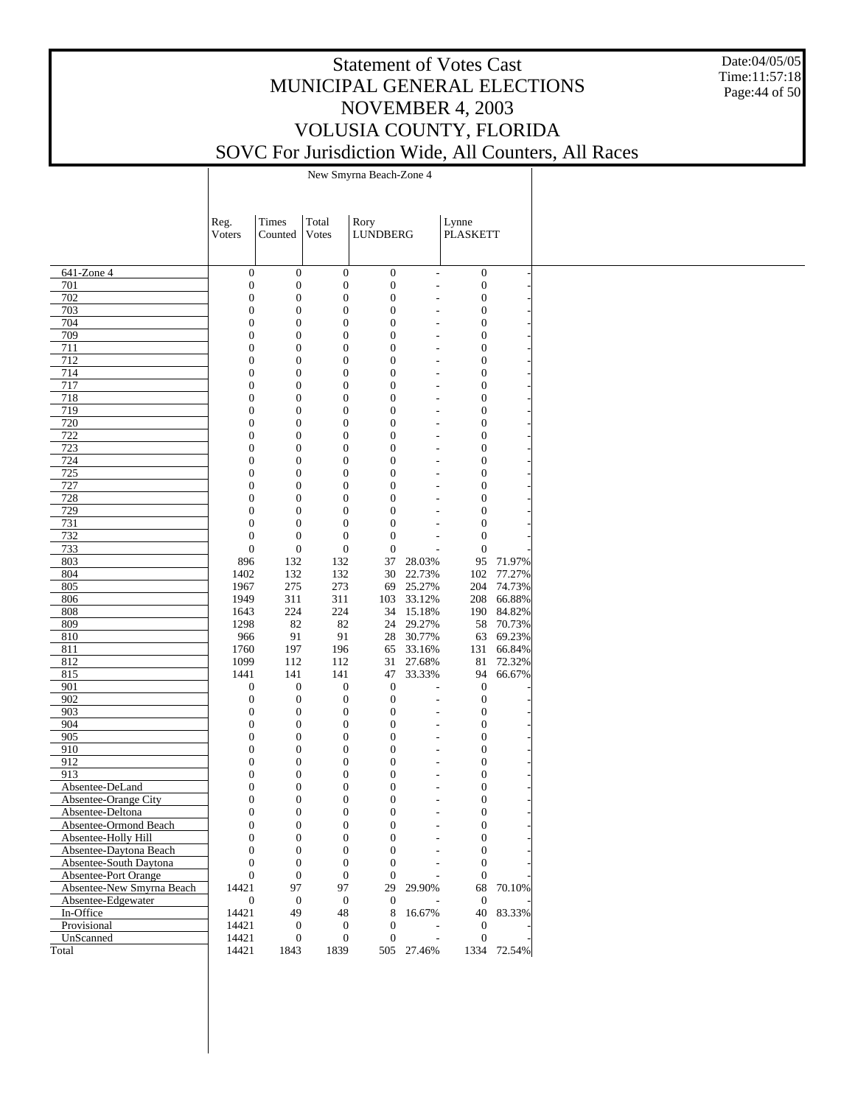#### Date:04/05/05 Time:11:57:18 Page:44 of 50

# Statement of Votes Cast MUNICIPAL GENERAL ELECTIONS NOVEMBER 4, 2003 VOLUSIA COUNTY, FLORIDA SOVC For Jurisdiction Wide, All Counters, All Races

New Smyrna Beach-Zone 4

|                           | Reg.                                 | Times                                | Total                                | Rory                                 | Lynne                    |                                  |             |
|---------------------------|--------------------------------------|--------------------------------------|--------------------------------------|--------------------------------------|--------------------------|----------------------------------|-------------|
|                           | Voters                               | Counted                              | Votes                                | <b>LUNDBERG</b>                      |                          | <b>PLASKETT</b>                  |             |
|                           |                                      |                                      |                                      |                                      |                          |                                  |             |
| 641-Zone 4<br>701         | $\boldsymbol{0}$<br>$\boldsymbol{0}$ | $\boldsymbol{0}$<br>$\boldsymbol{0}$ | $\boldsymbol{0}$<br>$\boldsymbol{0}$ | $\boldsymbol{0}$<br>$\boldsymbol{0}$ | $\mathbf{r}$             | $\mathbf{0}$<br>$\boldsymbol{0}$ |             |
| 702                       | $\boldsymbol{0}$                     | $\boldsymbol{0}$                     | $\mathbf{0}$                         | $\boldsymbol{0}$                     | ٠<br>٠                   | $\boldsymbol{0}$                 |             |
| 703                       | $\boldsymbol{0}$                     | $\boldsymbol{0}$                     | $\mathbf{0}$                         | $\boldsymbol{0}$                     | ٠                        | $\mathbf{0}$                     |             |
| 704                       | $\boldsymbol{0}$                     | $\boldsymbol{0}$                     | $\mathbf{0}$                         | $\boldsymbol{0}$                     | ٠                        | $\mathbf{0}$                     |             |
| 709                       | $\boldsymbol{0}$                     | $\boldsymbol{0}$                     | $\mathbf{0}$                         | $\boldsymbol{0}$                     | ٠                        | $\mathbf{0}$                     |             |
| 711                       | $\mathbf{0}$                         | $\boldsymbol{0}$                     | $\mathbf{0}$                         | $\boldsymbol{0}$                     |                          | $\mathbf{0}$                     |             |
| 712                       | $\boldsymbol{0}$                     | $\boldsymbol{0}$                     | $\mathbf{0}$                         | $\boldsymbol{0}$                     | ٠                        | $\mathbf{0}$                     |             |
| 714                       | $\mathbf{0}$                         | $\boldsymbol{0}$                     | $\mathbf{0}$                         | $\boldsymbol{0}$                     | ٠                        | $\mathbf{0}$                     |             |
| 717                       | $\boldsymbol{0}$                     | $\boldsymbol{0}$                     | $\mathbf{0}$                         | $\boldsymbol{0}$                     | ٠                        | $\mathbf{0}$                     |             |
| 718                       | $\mathbf{0}$                         | $\boldsymbol{0}$                     | $\mathbf{0}$                         | $\boldsymbol{0}$                     |                          | $\mathbf{0}$                     |             |
| 719                       | $\boldsymbol{0}$                     | $\boldsymbol{0}$                     | $\mathbf{0}$                         | $\boldsymbol{0}$                     | ٠                        | $\mathbf{0}$                     |             |
| 720                       | $\mathbf{0}$                         | $\boldsymbol{0}$                     | $\mathbf{0}$                         | $\boldsymbol{0}$                     | ٠                        | $\mathbf{0}$                     |             |
| 722                       | $\boldsymbol{0}$                     | $\boldsymbol{0}$                     | $\mathbf{0}$                         | $\boldsymbol{0}$                     | ٠                        | $\mathbf{0}$                     |             |
| 723                       | $\mathbf{0}$                         | $\boldsymbol{0}$                     | $\mathbf{0}$                         | $\boldsymbol{0}$                     | ٠                        | $\boldsymbol{0}$                 |             |
| 724                       | $\boldsymbol{0}$                     | $\boldsymbol{0}$                     | $\mathbf{0}$                         | $\boldsymbol{0}$                     | ٠                        | $\mathbf{0}$                     |             |
| 725                       | $\mathbf{0}$                         | $\boldsymbol{0}$                     | $\mathbf{0}$                         | $\boldsymbol{0}$                     | ٠                        | $\mathbf{0}$                     |             |
| 727                       | $\boldsymbol{0}$                     | $\boldsymbol{0}$                     | $\mathbf{0}$                         | $\boldsymbol{0}$                     | ٠                        | $\mathbf{0}$                     |             |
| 728                       | $\mathbf{0}$                         | $\boldsymbol{0}$                     | $\mathbf{0}$                         | $\boldsymbol{0}$                     |                          | $\mathbf{0}$                     |             |
| 729                       | $\boldsymbol{0}$                     | $\boldsymbol{0}$                     | $\mathbf{0}$                         | $\boldsymbol{0}$                     |                          | $\mathbf{0}$                     |             |
| 731                       | $\boldsymbol{0}$                     | $\boldsymbol{0}$                     | $\mathbf{0}$                         | $\boldsymbol{0}$                     |                          | $\mathbf{0}$                     |             |
| 732                       | $\boldsymbol{0}$                     | $\boldsymbol{0}$                     | $\mathbf{0}$                         | $\boldsymbol{0}$                     |                          | $\mathbf{0}$                     |             |
| 733                       | $\boldsymbol{0}$                     | $\boldsymbol{0}$                     | $\boldsymbol{0}$                     | $\boldsymbol{0}$                     | L,                       | $\mathbf{0}$                     |             |
| 803                       | 896                                  | 132                                  | 132                                  | 37                                   | 28.03%                   |                                  | 95 71.97%   |
| 804                       | 1402                                 | 132                                  | 132                                  | 30                                   | 22.73%                   |                                  | 102 77.27%  |
| 805                       | 1967                                 | 275                                  | 273                                  | 69                                   | 25.27%                   |                                  | 204 74.73%  |
| 806                       | 1949                                 | 311                                  | 311                                  | 103                                  | 33.12%                   |                                  | 208 66.88%  |
| 808                       | 1643                                 | 224                                  | 224                                  |                                      | 34 15.18%                |                                  | 190 84.82%  |
| 809                       | 1298                                 | 82                                   | 82                                   | 24                                   | 29.27%                   |                                  | 58 70.73%   |
| 810                       | 966                                  | 91                                   | 91                                   | 28                                   | 30.77%                   |                                  | 63 69.23%   |
| 811                       | 1760                                 | 197                                  | 196                                  | 65                                   | 33.16%                   |                                  | 131 66.84%  |
| 812                       | 1099                                 | 112                                  | 112                                  | 31                                   | 27.68%                   |                                  | 81 72.32%   |
| 815                       | 1441                                 | 141                                  | 141                                  | 47                                   | 33.33%                   | 94                               | 66.67%      |
| 901                       | $\boldsymbol{0}$                     | $\boldsymbol{0}$                     | $\boldsymbol{0}$                     | $\boldsymbol{0}$                     |                          | $\boldsymbol{0}$                 |             |
| 902                       | $\boldsymbol{0}$                     | $\boldsymbol{0}$                     | $\mathbf{0}$                         | $\boldsymbol{0}$                     | $\overline{a}$           | $\boldsymbol{0}$                 |             |
| 903                       | $\boldsymbol{0}$                     | $\boldsymbol{0}$                     | $\boldsymbol{0}$                     | $\boldsymbol{0}$                     | ٠                        | $\mathbf{0}$                     |             |
| 904                       | $\boldsymbol{0}$                     | $\boldsymbol{0}$                     | $\mathbf{0}$                         | $\boldsymbol{0}$                     | ٠                        | $\mathbf{0}$                     |             |
| 905                       | $\boldsymbol{0}$                     | $\boldsymbol{0}$                     | $\mathbf{0}$                         | $\boldsymbol{0}$                     | ٠                        | $\mathbf{0}$                     |             |
| 910                       | $\mathbf{0}$                         | $\boldsymbol{0}$                     | $\mathbf{0}$                         | $\boldsymbol{0}$                     |                          | $\mathbf{0}$                     |             |
| 912                       | $\boldsymbol{0}$                     | $\boldsymbol{0}$                     | $\mathbf{0}$                         | $\boldsymbol{0}$                     | ٠                        | $\mathbf{0}$                     |             |
| 913                       | $\mathbf{0}$                         | $\boldsymbol{0}$                     | $\mathbf{0}$                         | $\boldsymbol{0}$                     |                          | $\mathbf{0}$                     |             |
| Absentee-DeLand           | $\mathbf{0}$                         | $\boldsymbol{0}$                     | $\mathbf{0}$                         | $\mathbf{0}$                         |                          | $\mathbf{0}$                     |             |
| Absentee-Orange City      | $\mathbf{0}$                         | $\boldsymbol{0}$                     | $\mathbf{0}$                         | $\boldsymbol{0}$                     |                          | $\boldsymbol{0}$                 |             |
| Absentee-Deltona          | $\mathbf{0}$                         | $\boldsymbol{0}$                     | $\boldsymbol{0}$                     | $\boldsymbol{0}$<br>$\Omega$         |                          | $\mathbf{0}$                     |             |
| Absentee-Ormond Beach     | $\Omega$                             | $\mathbf{0}$                         | $\theta$                             |                                      |                          | $\overline{0}$                   |             |
| Absentee-Holly Hill       | $\boldsymbol{0}$                     | $\boldsymbol{0}$                     | $\boldsymbol{0}$                     | $\boldsymbol{0}$                     |                          | $\boldsymbol{0}$                 |             |
| Absentee-Daytona Beach    | $\boldsymbol{0}$                     | $\boldsymbol{0}$                     | $\boldsymbol{0}$                     | $\theta$                             |                          | $\boldsymbol{0}$                 |             |
| Absentee-South Daytona    | $\mathbf{0}$                         | $\boldsymbol{0}$                     | $\boldsymbol{0}$                     | $\overline{0}$                       |                          | $\mathbf{0}$                     |             |
| Absentee-Port Orange      | $\boldsymbol{0}$                     | $\boldsymbol{0}$                     | $\mathbf{0}$                         | $\mathbf{0}$                         |                          | $\mathbf{0}$                     |             |
| Absentee-New Smyrna Beach | 14421                                | 97                                   | 97                                   | 29                                   | 29.90%                   |                                  | 68 70.10%   |
| Absentee-Edgewater        | $\boldsymbol{0}$                     | $\boldsymbol{0}$                     | $\boldsymbol{0}$                     | $\mathbf{0}$                         |                          | $\mathbf{0}$                     | 40 83.33%   |
| In-Office<br>Provisional  | 14421<br>14421                       | 49                                   | 48<br>$\boldsymbol{0}$               | 8<br>$\theta$                        | 16.67%                   |                                  |             |
| UnScanned                 | 14421                                | $\boldsymbol{0}$<br>$\boldsymbol{0}$ | $\boldsymbol{0}$                     | $\mathbf{0}$                         | $\overline{\phantom{a}}$ | $\boldsymbol{0}$<br>$\mathbf{0}$ |             |
| Total                     | 14421                                | 1843                                 | 1839                                 |                                      | 505 27.46%               |                                  | 1334 72.54% |
|                           |                                      |                                      |                                      |                                      |                          |                                  |             |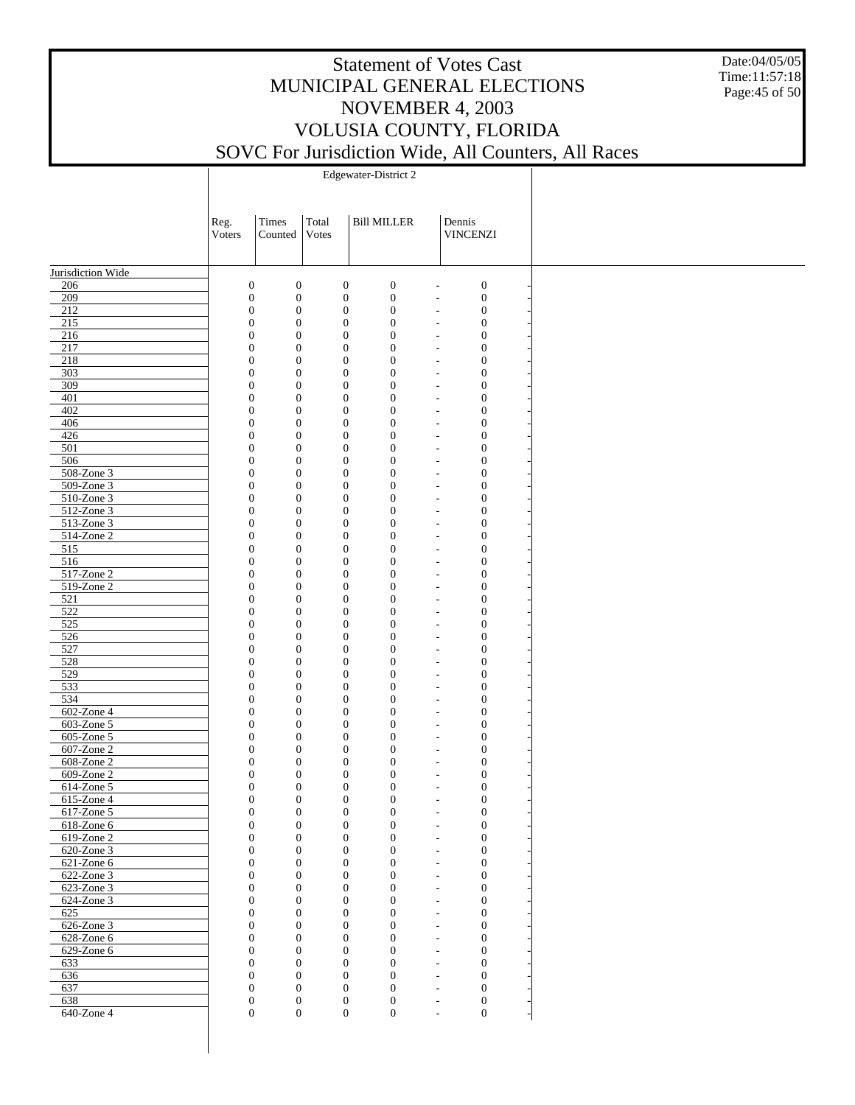Date:04/05/05 Time:11:57:18 Page:45 of 50

|                             | Reg.<br>Voters | Times<br>Counted                                                     | Total<br>Votes                       | <b>Bill MILLER</b>                   | Dennis<br><b>VINCENZI</b>                                                |  |
|-----------------------------|----------------|----------------------------------------------------------------------|--------------------------------------|--------------------------------------|--------------------------------------------------------------------------|--|
| Jurisdiction Wide           |                |                                                                      |                                      |                                      |                                                                          |  |
| 206                         |                | $\boldsymbol{0}$<br>$\boldsymbol{0}$                                 | $\boldsymbol{0}$                     | $\boldsymbol{0}$                     | $\boldsymbol{0}$<br>$\overline{\phantom{a}}$                             |  |
| 209                         |                | $\boldsymbol{0}$<br>$\mathbf{0}$                                     | $\boldsymbol{0}$                     | $\boldsymbol{0}$                     | $\boldsymbol{0}$<br>$\overline{\phantom{a}}$                             |  |
| 212                         |                | $\boldsymbol{0}$<br>$\mathbf{0}$                                     | $\boldsymbol{0}$                     | $\boldsymbol{0}$                     | $\boldsymbol{0}$<br>$\overline{\phantom{a}}$                             |  |
| 215                         |                | $\boldsymbol{0}$<br>$\mathbf{0}$                                     | $\boldsymbol{0}$                     | $\mathbf{0}$                         | $\boldsymbol{0}$<br>$\overline{\phantom{a}}$                             |  |
| 216                         |                | $\boldsymbol{0}$<br>$\mathbf{0}$                                     | $\boldsymbol{0}$                     | $\boldsymbol{0}$                     | $\boldsymbol{0}$<br>$\overline{\phantom{a}}$                             |  |
| 217                         |                | $\boldsymbol{0}$<br>$\mathbf{0}$                                     | $\boldsymbol{0}$                     | $\boldsymbol{0}$                     | $\boldsymbol{0}$<br>$\overline{\phantom{a}}$                             |  |
| 218<br>303                  |                | $\boldsymbol{0}$<br>$\mathbf{0}$<br>$\boldsymbol{0}$<br>$\mathbf{0}$ | $\boldsymbol{0}$<br>$\boldsymbol{0}$ | $\boldsymbol{0}$<br>$\boldsymbol{0}$ | $\boldsymbol{0}$<br>$\overline{\phantom{a}}$<br>$\boldsymbol{0}$         |  |
| 309                         |                | $\boldsymbol{0}$<br>$\mathbf{0}$                                     | $\boldsymbol{0}$                     | $\boldsymbol{0}$                     | $\overline{\phantom{a}}$<br>$\boldsymbol{0}$<br>$\overline{\phantom{a}}$ |  |
| 401                         |                | $\boldsymbol{0}$<br>$\mathbf{0}$                                     | $\boldsymbol{0}$                     | $\boldsymbol{0}$                     | $\boldsymbol{0}$<br>$\overline{\phantom{a}}$                             |  |
| 402                         |                | $\boldsymbol{0}$<br>$\mathbf{0}$                                     | $\boldsymbol{0}$                     | $\boldsymbol{0}$                     | $\boldsymbol{0}$<br>$\overline{\phantom{a}}$                             |  |
| 406                         |                | $\boldsymbol{0}$<br>$\mathbf{0}$                                     | $\boldsymbol{0}$                     | $\boldsymbol{0}$                     | $\boldsymbol{0}$<br>$\overline{\phantom{a}}$                             |  |
| 426                         |                | $\boldsymbol{0}$<br>$\mathbf{0}$                                     | $\boldsymbol{0}$                     | $\boldsymbol{0}$                     | $\boldsymbol{0}$<br>$\overline{\phantom{a}}$                             |  |
| 501                         |                | $\boldsymbol{0}$<br>$\mathbf{0}$                                     | $\boldsymbol{0}$                     | $\boldsymbol{0}$                     | $\boldsymbol{0}$<br>$\overline{\phantom{a}}$                             |  |
| 506                         |                | $\boldsymbol{0}$<br>$\mathbf{0}$                                     | $\boldsymbol{0}$                     | $\boldsymbol{0}$                     | $\boldsymbol{0}$<br>$\overline{\phantom{a}}$                             |  |
| $508 - Z$ one 3             |                | $\boldsymbol{0}$<br>$\mathbf{0}$                                     | $\boldsymbol{0}$                     | $\boldsymbol{0}$                     | $\boldsymbol{0}$<br>$\overline{\phantom{a}}$                             |  |
| $509-Zone3$                 |                | $\boldsymbol{0}$<br>$\mathbf{0}$                                     | $\boldsymbol{0}$                     | $\boldsymbol{0}$                     | $\boldsymbol{0}$<br>$\overline{\phantom{a}}$                             |  |
| $510$ -Zone 3               |                | $\boldsymbol{0}$<br>$\mathbf{0}$                                     | $\boldsymbol{0}$                     | $\boldsymbol{0}$                     | $\boldsymbol{0}$<br>$\overline{\phantom{a}}$                             |  |
| 512-Zone 3                  |                | $\boldsymbol{0}$<br>$\mathbf{0}$                                     | $\boldsymbol{0}$                     | $\boldsymbol{0}$                     | $\boldsymbol{0}$<br>$\overline{\phantom{a}}$                             |  |
| 513-Zone 3<br>514-Zone 2    |                | $\boldsymbol{0}$<br>$\mathbf{0}$<br>$\boldsymbol{0}$<br>$\mathbf{0}$ | $\boldsymbol{0}$<br>$\boldsymbol{0}$ | $\boldsymbol{0}$<br>$\boldsymbol{0}$ | $\boldsymbol{0}$<br>$\overline{\phantom{a}}$<br>$\boldsymbol{0}$         |  |
| 515                         |                | $\boldsymbol{0}$<br>$\mathbf{0}$                                     | $\boldsymbol{0}$                     | $\boldsymbol{0}$                     | $\overline{\phantom{a}}$<br>$\boldsymbol{0}$<br>$\overline{\phantom{a}}$ |  |
| 516                         |                | $\boldsymbol{0}$<br>$\mathbf{0}$                                     | $\boldsymbol{0}$                     | $\boldsymbol{0}$                     | $\boldsymbol{0}$<br>$\overline{\phantom{a}}$                             |  |
| 517-Zone 2                  |                | $\boldsymbol{0}$<br>$\mathbf{0}$                                     | $\boldsymbol{0}$                     | $\boldsymbol{0}$                     | $\boldsymbol{0}$<br>$\overline{\phantom{a}}$                             |  |
| 519-Zone 2                  |                | $\boldsymbol{0}$<br>$\mathbf{0}$                                     | $\boldsymbol{0}$                     | $\boldsymbol{0}$                     | $\boldsymbol{0}$<br>$\overline{\phantom{a}}$                             |  |
| 521                         |                | $\boldsymbol{0}$<br>$\mathbf{0}$                                     | $\boldsymbol{0}$                     | $\boldsymbol{0}$                     | $\boldsymbol{0}$<br>$\overline{\phantom{a}}$                             |  |
| 522                         |                | $\boldsymbol{0}$<br>$\mathbf{0}$                                     | $\boldsymbol{0}$                     | $\boldsymbol{0}$                     | $\boldsymbol{0}$<br>$\overline{\phantom{a}}$                             |  |
| 525                         |                | $\boldsymbol{0}$<br>$\mathbf{0}$                                     | $\boldsymbol{0}$                     | $\boldsymbol{0}$                     | $\boldsymbol{0}$<br>$\overline{\phantom{a}}$                             |  |
| $\overline{526}$            |                | $\boldsymbol{0}$<br>$\mathbf{0}$                                     | $\boldsymbol{0}$                     | $\boldsymbol{0}$                     | $\boldsymbol{0}$<br>$\overline{\phantom{a}}$                             |  |
| 527                         |                | $\boldsymbol{0}$<br>$\mathbf{0}$                                     | $\boldsymbol{0}$                     | $\boldsymbol{0}$                     | $\boldsymbol{0}$<br>$\overline{\phantom{a}}$                             |  |
| 528                         |                | $\boldsymbol{0}$<br>$\mathbf{0}$                                     | $\boldsymbol{0}$                     | $\boldsymbol{0}$                     | $\boldsymbol{0}$<br>$\overline{\phantom{a}}$                             |  |
| 529                         |                | $\boldsymbol{0}$<br>$\mathbf{0}$                                     | $\boldsymbol{0}$                     | $\boldsymbol{0}$                     | $\boldsymbol{0}$<br>$\overline{\phantom{a}}$                             |  |
| 533                         |                | $\boldsymbol{0}$<br>$\mathbf{0}$                                     | $\boldsymbol{0}$                     | $\boldsymbol{0}$                     | $\boldsymbol{0}$<br>$\overline{\phantom{a}}$                             |  |
| 534                         |                | $\boldsymbol{0}$<br>$\mathbf{0}$                                     | $\boldsymbol{0}$                     | $\boldsymbol{0}$                     | $\boldsymbol{0}$<br>$\overline{\phantom{a}}$                             |  |
| 602-Zone 4                  |                | $\boldsymbol{0}$<br>$\mathbf{0}$                                     | $\boldsymbol{0}$                     | $\boldsymbol{0}$                     | $\boldsymbol{0}$<br>$\overline{\phantom{a}}$                             |  |
| 603-Zone 5<br>$605$ -Zone 5 |                | $\boldsymbol{0}$<br>$\mathbf{0}$<br>$\boldsymbol{0}$<br>$\mathbf{0}$ | $\boldsymbol{0}$<br>$\boldsymbol{0}$ | $\boldsymbol{0}$<br>$\boldsymbol{0}$ | $\boldsymbol{0}$<br>$\overline{\phantom{a}}$<br>$\boldsymbol{0}$         |  |
| 607-Zone 2                  |                | $\boldsymbol{0}$<br>$\mathbf{0}$                                     | $\boldsymbol{0}$                     | $\boldsymbol{0}$                     | $\overline{\phantom{a}}$<br>$\boldsymbol{0}$<br>$\overline{\phantom{a}}$ |  |
| $608 - Z$ one 2             |                | $\boldsymbol{0}$<br>$\mathbf{0}$                                     | $\boldsymbol{0}$                     | $\boldsymbol{0}$                     | $\boldsymbol{0}$<br>$\overline{\phantom{a}}$                             |  |
| $609-Zone2$                 |                | $\boldsymbol{0}$<br>$\mathbf{0}$                                     | $\boldsymbol{0}$                     | $\mathbf{0}$                         | $\boldsymbol{0}$<br>$\overline{\phantom{a}}$                             |  |
| 614-Zone 5                  |                | $\boldsymbol{0}$<br>$\mathbf{0}$                                     | $\boldsymbol{0}$                     | $\boldsymbol{0}$                     | $\boldsymbol{0}$<br>$\overline{\phantom{a}}$                             |  |
| 615-Zone 4                  |                | $\boldsymbol{0}$<br>$\mathbf{0}$                                     | $\boldsymbol{0}$                     | $\mathbf{0}$                         | $\boldsymbol{0}$<br>$\overline{\phantom{a}}$                             |  |
| 617-Zone 5                  |                | $\boldsymbol{0}$<br>$\boldsymbol{0}$                                 | $\boldsymbol{0}$                     | $\boldsymbol{0}$                     | $\boldsymbol{0}$<br>$\overline{\phantom{a}}$                             |  |
| 618-Zone 6                  |                | $\boldsymbol{0}$<br>$\mathbf{0}$                                     | $\boldsymbol{0}$                     | 0                                    | 0                                                                        |  |
| 619-Zone 2                  |                | $\boldsymbol{0}$<br>$\boldsymbol{0}$                                 | $\boldsymbol{0}$                     | $\boldsymbol{0}$                     | $\boldsymbol{0}$<br>$\overline{\phantom{a}}$                             |  |
| 620-Zone 3                  |                | $\boldsymbol{0}$<br>$\mathbf{0}$                                     | $\boldsymbol{0}$                     | $\mathbf{0}$                         | $\boldsymbol{0}$<br>$\overline{\phantom{a}}$                             |  |
| $621$ -Zone $6$             |                | $\boldsymbol{0}$<br>$\mathbf{0}$                                     | $\boldsymbol{0}$                     | $\boldsymbol{0}$                     | $\mathbf{0}$<br>$\overline{\phantom{a}}$                                 |  |
| 622-Zone 3                  |                | $\boldsymbol{0}$<br>$\mathbf{0}$                                     | $\boldsymbol{0}$                     | $\boldsymbol{0}$                     | $\boldsymbol{0}$<br>$\overline{\phantom{a}}$                             |  |
| 623-Zone 3                  |                | $\boldsymbol{0}$<br>$\mathbf{0}$                                     | $\boldsymbol{0}$                     | $\boldsymbol{0}$                     | $\mathbf{0}$<br>$\overline{\phantom{a}}$                                 |  |
| 624-Zone 3<br>625           |                | $\boldsymbol{0}$<br>$\mathbf{0}$<br>$\boldsymbol{0}$<br>$\mathbf{0}$ | $\boldsymbol{0}$<br>$\boldsymbol{0}$ | $\boldsymbol{0}$<br>$\boldsymbol{0}$ | $\boldsymbol{0}$<br>$\overline{\phantom{a}}$<br>$\mathbf{0}$             |  |
| $626$ -Zone 3               |                | $\boldsymbol{0}$<br>$\mathbf{0}$                                     | $\boldsymbol{0}$                     | $\mathbf{0}$                         | $\overline{\phantom{a}}$<br>$\boldsymbol{0}$<br>$\overline{\phantom{a}}$ |  |
| $628$ -Zone $6$             |                | $\boldsymbol{0}$<br>$\mathbf{0}$                                     | $\boldsymbol{0}$                     | $\boldsymbol{0}$                     | $\boldsymbol{0}$<br>$\overline{\phantom{a}}$                             |  |
| 629-Zone 6                  |                | $\boldsymbol{0}$<br>$\mathbf{0}$                                     | $\boldsymbol{0}$                     | $\boldsymbol{0}$                     | $\boldsymbol{0}$<br>$\overline{\phantom{a}}$                             |  |
| 633                         |                | $\boldsymbol{0}$<br>$\mathbf{0}$                                     | $\boldsymbol{0}$                     | $\boldsymbol{0}$                     | $\boldsymbol{0}$<br>$\overline{\phantom{a}}$                             |  |
| 636                         |                | $\boldsymbol{0}$<br>$\mathbf{0}$                                     | $\boldsymbol{0}$                     | $\boldsymbol{0}$                     | $\boldsymbol{0}$<br>$\overline{\phantom{a}}$                             |  |
| 637                         |                | $\boldsymbol{0}$<br>$\mathbf{0}$                                     | $\boldsymbol{0}$                     | $\boldsymbol{0}$                     | $\boldsymbol{0}$<br>$\overline{\phantom{a}}$                             |  |
| 638                         |                | $\boldsymbol{0}$<br>$\boldsymbol{0}$                                 |                                      | $\mathbf{0}$<br>$\boldsymbol{0}$     | $\boldsymbol{0}$<br>$\overline{\phantom{a}}$                             |  |
| 640-Zone 4                  |                | $\mathbf{0}$<br>$\boldsymbol{0}$                                     |                                      | $\mathbf{0}$<br>$\boldsymbol{0}$     | $\boldsymbol{0}$<br>$\overline{\phantom{a}}$                             |  |
|                             |                |                                                                      |                                      |                                      |                                                                          |  |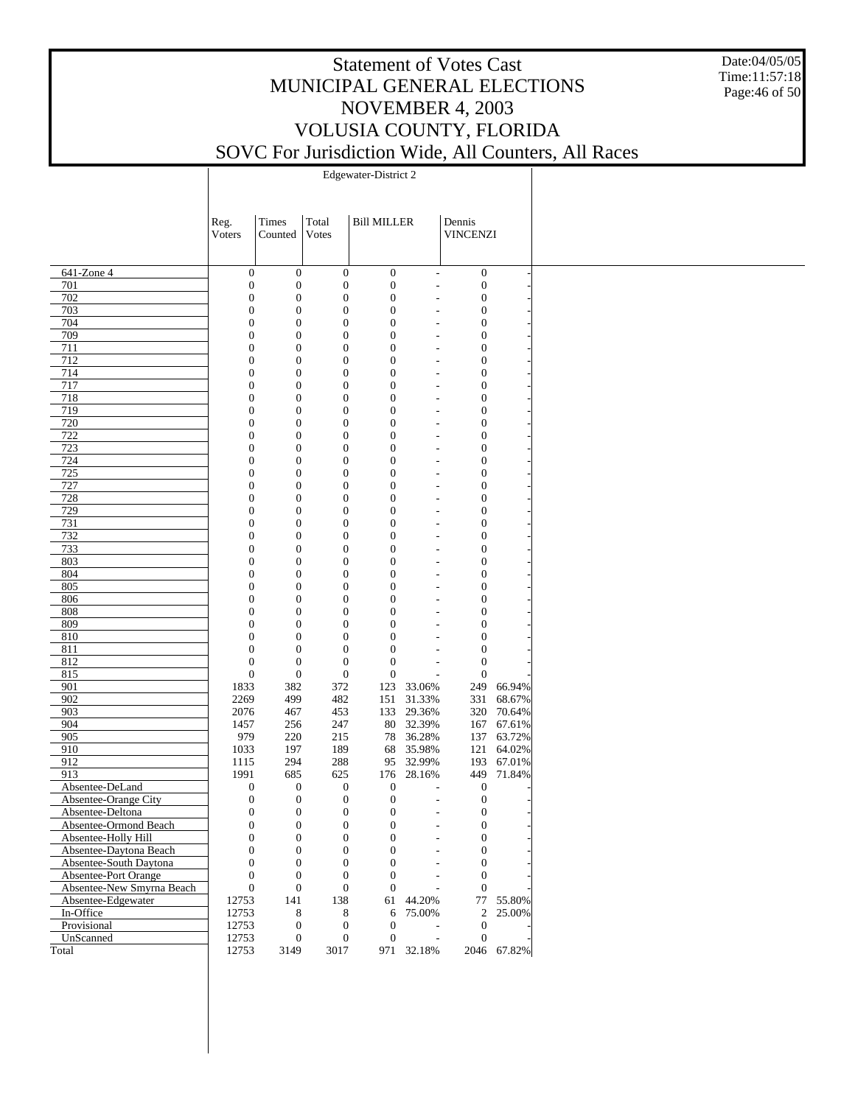Date:04/05/05 Time:11:57:18 Page:46 of 50

|                           | Reg.                         | Times                        | Total                                | <b>Bill MILLER</b>                   |                                  | Dennis                               |             |
|---------------------------|------------------------------|------------------------------|--------------------------------------|--------------------------------------|----------------------------------|--------------------------------------|-------------|
|                           | Voters                       | Counted                      | Votes                                |                                      |                                  | <b>VINCENZI</b>                      |             |
|                           |                              |                              |                                      |                                      |                                  |                                      |             |
| $641$ -Zone 4             | $\boldsymbol{0}$             | $\mathbf{0}$                 | $\mathbf{0}$                         | $\boldsymbol{0}$                     | $\overline{\phantom{a}}$         | $\boldsymbol{0}$                     |             |
| 701                       | $\boldsymbol{0}$             | $\mathbf{0}$                 | $\boldsymbol{0}$                     | $\boldsymbol{0}$                     | $\overline{a}$                   | $\boldsymbol{0}$                     |             |
| 702                       | $\mathbf{0}$                 | $\mathbf{0}$                 | $\boldsymbol{0}$                     | $\boldsymbol{0}$                     | $\overline{a}$                   | $\boldsymbol{0}$                     |             |
| 703                       | $\mathbf{0}$                 | $\mathbf{0}$                 | $\boldsymbol{0}$                     | $\boldsymbol{0}$                     |                                  | $\boldsymbol{0}$                     |             |
| 704                       | $\mathbf{0}$                 | $\mathbf{0}$                 | $\boldsymbol{0}$                     | $\boldsymbol{0}$                     |                                  | $\boldsymbol{0}$                     |             |
| 709                       | $\mathbf{0}$                 | $\mathbf{0}$                 | $\boldsymbol{0}$                     | $\boldsymbol{0}$                     |                                  | $\boldsymbol{0}$                     |             |
| 711                       | $\mathbf{0}$                 | $\mathbf{0}$                 | $\boldsymbol{0}$                     | $\boldsymbol{0}$                     | $\overline{a}$                   | $\boldsymbol{0}$                     |             |
| 712                       | $\mathbf{0}$                 | $\mathbf{0}$                 | $\boldsymbol{0}$                     | $\boldsymbol{0}$                     | $\overline{a}$                   | $\boldsymbol{0}$                     |             |
| 714                       | $\mathbf{0}$                 | $\mathbf{0}$                 | $\boldsymbol{0}$                     | $\boldsymbol{0}$                     | $\overline{a}$                   | $\boldsymbol{0}$                     |             |
| 717                       | $\mathbf{0}$                 | $\mathbf{0}$                 | $\boldsymbol{0}$                     | $\boldsymbol{0}$                     | $\overline{a}$                   | $\boldsymbol{0}$                     |             |
| 718<br>719                | $\mathbf{0}$<br>$\mathbf{0}$ | $\mathbf{0}$<br>$\mathbf{0}$ | $\boldsymbol{0}$<br>$\boldsymbol{0}$ | $\boldsymbol{0}$<br>$\boldsymbol{0}$ | $\overline{a}$                   | $\boldsymbol{0}$<br>$\boldsymbol{0}$ |             |
| 720                       | $\mathbf{0}$                 | $\mathbf{0}$                 | $\boldsymbol{0}$                     | $\boldsymbol{0}$                     | $\overline{a}$<br>$\overline{a}$ | $\boldsymbol{0}$                     |             |
| 722                       | $\boldsymbol{0}$             | $\mathbf{0}$                 | $\boldsymbol{0}$                     | $\boldsymbol{0}$                     | $\overline{a}$                   | $\boldsymbol{0}$                     |             |
| 723                       | $\mathbf{0}$                 | $\mathbf{0}$                 | $\boldsymbol{0}$                     | $\boldsymbol{0}$                     | $\overline{a}$                   | $\boldsymbol{0}$                     |             |
| 724                       | $\mathbf{0}$                 | $\mathbf{0}$                 | $\overline{0}$                       | $\boldsymbol{0}$                     | $\overline{a}$                   | $\boldsymbol{0}$                     |             |
| 725                       | $\mathbf{0}$                 | $\mathbf{0}$                 | $\boldsymbol{0}$                     | $\boldsymbol{0}$                     | $\overline{a}$                   | $\boldsymbol{0}$                     |             |
| 727                       | $\mathbf{0}$                 | $\mathbf{0}$                 | $\boldsymbol{0}$                     | $\boldsymbol{0}$                     | $\overline{a}$                   | $\boldsymbol{0}$                     |             |
| 728                       | $\mathbf{0}$                 | $\mathbf{0}$                 | $\boldsymbol{0}$                     | $\boldsymbol{0}$                     | $\overline{a}$                   | $\boldsymbol{0}$                     |             |
| 729                       | $\mathbf{0}$                 | $\mathbf{0}$                 | $\boldsymbol{0}$                     | $\boldsymbol{0}$                     | $\overline{a}$                   | $\boldsymbol{0}$                     |             |
| 731                       | $\mathbf{0}$                 | $\mathbf{0}$                 | $\boldsymbol{0}$                     | $\boldsymbol{0}$                     | $\overline{a}$                   | $\boldsymbol{0}$                     |             |
| 732                       | $\mathbf{0}$                 | $\mathbf{0}$                 | $\boldsymbol{0}$                     | $\boldsymbol{0}$                     | $\overline{a}$                   | $\boldsymbol{0}$                     |             |
| 733                       | $\mathbf{0}$                 | $\mathbf{0}$                 | $\boldsymbol{0}$                     | $\boldsymbol{0}$                     | $\overline{a}$                   | $\boldsymbol{0}$                     |             |
| 803                       | $\mathbf{0}$                 | $\mathbf{0}$                 | $\overline{0}$                       | $\boldsymbol{0}$                     | $\overline{a}$                   | $\boldsymbol{0}$                     |             |
| 804                       | $\mathbf{0}$                 | $\mathbf{0}$                 | $\boldsymbol{0}$                     | $\boldsymbol{0}$                     | $\overline{a}$                   | $\boldsymbol{0}$                     |             |
| 805                       | $\mathbf{0}$                 | $\mathbf{0}$                 | $\boldsymbol{0}$                     | $\boldsymbol{0}$                     | $\overline{a}$                   | $\boldsymbol{0}$                     |             |
| 806                       | $\mathbf{0}$                 | $\mathbf{0}$                 | $\boldsymbol{0}$                     | $\boldsymbol{0}$                     | $\overline{a}$                   | $\boldsymbol{0}$                     |             |
| 808                       | $\mathbf{0}$                 | $\mathbf{0}$                 | $\boldsymbol{0}$                     | $\boldsymbol{0}$                     |                                  | $\boldsymbol{0}$                     |             |
| 809                       | $\mathbf{0}$                 | $\mathbf{0}$                 | $\boldsymbol{0}$                     | $\boldsymbol{0}$                     |                                  | $\boldsymbol{0}$                     |             |
| 810                       | $\mathbf{0}$                 | $\mathbf{0}$                 | $\overline{0}$                       | $\boldsymbol{0}$                     | $\overline{\phantom{a}}$         | $\boldsymbol{0}$                     |             |
| 811                       | $\mathbf{0}$                 | $\mathbf{0}$                 | $\mathbf{0}$                         | $\boldsymbol{0}$                     |                                  | $\boldsymbol{0}$                     |             |
| 812                       | $\mathbf{0}$                 | $\boldsymbol{0}$             | $\boldsymbol{0}$                     | $\boldsymbol{0}$                     | $\overline{a}$                   | $\boldsymbol{0}$                     |             |
| 815                       | $\overline{0}$               | $\mathbf{0}$                 | $\boldsymbol{0}$                     | $\boldsymbol{0}$                     | $\overline{a}$                   | $\boldsymbol{0}$                     |             |
| 901                       | 1833                         | 382                          | 372                                  | 123                                  | 33.06%                           | 249                                  | 66.94%      |
| 902                       | 2269                         | 499                          | 482                                  | 151                                  | 31.33%                           | 331                                  | 68.67%      |
| 903                       | 2076                         | 467                          | 453                                  | 133                                  | 29.36%                           | 320                                  | 70.64%      |
| 904                       | 1457                         | 256                          | 247                                  | 80                                   | 32.39%                           | 167                                  | 67.61%      |
| 905                       | 979                          | 220                          | 215                                  |                                      | 78 36.28%                        |                                      | 137 63.72%  |
| 910                       | 1033                         | 197                          | 189                                  | 68                                   | 35.98%                           |                                      | 121 64.02%  |
| $\overline{912}$          | 1115                         | 294                          | 288                                  | 95                                   | 32.99%                           |                                      | 193 67.01%  |
| 913                       | 1991                         | 685                          | 625                                  | 176                                  | 28.16%                           |                                      | 449 71.84%  |
| Absentee-DeLand           | $\mathbf{0}$                 | $\mathbf{0}$                 | $\boldsymbol{0}$                     | $\boldsymbol{0}$                     |                                  | $\boldsymbol{0}$                     |             |
| Absentee-Orange City      | $\mathbf{0}$                 | $\boldsymbol{0}$             | $\boldsymbol{0}$                     | $\boldsymbol{0}$                     |                                  | $\boldsymbol{0}$                     |             |
| Absentee-Deltona          | $\boldsymbol{0}$             | $\mathbf{0}$                 | $\overline{0}$                       | $\boldsymbol{0}$                     | $\overline{\phantom{a}}$         | $\boldsymbol{0}$                     |             |
| Absentee-Ormond Beach     | $\boldsymbol{0}$             | $\boldsymbol{0}$             | $\boldsymbol{0}$                     | $\boldsymbol{0}$                     |                                  | $\boldsymbol{0}$                     |             |
| Absentee-Holly Hill       | $\mathbf{0}$                 | $\mathbf{0}$                 | $\boldsymbol{0}$                     | $\boldsymbol{0}$                     |                                  | $\boldsymbol{0}$                     |             |
| Absentee-Daytona Beach    | $\mathbf{0}$                 | $\mathbf{0}$                 | $\boldsymbol{0}$                     | $\mathbf{0}$                         |                                  | $\boldsymbol{0}$                     |             |
| Absentee-South Daytona    | $\overline{0}$               | $\mathbf{0}$                 | $\mathbf{0}$                         | $\mathbf{0}$                         |                                  | $\boldsymbol{0}$                     |             |
| Absentee-Port Orange      | $\overline{0}$               | $\boldsymbol{0}$             | $\boldsymbol{0}$                     | $\mathbf{0}$                         |                                  | $\boldsymbol{0}$                     |             |
| Absentee-New Smyrna Beach | $\mathbf{0}$                 | $\mathbf{0}$                 | $\boldsymbol{0}$                     | $\mathbf{0}$                         |                                  | $\boldsymbol{0}$                     |             |
| Absentee-Edgewater        | 12753                        | 141                          | 138                                  |                                      | 61 44.20%                        |                                      | 77 55.80%   |
| In-Office                 | 12753                        | 8                            | 8                                    | 6                                    | 75.00%                           |                                      | 2 25.00%    |
| Provisional               | 12753                        | $\mathbf{0}$                 | $\boldsymbol{0}$                     | $\boldsymbol{0}$                     | $\overline{\phantom{a}}$         | $\boldsymbol{0}$                     |             |
| UnScanned                 | 12753                        | $\mathbf{0}$                 | 0                                    | $\boldsymbol{0}$                     | $\overline{\phantom{a}}$         | $\boldsymbol{0}$                     |             |
| Total                     | 12753                        | 3149                         | 3017                                 |                                      | 971 32.18%                       |                                      | 2046 67.82% |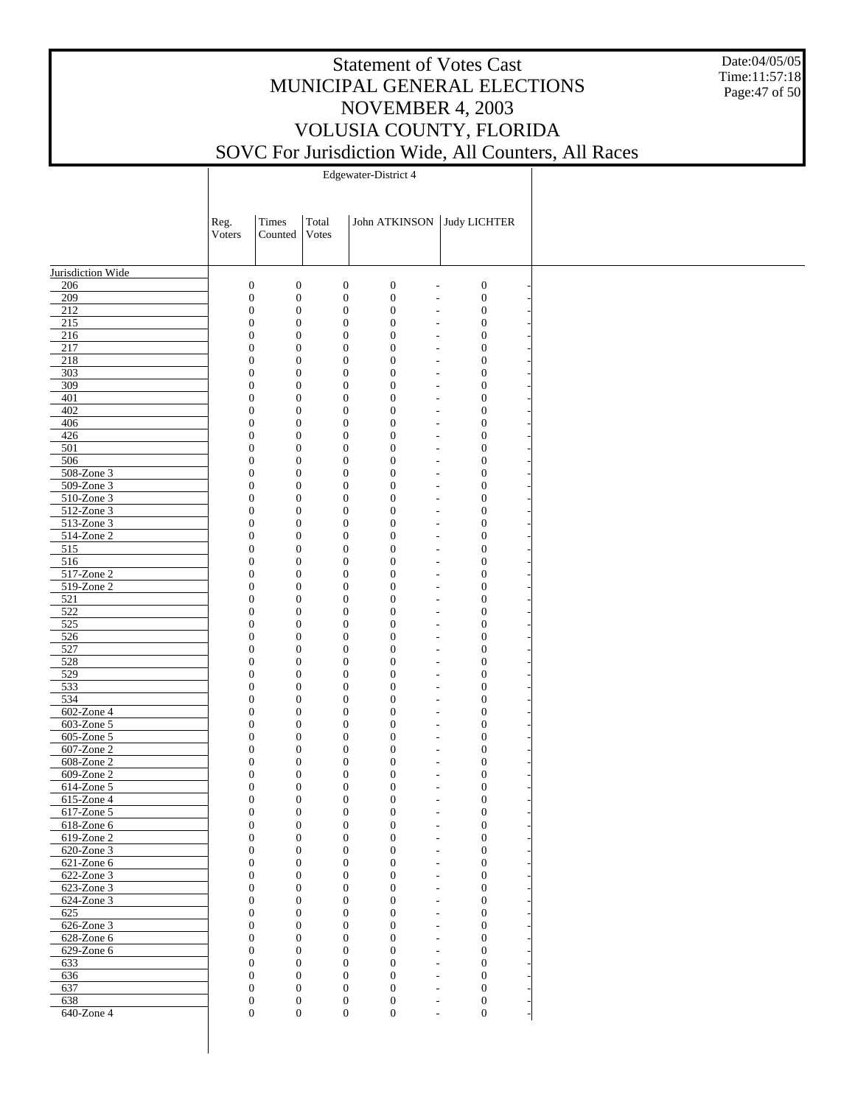Date:04/05/05 Time:11:57:18 Page:47 of 50

|                   | Reg.<br>Voters                       | Times<br>Counted                     | Total<br>Votes                       | John ATKINSON                                                          | Judy LICHTER                       |  |
|-------------------|--------------------------------------|--------------------------------------|--------------------------------------|------------------------------------------------------------------------|------------------------------------|--|
|                   |                                      |                                      |                                      |                                                                        |                                    |  |
| Jurisdiction Wide |                                      |                                      |                                      |                                                                        |                                    |  |
| 206               | $\boldsymbol{0}$                     | $\boldsymbol{0}$                     | $\boldsymbol{0}$                     | $\boldsymbol{0}$                                                       | $\boldsymbol{0}$<br>$\overline{a}$ |  |
| 209               | $\boldsymbol{0}$                     | $\boldsymbol{0}$                     | $\boldsymbol{0}$                     | $\mathbf{0}$<br>$\overline{\phantom{a}}$                               | $\boldsymbol{0}$                   |  |
| 212               | $\boldsymbol{0}$                     | $\boldsymbol{0}$                     | $\boldsymbol{0}$                     | $\boldsymbol{0}$<br>$\overline{a}$                                     | $\boldsymbol{0}$                   |  |
| $215$             | $\boldsymbol{0}$                     | $\boldsymbol{0}$                     | $\boldsymbol{0}$                     | $\boldsymbol{0}$<br>$\overline{\phantom{0}}$                           | $\mathbf{0}$                       |  |
| 216               | $\boldsymbol{0}$                     | $\boldsymbol{0}$                     | $\boldsymbol{0}$                     | $\boldsymbol{0}$                                                       | $\mathbf{0}$<br>$\overline{a}$     |  |
| 217               | $\boldsymbol{0}$                     | $\boldsymbol{0}$                     | $\boldsymbol{0}$                     | $\boldsymbol{0}$<br>$\overline{\phantom{0}}$                           | $\mathbf{0}$                       |  |
| 218               | $\boldsymbol{0}$                     | $\boldsymbol{0}$                     | $\boldsymbol{0}$                     | $\boldsymbol{0}$<br>$\overline{a}$                                     | $\mathbf{0}$                       |  |
| 303               | $\boldsymbol{0}$                     | $\boldsymbol{0}$                     | $\boldsymbol{0}$                     | $\boldsymbol{0}$<br>$\overline{\phantom{a}}$                           | $\mathbf{0}$                       |  |
| 309               | $\boldsymbol{0}$                     | $\boldsymbol{0}$                     | $\boldsymbol{0}$                     | $\boldsymbol{0}$<br>$\overline{a}$                                     | $\mathbf{0}$                       |  |
| 401               | $\boldsymbol{0}$                     | $\boldsymbol{0}$                     | $\boldsymbol{0}$                     | $\boldsymbol{0}$<br>$\overline{\phantom{a}}$<br>$\boldsymbol{0}$       | $\mathbf{0}$<br>$\mathbf{0}$       |  |
| 402<br>406        | $\boldsymbol{0}$<br>$\boldsymbol{0}$ | $\boldsymbol{0}$<br>$\boldsymbol{0}$ | $\boldsymbol{0}$<br>$\boldsymbol{0}$ | $\overline{a}$<br>$\boldsymbol{0}$                                     | $\mathbf{0}$                       |  |
| 426               | $\boldsymbol{0}$                     | $\boldsymbol{0}$                     | $\boldsymbol{0}$                     | $\overline{\phantom{a}}$<br>$\boldsymbol{0}$<br>$\overline{a}$         | $\mathbf{0}$                       |  |
| 501               | $\boldsymbol{0}$                     | $\boldsymbol{0}$                     | $\boldsymbol{0}$                     | $\boldsymbol{0}$<br>$\overline{\phantom{a}}$                           | $\mathbf{0}$                       |  |
| 506               | $\boldsymbol{0}$                     | $\boldsymbol{0}$                     | $\boldsymbol{0}$                     | $\boldsymbol{0}$<br>$\overline{\phantom{a}}$                           | $\mathbf{0}$                       |  |
| 508-Zone 3        | $\boldsymbol{0}$                     | $\boldsymbol{0}$                     | $\boldsymbol{0}$                     | $\boldsymbol{0}$<br>$\overline{\phantom{a}}$                           | $\mathbf{0}$                       |  |
| 509-Zone 3        | $\boldsymbol{0}$                     | $\boldsymbol{0}$                     | $\boldsymbol{0}$                     | $\boldsymbol{0}$<br>$\overline{a}$                                     | $\mathbf{0}$                       |  |
| 510-Zone 3        | $\boldsymbol{0}$                     | $\boldsymbol{0}$                     | $\boldsymbol{0}$                     | $\boldsymbol{0}$<br>$\overline{\phantom{a}}$                           | $\mathbf{0}$                       |  |
| $512$ -Zone 3     | $\boldsymbol{0}$                     | $\boldsymbol{0}$                     | $\boldsymbol{0}$                     | $\boldsymbol{0}$<br>$\overline{\phantom{a}}$                           | $\mathbf{0}$                       |  |
| $513$ -Zone 3     | $\boldsymbol{0}$                     | $\boldsymbol{0}$                     | $\boldsymbol{0}$                     | $\boldsymbol{0}$<br>$\overline{\phantom{a}}$                           | $\mathbf{0}$                       |  |
| $514$ -Zone $2$   | $\boldsymbol{0}$                     | $\boldsymbol{0}$                     | $\boldsymbol{0}$                     | $\boldsymbol{0}$<br>$\overline{\phantom{a}}$                           | $\mathbf{0}$                       |  |
| 515               | $\boldsymbol{0}$                     | $\boldsymbol{0}$                     | $\boldsymbol{0}$                     | $\boldsymbol{0}$<br>$\overline{\phantom{a}}$                           | $\mathbf{0}$                       |  |
| 516               | $\boldsymbol{0}$                     | $\boldsymbol{0}$                     | $\boldsymbol{0}$                     | $\boldsymbol{0}$<br>$\overline{\phantom{a}}$                           | $\mathbf{0}$                       |  |
| 517-Zone 2        | $\boldsymbol{0}$                     | $\boldsymbol{0}$                     | $\boldsymbol{0}$                     | $\boldsymbol{0}$<br>$\overline{\phantom{a}}$                           | $\mathbf{0}$                       |  |
| 519-Zone 2        | $\boldsymbol{0}$                     | $\boldsymbol{0}$                     | $\boldsymbol{0}$                     | $\boldsymbol{0}$<br>$\overline{\phantom{a}}$                           | $\mathbf{0}$                       |  |
| 521               | $\boldsymbol{0}$                     | $\boldsymbol{0}$                     | $\boldsymbol{0}$                     | $\boldsymbol{0}$<br>$\overline{\phantom{a}}$                           | $\mathbf{0}$                       |  |
| 522               | $\boldsymbol{0}$                     | $\boldsymbol{0}$                     | $\boldsymbol{0}$                     | $\boldsymbol{0}$<br>$\overline{\phantom{a}}$                           | $\mathbf{0}$                       |  |
| 525               | $\boldsymbol{0}$                     | $\boldsymbol{0}$                     | $\boldsymbol{0}$                     | $\boldsymbol{0}$<br>$\overline{\phantom{a}}$                           | $\mathbf{0}$                       |  |
| 526               | $\boldsymbol{0}$                     | $\boldsymbol{0}$                     | $\boldsymbol{0}$                     | $\boldsymbol{0}$<br>$\overline{\phantom{a}}$                           | $\mathbf{0}$                       |  |
| 527               | $\boldsymbol{0}$                     | $\boldsymbol{0}$                     | $\boldsymbol{0}$                     | $\boldsymbol{0}$<br>$\overline{\phantom{a}}$                           | $\mathbf{0}$                       |  |
| 528               | $\boldsymbol{0}$                     | $\boldsymbol{0}$                     | $\boldsymbol{0}$                     | $\boldsymbol{0}$<br>$\overline{\phantom{a}}$                           | $\mathbf{0}$                       |  |
| 529               | $\boldsymbol{0}$                     | $\boldsymbol{0}$                     | $\boldsymbol{0}$                     | $\boldsymbol{0}$<br>$\overline{\phantom{a}}$                           | $\mathbf{0}$                       |  |
| 533               | $\boldsymbol{0}$                     | $\boldsymbol{0}$                     | $\boldsymbol{0}$                     | $\boldsymbol{0}$<br>$\overline{a}$                                     | $\mathbf{0}$                       |  |
| 534               | $\boldsymbol{0}$                     | $\boldsymbol{0}$                     | $\boldsymbol{0}$                     | $\boldsymbol{0}$<br>$\overline{\phantom{a}}$                           | $\mathbf{0}$                       |  |
| 602-Zone 4        | $\boldsymbol{0}$                     | $\boldsymbol{0}$                     | $\boldsymbol{0}$                     | $\boldsymbol{0}$<br>$\overline{\phantom{a}}$                           | $\mathbf{0}$                       |  |
| 603-Zone 5        | $\boldsymbol{0}$                     | $\boldsymbol{0}$                     | $\boldsymbol{0}$                     | $\boldsymbol{0}$<br>$\overline{\phantom{a}}$                           | $\mathbf{0}$                       |  |
| 605-Zone 5        | $\boldsymbol{0}$                     | $\boldsymbol{0}$                     | $\boldsymbol{0}$                     | $\boldsymbol{0}$                                                       | $\mathbf{0}$<br>$\overline{a}$     |  |
| 607-Zone 2        | $\boldsymbol{0}$                     | $\boldsymbol{0}$                     | $\boldsymbol{0}$                     | $\boldsymbol{0}$<br>$\overline{\phantom{a}}$                           | $\mathbf{0}$                       |  |
| 608-Zone 2        | $\boldsymbol{0}$                     | $\boldsymbol{0}$                     | $\boldsymbol{0}$                     | $\boldsymbol{0}$                                                       | $\mathbf{0}$<br>$\overline{a}$     |  |
| $609$ -Zone 2     | $\boldsymbol{0}$                     | $\boldsymbol{0}$                     | $\boldsymbol{0}$                     | $\boldsymbol{0}$<br>$\overline{a}$                                     | $\mathbf{0}$                       |  |
| 614-Zone 5        | $\boldsymbol{0}$                     | $\boldsymbol{0}$                     | $\boldsymbol{0}$                     | $\boldsymbol{0}$                                                       | $\mathbf{0}$                       |  |
| 615-Zone 4        | $\boldsymbol{0}$                     | $\boldsymbol{0}$                     | $\boldsymbol{0}$                     | $\boldsymbol{0}$                                                       | $\mathbf{0}$                       |  |
| 617-Zone 5        | $\boldsymbol{0}$                     | $\boldsymbol{0}$                     | $\boldsymbol{0}$                     | $\boldsymbol{0}$                                                       | $\mathbf{0}$                       |  |
| 618-Zone 6        | $\Omega$                             | $\Omega$                             | $\Omega$                             | $\theta$                                                               | $\theta$                           |  |
| $619$ -Zone $2$   | $\boldsymbol{0}$                     | $\boldsymbol{0}$                     | $\boldsymbol{0}$                     | $\mathbf{0}$                                                           | $\boldsymbol{0}$                   |  |
| 620-Zone 3        | $\boldsymbol{0}$                     | $\boldsymbol{0}$                     | $\boldsymbol{0}$                     | $\boldsymbol{0}$<br>$\overline{\phantom{a}}$                           | $\boldsymbol{0}$                   |  |
| $621$ -Zone 6     | $\boldsymbol{0}$                     | $\boldsymbol{0}$                     | $\mathbf{0}$                         | $\boldsymbol{0}$                                                       | $\boldsymbol{0}$<br>$\overline{a}$ |  |
| 622-Zone 3        | $\boldsymbol{0}$                     | $\boldsymbol{0}$                     | $\overline{0}$                       | $\overline{0}$<br>$\overline{\phantom{a}}$                             | $\boldsymbol{0}$                   |  |
| 623-Zone 3        | $\boldsymbol{0}$                     | $\boldsymbol{0}$                     | $\mathbf{0}$                         | $\boldsymbol{0}$<br>$\overline{\phantom{a}}$                           | $\boldsymbol{0}$                   |  |
| 624-Zone 3        | $\boldsymbol{0}$<br>$\boldsymbol{0}$ | $\boldsymbol{0}$<br>$\boldsymbol{0}$ | $\mathbf{0}$                         | $\overline{0}$<br>$\overline{\phantom{a}}$<br>$\boldsymbol{0}$         | $\boldsymbol{0}$                   |  |
| 625<br>626-Zone 3 | $\boldsymbol{0}$                     | $\boldsymbol{0}$                     | $\mathbf{0}$<br>$\mathbf{0}$         | $\overline{\phantom{a}}$<br>$\overline{0}$                             | $\boldsymbol{0}$<br>$\overline{0}$ |  |
| 628-Zone 6        | $\boldsymbol{0}$                     | $\boldsymbol{0}$                     | $\mathbf{0}$                         | $\overline{\phantom{a}}$<br>$\boldsymbol{0}$                           | $\boldsymbol{0}$                   |  |
| 629-Zone 6        | $\boldsymbol{0}$                     | $\boldsymbol{0}$                     | $\mathbf{0}$                         | $\overline{\phantom{a}}$<br>$\overline{0}$<br>$\overline{\phantom{a}}$ | $\boldsymbol{0}$                   |  |
| 633               | $\boldsymbol{0}$                     | $\boldsymbol{0}$                     | $\mathbf{0}$                         | $\boldsymbol{0}$<br>$\overline{\phantom{a}}$                           | $\boldsymbol{0}$                   |  |
| 636               | $\boldsymbol{0}$                     | $\boldsymbol{0}$                     | $\mathbf{0}$                         | $\overline{0}$<br>$\overline{\phantom{a}}$                             | $\boldsymbol{0}$                   |  |
| 637               | $\boldsymbol{0}$                     | $\boldsymbol{0}$                     | $\mathbf{0}$                         | $\boldsymbol{0}$<br>$\overline{\phantom{a}}$                           | $\boldsymbol{0}$                   |  |
| 638               | $\boldsymbol{0}$                     | $\boldsymbol{0}$                     | $\mathbf{0}$                         | $\boldsymbol{0}$<br>$\overline{\phantom{a}}$                           | $\mathbf{0}$                       |  |
| 640-Zone 4        | $\boldsymbol{0}$                     | $\boldsymbol{0}$                     | $\boldsymbol{0}$                     | $\boldsymbol{0}$                                                       | $\boldsymbol{0}$<br>L,             |  |
|                   |                                      |                                      |                                      |                                                                        |                                    |  |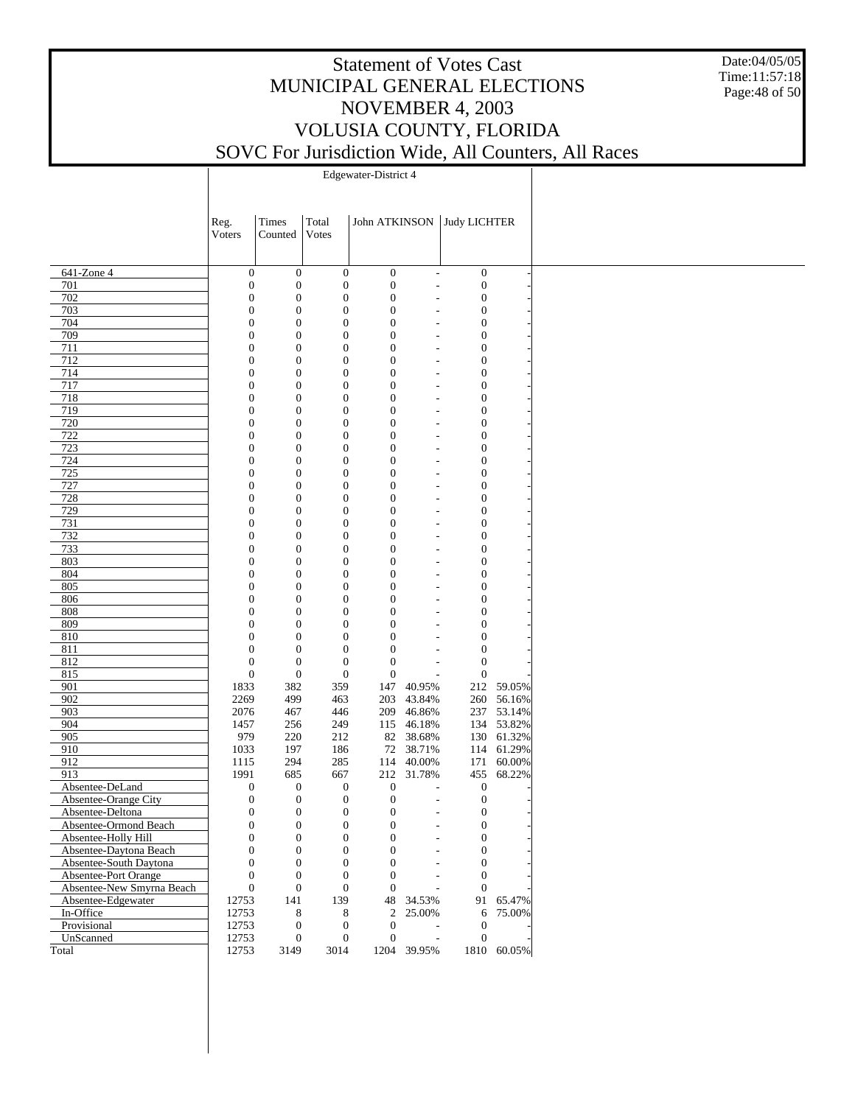Date:04/05/05 Time:11:57:18 Page:48 of 50

|                                                | Reg.<br>Voters                       | Times<br>Counted                     | Total<br>Votes                       | John ATKINSON                        |                                                | Judy LICHTER                         |             |
|------------------------------------------------|--------------------------------------|--------------------------------------|--------------------------------------|--------------------------------------|------------------------------------------------|--------------------------------------|-------------|
|                                                |                                      |                                      |                                      |                                      |                                                |                                      |             |
| 641-Zone 4                                     | $\boldsymbol{0}$                     | $\boldsymbol{0}$                     | $\boldsymbol{0}$                     | $\boldsymbol{0}$                     | $\overline{\phantom{a}}$                       | $\boldsymbol{0}$                     |             |
| 701                                            | $\boldsymbol{0}$                     | $\boldsymbol{0}$                     | $\boldsymbol{0}$                     | $\boldsymbol{0}$                     | $\overline{\phantom{m}}$                       | $\boldsymbol{0}$                     |             |
| 702                                            | $\boldsymbol{0}$                     | $\boldsymbol{0}$                     | $\boldsymbol{0}$                     | $\boldsymbol{0}$                     | $\overline{a}$                                 | $\boldsymbol{0}$                     |             |
| 703                                            | $\boldsymbol{0}$                     | $\boldsymbol{0}$                     | $\boldsymbol{0}$                     | $\boldsymbol{0}$                     | $\overline{a}$                                 | $\boldsymbol{0}$                     |             |
| 704                                            | $\boldsymbol{0}$                     | $\boldsymbol{0}$                     | $\boldsymbol{0}$                     | $\boldsymbol{0}$                     | $\overline{a}$                                 | $\boldsymbol{0}$                     |             |
| 709                                            | $\boldsymbol{0}$                     | $\boldsymbol{0}$                     | $\overline{0}$                       | $\boldsymbol{0}$                     | $\overline{a}$                                 | $\boldsymbol{0}$                     |             |
| 711                                            | $\boldsymbol{0}$                     | $\boldsymbol{0}$                     | $\boldsymbol{0}$                     | $\boldsymbol{0}$                     | $\overline{a}$                                 | $\boldsymbol{0}$                     |             |
| 712                                            | $\boldsymbol{0}$                     | $\boldsymbol{0}$                     | $\overline{0}$                       | $\boldsymbol{0}$                     | $\qquad \qquad \blacksquare$                   | $\boldsymbol{0}$                     |             |
| 714                                            | $\boldsymbol{0}$                     | $\boldsymbol{0}$                     | $\overline{0}$                       | $\boldsymbol{0}$                     | $\overline{a}$                                 | $\boldsymbol{0}$                     |             |
| 717                                            | $\boldsymbol{0}$                     | $\boldsymbol{0}$                     | $\overline{0}$                       | $\boldsymbol{0}$                     | $\qquad \qquad \blacksquare$                   | $\boldsymbol{0}$                     |             |
| 718                                            | $\boldsymbol{0}$                     | $\boldsymbol{0}$<br>$\boldsymbol{0}$ | $\boldsymbol{0}$<br>$\overline{0}$   | $\boldsymbol{0}$                     | L,                                             | $\boldsymbol{0}$                     |             |
| 719<br>720                                     | $\boldsymbol{0}$<br>$\boldsymbol{0}$ | $\boldsymbol{0}$                     | $\overline{0}$                       | $\boldsymbol{0}$<br>$\boldsymbol{0}$ | $\qquad \qquad \blacksquare$<br>$\overline{a}$ | $\boldsymbol{0}$<br>$\boldsymbol{0}$ |             |
| 722                                            | $\boldsymbol{0}$                     | $\boldsymbol{0}$                     | $\overline{0}$                       | $\boldsymbol{0}$                     |                                                | $\boldsymbol{0}$                     |             |
| 723                                            | $\boldsymbol{0}$                     | $\boldsymbol{0}$                     | $\boldsymbol{0}$                     | $\boldsymbol{0}$                     | $\qquad \qquad \blacksquare$<br>L,             | $\boldsymbol{0}$                     |             |
| 724                                            | $\boldsymbol{0}$                     | $\boldsymbol{0}$                     | $\overline{0}$                       | $\boldsymbol{0}$                     | $\overline{a}$                                 | $\boldsymbol{0}$                     |             |
| 725                                            | $\boldsymbol{0}$                     | $\boldsymbol{0}$                     | $\overline{0}$                       | $\boldsymbol{0}$                     | L,                                             | $\boldsymbol{0}$                     |             |
| 727                                            | $\boldsymbol{0}$                     | $\boldsymbol{0}$                     | $\overline{0}$                       | $\boldsymbol{0}$                     | L,                                             | $\boldsymbol{0}$                     |             |
| 728                                            | $\boldsymbol{0}$                     | $\boldsymbol{0}$                     | $\boldsymbol{0}$                     | $\boldsymbol{0}$                     | L,                                             | $\boldsymbol{0}$                     |             |
| 729                                            | $\boldsymbol{0}$                     | $\boldsymbol{0}$                     | $\overline{0}$                       | $\boldsymbol{0}$                     | L,                                             | $\boldsymbol{0}$                     |             |
| 731                                            | $\boldsymbol{0}$                     | $\boldsymbol{0}$                     | $\overline{0}$                       | $\boldsymbol{0}$                     | L,                                             | $\boldsymbol{0}$                     |             |
| 732                                            | $\boldsymbol{0}$                     | $\boldsymbol{0}$                     | $\overline{0}$                       | $\boldsymbol{0}$                     | $\overline{a}$                                 | $\boldsymbol{0}$                     |             |
| 733                                            | $\boldsymbol{0}$                     | $\boldsymbol{0}$                     | $\boldsymbol{0}$                     | $\boldsymbol{0}$                     | L,                                             | $\boldsymbol{0}$                     |             |
| 803                                            | $\boldsymbol{0}$                     | $\boldsymbol{0}$                     | $\overline{0}$                       | $\boldsymbol{0}$                     | $\overline{a}$                                 | $\boldsymbol{0}$                     |             |
| 804                                            | $\boldsymbol{0}$                     | $\boldsymbol{0}$                     | $\overline{0}$                       | $\boldsymbol{0}$                     | L,                                             | $\boldsymbol{0}$                     |             |
| 805                                            | $\boldsymbol{0}$                     | $\boldsymbol{0}$                     | $\overline{0}$                       | $\boldsymbol{0}$                     | $\overline{a}$                                 | $\boldsymbol{0}$                     |             |
| 806                                            | $\boldsymbol{0}$                     | $\boldsymbol{0}$                     | $\boldsymbol{0}$                     | $\boldsymbol{0}$                     | L,                                             | $\boldsymbol{0}$                     |             |
| 808                                            | $\boldsymbol{0}$                     | $\boldsymbol{0}$                     | $\overline{0}$                       | $\boldsymbol{0}$                     | $\qquad \qquad \blacksquare$                   | $\boldsymbol{0}$                     |             |
| 809                                            | $\boldsymbol{0}$                     | $\boldsymbol{0}$                     | $\overline{0}$                       | $\boldsymbol{0}$                     | $\overline{a}$                                 | $\boldsymbol{0}$                     |             |
| 810                                            | $\boldsymbol{0}$                     | $\boldsymbol{0}$<br>$\boldsymbol{0}$ | $\overline{0}$                       | $\boldsymbol{0}$                     | $\qquad \qquad \blacksquare$                   | $\boldsymbol{0}$                     |             |
| 811<br>812                                     | $\boldsymbol{0}$<br>$\boldsymbol{0}$ | $\boldsymbol{0}$                     | $\boldsymbol{0}$<br>$\mathbf{0}$     | $\mathbf{0}$<br>$\mathbf{0}$         | $\overline{a}$                                 | $\boldsymbol{0}$<br>$\boldsymbol{0}$ |             |
| 815                                            | $\boldsymbol{0}$                     | $\boldsymbol{0}$                     | $\mathbf{0}$                         | $\mathbf{0}$                         | $\overline{a}$<br>$\overline{a}$               | $\boldsymbol{0}$                     |             |
| 901                                            | 1833                                 | 382                                  | 359                                  | 147                                  | 40.95%                                         |                                      | 212 59.05%  |
| 902                                            | 2269                                 | 499                                  | 463                                  | 203                                  | 43.84%                                         |                                      | 260 56.16%  |
| 903                                            | 2076                                 | 467                                  | 446                                  | 209                                  | 46.86%                                         |                                      | 237 53.14%  |
| 904                                            | 1457                                 | 256                                  | 249                                  | 115                                  | 46.18%                                         |                                      | 134 53.82%  |
| 905                                            | 979                                  | 220                                  | 212                                  | 82                                   | 38.68%                                         |                                      | 130 61.32%  |
| 910                                            | 1033                                 | 197                                  | 186                                  | 72                                   | 38.71%                                         |                                      | 114 61.29%  |
| 912                                            | 1115                                 | 294                                  | 285                                  | 114                                  | 40.00%                                         | 171                                  | 60.00%      |
| 913                                            | 1991                                 | 685                                  | 667                                  | 212                                  | 31.78%                                         | 455                                  | 68.22%      |
| Absentee-DeLand                                | $\boldsymbol{0}$                     | $\boldsymbol{0}$                     | $\boldsymbol{0}$                     | $\boldsymbol{0}$                     |                                                | $\boldsymbol{0}$                     |             |
| Absentee-Orange City                           | $\boldsymbol{0}$                     | $\boldsymbol{0}$                     | $\boldsymbol{0}$                     | $\boldsymbol{0}$                     | $\overline{a}$                                 | $\boldsymbol{0}$                     |             |
| Absentee-Deltona                               | $\boldsymbol{0}$                     | $\boldsymbol{0}$                     | $\boldsymbol{0}$                     | $\boldsymbol{0}$                     | $\overline{\phantom{0}}$                       | 0                                    |             |
| Absentee-Ormond Beach                          | $\boldsymbol{0}$                     | $\boldsymbol{0}$                     | $\boldsymbol{0}$                     | $\boldsymbol{0}$                     | $\overline{a}$                                 | $\boldsymbol{0}$                     |             |
| Absentee-Holly Hill                            | $\boldsymbol{0}$                     | 0                                    | 0                                    | $\boldsymbol{0}$                     | $\overline{\phantom{m}}$                       | $\mathbf{0}$                         |             |
| Absentee-Daytona Beach                         | $\boldsymbol{0}$                     | $\boldsymbol{0}$                     | $\mathbf{0}$                         | $\boldsymbol{0}$                     | $\overline{a}$                                 | $\boldsymbol{0}$                     |             |
| Absentee-South Daytona<br>Absentee-Port Orange | $\boldsymbol{0}$                     | $\boldsymbol{0}$                     | $\boldsymbol{0}$                     | $\boldsymbol{0}$                     | $\overline{a}$                                 | $\boldsymbol{0}$                     |             |
| Absentee-New Smyrna Beach                      | $\boldsymbol{0}$<br>$\boldsymbol{0}$ | $\boldsymbol{0}$<br>$\boldsymbol{0}$ | $\boldsymbol{0}$<br>$\boldsymbol{0}$ | $\boldsymbol{0}$<br>$\boldsymbol{0}$ | ÷,                                             | $\boldsymbol{0}$<br>$\mathbf{0}$     |             |
| Absentee-Edgewater                             | 12753                                | 141                                  | 139                                  | 48                                   | 34.53%                                         |                                      | 91 65.47%   |
| In-Office                                      | 12753                                | 8                                    | 8                                    | $\boldsymbol{2}$                     | 25.00%                                         | 6                                    | 75.00%      |
| Provisional                                    | 12753                                | $\boldsymbol{0}$                     | $\boldsymbol{0}$                     | $\boldsymbol{0}$                     |                                                | $\boldsymbol{0}$                     |             |
| UnScanned                                      | 12753                                | $\boldsymbol{0}$                     | $\mathbf{0}$                         | $\mathbf{0}$                         | $\overline{\phantom{a}}$                       | $\boldsymbol{0}$                     |             |
| Total                                          | 12753                                | 3149                                 | 3014                                 |                                      | 1204 39.95%                                    |                                      | 1810 60.05% |
|                                                |                                      |                                      |                                      |                                      |                                                |                                      |             |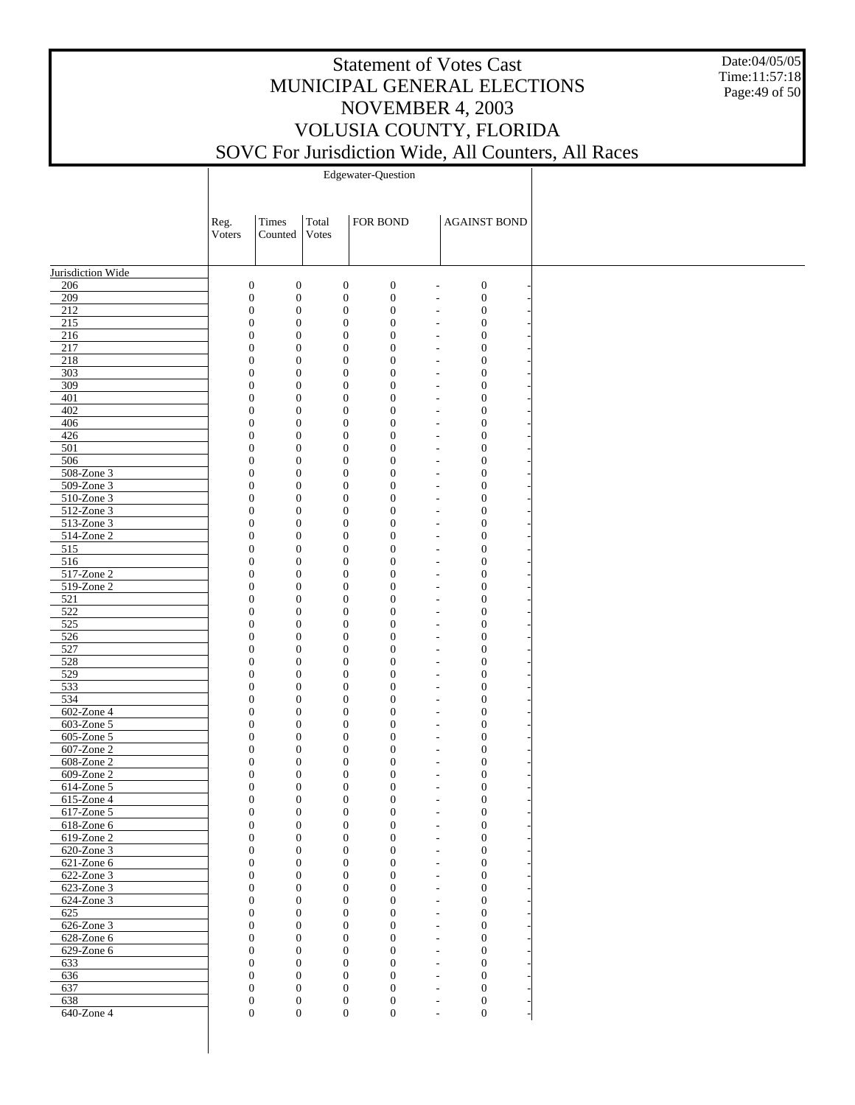Date:04/05/05 Time:11:57:18 Page:49 of 50

Edgewater-Question

| Jurisdiction Wide<br>$\boldsymbol{0}$<br>$\boldsymbol{0}$<br>$\boldsymbol{0}$<br>$\boldsymbol{0}$<br>$\boldsymbol{0}$<br>206<br>$\overline{\phantom{a}}$<br>209<br>$\boldsymbol{0}$<br>$\boldsymbol{0}$<br>$\boldsymbol{0}$<br>$\boldsymbol{0}$<br>$\boldsymbol{0}$<br>$\overline{\phantom{a}}$<br>212<br>$\boldsymbol{0}$<br>$\boldsymbol{0}$<br>$\boldsymbol{0}$<br>$\boldsymbol{0}$<br>$\boldsymbol{0}$<br>$\overline{\phantom{0}}$<br>215<br>$\boldsymbol{0}$<br>$\boldsymbol{0}$<br>$\boldsymbol{0}$<br>$\boldsymbol{0}$<br>$\boldsymbol{0}$<br>$\overline{\phantom{a}}$<br>216<br>$\boldsymbol{0}$<br>$\boldsymbol{0}$<br>$\boldsymbol{0}$<br>$\boldsymbol{0}$<br>$\boldsymbol{0}$<br>$\overline{\phantom{a}}$<br>217<br>$\boldsymbol{0}$<br>$\boldsymbol{0}$<br>$\boldsymbol{0}$<br>$\boldsymbol{0}$<br>$\boldsymbol{0}$<br>$\overline{\phantom{a}}$<br>218<br>$\boldsymbol{0}$<br>$\boldsymbol{0}$<br>$\boldsymbol{0}$<br>$\boldsymbol{0}$<br>$\boldsymbol{0}$<br>$\overline{\phantom{a}}$<br>303<br>$\boldsymbol{0}$<br>$\boldsymbol{0}$<br>$\boldsymbol{0}$<br>$\boldsymbol{0}$<br>$\boldsymbol{0}$<br>$\overline{\phantom{a}}$<br>309<br>$\boldsymbol{0}$<br>$\boldsymbol{0}$<br>$\boldsymbol{0}$<br>$\boldsymbol{0}$<br>$\boldsymbol{0}$<br>$\overline{\phantom{a}}$<br>$\boldsymbol{0}$<br>$\boldsymbol{0}$<br>401<br>$\boldsymbol{0}$<br>$\boldsymbol{0}$<br>$\boldsymbol{0}$<br>$\overline{\phantom{a}}$<br>402<br>$\boldsymbol{0}$<br>$\boldsymbol{0}$<br>$\boldsymbol{0}$<br>$\boldsymbol{0}$<br>$\boldsymbol{0}$<br>$\overline{\phantom{a}}$<br>$\boldsymbol{0}$<br>$\boldsymbol{0}$<br>406<br>$\boldsymbol{0}$<br>$\boldsymbol{0}$<br>$\boldsymbol{0}$<br>$\overline{\phantom{a}}$<br>426<br>$\boldsymbol{0}$<br>$\boldsymbol{0}$<br>$\boldsymbol{0}$<br>$\boldsymbol{0}$<br>$\boldsymbol{0}$<br>$\overline{\phantom{a}}$<br>501<br>$\boldsymbol{0}$<br>$\boldsymbol{0}$<br>$\boldsymbol{0}$<br>$\boldsymbol{0}$<br>$\boldsymbol{0}$<br>$\overline{\phantom{a}}$<br>506<br>$\boldsymbol{0}$<br>$\boldsymbol{0}$<br>$\boldsymbol{0}$<br>$\boldsymbol{0}$<br>$\boldsymbol{0}$<br>$\overline{\phantom{a}}$<br>$508 - Z$ one 3<br>$\boldsymbol{0}$<br>$\boldsymbol{0}$<br>$\boldsymbol{0}$<br>$\boldsymbol{0}$<br>$\boldsymbol{0}$<br>$\overline{\phantom{a}}$<br>509-Zone 3<br>$\boldsymbol{0}$<br>$\boldsymbol{0}$<br>$\boldsymbol{0}$<br>$\boldsymbol{0}$<br>$\boldsymbol{0}$<br>$\overline{\phantom{a}}$<br>510-Zone 3<br>$\boldsymbol{0}$<br>$\boldsymbol{0}$<br>$\boldsymbol{0}$<br>$\boldsymbol{0}$<br>$\boldsymbol{0}$<br>$\overline{\phantom{a}}$<br>512-Zone 3<br>$\boldsymbol{0}$<br>$\boldsymbol{0}$<br>$\boldsymbol{0}$<br>$\boldsymbol{0}$<br>$\boldsymbol{0}$<br>$\overline{\phantom{a}}$<br>513-Zone 3<br>$\boldsymbol{0}$<br>$\boldsymbol{0}$<br>$\boldsymbol{0}$<br>$\boldsymbol{0}$<br>$\boldsymbol{0}$<br>$\overline{\phantom{a}}$<br>514-Zone 2<br>$\boldsymbol{0}$<br>$\boldsymbol{0}$<br>$\boldsymbol{0}$<br>$\boldsymbol{0}$<br>$\boldsymbol{0}$<br>$\overline{\phantom{a}}$<br>515<br>$\boldsymbol{0}$<br>$\boldsymbol{0}$<br>$\boldsymbol{0}$<br>$\boldsymbol{0}$<br>$\boldsymbol{0}$<br>$\overline{\phantom{a}}$<br>516<br>$\boldsymbol{0}$<br>$\boldsymbol{0}$<br>$\boldsymbol{0}$<br>$\boldsymbol{0}$<br>$\boldsymbol{0}$<br>$\overline{\phantom{a}}$<br>517-Zone 2<br>$\boldsymbol{0}$<br>$\boldsymbol{0}$<br>$\boldsymbol{0}$<br>$\boldsymbol{0}$<br>$\boldsymbol{0}$<br>$\overline{\phantom{a}}$<br>$519$ -Zone 2<br>$\boldsymbol{0}$<br>$\boldsymbol{0}$<br>$\boldsymbol{0}$<br>$\boldsymbol{0}$<br>$\boldsymbol{0}$<br>$\overline{\phantom{a}}$<br>521<br>$\boldsymbol{0}$<br>$\boldsymbol{0}$<br>$\boldsymbol{0}$<br>$\boldsymbol{0}$<br>$\boldsymbol{0}$<br>$\overline{\phantom{a}}$<br>522<br>$\boldsymbol{0}$<br>$\boldsymbol{0}$<br>$\boldsymbol{0}$<br>$\boldsymbol{0}$<br>$\boldsymbol{0}$<br>$\overline{\phantom{a}}$<br>525<br>$\boldsymbol{0}$<br>$\boldsymbol{0}$<br>$\boldsymbol{0}$<br>$\boldsymbol{0}$<br>$\boldsymbol{0}$<br>$\overline{\phantom{a}}$<br>526<br>$\boldsymbol{0}$<br>$\boldsymbol{0}$<br>$\boldsymbol{0}$<br>$\boldsymbol{0}$<br>$\boldsymbol{0}$<br>$\overline{\phantom{a}}$<br>527<br>$\boldsymbol{0}$<br>$\boldsymbol{0}$<br>$\boldsymbol{0}$<br>$\boldsymbol{0}$<br>$\boldsymbol{0}$<br>$\overline{\phantom{a}}$<br>528<br>$\boldsymbol{0}$<br>$\boldsymbol{0}$<br>$\boldsymbol{0}$<br>$\boldsymbol{0}$<br>$\boldsymbol{0}$<br>$\overline{\phantom{a}}$<br>529<br>$\boldsymbol{0}$<br>$\boldsymbol{0}$<br>$\boldsymbol{0}$<br>$\boldsymbol{0}$<br>$\boldsymbol{0}$<br>$\overline{\phantom{a}}$<br>533<br>$\boldsymbol{0}$<br>$\boldsymbol{0}$<br>$\boldsymbol{0}$<br>$\boldsymbol{0}$<br>$\boldsymbol{0}$<br>$\overline{\phantom{a}}$<br>534<br>$\boldsymbol{0}$<br>$\boldsymbol{0}$<br>$\boldsymbol{0}$<br>$\boldsymbol{0}$<br>$\boldsymbol{0}$<br>$\overline{\phantom{a}}$<br>602-Zone 4<br>$\boldsymbol{0}$<br>$\boldsymbol{0}$<br>$\boldsymbol{0}$<br>$\boldsymbol{0}$<br>$\boldsymbol{0}$<br>$\overline{\phantom{a}}$<br>603-Zone 5<br>$\boldsymbol{0}$<br>$\boldsymbol{0}$<br>$\boldsymbol{0}$<br>$\boldsymbol{0}$<br>$\boldsymbol{0}$<br>$\overline{\phantom{a}}$<br>$605$ -Zone 5<br>$\boldsymbol{0}$<br>$\boldsymbol{0}$<br>$\boldsymbol{0}$<br>$\boldsymbol{0}$<br>$\boldsymbol{0}$<br>$\overline{\phantom{a}}$<br>607-Zone 2<br>$\boldsymbol{0}$<br>$\boldsymbol{0}$<br>$\boldsymbol{0}$<br>$\boldsymbol{0}$<br>$\boldsymbol{0}$<br>$\overline{\phantom{a}}$<br>608-Zone 2<br>$\boldsymbol{0}$<br>$\boldsymbol{0}$<br>$\boldsymbol{0}$<br>$\boldsymbol{0}$<br>$\boldsymbol{0}$<br>$\overline{\phantom{a}}$<br>609-Zone 2<br>$\boldsymbol{0}$<br>$\boldsymbol{0}$<br>$\boldsymbol{0}$<br>$\boldsymbol{0}$<br>$\mathbf{0}$<br>$\overline{\phantom{a}}$<br>614-Zone 5<br>$\boldsymbol{0}$<br>$\boldsymbol{0}$<br>$\boldsymbol{0}$<br>$\boldsymbol{0}$<br>$\boldsymbol{0}$<br>$\overline{\phantom{a}}$<br>615-Zone 4<br>$\boldsymbol{0}$<br>$\boldsymbol{0}$<br>$\boldsymbol{0}$<br>$\boldsymbol{0}$<br>$\boldsymbol{0}$<br>$\overline{\phantom{a}}$<br>$\mathbf{0}$<br>$\boldsymbol{0}$<br>$\mathbf{0}$<br>$\overline{0}$<br>$\boldsymbol{0}$<br>617-Zone 5<br>$\overline{\phantom{a}}$<br>618-Zone 6<br>$\boldsymbol{0}$<br>$\boldsymbol{0}$<br>$\boldsymbol{0}$<br>$\mathbf{0}$<br>$\mathbf{0}$<br>$\overline{\phantom{a}}$<br>619-Zone 2<br>$\boldsymbol{0}$<br>$\mathbf{0}$<br>$\boldsymbol{0}$<br>$\boldsymbol{0}$<br>$\mathbf{0}$<br>620-Zone 3<br>$\overline{0}$<br>$\boldsymbol{0}$<br>$\overline{0}$<br>$\theta$<br>$\overline{0}$<br>$\overline{\phantom{a}}$<br>$621$ -Zone $6$<br>$\boldsymbol{0}$<br>$\mathbf{0}$<br>$\boldsymbol{0}$<br>$\overline{0}$<br>$\mathbf{0}$<br>$\overline{\phantom{a}}$<br>622-Zone 3<br>$\mathbf{0}$<br>$\overline{0}$<br>$\theta$<br>$\overline{0}$<br>$\overline{0}$<br>$\overline{\phantom{a}}$<br>623-Zone 3<br>$\boldsymbol{0}$<br>$\boldsymbol{0}$<br>$\boldsymbol{0}$<br>$\overline{0}$<br>$\mathbf{0}$<br>$\blacksquare$<br>624-Zone 3<br>$\mathbf{0}$<br>$\overline{0}$<br>$\theta$<br>$\overline{0}$<br>$\overline{0}$<br>$\overline{\phantom{a}}$<br>625<br>$\boldsymbol{0}$<br>$\boldsymbol{0}$<br>$\boldsymbol{0}$<br>$\overline{0}$<br>$\mathbf{0}$<br>626-Zone 3<br>$\mathbf{0}$<br>$\overline{0}$<br>$\theta$<br>$\overline{0}$<br>$\overline{0}$<br>$\overline{\phantom{a}}$<br>628-Zone 6<br>$\boldsymbol{0}$<br>$\boldsymbol{0}$<br>$\overline{0}$<br>$\mathbf{0}$<br>$\mathbf{0}$<br>$\overline{\phantom{a}}$<br>629-Zone 6<br>$\mathbf{0}$<br>$\overline{0}$<br>$\theta$<br>$\overline{0}$<br>$\overline{0}$<br>$\overline{\phantom{a}}$<br>633<br>$\boldsymbol{0}$<br>$\boldsymbol{0}$<br>$\mathbf{0}$<br>$\overline{0}$<br>$\mathbf{0}$<br>$\sim$<br>636<br>$\mathbf{0}$<br>$\overline{0}$<br>$\mathbf{0}$<br>$\overline{0}$<br>$\overline{0}$<br>$\overline{\phantom{a}}$<br>637<br>$\boldsymbol{0}$<br>$\mathbf{0}$<br>$\mathbf{0}$<br>$\overline{0}$<br>$\mathbf{0}$<br>$\overline{\phantom{a}}$<br>638<br>$\boldsymbol{0}$<br>$\boldsymbol{0}$<br>$\mathbf{0}$<br>$\boldsymbol{0}$<br>$\mathbf{0}$<br>$\overline{\phantom{a}}$<br>640-Zone 4<br>$\overline{0}$<br>$\boldsymbol{0}$<br>$\overline{0}$<br>$\overline{0}$<br>$\boldsymbol{0}$<br>$\sim$ | Reg.<br>Voters | Times<br>Counted | Total<br>Votes | <b>FOR BOND</b> | <b>AGAINST BOND</b> |  |
|----------------------------------------------------------------------------------------------------------------------------------------------------------------------------------------------------------------------------------------------------------------------------------------------------------------------------------------------------------------------------------------------------------------------------------------------------------------------------------------------------------------------------------------------------------------------------------------------------------------------------------------------------------------------------------------------------------------------------------------------------------------------------------------------------------------------------------------------------------------------------------------------------------------------------------------------------------------------------------------------------------------------------------------------------------------------------------------------------------------------------------------------------------------------------------------------------------------------------------------------------------------------------------------------------------------------------------------------------------------------------------------------------------------------------------------------------------------------------------------------------------------------------------------------------------------------------------------------------------------------------------------------------------------------------------------------------------------------------------------------------------------------------------------------------------------------------------------------------------------------------------------------------------------------------------------------------------------------------------------------------------------------------------------------------------------------------------------------------------------------------------------------------------------------------------------------------------------------------------------------------------------------------------------------------------------------------------------------------------------------------------------------------------------------------------------------------------------------------------------------------------------------------------------------------------------------------------------------------------------------------------------------------------------------------------------------------------------------------------------------------------------------------------------------------------------------------------------------------------------------------------------------------------------------------------------------------------------------------------------------------------------------------------------------------------------------------------------------------------------------------------------------------------------------------------------------------------------------------------------------------------------------------------------------------------------------------------------------------------------------------------------------------------------------------------------------------------------------------------------------------------------------------------------------------------------------------------------------------------------------------------------------------------------------------------------------------------------------------------------------------------------------------------------------------------------------------------------------------------------------------------------------------------------------------------------------------------------------------------------------------------------------------------------------------------------------------------------------------------------------------------------------------------------------------------------------------------------------------------------------------------------------------------------------------------------------------------------------------------------------------------------------------------------------------------------------------------------------------------------------------------------------------------------------------------------------------------------------------------------------------------------------------------------------------------------------------------------------------------------------------------------------------------------------------------------------------------------------------------------------------------------------------------------------------------------------------------------------------------------------------------------------------------------------------------------------------------------------------------------------------------------------------------------------------------------------------------------------------------------------------------------------------------------------------------------------------------------------------------------------------------------------------------------------------------------------------------------------------------------------------------------------------------------------------------------------------------------------------------------------------------------------------------------------------------------------------------------------------------------------------------------------------------------------------------------------------------------------------------------------------------------------------------------------------------------------------------------------------------------------------------------------------------------------------------------------------------------------------------------------------------------------------------------------------------------------------------------------------------------------------------------------------------------------------------------------------------------------------------------------------------------------------------------------------------------------------------------------------------------------------------------------------------------------------------------------------------------------------------------------------------------------------------------------------------------------------------------------------------------------------------------------------------------------------------------------------------------------------------------------------------------------------------------------------------------------------------------------------------------------------------------------------------------------------------------------------------------------------------------------------------------------------------------------------------------------------------------------------------------------------------------------------------------------------------------------------------------------------------------------------------------------------------------------------------------------------------------------------------------------------------------------------------------------------------------------------------------------------------------------------------------------------------------------------------------------------------------------------------------------------------------------------------------------------------------------------------------------------------------------------------------------------------------------------------------------------------------------------------------------------------------------------------------------------------------------------------------------------------------------------------------------------------------------------------------------------------------------|----------------|------------------|----------------|-----------------|---------------------|--|
|                                                                                                                                                                                                                                                                                                                                                                                                                                                                                                                                                                                                                                                                                                                                                                                                                                                                                                                                                                                                                                                                                                                                                                                                                                                                                                                                                                                                                                                                                                                                                                                                                                                                                                                                                                                                                                                                                                                                                                                                                                                                                                                                                                                                                                                                                                                                                                                                                                                                                                                                                                                                                                                                                                                                                                                                                                                                                                                                                                                                                                                                                                                                                                                                                                                                                                                                                                                                                                                                                                                                                                                                                                                                                                                                                                                                                                                                                                                                                                                                                                                                                                                                                                                                                                                                                                                                                                                                                                                                                                                                                                                                                                                                                                                                                                                                                                                                                                                                                                                                                                                                                                                                                                                                                                                                                                                                                                                                                                                                                                                                                                                                                                                                                                                                                                                                                                                                                                                                                                                                                                                                                                                                                                                                                                                                                                                                                                                                                                                                                                                                                                                                                                                                                                                                                                                                                                                                                                                                                                                                                                                                                                                                                                                                                                                                                                                                                                                                                                                                                                                                                                                                                                                                                                                                                                                                                                                                                                                                                                                                                                                                                                                                                                                                                      |                |                  |                |                 |                     |  |
|                                                                                                                                                                                                                                                                                                                                                                                                                                                                                                                                                                                                                                                                                                                                                                                                                                                                                                                                                                                                                                                                                                                                                                                                                                                                                                                                                                                                                                                                                                                                                                                                                                                                                                                                                                                                                                                                                                                                                                                                                                                                                                                                                                                                                                                                                                                                                                                                                                                                                                                                                                                                                                                                                                                                                                                                                                                                                                                                                                                                                                                                                                                                                                                                                                                                                                                                                                                                                                                                                                                                                                                                                                                                                                                                                                                                                                                                                                                                                                                                                                                                                                                                                                                                                                                                                                                                                                                                                                                                                                                                                                                                                                                                                                                                                                                                                                                                                                                                                                                                                                                                                                                                                                                                                                                                                                                                                                                                                                                                                                                                                                                                                                                                                                                                                                                                                                                                                                                                                                                                                                                                                                                                                                                                                                                                                                                                                                                                                                                                                                                                                                                                                                                                                                                                                                                                                                                                                                                                                                                                                                                                                                                                                                                                                                                                                                                                                                                                                                                                                                                                                                                                                                                                                                                                                                                                                                                                                                                                                                                                                                                                                                                                                                                                                      |                |                  |                |                 |                     |  |
|                                                                                                                                                                                                                                                                                                                                                                                                                                                                                                                                                                                                                                                                                                                                                                                                                                                                                                                                                                                                                                                                                                                                                                                                                                                                                                                                                                                                                                                                                                                                                                                                                                                                                                                                                                                                                                                                                                                                                                                                                                                                                                                                                                                                                                                                                                                                                                                                                                                                                                                                                                                                                                                                                                                                                                                                                                                                                                                                                                                                                                                                                                                                                                                                                                                                                                                                                                                                                                                                                                                                                                                                                                                                                                                                                                                                                                                                                                                                                                                                                                                                                                                                                                                                                                                                                                                                                                                                                                                                                                                                                                                                                                                                                                                                                                                                                                                                                                                                                                                                                                                                                                                                                                                                                                                                                                                                                                                                                                                                                                                                                                                                                                                                                                                                                                                                                                                                                                                                                                                                                                                                                                                                                                                                                                                                                                                                                                                                                                                                                                                                                                                                                                                                                                                                                                                                                                                                                                                                                                                                                                                                                                                                                                                                                                                                                                                                                                                                                                                                                                                                                                                                                                                                                                                                                                                                                                                                                                                                                                                                                                                                                                                                                                                                                      |                |                  |                |                 |                     |  |
|                                                                                                                                                                                                                                                                                                                                                                                                                                                                                                                                                                                                                                                                                                                                                                                                                                                                                                                                                                                                                                                                                                                                                                                                                                                                                                                                                                                                                                                                                                                                                                                                                                                                                                                                                                                                                                                                                                                                                                                                                                                                                                                                                                                                                                                                                                                                                                                                                                                                                                                                                                                                                                                                                                                                                                                                                                                                                                                                                                                                                                                                                                                                                                                                                                                                                                                                                                                                                                                                                                                                                                                                                                                                                                                                                                                                                                                                                                                                                                                                                                                                                                                                                                                                                                                                                                                                                                                                                                                                                                                                                                                                                                                                                                                                                                                                                                                                                                                                                                                                                                                                                                                                                                                                                                                                                                                                                                                                                                                                                                                                                                                                                                                                                                                                                                                                                                                                                                                                                                                                                                                                                                                                                                                                                                                                                                                                                                                                                                                                                                                                                                                                                                                                                                                                                                                                                                                                                                                                                                                                                                                                                                                                                                                                                                                                                                                                                                                                                                                                                                                                                                                                                                                                                                                                                                                                                                                                                                                                                                                                                                                                                                                                                                                                                      |                |                  |                |                 |                     |  |
|                                                                                                                                                                                                                                                                                                                                                                                                                                                                                                                                                                                                                                                                                                                                                                                                                                                                                                                                                                                                                                                                                                                                                                                                                                                                                                                                                                                                                                                                                                                                                                                                                                                                                                                                                                                                                                                                                                                                                                                                                                                                                                                                                                                                                                                                                                                                                                                                                                                                                                                                                                                                                                                                                                                                                                                                                                                                                                                                                                                                                                                                                                                                                                                                                                                                                                                                                                                                                                                                                                                                                                                                                                                                                                                                                                                                                                                                                                                                                                                                                                                                                                                                                                                                                                                                                                                                                                                                                                                                                                                                                                                                                                                                                                                                                                                                                                                                                                                                                                                                                                                                                                                                                                                                                                                                                                                                                                                                                                                                                                                                                                                                                                                                                                                                                                                                                                                                                                                                                                                                                                                                                                                                                                                                                                                                                                                                                                                                                                                                                                                                                                                                                                                                                                                                                                                                                                                                                                                                                                                                                                                                                                                                                                                                                                                                                                                                                                                                                                                                                                                                                                                                                                                                                                                                                                                                                                                                                                                                                                                                                                                                                                                                                                                                                      |                |                  |                |                 |                     |  |
|                                                                                                                                                                                                                                                                                                                                                                                                                                                                                                                                                                                                                                                                                                                                                                                                                                                                                                                                                                                                                                                                                                                                                                                                                                                                                                                                                                                                                                                                                                                                                                                                                                                                                                                                                                                                                                                                                                                                                                                                                                                                                                                                                                                                                                                                                                                                                                                                                                                                                                                                                                                                                                                                                                                                                                                                                                                                                                                                                                                                                                                                                                                                                                                                                                                                                                                                                                                                                                                                                                                                                                                                                                                                                                                                                                                                                                                                                                                                                                                                                                                                                                                                                                                                                                                                                                                                                                                                                                                                                                                                                                                                                                                                                                                                                                                                                                                                                                                                                                                                                                                                                                                                                                                                                                                                                                                                                                                                                                                                                                                                                                                                                                                                                                                                                                                                                                                                                                                                                                                                                                                                                                                                                                                                                                                                                                                                                                                                                                                                                                                                                                                                                                                                                                                                                                                                                                                                                                                                                                                                                                                                                                                                                                                                                                                                                                                                                                                                                                                                                                                                                                                                                                                                                                                                                                                                                                                                                                                                                                                                                                                                                                                                                                                                                      |                |                  |                |                 |                     |  |
|                                                                                                                                                                                                                                                                                                                                                                                                                                                                                                                                                                                                                                                                                                                                                                                                                                                                                                                                                                                                                                                                                                                                                                                                                                                                                                                                                                                                                                                                                                                                                                                                                                                                                                                                                                                                                                                                                                                                                                                                                                                                                                                                                                                                                                                                                                                                                                                                                                                                                                                                                                                                                                                                                                                                                                                                                                                                                                                                                                                                                                                                                                                                                                                                                                                                                                                                                                                                                                                                                                                                                                                                                                                                                                                                                                                                                                                                                                                                                                                                                                                                                                                                                                                                                                                                                                                                                                                                                                                                                                                                                                                                                                                                                                                                                                                                                                                                                                                                                                                                                                                                                                                                                                                                                                                                                                                                                                                                                                                                                                                                                                                                                                                                                                                                                                                                                                                                                                                                                                                                                                                                                                                                                                                                                                                                                                                                                                                                                                                                                                                                                                                                                                                                                                                                                                                                                                                                                                                                                                                                                                                                                                                                                                                                                                                                                                                                                                                                                                                                                                                                                                                                                                                                                                                                                                                                                                                                                                                                                                                                                                                                                                                                                                                                                      |                |                  |                |                 |                     |  |
|                                                                                                                                                                                                                                                                                                                                                                                                                                                                                                                                                                                                                                                                                                                                                                                                                                                                                                                                                                                                                                                                                                                                                                                                                                                                                                                                                                                                                                                                                                                                                                                                                                                                                                                                                                                                                                                                                                                                                                                                                                                                                                                                                                                                                                                                                                                                                                                                                                                                                                                                                                                                                                                                                                                                                                                                                                                                                                                                                                                                                                                                                                                                                                                                                                                                                                                                                                                                                                                                                                                                                                                                                                                                                                                                                                                                                                                                                                                                                                                                                                                                                                                                                                                                                                                                                                                                                                                                                                                                                                                                                                                                                                                                                                                                                                                                                                                                                                                                                                                                                                                                                                                                                                                                                                                                                                                                                                                                                                                                                                                                                                                                                                                                                                                                                                                                                                                                                                                                                                                                                                                                                                                                                                                                                                                                                                                                                                                                                                                                                                                                                                                                                                                                                                                                                                                                                                                                                                                                                                                                                                                                                                                                                                                                                                                                                                                                                                                                                                                                                                                                                                                                                                                                                                                                                                                                                                                                                                                                                                                                                                                                                                                                                                                                                      |                |                  |                |                 |                     |  |
|                                                                                                                                                                                                                                                                                                                                                                                                                                                                                                                                                                                                                                                                                                                                                                                                                                                                                                                                                                                                                                                                                                                                                                                                                                                                                                                                                                                                                                                                                                                                                                                                                                                                                                                                                                                                                                                                                                                                                                                                                                                                                                                                                                                                                                                                                                                                                                                                                                                                                                                                                                                                                                                                                                                                                                                                                                                                                                                                                                                                                                                                                                                                                                                                                                                                                                                                                                                                                                                                                                                                                                                                                                                                                                                                                                                                                                                                                                                                                                                                                                                                                                                                                                                                                                                                                                                                                                                                                                                                                                                                                                                                                                                                                                                                                                                                                                                                                                                                                                                                                                                                                                                                                                                                                                                                                                                                                                                                                                                                                                                                                                                                                                                                                                                                                                                                                                                                                                                                                                                                                                                                                                                                                                                                                                                                                                                                                                                                                                                                                                                                                                                                                                                                                                                                                                                                                                                                                                                                                                                                                                                                                                                                                                                                                                                                                                                                                                                                                                                                                                                                                                                                                                                                                                                                                                                                                                                                                                                                                                                                                                                                                                                                                                                                                      |                |                  |                |                 |                     |  |
|                                                                                                                                                                                                                                                                                                                                                                                                                                                                                                                                                                                                                                                                                                                                                                                                                                                                                                                                                                                                                                                                                                                                                                                                                                                                                                                                                                                                                                                                                                                                                                                                                                                                                                                                                                                                                                                                                                                                                                                                                                                                                                                                                                                                                                                                                                                                                                                                                                                                                                                                                                                                                                                                                                                                                                                                                                                                                                                                                                                                                                                                                                                                                                                                                                                                                                                                                                                                                                                                                                                                                                                                                                                                                                                                                                                                                                                                                                                                                                                                                                                                                                                                                                                                                                                                                                                                                                                                                                                                                                                                                                                                                                                                                                                                                                                                                                                                                                                                                                                                                                                                                                                                                                                                                                                                                                                                                                                                                                                                                                                                                                                                                                                                                                                                                                                                                                                                                                                                                                                                                                                                                                                                                                                                                                                                                                                                                                                                                                                                                                                                                                                                                                                                                                                                                                                                                                                                                                                                                                                                                                                                                                                                                                                                                                                                                                                                                                                                                                                                                                                                                                                                                                                                                                                                                                                                                                                                                                                                                                                                                                                                                                                                                                                                                      |                |                  |                |                 |                     |  |
|                                                                                                                                                                                                                                                                                                                                                                                                                                                                                                                                                                                                                                                                                                                                                                                                                                                                                                                                                                                                                                                                                                                                                                                                                                                                                                                                                                                                                                                                                                                                                                                                                                                                                                                                                                                                                                                                                                                                                                                                                                                                                                                                                                                                                                                                                                                                                                                                                                                                                                                                                                                                                                                                                                                                                                                                                                                                                                                                                                                                                                                                                                                                                                                                                                                                                                                                                                                                                                                                                                                                                                                                                                                                                                                                                                                                                                                                                                                                                                                                                                                                                                                                                                                                                                                                                                                                                                                                                                                                                                                                                                                                                                                                                                                                                                                                                                                                                                                                                                                                                                                                                                                                                                                                                                                                                                                                                                                                                                                                                                                                                                                                                                                                                                                                                                                                                                                                                                                                                                                                                                                                                                                                                                                                                                                                                                                                                                                                                                                                                                                                                                                                                                                                                                                                                                                                                                                                                                                                                                                                                                                                                                                                                                                                                                                                                                                                                                                                                                                                                                                                                                                                                                                                                                                                                                                                                                                                                                                                                                                                                                                                                                                                                                                                                      |                |                  |                |                 |                     |  |
|                                                                                                                                                                                                                                                                                                                                                                                                                                                                                                                                                                                                                                                                                                                                                                                                                                                                                                                                                                                                                                                                                                                                                                                                                                                                                                                                                                                                                                                                                                                                                                                                                                                                                                                                                                                                                                                                                                                                                                                                                                                                                                                                                                                                                                                                                                                                                                                                                                                                                                                                                                                                                                                                                                                                                                                                                                                                                                                                                                                                                                                                                                                                                                                                                                                                                                                                                                                                                                                                                                                                                                                                                                                                                                                                                                                                                                                                                                                                                                                                                                                                                                                                                                                                                                                                                                                                                                                                                                                                                                                                                                                                                                                                                                                                                                                                                                                                                                                                                                                                                                                                                                                                                                                                                                                                                                                                                                                                                                                                                                                                                                                                                                                                                                                                                                                                                                                                                                                                                                                                                                                                                                                                                                                                                                                                                                                                                                                                                                                                                                                                                                                                                                                                                                                                                                                                                                                                                                                                                                                                                                                                                                                                                                                                                                                                                                                                                                                                                                                                                                                                                                                                                                                                                                                                                                                                                                                                                                                                                                                                                                                                                                                                                                                                                      |                |                  |                |                 |                     |  |
|                                                                                                                                                                                                                                                                                                                                                                                                                                                                                                                                                                                                                                                                                                                                                                                                                                                                                                                                                                                                                                                                                                                                                                                                                                                                                                                                                                                                                                                                                                                                                                                                                                                                                                                                                                                                                                                                                                                                                                                                                                                                                                                                                                                                                                                                                                                                                                                                                                                                                                                                                                                                                                                                                                                                                                                                                                                                                                                                                                                                                                                                                                                                                                                                                                                                                                                                                                                                                                                                                                                                                                                                                                                                                                                                                                                                                                                                                                                                                                                                                                                                                                                                                                                                                                                                                                                                                                                                                                                                                                                                                                                                                                                                                                                                                                                                                                                                                                                                                                                                                                                                                                                                                                                                                                                                                                                                                                                                                                                                                                                                                                                                                                                                                                                                                                                                                                                                                                                                                                                                                                                                                                                                                                                                                                                                                                                                                                                                                                                                                                                                                                                                                                                                                                                                                                                                                                                                                                                                                                                                                                                                                                                                                                                                                                                                                                                                                                                                                                                                                                                                                                                                                                                                                                                                                                                                                                                                                                                                                                                                                                                                                                                                                                                                                      |                |                  |                |                 |                     |  |
|                                                                                                                                                                                                                                                                                                                                                                                                                                                                                                                                                                                                                                                                                                                                                                                                                                                                                                                                                                                                                                                                                                                                                                                                                                                                                                                                                                                                                                                                                                                                                                                                                                                                                                                                                                                                                                                                                                                                                                                                                                                                                                                                                                                                                                                                                                                                                                                                                                                                                                                                                                                                                                                                                                                                                                                                                                                                                                                                                                                                                                                                                                                                                                                                                                                                                                                                                                                                                                                                                                                                                                                                                                                                                                                                                                                                                                                                                                                                                                                                                                                                                                                                                                                                                                                                                                                                                                                                                                                                                                                                                                                                                                                                                                                                                                                                                                                                                                                                                                                                                                                                                                                                                                                                                                                                                                                                                                                                                                                                                                                                                                                                                                                                                                                                                                                                                                                                                                                                                                                                                                                                                                                                                                                                                                                                                                                                                                                                                                                                                                                                                                                                                                                                                                                                                                                                                                                                                                                                                                                                                                                                                                                                                                                                                                                                                                                                                                                                                                                                                                                                                                                                                                                                                                                                                                                                                                                                                                                                                                                                                                                                                                                                                                                                                      |                |                  |                |                 |                     |  |
|                                                                                                                                                                                                                                                                                                                                                                                                                                                                                                                                                                                                                                                                                                                                                                                                                                                                                                                                                                                                                                                                                                                                                                                                                                                                                                                                                                                                                                                                                                                                                                                                                                                                                                                                                                                                                                                                                                                                                                                                                                                                                                                                                                                                                                                                                                                                                                                                                                                                                                                                                                                                                                                                                                                                                                                                                                                                                                                                                                                                                                                                                                                                                                                                                                                                                                                                                                                                                                                                                                                                                                                                                                                                                                                                                                                                                                                                                                                                                                                                                                                                                                                                                                                                                                                                                                                                                                                                                                                                                                                                                                                                                                                                                                                                                                                                                                                                                                                                                                                                                                                                                                                                                                                                                                                                                                                                                                                                                                                                                                                                                                                                                                                                                                                                                                                                                                                                                                                                                                                                                                                                                                                                                                                                                                                                                                                                                                                                                                                                                                                                                                                                                                                                                                                                                                                                                                                                                                                                                                                                                                                                                                                                                                                                                                                                                                                                                                                                                                                                                                                                                                                                                                                                                                                                                                                                                                                                                                                                                                                                                                                                                                                                                                                                                      |                |                  |                |                 |                     |  |
|                                                                                                                                                                                                                                                                                                                                                                                                                                                                                                                                                                                                                                                                                                                                                                                                                                                                                                                                                                                                                                                                                                                                                                                                                                                                                                                                                                                                                                                                                                                                                                                                                                                                                                                                                                                                                                                                                                                                                                                                                                                                                                                                                                                                                                                                                                                                                                                                                                                                                                                                                                                                                                                                                                                                                                                                                                                                                                                                                                                                                                                                                                                                                                                                                                                                                                                                                                                                                                                                                                                                                                                                                                                                                                                                                                                                                                                                                                                                                                                                                                                                                                                                                                                                                                                                                                                                                                                                                                                                                                                                                                                                                                                                                                                                                                                                                                                                                                                                                                                                                                                                                                                                                                                                                                                                                                                                                                                                                                                                                                                                                                                                                                                                                                                                                                                                                                                                                                                                                                                                                                                                                                                                                                                                                                                                                                                                                                                                                                                                                                                                                                                                                                                                                                                                                                                                                                                                                                                                                                                                                                                                                                                                                                                                                                                                                                                                                                                                                                                                                                                                                                                                                                                                                                                                                                                                                                                                                                                                                                                                                                                                                                                                                                                                                      |                |                  |                |                 |                     |  |
|                                                                                                                                                                                                                                                                                                                                                                                                                                                                                                                                                                                                                                                                                                                                                                                                                                                                                                                                                                                                                                                                                                                                                                                                                                                                                                                                                                                                                                                                                                                                                                                                                                                                                                                                                                                                                                                                                                                                                                                                                                                                                                                                                                                                                                                                                                                                                                                                                                                                                                                                                                                                                                                                                                                                                                                                                                                                                                                                                                                                                                                                                                                                                                                                                                                                                                                                                                                                                                                                                                                                                                                                                                                                                                                                                                                                                                                                                                                                                                                                                                                                                                                                                                                                                                                                                                                                                                                                                                                                                                                                                                                                                                                                                                                                                                                                                                                                                                                                                                                                                                                                                                                                                                                                                                                                                                                                                                                                                                                                                                                                                                                                                                                                                                                                                                                                                                                                                                                                                                                                                                                                                                                                                                                                                                                                                                                                                                                                                                                                                                                                                                                                                                                                                                                                                                                                                                                                                                                                                                                                                                                                                                                                                                                                                                                                                                                                                                                                                                                                                                                                                                                                                                                                                                                                                                                                                                                                                                                                                                                                                                                                                                                                                                                                                      |                |                  |                |                 |                     |  |
|                                                                                                                                                                                                                                                                                                                                                                                                                                                                                                                                                                                                                                                                                                                                                                                                                                                                                                                                                                                                                                                                                                                                                                                                                                                                                                                                                                                                                                                                                                                                                                                                                                                                                                                                                                                                                                                                                                                                                                                                                                                                                                                                                                                                                                                                                                                                                                                                                                                                                                                                                                                                                                                                                                                                                                                                                                                                                                                                                                                                                                                                                                                                                                                                                                                                                                                                                                                                                                                                                                                                                                                                                                                                                                                                                                                                                                                                                                                                                                                                                                                                                                                                                                                                                                                                                                                                                                                                                                                                                                                                                                                                                                                                                                                                                                                                                                                                                                                                                                                                                                                                                                                                                                                                                                                                                                                                                                                                                                                                                                                                                                                                                                                                                                                                                                                                                                                                                                                                                                                                                                                                                                                                                                                                                                                                                                                                                                                                                                                                                                                                                                                                                                                                                                                                                                                                                                                                                                                                                                                                                                                                                                                                                                                                                                                                                                                                                                                                                                                                                                                                                                                                                                                                                                                                                                                                                                                                                                                                                                                                                                                                                                                                                                                                                      |                |                  |                |                 |                     |  |
|                                                                                                                                                                                                                                                                                                                                                                                                                                                                                                                                                                                                                                                                                                                                                                                                                                                                                                                                                                                                                                                                                                                                                                                                                                                                                                                                                                                                                                                                                                                                                                                                                                                                                                                                                                                                                                                                                                                                                                                                                                                                                                                                                                                                                                                                                                                                                                                                                                                                                                                                                                                                                                                                                                                                                                                                                                                                                                                                                                                                                                                                                                                                                                                                                                                                                                                                                                                                                                                                                                                                                                                                                                                                                                                                                                                                                                                                                                                                                                                                                                                                                                                                                                                                                                                                                                                                                                                                                                                                                                                                                                                                                                                                                                                                                                                                                                                                                                                                                                                                                                                                                                                                                                                                                                                                                                                                                                                                                                                                                                                                                                                                                                                                                                                                                                                                                                                                                                                                                                                                                                                                                                                                                                                                                                                                                                                                                                                                                                                                                                                                                                                                                                                                                                                                                                                                                                                                                                                                                                                                                                                                                                                                                                                                                                                                                                                                                                                                                                                                                                                                                                                                                                                                                                                                                                                                                                                                                                                                                                                                                                                                                                                                                                                                                      |                |                  |                |                 |                     |  |
|                                                                                                                                                                                                                                                                                                                                                                                                                                                                                                                                                                                                                                                                                                                                                                                                                                                                                                                                                                                                                                                                                                                                                                                                                                                                                                                                                                                                                                                                                                                                                                                                                                                                                                                                                                                                                                                                                                                                                                                                                                                                                                                                                                                                                                                                                                                                                                                                                                                                                                                                                                                                                                                                                                                                                                                                                                                                                                                                                                                                                                                                                                                                                                                                                                                                                                                                                                                                                                                                                                                                                                                                                                                                                                                                                                                                                                                                                                                                                                                                                                                                                                                                                                                                                                                                                                                                                                                                                                                                                                                                                                                                                                                                                                                                                                                                                                                                                                                                                                                                                                                                                                                                                                                                                                                                                                                                                                                                                                                                                                                                                                                                                                                                                                                                                                                                                                                                                                                                                                                                                                                                                                                                                                                                                                                                                                                                                                                                                                                                                                                                                                                                                                                                                                                                                                                                                                                                                                                                                                                                                                                                                                                                                                                                                                                                                                                                                                                                                                                                                                                                                                                                                                                                                                                                                                                                                                                                                                                                                                                                                                                                                                                                                                                                                      |                |                  |                |                 |                     |  |
|                                                                                                                                                                                                                                                                                                                                                                                                                                                                                                                                                                                                                                                                                                                                                                                                                                                                                                                                                                                                                                                                                                                                                                                                                                                                                                                                                                                                                                                                                                                                                                                                                                                                                                                                                                                                                                                                                                                                                                                                                                                                                                                                                                                                                                                                                                                                                                                                                                                                                                                                                                                                                                                                                                                                                                                                                                                                                                                                                                                                                                                                                                                                                                                                                                                                                                                                                                                                                                                                                                                                                                                                                                                                                                                                                                                                                                                                                                                                                                                                                                                                                                                                                                                                                                                                                                                                                                                                                                                                                                                                                                                                                                                                                                                                                                                                                                                                                                                                                                                                                                                                                                                                                                                                                                                                                                                                                                                                                                                                                                                                                                                                                                                                                                                                                                                                                                                                                                                                                                                                                                                                                                                                                                                                                                                                                                                                                                                                                                                                                                                                                                                                                                                                                                                                                                                                                                                                                                                                                                                                                                                                                                                                                                                                                                                                                                                                                                                                                                                                                                                                                                                                                                                                                                                                                                                                                                                                                                                                                                                                                                                                                                                                                                                                                      |                |                  |                |                 |                     |  |
|                                                                                                                                                                                                                                                                                                                                                                                                                                                                                                                                                                                                                                                                                                                                                                                                                                                                                                                                                                                                                                                                                                                                                                                                                                                                                                                                                                                                                                                                                                                                                                                                                                                                                                                                                                                                                                                                                                                                                                                                                                                                                                                                                                                                                                                                                                                                                                                                                                                                                                                                                                                                                                                                                                                                                                                                                                                                                                                                                                                                                                                                                                                                                                                                                                                                                                                                                                                                                                                                                                                                                                                                                                                                                                                                                                                                                                                                                                                                                                                                                                                                                                                                                                                                                                                                                                                                                                                                                                                                                                                                                                                                                                                                                                                                                                                                                                                                                                                                                                                                                                                                                                                                                                                                                                                                                                                                                                                                                                                                                                                                                                                                                                                                                                                                                                                                                                                                                                                                                                                                                                                                                                                                                                                                                                                                                                                                                                                                                                                                                                                                                                                                                                                                                                                                                                                                                                                                                                                                                                                                                                                                                                                                                                                                                                                                                                                                                                                                                                                                                                                                                                                                                                                                                                                                                                                                                                                                                                                                                                                                                                                                                                                                                                                                                      |                |                  |                |                 |                     |  |
|                                                                                                                                                                                                                                                                                                                                                                                                                                                                                                                                                                                                                                                                                                                                                                                                                                                                                                                                                                                                                                                                                                                                                                                                                                                                                                                                                                                                                                                                                                                                                                                                                                                                                                                                                                                                                                                                                                                                                                                                                                                                                                                                                                                                                                                                                                                                                                                                                                                                                                                                                                                                                                                                                                                                                                                                                                                                                                                                                                                                                                                                                                                                                                                                                                                                                                                                                                                                                                                                                                                                                                                                                                                                                                                                                                                                                                                                                                                                                                                                                                                                                                                                                                                                                                                                                                                                                                                                                                                                                                                                                                                                                                                                                                                                                                                                                                                                                                                                                                                                                                                                                                                                                                                                                                                                                                                                                                                                                                                                                                                                                                                                                                                                                                                                                                                                                                                                                                                                                                                                                                                                                                                                                                                                                                                                                                                                                                                                                                                                                                                                                                                                                                                                                                                                                                                                                                                                                                                                                                                                                                                                                                                                                                                                                                                                                                                                                                                                                                                                                                                                                                                                                                                                                                                                                                                                                                                                                                                                                                                                                                                                                                                                                                                                                      |                |                  |                |                 |                     |  |
|                                                                                                                                                                                                                                                                                                                                                                                                                                                                                                                                                                                                                                                                                                                                                                                                                                                                                                                                                                                                                                                                                                                                                                                                                                                                                                                                                                                                                                                                                                                                                                                                                                                                                                                                                                                                                                                                                                                                                                                                                                                                                                                                                                                                                                                                                                                                                                                                                                                                                                                                                                                                                                                                                                                                                                                                                                                                                                                                                                                                                                                                                                                                                                                                                                                                                                                                                                                                                                                                                                                                                                                                                                                                                                                                                                                                                                                                                                                                                                                                                                                                                                                                                                                                                                                                                                                                                                                                                                                                                                                                                                                                                                                                                                                                                                                                                                                                                                                                                                                                                                                                                                                                                                                                                                                                                                                                                                                                                                                                                                                                                                                                                                                                                                                                                                                                                                                                                                                                                                                                                                                                                                                                                                                                                                                                                                                                                                                                                                                                                                                                                                                                                                                                                                                                                                                                                                                                                                                                                                                                                                                                                                                                                                                                                                                                                                                                                                                                                                                                                                                                                                                                                                                                                                                                                                                                                                                                                                                                                                                                                                                                                                                                                                                                                      |                |                  |                |                 |                     |  |
|                                                                                                                                                                                                                                                                                                                                                                                                                                                                                                                                                                                                                                                                                                                                                                                                                                                                                                                                                                                                                                                                                                                                                                                                                                                                                                                                                                                                                                                                                                                                                                                                                                                                                                                                                                                                                                                                                                                                                                                                                                                                                                                                                                                                                                                                                                                                                                                                                                                                                                                                                                                                                                                                                                                                                                                                                                                                                                                                                                                                                                                                                                                                                                                                                                                                                                                                                                                                                                                                                                                                                                                                                                                                                                                                                                                                                                                                                                                                                                                                                                                                                                                                                                                                                                                                                                                                                                                                                                                                                                                                                                                                                                                                                                                                                                                                                                                                                                                                                                                                                                                                                                                                                                                                                                                                                                                                                                                                                                                                                                                                                                                                                                                                                                                                                                                                                                                                                                                                                                                                                                                                                                                                                                                                                                                                                                                                                                                                                                                                                                                                                                                                                                                                                                                                                                                                                                                                                                                                                                                                                                                                                                                                                                                                                                                                                                                                                                                                                                                                                                                                                                                                                                                                                                                                                                                                                                                                                                                                                                                                                                                                                                                                                                                                                      |                |                  |                |                 |                     |  |
|                                                                                                                                                                                                                                                                                                                                                                                                                                                                                                                                                                                                                                                                                                                                                                                                                                                                                                                                                                                                                                                                                                                                                                                                                                                                                                                                                                                                                                                                                                                                                                                                                                                                                                                                                                                                                                                                                                                                                                                                                                                                                                                                                                                                                                                                                                                                                                                                                                                                                                                                                                                                                                                                                                                                                                                                                                                                                                                                                                                                                                                                                                                                                                                                                                                                                                                                                                                                                                                                                                                                                                                                                                                                                                                                                                                                                                                                                                                                                                                                                                                                                                                                                                                                                                                                                                                                                                                                                                                                                                                                                                                                                                                                                                                                                                                                                                                                                                                                                                                                                                                                                                                                                                                                                                                                                                                                                                                                                                                                                                                                                                                                                                                                                                                                                                                                                                                                                                                                                                                                                                                                                                                                                                                                                                                                                                                                                                                                                                                                                                                                                                                                                                                                                                                                                                                                                                                                                                                                                                                                                                                                                                                                                                                                                                                                                                                                                                                                                                                                                                                                                                                                                                                                                                                                                                                                                                                                                                                                                                                                                                                                                                                                                                                                                      |                |                  |                |                 |                     |  |
|                                                                                                                                                                                                                                                                                                                                                                                                                                                                                                                                                                                                                                                                                                                                                                                                                                                                                                                                                                                                                                                                                                                                                                                                                                                                                                                                                                                                                                                                                                                                                                                                                                                                                                                                                                                                                                                                                                                                                                                                                                                                                                                                                                                                                                                                                                                                                                                                                                                                                                                                                                                                                                                                                                                                                                                                                                                                                                                                                                                                                                                                                                                                                                                                                                                                                                                                                                                                                                                                                                                                                                                                                                                                                                                                                                                                                                                                                                                                                                                                                                                                                                                                                                                                                                                                                                                                                                                                                                                                                                                                                                                                                                                                                                                                                                                                                                                                                                                                                                                                                                                                                                                                                                                                                                                                                                                                                                                                                                                                                                                                                                                                                                                                                                                                                                                                                                                                                                                                                                                                                                                                                                                                                                                                                                                                                                                                                                                                                                                                                                                                                                                                                                                                                                                                                                                                                                                                                                                                                                                                                                                                                                                                                                                                                                                                                                                                                                                                                                                                                                                                                                                                                                                                                                                                                                                                                                                                                                                                                                                                                                                                                                                                                                                                                      |                |                  |                |                 |                     |  |
|                                                                                                                                                                                                                                                                                                                                                                                                                                                                                                                                                                                                                                                                                                                                                                                                                                                                                                                                                                                                                                                                                                                                                                                                                                                                                                                                                                                                                                                                                                                                                                                                                                                                                                                                                                                                                                                                                                                                                                                                                                                                                                                                                                                                                                                                                                                                                                                                                                                                                                                                                                                                                                                                                                                                                                                                                                                                                                                                                                                                                                                                                                                                                                                                                                                                                                                                                                                                                                                                                                                                                                                                                                                                                                                                                                                                                                                                                                                                                                                                                                                                                                                                                                                                                                                                                                                                                                                                                                                                                                                                                                                                                                                                                                                                                                                                                                                                                                                                                                                                                                                                                                                                                                                                                                                                                                                                                                                                                                                                                                                                                                                                                                                                                                                                                                                                                                                                                                                                                                                                                                                                                                                                                                                                                                                                                                                                                                                                                                                                                                                                                                                                                                                                                                                                                                                                                                                                                                                                                                                                                                                                                                                                                                                                                                                                                                                                                                                                                                                                                                                                                                                                                                                                                                                                                                                                                                                                                                                                                                                                                                                                                                                                                                                                                      |                |                  |                |                 |                     |  |
|                                                                                                                                                                                                                                                                                                                                                                                                                                                                                                                                                                                                                                                                                                                                                                                                                                                                                                                                                                                                                                                                                                                                                                                                                                                                                                                                                                                                                                                                                                                                                                                                                                                                                                                                                                                                                                                                                                                                                                                                                                                                                                                                                                                                                                                                                                                                                                                                                                                                                                                                                                                                                                                                                                                                                                                                                                                                                                                                                                                                                                                                                                                                                                                                                                                                                                                                                                                                                                                                                                                                                                                                                                                                                                                                                                                                                                                                                                                                                                                                                                                                                                                                                                                                                                                                                                                                                                                                                                                                                                                                                                                                                                                                                                                                                                                                                                                                                                                                                                                                                                                                                                                                                                                                                                                                                                                                                                                                                                                                                                                                                                                                                                                                                                                                                                                                                                                                                                                                                                                                                                                                                                                                                                                                                                                                                                                                                                                                                                                                                                                                                                                                                                                                                                                                                                                                                                                                                                                                                                                                                                                                                                                                                                                                                                                                                                                                                                                                                                                                                                                                                                                                                                                                                                                                                                                                                                                                                                                                                                                                                                                                                                                                                                                                                      |                |                  |                |                 |                     |  |
|                                                                                                                                                                                                                                                                                                                                                                                                                                                                                                                                                                                                                                                                                                                                                                                                                                                                                                                                                                                                                                                                                                                                                                                                                                                                                                                                                                                                                                                                                                                                                                                                                                                                                                                                                                                                                                                                                                                                                                                                                                                                                                                                                                                                                                                                                                                                                                                                                                                                                                                                                                                                                                                                                                                                                                                                                                                                                                                                                                                                                                                                                                                                                                                                                                                                                                                                                                                                                                                                                                                                                                                                                                                                                                                                                                                                                                                                                                                                                                                                                                                                                                                                                                                                                                                                                                                                                                                                                                                                                                                                                                                                                                                                                                                                                                                                                                                                                                                                                                                                                                                                                                                                                                                                                                                                                                                                                                                                                                                                                                                                                                                                                                                                                                                                                                                                                                                                                                                                                                                                                                                                                                                                                                                                                                                                                                                                                                                                                                                                                                                                                                                                                                                                                                                                                                                                                                                                                                                                                                                                                                                                                                                                                                                                                                                                                                                                                                                                                                                                                                                                                                                                                                                                                                                                                                                                                                                                                                                                                                                                                                                                                                                                                                                                                      |                |                  |                |                 |                     |  |
|                                                                                                                                                                                                                                                                                                                                                                                                                                                                                                                                                                                                                                                                                                                                                                                                                                                                                                                                                                                                                                                                                                                                                                                                                                                                                                                                                                                                                                                                                                                                                                                                                                                                                                                                                                                                                                                                                                                                                                                                                                                                                                                                                                                                                                                                                                                                                                                                                                                                                                                                                                                                                                                                                                                                                                                                                                                                                                                                                                                                                                                                                                                                                                                                                                                                                                                                                                                                                                                                                                                                                                                                                                                                                                                                                                                                                                                                                                                                                                                                                                                                                                                                                                                                                                                                                                                                                                                                                                                                                                                                                                                                                                                                                                                                                                                                                                                                                                                                                                                                                                                                                                                                                                                                                                                                                                                                                                                                                                                                                                                                                                                                                                                                                                                                                                                                                                                                                                                                                                                                                                                                                                                                                                                                                                                                                                                                                                                                                                                                                                                                                                                                                                                                                                                                                                                                                                                                                                                                                                                                                                                                                                                                                                                                                                                                                                                                                                                                                                                                                                                                                                                                                                                                                                                                                                                                                                                                                                                                                                                                                                                                                                                                                                                                                      |                |                  |                |                 |                     |  |
|                                                                                                                                                                                                                                                                                                                                                                                                                                                                                                                                                                                                                                                                                                                                                                                                                                                                                                                                                                                                                                                                                                                                                                                                                                                                                                                                                                                                                                                                                                                                                                                                                                                                                                                                                                                                                                                                                                                                                                                                                                                                                                                                                                                                                                                                                                                                                                                                                                                                                                                                                                                                                                                                                                                                                                                                                                                                                                                                                                                                                                                                                                                                                                                                                                                                                                                                                                                                                                                                                                                                                                                                                                                                                                                                                                                                                                                                                                                                                                                                                                                                                                                                                                                                                                                                                                                                                                                                                                                                                                                                                                                                                                                                                                                                                                                                                                                                                                                                                                                                                                                                                                                                                                                                                                                                                                                                                                                                                                                                                                                                                                                                                                                                                                                                                                                                                                                                                                                                                                                                                                                                                                                                                                                                                                                                                                                                                                                                                                                                                                                                                                                                                                                                                                                                                                                                                                                                                                                                                                                                                                                                                                                                                                                                                                                                                                                                                                                                                                                                                                                                                                                                                                                                                                                                                                                                                                                                                                                                                                                                                                                                                                                                                                                                                      |                |                  |                |                 |                     |  |
|                                                                                                                                                                                                                                                                                                                                                                                                                                                                                                                                                                                                                                                                                                                                                                                                                                                                                                                                                                                                                                                                                                                                                                                                                                                                                                                                                                                                                                                                                                                                                                                                                                                                                                                                                                                                                                                                                                                                                                                                                                                                                                                                                                                                                                                                                                                                                                                                                                                                                                                                                                                                                                                                                                                                                                                                                                                                                                                                                                                                                                                                                                                                                                                                                                                                                                                                                                                                                                                                                                                                                                                                                                                                                                                                                                                                                                                                                                                                                                                                                                                                                                                                                                                                                                                                                                                                                                                                                                                                                                                                                                                                                                                                                                                                                                                                                                                                                                                                                                                                                                                                                                                                                                                                                                                                                                                                                                                                                                                                                                                                                                                                                                                                                                                                                                                                                                                                                                                                                                                                                                                                                                                                                                                                                                                                                                                                                                                                                                                                                                                                                                                                                                                                                                                                                                                                                                                                                                                                                                                                                                                                                                                                                                                                                                                                                                                                                                                                                                                                                                                                                                                                                                                                                                                                                                                                                                                                                                                                                                                                                                                                                                                                                                                                                      |                |                  |                |                 |                     |  |
|                                                                                                                                                                                                                                                                                                                                                                                                                                                                                                                                                                                                                                                                                                                                                                                                                                                                                                                                                                                                                                                                                                                                                                                                                                                                                                                                                                                                                                                                                                                                                                                                                                                                                                                                                                                                                                                                                                                                                                                                                                                                                                                                                                                                                                                                                                                                                                                                                                                                                                                                                                                                                                                                                                                                                                                                                                                                                                                                                                                                                                                                                                                                                                                                                                                                                                                                                                                                                                                                                                                                                                                                                                                                                                                                                                                                                                                                                                                                                                                                                                                                                                                                                                                                                                                                                                                                                                                                                                                                                                                                                                                                                                                                                                                                                                                                                                                                                                                                                                                                                                                                                                                                                                                                                                                                                                                                                                                                                                                                                                                                                                                                                                                                                                                                                                                                                                                                                                                                                                                                                                                                                                                                                                                                                                                                                                                                                                                                                                                                                                                                                                                                                                                                                                                                                                                                                                                                                                                                                                                                                                                                                                                                                                                                                                                                                                                                                                                                                                                                                                                                                                                                                                                                                                                                                                                                                                                                                                                                                                                                                                                                                                                                                                                                                      |                |                  |                |                 |                     |  |
|                                                                                                                                                                                                                                                                                                                                                                                                                                                                                                                                                                                                                                                                                                                                                                                                                                                                                                                                                                                                                                                                                                                                                                                                                                                                                                                                                                                                                                                                                                                                                                                                                                                                                                                                                                                                                                                                                                                                                                                                                                                                                                                                                                                                                                                                                                                                                                                                                                                                                                                                                                                                                                                                                                                                                                                                                                                                                                                                                                                                                                                                                                                                                                                                                                                                                                                                                                                                                                                                                                                                                                                                                                                                                                                                                                                                                                                                                                                                                                                                                                                                                                                                                                                                                                                                                                                                                                                                                                                                                                                                                                                                                                                                                                                                                                                                                                                                                                                                                                                                                                                                                                                                                                                                                                                                                                                                                                                                                                                                                                                                                                                                                                                                                                                                                                                                                                                                                                                                                                                                                                                                                                                                                                                                                                                                                                                                                                                                                                                                                                                                                                                                                                                                                                                                                                                                                                                                                                                                                                                                                                                                                                                                                                                                                                                                                                                                                                                                                                                                                                                                                                                                                                                                                                                                                                                                                                                                                                                                                                                                                                                                                                                                                                                                                      |                |                  |                |                 |                     |  |
|                                                                                                                                                                                                                                                                                                                                                                                                                                                                                                                                                                                                                                                                                                                                                                                                                                                                                                                                                                                                                                                                                                                                                                                                                                                                                                                                                                                                                                                                                                                                                                                                                                                                                                                                                                                                                                                                                                                                                                                                                                                                                                                                                                                                                                                                                                                                                                                                                                                                                                                                                                                                                                                                                                                                                                                                                                                                                                                                                                                                                                                                                                                                                                                                                                                                                                                                                                                                                                                                                                                                                                                                                                                                                                                                                                                                                                                                                                                                                                                                                                                                                                                                                                                                                                                                                                                                                                                                                                                                                                                                                                                                                                                                                                                                                                                                                                                                                                                                                                                                                                                                                                                                                                                                                                                                                                                                                                                                                                                                                                                                                                                                                                                                                                                                                                                                                                                                                                                                                                                                                                                                                                                                                                                                                                                                                                                                                                                                                                                                                                                                                                                                                                                                                                                                                                                                                                                                                                                                                                                                                                                                                                                                                                                                                                                                                                                                                                                                                                                                                                                                                                                                                                                                                                                                                                                                                                                                                                                                                                                                                                                                                                                                                                                                                      |                |                  |                |                 |                     |  |
|                                                                                                                                                                                                                                                                                                                                                                                                                                                                                                                                                                                                                                                                                                                                                                                                                                                                                                                                                                                                                                                                                                                                                                                                                                                                                                                                                                                                                                                                                                                                                                                                                                                                                                                                                                                                                                                                                                                                                                                                                                                                                                                                                                                                                                                                                                                                                                                                                                                                                                                                                                                                                                                                                                                                                                                                                                                                                                                                                                                                                                                                                                                                                                                                                                                                                                                                                                                                                                                                                                                                                                                                                                                                                                                                                                                                                                                                                                                                                                                                                                                                                                                                                                                                                                                                                                                                                                                                                                                                                                                                                                                                                                                                                                                                                                                                                                                                                                                                                                                                                                                                                                                                                                                                                                                                                                                                                                                                                                                                                                                                                                                                                                                                                                                                                                                                                                                                                                                                                                                                                                                                                                                                                                                                                                                                                                                                                                                                                                                                                                                                                                                                                                                                                                                                                                                                                                                                                                                                                                                                                                                                                                                                                                                                                                                                                                                                                                                                                                                                                                                                                                                                                                                                                                                                                                                                                                                                                                                                                                                                                                                                                                                                                                                                                      |                |                  |                |                 |                     |  |
|                                                                                                                                                                                                                                                                                                                                                                                                                                                                                                                                                                                                                                                                                                                                                                                                                                                                                                                                                                                                                                                                                                                                                                                                                                                                                                                                                                                                                                                                                                                                                                                                                                                                                                                                                                                                                                                                                                                                                                                                                                                                                                                                                                                                                                                                                                                                                                                                                                                                                                                                                                                                                                                                                                                                                                                                                                                                                                                                                                                                                                                                                                                                                                                                                                                                                                                                                                                                                                                                                                                                                                                                                                                                                                                                                                                                                                                                                                                                                                                                                                                                                                                                                                                                                                                                                                                                                                                                                                                                                                                                                                                                                                                                                                                                                                                                                                                                                                                                                                                                                                                                                                                                                                                                                                                                                                                                                                                                                                                                                                                                                                                                                                                                                                                                                                                                                                                                                                                                                                                                                                                                                                                                                                                                                                                                                                                                                                                                                                                                                                                                                                                                                                                                                                                                                                                                                                                                                                                                                                                                                                                                                                                                                                                                                                                                                                                                                                                                                                                                                                                                                                                                                                                                                                                                                                                                                                                                                                                                                                                                                                                                                                                                                                                                                      |                |                  |                |                 |                     |  |
|                                                                                                                                                                                                                                                                                                                                                                                                                                                                                                                                                                                                                                                                                                                                                                                                                                                                                                                                                                                                                                                                                                                                                                                                                                                                                                                                                                                                                                                                                                                                                                                                                                                                                                                                                                                                                                                                                                                                                                                                                                                                                                                                                                                                                                                                                                                                                                                                                                                                                                                                                                                                                                                                                                                                                                                                                                                                                                                                                                                                                                                                                                                                                                                                                                                                                                                                                                                                                                                                                                                                                                                                                                                                                                                                                                                                                                                                                                                                                                                                                                                                                                                                                                                                                                                                                                                                                                                                                                                                                                                                                                                                                                                                                                                                                                                                                                                                                                                                                                                                                                                                                                                                                                                                                                                                                                                                                                                                                                                                                                                                                                                                                                                                                                                                                                                                                                                                                                                                                                                                                                                                                                                                                                                                                                                                                                                                                                                                                                                                                                                                                                                                                                                                                                                                                                                                                                                                                                                                                                                                                                                                                                                                                                                                                                                                                                                                                                                                                                                                                                                                                                                                                                                                                                                                                                                                                                                                                                                                                                                                                                                                                                                                                                                                                      |                |                  |                |                 |                     |  |
|                                                                                                                                                                                                                                                                                                                                                                                                                                                                                                                                                                                                                                                                                                                                                                                                                                                                                                                                                                                                                                                                                                                                                                                                                                                                                                                                                                                                                                                                                                                                                                                                                                                                                                                                                                                                                                                                                                                                                                                                                                                                                                                                                                                                                                                                                                                                                                                                                                                                                                                                                                                                                                                                                                                                                                                                                                                                                                                                                                                                                                                                                                                                                                                                                                                                                                                                                                                                                                                                                                                                                                                                                                                                                                                                                                                                                                                                                                                                                                                                                                                                                                                                                                                                                                                                                                                                                                                                                                                                                                                                                                                                                                                                                                                                                                                                                                                                                                                                                                                                                                                                                                                                                                                                                                                                                                                                                                                                                                                                                                                                                                                                                                                                                                                                                                                                                                                                                                                                                                                                                                                                                                                                                                                                                                                                                                                                                                                                                                                                                                                                                                                                                                                                                                                                                                                                                                                                                                                                                                                                                                                                                                                                                                                                                                                                                                                                                                                                                                                                                                                                                                                                                                                                                                                                                                                                                                                                                                                                                                                                                                                                                                                                                                                                                      |                |                  |                |                 |                     |  |
|                                                                                                                                                                                                                                                                                                                                                                                                                                                                                                                                                                                                                                                                                                                                                                                                                                                                                                                                                                                                                                                                                                                                                                                                                                                                                                                                                                                                                                                                                                                                                                                                                                                                                                                                                                                                                                                                                                                                                                                                                                                                                                                                                                                                                                                                                                                                                                                                                                                                                                                                                                                                                                                                                                                                                                                                                                                                                                                                                                                                                                                                                                                                                                                                                                                                                                                                                                                                                                                                                                                                                                                                                                                                                                                                                                                                                                                                                                                                                                                                                                                                                                                                                                                                                                                                                                                                                                                                                                                                                                                                                                                                                                                                                                                                                                                                                                                                                                                                                                                                                                                                                                                                                                                                                                                                                                                                                                                                                                                                                                                                                                                                                                                                                                                                                                                                                                                                                                                                                                                                                                                                                                                                                                                                                                                                                                                                                                                                                                                                                                                                                                                                                                                                                                                                                                                                                                                                                                                                                                                                                                                                                                                                                                                                                                                                                                                                                                                                                                                                                                                                                                                                                                                                                                                                                                                                                                                                                                                                                                                                                                                                                                                                                                                                                      |                |                  |                |                 |                     |  |
|                                                                                                                                                                                                                                                                                                                                                                                                                                                                                                                                                                                                                                                                                                                                                                                                                                                                                                                                                                                                                                                                                                                                                                                                                                                                                                                                                                                                                                                                                                                                                                                                                                                                                                                                                                                                                                                                                                                                                                                                                                                                                                                                                                                                                                                                                                                                                                                                                                                                                                                                                                                                                                                                                                                                                                                                                                                                                                                                                                                                                                                                                                                                                                                                                                                                                                                                                                                                                                                                                                                                                                                                                                                                                                                                                                                                                                                                                                                                                                                                                                                                                                                                                                                                                                                                                                                                                                                                                                                                                                                                                                                                                                                                                                                                                                                                                                                                                                                                                                                                                                                                                                                                                                                                                                                                                                                                                                                                                                                                                                                                                                                                                                                                                                                                                                                                                                                                                                                                                                                                                                                                                                                                                                                                                                                                                                                                                                                                                                                                                                                                                                                                                                                                                                                                                                                                                                                                                                                                                                                                                                                                                                                                                                                                                                                                                                                                                                                                                                                                                                                                                                                                                                                                                                                                                                                                                                                                                                                                                                                                                                                                                                                                                                                                                      |                |                  |                |                 |                     |  |
|                                                                                                                                                                                                                                                                                                                                                                                                                                                                                                                                                                                                                                                                                                                                                                                                                                                                                                                                                                                                                                                                                                                                                                                                                                                                                                                                                                                                                                                                                                                                                                                                                                                                                                                                                                                                                                                                                                                                                                                                                                                                                                                                                                                                                                                                                                                                                                                                                                                                                                                                                                                                                                                                                                                                                                                                                                                                                                                                                                                                                                                                                                                                                                                                                                                                                                                                                                                                                                                                                                                                                                                                                                                                                                                                                                                                                                                                                                                                                                                                                                                                                                                                                                                                                                                                                                                                                                                                                                                                                                                                                                                                                                                                                                                                                                                                                                                                                                                                                                                                                                                                                                                                                                                                                                                                                                                                                                                                                                                                                                                                                                                                                                                                                                                                                                                                                                                                                                                                                                                                                                                                                                                                                                                                                                                                                                                                                                                                                                                                                                                                                                                                                                                                                                                                                                                                                                                                                                                                                                                                                                                                                                                                                                                                                                                                                                                                                                                                                                                                                                                                                                                                                                                                                                                                                                                                                                                                                                                                                                                                                                                                                                                                                                                                                      |                |                  |                |                 |                     |  |
|                                                                                                                                                                                                                                                                                                                                                                                                                                                                                                                                                                                                                                                                                                                                                                                                                                                                                                                                                                                                                                                                                                                                                                                                                                                                                                                                                                                                                                                                                                                                                                                                                                                                                                                                                                                                                                                                                                                                                                                                                                                                                                                                                                                                                                                                                                                                                                                                                                                                                                                                                                                                                                                                                                                                                                                                                                                                                                                                                                                                                                                                                                                                                                                                                                                                                                                                                                                                                                                                                                                                                                                                                                                                                                                                                                                                                                                                                                                                                                                                                                                                                                                                                                                                                                                                                                                                                                                                                                                                                                                                                                                                                                                                                                                                                                                                                                                                                                                                                                                                                                                                                                                                                                                                                                                                                                                                                                                                                                                                                                                                                                                                                                                                                                                                                                                                                                                                                                                                                                                                                                                                                                                                                                                                                                                                                                                                                                                                                                                                                                                                                                                                                                                                                                                                                                                                                                                                                                                                                                                                                                                                                                                                                                                                                                                                                                                                                                                                                                                                                                                                                                                                                                                                                                                                                                                                                                                                                                                                                                                                                                                                                                                                                                                                                      |                |                  |                |                 |                     |  |
|                                                                                                                                                                                                                                                                                                                                                                                                                                                                                                                                                                                                                                                                                                                                                                                                                                                                                                                                                                                                                                                                                                                                                                                                                                                                                                                                                                                                                                                                                                                                                                                                                                                                                                                                                                                                                                                                                                                                                                                                                                                                                                                                                                                                                                                                                                                                                                                                                                                                                                                                                                                                                                                                                                                                                                                                                                                                                                                                                                                                                                                                                                                                                                                                                                                                                                                                                                                                                                                                                                                                                                                                                                                                                                                                                                                                                                                                                                                                                                                                                                                                                                                                                                                                                                                                                                                                                                                                                                                                                                                                                                                                                                                                                                                                                                                                                                                                                                                                                                                                                                                                                                                                                                                                                                                                                                                                                                                                                                                                                                                                                                                                                                                                                                                                                                                                                                                                                                                                                                                                                                                                                                                                                                                                                                                                                                                                                                                                                                                                                                                                                                                                                                                                                                                                                                                                                                                                                                                                                                                                                                                                                                                                                                                                                                                                                                                                                                                                                                                                                                                                                                                                                                                                                                                                                                                                                                                                                                                                                                                                                                                                                                                                                                                                                      |                |                  |                |                 |                     |  |
|                                                                                                                                                                                                                                                                                                                                                                                                                                                                                                                                                                                                                                                                                                                                                                                                                                                                                                                                                                                                                                                                                                                                                                                                                                                                                                                                                                                                                                                                                                                                                                                                                                                                                                                                                                                                                                                                                                                                                                                                                                                                                                                                                                                                                                                                                                                                                                                                                                                                                                                                                                                                                                                                                                                                                                                                                                                                                                                                                                                                                                                                                                                                                                                                                                                                                                                                                                                                                                                                                                                                                                                                                                                                                                                                                                                                                                                                                                                                                                                                                                                                                                                                                                                                                                                                                                                                                                                                                                                                                                                                                                                                                                                                                                                                                                                                                                                                                                                                                                                                                                                                                                                                                                                                                                                                                                                                                                                                                                                                                                                                                                                                                                                                                                                                                                                                                                                                                                                                                                                                                                                                                                                                                                                                                                                                                                                                                                                                                                                                                                                                                                                                                                                                                                                                                                                                                                                                                                                                                                                                                                                                                                                                                                                                                                                                                                                                                                                                                                                                                                                                                                                                                                                                                                                                                                                                                                                                                                                                                                                                                                                                                                                                                                                                                      |                |                  |                |                 |                     |  |
|                                                                                                                                                                                                                                                                                                                                                                                                                                                                                                                                                                                                                                                                                                                                                                                                                                                                                                                                                                                                                                                                                                                                                                                                                                                                                                                                                                                                                                                                                                                                                                                                                                                                                                                                                                                                                                                                                                                                                                                                                                                                                                                                                                                                                                                                                                                                                                                                                                                                                                                                                                                                                                                                                                                                                                                                                                                                                                                                                                                                                                                                                                                                                                                                                                                                                                                                                                                                                                                                                                                                                                                                                                                                                                                                                                                                                                                                                                                                                                                                                                                                                                                                                                                                                                                                                                                                                                                                                                                                                                                                                                                                                                                                                                                                                                                                                                                                                                                                                                                                                                                                                                                                                                                                                                                                                                                                                                                                                                                                                                                                                                                                                                                                                                                                                                                                                                                                                                                                                                                                                                                                                                                                                                                                                                                                                                                                                                                                                                                                                                                                                                                                                                                                                                                                                                                                                                                                                                                                                                                                                                                                                                                                                                                                                                                                                                                                                                                                                                                                                                                                                                                                                                                                                                                                                                                                                                                                                                                                                                                                                                                                                                                                                                                                                      |                |                  |                |                 |                     |  |
|                                                                                                                                                                                                                                                                                                                                                                                                                                                                                                                                                                                                                                                                                                                                                                                                                                                                                                                                                                                                                                                                                                                                                                                                                                                                                                                                                                                                                                                                                                                                                                                                                                                                                                                                                                                                                                                                                                                                                                                                                                                                                                                                                                                                                                                                                                                                                                                                                                                                                                                                                                                                                                                                                                                                                                                                                                                                                                                                                                                                                                                                                                                                                                                                                                                                                                                                                                                                                                                                                                                                                                                                                                                                                                                                                                                                                                                                                                                                                                                                                                                                                                                                                                                                                                                                                                                                                                                                                                                                                                                                                                                                                                                                                                                                                                                                                                                                                                                                                                                                                                                                                                                                                                                                                                                                                                                                                                                                                                                                                                                                                                                                                                                                                                                                                                                                                                                                                                                                                                                                                                                                                                                                                                                                                                                                                                                                                                                                                                                                                                                                                                                                                                                                                                                                                                                                                                                                                                                                                                                                                                                                                                                                                                                                                                                                                                                                                                                                                                                                                                                                                                                                                                                                                                                                                                                                                                                                                                                                                                                                                                                                                                                                                                                                                      |                |                  |                |                 |                     |  |
|                                                                                                                                                                                                                                                                                                                                                                                                                                                                                                                                                                                                                                                                                                                                                                                                                                                                                                                                                                                                                                                                                                                                                                                                                                                                                                                                                                                                                                                                                                                                                                                                                                                                                                                                                                                                                                                                                                                                                                                                                                                                                                                                                                                                                                                                                                                                                                                                                                                                                                                                                                                                                                                                                                                                                                                                                                                                                                                                                                                                                                                                                                                                                                                                                                                                                                                                                                                                                                                                                                                                                                                                                                                                                                                                                                                                                                                                                                                                                                                                                                                                                                                                                                                                                                                                                                                                                                                                                                                                                                                                                                                                                                                                                                                                                                                                                                                                                                                                                                                                                                                                                                                                                                                                                                                                                                                                                                                                                                                                                                                                                                                                                                                                                                                                                                                                                                                                                                                                                                                                                                                                                                                                                                                                                                                                                                                                                                                                                                                                                                                                                                                                                                                                                                                                                                                                                                                                                                                                                                                                                                                                                                                                                                                                                                                                                                                                                                                                                                                                                                                                                                                                                                                                                                                                                                                                                                                                                                                                                                                                                                                                                                                                                                                                                      |                |                  |                |                 |                     |  |
|                                                                                                                                                                                                                                                                                                                                                                                                                                                                                                                                                                                                                                                                                                                                                                                                                                                                                                                                                                                                                                                                                                                                                                                                                                                                                                                                                                                                                                                                                                                                                                                                                                                                                                                                                                                                                                                                                                                                                                                                                                                                                                                                                                                                                                                                                                                                                                                                                                                                                                                                                                                                                                                                                                                                                                                                                                                                                                                                                                                                                                                                                                                                                                                                                                                                                                                                                                                                                                                                                                                                                                                                                                                                                                                                                                                                                                                                                                                                                                                                                                                                                                                                                                                                                                                                                                                                                                                                                                                                                                                                                                                                                                                                                                                                                                                                                                                                                                                                                                                                                                                                                                                                                                                                                                                                                                                                                                                                                                                                                                                                                                                                                                                                                                                                                                                                                                                                                                                                                                                                                                                                                                                                                                                                                                                                                                                                                                                                                                                                                                                                                                                                                                                                                                                                                                                                                                                                                                                                                                                                                                                                                                                                                                                                                                                                                                                                                                                                                                                                                                                                                                                                                                                                                                                                                                                                                                                                                                                                                                                                                                                                                                                                                                                                                      |                |                  |                |                 |                     |  |
|                                                                                                                                                                                                                                                                                                                                                                                                                                                                                                                                                                                                                                                                                                                                                                                                                                                                                                                                                                                                                                                                                                                                                                                                                                                                                                                                                                                                                                                                                                                                                                                                                                                                                                                                                                                                                                                                                                                                                                                                                                                                                                                                                                                                                                                                                                                                                                                                                                                                                                                                                                                                                                                                                                                                                                                                                                                                                                                                                                                                                                                                                                                                                                                                                                                                                                                                                                                                                                                                                                                                                                                                                                                                                                                                                                                                                                                                                                                                                                                                                                                                                                                                                                                                                                                                                                                                                                                                                                                                                                                                                                                                                                                                                                                                                                                                                                                                                                                                                                                                                                                                                                                                                                                                                                                                                                                                                                                                                                                                                                                                                                                                                                                                                                                                                                                                                                                                                                                                                                                                                                                                                                                                                                                                                                                                                                                                                                                                                                                                                                                                                                                                                                                                                                                                                                                                                                                                                                                                                                                                                                                                                                                                                                                                                                                                                                                                                                                                                                                                                                                                                                                                                                                                                                                                                                                                                                                                                                                                                                                                                                                                                                                                                                                                                      |                |                  |                |                 |                     |  |
|                                                                                                                                                                                                                                                                                                                                                                                                                                                                                                                                                                                                                                                                                                                                                                                                                                                                                                                                                                                                                                                                                                                                                                                                                                                                                                                                                                                                                                                                                                                                                                                                                                                                                                                                                                                                                                                                                                                                                                                                                                                                                                                                                                                                                                                                                                                                                                                                                                                                                                                                                                                                                                                                                                                                                                                                                                                                                                                                                                                                                                                                                                                                                                                                                                                                                                                                                                                                                                                                                                                                                                                                                                                                                                                                                                                                                                                                                                                                                                                                                                                                                                                                                                                                                                                                                                                                                                                                                                                                                                                                                                                                                                                                                                                                                                                                                                                                                                                                                                                                                                                                                                                                                                                                                                                                                                                                                                                                                                                                                                                                                                                                                                                                                                                                                                                                                                                                                                                                                                                                                                                                                                                                                                                                                                                                                                                                                                                                                                                                                                                                                                                                                                                                                                                                                                                                                                                                                                                                                                                                                                                                                                                                                                                                                                                                                                                                                                                                                                                                                                                                                                                                                                                                                                                                                                                                                                                                                                                                                                                                                                                                                                                                                                                                                      |                |                  |                |                 |                     |  |
|                                                                                                                                                                                                                                                                                                                                                                                                                                                                                                                                                                                                                                                                                                                                                                                                                                                                                                                                                                                                                                                                                                                                                                                                                                                                                                                                                                                                                                                                                                                                                                                                                                                                                                                                                                                                                                                                                                                                                                                                                                                                                                                                                                                                                                                                                                                                                                                                                                                                                                                                                                                                                                                                                                                                                                                                                                                                                                                                                                                                                                                                                                                                                                                                                                                                                                                                                                                                                                                                                                                                                                                                                                                                                                                                                                                                                                                                                                                                                                                                                                                                                                                                                                                                                                                                                                                                                                                                                                                                                                                                                                                                                                                                                                                                                                                                                                                                                                                                                                                                                                                                                                                                                                                                                                                                                                                                                                                                                                                                                                                                                                                                                                                                                                                                                                                                                                                                                                                                                                                                                                                                                                                                                                                                                                                                                                                                                                                                                                                                                                                                                                                                                                                                                                                                                                                                                                                                                                                                                                                                                                                                                                                                                                                                                                                                                                                                                                                                                                                                                                                                                                                                                                                                                                                                                                                                                                                                                                                                                                                                                                                                                                                                                                                                                      |                |                  |                |                 |                     |  |
|                                                                                                                                                                                                                                                                                                                                                                                                                                                                                                                                                                                                                                                                                                                                                                                                                                                                                                                                                                                                                                                                                                                                                                                                                                                                                                                                                                                                                                                                                                                                                                                                                                                                                                                                                                                                                                                                                                                                                                                                                                                                                                                                                                                                                                                                                                                                                                                                                                                                                                                                                                                                                                                                                                                                                                                                                                                                                                                                                                                                                                                                                                                                                                                                                                                                                                                                                                                                                                                                                                                                                                                                                                                                                                                                                                                                                                                                                                                                                                                                                                                                                                                                                                                                                                                                                                                                                                                                                                                                                                                                                                                                                                                                                                                                                                                                                                                                                                                                                                                                                                                                                                                                                                                                                                                                                                                                                                                                                                                                                                                                                                                                                                                                                                                                                                                                                                                                                                                                                                                                                                                                                                                                                                                                                                                                                                                                                                                                                                                                                                                                                                                                                                                                                                                                                                                                                                                                                                                                                                                                                                                                                                                                                                                                                                                                                                                                                                                                                                                                                                                                                                                                                                                                                                                                                                                                                                                                                                                                                                                                                                                                                                                                                                                                                      |                |                  |                |                 |                     |  |
|                                                                                                                                                                                                                                                                                                                                                                                                                                                                                                                                                                                                                                                                                                                                                                                                                                                                                                                                                                                                                                                                                                                                                                                                                                                                                                                                                                                                                                                                                                                                                                                                                                                                                                                                                                                                                                                                                                                                                                                                                                                                                                                                                                                                                                                                                                                                                                                                                                                                                                                                                                                                                                                                                                                                                                                                                                                                                                                                                                                                                                                                                                                                                                                                                                                                                                                                                                                                                                                                                                                                                                                                                                                                                                                                                                                                                                                                                                                                                                                                                                                                                                                                                                                                                                                                                                                                                                                                                                                                                                                                                                                                                                                                                                                                                                                                                                                                                                                                                                                                                                                                                                                                                                                                                                                                                                                                                                                                                                                                                                                                                                                                                                                                                                                                                                                                                                                                                                                                                                                                                                                                                                                                                                                                                                                                                                                                                                                                                                                                                                                                                                                                                                                                                                                                                                                                                                                                                                                                                                                                                                                                                                                                                                                                                                                                                                                                                                                                                                                                                                                                                                                                                                                                                                                                                                                                                                                                                                                                                                                                                                                                                                                                                                                                                      |                |                  |                |                 |                     |  |
|                                                                                                                                                                                                                                                                                                                                                                                                                                                                                                                                                                                                                                                                                                                                                                                                                                                                                                                                                                                                                                                                                                                                                                                                                                                                                                                                                                                                                                                                                                                                                                                                                                                                                                                                                                                                                                                                                                                                                                                                                                                                                                                                                                                                                                                                                                                                                                                                                                                                                                                                                                                                                                                                                                                                                                                                                                                                                                                                                                                                                                                                                                                                                                                                                                                                                                                                                                                                                                                                                                                                                                                                                                                                                                                                                                                                                                                                                                                                                                                                                                                                                                                                                                                                                                                                                                                                                                                                                                                                                                                                                                                                                                                                                                                                                                                                                                                                                                                                                                                                                                                                                                                                                                                                                                                                                                                                                                                                                                                                                                                                                                                                                                                                                                                                                                                                                                                                                                                                                                                                                                                                                                                                                                                                                                                                                                                                                                                                                                                                                                                                                                                                                                                                                                                                                                                                                                                                                                                                                                                                                                                                                                                                                                                                                                                                                                                                                                                                                                                                                                                                                                                                                                                                                                                                                                                                                                                                                                                                                                                                                                                                                                                                                                                                                      |                |                  |                |                 |                     |  |
|                                                                                                                                                                                                                                                                                                                                                                                                                                                                                                                                                                                                                                                                                                                                                                                                                                                                                                                                                                                                                                                                                                                                                                                                                                                                                                                                                                                                                                                                                                                                                                                                                                                                                                                                                                                                                                                                                                                                                                                                                                                                                                                                                                                                                                                                                                                                                                                                                                                                                                                                                                                                                                                                                                                                                                                                                                                                                                                                                                                                                                                                                                                                                                                                                                                                                                                                                                                                                                                                                                                                                                                                                                                                                                                                                                                                                                                                                                                                                                                                                                                                                                                                                                                                                                                                                                                                                                                                                                                                                                                                                                                                                                                                                                                                                                                                                                                                                                                                                                                                                                                                                                                                                                                                                                                                                                                                                                                                                                                                                                                                                                                                                                                                                                                                                                                                                                                                                                                                                                                                                                                                                                                                                                                                                                                                                                                                                                                                                                                                                                                                                                                                                                                                                                                                                                                                                                                                                                                                                                                                                                                                                                                                                                                                                                                                                                                                                                                                                                                                                                                                                                                                                                                                                                                                                                                                                                                                                                                                                                                                                                                                                                                                                                                                                      |                |                  |                |                 |                     |  |